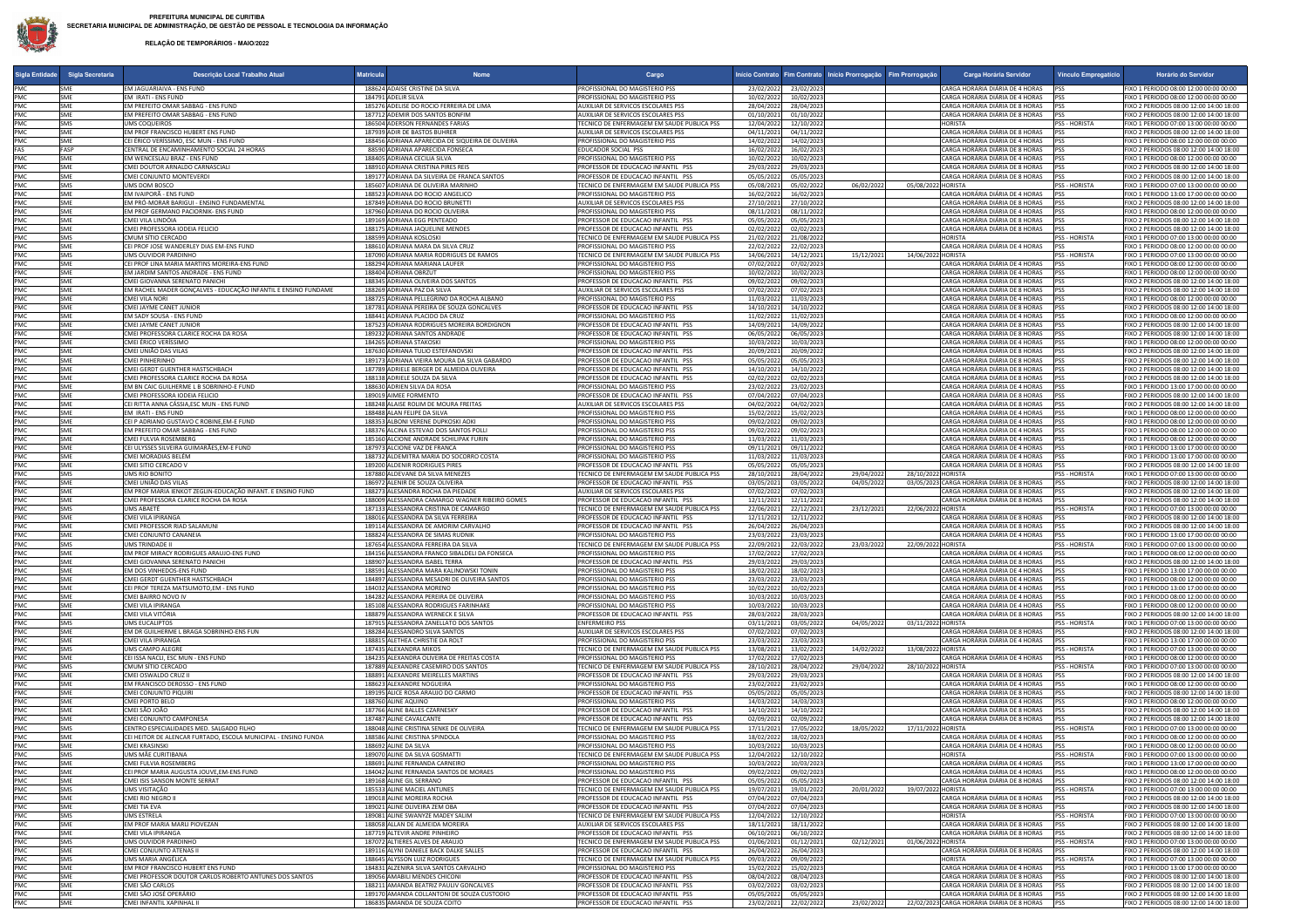## **RELAÇÃO DE TEMPORÁRIOS - MAIO/2022**

| Sigla Entidade | Sigla Secretaria  | Descrição Local Trabalho Atual                                                         | <b>Matricula</b> |                                                                                           | Cargo                                                                            |                                     |                          |            | Início Contrato Fim Contrato Início Prorrogação Fim Prorrogação | Carga Horária Servidor                                                                | Vínculo Empregatício               | Horário do Servidor                                                                |
|----------------|-------------------|----------------------------------------------------------------------------------------|------------------|-------------------------------------------------------------------------------------------|----------------------------------------------------------------------------------|-------------------------------------|--------------------------|------------|-----------------------------------------------------------------|---------------------------------------------------------------------------------------|------------------------------------|------------------------------------------------------------------------------------|
| PMC            | <b>SME</b>        | EM JAGUARIAIVA - ENS FUND                                                              |                  | 188624 ADAISE CRISTINE DA SILVA                                                           | PROFISSIONAL DO MAGISTERIO PSS                                                   | 23/02/2022                          | 23/02/2023               |            |                                                                 | CARGA HORÁRIA DIÁRIA DE 4 HORAS                                                       | PSS                                | FIXO 1 PERIODO 08:00 12:00 00:00 00:00                                             |
| PMC            | <b>SME</b>        | EM IRATI - ENS FUND                                                                    |                  | 184791 ADELIR SILVA                                                                       | PROFISSIONAL DO MAGISTERIO PSS                                                   | 10/02/2022                          | 10/02/202                |            |                                                                 | CARGA HORÁRIA DIÁRIA DE 4 HORAS                                                       | <b>IPSS</b>                        | IXO 1 PERIODO 08:00 12:00 00:00 00:00                                              |
| PMC            | SME               | EM PREFEITO OMAR SABBAG - ENS FUND                                                     |                  | 185276 ADELISE DO ROCIO FERREIRA DE LIMA                                                  | <b>IUXILIAR DE SERVICOS ESCOLARES PSS</b>                                        | 28/04/2022                          | 28/04/202                |            |                                                                 | CARGA HORÁRIA DIÁRIA DE 8 HORAS                                                       | <b>IPSS</b>                        | IXO 2 PERIODOS 08:00 12:00 14:00 18:00                                             |
| PMC<br>PMC     | <b>SME</b><br>SMS | EM PREFEITO OMAR SABBAG - ENS FUND<br><b>UMS COQUEIROS</b>                             |                  | 187712 ADEMIR DOS SANTOS BONFIM<br>186504 ADERSON FERNANDES FARIAS                        | AUXILIAR DE SERVICOS ESCOLARES PSS                                               | 01/10/2021                          | 01/10/202                |            |                                                                 | CARGA HORÁRIA DIÁRIA DE 8 HORAS<br><b>HORISTA</b>                                     | <b>PSS</b><br><b>PSS - HORISTA</b> | FIXO 2 PERIODOS 08:00 12:00 14:00 18:00                                            |
| PMC            | SME               | EM PROF FRANCISCO HUBERT ENS FUND                                                      |                  | 187939 ADIR DE BASTOS BUHRER                                                              | TECNICO DE ENFERMAGEM EM SAUDE PUBLICA PSS<br>AUXILIAR DE SERVICOS ESCOLARES PSS | 12/04/2022<br>04/11/2021            | 12/10/2022<br>04/11/202  |            |                                                                 | CARGA HORÁRIA DIÁRIA DE 8 HORAS                                                       | <b>IPSS</b>                        | FIXO 1 PERIODO 07:00 13:00 00:00 00:00<br>FIXO 2 PERIODOS 08:00 12:00 14:00 18:00  |
| PMC            | SME               | CEI ÉRICO VERÍSSIMO, ESC MUN - ENS FUND                                                |                  | 188456 ADRIANA APARECIDA DE SIQUEIRA DE OLIVEIRA                                          | PROFISSIONAL DO MAGISTERIO PSS                                                   | 14/02/2022                          | 14/02/2023               |            |                                                                 | CARGA HORÁRIA DIÁRIA DE 4 HORAS                                                       | <b>IPSS</b>                        | IXO 1 PERIODO 08:00 12:00 00:00 00:00                                              |
| FAS            | FASP              | CENTRAL DE ENCAMINHAMENTO SOCIAL 24 HORAS                                              |                  | 88590 ADRIANA APARECIDA FONSECA                                                           | EDUCADOR SOCIAL PSS                                                              | 16/02/2022                          | 16/02/2023               |            |                                                                 | CARGA HORÁRIA DIÁRIA DE 8 HORAS PSS                                                   |                                    | FIXO 2 PERIODOS 08:00 12:00 14:00 18:00                                            |
| PMC            | <b>SME</b>        | EM WENCESLAU BRAZ - ENS FUND                                                           |                  | 188405 ADRIANA CECILIA SILVA                                                              | PROFISSIONAL DO MAGISTERIO PSS                                                   | 10/02/2022                          | 10/02/202                |            |                                                                 | CARGA HORÁRIA DIÁRIA DE 4 HORAS                                                       | <b>IPSS</b>                        | FIXO 1 PERIODO 08:00 12:00 00:00 00:00                                             |
| PMC            | <b>SME</b>        | CMEI DOUTOR ARNALDO CARNASCIAL                                                         |                  | 188910 ADRIANA CRISTINA PIRES REIS                                                        | PROFESSOR DE EDUCACAO INFANTIL PSS                                               | 29/03/2022                          | 29/03/202                |            |                                                                 | CARGA HORÁRIA DIÁRIA DE 8 HORAS PSS                                                   |                                    | EIXO 2 PERIODOS 08:00 12:00 14:00 18:00                                            |
| PMC            | SME               | CMEI CONJUNTO MONTEVERDI                                                               |                  | 189177 ADRIANA DA SILVEIRA DE FRANCA SANTOS                                               | PROFESSOR DE EDUCACAO INFANTIL PSS                                               | 05/05/2022                          | 05/05/2023               |            |                                                                 | CARGA HORÁRIA DIÁRIA DE 8 HORAS                                                       | <b>PSS</b>                         | IXO 2 PERIODOS 08:00 12:00 14:00 18:00                                             |
| PMC            | SMS               | UMS DOM BOSCO                                                                          |                  | 185607 ADRIANA DE OLIVEIRA MARINHO                                                        | TECNICO DE ENFERMAGEM EM SAUDE PUBLICA PSS                                       | 05/08/2021                          | 05/02/202                | 06/02/2022 | 05/08/2022 HORISTA                                              |                                                                                       | PSS - HORISTA                      | FIXO 1 PERIODO 07:00 13:00 00:00 00:00                                             |
| PMC<br>PMC     | SMF<br>SME        | EM IVAIPORA - ENS FUND<br>EM PRÓ-MORAR BARIGUI - ENSINO FUNDAMENTAL                    |                  | 188523 ADRIANA DO ROCIO ANGELICO<br>187849 ADRIANA DO ROCIO BRUNETTI                      | PROFISSIONAL DO MAGISTERIO PSS<br>AUXILIAR DE SERVICOS ESCOLARES PSS             | 16/02/2022<br>27/10/2021            | 16/02/2023<br>27/10/202  |            |                                                                 | CARGA HORÁRIA DIÁRIA DE 4 HORAS PSS<br>CARGA HORÁRIA DIÁRIA DE 8 HORAS                | <b>IPSS</b>                        | FIXO 1 PERIODO 13:00 17:00 00:00 00:00<br>FIXO 2 PERIODOS 08:00 12:00 14:00 18:00  |
| PMC            | <b>SME</b>        | EM PROF GERMANO PACIORNIK- ENS FUND                                                    |                  | 187960 ADRIANA DO ROCIO OLIVEIRA                                                          | PROFISSIONAL DO MAGISTERIO PSS                                                   | 08/11/2021                          | 08/11/2022               |            |                                                                 | CARGA HORÁRIA DIÁRIA DE 4 HORAS PSS                                                   |                                    | IXO 1 PERIODO 08:00 12:00 00:00 00:00                                              |
| PMC            | SME               | CMEI VILA LINDÓIA                                                                      |                  | 189169 ADRIANA EGG PENTEADO                                                               | PROFESSOR DE EDUCACAO INFANTIL PSS                                               | 05/05/2022                          | 05/05/202                |            |                                                                 | CARGA HORÁRIA DIÁRIA DE 8 HORAS                                                       | <b>PSS</b>                         | FIXO 2 PERIODOS 08:00 12:00 14:00 18:00                                            |
| PMC            | SMF               | CMEI PROFESSORA IODEIA FELICIO                                                         |                  | 188175 ADRIANA JAQUELINE MENDES                                                           | PROFESSOR DE EDUCACAO INFANTIL PSS                                               | 02/02/2022                          | 02/02/202                |            |                                                                 | CARGA HORÁRIA DIÁRIA DE 8 HORAS PSS                                                   |                                    | FIXO 2 PERIODOS 08:00 12:00 14:00 18:00                                            |
| PMC            | SMS               | CMUM SÍTIO CERCADO                                                                     |                  | 188599 ADRIANA KOSLOSKI                                                                   | FCNICO DE ENFERMAGEM EM SAUDE PUBLICA PSS                                        | 21/02/2022                          | 21/08/202                |            |                                                                 | HORISTA                                                                               | PSS - HORISTA                      | FIXO 1 PERIODO 07:00 13:00 00:00 00:00                                             |
| PMC            | SME               | CEI PROF JOSE WANDERLEY DIAS EM-ENS FUND                                               |                  | 188610 ADRIANA MARA DA SILVA CRUZ                                                         | ROFISSIONAL DO MAGISTERIO PSS                                                    | 22/02/2022                          | 22/02/2023               |            |                                                                 | CARGA HORÁRIA DIÁRIA DE 4 HORAS                                                       | <b>PSS</b>                         | IXO 1 PERIODO 08:00 12:00 00:00 00:00                                              |
| PMC            | SMS               | UMS OUVIDOR PARDINHO                                                                   |                  | 187090 ADRIANA MARIA RODRIGUES DE RAMOS                                                   | TECNICO DE ENFERMAGEM EM SAUDE PUBLICA PSS                                       | 14/06/2021                          | 14/12/202                | 15/12/2021 | 14/06/2022 HORISTA                                              |                                                                                       | PSS - HORISTA                      | IXO 1 PERIODO 07:00 13:00 00:00 00:00                                              |
| PMC<br>PMC     | <b>SME</b><br>SME | CEI PROF LINA MARIA MARTINS MOREIRA-ENS FUND<br>EM JARDIM SANTOS ANDRADE - ENS FUND    |                  | 188294 ADRIANA MARIANA LAUFER<br>188404 ADRIANA OBRZUT                                    | PROFISSIONAL DO MAGISTERIO PSS<br>PROFISSIONAL DO MAGISTERIO PSS                 | 07/02/2022<br>10/02/2022            | 07/02/202<br>10/02/202   |            |                                                                 | CARGA HORÁRIA DIÁRIA DE 4 HORAS<br>CARGA HORÁRIA DIÁRIA DE 4 HORAS                    | <b>IPSS</b>                        | EIXO 1 PERIODO 08:00 12:00 00:00 00:00<br>FIXO 1 PERIODO 08:00 12:00 00:00 00:00   |
| PMC            | SME               | CMEI GIOVANNA SERENATO PANICHI                                                         |                  | 188345 ADRIANA OLIVEIRA DOS SANTOS                                                        | PROFESSOR DE EDUCACAO INFANTIL PSS                                               | 09/02/2022                          | 09/02/2023               |            |                                                                 | CARGA HORÁRIA DIÁRIA DE 8 HORAS                                                       | <b>IPSS</b><br><b>IPSS</b>         | FIXO 2 PERIODOS 08:00 12:00 14:00 18:00                                            |
| PMC            | SME               | EM RACHEL MADER GONÇALVES - EDUCAÇÃO INFANTIL E ENSINO FUNDAME                         |                  | 188269 ADRIANA PAZ DA SILVA                                                               | AUXILIAR DE SERVICOS ESCOLARES PSS                                               | 07/02/2022                          | 07/02/2023               |            |                                                                 | CARGA HORÁRIA DIÁRIA DE 8 HORAS                                                       | <b>IPSS</b>                        | FIXO 2 PERIODOS 08:00 12:00 14:00 18:00                                            |
| PMC            | SME               | CMEI VILA NORI                                                                         |                  | 188725 ADRIANA PELLEGRINO DA ROCHA ALBANO                                                 | PROFISSIONAL DO MAGISTERIO PSS                                                   | 11/03/2022                          | 11/03/2023               |            |                                                                 | CARGA HORÁRIA DIÁRIA DE 4 HORAS PSS                                                   |                                    | FIXO 1 PERIODO 08:00 12:00 00:00 00:00                                             |
| PMC            | <b>SME</b>        | CMEI JAYME CANET JUNIOR                                                                |                  | 187781 ADRIANA PEREIRA DE SOUZA GONCALVES                                                 | PROFESSOR DE EDUCACAO INFANTIL PSS                                               | 14/10/2021                          | 14/10/2022               |            |                                                                 | CARGA HORÁRIA DIÁRIA DE 8 HORAS                                                       | <b>PSS</b>                         | FIXO 2 PERIODOS 08:00 12:00 14:00 18:00                                            |
| PMC            | SME               | EM SADY SOUSA - ENS FUND                                                               |                  | 188441 ADRIANA PLACIDO DA CRUZ                                                            | PROFISSIONAL DO MAGISTERIO PSS                                                   | 11/02/2022                          | 11/02/202                |            |                                                                 | CARGA HORÁRIA DIÁRIA DE 4 HORAS                                                       | <b>IPSS</b>                        | FIXO 1 PERIODO 08:00 12:00 00:00 00:00                                             |
| PMC            | SME               | CMEI JAYME CANET JUNIOR                                                                |                  | 187523 ADRIANA RODRIGUES MOREIRA BORDIGNON                                                | ROFESSOR DE EDUCACAO INFANTIL PSS                                                | 14/09/2021                          | 14/09/2022               |            |                                                                 | CARGA HORÁRIA DIÁRIA DE 8 HORAS                                                       | <b>IPSS</b>                        | IXO 2 PERIODOS 08:00 12:00 14:00 18:00                                             |
| PMC            | SME               | CMEI PROFESSORA CLARICE ROCHA DA ROSA                                                  |                  | 189232 ADRIANA SANTOS ANDRADE                                                             | PROFESSOR DE EDUCACAO INFANTIL PSS                                               | 06/05/2022                          | 06/05/202                |            |                                                                 | CARGA HORÁRIA DIÁRIA DE 8 HORAS                                                       | <b>PSS</b>                         | FIXO 2 PERIODOS 08:00 12:00 14:00 18:00                                            |
| PMC            | <b>SME</b>        | CMEI ÉRICO VERÍSSIMO                                                                   |                  | 184265 ADRIANA STAKOSKI                                                                   | PROFISSIONAL DO MAGISTERIO PSS                                                   | 10/03/2022                          | 10/03/202                |            |                                                                 | CARGA HORÁRIA DIÁRIA DE 4 HORAS                                                       |                                    | FIXO 1 PERIODO 08:00 12:00 00:00 00:00                                             |
| PMC<br>PMC     | SME               | CMEI UNIÃO DAS VILAS                                                                   |                  | 187630 ADRIANA TULIO ESTEFANOVSKI                                                         | PROFESSOR DE EDUCACAO INFANTIL PSS                                               | 20/09/2021                          | 20/09/202                |            |                                                                 | CARGA HORÁRIA DIÁRIA DE 8 HORAS PSS                                                   | <b>IPSS</b>                        | FIXO 2 PERIODOS 08:00 12:00 14:00 18:00                                            |
| PMC            | SME<br>SME        | CMEI PINHERINHO<br>CMEI GERDT GUENTHER HASTSCHBACH                                     |                  | 189173 ADRIANA VIEIRA MOURA DA SILVA GABARDO<br>187789 ADRIELE BERGER DE ALMEIDA OLIVEIRA | ROFESSOR DE EDUCACAO INFANTIL PSS<br>PROFESSOR DE EDUCACAO INFANTIL PSS          | 05/05/2022<br>14/10/2021            | 05/05/2023<br>14/10/2022 |            |                                                                 | CARGA HORÁRIA DIÁRIA DE 8 HORAS<br>CARGA HORÁRIA DIÁRIA DE 8 HORAS PSS                |                                    | FIXO 2 PERIODOS 08:00 12:00 14:00 18:00<br>FIXO 2 PERIODOS 08:00 12:00 14:00 18:00 |
| PMC            | <b>SME</b>        | CMEI PROFESSORA CLARICE ROCHA DA ROSA                                                  |                  | 188138 ADRIELE SOUZA DA SILVA                                                             | PROFESSOR DE EDUCACAO INFANTIL PSS                                               | 02/02/2022                          | 02/02/2023               |            |                                                                 | CARGA HORÁRIA DIÁRIA DE 8 HORAS                                                       | <b>PSS</b>                         | IXO 2 PERIODOS 08:00 12:00 14:00 18:00                                             |
| PMC            | <b>SME</b>        | EM BN CAIC GUILHERME LB SOBRINHO-E FUND                                                |                  | 188630 ADRIEN SILVA DA ROSA                                                               | PROFISSIONAL DO MAGISTERIO PSS                                                   | 23/02/2022                          | 23/02/202                |            |                                                                 | CARGA HORÁRIA DIÁRIA DE 4 HORAS                                                       | <b>IPSS</b>                        | IXO 1 PERIODO 13:00 17:00 00:00 00:00                                              |
| PMC            | SME               | CMEI PROFESSORA IODEIA FELICIO                                                         |                  | 189019 AIMEE FORMENTO                                                                     | ROFESSOR DE EDUCACAO INFANTIL PSS                                                | 07/04/2022                          | 07/04/202                |            |                                                                 | CARGA HORÁRIA DIÁRIA DE 8 HORAS                                                       | <b>PSS</b>                         | IXO 2 PERIODOS 08:00 12:00 14:00 18:00                                             |
| PMC            | <b>SME</b>        | CEI RITTA ANNA CÁSSIA, ESC MUN - ENS FUND                                              |                  | 188248 ALAISE ROLIM DE MOURA FREITAS                                                      | AUXILIAR DE SERVICOS ESCOLARES PSS                                               | 04/02/2022                          | 04/02/202                |            |                                                                 | CARGA HORÁRIA DIÁRIA DE 8 HORAS                                                       |                                    | FIXO 2 PERIODOS 08:00 12:00 14:00 18:00                                            |
| PMC            | SMF               | EM IRATI - ENS FUND                                                                    |                  | 188488 ALAN FELIPE DA SILVA                                                               | PROFISSIONAL DO MAGISTERIO PSS                                                   | 15/02/2022                          | 15/02/202                |            |                                                                 | CARGA HORÁRIA DIÁRIA DE 4 HORAS                                                       | <b>IPSS</b>                        | FIXO 1 PERIODO 08:00 12:00 00:00 00:00                                             |
| PMC            | SME               | CEI P ADRIANO GUSTAVO C ROBINE,EM-E FUND                                               |                  | 188353 ALBONI VERENE DUPKOSKI AOKI                                                        | PROFISSIONAL DO MAGISTERIO PSS                                                   | 09/02/2022                          | 09/02/202                |            |                                                                 | CARGA HORÁRIA DIÁRIA DE 4 HORAS                                                       | lpss                               | EIXO 1 PERIODO 08:00 12:00 00:00 00:00                                             |
| PMC<br>PMC     | SME<br>SME        | EM PREFEITO OMAR SABBAG - ENS FUND<br>CMEI FULVIA ROSEMBERG                            |                  | 188376 ALCINA ESTEVAO DOS SANTOS POLLI<br>185160 ALCIONE ANDRADE SCHILIPAK FURIN          | PROFISSIONAL DO MAGISTERIO PSS<br>PROFISSIONAL DO MAGISTERIO PSS                 | 09/02/2022<br>11/03/2022            | 09/02/2023<br>11/03/2023 |            |                                                                 | CARGA HORÁRIA DIÁRIA DE 4 HORAS<br>CARGA HORÁRIA DIÁRIA DE 4 HORAS PSS                | <b>PSS</b>                         | FIXO 1 PERIODO 08:00 12:00 00:00 00:00<br>FIXO 1 PERIODO 08:00 12:00 00:00 00:00   |
| PMC            | SMF               | CEI ULYSSES SILVEIRA GUIMARÃES, EM-E FUND                                              |                  | 187973 ALCIONE VAZ DE FRANCA                                                              | PROFISSIONAL DO MAGISTERIO PSS                                                   | 09/11/2021                          | 09/11/2022               |            |                                                                 | CARGA HORÁRIA DIÁRIA DE 4 HORAS PSS                                                   |                                    | FIXO 1 PERIODO 13:00 17:00 00:00 00:00                                             |
| PMC            | SME               | CMEI MORADIAS BELÉM                                                                    |                  | 188732 ALDEMITRA MARIA DO SOCORRO COSTA                                                   | PROFISSIONAL DO MAGISTERIO PSS                                                   | 11/03/2022                          | 11/03/202                |            |                                                                 | CARGA HORÁRIA DIÁRIA DE 4 HORAS                                                       | <b>IPSS</b>                        | FIXO 1 PERIODO 13:00 17:00 00:00 00:00                                             |
| PMC            | SME               | CMEI SITIO CERCADO V                                                                   |                  | 189200 ALDENIR RODRIGUES PIRES                                                            | ROFESSOR DE EDUCACAO INFANTIL PSS                                                | 05/05/2022                          | 05/05/202                |            |                                                                 | CARGA HORÁRIA DIÁRIA DE 8 HORAS                                                       | <b>IPSS</b>                        | IXO 2 PERIODOS 08:00 12:00 14:00 18:00                                             |
| PMC            | SMS               | <b>UMS RIO BONITO</b>                                                                  |                  | 187880 ALDEVANE DA SILVA MENEZES                                                          | TECNICO DE ENFERMAGEM EM SAUDE PUBLICA PSS                                       | 28/10/2021                          | 28/04/202                | 29/04/2022 | 28/10/2022 HORISTA                                              |                                                                                       | PSS - HORISTA                      | FIXO 1 PERIODO 07:00 13:00 00:00 00:00                                             |
| PMC            | SMF               | CMEI UNIÃO DAS VILAS                                                                   |                  | 186972 ALENIR DE SOUZA OLIVEIRA                                                           | PROFESSOR DE EDUCACAO INFANTIL PSS                                               | 03/05/2021                          | 03/05/202                | 04/05/2022 |                                                                 | 03/05/2023 CARGA HORÁRIA DIÁRIA DE 8 HORAS                                            | <b>PSS</b>                         | FIXO 2 PERIODOS 08:00 12:00 14:00 18:00                                            |
| PMC            | SME               | EM PROF MARIA IENKOT ZEGLIN-EDUCAÇÃO INFANT. E ENSINO FUND                             |                  | 188273 ALESANDRA ROCHA DA PIEDADE                                                         | AUXILIAR DE SERVICOS ESCOLARES PSS                                               | 07/02/2022                          | 07/02/202                |            |                                                                 | CARGA HORÁRIA DIÁRIA DE 8 HORAS                                                       | <b>PSS</b>                         | FIXO 2 PERIODOS 08:00 12:00 14:00 18:00                                            |
| PMC            | SME               | CMEI PROFESSORA CLARICE ROCHA DA ROSA                                                  |                  | 188009 ALESSANDRA CAMARGO WAGNER RIBEIRO GOMES                                            | PROFESSOR DE EDUCAÇÃO INFANTIL PSS                                               | 12/11/2021                          | 12/11/202                |            |                                                                 | CARGA HORÁRIA DIÁRIA DE 8 HORAS                                                       | <b>PSS</b>                         | FIXO 2 PERIODOS 08:00 12:00 14:00 18:00                                            |
| PMC<br>PMC     | SMS<br>SME        | <b>UMS ABAETÉ</b><br>CMEI VILA IPIRANGA                                                |                  | 187133 ALESSANDRA CRISTINA DE CAMARGO<br>188016 ALESSANDRA DA SILVA FERREIRA              | TECNICO DE ENFERMAGEM EM SAUDE PUBLICA PSS<br>PROFESSOR DE EDUCACAO INFANTIL PSS | 22/06/2021<br>12/11/2021            | 22/12/2021<br>12/11/2022 | 23/12/2021 | 22/06/2022 HORISTA                                              | CARGA HORÁRIA DIÁRIA DE 8 HORAS                                                       | <b>PSS - HORISTA</b><br><b>PSS</b> | TIXO 1 PERIODO 07:00 13:00 00:00 00:00<br>FIXO 2 PERIODOS 08:00 12:00 14:00 18:00  |
| PMC            | <b>SME</b>        | CMEI PROFESSOR RIAD SALAMUNI                                                           |                  | 189114 ALESSANDRA DE AMORIM CARVALHO                                                      | PROFESSOR DE EDUCACAO INFANTIL PSS                                               | 26/04/2022                          | 26/04/202                |            |                                                                 | CARGA HORÁRIA DIÁRIA DE 8 HORAS                                                       | PSS                                | IXO 2 PERIODOS 08:00 12:00 14:00 18:00                                             |
| PMC            | <b>SME</b>        | CMEI CONJUNTO CANANEIA                                                                 |                  | 188824 ALESSANDRA DE SIMAS RUDNIK                                                         | PROFISSIONAL DO MAGISTERIO PSS                                                   | 23/03/2022                          | 23/03/202                |            |                                                                 | CARGA HORÁRIA DIÁRIA DE 4 HORAS                                                       | <b>IPSS</b>                        | FIXO 1 PERIODO 13:00 17:00 00:00 00:00                                             |
| PMC            | SMS               | UMS TRINDADE II                                                                        |                  | 187654 ALESSANDRA FERREIRA DA SILVA                                                       | ECNICO DE ENFERMAGEM EM SAUDE PUBLICA PSS                                        | 22/09/2021                          | 22/03/202                | 23/03/2022 | 22/09/2022 HORISTA                                              |                                                                                       | PSS - HORISTA                      | IXO 1 PERIODO 07:00 13:00 00:00 00:00                                              |
| PMC            | <b>SME</b>        | EM PROF MIRACY RODRIGUES ARAUJO-ENS FUND                                               |                  | 184156 ALESSANDRA FRANCO SIBALDELI DA FONSECA                                             | PROFISSIONAL DO MAGISTERIO PSS                                                   | 17/02/2022                          | 17/02/202                |            |                                                                 | CARGA HORÁRIA DIÁRIA DE 4 HORAS                                                       | <b>PSS</b>                         | FIXO 1 PERIODO 08:00 12:00 00:00 00:00                                             |
| PMC            | SMF               | CMEI GIOVANNA SERENATO PANICHI                                                         |                  | 188907 ALESSANDRA ISABEL TERRA                                                            | PROFESSOR DE EDUCACAO INFANTIL PSS                                               | 29/03/2022                          | 29/03/202                |            |                                                                 | CARGA HORÁRIA DIÁRIA DE 8 HORAS                                                       | <b>IPSS</b>                        | FIXO 2 PERIODOS 08:00 12:00 14:00 18:00                                            |
| PMC            | SME               | EM DOS VINHEDOS-ENS FUND                                                               |                  | 188591 ALESSANDRA MARA KALINOWSKI TONIN                                                   | PROFISSIONAL DO MAGISTERIO PSS                                                   | 18/02/2022                          | 18/02/2023               |            |                                                                 | CARGA HORÁRIA DIÁRIA DE 4 HORAS                                                       | <b>PSS</b>                         | FIXO 1 PERIODO 13:00 17:00 00:00 00:00                                             |
| PMC            | SME               | CMEI GERDT GUENTHER HASTSCHBACH                                                        |                  | 184897 ALESSANDRA MESADRI DE OLIVEIRA SANTOS                                              | PROFISSIONAL DO MAGISTERIO PSS                                                   | 23/03/2022                          | 23/03/2023               |            |                                                                 | CARGA HORÁRIA DIÁRIA DE 4 HORAS                                                       | <b>IPSS</b>                        | FIXO 1 PERIODO 08:00 12:00 00:00 00:00                                             |
| PMC<br>PMC     | SME<br>SME        | CEI PROF TEREZA MATSUMOTO,EM - ENS FUND<br>CMEI BAIRRO NOVO IV                         |                  | 184032 ALESSANDRA MORENO<br>184282 ALESSANDRA PEREIRA DE OLIVEIRA                         | PROFISSIONAL DO MAGISTERIO PSS<br>PROFISSIONAL DO MAGISTERIO PSS                 | 10/02/2022<br>10/03/2022            | 10/02/2023<br>10/03/2023 |            |                                                                 | CARGA HORÁRIA DIÁRIA DE 4 HORAS PSS<br>CARGA HORÁRIA DIÁRIA DE 4 HORAS                | <b>PSS</b>                         | FIXO 1 PERIODO 13:00 17:00 00:00 00:00<br>FIXO 1 PERIODO 08:00 12:00 00:00 00:00   |
| PMC            | SME               | CMEI VILA IPIRANGA                                                                     |                  | 185108 ALESSANDRA RODRIGUES FARINHAKE                                                     | PROFISSIONAL DO MAGISTERIO PSS                                                   | 10/03/2022                          | 10/03/202                |            |                                                                 | CARGA HORÁRIA DIÁRIA DE 4 HORAS                                                       | <b>IPSS</b>                        | IXO 1 PERIODO 08:00 12:00 00:00 00:00                                              |
| PMC            | SME               | CMEI VILA VITÓRIA                                                                      |                  | 188879 ALESSANDRA WERNECK E SILVA                                                         | ROFESSOR DE EDUCACAO INFANTIL PSS                                                | 28/03/2022                          | 28/03/2023               |            |                                                                 | CARGA HORÁRIA DIÁRIA DE 8 HORAS                                                       | <b>PSS</b>                         | IXO 2 PERIODOS 08:00 12:00 14:00 18:00                                             |
| PMC            | SMS               | <b>UMS EUCALIPTOS</b>                                                                  |                  | 187915 ALESSANDRA ZANELLATO DOS SANTOS                                                    | <b>ENFERMEIRO PSS</b>                                                            | 03/11/2021                          | 03/05/202                | 04/05/2022 | 03/11/2022 HORISTA                                              |                                                                                       | PSS - HORISTA                      | FIXO 1 PERIODO 07:00 13:00 00:00 00:00                                             |
| PMC            | <b>SME</b>        | EM DR GUILHERME L BRAGA SOBRINHO-ENS FUN                                               |                  | 188284 ALESSANDRO SILVA SANTOS                                                            | AUXILIAR DE SERVICOS ESCOLARES PSS                                               | 07/02/2022                          | 07/02/2023               |            |                                                                 | CARGA HORÁRIA DIÁRIA DE 8 HORAS                                                       | PSS                                | FIXO 2 PERIODOS 08:00 12:00 14:00 18:00                                            |
| PMC            | SME               | CMEI VILA IPIRANGA                                                                     |                  | 188815 ALETHEA CHRISTIE DA ROLT                                                           | PROFISSIONAL DO MAGISTERIO PSS                                                   | 23/03/2022                          | 23/03/202                |            |                                                                 | CARGA HORÁRIA DIÁRIA DE 4 HORAS                                                       | PSS                                | FIXO 1 PERIODO 13:00 17:00 00:00 00:00                                             |
| PMC            | SMS               | <b>UMS CAMPO ALEGRI</b>                                                                |                  | 187435 ALEXANDRA MIKOS                                                                    | TECNICO DE ENFERMAGEM EM SAUDE PUBLICA PSS                                       | 13/08/2021                          | 13/02/2022               | 14/02/2022 | 13/08/2022 HORISTA                                              |                                                                                       | PSS - HORISTA                      | FIXO 1 PERIODO 07:00 13:00 00:00 00:00                                             |
| PMC<br>PMC     | SME<br>SMS        | CEI ISSA NACLI, ESC MUN - ENS FUND<br>CMUM SÍTIO CERCADO                               |                  | 184235 ALEXANDRA OLIVEIRA DE FREITAS COSTA<br>187889 ALEXANDRE CASEMIRO DOS SANTOS        | PROFISSIONAL DO MAGISTERIO PSS<br>TECNICO DE ENFERMAGEM EM SAUDE PUBLICA PSS     | 17/02/2022<br>28/10/2021            | 17/02/2023<br>28/04/202  | 29/04/2022 | 28/10/2022 HORISTA                                              | CARGA HORÁRIA DIÁRIA DE 4 HORAS PSS                                                   | PSS - HORISTA                      | FIXO 1 PERIODO 08:00 12:00 00:00 00:00<br>FIXO 1 PERIODO 07:00 13:00 00:00 00:00   |
| PMC            | SME               | CMEI OSWALDO CRUZ II                                                                   |                  | 188891 ALEXANDRE MEIRELLES MARTINS                                                        | PROFESSOR DE EDUCAÇÃO INFANTIL PSS                                               | 29/03/2022                          | 29/03/202                |            |                                                                 | CARGA HORÁRIA DIÁRIA DE 8 HORAS                                                       | <b>IPSS</b>                        | FIXO 2 PERIODOS 08:00 12:00 14:00 18:00                                            |
| PMC            | SME               | EM FRANCISCO DEROSSO - ENS FUND                                                        |                  | 188623 ALEXANDRE NOGUEIRA                                                                 | ROFISSIONAL DO MAGISTERIO PSS                                                    | 23/02/2022                          | 23/02/2023               |            |                                                                 | CARGA HORÁRIA DIÁRIA DE 4 HORAS                                                       | <b>PSS</b>                         | IXO 1 PERIODO 08:00 12:00 00:00 00:00                                              |
| PMC            | SME               | CMEI CONJUNTO PIQUIRI                                                                  |                  | 189195 ALICE ROSA ARAUJO DO CARMO                                                         | PROFESSOR DE EDUCACAO INFANTIL PSS                                               | 05/05/202                           | 05/05/202                |            |                                                                 | CARGA HORÁRIA DIÁRIA DE 8 HORAS                                                       | <b>PSS</b>                         | FIXO 2 PERIODOS 08:00 12:00 14:00 18:00                                            |
| PMC            | <b>SME</b>        | CMEI PORTO BELO                                                                        |                  | 188760 ALINE AQUINO                                                                       | PROFISSIONAL DO MAGISTERIO PSS                                                   | 14/03/202                           | 14/03/202                |            |                                                                 | CARGA HORÁRIA DIÁRIA DE 4 HORAS                                                       |                                    | IXO 1 PERIODO 08:00 12:00 00:00 00:00                                              |
| PMC            | SMF               | CMEI SÃO JOÃO                                                                          |                  | 187766 ALINE BALLES CZARNESKY                                                             | PROFESSOR DE EDUCACAO INFANTIL PSS                                               | 14/10/2021                          | 14/10/202                |            |                                                                 | CARGA HORÁRIA DIÁRIA DE 8 HORAS                                                       | <b>TIPSS</b>                       | FIXO 2 PERIODOS 08:00 12:00 14:00 18:00                                            |
| PMC            | SME               | CMEI CONJUNTO CAMPONESA                                                                |                  | 187487 ALINE CAVALCANTE                                                                   | PROFESSOR DE EDUCACAO INFANTIL PSS                                               | 02/09/2021                          | 02/09/202                |            |                                                                 | CARGA HORÁRIA DIÁRIA DE 8 HORAS                                                       | <b>IPSS</b>                        | EIXO 2 PERIODOS 08:00 12:00 14:00 18:00                                            |
| PMC            | SMS               | CENTRO ESPECIALIDADES MED. SALGADO FILHO                                               |                  | 188048 ALINE CRISTINA SENKE DE OLIVEIRA                                                   | TECNICO DE ENFERMAGEM EM SAUDE PUBLICA PSS                                       | 17/11/2021                          | 17/05/2022               | 18/05/2022 | 17/11/2022 HORISTA                                              |                                                                                       | <b>PSS - HORISTA</b>               | FIXO 1 PERIODO 07:00 13:00 00:00 00:00                                             |
| PMC<br>PMC     | SME<br>SMF        | CEI HEITOR DE ALENCAR FURTADO, ESCOLA MUNICIPAL - ENSINO FUNDA<br><b>CMELKRASINSKI</b> |                  | 188586 ALINE CRISTINA SPINDOLA<br>188692 ALINE DA SILVA                                   | PROFISSIONAL DO MAGISTERIO PSS<br>PROFISSIONAL DO MAGISTERIO PSS                 | 18/02/2022<br>10/03/2022            | 18/02/2023<br>10/03/202  |            |                                                                 | CARGA HORÁRIA DIÁRIA DE 4 HORAS<br>CARGA HORÁRIA DIÁRIA DE 4 HORAS PSS                | <b>PSS</b>                         | FIXO 1 PERIODO 08:00 12:00 00:00 00:00<br>FIXO 1 PERIODO 08:00 12:00 00:00 00:00   |
| PMC            | SMS               | UMS MÃE CURITIBANA                                                                     |                  | 189070 ALINE DA SILVA GOSMATTI                                                            | TECNICO DE ENFERMAGEM EM SAUDE PUBLICA PSS                                       | 12/04/2022                          | 12/10/202                |            |                                                                 | HORISTA                                                                               | PSS - HORISTA                      | EIXO 1 PERIODO 07:00 13:00 00:00 00:00                                             |
| PMC            | SME               | CMEI FULVIA ROSEMBERG                                                                  |                  | 188691 ALINE FERNANDA CARNEIRO                                                            | PROFISSIONAL DO MAGISTERIO PSS                                                   | 10/03/2022                          | 10/03/202                |            |                                                                 | CARGA HORÁRIA DIÁRIA DE 4 HORAS                                                       | <b>IPSS</b>                        | IXO 1 PERIODO 13:00 17:00 00:00 00:00                                              |
| PMC            | SME               | CEI PROF MARIA AUGUSTA JOUVE, EM-ENS FUND                                              |                  | 184042 ALINE FERNANDA SANTOS DE MORAES                                                    | PROFISSIONAL DO MAGISTERIO PSS                                                   | 09/02/2022                          | 09/02/2023               |            |                                                                 | CARGA HORÁRIA DIÁRIA DE 4 HORAS                                                       | <b>PSS</b>                         | FIXO 1 PERIODO 08:00 12:00 00:00 00:00                                             |
| PMC            | SME               | CMEI ISIS SANSON MONTE SERRAT                                                          |                  | 189168 ALINE GIL SERRANO                                                                  | PROFESSOR DE EDUCACAO INFANTIL PSS                                               | 05/05/2022                          | 05/05/2023               |            |                                                                 | CARGA HORÁRIA DIÁRIA DE 8 HORAS                                                       | <b>IPSS</b>                        | FIXO 2 PERIODOS 08:00 12:00 14:00 18:00                                            |
| PMC            | SMS               | UMS VISITAÇÃO                                                                          |                  | 185533 ALINE MACIEL ANTUNES                                                               | TECNICO DE ENFERMAGEM EM SAUDE PUBLICA PSS                                       | 19/07/2021                          | 19/01/2022               | 20/01/2022 | 19/07/2022 HORISTA                                              |                                                                                       | PSS - HORISTA                      | FIXO 1 PERIODO 07:00 13:00 00:00 00:00                                             |
| PMC            | SME               | CMEI RIO NEGRO II                                                                      |                  | 189018 ALINE MOREIRA ROCHA                                                                | PROFESSOR DE EDUCACAO INFANTIL PSS                                               | 07/04/2022                          | 07/04/2023               |            |                                                                 | CARGA HORÁRIA DIÁRIA DE 8 HORAS PSS                                                   |                                    | FIXO 2 PERIODOS 08:00 12:00 14:00 18:00                                            |
| PMC            | SME               | CMEI TIA EVA                                                                           |                  | 189021 ALINE OLIVEIRA ZEM OBA                                                             | PROFESSOR DE EDUCACAO INFANTIL PSS                                               | 07/04/2022 07/04/2023               |                          |            |                                                                 | CARGA HORÁRIA DIÁRIA DE 8 HORAS PSS                                                   |                                    | FIXO 2 PERIODOS 08:00 12:00 14:00 18:00                                            |
| PMC<br>PMC     | SMS<br>SME        | <b>UMS ESTRELA</b><br>EM PROF MARIA MARLI PIOVEZAN                                     |                  | 189081 ALINE SWANYZE MADEY SALIM<br>188058 ALLAN DE ALMEIDA MOREIRA                       | TECNICO DE ENFERMAGEM EM SAUDE PUBLICA PSS<br>AUXILIAR DE SERVICOS ESCOLARES PSS | 12/04/2022<br>18/11/2021            | 12/10/2022<br>18/11/2022 |            |                                                                 | <b>HORISTA</b><br>CARGA HORÁRIA DIÁRIA DE 8 HORAS PSS                                 | PSS - HORISTA                      | FIXO 1 PERIODO 07:00 13:00 00:00 00:00<br>TIXO 2 PERIODOS 08:00 12:00 14:00 18:00  |
| PMC            | SME               | CMEI VII A IPIRANGA                                                                    |                  | 187719 ALTEVIR ANDRE PINHEIRO                                                             | PROFESSOR DE EDUCACAO INFANTIL PSS                                               | 06/10/2021                          | 06/10/2022               |            |                                                                 | CARGA HORÁRIA DIÁRIA DE 8 HORAS                                                       | PSS                                | FIXO 2 PERIODOS 08:00 12:00 14:00 18:00                                            |
| PMC            | SMS               | UMS OUVIDOR PARDINHO                                                                   |                  | 187072 ALTIERES ALVES DE ARAUJO                                                           | TECNICO DE ENFERMAGEM EM SAUDE PUBLICA PSS                                       | 01/06/2021                          | 01/12/202:               | 02/12/2021 | 01/06/2022 HORISTA                                              |                                                                                       | PSS - HORISTA                      | FIXO 1 PERIODO 07:00 13:00 00:00 00:00                                             |
| PMC            | <b>SME</b>        | CMEI CONJUNTO ATENAS II                                                                |                  | 189116 ALYNI DANIELE BACK DALKE SALLES                                                    | PROFESSOR DE EDUCACAO INFANTIL PSS                                               | 26/04/2022                          | 26/04/2023               |            |                                                                 | CARGA HORÁRIA DIÁRIA DE 8 HORAS                                                       | PSS                                | FIXO 2 PERIODOS 08:00 12:00 14:00 18:00                                            |
| PMC            | SMS               | UMS MARIA ANGÉLICA                                                                     |                  | 188645 ALYSSON LUIZ RODRIGUES                                                             | TECNICO DE ENFERMAGEM EM SAUDE PUBLICA PSS                                       | 09/03/2022                          | 09/09/2022               |            |                                                                 | <b>HORISTA</b>                                                                        | PSS - HORISTA                      | FIXO 1 PERIODO 07:00 13:00 00:00 00:00                                             |
| PMC            | SME               | EM PROF FRANCISCO HUBERT ENS FUND                                                      |                  | 184831 ALZENIRA SILVA SANTOS CARVALHO                                                     | PROFISSIONAL DO MAGISTERIO PSS                                                   | 15/02/2022                          | 15/02/2023               |            |                                                                 | CARGA HORÁRIA DIÁRIA DE 4 HORAS PSS                                                   |                                    | FIXO 1 PERIODO 13:00 17:00 00:00 00:00                                             |
| PMC            | SME               | CMEI PROFESSOR DOUTOR CARLOS ROBERTO ANTUNES DOS SANTOS                                |                  | 189056 AMABILI MENDES CHICONI                                                             | PROFESSOR DE EDUCACAO INFANTIL PSS                                               | 08/04/2022                          | 08/04/2023               |            |                                                                 | CARGA HORÁRIA DIÁRIA DE 8 HORAS PSS                                                   |                                    | FIXO 2 PERIODOS 08:00 12:00 14:00 18:00                                            |
| PMC            | SME               | CMEI SÃO CARLOS                                                                        |                  | 188211 AMANDA BEATRIZ PAULIV GONCALVES                                                    | PROFESSOR DE EDUCAÇÃO INFANTIL PSS                                               | 03/02/2022                          | 03/02/2023               |            |                                                                 | CARGA HORÁRIA DIÁRIA DE 8 HORAS PSS                                                   |                                    | FIXO 2 PERIODOS 08:00 12:00 14:00 18:00                                            |
| PMC<br>PMC     | SME<br>SME        | CMEI SÃO JOSÉ OPERÁRIO<br>CMEI INFANTIL XAPINHAL II                                    |                  | 189170 AMANDA COLLANTONI DE SOUZA CUSTODIO<br>186835 AMANDA DE SOUZA COITO                | PROFESSOR DE EDUCACAO INFANTIL PSS<br>PROFESSOR DE EDUCACAO INFANTIL PSS         | 05/05/2022<br>23/02/2021 22/02/2022 | 05/05/2023               | 23/02/2022 |                                                                 | CARGA HORÁRIA DIÁRIA DE 8 HORAS PSS<br>22/02/2023 CARGA HORÁRIA DIÁRIA DE 8 HORAS PSS |                                    | FIXO 2 PERIODOS 08:00 12:00 14:00 18:00<br>FIXO 2 PERIODOS 08:00 12:00 14:00 18:00 |
|                |                   |                                                                                        |                  |                                                                                           |                                                                                  |                                     |                          |            |                                                                 |                                                                                       |                                    |                                                                                    |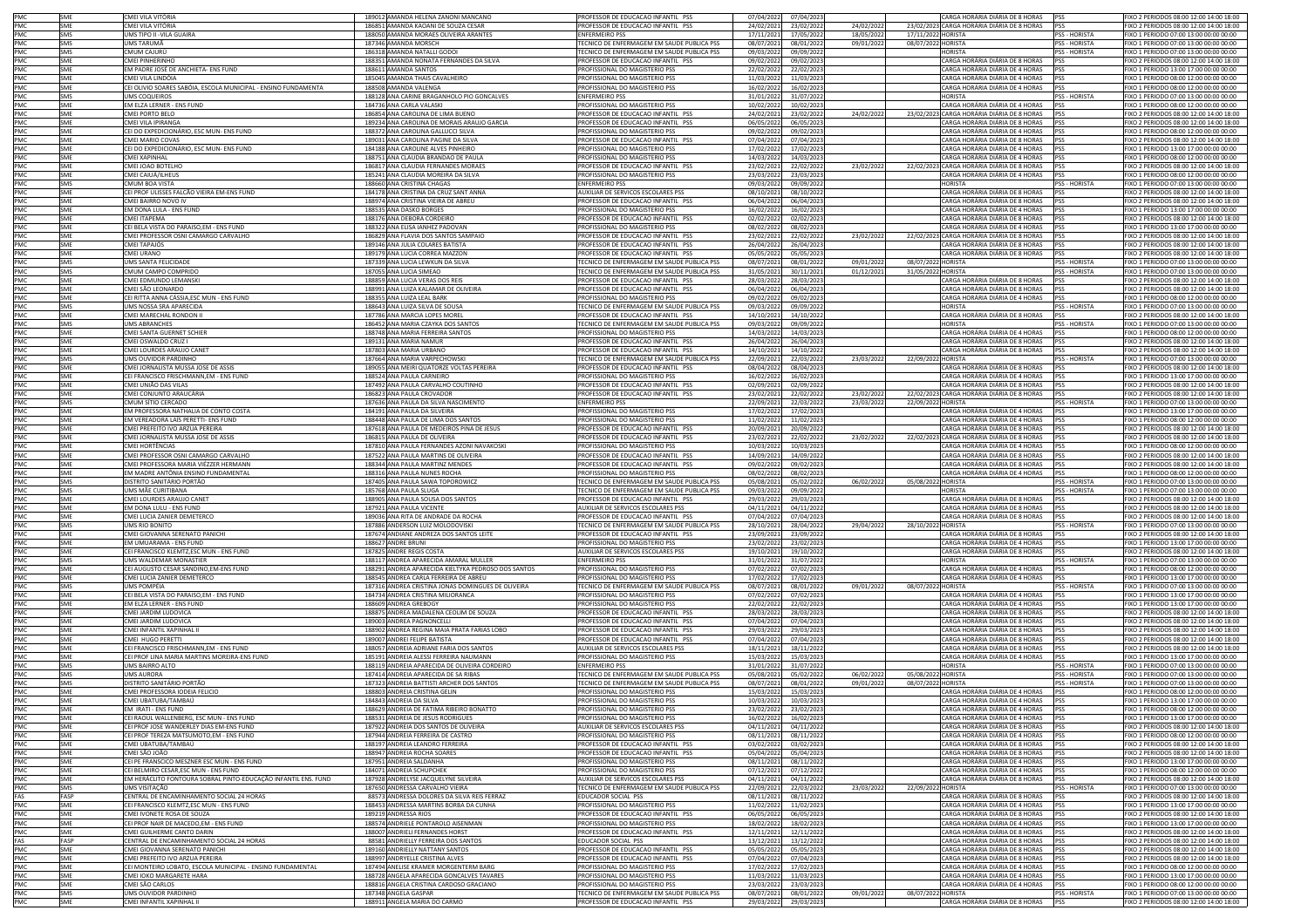|                                        | SME        | CMEI VILA VITÓRIA                                              | 189012 AMANDA HELENA ZANONI MANCANO                            | PROFESSOR DE EDUCACAO INFANTIL PSS                | 07/04/2022              | 07/04/2023 |            | CARGA HORÁRIA DIÁRIA DE 8 HORAS                                        | <b>PSS</b>           | FIXO 2 PERIODOS 08:00 12:00 14:00 18:00                                           |
|----------------------------------------|------------|----------------------------------------------------------------|----------------------------------------------------------------|---------------------------------------------------|-------------------------|------------|------------|------------------------------------------------------------------------|----------------------|-----------------------------------------------------------------------------------|
| PMC<br>PMC<br>PMC                      | SME        | CMEI VILA VITÓRIA                                              | 186851 AMANDA KAOANI DE SOUZA CESAR                            | PROFESSOR DE EDUCACAO INFANTIL PSS                | 24/02/2021              | 23/02/2022 | 24/02/2022 | 23/02/2023 CARGA HORÁRIA DIÁRIA DE 8 HORAS                             | <b>IPSS</b>          | FIXO 2 PERIODOS 08:00 12:00 14:00 18:00                                           |
|                                        | <b>SMS</b> | JMS TIPO II -VILA GUAIRA                                       | 188050 AMANDA MORAES OLIVEIRA ARANTES                          | <b>INFERMEIRO PSS</b>                             | 17/11/2021              | 17/05/2022 | 18/05/2022 | 17/11/2022 HORISTA                                                     | PSS - HORISTA        | FIXO 1 PERIODO 07:00 13:00 00:00 00:00                                            |
| PMC                                    | <b>SMS</b> | UMS TARUMÃ                                                     | 187346 AMANDA MORSCH                                           | ECNICO DE ENFERMAGEM EM SAUDE PUBLICA PSS         | 08/07/2021              | 08/01/2022 | 09/01/2022 | 08/07/2022 HORISTA                                                     | PSS - HORISTA        | FIXO 1 PERIODO 07:00 13:00 00:00 00:00                                            |
| PMC<br>PMC<br>PMC<br>PMC<br>PMC        | SMS        | CMUM CAJURÚ                                                    | 186318 AMANDA NATALLI GODOI                                    | FECNICO DE ENFERMAGEM EM SAUDE PUBLICA PSS        | 09/03/2022              | 09/09/2022 |            | HORISTA                                                                | PSS - HORISTA        | FIXO 1 PERIODO 07:00 13:00 00:00 00:00                                            |
|                                        | SMF        | CMEI PINHERINHO                                                | 188351 AMANDA NONATA FERNANDES DA SILVA                        | PROFESSOR DE EDUCACAO INFANTIL PSS                | 09/02/2022              | 09/02/2023 |            | CARGA HORÁRIA DIÁRIA DE 8 HORAS                                        | PSS                  | FIXO 2 PERIODOS 08:00 12:00 14:00 18:00                                           |
|                                        | SME        | EM PADRE JOSÉ DE ANCHIETA- ENS FUND                            | 188611 AMANDA SANTOS                                           | PROFISSIONAL DO MAGISTERIO PSS                    | 22/02/2022              | 22/02/2023 |            | CARGA HORÁRIA DIÁRIA DE 4 HORAS                                        | <b>PSS</b>           | FIXO 1 PERIODO 13:00 17:00 00:00 00:00                                            |
|                                        | SME        | CMEI VILA LINDÓIA                                              | 185045 AMANDA THAIS CAVALHEIRO                                 | PROFISSIONAL DO MAGISTERIO PSS                    | 11/03/2022              | 11/03/2023 |            | CARGA HORÁRIA DIÁRIA DE 4 HORAS                                        | PSS                  | FIXO 1 PERIODO 08:00 12:00 00:00 00:00                                            |
|                                        | SME        | CEI OLIVIO SOARES SABÓIA, ESCOLA MUNICIPAL - ENSINO FUNDAMENTA | 188508 AMANDA VALENGA                                          | PROFISSIONAL DO MAGISTERIO PSS                    | 16/02/2022              | 16/02/2023 |            | CARGA HORÁRIA DIÁRIA DE 4 HORAS                                        | PSS                  | FIXO 1 PERIODO 08:00 12:00 00:00 00:00                                            |
|                                        | SMS        | <b>UMS COOUFIROS</b>                                           | 188128 ANA CARINE BRAGANHOLO PIO GONCALVES                     | <b>ENFERMEIRO PSS</b>                             | 31/01/2022              | 31/07/2022 |            | <b>HORISTA</b>                                                         | PSS - HORISTA        | FIXO 1 PERIODO 07:00 13:00 00:00 00:00                                            |
| PMC                                    | SME        | EM ELZA LERNER - ENS FUND                                      | 184736 ANA CARLA VALASKI                                       | <b>ROFISSIONAL DO MAGISTERIO PSS</b>              | 10/02/2022              | 10/02/2023 |            | CARGA HORÁRIA DIÁRIA DE 4 HORAS                                        | <b>PSS</b>           | FIXO 1 PERIODO 08:00 12:00 00:00 00:00                                            |
| PMC<br>PMC                             | SME        | CMELPORTO BELO                                                 | 186854 ANA CAROLINA DE LIMA BUENO                              | ROFESSOR DE EDUCACAO INFANTIL PSS                 | 24/02/2021              | 23/02/2022 | 24/02/2022 | 23/02/2023 CARGA HORÁRIA DIÁRIA DE 8 HORAS                             | PSS                  | IXO 2 PERIODOS 08:00 12:00 14:00 18:00                                            |
|                                        | SME        | CMEI VILA IPIRANGA                                             | 189234 ANA CAROLINA DE MORAIS ARAUJO GARCIA                    | ROFESSOR DE EDUCACAO INFANTIL PSS                 | 06/05/2022              | 06/05/2023 |            | CARGA HORÁRIA DIÁRIA DE 8 HORAS                                        | <b>PSS</b>           | FIXO 2 PERIODOS 08:00 12:00 14:00 18:00                                           |
| PMC                                    | SME        | CEI DO EXPEDICIONÁRIO. ESC MUN- ENS FUND                       | 188372 ANA CAROLINA GALLUCCI SILVA                             | PROFISSIONAL DO MAGISTERIO PSS                    | 09/02/2022              | 09/02/202  |            | CARGA HORÁRIA DIÁRIA DE 4 HORAS                                        | PSS                  | FIXO 1 PERIODO 08:00 12:00 00:00 00:00                                            |
|                                        | SME        | CMEI MARIO COVAS                                               | 189031 ANA CAROLINA PAGINE DA SILVA                            | PROFESSOR DE EDUCACAO INFANTIL PSS                | 07/04/2022              | 07/04/2023 |            | CARGA HORÁRIA DIÁRIA DE 8 HORAS                                        | <b>PSS</b>           | FIXO 2 PERIODOS 08:00 12:00 14:00 18:00                                           |
| PMC<br>PMC<br>PMC<br>PMC<br>PMC<br>PMC | SME        | CEI DO EXPEDICIONÁRIO, ESC MUN- ENS FUND                       | 184188 ANA CAROLINE ALVES PINHEIRO                             | PROFISSIONAL DO MAGISTERIO PSS                    | 17/02/2022              | 17/02/2023 |            | CARGA HORÁRIA DIÁRIA DE 4 HORAS                                        | PSS                  | FIXO 1 PERIODO 13:00 17:00 00:00 00:00                                            |
|                                        | SME        | <b>CMEI XAPINHAL</b>                                           | 188751 ANA CLAUDIA BRANDAO DE PAULA                            | PROFISSIONAL DO MAGISTERIO PSS                    | 14/03/2022              | 14/03/2023 |            | CARGA HORÁRIA DIÁRIA DE 4 HORAS                                        | PSS                  | FIXO 1 PERIODO 08:00 12:00 00:00 00:00                                            |
|                                        | SME        | CMEI JOAO BOTELHO                                              | 186817 ANA CLAUDIA FERNANDES MORAES                            | PROFESSOR DE EDUCACAO INFANTIL PSS                | 23/02/2021              | 22/02/2022 | 23/02/202  | 22/02/2023 CARGA HORÁRIA DIÁRIA DE 8 HORAS                             | PSS                  | FIXO 2 PERIODOS 08:00 12:00 14:00 18:00                                           |
|                                        | SME        | CMEI CAIUÁ/ILHEUS                                              | 185241 ANA CLAUDIA MOREIRA DA SILVA                            | PROFISSIONAL DO MAGISTERIO PSS                    | 23/03/2022              | 23/03/2023 |            | CARGA HORÁRIA DIÁRIA DE 4 HORAS                                        | PSS                  | FIXO 1 PERIODO 08:00 12:00 00:00 00:00                                            |
|                                        | <b>SMS</b> | CMUM BOA VISTA                                                 | 188660 ANA CRISTINA CHAGAS                                     | <b>ENFERMEIRO PSS</b>                             | 09/03/2022              | 09/09/2022 |            | <b>HORISTA</b>                                                         | PSS - HORISTA        | FIXO 1 PERIODO 07:00 13:00 00:00 00:00                                            |
|                                        | SME        |                                                                | 184178 ANA CRISTINA DA CRUZ SANT ANNA                          |                                                   |                         |            |            | CARGA HORÁRIA DIÁRIA DE 8 HORAS                                        | PSS                  |                                                                                   |
|                                        |            | CEI PROF ULISSES FALCÃO VIEIRA EM-ENS FUND                     |                                                                | UXILIAR DE SERVICOS ESCOLARES PSS                 | 08/10/2021              | 08/10/2022 |            |                                                                        |                      | IXO 2 PERIODOS 08:00 12:00 14:00 18:00                                            |
|                                        | SME<br>SMF | CMEI BAIRRO NOVO IV                                            | 188974 ANA CRISTINA VIEIRA DE ABREU<br>188535 ANA DASKO BORGES | PROFESSOR DE EDUCACAO INFANTIL PSS                | 06/04/2022              | 06/04/2023 |            | CARGA HORÁRIA DIÁRIA DE 8 HORAS<br>CARGA HORÁRIA DIÁRIA DE 4 HORAS PSS | <b>PSS</b>           | FIXO 2 PERIODOS 08:00 12:00 14:00 18:00<br>FIXO 1 PERIODO 13:00 17:00 00:00 00:00 |
|                                        |            | EM DONA LULA - ENS FUND                                        |                                                                | PROFISSIONAL DO MAGISTERIO PSS                    | 16/02/2022              | 16/02/2023 |            |                                                                        |                      |                                                                                   |
|                                        | SME        | CMEI ITAPEMA                                                   | 188176 ANA DEBORA CORDEIRO                                     | PROFESSOR DE EDUCACAO INFANTIL PSS                | 02/02/2022              | 02/02/2023 |            | CARGA HORÁRIA DIÁRIA DE 8 HORAS<br>CARGA HORÁRIA DIÁRIA DE 4 HORAS     | <b>PSS</b>           | FIXO 2 PERIODOS 08:00 12:00 14:00 18:00                                           |
|                                        | SME        | CEI BELA VISTA DO PARAISO,EM - ENS FUND                        | 188322 ANA ELISA IANHEZ PADOVAN                                | PROFISSIONAL DO MAGISTERIO PSS                    | 08/02/2022              | 08/02/2023 |            |                                                                        | <b>PSS</b>           | FIXO 1 PERIODO 13:00 17:00 00:00 00:00                                            |
| PMC<br>PMC<br>PMC<br>PMC<br>PMC<br>PMC | SME        | CMEI PROFESSOR OSNI CAMARGO CARVALHO                           | 186829 ANA FLAVIA DOS SANTOS SAMPAIO                           | PROFESSOR DE EDUCACAO INFANTIL PSS                | 23/02/2021              | 22/02/2022 | 23/02/2022 | 22/02/2023 CARGA HORÁRIA DIÁRIA DE 8 HORAS                             | PSS                  | FIXO 2 PERIODOS 08:00 12:00 14:00 18:00                                           |
|                                        | <b>SME</b> | CMEI TAPAJÓS                                                   | 189146 ANA JULIA COLARES BATISTA                               | PROFESSOR DE EDUCACAO INFANTIL PSS                | 26/04/2022              | 26/04/2023 |            | CARGA HORÁRIA DIÁRIA DE 8 HORAS                                        | PSS                  | FIXO 2 PERIODOS 08:00 12:00 14:00 18:00                                           |
|                                        | SME        | CMEI URANO                                                     | 189179 ANA LUCIA CORREA MAZZON                                 | ROFESSOR DE EDUCACAO INFANTIL PSS                 | 05/05/2022              | 05/05/2023 |            | CARGA HORÁRIA DIÁRIA DE 8 HORAS                                        | PSS                  | IXO 2 PERIODOS 08:00 12:00 14:00 18:00                                            |
| PMC                                    | SMS        | <b>JMS SANTA FELICIDADE</b>                                    | 187339 ANA LUCIA LEWKUN DA SILVA                               | ECNICO DE ENFERMAGEM EM SAUDE PUBLICA PSS         | 08/07/202               | 08/01/2022 | 09/01/2022 | 08/07/2022 HORISTA                                                     | <b>PSS - HORISTA</b> | IXO 1 PERIODO 07:00 13:00 00:00 00:00                                             |
| PMC                                    | SMS        | CMUM CAMPO COMPRIDO                                            | 187055 ANA LUCIA SIMEAO                                        | FECNICO DE ENFERMAGEM EM SAUDE PUBLICA PSS        | 31/05/2021              | 30/11/202: | 01/12/2021 | 31/05/2022 HORISTA                                                     | PSS - HORISTA        | FIXO 1 PERIODO 07:00 13:00 00:00 00:00                                            |
| PMC<br>PMC<br>PMC                      | SMF        | CMFI EDMUNDO LEMANSKI                                          | 188859 ANA LUCIA VERAS DOS REIS                                | ROFESSOR DE EDUCACAO INFANTIL PSS                 | 28/03/202               | 28/03/202  |            | CARGA HORÁRIA DIÁRIA DE 8 HORAS                                        | <b>PSS</b>           | FIXO 2 PERIODOS 08:00 12:00 14:00 18:00                                           |
|                                        | SME        | CMEI SÃO LEONARDO                                              | 188991 ANA LUIZA KALAMAR DE OLIVEIRA                           | PROFESSOR DE EDUCACAO INFANTIL PSS                | 06/04/2022              | 06/04/2023 |            | CARGA HORÁRIA DIÁRIA DE 8 HORAS                                        | PSS                  | FIXO 2 PERIODOS 08:00 12:00 14:00 18:00                                           |
|                                        | SME        | CEI RITTA ANNA CÁSSIA.ESC MUN - ENS FUND                       | 188355 ANA LUIZA LEAL BARK                                     | <b>PROFISSIONAL DO MAGISTERIO PSS</b>             | 09/02/2022              | 09/02/2023 |            | CARGA HORÁRIA DIÁRIA DE 4 HORAS                                        | <b>PSS</b>           | FIXO 1 PERIODO 08:00 12:00 00:00 00:00                                            |
| PMC                                    | SMS        | UMS NOSSA SRA APARECIDA                                        | 188643 ANA LUIZA SILVA DE SOUSA                                | FECNICO DE ENFERMAGEM EM SAUDE PUBLICA PSS        | 09/03/2022              | 09/09/2022 |            | <b>HORISTA</b>                                                         | PSS - HORISTA        | FIXO 1 PERIODO 07:00 13:00 00:00 00:00                                            |
| PMC<br>PMC                             | SME        | CMEI MARECHAL RONDON II                                        | 187786 ANA MARCIA LOPES MOREL                                  | PROFESSOR DE EDUCACAO INFANTIL PSS                | 14/10/2021              | 14/10/2022 |            | CARGA HORÁRIA DIÁRIA DE 8 HORAS                                        | <b>PSS</b>           | FIXO 2 PERIODOS 08:00 12:00 14:00 18:00                                           |
|                                        | SMS        | <b>UMS ABRANCHES</b>                                           | 186452 ANA MARIA CZAYKA DOS SANTOS                             | ECNICO DE ENFERMAGEM EM SAUDE PUBLICA PSS         | 09/03/2022              | 09/09/2022 |            | <b>HORISTA</b>                                                         | PSS - HORISTA        | EIXO 1 PERIODO 07:00 13:00 00:00 00:00                                            |
| PMC<br>PMC                             | SME        | CMEI SANTA GUERNET SCHIER                                      | 188748 ANA MARIA FERREIRA SANTOS                               | ROFISSIONAL DO MAGISTERIO PSS                     | 14/03/2022              | 14/03/2023 |            | ARGA HORÁRIA DIÁRIA DE 4 HORAS                                         | PSS                  | IXO 1 PERIODO 08:00 12:00 00:00 00:00                                             |
|                                        | SME        | CMEI OSWALDO CRUZ I                                            | 189131 ANA MARIA NAMUR                                         | ROFESSOR DE EDUCACAO INFANTIL PSS                 | 26/04/2022              | 26/04/2023 |            | CARGA HORÁRIA DIÁRIA DE 8 HORAS                                        | PSS                  | IXO 2 PERIODOS 08:00 12:00 14:00 18:00                                            |
|                                        | SME        | CMEI LOURDES ARAUJO CANET                                      | 187803 ANA MARIA URBANO                                        | ROFESSOR DE EDUCACAO INFANTIL PSS                 | 14/10/202               | 14/10/2022 |            | CARGA HORÁRIA DIÁRIA DE 8 HORAS                                        | PSS                  | FIXO 2 PERIODOS 08:00 12:00 14:00 18:00                                           |
|                                        | SMS        | UMS OUVIDOR PARDINHO                                           | 187664 ANA MARIA VARPECHOWSKI                                  | TECNICO DE ENFERMAGEM EM SAUDE PUBLICA PSS        |                         | 22/03/2022 | 23/03/2022 | 22/09/2022 HORISTA                                                     | PSS - HORISTA        | FIXO 1 PERIODO 07:00 13:00 00:00 00:00                                            |
| PMC<br>PMC<br>PMC<br>PMC<br>PMC<br>PMC | SME        | CMEI JORNALISTA MUSSA JOSE DE ASSIS                            | 189055 ANA MEIRI QUATORZE VOLTAS PEREIRA                       | PROFESSOR DE EDUCACAO INFANTIL PSS                | 22/09/202<br>08/04/2022 | 08/04/2023 |            | CARGA HORÁRIA DIÁRIA DE 8 HORAS                                        | PSS                  | FIXO 2 PERIODOS 08:00 12:00 14:00 18:00                                           |
|                                        | SME        | CEI FRANCISCO FRISCHMANN, EM - ENS FUND                        |                                                                | ROFISSIONAL DO MAGISTERIO PSS                     |                         |            |            | CARGA HORÁRIA DIÁRIA DE 4 HORAS                                        | PSS                  |                                                                                   |
|                                        |            |                                                                | 188524 ANA PAULA CARNEIRO                                      |                                                   | 16/02/2022              | 16/02/2023 |            |                                                                        |                      | FIXO 1 PERIODO 13:00 17:00 00:00 00:00                                            |
|                                        | SME        | CMEI UNIÃO DAS VILAS                                           | 187492 ANA PAULA CARVALHO COUTINHO                             | PROFESSOR DE EDUCACAO INFANTIL PSS                | 02/09/2021              | 02/09/2022 |            | CARGA HORÁRIA DIÁRIA DE 8 HORAS                                        | PSS                  | FIXO 2 PERIODOS 08:00 12:00 14:00 18:00                                           |
|                                        | SME        | CMEI CONJUNTO ARAUCÁRIA                                        | 186823 ANA PAULA CROVADOR                                      | PROFESSOR DE EDUCACAO INFANTIL PSS                | 23/02/2021              | 22/02/2022 | 23/02/2022 | 22/02/2023 CARGA HORÁRIA DIÁRIA DE 8 HORAS                             | PSS                  | FIXO 2 PERIODOS 08:00 12:00 14:00 18:00                                           |
|                                        | SMS        | CMUM SÍTIO CERCADO                                             | 187636 ANA PAULA DA SILVA NASCIMENTO                           | <b>ENFERMEIRO PSS</b>                             | 22/09/2021              | 22/03/2022 | 23/03/2023 | 22/09/2022 HORISTA                                                     | PSS - HORISTA        | IXO 1 PERIODO 07:00 13:00 00:00 00:00                                             |
| PMC                                    | SME        | M PROFESSORA NATHALIA DE CONTO COSTA                           | 184191 ANA PAULA DA SILVEIRA                                   | ROFISSIONAL DO MAGISTERIO PSS                     | 17/02/2022              | 17/02/2023 |            | "ARGA HORÁRIA DIÁRIA DE 4 HORAS                                        | PSS                  | FIXO 1 PERIODO 13:00 17:00 00:00 00:00                                            |
| PMC                                    | SME        | EM VEREADORA LAÍS PERETTI- ENS FUND                            | 188448 ANA PAULA DE LIMA DOS SANTOS                            | ROFISSIONAL DO MAGISTERIO PSS                     | 11/02/2022              | 11/02/202  |            | CARGA HORÁRIA DIÁRIA DE 4 HORAS                                        | PSS                  | FIXO 1 PERIODO 08:00 12:00 00:00 00:00                                            |
| PMC                                    | SMF        | CMELPREFEITO IVO ARZUA PERFIRA                                 | 187618 ANA PAULA DE MEDEIROS PINA DE JESUS                     | PROFESSOR DE EDUCACAO INFANTIL PSS                | 20/09/2021              | 20/09/2022 |            | CARGA HORÁRIA DIÁRIA DE 8 HORAS                                        | <b>PSS</b>           | FIXO 2 PERIODOS 08:00 12:00 14:00 18:00                                           |
|                                        | SME        | CMEI JORNALISTA MUSSA JOSE DE ASSIS                            | 186815 ANA PAULA DE OLIVEIRA                                   | PROFESSOR DE EDUCACAO INFANTIL PSS                | 23/02/2021              | 22/02/2022 | 23/02/202  | 22/02/2023 CARGA HORÁRIA DIÁRIA DE 8 HORAS                             | <b>PSS</b>           | FIXO 2 PERIODOS 08:00 12:00 14:00 18:00                                           |
|                                        | SME        | CMEI HORTÊNCIAS                                                | 187810 ANA PAULA FERNANDES AZONI NAVAKOSKI                     | PROFISSIONAL DO MAGISTERIO PSS                    | 10/03/2022              | 10/03/2023 |            | CARGA HORÁRIA DIÁRIA DE 4 HORAS                                        | <b>PSS</b>           | FIXO 1 PERIODO 08:00 12:00 00:00 00:00                                            |
| PMC<br>PMC<br>PMC<br>PMC<br>PMC        | SME        | CMEI PROFESSOR OSNI CAMARGO CARVALHO                           | 187522 ANA PAULA MARTINS DE OLIVEIRA                           | PROFESSOR DE EDUCACAO INFANTIL PSS                | 14/09/2021              | 14/09/2022 |            | CARGA HORÁRIA DIÁRIA DE 8 HORAS                                        | PSS                  | FIXO 2 PERIODOS 08:00 12:00 14:00 18:00                                           |
|                                        | SME        | CMEI PROFESSORA MARIA VIÉZZER HERMANN                          | 188344 ANA PAULA MARTINZ MENDES                                | PROFESSOR DE EDUCACAO INFANTIL PSS                | 09/02/2022              | 09/02/2023 |            | CARGA HORÁRIA DIÁRIA DE 8 HORAS                                        | PSS                  | FIXO 2 PERIODOS 08:00 12:00 14:00 18:00                                           |
|                                        | SME        | EM MADRE ANTÔNIA ENSINO FUNDAMENTAL                            | 188316 ANA PAULA NUNES ROCHA                                   | <b>PROFISSIONAL DO MAGISTERIO PSS</b>             | 08/02/2022              | 08/02/2023 |            | CARGA HORÁRIA DIÁRIA DE 4 HORAS                                        | PSS                  | FIXO 1 PERIODO 08:00 12:00 00:00 00:00                                            |
| PMC                                    | SMS        | DISTRITO SANITÁRIO PORTÃO                                      | 187405 ANA PAULA SAWA TOPOROWICZ                               | ECNICO DE ENFERMAGEM EM SAUDE PUBLICA PSS         | 05/08/2021              | 05/02/2022 | 06/02/202  | 05/08/2022 HORISTA                                                     | PSS - HORISTA        | IXO 1 PERIODO 07:00 13:00 00:00 00:00                                             |
| PMC<br>PMC<br>PMC                      | SMS        | UMS MÃE CURITIBANA                                             | 185768 ANA PAULA SLUGA                                         | FECNICO DE ENFERMAGEM EM SAUDE PUBLICA PSS        | 09/03/2022              | 09/09/2022 |            | <b>HORISTA</b>                                                         | PSS - HORISTA        | FIXO 1 PERIODO 07:00 13:00 00:00 00:00                                            |
|                                        | SMF        | CMEI LOURDES ARAUJO CANET                                      | 188905 ANA PAULA SOUSA DOS SANTOS                              | PROFESSOR DE EDUCACAO INFANTIL PSS                | 29/03/2022              | 29/03/2023 |            | CARGA HORÁRIA DIÁRIA DE 8 HORAS                                        | PSS                  | FIXO 2 PERIODOS 08:00 12:00 14:00 18:00                                           |
|                                        | SME        | EM DONA LULU - ENS FUND                                        | 187921 ANA PAULA VICENTE                                       | AUXILIAR DE SERVICOS ESCOLARES PSS                | 04/11/2021              | 04/11/2022 |            | CARGA HORÁRIA DIÁRIA DE 8 HORAS                                        | PSS                  | FIXO 2 PERIODOS 08:00 12:00 14:00 18:00                                           |
| PMC                                    | SME        | CMEI LUCIA ZANIER DEMETERCO                                    | 189036 ANA RITA DE ANDRADE DA ROCHA                            | PROFESSOR DE EDUCACAO INFANTIL PSS                | 07/04/2022              | 07/04/2023 |            | CARGA HORÁRIA DIÁRIA DE 8 HORAS                                        | <b>PSS</b>           | FIXO 2 PERIODOS 08:00 12:00 14:00 18:00                                           |
| PMC                                    | SMS        | UMS RIO BONITO                                                 | 187886 ANDERSON LUIZ MOLODOVISKI                               | FECNICO DE ENFERMAGEM EM SAUDE PUBLICA PSS        | 28/10/2021              | 28/04/2022 | 29/04/2022 | 28/10/2022 HORISTA                                                     | PSS - HORISTA        | FIXO 1 PERIODO 07:00 13:00 00:00 00:00                                            |
| PMC                                    | SME        | CMEI GIOVANNA SERENATO PANICHI                                 | 187674 ANDIANE ANDREZA DOS SANTOS LEITE                        | PROFESSOR DE EDUCACAO INFANTIL PSS                | 23/09/2021              | 23/09/2022 |            | CARGA HORÁRIA DIÁRIA DE 8 HORAS                                        | PSS                  | FIXO 2 PERIODOS 08:00 12:00 14:00 18:00                                           |
|                                        | SMF        | FM UMUARAMA - ENS FUND                                         | 188627 ANDRE BRUNI                                             |                                                   |                         | 23/02/2023 |            | CARGA HORÁRIA DIÁRIA DE 4 HORAS                                        |                      | FIXO 1 PERIODO 13:00 17:00 00:00 00:00                                            |
| PMC<br>PMC                             |            |                                                                |                                                                | PROFISSIONAL DO MAGISTERIO PSS                    | 23/02/2022              |            |            |                                                                        | PSS                  |                                                                                   |
|                                        | SME        | CEI FRANCISCO KLEMTZ,ESC MUN - ENS FUND                        | 187825 ANDRE REGIS COSTA                                       | UXILIAR DE SERVICOS ESCOLARES PSS                 | 19/10/202               | 19/10/2022 |            | CARGA HORÁRIA DIÁRIA DE 8 HORAS                                        | PSS                  | TIXO 2 PERIODOS 08:00 12:00 14:00 18:00                                           |
| PMC                                    | SMS        | JMS WALDEMAR MONASTIER                                         | 188117 ANDREA APARECIDA AMARAL MULLER                          | <b>NFERMEIRO PSS</b>                              | 31/01/2022              | 31/07/2022 |            | <b>IORISTA</b>                                                         | PSS - HORISTA        | IXO 1 PERIODO 07:00 13:00 00:00 00:00                                             |
| PMC                                    | SME        | CEI AUGUSTO CESAR SANDINO,EM-ENS FUND                          | 188291 ANDREA APARECIDA KIELTYKA PEDROSO DOS SANTOS            | PROFISSIONAL DO MAGISTERIO PSS                    | 07/02/2022              | 07/02/2023 |            | CARGA HORÁRIA DIÁRIA DE 4 HORAS                                        | PSS                  | FIXO 1 PERIODO 08:00 12:00 00:00 00:00                                            |
| PMC<br>PMC<br>PMC<br>PMC<br>PMC        | SME        | CMEI LUCIA ZANIER DEMETERCO                                    | 188545 ANDREA CARLA FERREIRA DE ABREU                          | PROFISSIONAL DO MAGISTERIO PSS                    | 17/02/2022              | 17/02/2023 |            | CARGA HORÁRIA DIÁRIA DE 4 HORAS                                        | PSS                  | FIXO 1 PERIODO 13:00 17:00 00:00 00:00                                            |
|                                        | SMS        | UMS POMPÉIA                                                    | 187316 ANDREA CRISTINA JONAS DOMINGUES DE OLIVEIRA             | TECNICO DE ENFERMAGEM EM SAUDE PUBLICA PSS        | 08/07/2021              | 08/01/2022 | 09/01/2022 | 08/07/2022 HORISTA                                                     | PSS - HORISTA        | FIXO 1 PERIODO 07:00 13:00 00:00 00:00                                            |
|                                        | SME        | CEI BELA VISTA DO PARAISO,EM - ENS FUND                        | 184734 ANDREA CRISTINA MILIORANCA                              | PROFISSIONAL DO MAGISTERIO PSS                    | 07/02/2022              | 07/02/2023 |            | CARGA HORÁRIA DIÁRIA DE 4 HORAS                                        | PSS                  | FIXO 1 PERIODO 13:00 17:00 00:00 00:00                                            |
|                                        | SME        | EM ELZA LERNER - ENS FUND                                      | 188609 ANDREA GREBOGY                                          | PROFISSIONAL DO MAGISTERIO PSS                    | 22/02/2022              | 22/02/2023 |            | CARGA HORÁRIA DIÁRIA DE 4 HORAS                                        | PSS                  | FIXO 1 PERIODO 13:00 17:00 00:00 00:00                                            |
|                                        | SMF        | CMFI JARDIM LUDOVICA                                           | 188875 ANDREA MADALENA CEOLIM DE SOUZA                         | PROFFSSOR DE EDUCACAO INFANTIL PSS                | 28/03/2022              | 28/03/2023 |            | CARGA HORÁRIA DIÁRIA DE 8 HORAS                                        | <b>PSS</b>           | FIXO 2 PERIODOS 08:00 12:00 14:00 18:00                                           |
| PMC                                    | SME        | CMEI JARDIM LUDOVICA                                           | 189003 ANDREA PAGNONCELLI                                      | PROFESSOR DE EDUCACAO INFANTIL PSS                | 07/04/2022              | 07/04/2023 |            | ARGA HORÁRIA DIÁRIA DE 8 HORAS                                         | <b>PSS</b>           | IXO 2 PERIODOS 08:00 12:00 14:00 18:00                                            |
| PMC                                    | SME        | CMEI INFANTIL XAPINHAL I                                       | 188902 ANDREA REGINA MAIA PRATA FARIAS LOBO                    | ROFESSOR DE EDUCACAO INFANTIL PSS                 | 29/03/2022              | 29/03/2023 |            | CARGA HORÁRIA DIÁRIA DE 8 HORAS                                        | PSS                  | FIXO 2 PERIODOS 08:00 12:00 14:00 18:00                                           |
| PMC<br>PMC<br>PMC<br>PMC               | SME        | CMEI HUGO PERETTI                                              | 189007 ANDREI FELIPE BATISTA                                   | PROFESSOR DE EDUCACAO INFANTIL PSS                | 07/04/2022              | 07/04/2023 |            | CARGA HORÁRIA DIÁRIA DE 8 HORAS                                        | PSS                  | FIXO 2 PERIODOS 08:00 12:00 14:00 18:00                                           |
|                                        | SME        | CEI FRANCISCO FRISCHMANN, EM - ENS FUND                        | 188057 ANDREIA ADRIANE FARIA DOS SANTOS                        | AUXILIAR DE SERVICOS ESCOLARES PSS                | 18/11/2021              | 18/11/2022 |            | CARGA HORÁRIA DIÁRIA DE 8 HORAS                                        | PSS                  | FIXO 2 PERIODOS 08:00 12:00 14:00 18:00                                           |
|                                        | SME        | CEI PROF LINA MARIA MARTINS MOREIRA-ENS FUND                   | 185191 ANDREIA ALESSI FERREIRA NAUMANN                         | PROFISSIONAL DO MAGISTERIO PSS                    | 15/03/2022              | 15/03/2023 |            | CARGA HORÁRIA DIÁRIA DE 4 HORAS                                        | <b>PSS</b>           | FIXO 1 PERIODO 13:00 17:00 00:00 00:00                                            |
|                                        | SMS        | UMS BAIRRO ALTO                                                | 188119 ANDREIA APARECIDA DE OLIVEIRA CORDEIRO                  | ENFERMEIRO PSS                                    | 31/01/2022              | 31/07/2022 |            | <b>HORISTA</b>                                                         | PSS - HORISTA        | FIXO 1 PERIODO 07:00 13:00 00:00 00:00                                            |
| PMC                                    | SMS        | UMS AURORA                                                     | 187414 ANDREIA APARECIDA DE SA RIBAS                           | TECNICO DE ENFERMAGEM EM SAUDE PUBLICA PSS        | 05/08/2021              | 05/02/2022 | 06/02/2022 | 05/08/2022 HORISTA                                                     | PSS - HORISTA        | FIXO 1 PERIODO 07:00 13:00 00:00 00:00                                            |
| PMC<br>PMC                             | SMS        | DISTRITO SANITÁRIO PORTÃO                                      | 187323 ANDREIA BATTISTI ARCHER DOS SANTOS                      | <b>FECNICO DE ENFERMAGEM EM SAUDE PUBLICA PSS</b> | 08/07/202               | 08/01/2022 | 09/01/2022 | 08/07/2022 HORISTA                                                     | PSS - HORISTA        | FIXO 1 PERIODO 07:00 13:00 00:00 00:00                                            |
|                                        | SME        | CMEI PROFESSORA IODEIA FELICIO                                 | 188803 ANDREIA CRISTINA GELIN                                  | PROFISSIONAL DO MAGISTERIO PSS                    | 15/03/2022              | 15/03/202  |            | CARGA HORÁRIA DIÁRIA DE 4 HORAS                                        | PSS                  | IXO 1 PERIODO 08:00 12:00 00:00 00:00                                             |
| PMC                                    | SME        | MELUBATURA/TAMBAL                                              | 184843 ANDREIA DA SILVA                                        | ROFISSIONAL DO MAGISTERIO PSS                     | 10/03/2022              | 10/03/2023 |            | ARGA HORÁRIA DIÁRIA DE 4 HORAS                                         | PSS                  | IXO 1 PERIODO 13:00 17:00 00:00 00:00                                             |
|                                        |            | 1 IRATI - ENS FUNL                                             | )REIA DE FATIMA RIBEIRO BON                                    | JFISSIUNAL DU MAGISTERIU PSS                      | 23/02/202               | 23/02/202  |            | (IA DE 4 HOKA)                                                         |                      | O T NEKIODO 08:00 TS:00 00:00 00:00                                               |
| PMC<br>PMC                             | SME        | CEI RAOUL WALLENBERG, ESC MUN - ENS FUND                       | 188531 ANDREIA DE JESUS RODRIGUES                              | PROFISSIONAL DO MAGISTERIO PSS                    | 16/02/2022              | 16/02/2023 |            | CARGA HORÁRIA DIÁRIA DE 4 HORAS                                        | <b>PSS</b>           | FIXO 1 PERIODO 13:00 17:00 00:00 00:00                                            |
|                                        | SME        | CEI PROF JOSE WANDERLEY DIAS EM-ENS FUND                       | 187922 ANDREIA DOS SANTOS DE OLIVEIRA                          | AUXILIAR DE SERVICOS ESCOLARES PSS                | 04/11/2021              | 04/11/2022 |            | CARGA HORÁRIA DIÁRIA DE 8 HORAS PSS                                    |                      | FIXO 2 PERIODOS 08:00 12:00 14:00 18:00                                           |
| PMC                                    | SME        | CEI PROF TEREZA MATSUMOTO.EM - ENS FUND                        | 187944 ANDREIA FERREIRA DE CASTRO                              | PROFISSIONAL DO MAGISTERIO PSS                    | 08/11/2021              | 08/11/2022 |            | CARGA HORÁRIA DIÁRIA DE 4 HORAS PSS                                    |                      | FIXO 1 PERIODO 08:00 12:00 00:00 00:00                                            |
| PMC                                    | <b>SME</b> | CMEI UBATUBA/TAMBAÚ                                            | 188197 ANDREIA LEANDRO FERREIRA                                | PROFESSOR DE EDUCACAO INFANTIL PSS                | 03/02/2022              | 03/02/2023 |            | CARGA HORÁRIA DIÁRIA DE 8 HORAS PSS                                    |                      | FIXO 2 PERIODOS 08:00 12:00 14:00 18:00                                           |
| PMC                                    | SME        | CMEI SÃO JOÃO                                                  | 188947 ANDREIA ROCHA SOARES                                    | PROFESSOR DE EDUCACAO INFANTIL PSS                | 05/04/2022              | 05/04/2023 |            | CARGA HORÁRIA DIÁRIA DE 8 HORAS PSS                                    |                      | FIXO 2 PERIODOS 08:00 12:00 14:00 18:00                                           |
| PMC                                    | <b>SME</b> | CEI PE FRANSCICO MESZNER ESC MUN - ENS FUND                    | 187951 ANDREIA SALDANHA                                        | PROFISSIONAL DO MAGISTERIO PSS                    | 08/11/2021              | 08/11/2022 |            | CARGA HORÁRIA DIÁRIA DE 4 HORAS                                        | PSS                  | FIXO 1 PERIODO 13:00 17:00 00:00 00:00                                            |
| PMC                                    | SME        | CEI BELMIRO CESAR,ESC MUN - ENS FUND                           | 184071 ANDREIA SCHUPCHEK                                       | PROFISSIONAL DO MAGISTERIO PSS                    | 07/12/2021              | 07/12/2022 |            | ARGA HORÁRIA DIÁRIA DE 4 HORAS                                         | <b>PSS</b>           | FIXO 1 PERIODO 08:00 12:00 00:00 00:00                                            |
| PMC                                    | SME        | EM HERÁCLITO FONTOURA SOBRAL PINTO-EDUCAÇÃO INFANTIL ENS. FUND | 187928 ANDRELYSE JACQUELYNE SILVEIRA                           | UXILIAR DE SERVICOS ESCOLARES PSS                 | 04/11/2021              | 04/11/2022 |            | ARGA HORÁRIA DIÁRIA DE 8 HORAS                                         | <b>PSS</b>           | IXO 2 PERIODOS 08:00 12:00 14:00 18:00                                            |
| PMC                                    | SMS        | UMS VISITACÃO                                                  | 187650 ANDRESSA CARVALHO VIEIRA                                | TECNICO DE ENFERMAGEM EM SAUDE PUBLICA PSS        | 22/09/2021              | 22/03/2022 | 23/03/2022 | 22/09/2022 HORISTA                                                     | <b>PSS - HORISTA</b> | FIXO 1 PERIODO 07:00 13:00 00:00 00:00                                            |
| FAS                                    | FASP       | CENTRAL DE ENCAMINHAMENTO SOCIAL 24 HORAS                      | 88573 ANDRESSA DOLORES DA SILVA REIS FERRAZ                    |                                                   |                         |            |            | CARGA HORÁRIA DIÁRIA DE 8 HORAS                                        | PSS                  |                                                                                   |
|                                        |            |                                                                |                                                                | EDUCADOR SOCIAL PSS                               | 08/11/2021              | 08/11/2022 |            | CARGA HORÁRIA DIÁRIA DE 4 HORAS PSS                                    |                      | FIXO 2 PERIODOS 08:00 12:00 14:00 18:00                                           |
| PMC<br>PMC                             | SME        | CEI FRANCISCO KLEMTZ,ESC MUN - ENS FUND                        | 188453 ANDRESSA MARTINS BORBA DA CUNHA                         | PROFISSIONAL DO MAGISTERIO PSS                    | 11/02/2022              | 11/02/2023 |            | CARGA HORÁRIA DIÁRIA DE 8 HORAS                                        |                      | FIXO 1 PERIODO 13:00 17:00 00:00 00:00                                            |
|                                        | SME        | CMEI IVONETE ROSA DE SOUZA                                     | 189219 ANDRESSA RIOS                                           | PROFESSOR DE EDUCACAO INFANTIL PSS                | 06/05/2022              | 06/05/2023 |            |                                                                        | <b>IPSS</b>          | FIXO 2 PERIODOS 08:00 12:00 14:00 18:00                                           |
| PMC                                    | SME        | CEI PROF NAIR DE MACEDO,EM - ENS FUND                          | 188574 ANDRIELE PONTAROLO AISENMAN                             | PROFISSIONAL DO MAGISTERIO PSS                    | 18/02/2022              | 18/02/2023 |            | CARGA HORÁRIA DIÁRIA DE 4 HORAS                                        | PSS                  | FIXO 1 PERIODO 13:00 17:00 00:00 00:00                                            |
| PMC                                    | SMF        | CMELGUILHERME CANTO DARIN                                      | 188007 ANDRIELI FERNANDES HORST                                | PROFESSOR DE EDUCAÇÃO INFANTIL PSS                | 12/11/2021              | 12/11/2022 |            | CARGA HORÁRIA DIÁRIA DE 8 HORAS                                        | <b>IPSS</b>          | FIXO 2 PERIODOS 08:00 12:00 14:00 18:00                                           |
| FAS                                    | FASP       | CENTRAL DE ENCAMINHAMENTO SOCIAL 24 HORAS                      | 88581 ANDRIELLY FERREIRA DOS SANTOS                            | EDUCADOR SOCIAL PSS                               | 13/12/2021              | 13/12/2022 |            | CARGA HORÁRIA DIÁRIA DE 8 HORAS                                        | <b>IPSS</b>          | FIXO 2 PERIODOS 08:00 12:00 14:00 18:00                                           |
| PMC                                    | <b>SME</b> | CMEI GIOVANNA SERENATO PANICHI                                 | 189160 ANDRIELLY NATTANY SANTOS                                | ROFESSOR DE EDUCACAO INFANTIL PSS                 | 05/05/2022              | 05/05/2023 |            | CARGA HORÁRIA DIÁRIA DE 8 HORAS                                        | PSS                  | FIXO 2 PERIODOS 08:00 12:00 14:00 18:00                                           |
|                                        | SME        | CMEI PREFEITO IVO ARZUA PEREIRA                                | 188997 ANDRYELLE CRISTINA ALVES                                | PROFESSOR DE EDUCACAO INFANTIL PSS                | 07/04/2022              | 07/04/2023 |            | CARGA HORÁRIA DIÁRIA DE 8 HORAS                                        | PSS                  | FIXO 2 PERIODOS 08:00 12:00 14:00 18:00                                           |
| PMC<br>PMC<br>PMC                      | SME        | CEI MONTEIRO LOBATO, ESCOLA MUNICIPAL - ENSINO FUNDAMENTAL     | 187494 ANELISE KRAMER MORGENTERM BARG                          | PROFISSIONAL DO MAGISTERIO PSS                    | 17/02/2022              | 17/02/2023 |            | CARGA HORÁRIA DIÁRIA DE 4 HORAS                                        | PSS                  | FIXO 1 PERIODO 08:00 12:00 00:00 00:00                                            |
|                                        | SME        | CMEI IOKO MARGARETE HARA                                       | 188728 ANGELA APARECIDA GONCALVES TAVARES                      | PROFISSIONAL DO MAGISTERIO PSS                    | 11/03/2022              | 11/03/2023 |            | CARGA HORÁRIA DIÁRIA DE 4 HORAS                                        | PSS                  | FIXO 1 PERIODO 13:00 17:00 00:00 00:00                                            |
| PMC                                    | SME        | CMEI SÃO CARLOS                                                | 188816 ANGELA CRISTINA CARDOSO GRACIANO                        | PROFISSIONAL DO MAGISTERIO PSS                    | 23/03/2022              | 23/03/2023 |            | CARGA HORÁRIA DIÁRIA DE 4 HORAS                                        | PSS                  | FIXO 1 PERIODO 08:00 12:00 00:00 00:00                                            |
| PMC                                    | SMS        | UMS OUVIDOR PARDINHO                                           | 187348 ANGELA GASPAR                                           | TECNICO DE ENFERMAGEM EM SAUDE PUBLICA PSS        | 08/07/2021              | 08/01/2022 | 09/01/2022 | 08/07/2022 HORISTA                                                     | PSS - HORISTA        | FIXO 1 PERIODO 07:00 13:00 00:00 00:00                                            |
|                                        |            |                                                                | 188911 ANGELA MARIA DO CARMO                                   |                                                   |                         |            |            | CARGA HORÁRIA DIÁRIA DE 8 HORAS                                        |                      |                                                                                   |
| PMC                                    | SME        | CMEI INFANTIL XAPINHAL II                                      |                                                                | PROFESSOR DE EDUCACAO INFANTIL PSS                | 29/03/2022 29/03/2023   |            |            |                                                                        | PSS                  | FIXO 2 PERIODOS 08:00 12:00 14:00 18:00                                           |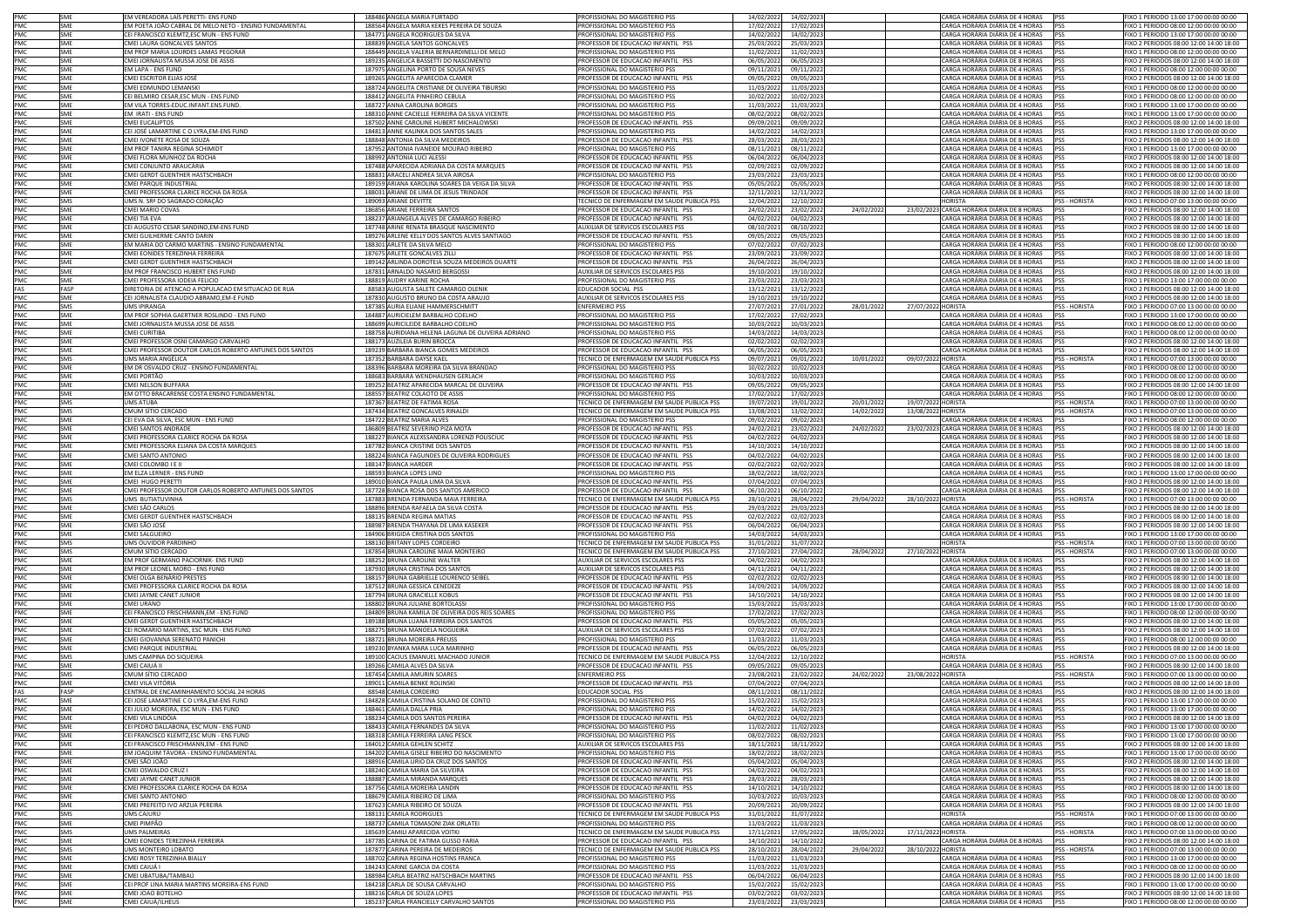|                                                                    | SME        | EM VEREADORA LAÍS PERETTI- ENS FUND                                                  | 188486 ANGELA MARIA FURTADO                                            | PROFISSIONAL DO MAGISTERIO PSS                                       | 14/02/2022                          | 14/02/2023 |            | CARGA HORÁRIA DIÁRIA DE 4 HORAS                                            | PSS                  | FIXO 1 PERIODO 13:00 17:00 00:00 00:00                                             |
|--------------------------------------------------------------------|------------|--------------------------------------------------------------------------------------|------------------------------------------------------------------------|----------------------------------------------------------------------|-------------------------------------|------------|------------|----------------------------------------------------------------------------|----------------------|------------------------------------------------------------------------------------|
|                                                                    | <b>SME</b> | EM POETA JOÃO CABRAL DE MELO NETO - ENSINO FUNDAMENTAL                               | 188564 ANGELA MARIA KEKES PEREIRA DE SOUZA                             | PROFISSIONAL DO MAGISTERIO PSS                                       | 17/02/2022                          | 17/02/2023 |            | CARGA HORÁRIA DIÁRIA DE 4 HORAS                                            | <b>IPSS</b>          | FIXO 1 PERIODO 08:00 12:00 00:00 00:00                                             |
| PMC<br>PMC<br>PMC                                                  | SME        | CEI FRANCISCO KLEMTZ.ESC MUN - ENS FUND                                              | 184771 ANGELA RODRIGUES DA SILVA                                       | <b>ROFISSIONAL DO MAGISTERIO PSS</b>                                 | 14/02/2022                          | 14/02/2023 |            | ARGA HORÁRIA DIÁRIA DE 4 HORAS                                             | <b>PSS</b>           | FIXO 1 PERIODO 13:00 17:00 00:00 00:00                                             |
| PMC                                                                | SME        | CMEI LAURA GONCALVES SANTOS                                                          | 188839 ANGELA SANTOS GONCALVES                                         | ROFESSOR DE EDUCACAO INFANTIL PSS                                    | 25/03/2022                          | 25/03/2023 |            | ARGA HORÁRIA DIÁRIA DE 8 HORAS                                             | PSS                  | IXO 2 PERIODOS 08:00 12:00 14:00 18:00                                             |
|                                                                    | SME        | EM PROF MARIA LOURDES LAMAS PEGORAR                                                  | 188449 ANGELA VALERIA BERNARDINELLI DE MELO                            | PROFISSIONAL DO MAGISTERIO PSS                                       | 11/02/2022                          | 11/02/2023 |            | CARGA HORÁRIA DIÁRIA DE 4 HORAS                                            | PSS                  | FIXO 1 PERIODO 08:00 12:00 00:00 00:00                                             |
| PMC<br>PMC<br>PMC<br>PMC<br>PMC<br>PMC                             | SME        | CMEI JORNALISTA MUSSA JOSE DE ASSIS                                                  | 189235 ANGELICA BASSETTI DO NASCIMENTO                                 | PROFESSOR DE EDUCACAO INFANTIL PSS                                   | 06/05/2022                          | 06/05/2023 |            | CARGA HORÁRIA DIÁRIA DE 8 HORAS                                            | PSS                  | FIXO 2 PERIODOS 08:00 12:00 14:00 18:00                                            |
|                                                                    | SME        | EM LAPA - ENS FUND                                                                   | 187975 ANGELINA PORTO DE SOUSA NEVES                                   | PROFISSIONAL DO MAGISTERIO PSS                                       | 09/11/2021                          | 09/11/2022 |            | CARGA HORÁRIA DIÁRIA DE 4 HORAS                                            | <b>IPSS</b>          | FIXO 1 PERIODO 08:00 12:00 00:00 00:00                                             |
|                                                                    | SME        |                                                                                      | 189265 ANGELITA APARECIDA CLAMER                                       |                                                                      |                                     |            |            | CARGA HORÁRIA DIÁRIA DE 8 HORAS                                            | PSS                  |                                                                                    |
|                                                                    |            | CMEI ESCRITOR ELIAS JOSÉ                                                             |                                                                        | PROFESSOR DE EDUCACAO INFANTIL PSS                                   | 09/05/2022                          | 09/05/2023 |            |                                                                            |                      | FIXO 2 PERIODOS 08:00 12:00 14:00 18:00                                            |
|                                                                    | SME        | CMEI EDMUNDO LEMANSKI                                                                | 188724 ANGELITA CRISTIANE DE OLIVEIRA TIBURSKI                         | PROFISSIONAL DO MAGISTERIO PSS                                       | 11/03/2022                          | 11/03/2023 |            | CARGA HORÁRIA DIÁRIA DE 4 HORAS                                            | PSS                  | FIXO 1 PERIODO 08:00 12:00 00:00 00:00                                             |
|                                                                    | SMF        | CEI BELMIRO CESAR.ESC MUN - ENS FUND                                                 | 188412 ANGELITA PINHEIRO CEBULA                                        | PROFISSIONAL DO MAGISTERIO PSS                                       | 10/02/2022                          | 10/02/2023 |            | CARGA HORÁRIA DIÁRIA DE 4 HORAS                                            | <b>PSS</b>           | FIXO 1 PERIODO 08:00 12:00 00:00 00:00                                             |
|                                                                    | SME        | EM VILA TORRES-EDUC.INFANT.ENS.FUND.                                                 | 188727 ANNA CAROLINA BORGES                                            | <b>ROFISSIONAL DO MAGISTERIO PSS</b>                                 | 11/03/2022                          | 11/03/2023 |            | CARGA HORÁRIA DIÁRIA DE 4 HORAS                                            | <b>PSS</b>           | EIXO 1 PERIODO 13:00 17:00 00:00 00:00                                             |
|                                                                    | SME        | EM IRATI - ENS FUND                                                                  | 188310 ANNE CACIELLE FERREIRA DA SILVA VICENTE                         | ROFISSIONAL DO MAGISTERIO PSS                                        | 08/02/2022                          | 08/02/2023 |            | ARGA HORÁRIA DIÁRIA DE 4 HORAS                                             | PSS                  | IXO 1 PERIODO 13:00 17:00 00:00 00:00                                              |
| PMC<br>PMC                                                         | SME        | CMEI EUCALIPTOS                                                                      | 187502 ANNE CAROLINE HUBERT MICHALOWSKI                                | PROFESSOR DE EDUCACAO INFANTIL PSS                                   | 09/09/2021                          | 09/09/202  |            | CARGA HORÁRIA DIÁRIA DE 8 HORAS                                            | PSS                  | FIXO 2 PERIODOS 08:00 12:00 14:00 18:00                                            |
|                                                                    | SME        | CEI JOSÉ LAMARTINE C O LYRA, EM-ENS FUND                                             | 184813 ANNE KALINKA DOS SANTOS SALES                                   | PROFISSIONAL DO MAGISTERIO PSS                                       | 14/02/2022                          | 14/02/202  |            | CARGA HORÁRIA DIÁRIA DE 4 HORAS                                            | <b>PSS</b>           | FIXO 1 PERIODO 13:00 17:00 00:00 00:00                                             |
|                                                                    | SME        | CMEI IVONETE ROSA DE SOUZA                                                           | 188848 ANTONIA DA SILVA MEDEIROS                                       | PROFESSOR DE EDUCACAO INFANTIL PSS                                   | 28/03/2022                          | 28/03/2023 |            | CARGA HORÁRIA DIÁRIA DE 8 HORAS                                            | <b>PSS</b>           | FIXO 2 PERIODOS 08:00 12:00 14:00 18:00                                            |
|                                                                    | SME        | EM PROF TANIRA REGINA SCHIMIDT                                                       | 187952 ANTONIA IVANEIDE MOURAO RIBEIRO                                 | PROFISSIONAL DO MAGISTERIO PSS                                       | 08/11/2021                          | 08/11/2022 |            | CARGA HORÁRIA DIÁRIA DE 4 HORAS                                            | <b>PSS</b>           | FIXO 1 PERIODO 13:00 17:00 00:00 00:00                                             |
|                                                                    | SME        | CMEI FLORA MUNHOZ DA ROCHA                                                           | 188992 ANTONIA LUCI ALESSI                                             | PROFESSOR DE EDUCACAO INFANTIL PSS                                   | 06/04/2022                          | 06/04/2023 |            | CARGA HORÁRIA DIÁRIA DE 8 HORAS                                            | PSS                  | FIXO 2 PERIODOS 08:00 12:00 14:00 18:00                                            |
| PMC<br>PMC<br>PMC<br>PMC<br>PMC<br>PMC<br>PMC<br>PMC               | SME        | CMEI CONJUNTO ARAUCÁRIA                                                              | 187488 APARECIDA ADRIANA DA COSTA MARQUES                              | PROFESSOR DE EDUCACAO INFANTIL PSS                                   | 02/09/2021                          | 02/09/2022 |            | CARGA HORÁRIA DIÁRIA DE 8 HORAS                                            | PSS                  | FIXO 2 PERIODOS 08:00 12:00 14:00 18:00                                            |
|                                                                    |            | CMEI GERDT GUENTHER HASTSCHBACH                                                      | 188831 ARACELI ANDREA SILVA AIROSA                                     |                                                                      |                                     |            |            | CARGA HORÁRIA DIÁRIA DE 4 HORAS                                            |                      |                                                                                    |
|                                                                    | SME        |                                                                                      |                                                                        | PROFISSIONAL DO MAGISTERIO PSS                                       | 23/03/2022                          | 23/03/2023 |            |                                                                            | PSS                  | FIXO 1 PERIODO 08:00 12:00 00:00 00:00                                             |
|                                                                    | SME        | CMEI PARQUE INDUSTRIAL                                                               | 189159 ARIANA KAROLINA SOARES DA VEIGA DA SILVA                        | ROFESSOR DE EDUCACAO INFANTIL PSS                                    | 05/05/2022                          | 05/05/2023 |            | ARGA HORÁRIA DIÁRIA DE 8 HORAS                                             | <b>PSS</b>           | IXO 2 PERIODOS 08:00 12:00 14:00 18:00                                             |
|                                                                    | SME        | CMEI PROFESSORA CLARICE ROCHA DA ROSA                                                | 188031 ARIANE DE LIMA DE JESUS TRINDADE                                | ROFESSOR DE EDUCACAO INFANTIL PSS                                    | 12/11/2021                          | 12/11/2022 |            | ARGA HORÁRIA DIÁRIA DE 8 HORAS                                             | PSS                  | IXO 2 PERIODOS 08:00 12:00 14:00 18:00                                             |
|                                                                    | SMS        | UMS N. SRª DO SAGRADO CORAÇÃO                                                        | 189093 ARIANE DEVITTE                                                  | ECNICO DE ENFERMAGEM EM SAUDE PUBLICA PSS                            | 12/04/2022                          | 12/10/2022 |            | <b>HORISTA</b>                                                             | <b>PSS - HORISTA</b> | FIXO 1 PERIODO 07:00 13:00 00:00 00:00                                             |
|                                                                    | SMF        | CMEI MARIO COVAS                                                                     | 186856 ARIANE FERREIRA SANTOS                                          | PROFESSOR DE EDUCAÇÃO INFANTIL PSS                                   | 24/02/2021                          | 23/02/2022 | 24/02/2022 | 23/02/2023 CARGA HORÁRIA DIÁRIA DE 8 HORAS PSS                             |                      | FIXO 2 PERIODOS 08:00 12:00 14:00 18:00                                            |
|                                                                    | SME        | CMEI TIA EVA                                                                         | 188237 ARIANGELA ALVES DE CAMARGO RIBEIRO                              | PROFESSOR DE EDUCACAO INFANTIL PSS                                   | 04/02/2022                          | 04/02/2023 |            | CARGA HORÁRIA DIÁRIA DE 8 HORAS                                            | PSS                  | FIXO 2 PERIODOS 08:00 12:00 14:00 18:00                                            |
|                                                                    | SME        | CEI AUGUSTO CESAR SANDINO, EM-ENS FUND                                               | 187748 ARINE RENATA BRASQUE NASCIMENTO                                 | AUXILIAR DE SERVICOS ESCOLARES PSS                                   | 08/10/2021                          | 08/10/2022 |            | CARGA HORÁRIA DIÁRIA DE 8 HORAS                                            | <b>IPSS</b>          | FIXO 2 PERIODOS 08:00 12:00 14:00 18:00                                            |
|                                                                    | SME        | CMEI GUILHERME CANTO DARIN                                                           | 189276 ARLENE KELLY DOS SANTOS ALVES SANTIAGO                          | PROFESSOR DE EDUCACAO INFANTIL PSS                                   | 09/05/2022                          | 09/05/2023 |            | CARGA HORÁRIA DIÁRIA DE 8 HORAS                                            | PSS                  | FIXO 2 PERIODOS 08:00 12:00 14:00 18:00                                            |
|                                                                    | <b>SME</b> | EM MARIA DO CARMO MARTINS - ENSINO FUNDAMENTAL                                       | 188301 ARLETE DA SILVA MELO                                            | PROFISSIONAL DO MAGISTERIO PSS                                       | 07/02/2022                          | 07/02/2023 |            | CARGA HORÁRIA DIÁRIA DE 4 HORAS                                            | PSS                  | FIXO 1 PERIODO 08:00 12:00 00:00 00:00                                             |
| PMC<br>PMC<br>PMC<br>PMC<br>PMC<br>PMC                             | SME        | CMEI EONIDES TEREZINHA FERREIRA                                                      | 187675 ARLETE GONCALVES ZILLI                                          | ROFESSOR DE EDUCACAO INFANTIL PSS                                    | 23/09/2021                          | 23/09/2022 |            | ARGA HORÁRIA DIÁRIA DE 8 HORAS                                             | PSS                  | IXO 2 PERIODOS 08:00 12:00 14:00 18:00                                             |
| PMC                                                                | SME        | CMEI GERDT GUENTHER HASTSCHBACH                                                      | 189142 ARLINDA DOROTEIA SOUZA MEDEIROS DUARTE                          | ROFESSOR DE EDUCACAO INFANTIL PSS                                    | 26/04/2022                          | 26/04/2023 |            | ARGA HORÁRIA DIÁRIA DE 8 HORAS                                             | PSS                  | IXO 2 PERIODOS 08:00 12:00 14:00 18:00                                             |
| PMC                                                                | SME        | EM PROF FRANCISCO HUBERT ENS FUND                                                    | 187831 ARNALDO NASARIO BERGOSSI                                        | AUXILIAR DE SERVICOS ESCOLARES PSS                                   | 19/10/2021                          | 19/10/2022 |            | CARGA HORÁRIA DIÁRIA DE 8 HORAS                                            | PSS                  | FIXO 2 PERIODOS 08:00 12:00 14:00 18:00                                            |
|                                                                    |            |                                                                                      |                                                                        |                                                                      |                                     |            |            |                                                                            |                      |                                                                                    |
| PMC                                                                | SMF        | CMEI PROFESSORA IODEIA FELICIO                                                       | 188819 AUDRY KARINE ROCHA                                              | PROFISSIONAL DO MAGISTERIO PSS                                       | 23/03/2022                          | 23/03/2023 |            | CARGA HORÁRIA DIÁRIA DE 4 HORAS                                            | PSS                  | FIXO 1 PERIODO 13:00 17:00 00:00 00:00                                             |
|                                                                    | FASP       | DIRETORIA DE ATENCAO A POPULACAO EM SITUACAO DE RUA                                  | 88583 AUGUSTA SALETE CAMARGO OLENIK                                    | EDUCADOR SOCIAL PSS                                                  | 13/12/2021                          | 13/12/2022 |            | CARGA HORÁRIA DIÁRIA DE 8 HORAS                                            | PSS                  | FIXO 2 PERIODOS 08:00 12:00 14:00 18:00                                            |
|                                                                    | SME        | CEI JORNALISTA CLAUDIO ABRAMO.EM-E FUND                                              | 187830 AUGUSTO BRUNO DA COSTA ARAUJO                                   | <b>NUXILIAR DE SERVICOS ESCOLARES PSS</b>                            | 19/10/2021                          | 19/10/2022 |            | CARGA HORÁRIA DIÁRIA DE 8 HORAS                                            | <b>PSS</b>           | FIXO 2 PERIODOS 08:00 12:00 14:00 18:00                                            |
| FAS<br>PMC<br>PMC                                                  | SMS        | <b>UMS IPIRANGA</b>                                                                  | 187385 AURIA ELIANE HAMMERSCHMITT                                      | ENFERMEIRO PSS                                                       | 27/07/2021                          | 27/01/2022 | 28/01/202  | 27/07/2022 HORISTA                                                         | PSS - HORISTA        | FIXO 1 PERIODO 07:00 13:00 00:00 00:00                                             |
| PMC<br>PMC                                                         | <b>SME</b> | EM PROF SOPHIA GAERTNER ROSLINDO - ENS FUND                                          | 184887 AURICIELEM BARBALHO COELHO                                      | PROFISSIONAL DO MAGISTERIO PSS                                       | 17/02/2022                          | 17/02/2023 |            | CARGA HORÁRIA DIÁRIA DE 4 HORAS                                            | <b>PSS</b>           | FIXO 1 PERIODO 13:00 17:00 00:00 00:00                                             |
|                                                                    | SME        | CMEI JORNALISTA MUSSA JOSE DE ASSIS                                                  | 188699 AURICILEIDE BARBALHO COELHO                                     | PROFISSIONAL DO MAGISTERIO PSS                                       | 10/03/2022                          | 10/03/2023 |            | CARGA HORÁRIA DIÁRIA DE 4 HORAS                                            | <b>IPSS</b>          | EIXO 1 PERIODO 08:00 12:00 00:00 00:00                                             |
|                                                                    | SME        | CMEI CURITIBA                                                                        | 188758 AURIDIANA HELENA LAGUNA DE OLIVEIRA ADRIANO                     | ROFISSIONAL DO MAGISTERIO PSS                                        | 14/03/2022                          | 14/03/2023 |            | ARGA HORÁRIA DIÁRIA DE 4 HORAS                                             | PSS                  | IXO 1 PERIODO 08:00 12:00 00:00 00:00                                              |
| PMC<br>PMC<br>PMC<br>PMC<br>PMC<br>PMC<br>PMC<br>PMC<br>PMC        | SME        | CMEI PROFESSOR OSNI CAMARGO CARVALHO                                                 | 188173 AUZILEIA BURIN BROCCA                                           | ROFESSOR DE EDUCACAO INFANTIL PSS                                    | 02/02/2022                          | 02/02/2023 |            | CARGA HORÁRIA DIÁRIA DE 8 HORAS                                            | PSS                  | IXO 2 PERIODOS 08:00 12:00 14:00 18:00                                             |
|                                                                    |            |                                                                                      |                                                                        |                                                                      |                                     |            |            |                                                                            |                      |                                                                                    |
|                                                                    | SME        | CMEI PROFESSOR DOUTOR CARLOS ROBERTO ANTUNES DOS SANTOS<br><b>HMS MARIA ANGÉLICA</b> | 189239 BARBARA BIANCA GOMES MEDEIROS                                   | PROFESSOR DE EDUCACAO INFANTIL PSS                                   | 06/05/2022                          | 06/05/2023 |            | CARGA HORÁRIA DIÁRIA DE 8 HORAS                                            | <b>PSS</b>           | FIXO 2 PERIODOS 08:00 12:00 14:00 18:00                                            |
|                                                                    | <b>SMS</b> |                                                                                      | 187352 BARBARA DAYSE KAEL                                              | TECNICO DE ENFERMAGEM EM SAUDE PUBLICA PSS                           | 09/07/2021                          | 09/01/2022 | 10/01/2022 | 09/07/2022 HORISTA                                                         | PSS - HORISTA        | FIXO 1 PERIODO 07:00 13:00 00:00 00:00                                             |
|                                                                    | SME        | EM DR OSVALDO CRUZ - ENSINO FUNDAMENTAL                                              | 188396 BARBARA MOREIRA DA SILVA BRANDAO                                | PROFISSIONAL DO MAGISTERIO PSS                                       | 10/02/2022                          | 10/02/2023 |            | CARGA HORÁRIA DIÁRIA DE 4 HORAS                                            | <b>PSS</b>           | FIXO 1 PERIODO 08:00 12:00 00:00 00:00                                             |
|                                                                    | SME        | CMEI PORTÃO                                                                          | 188683 BARBARA WENDHAUSEN GERLACH                                      | PROFISSIONAL DO MAGISTERIO PSS                                       | 10/03/2022                          | 10/03/2023 |            | CARGA HORÁRIA DIÁRIA DE 4 HORAS                                            | PSS                  | FIXO 1 PERIODO 08:00 12:00 00:00 00:00                                             |
|                                                                    | SME        | CMEI NELSON BUFFARA                                                                  | 189252 BEATRIZ APARECIDA MARCAL DE OLIVEIRA                            | PROFESSOR DE EDUCACAO INFANTIL PSS                                   | 09/05/2022                          | 09/05/2023 |            | CARGA HORÁRIA DIÁRIA DE 8 HORAS                                            | PSS                  | FIXO 2 PERIODOS 08:00 12:00 14:00 18:00                                            |
|                                                                    | SME        | EM OTTO BRACARENSE COSTA ENSINO FUNDAMENTAL                                          | 188557 BEATRIZ COLAOTO DE ASSIS                                        | PROFISSIONAL DO MAGISTERIO PSS                                       | 17/02/2022                          | 17/02/2023 |            | CARGA HORÁRIA DIÁRIA DE 4 HORAS                                            | PSS                  | FIXO 1 PERIODO 08:00 12:00 00:00 00:00                                             |
|                                                                    | SMS        | UMS ATUBA                                                                            | 187367 BEATRIZ DE FATIMA ROSA                                          | ECNICO DE ENFERMAGEM EM SAUDE PUBLICA PSS                            | 19/07/202                           | 19/01/2022 | 20/01/2022 | 19/07/2022 HORISTA                                                         | <b>PSS - HORISTA</b> | TIXO 1 PERIODO 07:00 13:00 00:00 00:00                                             |
|                                                                    | SMS        | CMUM SÍTIO CERCADO                                                                   | 187434 BEATRIZ GONCALVES RINALDI                                       | FCNICO DE ENFERMAGEM EM SAUDE PUBLICA PSS                            | 13/08/2021                          | 13/02/2022 | 14/02/2022 | 13/08/2022 HORISTA                                                         | PSS - HORISTA        | FIXO 1 PERIODO 07:00 13:00 00:00 00:00                                             |
|                                                                    | SME        | CEI EVA DA SILVA, ESC MUN - ENS FUND                                                 | 184722 BEATRIZ MARIA ALVES                                             | ROFISSIONAL DO MAGISTERIO PSS                                        | 09/02/202                           | 09/02/2023 |            | CARGA HORÁRIA DIÁRIA DE 4 HORAS                                            | <b>PSS</b>           | FIXO 1 PERIODO 08:00 12:00 00:00 00:00                                             |
| PMC<br>PMC<br>PMC<br>PMC<br>PMC<br>PMC<br>PMC<br>PMC<br>PMC<br>PMC | SMF        | CMELSANTOS ANDRADE                                                                   | 186809 BEATRIZ SEVERINO PIZA MOTA                                      | PROFESSOR DE EDUCACAO INFANTIL PSS                                   |                                     |            | 24/02/2022 | 23/02/2023 CARGA HORÁRIA DIÁRIA DE 8 HORAS                                 | <b>IPSS</b>          |                                                                                    |
|                                                                    |            |                                                                                      |                                                                        |                                                                      | 24/02/2021                          | 23/02/2022 |            |                                                                            |                      | FIXO 2 PERIODOS 08:00 12:00 14:00 18:00                                            |
|                                                                    | SME        | CMEI PROFESSORA CLARICE ROCHA DA ROSA                                                | 188227 BIANCA ALEXSSANDRA LORENZI POLISCIUC                            | PROFESSOR DE EDUCACAO INFANTIL PSS                                   | 04/02/2022                          | 04/02/2023 |            | CARGA HORÁRIA DIÁRIA DE 8 HORAS                                            | <b>PSS</b>           | FIXO 2 PERIODOS 08:00 12:00 14:00 18:00                                            |
|                                                                    | SME        | CMEI PROFESSORA ELIANA DA COSTA MARQUES                                              | 187782 BIANCA CRISTINE DOS SANTOS                                      | PROFESSOR DE EDUCACAO INFANTIL PSS                                   | 14/10/2021                          | 14/10/2022 |            | CARGA HORÁRIA DIÁRIA DE 8 HORAS                                            | <b>PSS</b>           | FIXO 2 PERIODOS 08:00 12:00 14:00 18:00                                            |
|                                                                    | SME        | CMEI SANTO ANTONIO                                                                   | 188224 BIANCA FAGUNDES DE OLIVEIRA RODRIGUES                           | PROFESSOR DE EDUCACAO INFANTIL PSS                                   | 04/02/2022                          | 04/02/2023 |            | CARGA HORÁRIA DIÁRIA DE 8 HORAS                                            | <b>PSS</b>           | FIXO 2 PERIODOS 08:00 12:00 14:00 18:00                                            |
|                                                                    | SME        | CMEI COLOMBO I E II                                                                  | 188147 BIANCA HARDER                                                   | PROFESSOR DE EDUCACAO INFANTIL PSS                                   | 02/02/2022                          | 02/02/2023 |            | CARGA HORÁRIA DIÁRIA DE 8 HORAS                                            | PSS                  | FIXO 2 PERIODOS 08:00 12:00 14:00 18:00                                            |
|                                                                    | SME        | EM ELZA LERNER - ENS FUND                                                            | 188593 BIANCA LOPES LINO                                               | <b>PROFISSIONAL DO MAGISTERIO PSS</b>                                | 18/02/2022                          | 18/02/2023 |            | ARGA HORÁRIA DIÁRIA DE 4 HORAS                                             | <b>PSS</b>           | FIXO 1 PERIODO 13:00 17:00 00:00 00:00                                             |
|                                                                    | SME        | CMEI HUGO PERETTI                                                                    | 189010 BIANCA PAULA LIMA DA SILVA                                      | ROFESSOR DE EDUCACAO INFANTIL PSS                                    | 07/04/2022                          | 07/04/2023 |            | ARGA HORÁRIA DIÁRIA DE 8 HORAS                                             | PSS                  | IXO 2 PERIODOS 08:00 12:00 14:00 18:00                                             |
|                                                                    | SME        | CMEI PROFESSOR DOUTOR CARLOS ROBERTO ANTUNES DOS SANTOS                              | 187728 BIANCA ROSA DOS SANTOS AMERICO                                  | PROFESSOR DE EDUCACAO INFANTIL PSS                                   | 06/10/2021                          | 06/10/2022 |            | CARGA HORÁRIA DIÁRIA DE 8 HORAS                                            | PSS                  | FIXO 2 PERIODOS 08:00 12:00 14:00 18:00                                            |
|                                                                    | SMS        | UMS BUTIATUVINHA                                                                     | 187883 BRENDA FERNANDA MAIA FERREIRA                                   | <b>ECNICO DE ENFERMAGEM EM SAUDE PUBLICA PSS</b>                     | 28/10/2021                          | 28/04/2022 | 29/04/2022 | 28/10/2022 HORISTA                                                         | PSS - HORISTA        | FIXO 1 PERIODO 07:00 13:00 00:00 00:00                                             |
|                                                                    | SME        | CMEI SÃO CARLOS                                                                      | 188896 BRENDA RAFAELA DA SILVA COSTA                                   | PROFESSOR DE EDUCACAO INFANTIL PSS                                   | 29/03/2022                          | 29/03/2023 |            | CARGA HORÁRIA DIÁRIA DE 8 HORAS                                            | PSS                  | FIXO 2 PERIODOS 08:00 12:00 14:00 18:00                                            |
| PMC                                                                |            |                                                                                      |                                                                        |                                                                      |                                     |            |            |                                                                            |                      |                                                                                    |
|                                                                    | SME        | CMEI GERDT GUENTHER HASTSCHBACH                                                      | 188135 BRENDA REGINA MATIAS                                            | ROFESSOR DE EDUCACAO INFANTIL PSS                                    | 02/02/2022                          | 02/02/2023 |            | CARGA HORÁRIA DIÁRIA DE 8 HORAS                                            | <b>PSS</b>           | FIXO 2 PERIODOS 08:00 12:00 14:00 18:00                                            |
|                                                                    | SME        |                                                                                      | 188987 BRENDA THAYANA DE LIMA KASEKER                                  | PROFESSOR DE EDUCACAO INFANTIL PSS                                   | 06/04/2022                          | 06/04/2023 |            |                                                                            |                      |                                                                                    |
| PMC                                                                |            | CMEI SÃO JOSÉ                                                                        |                                                                        |                                                                      |                                     |            |            | CARGA HORÁRIA DIÁRIA DE 8 HORAS                                            | PSS                  | FIXO 2 PERIODOS 08:00 12:00 14:00 18:00                                            |
|                                                                    | SME        | CMEI SALGUEIRO                                                                       | 184906 BRIGIDA CRISTINA DOS SANTOS                                     | PROFISSIONAL DO MAGISTERIO PSS                                       | 14/03/2022                          | 14/03/2023 |            | CARGA HORÁRIA DIÁRIA DE 4 HORAS                                            | PSS                  | FIXO 1 PERIODO 13:00 17:00 00:00 00:00                                             |
|                                                                    | SMS        | UMS OUVIDOR PARDINHO                                                                 | 188130 BRITANY LOPES CORDEIRO                                          | TECNICO DE ENFERMAGEM EM SAUDE PUBLICA PSS                           | 31/01/2022                          | 31/07/2022 |            | <b>HORISTA</b>                                                             | PSS - HORISTA        | FIXO 1 PERIODO 07:00 13:00 00:00 00:00                                             |
|                                                                    | SMS        | CMUM SÍTIO CERCADO                                                                   | 187854 BRUNA CAROLINE MAIA MONTEIRO                                    | ECNICO DE ENFERMAGEM EM SAUDE PUBLICA PSS                            | 27/10/2021                          | 27/04/2022 | 28/04/2022 |                                                                            | PSS - HORISTA        | FIXO 1 PERIODO 07:00 13:00 00:00 00:00                                             |
|                                                                    | SME        |                                                                                      |                                                                        |                                                                      |                                     |            |            | 27/10/2022 HORISTA                                                         |                      | IXO 2 PERIODOS 08:00 12:00 14:00 18:00                                             |
| PMC<br>PMC<br>PMC<br>PMC                                           |            | EM PROF GERMANO PACIORNIK- ENS FUND                                                  | 188252 BRUNA CAROLINE WALTER                                           | UXILIAR DE SERVICOS ESCOLARES PSS                                    | 04/02/2022                          | 04/02/2023 |            | ARGA HORÁRIA DIÁRIA DE 8 HORAS                                             | PSS                  |                                                                                    |
| PMC                                                                | SME        | EM PROF LEONEL MORO - ENS FUND                                                       | 187930 BRUNA CRISTINA DOS SANTOS                                       | AUXILIAR DE SERVICOS ESCOLARES PSS                                   | 04/11/2021                          | 04/11/2022 |            | CARGA HORÁRIA DIÁRIA DE 8 HORAS                                            | PSS                  | FIXO 2 PERIODOS 08:00 12:00 14:00 18:00                                            |
|                                                                    | SME        | CMEI OLGA BENÁRIO PRESTES                                                            | 188157 BRUNA GABRIELLE LOURENCO SEIBEL                                 | PROFESSOR DE EDUCACAO INFANTIL PSS                                   | 02/02/2022                          | 02/02/2023 |            | CARGA HORÁRIA DIÁRIA DE 8 HORAS                                            | PSS                  | FIXO 2 PERIODOS 08:00 12:00 14:00 18:00                                            |
|                                                                    | SME        | CMEI PROFESSORA CLARICE ROCHA DA ROSA                                                | 187512 BRUNA GESSICA CENEDEZE                                          | PROFESSOR DE EDUCACAO INFANTIL PSS                                   | 14/09/2021                          | 14/09/2022 |            | CARGA HORÁRIA DIÁRIA DE 8 HORAS                                            | <b>IPSS</b>          | FIXO 2 PERIODOS 08:00 12:00 14:00 18:00                                            |
|                                                                    | SME        | CMEI JAYME CANET JUNIOR                                                              | 187794 BRUNA GRACIELLE KOBUS                                           | ROFESSOR DE EDUCACAO INFANTIL PSS                                    | 14/10/2021                          | 14/10/2022 |            | CARGA HORÁRIA DIÁRIA DE 8 HORAS                                            | PSS                  | FIXO 2 PERIODOS 08:00 12:00 14:00 18:00                                            |
|                                                                    | SME        | CMEI URANO                                                                           | 188802 BRUNA JULIANE BORTOLASSI                                        | PROFISSIONAL DO MAGISTERIO PSS                                       | 15/03/2022                          | 15/03/2023 |            | CARGA HORÁRIA DIÁRIA DE 4 HORAS                                            | PSS                  | FIXO 1 PERIODO 13:00 17:00 00:00 00:00                                             |
| PMC<br>PMC<br>PMC<br>PMC<br>PMC                                    | SMF        | CELERANCISCO ERISCHMANN.EM - ENS EUND                                                | 184809 BRUNA KAMILA DE OLIVEIRA DOS REIS SOARES                        | PROFISSIONAL DO MAGISTERIO PSS                                       | 17/02/2022                          | 17/02/2023 |            | CARGA HORÁRIA DIÁRIA DE 4 HORAS                                            | <b>IPSS</b>          | FIXO 1 PERIODO 08:00 12:00 00:00 00:00                                             |
|                                                                    | SME        | CMEI GERDT GUENTHER HASTSCHBACH                                                      | 189188 BRUNA LUANA FERREIRA DOS SANTOS                                 | ROFESSOR DE EDUCACAO INFANTIL PSS                                    | 05/05/2022                          | 05/05/2023 |            | ARGA HORÁRIA DIÁRIA DE 8 HORAS                                             | <b>IPSS</b>          | IXO 2 PERIODOS 08:00 12:00 14:00 18:00                                             |
| PMC<br>PMC                                                         | SME        | CELROMARIO MARTINS, ESC MUN - ENS FUND                                               | 188275 BRUNA MANOELA NOGUEIRA                                          | UXILIAR DE SERVICOS ESCOLARES PSS                                    | 07/02/2022                          | 07/02/2023 |            | CARGA HORÁRIA DIÁRIA DE 8 HORAS                                            | <b>PSS</b>           | FIXO 2 PERIODOS 08:00 12:00 14:00 18:00                                            |
|                                                                    | SME        | CMEI GIOVANNA SERENATO PANICHI                                                       | 188721 BRUNA MOREIRA PREUSS                                            | PROFISSIONAL DO MAGISTERIO PSS                                       | 11/03/2022                          | 11/03/2023 |            | CARGA HORÁRIA DIÁRIA DE 4 HORAS                                            | PSS                  | FIXO 1 PERIODO 08:00 12:00 00:00 00:00                                             |
|                                                                    | SME        | CMEI PARQUE INDUSTRIAL                                                               | 189230 BYANKA MARA LUCA MARINHO                                        | PROFESSOR DE EDUCACAO INFANTIL PSS                                   | 06/05/2022                          | 06/05/2023 |            | CARGA HORÁRIA DIÁRIA DE 8 HORAS PSS                                        |                      | FIXO 2 PERIODOS 08:00 12:00 14:00 18:00                                            |
|                                                                    | SMS        | UMS CAMPINA DO SIQUEIRA                                                              | 189100 CACIUS EMANUEL MACHADO JUNIOR                                   | TECNICO DE ENFERMAGEM EM SAUDE PUBLICA PSS                           | 12/04/2022                          | 12/10/2022 |            | <b>HORISTA</b>                                                             | PSS - HORISTA        | FIXO 1 PERIODO 07:00 13:00 00:00 00:00                                             |
|                                                                    | SME        | CMEI CAIUÁ I                                                                         | 189266 CAMILA ALVES DA SILVA                                           | PROFESSOR DE EDUCACAO INFANTIL PSS                                   | 09/05/2022                          | 09/05/2023 |            | CARGA HORÁRIA DIÁRIA DE 8 HORAS                                            | <b>PSS</b>           | FIXO 2 PERIODOS 08:00 12:00 14:00 18:00                                            |
|                                                                    | SMS        | CMUM SÍTIO CERCADO                                                                   | 187454 CAMILA AMURIN SOARES                                            | ENFERMEIRO PSS                                                       | 23/08/2021                          | 23/02/2022 | 24/02/2022 | 23/08/2022 HORISTA                                                         | PSS - HORISTA        | FIXO 1 PERIODO 07:00 13:00 00:00 00:00                                             |
| PMC<br>PMC<br>PMC<br>PMC<br>PMC                                    | SME        | CMEI VILA VITÓRIA                                                                    |                                                                        |                                                                      | 07/04/2022                          |            |            | CARGA HORÁRIA DIÁRIA DE 8 HORAS                                            | PSS                  |                                                                                    |
|                                                                    |            |                                                                                      | 189011 CAMILA BENKE ROLINSKI                                           | PROFESSOR DE EDUCACAO INFANTIL PSS                                   |                                     | 07/04/202  |            |                                                                            |                      | FIXO 2 PERIODOS 08:00 12:00 14:00 18:00                                            |
| PMC<br>FAS                                                         | FASP       | CENTRAL DE ENCAMINHAMENTO SOCIAL 24 HORAS                                            | 88548 CAMILA CORDEIRO                                                  | EDUCADOR SOCIAL PSS                                                  | 08/11/2021                          | 08/11/2022 |            | ARGA HORÁRIA DIÁRIA DE 8 HORAS                                             | PSS                  | IXO 2 PERIODOS 08:00 12:00 14:00 18:00                                             |
|                                                                    | SME        | EI JOSÉ LAMARTINE C O LYRA,EM-ENS FUND                                               | 184828 CAMILA CRISTINA SOLANO DE CONTO                                 | ROFISSIONAL DO MAGISTERIO PSS                                        | 15/02/2022                          | 15/02/2023 |            | CARGA HORÁRIA DIÁRIA DE 4 HORAS                                            | PSS                  | IXO 1 PERIODO 13:00 17:00 00:00 00:00                                              |
| PMC<br>PMC                                                         |            | KA, ESC MUN - ENS FUND                                                               | 11LA DALLA PR                                                          | JFISSIONAL DO MAGISTERIO PS:                                         | 14/UZ/ZUZ                           | 14/02/20   |            | (IA DE 4 HOKA)                                                             |                      | O T REKIODO 13:00 17:00 00:00 00:00                                                |
|                                                                    | SME        | CMEI VILA LINDÓIA                                                                    | 188234 CAMILA DOS SANTOS PEREIRA                                       | PROFESSOR DE EDUCACAO INFANTIL PSS                                   | 04/02/2022                          | 04/02/2023 |            | CARGA HORÁRIA DIÁRIA DE 8 HORAS                                            | <b>PSS</b>           | FIXO 2 PERIODOS 08:00 12:00 14:00 18:00                                            |
| PMC<br>PMC                                                         | SME        | CEI PEDRO DALLABONA, ESC MUN - ENS FUND                                              | 188433 CAMILA FERNANDES DA SILVA                                       | PROFISSIONAL DO MAGISTERIO PSS                                       | 11/02/2022                          | 11/02/2023 |            | CARGA HORÁRIA DIÁRIA DE 4 HORAS PSS                                        |                      | FIXO 1 PERIODO 13:00 17:00 00:00 00:00                                             |
| PMC                                                                | SME        | CEI FRANCISCO KLEMTZ,ESC MUN - ENS FUND                                              | 188318 CAMILA FERREIRA LANG PESCK                                      | PROFISSIONAL DO MAGISTERIO PSS                                       | 08/02/2022                          | 08/02/2023 |            | CARGA HORÁRIA DIÁRIA DE 4 HORAS PSS                                        |                      | FIXO 1 PERIODO 13:00 17:00 00:00 00:00                                             |
| PMC                                                                | <b>SME</b> | CELERANCISCO ERISCHMANN EM - ENS EUND                                                | 184012 CAMILA GEHLEN SCHITZ                                            | AUXILIAR DE SERVICOS ESCOLARES PSS                                   | 18/11/2021                          | 18/11/2022 |            | CARGA HORÁRIA DIÁRIA DE 8 HORAS PSS                                        |                      | FIXO 2 PERIODOS 08:00 12:00 14:00 18:00                                            |
| PMC                                                                | SME        | EM JOAQUIM TÁVORA - ENSINO FUNDAMENTAL                                               | 184202 CAMILA GISELE RIBEIRO DO NASCIMENTO                             | PROFISSIONAL DO MAGISTERIO PSS                                       | 18/02/2022                          | 18/02/2023 |            | CARGA HORÁRIA DIÁRIA DE 4 HORAS                                            | PSS                  | FIXO 1 PERIODO 13:00 17:00 00:00 00:00                                             |
|                                                                    | <b>SME</b> | CMEI SÃO JOÃO                                                                        | 188916 CAMILA LIRIO DA CRUZ DOS SANTOS                                 | PROFESSOR DE EDUCACAO INFANTIL PSS                                   | 05/04/2022                          | 05/04/2023 |            | CARGA HORÁRIA DIÁRIA DE 8 HORAS                                            | <b>PSS</b>           |                                                                                    |
| PMC                                                                | SME        | CMEI OSWALDO CRUZ I                                                                  | 188240 CAMILA MARIA DA SILVEIRA                                        | ROFESSOR DE EDUCACAO INFANTIL PSS                                    | 04/02/2022                          | 04/02/2023 |            | CARGA HORÁRIA DIÁRIA DE 8 HORAS                                            | <b>PSS</b>           | FIXO 2 PERIODOS 08:00 12:00 14:00 18:00<br>FIXO 2 PERIODOS 08:00 12:00 14:00 18:00 |
| PMC                                                                | SME        |                                                                                      |                                                                        |                                                                      |                                     |            |            |                                                                            | PSS                  |                                                                                    |
| PMC                                                                |            | CMEI JAYME CANET JUNIOR                                                              | 188887 CAMILA MIRANDA MARQUES                                          | ROFESSOR DE EDUCACAO INFANTIL PSS                                    | 28/03/2022                          | 28/03/2023 |            | ARGA HORÁRIA DIÁRIA DE 8 HORAS                                             |                      | IXO 2 PERIODOS 08:00 12:00 14:00 18:00                                             |
| PMC                                                                | SME        | CMEI PROFESSORA CLARICE ROCHA DA ROSA                                                | 187756 CAMILA MOREIRA LANDIN                                           | PROFESSOR DE EDUCACAO INFANTIL PSS                                   | 14/10/2021                          | 14/10/2022 |            | CARGA HORÁRIA DIÁRIA DE 8 HORAS                                            | PSS                  | FIXO 2 PERIODOS 08:00 12:00 14:00 18:00                                            |
|                                                                    | SME        | CMEI SANTO ANTONIO                                                                   | 188679 CAMILA RIBEIRO DE LIMA                                          | PROFISSIONAL DO MAGISTERIO PSS                                       | 10/03/2022                          | 10/03/2023 |            | CARGA HORÁRIA DIÁRIA DE 4 HORAS                                            | PSS                  | FIXO 1 PERIODO 08:00 12:00 00:00 00:00                                             |
| PMC<br>PMC                                                         | SME        | CMEI PREFEITO IVO ARZUA PEREIRA                                                      | 187623 CAMILA RIBEIRO DE SOUZA                                         | PROFESSOR DE EDUCACAO INFANTIL PSS                                   | 20/09/2021                          | 20/09/2022 |            | CARGA HORÁRIA DIÁRIA DE 8 HORAS                                            | PSS                  | FIXO 2 PERIODOS 08:00 12:00 14:00 18:00                                            |
| PMC                                                                | SMS        | UMS CAJURÚ                                                                           | 188131 CAMILA RODRIGUES                                                | FECNICO DE ENFERMAGEM EM SAUDE PUBLICA PSS                           | 31/01/2022                          | 31/07/2022 |            | <b>HORISTA</b>                                                             | PSS - HORISTA        | FIXO 1 PERIODO 07:00 13:00 00:00 00:00                                             |
| PMC                                                                | SME        | CMEI PIMPÃO                                                                          | 188737 CAMILA TOMASONI ZIAK ORLATEI                                    | PROFISSIONAL DO MAGISTERIO PSS                                       | 11/03/2022                          | 11/03/2023 |            | CARGA HORÁRIA DIÁRIA DE 4 HORAS                                            | PSS                  | FIXO 1 PERIODO 08:00 12:00 00:00 00:00                                             |
| PMC                                                                | SMS        | <b>UMS PALMEIRAS</b>                                                                 | 185639 CAMILI APARECIDA VOITKI                                         | TECNICO DE ENFERMAGEM EM SAUDE PUBLICA PSS                           | 17/11/2021                          | 17/05/2022 | 18/05/2022 | 17/11/2022 HORISTA                                                         | PSS - HORISTA        | FIXO 1 PERIODO 07:00 13:00 00:00 00:00                                             |
| PMC                                                                | <b>SME</b> | CMEI EONIDES TEREZINHA FERREIRA                                                      | 187785 CARINA DE FATIMA GUSSO FARIA                                    | ROFESSOR DE EDUCACAO INFANTIL PSS                                    | 14/10/2021                          | 14/10/2022 |            | CARGA HORÁRIA DIÁRIA DE 8 HORAS                                            | PSS                  | FIXO 2 PERIODOS 08:00 12:00 14:00 18:00                                            |
| PMC                                                                | SMS        | UMS MONTEIRO LOBATO                                                                  | 187877 CARINA PEREIRA DE MEDEIROS                                      | FECNICO DE ENFERMAGEM EM SAUDE PUBLICA PSS                           | 28/10/2021                          | 28/04/2022 | 29/04/2022 | 28/10/2022 HORISTA                                                         | PSS - HORISTA        | FIXO 1 PERIODO 07:00 13:00 00:00 00:00                                             |
|                                                                    | SME        | CMEI ROSY TEREZINHA BIALLY                                                           | 188702 CARINA REGINA HOSTINS FRANCA                                    | PROFISSIONAL DO MAGISTERIO PSS                                       | 11/03/2022                          | 11/03/2023 |            | CARGA HORÁRIA DIÁRIA DE 4 HORAS                                            | PSS                  | FIXO 1 PERIODO 13:00 17:00 00:00 00:00                                             |
|                                                                    | SME        | CMEI CAIUÁ I                                                                         | 184243 CARINE GARCIA DA COSTA                                          | PROFISSIONAL DO MAGISTERIO PSS                                       | 11/03/2022                          |            |            | CARGA HORÁRIA DIÁRIA DE 4 HORAS                                            | PSS                  | FIXO 1 PERIODO 08:00 12:00 00:00 00:00                                             |
| PMC<br>PMC                                                         |            |                                                                                      |                                                                        |                                                                      | 06/04/2022                          | 11/03/2023 |            |                                                                            |                      |                                                                                    |
| PMC                                                                | SME        | CMEI UBATUBA/TAMBAÚ                                                                  | 188984 CARLA BEATRIZ HATSCHBACH MARTINS                                | PROFESSOR DE EDUCACAO INFANTIL PSS                                   |                                     | 06/04/2023 |            | CARGA HORÁRIA DIÁRIA DE 8 HORAS<br>CARGA HORÁRIA DIÁRIA DE 4 HORAS         | PSS                  | FIXO 2 PERIODOS 08:00 12:00 14:00 18:00                                            |
| PMC                                                                | SME        | CEI PROF LINA MARIA MARTINS MOREIRA-ENS FUND                                         | 184218 CARLA DE SOUSA CARVALHO                                         | PROFISSIONAL DO MAGISTERIO PSS                                       | 15/02/2022                          | 15/02/2023 |            |                                                                            | PSS                  | FIXO 1 PERIODO 13:00 17:00 00:00 00:00                                             |
| PMC<br>PMC                                                         | SME<br>SME | CMEI JOAO BOTELHO<br>CMEI CAIUÁ/ILHEUS                                               | 188216 CARLA DE SOUZA LOPES<br>185237 CARLA FRANCIELLY CARVALHO SANTOS | PROFESSOR DE EDUCACAO INFANTIL PSS<br>PROFISSIONAL DO MAGISTERIO PSS | 03/02/2022<br>23/03/2022 23/03/2023 | 03/02/2023 |            | CARGA HORÁRIA DIÁRIA DE 8 HORAS PSS<br>CARGA HORÁRIA DIÁRIA DE 4 HORAS PSS |                      | FIXO 2 PERIODOS 08:00 12:00 14:00 18:00<br>FIXO 1 PERIODO 08:00 12:00 00:00 00:00  |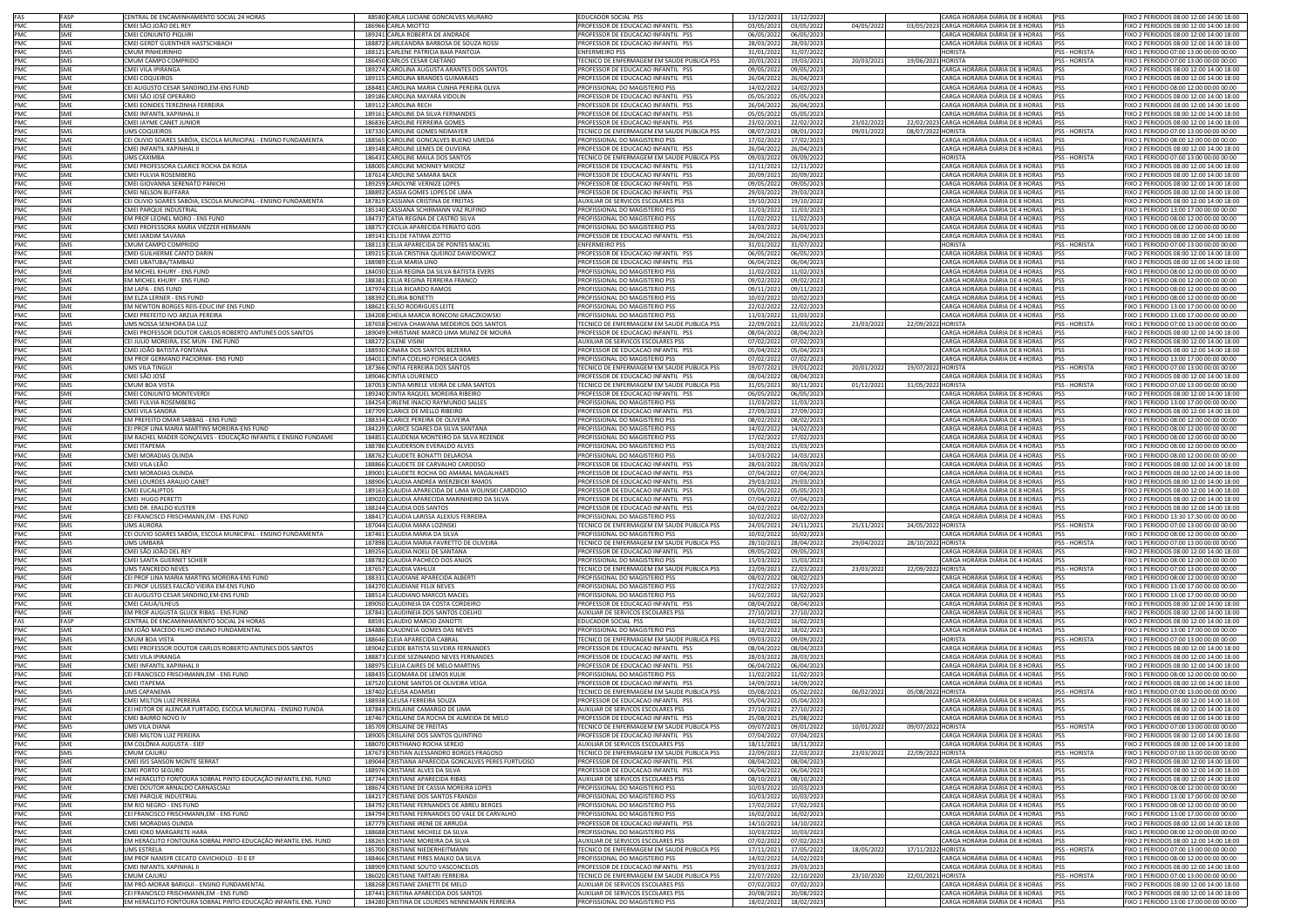| FAS<br>FASP              | CENTRAL DE ENCAMINHAMENTO SOCIAL 24 HORAS                                                               | 88580 CARLA LUCIANE GONCALVES MURARO                                                  | <b>EDUCADOR SOCIAL PSS</b>                                           | 13/12/2021 | 13/12/2022                          |            |                    | CARGA HORÁRIA DIÁRIA DE 8 HORAS                                            | <b>IPSS</b>          | FIXO 2 PERIODOS 08:00 12:00 14:00 18:00                                           |
|--------------------------|---------------------------------------------------------------------------------------------------------|---------------------------------------------------------------------------------------|----------------------------------------------------------------------|------------|-------------------------------------|------------|--------------------|----------------------------------------------------------------------------|----------------------|-----------------------------------------------------------------------------------|
| PMC<br><b>SME</b>        | CMEI SÃO JOÃO DEL REY                                                                                   | 186966 CARLA MIOTTO                                                                   | PROFESSOR DE EDUCACAO INFANTIL PSS                                   | 03/05/2021 | 03/05/2022                          | 04/05/2022 |                    | 03/05/2023 CARGA HORÁRIA DIÁRIA DE 8 HORAS                                 | PSS                  | FIXO 2 PERIODOS 08:00 12:00 14:00 18:00                                           |
| PMC<br><b>SMF</b>        | CMEI CONJUNTO PIQUIRI                                                                                   | 189241 CARLA ROBERTA DE ANDRADE                                                       | PROFESSOR DE EDUCACAO INFANTIL PSS                                   | 06/05/2022 | 06/05/2023                          |            |                    | CARGA HORÁRIA DIÁRIA DE 8 HORAS PSS                                        |                      | FIXO 2 PERIODOS 08:00 12:00 14:00 18:00                                           |
| PMC<br>SME               | CMEI GERDT GUENTHER HASTSCHBACH                                                                         | 188872 CARLEANDRA BARBOSA DE SOUZA ROSSI                                              | PROFESSOR DE EDUCACAO INFANTIL PSS                                   | 28/03/2022 | 28/03/2023                          |            |                    | ARGA HORÁRIA DIÁRIA DE 8 HORAS                                             |                      | FIXO 2 PERIODOS 08:00 12:00 14:00 18:00                                           |
|                          |                                                                                                         |                                                                                       |                                                                      |            |                                     |            |                    |                                                                            | <b>PSS</b>           |                                                                                   |
| PMC<br><b>SMS</b>        | CMUM PINHEIRINHO                                                                                        | 188121 CARLENE PATRICIA BAIA PANTOJA                                                  | <b>INFERMEIRO PSS</b>                                                | 31/01/2022 | 31/07/2022                          |            |                    | <b>IORISTA</b>                                                             | PSS - HORISTA        | FIXO 1 PERIODO 07:00 13:00 00:00 00:00                                            |
| PMC<br><b>SMS</b>        | CMUM CAMPO COMPRIDO                                                                                     | 186450 CARLOS CESAR CAETANO                                                           | TECNICO DE ENFERMAGEM EM SAUDE PUBLICA PSS                           | 20/01/2021 | 19/03/2021                          | 20/03/2021 | 19/06/2021 HORISTA |                                                                            | <b>PSS - HORISTA</b> | FIXO 1 PERIODO 07:00 13:00 00:00 00:00                                            |
| PMC<br>SMF               | CMEI VILA IPIRANGA                                                                                      | 189274 CAROLINA AUGUSTA ARANTES DOS SANTOS                                            | PROFESSOR DE EDUCACAO INFANTIL PSS                                   | 09/05/2022 | 09/05/2023                          |            |                    | ARGA HORÁRIA DIÁRIA DE 8 HORAS                                             | PSS                  | FIXO 2 PERIODOS 08:00 12:00 14:00 18:00                                           |
| PMC<br><b>SME</b>        | <b>CMEI COQUEIROS</b>                                                                                   | 189115 CAROLINA BRANDES GUIMARAES                                                     | PROFESSOR DE EDUCACAO INFANTIL PSS                                   | 26/04/2022 | 26/04/2023                          |            |                    | CARGA HORÁRIA DIÁRIA DE 8 HORAS                                            | PSS                  | FIXO 2 PERIODOS 08:00 12:00 14:00 18:00                                           |
| PMC<br><b>SME</b>        | CEI AUGUSTO CESAR SANDINO, EM-ENS FUND                                                                  | 188481 CAROLINA MARIA CUNHA PEREIRA OLIVA                                             | PROFISSIONAL DO MAGISTERIO PSS                                       | 14/02/2022 | 14/02/2023                          |            |                    | CARGA HORÁRIA DIÁRIA DE 4 HORAS                                            | <b>PSS</b>           | FIXO 1 PERIODO 08:00 12:00 00:00 00:00                                            |
| PMC<br><b>SME</b>        | CMEI SÃO JOSÉ OPERÁRIO                                                                                  | 189186 CAROLINA MAYARA VIDOLIN                                                        | PROFESSOR DE EDUCACAO INFANTIL PSS                                   | 05/05/2022 | 05/05/2023                          |            |                    | CARGA HORÁRIA DIÁRIA DE 8 HORAS                                            | PSS                  | FIXO 2 PERIODOS 08:00 12:00 14:00 18:00                                           |
| PMC<br>SMF               | CMEI EONIDES TEREZINHA FERREIRA                                                                         | 189112 CAROLINA RECH                                                                  | PROFESSOR DE EDUCAÇÃO INFANTIL PSS                                   | 26/04/2022 | 26/04/2023                          |            |                    | CARGA HORÁRIA DIÁRIA DE 8 HORAS                                            | PSS                  | FIXO 2 PERIODOS 08:00 12:00 14:00 18:00                                           |
| PMC<br>SME               | CMEI INFANTIL XAPINHAL II                                                                               | 189161 CAROLINE DA SILVA FERNANDES                                                    | PROFESSOR DE EDUCACAO INFANTIL PSS                                   | 05/05/2022 | 05/05/2023                          |            |                    | CARGA HORÁRIA DIÁRIA DE 8 HORAS                                            | <b>PSS</b>           | FIXO 2 PERIODOS 08:00 12:00 14:00 18:00                                           |
| PMC<br>SME               |                                                                                                         |                                                                                       |                                                                      |            |                                     |            |                    | 22/02/2023 CARGA HORÁRIA DIÁRIA DE 8 HORAS                                 |                      | IXO 2 PERIODOS 08:00 12:00 14:00 18:00                                            |
|                          | CMEI JAYME CANET JUNIOR                                                                                 | 186836 CAROLINE FERREIRA GOMES                                                        | ROFESSOR DE EDUCACAO INFANTIL PSS                                    | 23/02/2021 | 22/02/2022                          | 23/02/2022 |                    |                                                                            | PSS                  |                                                                                   |
| PMC<br>SMS               | UMS COQUEIROS                                                                                           | 187330 CAROLINE GOMES NEIMAYER                                                        | TECNICO DE ENFERMAGEM EM SAUDE PUBLICA PSS                           | 08/07/2021 | 08/01/2022                          | 09/01/2022 | 08/07/2022 HORISTA |                                                                            | PSS - HORISTA        | FIXO 1 PERIODO 07:00 13:00 00:00 00:00                                            |
| PMC<br>SMF               | CEI OLIVIO SOARES SABÓIA, ESCOLA MUNICIPAL - ENSINO FUNDAMENTA                                          | 188565 CAROLINE GONCALVES BUENO UMEDA                                                 | PROFISSIONAL DO MAGISTERIO PSS                                       | 17/02/2022 | 17/02/2023                          |            |                    | ARGA HORÁRIA DIÁRIA DE 4 HORAS                                             | PSS                  | FIXO 1 PERIODO 08:00 12:00 00:00 00:00                                            |
| PMC<br><b>SMF</b>        | CMELINEANTII XAPINHAI II                                                                                | 189148 CAROLINE LEMES DE OLIVEIRA                                                     | PROFESSOR DE EDUCACAO INFANTIL PSS                                   | 26/04/2022 | 26/04/2023                          |            |                    | CARGA HORÁRIA DIÁRIA DE 8 HORAS                                            | PSS                  | FIXO 2 PERIODOS 08:00 12:00 14:00 18:00                                           |
| PMC<br>PMC<br><b>SMS</b> | <b>UMS CAXIMBA</b>                                                                                      | 186431 CAROLINE MAILA DOS SANTOS                                                      | TECNICO DE ENFERMAGEM EM SAUDE PUBLICA PSS                           | 09/03/2022 | 09/09/2022                          |            |                    | <b>HORISTA</b>                                                             | <b>PSS - HORISTA</b> | FIXO 1 PERIODO 07:00 13:00 00:00 00:00                                            |
| SME                      | CMEI PROFESSORA CLARICE ROCHA DA ROSA                                                                   | 188005 CAROLINE MONNEY MIKOSZ                                                         | PROFESSOR DE EDUCACAO INFANTIL PSS                                   | 12/11/2021 | 12/11/2022                          |            |                    | CARGA HORÁRIA DIÁRIA DE 8 HORAS                                            | PSS                  | FIXO 2 PERIODOS 08:00 12:00 14:00 18:00                                           |
| PMC<br>SME               | CMEI FULVIA ROSEMBERG                                                                                   | 187614 CAROLINE SAMARA BACK                                                           | PROFESSOR DE EDUCACAO INFANTIL PSS                                   | 20/09/2021 | 20/09/2022                          |            |                    | CARGA HORÁRIA DIÁRIA DE 8 HORAS PSS                                        |                      | FIXO 2 PERIODOS 08:00 12:00 14:00 18:00                                           |
| PMC<br><b>SMF</b>        | CMEI GIOVANNA SERENATO PANICHI                                                                          | 189259 CAROLYNE VERNIZE LOPES                                                         | PROFESSOR DE EDUCACAO INFANTIL PSS                                   | 09/05/2022 | 09/05/2023                          |            |                    | CARGA HORÁRIA DIÁRIA DE 8 HORAS                                            | <b>IPSS</b>          | FIXO 2 PERIODOS 08:00 12:00 14:00 18:00                                           |
| PMC<br>SME               | CMEI NELSON BUFFARA                                                                                     | 188892 CASSIA GOMES LOPES DE LIMA                                                     | PROFESSOR DE EDUCACAO INFANTIL PSS                                   | 29/03/2022 | 29/03/2023                          |            |                    | ARGA HORÁRIA DIÁRIA DE 8 HORAS                                             | <b>IPSS</b>          | FIXO 2 PERIODOS 08:00 12:00 14:00 18:00                                           |
| <b>SME</b>               | CEI OLIVIO SOARES SABÓIA, ESCOLA MUNICIPAL - ENSINO FUNDAMENTA                                          |                                                                                       |                                                                      |            |                                     |            |                    | ARGA HORÁRIA DIÁRIA DE 8 HORAS                                             | <b>PSS</b>           |                                                                                   |
| PMC                      |                                                                                                         | 187819 CASSIANA CRISTINA DE FREITAS                                                   | AUXILIAR DE SERVICOS ESCOLARES PSS                                   | 19/10/2021 | 19/10/2022                          |            |                    |                                                                            |                      | FIXO 2 PERIODOS 08:00 12:00 14:00 18:00                                           |
| PMC<br>SMF               | CMEI PARQUE INDUSTRIAL                                                                                  | 185140 CASSIANA SCHIRMANN VAZ RUFINO                                                  | PROFISSIONAL DO MAGISTERIO PSS                                       | 11/03/2022 | 11/03/2023                          |            |                    | ARGA HORÁRIA DIÁRIA DE 4 HORAS:                                            | PSS                  | FIXO 1 PERIODO 13:00 17:00 00:00 00:00                                            |
| PMC<br>SMF               | EM PROF LEONEL MORO - ENS FUND                                                                          | 184737 CATIA REGINA DE CASTRO SILVA                                                   | PROFISSIONAL DO MAGISTERIO PSS                                       | 11/02/2022 | 11/02/2023                          |            |                    | CARGA HORÁRIA DIÁRIA DE 4 HORAS PSS                                        |                      | FIXO 1 PERIODO 08:00 12:00 00:00 00:00                                            |
| PMC<br>SME               | CMEI PROFESSORA MARIA VIÉZZER HERMANN                                                                   | 188757 CECILIA APARECIDA FERIATO GOIS                                                 | PROFISSIONAL DO MAGISTERIO PSS                                       | 14/03/2022 | 14/03/2023                          |            |                    | CARGA HORÁRIA DIÁRIA DE 4 HORAS                                            | <b>IPSS</b>          | FIXO 1 PERIODO 08:00 12:00 00:00 00:00                                            |
| PMC<br>SME               | CMEI JARDIM SAVANA                                                                                      | 189141 CELI DE FATIMA ZOTTO                                                           | PROFESSOR DE EDUCACAO INFANTIL PSS                                   | 26/04/2022 | 26/04/2023                          |            |                    | CARGA HORÁRIA DIÁRIA DE 8 HORAS                                            | PSS                  | FIXO 2 PERIODOS 08:00 12:00 14:00 18:00                                           |
| PMC<br>SMS               | CMUM CAMPO COMPRIDO                                                                                     | 188113 CELIA APARECIDA DE PONTES MACIEL                                               | <b>ENFERMEIRO PSS</b>                                                | 31/01/2022 | 31/07/2022                          |            |                    | <b>HORISTA</b>                                                             | PSS - HORISTA        | FIXO 1 PERIODO 07:00 13:00 00:00 00:00                                            |
| PMC<br>SMF               | CMEI GUILHERME CANTO DARIN                                                                              | 189215 CELIA CRISTINA QUEIROZ DAWIDOWICZ                                              | PROFESSOR DE EDUCACAO INFANTIL PSS                                   | 06/05/2022 | 06/05/2023                          |            |                    | CARGA HORÁRIA DIÁRIA DE 8 HORAS                                            | PSS                  | FIXO 2 PERIODOS 08:00 12:00 14:00 18:00                                           |
| PMC<br>SME               | CMEI UBATUBA/TAMBAÚ                                                                                     | 188989 CELIA MARIA LINO                                                               | PROFESSOR DE EDUCACAO INFANTIL PSS                                   | 06/04/2022 | 06/04/2023                          |            |                    | ARGA HORÁRIA DIÁRIA DE 8 HORAS                                             | <b>PSS</b>           | FIXO 2 PERIODOS 08:00 12:00 14:00 18:00                                           |
| PMC<br>SME               | EM MICHEL KHURY - ENS FUND                                                                              | 184030 CELIA REGINA DA SILVA BATISTA EVERS                                            | PROFISSIONAL DO MAGISTERIO PSS                                       | 11/02/2022 | 11/02/2023                          |            |                    | ARGA HORÁRIA DIÁRIA DE 4 HORAS                                             | <b>PSS</b>           | FIXO 1 PERIODO 08:00 12:00 00:00 00:00                                            |
|                          |                                                                                                         |                                                                                       |                                                                      |            |                                     |            |                    |                                                                            |                      |                                                                                   |
| PMC<br>SME               | EM MICHEL KHURY - ENS FUND                                                                              | 188381 CELIA REGINA FERREIRA FRANCO                                                   | PROFISSIONAL DO MAGISTERIO PSS                                       | 09/02/2022 | 09/02/2023                          |            |                    | CARGA HORÁRIA DIÁRIA DE 4 HORAS                                            | PSS                  | FIXO 1 PERIODO 08:00 12:00 00:00 00:00                                            |
| PMC<br>SMF               | EM LAPA - ENS FUND                                                                                      | 187974 CELIA RICARDO RAMOS                                                            | PROFISSIONAL DO MAGISTERIO PSS                                       | 09/11/2021 | 09/11/2022                          |            |                    | CARGA HORÁRIA DIÁRIA DE 4 HORAS                                            | <b>IPSS</b>          | FIXO 1 PERIODO 08:00 12:00 00:00 00:00                                            |
| PMC<br>SME               | EM ELZA LERNER - ENS FUND                                                                               | 188392 CELIRIA BONETTI                                                                | PROFISSIONAL DO MAGISTERIO PSS                                       | 10/02/2022 | 10/02/2023                          |            |                    | CARGA HORÁRIA DIÁRIA DE 4 HORAS                                            | <b>PSS</b>           | FIXO 1 PERIODO 08:00 12:00 00:00 00:00                                            |
| PMC<br>SME               | EM NEWTON BORGES REIS-EDUC INF ENS FUND                                                                 | 188621 CELSO RODRIGUES LEITE                                                          | PROFISSIONAL DO MAGISTERIO PSS                                       | 22/02/2022 | 22/02/2023                          |            |                    | CARGA HORÁRIA DIÁRIA DE 4 HORAS                                            | PSS                  | FIXO 1 PERIODO 13:00 17:00 00:00 00:00                                            |
| PMC<br><b>SME</b>        | CMEI PREFEITO IVO ARZUA PEREIRA                                                                         | 184208 CHEILA MARCIA RONCONI GRACZKOWSKI                                              | PROFISSIONAL DO MAGISTERIO PSS                                       | 11/03/2022 | 11/03/2023                          |            |                    | CARGA HORÁRIA DIÁRIA DE 4 HORAS                                            | PSS                  | FIXO 1 PERIODO 13:00 17:00 00:00 00:00                                            |
| PMC<br>SMS               | UMS NOSSA SENHORA DA LUZ                                                                                | 187658 CHEIVA CHAWANA MEDEIROS DOS SANTOS                                             | TECNICO DE ENFERMAGEM EM SAUDE PUBLICA PSS                           | 22/09/2021 | 22/03/2022                          | 23/03/2022 | 22/09/2022 HORISTA |                                                                            | PSS - HORISTA        | FIXO 1 PERIODO 07:00 13:00 00:00 00:00                                            |
| PMC<br>SME               | CMEI PROFESSOR DOUTOR CARLOS ROBERTO ANTUNES DOS SANTOS                                                 | 189049 CHRISTIANE MARCO LIMA MUNIZ DE MOURA                                           | PROFESSOR DE EDUCACAO INFANTIL PSS                                   | 08/04/2022 | 08/04/2023                          |            |                    | CARGA HORÁRIA DIÁRIA DE 8 HORAS                                            | PSS                  | FIXO 2 PERIODOS 08:00 12:00 14:00 18:00                                           |
| PMC<br>SME               | CEI JULIO MOREIRA, ESC MUN - ENS FUND                                                                   | 188272 CILENE VISINI                                                                  | AUXILIAR DE SERVICOS ESCOLARES PSS                                   | 07/02/2022 | 07/02/2023                          |            |                    | ARGA HORÁRIA DIÁRIA DE 8 HORAS                                             | <b>IPSS</b>          | FIXO 2 PERIODOS 08:00 12:00 14:00 18:00                                           |
| PMC<br>SME               |                                                                                                         | 188930 CINARA DOS SANTOS BEZERRA                                                      |                                                                      |            |                                     |            |                    | ARGA HORÁRIA DIÁRIA DE 8 HORAS                                             |                      |                                                                                   |
|                          | CMEI JOÃO BATISTA FONTANA                                                                               |                                                                                       | PROFESSOR DE EDUCACAO INFANTIL PSS                                   | 05/04/2022 | 05/04/2023                          |            |                    |                                                                            | PSS                  | IXO 2 PERIODOS 08:00 12:00 14:00 18:00                                            |
| PMC<br>SMF               | EM PROF GERMANO PACIORNIK- ENS FUND                                                                     | 184011 CINTIA COELHO FONSECA GOMES                                                    | PROFISSIONAL DO MAGISTERIO PSS                                       | 07/02/2022 | 07/02/2023                          |            |                    | CARGA HORÁRIA DIÁRIA DE 4 HORAS                                            | PSS                  | FIXO 1 PERIODO 13:00 17:00 00:00 00:00                                            |
| PMC<br>SMS               | <b>HMS VILA TINGH</b>                                                                                   | 187366 CINTIA FERREIRA DOS SANTOS                                                     | TECNICO DE ENFERMAGEM EM SAUDE PUBLICA PSS                           | 19/07/2021 | 19/01/2022                          | 20/01/2022 | 19/07/2022 HORISTA |                                                                            | PSS - HORISTA        | FIXO 1 PERIODO 07:00 13:00 00:00 00:00                                            |
| PMC<br>SME               | CMEI SÃO JOSÉ                                                                                           | 189046 CINTIA LOURENCO                                                                | PROFESSOR DE EDUCACAO INFANTIL PSS                                   | 08/04/2022 | 08/04/2023                          |            |                    | CARGA HORÁRIA DIÁRIA DE 8 HORAS                                            | <b>IPSS</b>          | FIXO 2 PERIODOS 08:00 12:00 14:00 18:00                                           |
| PMC<br><b>SMS</b>        | CMUM BOA VISTA                                                                                          | 187053 CINTIA MIRELE VIEIRA DE LIMA SANTOS                                            | TECNICO DE ENFERMAGEM EM SAUDE PUBLICA PSS                           | 31/05/2021 | 30/11/2021                          | 01/12/2021 | 31/05/2022 HORISTA |                                                                            | <b>PSS - HORISTA</b> | FIXO 1 PERIODO 07:00 13:00 00:00 00:00                                            |
| PMC<br>SME               | CMEI CONJUNTO MONTEVERDI                                                                                | 189240 CINTIA RAQUEL MOREIRA RIBEIRO                                                  | PROFESSOR DE EDUCACAO INFANTIL PSS                                   | 06/05/2022 | 06/05/2023                          |            |                    | CARGA HORÁRIA DIÁRIA DE 8 HORAS                                            | PSS                  | FIXO 2 PERIODOS 08:00 12:00 14:00 18:00                                           |
| PMC<br><b>SMF</b>        | CMEI FULVIA ROSEMBERG                                                                                   | 184254 CIRLENE INACIO RAYMUNDO SALLES                                                 | PROFISSIONAL DO MAGISTERIO PSS                                       | 11/03/2022 | 11/03/2023                          |            |                    | CARGA HORÁRIA DIÁRIA DE 4 HORAS                                            | PSS                  | FIXO 1 PERIODO 13:00 17:00 00:00 00:00                                            |
| PMC<br>SME               | CMEI VILA SANDRA                                                                                        | 187709 CLARICE DE MELLO RIBEIRO                                                       | ROFESSOR DE EDUCACAO INFANTIL PSS                                    | 27/09/2021 | 27/09/2022                          |            |                    | ARGA HORÁRIA DIÁRIA DE 8 HORAS                                             | <b>PSS</b>           | FIXO 2 PERIODOS 08:00 12:00 14:00 18:00                                           |
| PMC<br>SME               | EM PREFEITO OMAR SABBAG - ENS FUND                                                                      | 188334 CLARICE PEREIRA DE OLIVEIRA                                                    | ROFISSIONAL DO MAGISTERIO PSS                                        | 08/02/2022 | 08/02/2023                          |            |                    | ARGA HORÁRIA DIÁRIA DE 4 HORAS                                             | PSS                  | 1XO 1 PERIODO 08:00 12:00 00:00 00:00                                             |
| PMC<br><b>I</b> SME      |                                                                                                         |                                                                                       | PROFISSIONAL DO MAGISTERIO PSS                                       |            |                                     |            |                    | CARGA HORÁRIA DIÁRIA DE 4 HORAS                                            |                      |                                                                                   |
|                          | CEI PROF LINA MARIA MARTINS MOREIRA-ENS FUND                                                            | 184229 CLARICE SOARES DA SILVA SANTANA<br>184851 CLAUDENIA MONTFIRO DA SILVA REZENDE  |                                                                      | 14/02/2022 | 14/02/2023                          |            |                    | CARGA HORÁRIA DIÁRIA DE 4 HORAS                                            | PSS                  | FIXO 1 PERIODO 08:00 12:00 00:00 00:00                                            |
| PMC<br>SMF               | EM RACHEL MADER GONÇALVES - EDUCAÇÃO INFANTIL E ENSINO FUNDAME                                          |                                                                                       | PROFISSIONAL DO MAGISTERIO PSS                                       | 17/02/2022 | 17/02/2023                          |            |                    |                                                                            | <b>PSS</b>           | FIXO 1 PERIODO 08:00 12:00 00:00 00:00                                            |
| PMC<br>SME               | <b>CMEI ITAPEMA</b>                                                                                     | 188786 CLAUDERSON EVERALDO ALVES                                                      | PROFISSIONAL DO MAGISTERIO PSS                                       | 15/03/2022 | 15/03/2023                          |            |                    | CARGA HORÁRIA DIÁRIA DE 4 HORAS                                            | <b>IPSS</b>          | FIXO 1 PERIODO 08:00 12:00 00:00 00:00                                            |
| PMC<br>SME               | CMELMORADIAS OLINDA                                                                                     | 188762 CLAUDETE BONATTI DELAROSA                                                      | PROFISSIONAL DO MAGISTERIO PSS                                       | 14/03/2022 | 14/03/2023                          |            |                    | CARGA HORÁRIA DIÁRIA DE 4 HORAS                                            | <b>IPSS</b>          | FIXO 1 PERIODO 08:00 12:00 00:00 00:00                                            |
| PMC<br>SME               | CMEI VILA LEÃO                                                                                          | 188866 CLAUDETE DE CARVALHO CARDOSO                                                   | PROFESSOR DE EDUCACAO INFANTIL PSS                                   | 28/03/2022 | 28/03/2023                          |            |                    | CARGA HORÁRIA DIÁRIA DE 8 HORAS                                            | <b>PSS</b>           | FIXO 2 PERIODOS 08:00 12:00 14:00 18:00                                           |
| PMC<br><b>SMF</b>        | CMEI MORADIAS OLINDA                                                                                    | 189001 CLAUDETE ROCHA DO AMARAL MAGALHAES                                             | PROFESSOR DE EDUCACAO INFANTIL PSS                                   | 07/04/2022 | 07/04/2023                          |            |                    | CARGA HORÁRIA DIÁRIA DE 8 HORAS PSS                                        |                      | FIXO 2 PERIODOS 08:00 12:00 14:00 18:00                                           |
| PMC<br>SME               | CMEI LOURDES ARAUJO CANET                                                                               | 188906 CLAUDIA ANDREA WIERZBICKI RAMOS                                                | PROFESSOR DE EDUCACAO INFANTIL PSS                                   | 29/03/2022 | 29/03/2023                          |            |                    | ARGA HORÁRIA DIÁRIA DE 8 HORAS                                             | <b>IPSS</b>          | FIXO 2 PERIODOS 08:00 12:00 14:00 18:00                                           |
| PMC<br>SME               | CMEI EUCALIPTOS                                                                                         | 189163 CLAUDIA APARECIDA DE LIMA WOLINSKI CARDOSO                                     | PROFESSOR DE EDUCACAO INFANTIL PSS                                   | 05/05/2022 | 05/05/2023                          |            |                    | ARGA HORÁRIA DIÁRIA DE 8 HORAS                                             | PSS                  | FIXO 2 PERIODOS 08:00 12:00 14:00 18:00                                           |
| PMC<br>SME               | CMEI HUGO PERETT                                                                                        | 189020 CLAUDIA APARECIDA MARINHEIRO DA SILVA                                          | PROFESSOR DE EDUCACAO INFANTIL PSS                                   | 07/04/2022 | 07/04/2023                          |            |                    | CARGA HORÁRIA DIÁRIA DE 8 HORAS                                            | PSS                  | FIXO 2 PERIODOS 08:00 12:00 14:00 18:00                                           |
| PMC<br>SMF               | CMEI DR. ERALDO KUSTER                                                                                  | 188244 CLAUDIA DOS SANTOS                                                             | PROFESSOR DE EDUCACAO INFANTIL PSS                                   | 04/02/2022 | 04/02/2023                          |            |                    | CARGA HORÁRIA DIÁRIA DE 8 HORAS                                            | <b>IPSS</b>          | FIXO 2 PERIODOS 08:00 12:00 14:00 18:00                                           |
| PMC<br>SMF               | CEI FRANCISCO FRISCHMANN.EM - ENS FUND                                                                  | 188417 CLAUDIA LARISSA ALEXIUS FERREIRA                                               | PROFISSIONAL DO MAGISTERIO PSS                                       | 10/02/2022 | 10/02/2023                          |            |                    | CARGA HORÁRIA DIÁRIA DE 4 HORAS                                            | PSS                  | FIXO 1 PERIODO 13:30 17:30 00:00 00:00                                            |
|                          |                                                                                                         |                                                                                       |                                                                      |            |                                     |            |                    |                                                                            |                      |                                                                                   |
| PMC<br>SMS               | UMS AURORA                                                                                              | 187044 CLAUDIA MARA LOZINSKI                                                          | TECNICO DE ENFERMAGEM EM SAUDE PUBLICA PSS                           | 24/05/2021 | 24/11/2021                          | 25/11/2021 | 24/05/2022 HORISTA |                                                                            | PSS - HORISTA        | FIXO 1 PERIODO 07:00 13:00 00:00 00:00                                            |
| PMC<br>SME               | CEI OLIVIO SOARES SABÓIA, ESCOLA MUNICIPAL - ENSINO FUNDAMENTA                                          | 187461 CLAUDIA MARIA DA SILVA                                                         | PROFISSIONAL DO MAGISTERIO PSS                                       | 10/02/2022 | 10/02/2023                          |            |                    | CARGA HORÁRIA DIÁRIA DE 4 HORAS                                            | PSS                  | FIXO 1 PERIODO 08:00 12:00 00:00 00:00                                            |
| PMC<br>SMS               | UMS UMBARÁ                                                                                              | 187898 CLAUDIA MARIA FAVRETTO DE OLIVEIRA                                             | TECNICO DE ENFERMAGEM EM SAUDE PUBLICA PSS                           | 28/10/2021 | 28/04/2022                          | 29/04/2022 | 28/10/2022 HORISTA |                                                                            | PSS - HORISTA        | FIXO 1 PERIODO 07:00 13:00 00:00 00:00                                            |
| PMC<br><b>SMF</b>        | CMEI SÃO JOÃO DEL REY                                                                                   | 189256 CLAUDIA NOELI DE SANTANA                                                       | PROFESSOR DE EDUCACAO INFANTIL PSS                                   | 09/05/2022 | 09/05/2023                          |            |                    | CARGA HORÁRIA DIÁRIA DE 8 HORAS                                            | PSS                  | FIXO 2 PERIODOS 08:00 12:00 14:00 18:00                                           |
| PMC<br>SME               | CMEI SANTA GUERNET SCHIER                                                                               | 188782 CLAUDIA PACHECO DOS ANJOS                                                      | PROFISSIONAL DO MAGISTERIO PSS                                       | 15/03/2022 | 15/03/2023                          |            |                    | ARGA HORÁRIA DIÁRIA DE 4 HORAS:                                            | PSS                  | FIXO 1 PERIODO 08:00 12:00 00:00 00:00                                            |
| PMC<br><b>SMS</b>        | UMS TANCREDO NEVES                                                                                      | 187657 CLAUDIA VAHLUX                                                                 | TECNICO DE ENFERMAGEM EM SAUDE PUBLICA PSS                           | 22/09/2021 | 22/03/2022                          | 23/03/2022 | 22/09/202          | HORISTA                                                                    | <b>PSS - HORISTA</b> | FIXO 1 PERIODO 07:00 13:00 00:00 00:00                                            |
| PMC<br>SME               | CEI PROF LINA MARIA MARTINS MOREIRA-ENS FUND                                                            | 188331 CLAUDIANE APARECIDA ALBERTI                                                    | PROFISSIONAL DO MAGISTERIO PSS                                       | 08/02/2022 | 08/02/2023                          |            |                    | ARGA HORÁRIA DIÁRIA DE 4 HORAS                                             | PSS                  | FIXO 1 PERIODO 08:00 12:00 00:00 00:00                                            |
| PMC<br><b>SMF</b>        | CEI PROF ULISSES FALCÃO VIEIRA EM-ENS FUND                                                              | 184270 CLAUDIANE FELIX NEVES                                                          | PROFISSIONAL DO MAGISTERIO PSS                                       | 17/02/2022 | 17/02/2023                          |            |                    | CARGA HORÁRIA DIÁRIA DE 4 HORAS                                            | PSS                  | FIXO 1 PERIODO 13:00 17:00 00:00 00:00                                            |
| PMC<br>SME               | CEI AUGUSTO CESAR SANDINO, EM-ENS FUND                                                                  | 188514 CLAUDIANO MARCOS MACIEL                                                        | PROFISSIONAL DO MAGISTERIO PSS                                       | 16/02/2022 | 16/02/2023                          |            |                    | CARGA HORÁRIA DIÁRIA DE 4 HORAS                                            | <b>IPSS</b>          | FIXO 1 PERIODO 13:00 17:00 00:00 00:00                                            |
| PMC<br>SME               | CMEI CAIUÁ/ILHEUS                                                                                       | 189050 CLAUDINEIA DA COSTA CORDEIRO                                                   | PROFESSOR DE EDUCACAO INFANTIL PSS                                   | 08/04/2022 | 08/04/2023                          |            |                    | CARGA HORÁRIA DIÁRIA DE 8 HORAS                                            | <b>PSS</b>           | FIXO 2 PERIODOS 08:00 12:00 14:00 18:00                                           |
| PMC<br>SME               |                                                                                                         |                                                                                       |                                                                      |            |                                     |            |                    |                                                                            |                      | FIXO 2 PERIODOS 08:00 12:00 14:00 18:00                                           |
|                          | EM PROF AUGUSTA GLUCK RIBAS - ENS FUND                                                                  | 187841 CLAUDINEIA DOS SANTOS COELHO                                                   | AUXILIAR DE SERVICOS ESCOLARES PSS                                   | 27/10/2021 | 27/10/2022                          |            |                    | CARGA HORÁRIA DIÁRIA DE 8 HORAS PSS                                        |                      |                                                                                   |
| FAS<br>FASP              | CENTRAL DE ENCAMINHAMENTO SOCIAL 24 HORAS                                                               | 88591 CLAUDIO MARCIO ZANOTTI                                                          | EDUCADOR SOCIAL PSS                                                  | 16/02/2022 | 16/02/2023                          |            |                    | CARGA HORÁRIA DIÁRIA DE 8 HORAS                                            | <b>PSS</b>           | FIXO 2 PERIODOS 08:00 12:00 14:00 18:00                                           |
| PMC<br>SME               | EM JOÃO MACEDO FILHO ENSINO FUNDAMENTAL                                                                 | 184886 CLAUDNEIA GOMES DAS NEVES                                                      | PROFISSIONAL DO MAGISTERIO PSS                                       | 18/02/2022 | 18/02/2023                          |            |                    | ARGA HORÁRIA DIÁRIA DE 4 HORAS PSS                                         |                      | FIXO 1 PERIODO 13:00 17:00 00:00 00:00                                            |
| PMC<br>SMS               | CMUM BOA VISTA                                                                                          | 188646 CLEIA APARECIDA CABRAL                                                         | TECNICO DE ENFERMAGEM EM SAUDE PUBLICA PSS                           | 09/03/2022 | 09/09/2022                          |            |                    | <b>ORISTA</b>                                                              | <b>PSS - HORISTA</b> | FIXO 1 PERIODO 07:00 13:00 00:00 00:00                                            |
| PMC<br>SME               | CMEI PROFESSOR DOUTOR CARLOS ROBERTO ANTUNES DOS SANTOS                                                 | 189042 CLEIDE BATISTA SILVEIRA FERNANDES                                              | PROFESSOR DE EDUCACAO INFANTIL PSS                                   | 08/04/2022 | 08/04/2023                          |            |                    | ARGA HORÁRIA DIÁRIA DE 8 HORAS                                             | PSS                  | FIXO 2 PERIODOS 08:00 12:00 14:00 18:00                                           |
| PMC<br>SMF               | CMEI VILA IPIRANGA                                                                                      | 188873 CLEIDE SEZINANDO NEVES FERNANDES                                               | PROFESSOR DE EDUCACAO INFANTIL PSS                                   | 28/03/2022 | 28/03/2023                          |            |                    | CARGA HORÁRIA DIÁRIA DE 8 HORAS PSS                                        |                      | FIXO 2 PERIODOS 08:00 12:00 14:00 18:00                                           |
| PMC<br>SME               | CMFI INFANTII XAPINHAI II                                                                               | 188975 CLELIA CAIRES DE MELO MARTINS                                                  | PROFESSOR DE EDUCACAO INFANTIL PSS                                   | 06/04/2022 | 06/04/2023                          |            |                    | CARGA HORÁRIA DIÁRIA DE 8 HORAS                                            | <b>PSS</b>           | FIXO 2 PERIODOS 08:00 12:00 14:00 18:00                                           |
| PMC<br>SME               | CEI FRANCISCO FRISCHMANN, EM - ENS FUND                                                                 | 188435 CLEOMARA DE LEMOS KULIK                                                        | PROFISSIONAL DO MAGISTERIO PSS                                       | 11/02/2022 | 11/02/2023                          |            |                    | CARGA HORÁRIA DIÁRIA DE 4 HORAS                                            | <b>PSS</b>           | FIXO 1 PERIODO 08:00 12:00 00:00 00:00                                            |
| PMC<br><b>SME</b>        | CMEI ITAPEMA                                                                                            | 187520 CLEONE SANTOS DE OLIVEIRA VEIGA                                                | PROFESSOR DE EDUCACAO INFANTIL PSS                                   | 14/09/2021 | 14/09/2022                          |            |                    | CARGA HORÁRIA DIÁRIA DE 8 HORAS                                            | PSS                  | FIXO 2 PERIODOS 08:00 12:00 14:00 18:00                                           |
| PMC<br>SMS               | <b>UMS CAPANEMA</b>                                                                                     | 187402 CLEUSA ADAMSKI                                                                 | TECNICO DE ENFERMAGEM EM SAUDE PUBLICA PSS                           | 05/08/2021 | 05/02/2022                          | 06/02/2022 | 05/08/2022 HORISTA |                                                                            | PSS - HORISTA        | FIXO 1 PERIODO 07:00 13:00 00:00 00:00                                            |
| PMC<br>SME               | CMEI MILTON LUIZ PEREIRA                                                                                | 188938 CLEUSA FERREIRA SOUZA                                                          | PROFESSOR DE EDUCACAO INFANTIL PSS                                   | 05/04/2022 | 05/04/2023                          |            |                    | CARGA HORÁRIA DIÁRIA DE 8 HORAS                                            | <b>IPSS</b>          | FIXO 2 PERIODOS 08:00 12:00 14:00 18:00                                           |
|                          |                                                                                                         |                                                                                       |                                                                      |            |                                     |            |                    |                                                                            |                      | IXO 2 PERIODOS 08:00 12:00 14:00 18:00                                            |
| PMC<br>PMC               | EI HEITOR DE ALENCAR FURTADO, ESCOLA MUNICIPAL - ENSINO FUNDA<br>CMEI BAIRRO NOVO IV                    | 187843 JURISLAINE CAMARGO DE LIMA                                                     | UXILIAR DE SERVICOS ESCOLARES PSS                                    |            | 27/10/2021 27/10/202.               |            |                    | AKGA HUKAKIA DIAKIA DE 8 HUKAS                                             | IPSS.                |                                                                                   |
| SME                      |                                                                                                         | 187467 CRISLAINE DA ROCHA DE ALMEIDA DE MELO                                          | PROFESSOR DE EDUCACAO INFANTIL PSS                                   |            | 25/08/2021 25/08/2022               |            |                    | CARGA HORÁRIA DIÁRIA DE 8 HORAS                                            | PSS                  | FIXO 2 PERIODOS 08:00 12:00 14:00 18:00                                           |
| PMC<br><b>SMS</b>        | <b>UMS VILA DIANA</b>                                                                                   | 185709 CRISLAINE DE FREITAS                                                           | TECNICO DE ENFERMAGEM EM SAUDE PUBLICA PSS                           |            | 09/07/2021 09/01/2022               | 10/01/2022 | 09/07/2022 HORISTA |                                                                            | <b>PSS - HORISTA</b> | FIXO 1 PERIODO 07:00 13:00 00:00 00:00                                            |
| PMC<br>SME               | CMEI MILTON LUIZ PEREIRA                                                                                | 189005 CRISLAINE DOS SANTOS QUINTINO                                                  | PROFESSOR DE EDUCACAO INFANTIL PSS                                   | 07/04/2022 | 07/04/2023                          |            |                    | CARGA HORÁRIA DIÁRIA DE 8 HORAS PSS                                        |                      | FIXO 2 PERIODOS 08:00 12:00 14:00 18:00                                           |
| PMC<br>SME               | EM COLÔNIA AUGUSTA - EIEF                                                                               | 188070 CRISTHIANO ROCHA SEREJO                                                        | AUXILIAR DE SERVICOS ESCOLARES PSS                                   | 18/11/2021 | 18/11/2022                          |            |                    | CARGA HORÁRIA DIÁRIA DE 8 HORAS                                            | <b>IPSS</b>          | FIXO 2 PERIODOS 08:00 12:00 14:00 18:00                                           |
| PMC<br><b>SMS</b>        | CMUM CAJURÚ                                                                                             | 187673 CRISTIAN ALESSANDRO BORGES FRAGOSO                                             | TECNICO DE ENFERMAGEM EM SAUDE PUBLICA PSS                           | 22/09/2021 | 22/03/2022                          | 23/03/2022 | 22/09/2022 HORISTA |                                                                            | PSS - HORISTA        | FIXO 1 PERIODO 07:00 13:00 00:00 00:00                                            |
| PMC<br>SME               | CMEI ISIS SANSON MONTE SERRAT                                                                           | 189044 CRISTIANA APARECIDA GONCALVES PERES FURTUOSO                                   | PROFESSOR DE EDUCACAO INFANTIL PSS                                   | 08/04/2022 | 08/04/2023                          |            |                    | CARGA HORÁRIA DIÁRIA DE 8 HORAS PSS                                        |                      | FIXO 2 PERIODOS 08:00 12:00 14:00 18:00                                           |
| PMC<br><b>SME</b>        | CMEI PORTO SEGURO                                                                                       | 188976 CRISTIANE ALVES DA SILVA                                                       | PROFESSOR DE EDUCACAO INFANTIL PSS                                   | 06/04/2022 | 06/04/2023                          |            |                    | CARGA HORÁRIA DIÁRIA DE 8 HORAS PSS                                        |                      | FIXO 2 PERIODOS 08:00 12:00 14:00 18:00                                           |
| PMC<br><b>SME</b>        | EM HERÁCLITO FONTOURA SOBRAL PINTO-EDUCACÃO INFANTIL ENS. FUND                                          | 187744 CRISTIANE APARECIDA RIBAS                                                      | AUXILIAR DE SERVICOS ESCOLARES PSS                                   | 08/10/2021 | 08/10/2022                          |            |                    | ARGA HORÁRIA DIÁRIA DE 8 HORAS PSS                                         |                      | FIXO 2 PERIODOS 08:00 12:00 14:00 18:00                                           |
| PMC<br>SME               | CMEI DOUTOR ARNALDO CARNASCIALI                                                                         | 188674 CRISTIANE DE CASSIA MOREIRA LOPES                                              | PROFISSIONAL DO MAGISTERIO PSS                                       | 10/03/2022 | 10/03/2023                          |            |                    | ARGA HORÁRIA DIÁRIA DE 4 HORAS                                             | PSS                  | FIXO 1 PERIODO 08:00 12:00 00:00 00:00                                            |
|                          |                                                                                                         |                                                                                       |                                                                      |            |                                     |            |                    |                                                                            |                      |                                                                                   |
| PMC<br>SME               | CMEI PARQUE INDUSTRIAL                                                                                  | 184217 CRISTIANE DOS SANTOS FRANDJI                                                   | PROFISSIONAL DO MAGISTERIO PSS                                       | 10/03/2022 | 10/03/2023                          |            |                    | CARGA HORÁRIA DIÁRIA DE 4 HORAS PSS                                        |                      | FIXO 1 PERIODO 13:00 17:00 00:00 00:00                                            |
|                          |                                                                                                         |                                                                                       |                                                                      | 17/02/2022 | 17/02/2023                          |            |                    | CARGA HORÁRIA DIÁRIA DE 4 HORAS PSS                                        |                      |                                                                                   |
| PMC<br><b>SMF</b>        | <b>EM RIO NEGRO - ENS FUND</b>                                                                          | 184792 CRISTIANE FERNANDES DE ABREU BERGES                                            | PROFISSIONAL DO MAGISTERIO PSS                                       |            |                                     |            |                    |                                                                            |                      | FIXO 1 PERIODO 08:00 12:00 00:00 00:00                                            |
| PMC<br>SME               | CEI FRANCISCO FRISCHMANN, EM - ENS FUND                                                                 | 184794 CRISTIANE FERNANDES DO VALE DE CARVALHO                                        | PROFISSIONAL DO MAGISTERIO PSS                                       | 16/02/2022 | 16/02/2023                          |            |                    | CARGA HORÁRIA DIÁRIA DE 4 HORAS PSS                                        |                      | FIXO 1 PERIODO 13:00 17:00 00:00 00:00                                            |
| PMC<br>SME               | CMEI MORADIAS OLINDA                                                                                    | 187779 CRISTIANE IRENE DE ARRUDA                                                      | PROFESSOR DE EDUCACAO INFANTIL PSS                                   | 14/10/2021 | 14/10/2022                          |            |                    | CARGA HORÁRIA DIÁRIA DE 8 HORAS PSS                                        |                      | FIXO 2 PERIODOS 08:00 12:00 14:00 18:00                                           |
| PMC<br><b>SME</b>        | CMEI IOKO MARGARETE HARA                                                                                | 188688 CRISTIANE MICHELE DA SILVA                                                     | PROFISSIONAL DO MAGISTERIO PSS                                       | 10/03/2022 | 10/03/2023                          |            |                    | CARGA HORÁRIA DIÁRIA DE 4 HORAS PSS                                        |                      | FIXO 1 PERIODO 08:00 12:00 00:00 00:00                                            |
| <b>SME</b>               | EM HERÁCLITO FONTOURA SOBRAL PINTO-EDUCAÇÃO INFANTIL ENS. FUND                                          | 188265 CRISTIANE MOREIRA DA SILVA                                                     | AUXILIAR DE SERVICOS ESCOLARES PSS                                   | 07/02/2022 |                                     |            |                    | CARGA HORÁRIA DIÁRIA DE 8 HORAS PSS                                        |                      | FIXO 2 PERIODOS 08:00 12:00 14:00 18:00                                           |
| PMC<br>SMS               | UMS ESTRELA                                                                                             | 185700 CRISTIANE NIEDERHEITMANN                                                       | TECNICO DE ENFERMAGEM EM SAUDE PUBLICA PSS                           | 17/11/2021 | 07/02/2023                          |            |                    |                                                                            | PSS - HORISTA        | FIXO 1 PERIODO 07:00 13:00 00:00 00:00                                            |
| PMC                      |                                                                                                         |                                                                                       |                                                                      |            | 17/05/2022                          | 18/05/2022 | 17/11/2022 HORISTA |                                                                            |                      |                                                                                   |
| PMC<br><b>SME</b>        | EM PROF NANSYR CECATO CAVICHIOLO - EI E EF                                                              | 188466 CRISTIANE PIRES MALKO DA SILVA                                                 | PROFISSIONAL DO MAGISTERIO PSS                                       | 14/02/2022 | 14/02/2023                          |            |                    | ARGA HORÁRIA DIÁRIA DE 4 HORAS                                             | PSS                  | FIXO 1 PERIODO 08:00 12:00 00:00 00:00                                            |
| PMC<br>SME               | CMELINFANTII XAPINHALII                                                                                 | 188909 CRISTIANE SOUTO VASCONCELOS                                                    | PROFESSOR DE EDUCACAO INFANTIL PSS                                   | 29/03/2022 | 29/03/2023                          |            |                    | CARGA HORÁRIA DIÁRIA DE 8 HORAS                                            | PSS                  | FIXO 2 PERIODOS 08:00 12:00 14:00 18:00                                           |
| PMC<br><b>SMS</b>        | CMUM CAIURÚ                                                                                             | 186020 CRISTIANE TARTARI FERREIRA                                                     | TECNICO DE ENFERMAGEM EM SAUDE PUBLICA PSS                           | 22/07/2020 | 22/10/2020                          | 23/10/2020 | 22/01/2021 HORISTA |                                                                            | PSS - HORISTA        | FIXO 1 PERIODO 07:00 13:00 00:00 00:00                                            |
| PMC<br>SME               | EM PRÓ-MORAR BARIGUI - ENSINO FUNDAMENTAL                                                               | 188268 CRISTIANE ZANETTI DE MELO                                                      | AUXILIAR DE SERVICOS ESCOLARES PSS                                   | 07/02/2022 | 07/02/2023                          |            |                    | CARGA HORÁRIA DIÁRIA DE 8 HORAS PSS                                        |                      | FIXO 2 PERIODOS 08:00 12:00 14:00 18:00                                           |
| PMC<br>SME<br>PMC<br>SME | CELERANCISCO ERISCHMANN EM - ENS EUND<br>EM HERÁCLITO FONTOURA SOBRAL PINTO-EDUCAÇÃO INFANTIL ENS. FUND | 187441 CRISTINA APARECIDA DOS SANTOS<br>184280 CRISTINA DE LOURDES NENNEMANN FERREIRA | AUXILIAR DE SERVICOS ESCOLARES PSS<br>PROFISSIONAL DO MAGISTERIO PSS | 20/08/2021 | 20/08/2022<br>18/02/2022 18/02/2023 |            |                    | CARGA HORÁRIA DIÁRIA DE 8 HORAS PSS<br>CARGA HORÁRIA DIÁRIA DE 4 HORAS PSS |                      | FIXO 2 PERIODOS 08:00 12:00 14:00 18:00<br>FIXO 1 PERIODO 13:00 17:00 00:00 00:00 |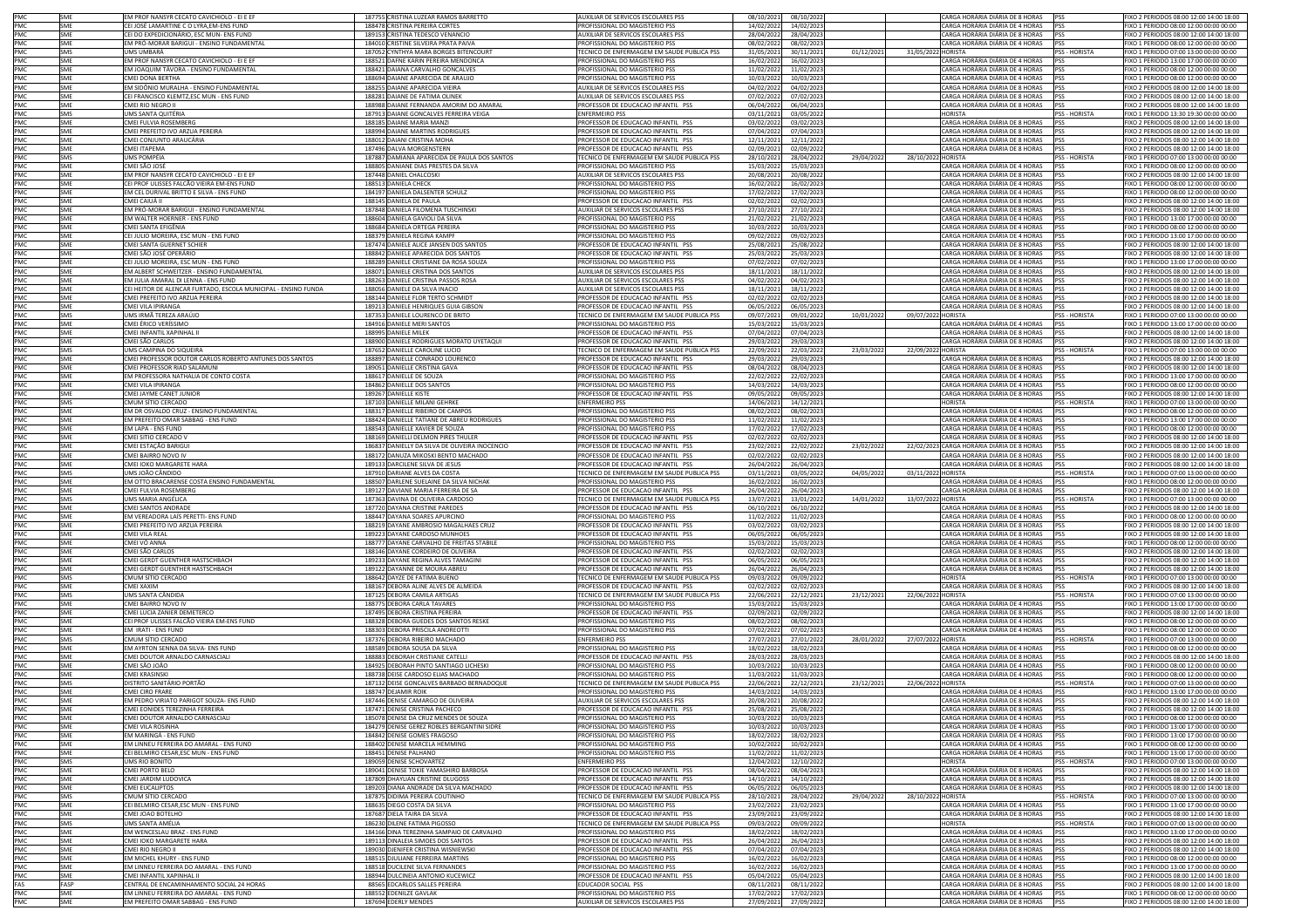| PMC               | SME                      | EM PROF NANSYR CECATO CAVICHIOLO - EI E EF                                                                               | 187755 CRISTINA LUZEAR RAMOS BARRETTO                                           | AUXILIAR DE SERVICOS ESCOLARES PSS                                                          | 08/10/202                            | 08/10/2022                             |           | CARGA HORÁRIA DIÁRIA DE 8 HORAS                                                                       | <b>PSS</b>                      | IXO 2 PERIODOS 08:00 12:00 14:00 18:00                                             |
|-------------------|--------------------------|--------------------------------------------------------------------------------------------------------------------------|---------------------------------------------------------------------------------|---------------------------------------------------------------------------------------------|--------------------------------------|----------------------------------------|-----------|-------------------------------------------------------------------------------------------------------|---------------------------------|------------------------------------------------------------------------------------|
| PMC               | SME                      | CEI JOSÉ LAMARTINE C O LYRA,EM-ENS FUND                                                                                  | 188478 CRISTINA PEREIRA CORTES                                                  | PROFISSIONAL DO MAGISTERIO PSS                                                              | 14/02/202                            | 14/02/2023                             |           | CARGA HORÁRIA DIÁRIA DE 4 HORAS                                                                       | <b>PSS</b>                      | IXO 1 PERIODO 08:00 12:00 00:00 00:00                                              |
| PMC               | SME<br><b>SMF</b>        | CEI DO EXPEDICIONÁRIO, ESC MUN- ENS FUND<br>EM PRÓ-MORAR BARIGUI - ENSINO FUNDAMENTAL                                    | 189153 CRISTINA TEDESCO VENANCIO                                                | AUXILIAR DE SERVICOS ESCOLARES PSS                                                          | 28/04/202                            | 28/04/2023                             |           | CARGA HORÁRIA DIÁRIA DE 8 HORAS<br>CARGA HORÁRIA DIÁRIA DE 4 HORAS                                    | <b>PSS</b><br>pss               | FIXO 2 PERIODOS 08:00 12:00 14:00 18:00                                            |
| PMC<br>PMC        | SMS                      | UMS UMBARÁ                                                                                                               | 184010 CRISTINE SILVEIRA PRATA PAIVA<br>187052 CYNTHYA MARA BORGES BITENCOURT   | PROFISSIONAL DO MAGISTERIO PSS<br>TECNICO DE ENFERMAGEM EM SAUDE PUBLICA PSS                | 08/02/202<br>31/05/202               | 08/02/2023<br>30/11/2021               | 01/12/202 | 31/05/2022 HORISTA                                                                                    | PSS - HORISTA                   | FIXO 1 PERIODO 08:00 12:00 00:00 00:00<br>FIXO 1 PERIODO 07:00 13:00 00:00 00:00   |
| PMC               | SME                      | EM PROF NANSYR CECATO CAVICHIOLO - EI E EF                                                                               | 188521 DAFNE KARIN PEREIRA MENDONCA                                             | PROFISSIONAL DO MAGISTERIO PSS                                                              | 16/02/202                            | 16/02/2023                             |           | CARGA HORÁRIA DIÁRIA DE 4 HORAS                                                                       | <b>PSS</b>                      | FIXO 1 PERIODO 13:00 17:00 00:00 00:00                                             |
| PMC               | SME                      | EM JOAQUIM TÁVORA - ENSINO FUNDAMENTAL                                                                                   | 188421 DAIANA CARVALHO GONCALVES                                                | PROFISSIONAL DO MAGISTERIO PSS                                                              | 11/02/202                            | 11/02/2023                             |           | CARGA HORÁRIA DIÁRIA DE 4 HORAS                                                                       | PSS                             | FIXO 1 PERIODO 08:00 12:00 00:00 00:00                                             |
| PMC               | <b>SME</b>               | CMEI DONA BERTHA                                                                                                         | 188694 DAIANE APARECIDA DE ARAUJO                                               | PROFISSIONAL DO MAGISTERIO PSS                                                              | 10/03/202                            | 10/03/2023                             |           | CARGA HORÁRIA DIÁRIA DE 4 HORAS                                                                       | PSS                             | FIXO 1 PERIODO 08:00 12:00 00:00 00:00                                             |
| PMC               | <b>SME</b><br>SME        | EM SIDÔNIO MURALHA - ENSINO FUNDAMENTAL<br>EI FRANCISCO KLEMTZ.ESC MUN - ENS FUND                                        | 188255 DAIANE APARECIDA VIEIRA<br>188281 DAIANE DE FATIMA OLINEK                | AUXILIAR DE SERVICOS ESCOLARES PSS<br>UXILIAR DE SERVICOS ESCOLARES PSS                     | 04/02/202                            | 04/02/2023                             |           | CARGA HORÁRIA DIÁRIA DE 8 HORAS<br>CARGA HORÁRIA DIÁRIA DE 8 HORAS                                    | <b>PSS</b>                      | IXO 2 PERIODOS 08:00 12:00 14:00 18:00<br>IXO 2 PERIODOS 08:00 12:00 14:00 18:00   |
| PMC<br>PMC        | <b>SME</b>               | CMEI RIO NEGRO II                                                                                                        | 188988 DAIANE FERNANDA AMORIM DO AMARAL                                         | PROFESSOR DE EDUCACAO INFANTIL PSS                                                          | 07/02/202<br>06/04/202               | 07/02/2023<br>06/04/2023               |           | CARGA HORÁRIA DIÁRIA DE 8 HORAS                                                                       | <b>PSS</b><br><b>PSS</b>        | IXO 2 PERIODOS 08:00 12:00 14:00 18:00                                             |
| PMC               | SMS                      | JMS SANTA QUITÉRIA                                                                                                       | 187913 DAIANE GONCALVES FERREIRA VEIGA                                          | <b>ENFERMEIRO PSS</b>                                                                       | 03/11/202                            | 03/05/2022                             |           | <b>HORISTA</b>                                                                                        | PSS - HORISTA                   | FIXO 1 PERIODO 13:30 19:30 00:00 00:00                                             |
| PMC               | <b>SME</b>               | CMEI FULVIA ROSEMBERG                                                                                                    | 188185 DAIANE MARIA MANZI                                                       | PROFESSOR DE EDUCACAO INFANTIL PSS                                                          | 03/02/202                            | 03/02/2023                             |           | CARGA HORÁRIA DIÁRIA DE 8 HORAS                                                                       | PSS                             | FIXO 2 PERIODOS 08:00 12:00 14:00 18:00                                            |
| PMC               | SME                      | CMEI PREFEITO IVO ARZUA PEREIRA                                                                                          | 188994 DAIANE MARTINS RODRIGUES                                                 | PROFESSOR DE EDUCACAO INFANTIL PSS                                                          | 07/04/202                            | 07/04/2023                             |           | CARGA HORÁRIA DIÁRIA DE 8 HORAS                                                                       | <b>PSS</b>                      | FIXO 2 PERIODOS 08:00 12:00 14:00 18:00                                            |
| PMC               | SME                      | CMEI CONJUNTO ARAUCÁRIA                                                                                                  | 188012 DAIANI CRISTINA MOHA                                                     | PROFESSOR DE EDUCACAO INFANTIL PSS                                                          | 12/11/202                            | 12/11/2022                             |           | CARGA HORÁRIA DIÁRIA DE 8 HORAS                                                                       | <b>PSS</b>                      | FIXO 2 PERIODOS 08:00 12:00 14:00 18:00                                            |
| PMC<br>PMC        | SME<br>SMS               | CMEI ITAPEMA<br>JMS POMPÉIA                                                                                              | 187496 DALVA MORGENSTERN<br>187887 DAMIANA APARECIDA DE PAULA DOS SANTOS        | PROFESSOR DE EDUCACAO INFANTIL PSS<br>TECNICO DE ENFERMAGEM EM SAUDE PUBLICA PSS            | 02/09/202<br>28/10/202               | 02/09/2022<br>28/04/2022               | 29/04/202 | CARGA HORÁRIA DIÁRIA DE 8 HORAS<br>28/10/2022 HORISTA                                                 | <b>PSS</b><br>PSS - HORISTA     | FIXO 2 PERIODOS 08:00 12:00 14:00 18:00<br>FIXO 1 PERIODO 07:00 13:00 00:00 00:00  |
| PMC               | <b>SME</b>               | CMEI SÃO JOSÉ                                                                                                            | 188805 DANIANE DIAS PRESTES DA SILVA                                            | ROFISSIONAL DO MAGISTERIO PSS                                                               | 15/03/202                            | 15/03/2023                             |           | CARGA HORÁRIA DIÁRIA DE 4 HORAS                                                                       | <b>PSS</b>                      | IXO 1 PERIODO 08:00 12:00 00:00 00:00                                              |
| PMC               | SME                      | M PROF NANSYR CECATO CAVICHIOLO - EI E EF                                                                                | 187448 DANIEL CHALCOSKI                                                         | UXILIAR DE SERVICOS ESCOLARES PSS                                                           | 20/08/202                            | 20/08/2022                             |           | CARGA HORÁRIA DIÁRIA DE 8 HORAS                                                                       | <b>PSS</b>                      | IXO 2 PERIODOS 08:00 12:00 14:00 18:00                                             |
| PMC               | <b>SME</b>               | CEI PROF ULISSES FALCÃO VIEIRA EM-ENS FUND                                                                               | 188513 DANIELA CHECK                                                            | PROFISSIONAL DO MAGISTERIO PSS                                                              | 16/02/202                            | 16/02/2023                             |           | CARGA HORÁRIA DIÁRIA DE 4 HORAS                                                                       | PSS                             | FIXO 1 PERIODO 08:00 12:00 00:00 00:00                                             |
| PMC               | SMF                      | EM CEL DURIVAL BRITTO E SILVA - ENS FUND                                                                                 | 184197 DANIELA DALSENTER SCHULZ                                                 | PROFISSIONAL DO MAGISTERIO PSS                                                              | 17/02/202                            | 17/02/2023                             |           | CARGA HORÁRIA DIÁRIA DE 4 HORAS                                                                       | <b>PSS</b>                      | FIXO 1 PERIODO 08:00 12:00 00:00 00:00                                             |
| PMC<br>PMC        | SME<br>SME               | CMEI CAIUÁ II<br>EM PRÓ-MORAR BARIGUI - ENSINO FUNDAMENTAL                                                               | 188145 DANIELA DE PAULA<br>187848 DANIELA FILOMENA TUSCHINSKI                   | PROFESSOR DE EDUCACAO INFANTIL PSS<br>AUXILIAR DE SERVICOS ESCOLARES PSS                    | 02/02/202<br>27/10/202               | 02/02/2023<br>27/10/2022               |           | CARGA HORÁRIA DIÁRIA DE 8 HORAS<br>CARGA HORÁRIA DIÁRIA DE 8 HORAS                                    | PSS<br><b>PSS</b>               | FIXO 2 PERIODOS 08:00 12:00 14:00 18:00<br>FIXO 2 PERIODOS 08:00 12:00 14:00 18:00 |
| PMC               | SME                      | EM WALTER HOERNER - ENS FUND                                                                                             | 188604 DANIELA GAVIOLI DA SILVA                                                 | PROFISSIONAL DO MAGISTERIO PSS                                                              | 21/02/202                            | 21/02/2023                             |           | CARGA HORÁRIA DIÁRIA DE 4 HORAS                                                                       | <b>PSS</b>                      | FIXO 1 PERIODO 13:00 17:00 00:00 00:00                                             |
| PMC               | <b>SMF</b>               | CMEI SANTA FFIGÊNIA                                                                                                      | 188684 DANIELA ORTEGA PEREIRA                                                   | PROFISSIONAL DO MAGISTERIO PSS                                                              | 10/03/202                            | 10/03/2023                             |           | CARGA HORÁRIA DIÁRIA DE 4 HORAS                                                                       | <b>PSS</b>                      | FIXO 1 PERIODO 08:00 12:00 00:00 00:00                                             |
| PMC               | SME                      | CEI JULIO MOREIRA, ESC MUN - ENS FUND                                                                                    | 188379 DANIELA REGINA KAMPF                                                     | PROFISSIONAL DO MAGISTERIO PSS                                                              | 09/02/202                            | 09/02/2023                             |           | CARGA HORÁRIA DIÁRIA DE 4 HORAS                                                                       | <b>PSS</b>                      | IXO 1 PERIODO 13:00 17:00 00:00 00:00                                              |
| PMC               | <b>SME</b>               | CMEI SANTA GUERNET SCHIER                                                                                                | 187474 DANIELE ALICE JANSEN DOS SANTOS                                          | PROFESSOR DE EDUCACAO INFANTIL PSS                                                          | 25/08/202                            | 25/08/2022                             |           | CARGA HORÁRIA DIÁRIA DE 8 HORAS                                                                       | <b>PSS</b>                      | IXO 2 PERIODOS 08:00 12:00 14:00 18:00                                             |
| PMC<br>PMC        | <b>SME</b><br><b>SME</b> | CMEI SÃO JOSÉ OPERÁRIO                                                                                                   | 188842 DANIELE APARECIDA DOS SANTOS<br>188289 DANIELE CRISTIANE DA ROSA SOUZA   | PROFESSOR DE EDUCACAO INFANTIL PSS<br>PROFISSIONAL DO MAGISTERIO PSS                        | 25/03/202<br>07/02/202               | 25/03/2023                             |           | CARGA HORÁRIA DIÁRIA DE 8 HORAS                                                                       | PSS<br><b>PSS</b>               | FIXO 2 PERIODOS 08:00 12:00 14:00 18:00                                            |
| PMC               | SME                      | CEI JULIO MOREIRA, ESC MUN - ENS FUND<br>EM ALBERT SCHWEITZER - ENSINO FUNDAMENTAL                                       | 188071 DANIELE CRISTINA DOS SANTOS                                              | AUXILIAR DE SERVICOS ESCOLARES PSS                                                          | 18/11/202                            | 07/02/2023<br>18/11/2022               |           | CARGA HORÁRIA DIÁRIA DE 4 HORAS<br>CARGA HORÁRIA DIÁRIA DE 8 HORAS                                    | <b>PSS</b>                      | FIXO 1 PERIODO 13:00 17:00 00:00 00:00<br>FIXO 2 PERIODOS 08:00 12:00 14:00 18:00  |
| PMC               | SME                      | EM JULIA AMARAL DI LENNA - ENS FUND                                                                                      | 188263 DANIELE CRISTINA PASSOS ROSA                                             | AUXILIAR DE SERVICOS ESCOLARES PSS                                                          | 04/02/202                            | 04/02/2023                             |           | CARGA HORÁRIA DIÁRIA DE 8 HORAS                                                                       | <b>PSS</b>                      | FIXO 2 PERIODOS 08:00 12:00 14:00 18:00                                            |
| PMC               | <b>SME</b>               | CEI HEITOR DE ALENCAR FURTADO, ESCOLA MUNICIPAL - ENSINO FUNDA                                                           | 188056 DANIELE DA SILVA INACIO                                                  | AUXILIAR DE SERVICOS ESCOLARES PSS                                                          | 18/11/202                            | 18/11/2022                             |           | CARGA HORÁRIA DIÁRIA DE 8 HORAS                                                                       | PSS                             | FIXO 2 PERIODOS 08:00 12:00 14:00 18:00                                            |
| PMC               | SME                      | CMEI PREFEITO IVO ARZUA PEREIRA                                                                                          | 188144 DANIELE FLOR TERTO SCHMIDT                                               | PROFESSOR DE EDUCACAO INFANTIL PSS                                                          | 02/02/202                            | 02/02/2023                             |           | CARGA HORÁRIA DIÁRIA DE 8 HORAS                                                                       | <b>PSS</b>                      | FIXO 2 PERIODOS 08:00 12:00 14:00 18:00                                            |
| PMC<br>PMC        | SME<br>SMS               | CMEI VILA IPIRANGA<br>JMS IRMÃ TEREZA ARAÚJO                                                                             | 189213 DANIELE HENRIQUES GUIA GIBSON<br>187353 DANIELE LOURENCO DE BRITO        | PROFESSOR DE EDUCACAO INFANTIL PSS<br>ECNICO DE ENFERMAGEM EM SAUDE PUBLICA PSS             | 06/05/202<br>09/07/202               | 06/05/2023<br>09/01/2022               | 10/01/202 | CARGA HORÁRIA DIÁRIA DE 8 HORAS<br>09/07/2022 HORISTA                                                 | <b>PSS</b><br><b>SS-HORISTA</b> | FIXO 2 PERIODOS 08:00 12:00 14:00 18:00<br>IXO 1 PERIODO 07:00 13:00 00:00 00:00   |
| PMC               | SME                      | CMEI ÉRICO VERÍSSIMO                                                                                                     | 184916 DANIELE MERI SANTOS                                                      | PROFISSIONAL DO MAGISTERIO PSS                                                              | 15/03/202                            | 15/03/2023                             |           | CARGA HORÁRIA DIÁRIA DE 4 HORAS                                                                       | PSS                             | IXO 1 PERIODO 13:00 17:00 00:00 00:00                                              |
| PMC               | SMF                      | CMEI INFANTIL XAPINHAL I                                                                                                 | 188995 DANIELE MILEK                                                            | PROFESSOR DE EDUCACAO INFANTIL PSS                                                          | 07/04/202                            | 07/04/2023                             |           | CARGA HORÁRIA DIÁRIA DE 8 HORAS                                                                       | <b>PSS</b>                      | FIXO 2 PERIODOS 08:00 12:00 14:00 18:00                                            |
| PMC               | SMF                      | CMEI SÃO CARLOS                                                                                                          | 188900 DANIELE RODRIGUES MORATO UYETAQUI                                        | PROFESSOR DE EDUCACAO INFANTIL PSS                                                          | 29/03/202                            | 29/03/2023                             |           | CARGA HORÁRIA DIÁRIA DE 8 HORAS                                                                       | PSS                             | FIXO 2 PERIODOS 08:00 12:00 14:00 18:00                                            |
| PMC               | SMS                      | JMS CAMPINA DO SIQUEIRA                                                                                                  | 187652 DANIELLE CAROLINE LUCIO                                                  | TECNICO DE ENFERMAGEM EM SAUDE PUBLICA PSS                                                  | 22/09/202                            | 22/03/2022                             | 23/03/202 | 22/09/2022 HORISTA                                                                                    | PSS - HORISTA                   | FIXO 1 PERIODO 07:00 13:00 00:00 00:00                                             |
| PMC               | <b>SME</b><br><b>SME</b> | CMEI PROFESSOR DOUTOR CARLOS ROBERTO ANTUNES DOS SANTOS                                                                  | 188897 DANIELLE CONRADO LOURENCO                                                | PROFESSOR DE EDUCACAO INFANTIL PSS                                                          | 29/03/202                            | 29/03/2023                             |           | CARGA HORÁRIA DIÁRIA DE 8 HORAS                                                                       | <b>PSS</b>                      | FIXO 2 PERIODOS 08:00 12:00 14:00 18:00<br>FIXO 2 PERIODOS 08:00 12:00 14:00 18:00 |
| PMC<br>PMC        | <b>SMF</b>               | CMEI PROFESSOR RIAD SALAMUNI<br>EM PROFESSORA NATHALIA DE CONTO COSTA                                                    | 189051 DANIELLE CRISTINA GAVA<br>188617 DANIELLE DE SOUZA                       | PROFESSOR DE EDUCACAO INFANTIL PSS<br>PROFISSIONAL DO MAGISTERIO PSS                        | 08/04/202<br>22/02/202               | 08/04/2023<br>22/02/2023               |           | CARGA HORÁRIA DIÁRIA DE 8 HORAS<br>CARGA HORÁRIA DIÁRIA DE 4 HORAS                                    | PSS<br>PSS                      | FIXO 1 PERIODO 13:00 17:00 00:00 00:00                                             |
| PMC               | SME                      | CMEI VILA IPIRANGA                                                                                                       | 184862 DANIELLE DOS SANTOS                                                      | PROFISSIONAL DO MAGISTERIO PSS                                                              | 14/03/202                            | 14/03/2023                             |           | CARGA HORÁRIA DIÁRIA DE 4 HORAS                                                                       | PSS                             | IXO 1 PERIODO 08:00 12:00 00:00 00:00                                              |
| PMC               | SME                      | MEI JAYME CANET JUNIOR                                                                                                   | 189267 DANIELLE KISTE                                                           | PROFESSOR DE EDUCACAO INFANTIL PSS                                                          | 09/05/202                            | 09/05/2023                             |           | CARGA HORÁRIA DIÁRIA DE 8 HORAS                                                                       | PSS                             | IXO 2 PERIODOS 08:00 12:00 14:00 18:00                                             |
| PMC               | SMS                      | CMUM SÍTIO CERCADO                                                                                                       | 187103 DANIELLE MILANI GEHRKE                                                   | <b>ENFERMEIRO PSS</b>                                                                       | 14/06/202                            | 14/12/2021                             |           | <b>HORISTA</b>                                                                                        | PSS - HORISTA                   | FIXO 1 PERIODO 07:00 13:00 00:00 00:00                                             |
| PMC<br>PMC        | SMF<br>SME               | EM DR OSVALDO CRUZ - ENSINO FUNDAMENTAL<br>EM PREFEITO OMAR SABBAG - ENS FUND                                            | 188317 DANIELLE RIBEIRO DE CAMPOS<br>188424 DANIELLE TATIANE DE ABREU RODRIGUES | PROFISSIONAL DO MAGISTERIO PSS<br>PROFISSIONAL DO MAGISTERIO PSS                            | 08/02/202<br>11/02/202               | 08/02/2023<br>11/02/2023               |           | CARGA HORÁRIA DIÁRIA DE 4 HORAS<br>CARGA HORÁRIA DIÁRIA DE 4 HORAS                                    | <b>PSS</b><br>PSS               | FIXO 1 PERIODO 08:00 12:00 00:00 00:00<br>FIXO 1 PERIODO 13:00 17:00 00:00 00:00   |
| PMC               | SME                      | <b>FM LAPA - FNS FUND</b>                                                                                                | 188543 DANIELLE XAVIER DE SOUZA                                                 | PROFISSIONAL DO MAGISTERIO PSS                                                              | 17/02/202                            | 17/02/2023                             |           | CARGA HORÁRIA DIÁRIA DE 4 HORAS                                                                       | <b>PSS</b>                      | FIXO 1 PERIODO 08:00 12:00 00:00 00:00                                             |
| PMC               | SME                      | CMEI SITIO CERCADO V                                                                                                     | 188169 DANIELLI DELMON PIRES THULER                                             | PROFESSOR DE EDUCACAO INFANTIL PSS                                                          | 02/02/202                            | 02/02/2023                             |           | CARGA HORÁRIA DIÁRIA DE 8 HORAS                                                                       | PSS                             | FIXO 2 PERIODOS 08:00 12:00 14:00 18:00                                            |
| PMC               | <b>SME</b>               | CMEI ESTAÇÃO BARIGUI                                                                                                     | 186837 DANIELLY DA SILVA DE OLIVEIRA INOCENCIO                                  | PROFESSOR DE EDUCACAO INFANTIL PSS                                                          | 23/02/202                            | 22/02/2022                             | 23/02/202 | 22/02/2023 CARGA HORÁRIA DIÁRIA DE 8 HORAS                                                            | <b>PSS</b>                      | IXO 2 PERIODOS 08:00 12:00 14:00 18:00                                             |
| PMC               | <b>SME</b><br>SME        | CMEI BAIRRO NOVO IV<br>CMEI IOKO MARGARETE HARA                                                                          | 188172 DANUZA MIKOSKI BENTO MACHADO                                             | PROFESSOR DE EDUCACAO INFANTIL PSS<br>PROFESSOR DE EDUCACAO INFANTIL PSS                    | 02/02/202                            | 02/02/2023                             |           | CARGA HORÁRIA DIÁRIA DE 8 HORAS<br>CARGA HORÁRIA DIÁRIA DE 8 HORAS                                    | <b>PSS</b><br>PSS               | IXO 2 PERIODOS 08:00 12:00 14:00 18:00                                             |
| PMC<br>PMC        | SMS                      | UMS JOÃO CÂNDIDO                                                                                                         | 189133 DARCILENE SILVA DE JESUS<br>187910 DARIANE ALVES DA COSTA                | TECNICO DE ENFERMAGEM EM SAUDE PUBLICA PSS                                                  | 26/04/202<br>03/11/202               | 26/04/2023<br>03/05/2022               | 04/05/202 | 03/11/2022 HORISTA                                                                                    | PSS - HORISTA                   | IXO 2 PERIODOS 08:00 12:00 14:00 18:00<br>FIXO 1 PERIODO 07:00 13:00 00:00 00:00   |
| PMC               | SMF                      | EM OTTO BRACARENSE COSTA ENSINO FUNDAMENTAL                                                                              | 188507 DARLENE SUELAINE DA SILVA NICHAK                                         | PROFISSIONAL DO MAGISTERIO PSS                                                              | 16/02/202                            | 16/02/2023                             |           | CARGA HORÁRIA DIÁRIA DE 4 HORAS PSS                                                                   |                                 | FIXO 1 PERIODO 08:00 12:00 00:00 00:00                                             |
| PMC               | SME                      | CMEI FULVIA ROSEMBERG                                                                                                    | 189127 DAVIANE MARIA FERREIRA DE SA                                             | PROFESSOR DE EDUCACAO INFANTIL PSS                                                          | 26/04/202                            | 26/04/2023                             |           | CARGA HORÁRIA DIÁRIA DE 8 HORAS                                                                       | PSS                             | FIXO 2 PERIODOS 08:00 12:00 14:00 18:00                                            |
| PMC               | SMS                      | UMS MARIA ANGÉLICA                                                                                                       | 187363 DAVINA DE OLIVEIRA CARDOSO                                               | TECNICO DE ENFERMAGEM EM SAUDE PUBLICA PSS                                                  | 13/07/202                            | 13/01/2022                             | 14/01/202 | 13/07/2022 HORISTA                                                                                    | PSS - HORISTA                   | FIXO 1 PERIODO 07:00 13:00 00:00 00:00                                             |
| PMC               | SME                      | CMEI SANTOS ANDRADE                                                                                                      | 187720 DAYANA CRISTINE PAREDES                                                  | PROFESSOR DE EDUCACAO INFANTIL PSS                                                          | 06/10/202<br>11/02/202               | 06/10/2022<br>11/02/2023               |           | CARGA HORÁRIA DIÁRIA DE 8 HORAS<br>CARGA HORÁRIA DIÁRIA DE 4 HORAS                                    | PSS<br>PSS                      | FIXO 2 PERIODOS 08:00 12:00 14:00 18:00<br>FIXO 1 PERIODO 08:00 12:00 00:00 00:00  |
|                   |                          |                                                                                                                          |                                                                                 |                                                                                             |                                      |                                        |           |                                                                                                       |                                 |                                                                                    |
| PMC               | SMF                      | EM VEREADORA LAÍS PERETTI- ENS FUND                                                                                      | 188447 DAYANA SOARES APURCINO                                                   | PROFISSIONAL DO MAGISTERIO PSS                                                              |                                      |                                        |           |                                                                                                       |                                 |                                                                                    |
| PMC<br>PMC        | <b>SME</b><br>SME        | CMEI PREFEITO IVO ARZUA PEREIRA<br>MEI VILA REAL                                                                         | 188219 DAYANE AMBROSIO MAGALHAES CRUZ<br>189223 DAYANE CARDOSO MUNHOES          | PROFESSOR DE EDUCACAO INFANTIL PSS<br>ROFESSOR DE EDUCACAO INFANTIL PSS                     | 03/02/202<br>06/05/202               | 03/02/2023<br>06/05/2023               |           | CARGA HORÁRIA DIÁRIA DE 8 HORAS<br>CARGA HORÁRIA DIÁRIA DE 8 HORAS                                    | <b>PSS</b><br>PSS               | FIXO 2 PERIODOS 08:00 12:00 14:00 18:00<br>IXO 2 PERIODOS 08:00 12:00 14:00 18:00  |
| PMC               | SME                      | :MEI VÓ ANNA                                                                                                             | 188777 DAYANE CARVALHO DE FREITAS STABILE                                       | ROFISSIONAL DO MAGISTERIO PSS                                                               | 15/03/202                            | 15/03/2023                             |           | CARGA HORÁRIA DIÁRIA DE 4 HORAS                                                                       | PSS                             | IXO 1 PERIODO 08:00 12:00 00:00 00:00                                              |
| PMC               | <b>SME</b>               | CMEI SÃO CARLOS                                                                                                          | 188146 DAYANE CORDEIRO DE OLIVEIRA                                              | PROFESSOR DE EDUCACAO INFANTIL PSS                                                          | 02/02/202                            | 02/02/2023                             |           | CARGA HORÁRIA DIÁRIA DE 8 HORAS                                                                       | PSS                             | FIXO 2 PERIODOS 08:00 12:00 14:00 18:00                                            |
| PMC               | SMF                      | CMEI GERDT GUENTHER HASTSCHBACH                                                                                          | 189233 DAYANE REGINA ALVES TAMAGINI                                             | PROFESSOR DE EDUCACAO INFANTIL PSS                                                          | 06/05/202                            | 06/05/2023                             |           | CARGA HORÁRIA DIÁRIA DE 8 HORAS                                                                       | <b>PSS</b>                      | FIXO 2 PERIODOS 08:00 12:00 14:00 18:00                                            |
| PMC               | SME                      | CMEI GERDT GUENTHER HASTSCHBACH                                                                                          | 189122 DAYANNE DE MOURA ABREU                                                   | PROFESSOR DE EDUCACAO INFANTIL PSS                                                          | 26/04/202                            | 26/04/2023                             |           | CARGA HORÁRIA DIÁRIA DE 8 HORAS                                                                       | PSS                             | FIXO 2 PERIODOS 08:00 12:00 14:00 18:00                                            |
| PMC               | SMS                      | CMUM SÍTIO CERCADO<br>CMEI XAXIM                                                                                         | 188642 DAYZE DE FATIMA BUENO                                                    | TECNICO DE ENFERMAGEM EM SAUDE PUBLICA PSS                                                  | 09/03/202                            | 09/09/2022                             |           | <b>HORISTA</b>                                                                                        | PSS - HORISTA                   | FIXO 1 PERIODO 07:00 13:00 00:00 00:00                                             |
| PMC<br>PMC        | SME<br>SMS               | UMS SANTA CÂNDIDA                                                                                                        | 188167 DEBORA ALINE ALVES DE ALMEIDA<br>187125 DEBORA CAMILA ARTIGAS            | PROFESSOR DE EDUCACAO INFANTIL PSS<br>TECNICO DE ENFERMAGEM EM SAUDE PUBLICA PSS            | 02/02/202<br>22/06/202               | 02/02/2023<br>22/12/2021               | 23/12/202 | CARGA HORÁRIA DIÁRIA DE 8 HORAS<br>22/06/2022 HORISTA                                                 | PSS<br>PSS - HORISTA            | FIXO 2 PERIODOS 08:00 12:00 14:00 18:00<br>FIXO 1 PFRIODO 07:00 13:00 00:00 00:00  |
| PMC               | <b>SME</b>               | CMEI BAIRRO NOVO IV                                                                                                      | 188775 DEBORA CARLA TAVARES                                                     | PROFISSIONAL DO MAGISTERIO PSS                                                              | 15/03/202                            | 15/03/2023                             |           | CARGA HORÁRIA DIÁRIA DE 4 HORAS                                                                       | <b>PSS</b>                      | IXO 1 PERIODO 13:00 17:00 00:00 00:00                                              |
| PMC               | <b>SME</b>               | MELLUCIA ZANIER DEMETERCO                                                                                                | 187495 DEBORA CRISTINA PEREIRA                                                  | PROFESSOR DE EDUCACAO INFANTIL PSS                                                          | 02/09/202                            | 02/09/2022                             |           | CARGA HORÁRIA DIÁRIA DE 8 HORAS                                                                       | <b>PSS</b>                      | IXO 2 PERIODOS 08:00 12:00 14:00 18:00                                             |
| PMC               | <b>SME</b><br>SMF        | CEI PROF ULISSES FALCÃO VIEIRA EM-ENS FUND                                                                               | 188328 DEBORA GUEDES DOS SANTOS RESKE                                           | PROFISSIONAL DO MAGISTERIO PSS                                                              | 08/02/202                            | 08/02/2023                             |           | CARGA HORÁRIA DIÁRIA DE 4 HORAS<br>CARGA HORÁRIA DIÁRIA DE 4 HORAS PSS                                | PSS                             | FIXO 1 PERIODO 08:00 12:00 00:00 00:00                                             |
| PMC<br>PMC        | SMS                      | EM IRATI - ENS FUND<br>CMUM SÍTIO CERCADO                                                                                | 188303 DEBORA PRISCILA ANDREOTTI<br>187376 DEBORA RIBEIRO MACHADO               | PROFISSIONAL DO MAGISTERIO PSS<br><b>ENFERMEIRO PSS</b>                                     | 07/02/202<br>27/07/202               | 07/02/2023<br>27/01/2022               | 28/01/202 | 27/07/2022 HORISTA                                                                                    | PSS - HORISTA                   | FIXO 1 PERIODO 08:00 12:00 00:00 00:00<br>FIXO 1 PERIODO 07:00 13:00 00:00 00:00   |
| PMC               | SME                      | EM AYRTON SENNA DA SILVA- ENS FUND                                                                                       | 188589 DEBORA SOUSA DA SILVA                                                    | PROFISSIONAL DO MAGISTERIO PSS                                                              | 18/02/202                            | 18/02/2023                             |           | CARGA HORÁRIA DIÁRIA DE 4 HORAS                                                                       | <b>PSS</b>                      | FIXO 1 PERIODO 08:00 12:00 00:00 00:00                                             |
| PMC               | <b>SME</b>               | CMEI DOUTOR ARNALDO CARNASCIALI                                                                                          | 188883 DEBORAH CRISTIANE CATELLI                                                | PROFESSOR DE EDUCACAO INFANTIL PSS                                                          | 28/03/202                            | 28/03/2023                             |           | CARGA HORÁRIA DIÁRIA DE 8 HORAS                                                                       | PSS                             | FIXO 2 PERIODOS 08:00 12:00 14:00 18:00                                            |
| PMC               | <b>SME</b>               | CMEI SÃO JOÃO                                                                                                            | 184925 DEBORAH PINTO SANTIAGO LICHESKI                                          | PROFISSIONAL DO MAGISTERIO PSS                                                              | 10/03/202                            | 10/03/2023                             |           | CARGA HORÁRIA DIÁRIA DE 4 HORAS                                                                       | PSS                             | FIXO 1 PERIODO 08:00 12:00 00:00 00:00                                             |
| PMC               | <b>SME</b><br>SMS        | CMEI KRASINSKI                                                                                                           | 188738 DEISE CARDOSO ELIAS MACHADO<br>187132 DEISE GONCALVES BARBADO BERNADOQUE | PROFISSIONAL DO MAGISTERIO PSS                                                              | 11/03/202                            | 11/03/2023                             |           | CARGA HORÁRIA DIÁRIA DE 4 HORAS                                                                       | PSS<br><b>SS-HORISTA</b>        | IXO 1 PERIODO 08:00 12:00 00:00 00:00                                              |
| PMC<br>PMC        | <b>SME</b>               | )ISTRITO SANITÁRIO PORTÃO<br>CMEI CIRO FRARE                                                                             | 188747 DEJAMIR ROIK                                                             | ECNICO DE ENFERMAGEM EM SAUDE PUBLICA PSS<br>PROFISSIONAL DO MAGISTERIO PSS                 | 22/06/202<br>14/03/202               | 22/12/2021<br>14/03/2023               | 23/12/202 | 22/06/2022 HORISTA<br>CARGA HORÁRIA DIÁRIA DE 4 HORAS                                                 | PSS                             | IXO 1 PERIODO 07:00 13:00 00:00 00:00<br>FIXO 1 PERIODO 13:00 17:00 00:00 00:00    |
| PMC               | SMF                      | EM PEDRO VIRIATO PARIGOT SOUZA- ENS FUND                                                                                 | 187446 DENISE CAMARGO DE OLIVEIRA                                               | AUXILIAR DE SERVICOS ESCOLARES PSS                                                          | 20/08/202                            | 20/08/2022                             |           | CARGA HORÁRIA DIÁRIA DE 8 HORAS                                                                       | <b>PSS</b>                      | FIXO 2 PERIODOS 08:00 12:00 14:00 18:00                                            |
| PMC               |                          | MEI FONIDES TEREZINHA FERRE                                                                                              | 187471 DENISE CRISTINA PACHE                                                    | PROFESSOR DE EDUCAÇÃO INFANTIL PS                                                           | 25/08/20                             | 25/08/203                              |           | CARGA HORÁRIA DIÁRIA DE 8 HORAS                                                                       |                                 | EIXO 2 PERIODOS O8:00 12:00 14:00 18:00                                            |
| PMC               | SME                      | CMEI DOUTOR ARNALDO CARNASCIALI                                                                                          | 185078 DENISE DA CRUZ MENDES DE SOUZA                                           | PROFISSIONAL DO MAGISTERIO PSS                                                              | 10/03/202                            | 10/03/2023                             |           | CARGA HORÁRIA DIÁRIA DE 4 HORAS                                                                       | <b>PSS</b>                      | FIXO 1 PERIODO 08:00 12:00 00:00 00:00                                             |
| PMC<br>PMC        | SME<br><b>SME</b>        | CMEI VILA ROSINHA<br>EM MARINGÁ - ENS FUND                                                                               | 184279 DENISE GEREZ ROBLES BERGANTINI SIDRE<br>184842 DENISE GOMES FRAGOSO      | PROFISSIONAL DO MAGISTERIO PSS<br>PROFISSIONAL DO MAGISTERIO PSS                            | 10/03/202<br>18/02/202               | 10/03/2023<br>18/02/2023               |           | CARGA HORÁRIA DIÁRIA DE 4 HORAS<br>CARGA HORÁRIA DIÁRIA DE 4 HORAS                                    | PSS<br>PSS                      | FIXO 1 PERIODO 13:00 17:00 00:00 00:00<br>FIXO 1 PERIODO 13:00 17:00 00:00 00:00   |
| PMC               | SMF                      | EM LINNEU FERREIRA DO AMARAL - ENS FUND                                                                                  | 188402 DENISE MARCELA HEMMING                                                   | PROFISSIONAL DO MAGISTERIO PSS                                                              | 10/02/202                            | 10/02/2023                             |           | CARGA HORÁRIA DIÁRIA DE 4 HORAS                                                                       | PSS                             | FIXO 1 PERIODO 08:00 12:00 00:00 00:00                                             |
| PMC               | <b>SME</b>               | EI BELMIRO CESAR, ESC MUN - ENS FUND                                                                                     | 188451 DENISE PALHANO                                                           | PROFISSIONAL DO MAGISTERIO PSS                                                              | 11/02/202                            | 11/02/2023                             |           | CARGA HORÁRIA DIÁRIA DE 4 HORAS                                                                       | <b>PSS</b>                      | IXO 1 PERIODO 13:00 17:00 00:00 00:00                                              |
| PMC               | SMS                      | <b>JMS RIO BONITO</b>                                                                                                    | 189059 DENISE SCHOVARTEZ                                                        | ENFERMEIRO PSS                                                                              | 12/04/202                            | 12/10/2022                             |           | <b>HORISTA</b>                                                                                        | SS - HORISTA                    | IXO 1 PERIODO 07:00 13:00 00:00 00:00                                              |
| PMC               | <b>SME</b><br>SMF        | CMEI PORTO BELO<br>CMEI JARDIM LUDOVICA                                                                                  | 189041 DENISE TOKIE YAMASHIRO BARBOSA                                           | PROFESSOR DE EDUCACAO INFANTIL PSS                                                          | 08/04/202                            | 08/04/2023                             |           | CARGA HORÁRIA DIÁRIA DE 8 HORAS<br>CARGA HORÁRIA DIÁRIA DE 8 HORAS                                    | PSS<br>PSS                      | FIXO 2 PERIODOS 08:00 12:00 14:00 18:00                                            |
| PMC<br>PMC        | SME                      | CMEI EUCALIPTOS                                                                                                          | 187809 DHAYLIAN CRISTINE DLUGOSS<br>189203 DIANA ANDRADE DA SILVA MACHADO       | PROFESSOR DE EDUCACAO INFANTIL PSS<br>PROFESSOR DE EDUCACAO INFANTIL PSS                    | 14/10/202<br>06/05/202               | 14/10/2022<br>06/05/2023               |           | CARGA HORÁRIA DIÁRIA DE 8 HORAS                                                                       | PSS                             | FIXO 2 PERIODOS 08:00 12:00 14:00 18:00<br>FIXO 2 PERIODOS 08:00 12:00 14:00 18:00 |
| PMC               | SMS                      | MUM SÍTIO CERCADO                                                                                                        | 187875 DIDIMA PEREIRA COUTINHO                                                  | TECNICO DE ENFERMAGEM EM SAUDE PUBLICA PSS                                                  | 28/10/202                            | 28/04/2022                             | 29/04/202 | 28/10/2022 HORISTA                                                                                    | PSS - HORISTA                   | FIXO 1 PERIODO 07:00 13:00 00:00 00:00                                             |
| PMC               | SME                      | CEI BELMIRO CESAR, ESC MUN - ENS FUND                                                                                    | 188635 DIEGO COSTA DA SILVA                                                     | PROFISSIONAL DO MAGISTERIO PSS                                                              | 23/02/202                            | 23/02/2023                             |           | CARGA HORÁRIA DIÁRIA DE 4 HORAS                                                                       | PSS                             | FIXO 1 PERIODO 13:00 17:00 00:00 00:00                                             |
| PMC               | <b>SME</b>               | CMEI JOAO BOTELHO                                                                                                        | 187687 DIELA TAIRA DA SILVA                                                     | PROFESSOR DE EDUCACAO INFANTIL PSS                                                          | 23/09/202                            | 23/09/2022                             |           | CARGA HORÁRIA DIÁRIA DE 8 HORAS                                                                       | <b>PSS</b>                      | FIXO 2 PERIODOS 08:00 12:00 14:00 18:00                                            |
| PMC               | SMS<br><b>SME</b>        | JMS SANTA AMÉLIA<br>M WENCESLAU BRAZ - ENS FUND                                                                          | 186230 DILENE FATIMA PIGOSSO<br>184166 DINA TEREZINHA SAMPAIO DE CARVALHO       | TECNICO DE ENFERMAGEM EM SAUDE PUBLICA PSS                                                  | 09/03/202                            | 09/09/2022                             |           | HORISTA                                                                                               | PSS - HORISTA                   | IXO 1 PERIODO 07:00 13:00 00:00 00:00                                              |
| PMC<br>PMC        | <b>SME</b>               | CMEI IOKO MARGARETE HARA                                                                                                 | 189113 DINALEIA SIMOES DOS SANTOS                                               | PROFISSIONAL DO MAGISTERIO PSS<br>PROFESSOR DE EDUCACAO INFANTIL PSS                        | 18/02/202<br>26/04/202               | 18/02/2023<br>26/04/2023               |           | CARGA HORÁRIA DIÁRIA DE 4 HORAS<br>CARGA HORÁRIA DIÁRIA DE 8 HORAS                                    | PSS<br>PSS                      | IXO 1 PERIODO 13:00 17:00 00:00 00:00<br>FIXO 2 PERIODOS 08:00 12:00 14:00 18:00   |
| PMC               | SMF                      | CMELRIO NEGRO II                                                                                                         | 189030 DJENIFER CRISTINA WISNIEWSKI                                             | PROFESSOR DE EDUCACAO INFANTIL PSS                                                          | 07/04/202                            | 07/04/2023                             |           | CARGA HORÁRIA DIÁRIA DE 8 HORAS                                                                       | <b>PSS</b>                      | FIXO 2 PERIODOS 08:00 12:00 14:00 18:00                                            |
| PMC               | SME                      | EM MICHEL KHURY - ENS FUND                                                                                               | 188515 DJULIANE FERREIRA MARTINS                                                | PROFISSIONAL DO MAGISTERIO PSS                                                              | 16/02/202                            | 16/02/2023                             |           | CARGA HORÁRIA DIÁRIA DE 4 HORAS                                                                       | PSS                             | FIXO 1 PERIODO 08:00 12:00 00:00 00:00                                             |
| PMC               | SME                      | EM LINNEU FERREIRA DO AMARAL - ENS FUND                                                                                  | 188518 DUCILENE SILVA FERNANDES                                                 | PROFISSIONAL DO MAGISTERIO PSS                                                              | 16/02/2022                           | 16/02/2023                             |           | CARGA HORÁRIA DIÁRIA DE 4 HORAS                                                                       | <b>PSS</b>                      | FIXO 1 PERIODO 13:00 17:00 00:00 00:00                                             |
| PMC               | SME<br>FASP              | CMEI INFANTIL XAPINHAL II                                                                                                | 188944 DULCINEIA ANTONIO KUCEWICZ                                               | PROFESSOR DE EDUCACAO INFANTIL PSS                                                          | 05/04/202                            | 05/04/2023                             |           | CARGA HORÁRIA DIÁRIA DE 8 HORAS                                                                       | PSS                             | FIXO 2 PERIODOS 08:00 12:00 14:00 18:00<br>FIXO 2 PERIODOS 08:00 12:00 14:00 18:00 |
| FAS<br>PMC<br>PMC | SME<br>SME               | ENTRAL DE ENCAMINHAMENTO SOCIAL 24 HORAS<br>M LINNEU FERREIRA DO AMARAL - ENS FUND<br>EM PREFEITO OMAR SABBAG - ENS FUND | 88565 EDCARLOS SALLES PEREIRA<br>188552 EDENILZE GAVLAK<br>187694 EDERLY MENDES | EDUCADOR SOCIAL PSS<br>PROFISSIONAL DO MAGISTERIO PSS<br>AUXILIAR DE SERVICOS ESCOLARES PSS | 08/11/202<br>17/02/202<br>27/09/2021 | 08/11/2022<br>17/02/2023<br>27/09/2022 |           | CARGA HORÁRIA DIÁRIA DE 8 HORAS<br>CARGA HORÁRIA DIÁRIA DE 4 HORAS<br>CARGA HORÁRIA DIÁRIA DE 8 HORAS | PSS<br><b>PSS</b><br>PSS        | IXO 1 PERIODO 08:00 12:00 00:00 00:00<br>FIXO 2 PERIODOS 08:00 12:00 14:00 18:00   |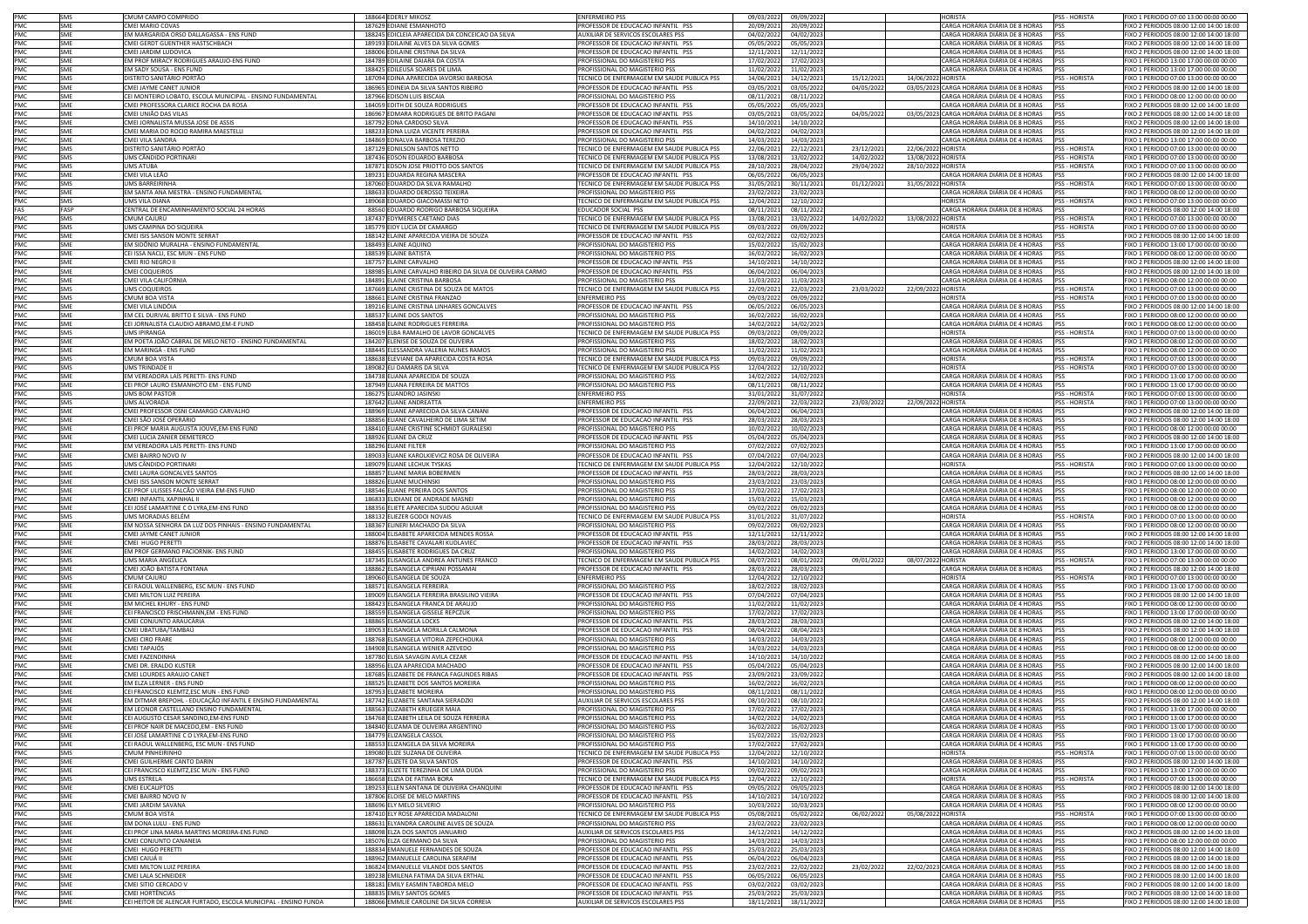|            | SMS        | CMUM CAMPO COMPRIDO                                                               | 188664 EDERLY MIKOSZ                                                 | <b>ENFERMEIRO PSS</b>                                                    | 09/03/2022             | 09/09/2022               |            |                    | <b>HORISTA</b>                                                             | PSS - HORISTA        | FIXO 1 PERIODO 07:00 13:00 00:00 00:00                                             |
|------------|------------|-----------------------------------------------------------------------------------|----------------------------------------------------------------------|--------------------------------------------------------------------------|------------------------|--------------------------|------------|--------------------|----------------------------------------------------------------------------|----------------------|------------------------------------------------------------------------------------|
| PMC<br>PMC | SME        | CMEI MARIO COVAS                                                                  | 187629 EDIANE ESMANHOTO                                              | PROFESSOR DE EDUCACAO INFANTIL PSS                                       | 20/09/202              | 20/09/2022               |            |                    | CARGA HORÁRIA DIÁRIA DE 8 HORAS PSS                                        |                      | FIXO 2 PERIODOS 08:00 12:00 14:00 18:00                                            |
| PMC        | SME        | EM MARGARIDA ORSO DALLAGASSA - ENS FUND                                           | 188245 EDICLEIA APARECIDA DA CONCEICAO DA SILVA                      | AUXILIAR DE SERVICOS ESCOLARES PSS                                       | 04/02/202              | 04/02/2023               |            |                    | CARGA HORÁRIA DIÁRIA DE 8 HORAS PSS                                        |                      | FIXO 2 PERIODOS 08:00 12:00 14:00 18:00                                            |
| PMC        | SME        | CMEI GERDT GUENTHER HASTSCHBACH                                                   | 189193 EDILAINE ALVES DA SILVA GOMES                                 | ROFESSOR DE EDUCACAO INFANTIL PSS                                        | 05/05/202              | 05/05/2023               |            |                    | CARGA HORÁRIA DIÁRIA DE 8 HORAS                                            | <b>PSS</b>           | IXO 2 PERIODOS 08:00 12:00 14:00 18:00                                             |
| PMC        | SME        | CMEI JARDIM LUDOVICA                                                              | 188006 EDILAINE CRISTINA DA SILVA                                    | PROFESSOR DE EDUCACAO INFANTIL PSS                                       | 12/11/202              | 12/11/2022               |            |                    | CARGA HORÁRIA DIÁRIA DE 8 HORAS PSS                                        |                      | FIXO 2 PERIODOS 08:00 12:00 14:00 18:00                                            |
| PMC        | SMF        | EM PROF MIRACY RODRIGUES ARAUJO-ENS FUND                                          | 184789 EDILAINE DAIARA DA COSTA                                      | PROFISSIONAL DO MAGISTERIO PSS                                           | 17/02/202              | 17/02/2023               |            |                    | CARGA HORÁRIA DIÁRIA DE 4 HORAS PSS                                        |                      | FIXO 1 PERIODO 13:00 17:00 00:00 00:00                                             |
|            | SME        | EM SADY SOUSA - ENS FUND                                                          | 188425 EDILEUSA SOARES DE LIMA                                       | PROFISSIONAL DO MAGISTERIO PSS                                           | 11/02/202              | 11/02/2023               |            |                    | CARGA HORÁRIA DIÁRIA DE 4 HORAS PSS                                        |                      | FIXO 1 PERIODO 13:00 17:00 00:00 00:00                                             |
| PMC<br>PMC | SMS        | DISTRITO SANITÁRIO PORTÃO                                                         | 187094 EDINA APARECIDA IAVORSKI BARBOSA                              | TECNICO DE ENFERMAGEM EM SAUDE PUBLICA PSS                               | 14/06/202              | 14/12/2021               | 15/12/202  | 14/06/2022 HORISTA |                                                                            | PSS - HORISTA        | FIXO 1 PERIODO 07:00 13:00 00:00 00:00                                             |
| PMC        | SME        | CMEI JAYME CANET JUNIOR                                                           | 186965 EDINEIA DA SILVA SANTOS RIBEIRO                               | PROFESSOR DE EDUCACAO INFANTIL PSS                                       | 03/05/202              | 03/05/2022               | 04/05/202  |                    | 03/05/2023 CARGA HORÁRIA DIÁRIA DE 8 HORAS                                 | <b>PSS</b>           | FIXO 2 PERIODOS 08:00 12:00 14:00 18:00                                            |
| PMC        | SMF        | CEI MONTEIRO LOBATO. ESCOLA MUNICIPAL - ENSINO FUNDAMENTAL                        | 187966 EDISON LUIS BISCAIA                                           | PROFISSIONAL DO MAGISTERIO PSS                                           |                        |                          |            |                    | CARGA HORÁRIA DIÁRIA DE 4 HORAS                                            |                      | FIXO 1 PERIODO 08:00 12:00 00:00 00:00                                             |
| PMC        | SME        | CMEI PROFESSORA CLARICE ROCHA DA ROSA                                             | 184059 EDITH DE SOUZA RODRIGUES                                      | PROFESSOR DE EDUCACAO INFANTIL PSS                                       | 08/11/202<br>05/05/202 | 08/11/2022<br>05/05/2023 |            |                    | CARGA HORÁRIA DIÁRIA DE 8 HORAS                                            | PSS                  | FIXO 2 PERIODOS 08:00 12:00 14:00 18:00                                            |
|            |            | "MEI UNIÃO DAS VILAS                                                              |                                                                      |                                                                          |                        |                          |            |                    |                                                                            | <b>PSS</b>           | IXO 2 PERIODOS 08:00 12:00 14:00 18:00                                             |
| PMC        | SME        |                                                                                   | 186967<br>EDMARA RODRIGUES DE BRITO PAGANI                           | ROFESSOR DE EDUCACAO INFANTIL PSS                                        | 03/05/202              | 03/05/2022               | 04/05/202  |                    | 03/05/2023 CARGA HORÁRIA DIÁRIA DE 8 HORAS                                 | <b>PSS</b>           |                                                                                    |
| PMC        | SME        | CMEI JORNALISTA MUSSA JOSE DE ASSIS                                               | 187792 EDNA CARDOSO SILVA                                            | PROFESSOR DE EDUCACAO INFANTIL PSS                                       | 14/10/202              | 14/10/2022               |            |                    | CARGA HORÁRIA DIÁRIA DE 8 HORAS                                            | PSS                  | FIXO 2 PERIODOS 08:00 12:00 14:00 18:00                                            |
| PMC        | SME        | CMEI MARIA DO ROCIO RAMIRA MAESTELL                                               | 188233 EDNA LUIZA VICENTE PEREIRA                                    | PROFESSOR DE EDUCACAO INFANTIL PSS                                       | 04/02/202              | 04/02/2023               |            |                    | CARGA HORÁRIA DIÁRIA DE 8 HORAS                                            | PSS                  | FIXO 2 PERIODOS 08:00 12:00 14:00 18:00                                            |
| PMC        | SME        | CMEI VILA SANDRA                                                                  | 184869 EDNALVA BARBOSA TEREZIO                                       | PROFISSIONAL DO MAGISTERIO PSS                                           | 14/03/202              | 14/03/2023               |            |                    | CARGA HORÁRIA DIÁRIA DE 4 HORAS                                            | PSS                  | FIXO 1 PERIODO 13:00 17:00 00:00 00:00                                             |
| PMC<br>PMC | SMS        | DISTRITO SANITÁRIO PORTÃO                                                         | 187129 EDNILSON SANTOS NETTO                                         | TECNICO DE ENFERMAGEM EM SAUDE PUBLICA PSS                               | 22/06/202              | 22/12/2021               | 23/12/202  | 22/06/2022 HORISTA |                                                                            | PSS - HORISTA        | FIXO 1 PERIODO 07:00 13:00 00:00 00:00                                             |
|            | SMS        | UMS CÂNDIDO PORTINARI                                                             | 187436 EDSON EDUARDO BARBOSA                                         | TECNICO DE ENFERMAGEM EM SAUDE PUBLICA PSS                               | 13/08/202              | 13/02/2022               | 14/02/202  | 13/08/2022 HORISTA |                                                                            | <b>PSS - HORISTA</b> | FIXO 1 PERIODO 07:00 13:00 00:00 00:00                                             |
| PMC        | SMS        | <b>UMS ATUBA</b>                                                                  | 187871 EDSON JOSE PRIOTTO DOS SANTOS                                 | TECNICO DE ENFERMAGEM EM SAUDE PUBLICA PSS                               | 28/10/202              | 28/04/2022               | 29/04/202  | 28/10/2022 HORISTA |                                                                            | PSS - HORISTA        | FIXO 1 PERIODO 07:00 13:00 00:00 00:00                                             |
| PMC        | SME        | CMEI VILA LEÃO                                                                    | 189231 EDUARDA REGINA MASCERA                                        | PROFESSOR DE EDUCACAO INFANTIL PSS                                       | 06/05/202              | 06/05/2023               |            |                    | CARGA HORÁRIA DIÁRIA DE 8 HORAS                                            | PSS                  | FIXO 2 PERIODOS 08:00 12:00 14:00 18:00                                            |
| PMC        | SMS        | UMS BARREIRINHA                                                                   | 187060 EDUARDO DA SILVA RAMALHO                                      | TECNICO DE ENFERMAGEM EM SAUDE PUBLICA PSS                               | 31/05/202              | 30/11/2021               | 01/12/202  | 31/05/2022 HORISTA |                                                                            | PSS - HORISTA        | IXO 1 PERIODO 07:00 13:00 00:00 00:00                                              |
| PMC        | SME        | EM SANTA ANA MESTRA - ENSINO EUNDAMENTAL                                          | 188633 EDUARDO DEROSSO TEIXEIRA                                      | ROFISSIONAL DO MAGISTERIO PSS                                            | 23/02/202              | 23/02/2023               |            |                    | CARGA HORÁRIA DIÁRIA DE 4 HORAS                                            | PSS                  | IXO 1 PERIODO 08:00 12:00 00:00 00:00                                              |
| PMC        | SMS        | UMS VILA DIANA                                                                    | 189068 EDUARDO GIACOMASSI NETO                                       | TECNICO DE ENFERMAGEM EM SAUDE PUBLICA PSS                               | 12/04/202              | 12/10/2022               |            |                    | <b>HORISTA</b>                                                             | PSS - HORISTA        | FIXO 1 PERIODO 07:00 13:00 00:00 00:00                                             |
| FAS        | FASP       | CENTRAL DE ENCAMINHAMENTO SOCIAL 24 HORAS                                         | 88560 EDUARDO RODRIGO BARBOSA SIQUEIRA                               | EDUCADOR SOCIAL PSS                                                      | 08/11/202              | 08/11/2022               |            |                    | CARGA HORÁRIA DIÁRIA DE 8 HORAS PSS                                        |                      | FIXO 2 PERIODOS 08:00 12:00 14:00 18:00                                            |
| PMC<br>PMC | SMS        | CMUM CAJURU                                                                       | 187437 EDYMERES CAETANO DIAS                                         | TECNICO DE ENFERMAGEM EM SAUDE PUBLICA PSS                               | 13/08/202              | 13/02/2022               | 14/02/202  | 13/08/2022 HORISTA |                                                                            | PSS - HORISTA        | FIXO 1 PERIODO 07:00 13:00 00:00 00:00                                             |
|            | SMS        | UMS CAMPINA DO SIQUEIRA                                                           | 185779 EIDY LUCIA DE CAMARGO                                         | TECNICO DE ENFERMAGEM EM SAUDE PUBLICA PSS                               | 09/03/202              | 09/09/2022               |            |                    | <b>HORISTA</b>                                                             | <b>PSS - HORISTA</b> | FIXO 1 PERIODO 07:00 13:00 00:00 00:00                                             |
| PMC        | SME        | CMEI ISIS SANSON MONTE SERRAT                                                     | 188142 ELAINE APARECIDA VIEIRA DE SOUZA                              | PROFESSOR DE EDUCACAO INFANTIL PSS                                       | 02/02/202              | 02/02/2023               |            |                    | CARGA HORÁRIA DIÁRIA DE 8 HORAS                                            | PSS                  | FIXO 2 PERIODOS 08:00 12:00 14:00 18:00                                            |
| PMC        | <b>SME</b> | EM SIDÔNIO MURALHA - ENSINO FUNDAMENTAL                                           | 188493 ELAINE AQUINO                                                 | PROFISSIONAL DO MAGISTERIO PSS                                           | 15/02/202              | 15/02/2023               |            |                    | CARGA HORÁRIA DIÁRIA DE 4 HORAS                                            | <b>PSS</b>           | FIXO 1 PERIODO 13:00 17:00 00:00 00:00                                             |
| PMC        | SME        | CEI ISSA NACLI, ESC MUN - ENS FUND                                                | 188539 ELAINE BATISTA                                                | PROFISSIONAL DO MAGISTERIO PSS                                           | 16/02/202              | 16/02/2023               |            |                    | CARGA HORÁRIA DIÁRIA DE 4 HORAS                                            | <b>PSS</b>           | IXO 1 PERIODO 08:00 12:00 00:00 00:00                                              |
| PMC        | SME        | <b>CMEI RIO NEGRO II</b>                                                          | 187757<br>ELAINE CARVALHO                                            | ROFESSOR DE EDUCACAO INFANTIL PSS                                        | 14/10/202              | 14/10/2022               |            |                    | CARGA HORÁRIA DIÁRIA DE 8 HORAS                                            | <b>PSS</b>           | IXO 2 PERIODOS 08:00 12:00 14:00 18:00                                             |
| PMC        | <b>SME</b> | <b>CMEI COQUEIROS</b>                                                             | 188985 ELAINE CARVALHO RIBEIRO DA SILVA DE OLIVEIRA CARMO            | PROFESSOR DE EDUCACAO INFANTIL PSS                                       | 06/04/202              | 06/04/2023               |            |                    | CARGA HORÁRIA DIÁRIA DE 8 HORAS                                            | PSS                  | FIXO 2 PERIODOS 08:00 12:00 14:00 18:00                                            |
| PMC        | SMF        | CMEI VILA CALIFÓRNIA                                                              | 184891 ELAINE CRISTINA BARBOSA                                       | PROFISSIONAL DO MAGISTERIO PSS                                           | 11/03/202              | 11/03/2023               |            |                    | CARGA HORÁRIA DIÁRIA DE 4 HORAS                                            | PSS                  | FIXO 1 PERIODO 08:00 12:00 00:00 00:00                                             |
|            | SMS        | <b>UMS COQUEIROS</b>                                                              | 187669 ELAINE CRISTINA DE SOUZA DE MATOS                             | TECNICO DE ENFERMAGEM EM SAUDE PUBLICA PSS                               | 22/09/202              | 22/03/2022               | 23/03/202  | 22/09/2022 HORISTA |                                                                            | PSS - HORISTA        | FIXO 1 PERIODO 07:00 13:00 00:00 00:00                                             |
| PMC<br>PMC | SMS        | CMUM BOA VISTA                                                                    | 188661 ELAINE CRISTINA FRANZAO                                       | <b>ENFERMEIRO PSS</b>                                                    | 09/03/202              | 09/09/2022               |            |                    | <b>HORISTA</b>                                                             | <b>PSS - HORISTA</b> | FIXO 1 PERIODO 07:00 13:00 00:00 00:00                                             |
| PMC        | SME        | CMEI VILA LINDÓIA                                                                 | 189216 ELAINE CRISTINA LINHARES GONCALVES                            | PROFESSOR DE EDUCACAO INFANTIL PSS                                       | 06/05/202              | 06/05/2023               |            |                    | CARGA HORÁRIA DIÁRIA DE 8 HORAS PSS                                        |                      | FIXO 2 PERIODOS 08:00 12:00 14:00 18:00                                            |
| PMC        | <b>SME</b> | EM CEL DURIVAL BRITTO E SILVA - ENS FUND                                          | 188537 ELAINE DOS SANTOS                                             | PROFISSIONAL DO MAGISTERIO PSS                                           | 16/02/202              | 16/02/2023               |            |                    | CARGA HORÁRIA DIÁRIA DE 4 HORAS PSS                                        |                      | FIXO 1 PERIODO 08:00 12:00 00:00 00:00                                             |
| PMC        | SME        | CEI JORNALISTA CLAUDIO ABRAMO, EM-E FUND                                          | 188458 ELAINE RODRIGUES FERREIRA                                     | PROFISSIONAL DO MAGISTERIO PSS                                           | 14/02/202              | 14/02/2023               |            |                    | CARGA HORÁRIA DIÁRIA DE 4 HORAS PSS                                        |                      | FIXO 1 PERIODO 08:00 12:00 00:00 00:00                                             |
| PMC        | SMS        | <b>JMS IPIRANGA</b>                                                               | 186019 ELBA RAMALHO DE LAVOR GONCALVES                               | ECNICO DE ENFERMAGEM EM SAUDE PUBLICA PSS                                | 09/03/202              | 09/09/2022               |            |                    | HORISTA                                                                    | PSS - HORISTA        | IXO 1 PERIODO 07:00 13:00 00:00 00:00                                              |
| PMC        | SME        | EM POETA JOÃO CABRAL DE MELO NETO - ENSINO FUNDAMENTAL                            | 184207 ELENISE DE SOUZA DE OLIVEIRA                                  | ROFISSIONAL DO MAGISTERIO PSS                                            | 18/02/202              | 18/02/2023               |            |                    | CARGA HORÁRIA DIÁRIA DE 4 HORAS                                            | <b>PSS</b>           | IXO 1 PERIODO 08:00 12:00 00:00 00:00                                              |
|            |            |                                                                                   |                                                                      |                                                                          |                        |                          |            |                    |                                                                            |                      |                                                                                    |
| PMC<br>PMC | SME<br>SMS | EM MARINGÁ - ENS FUND<br>CMUM BOA VISTA                                           | 188445 ELESSANDRA VALERIA NUNES RAMOS                                | PROFISSIONAL DO MAGISTERIO PSS                                           | 11/02/202              | 11/02/2023               |            |                    | CARGA HORÁRIA DIÁRIA DE 4 HORAS<br><b>HORISTA</b>                          | PSS<br>PSS - HORISTA | FIXO 1 PERIODO 08:00 12:00 00:00 00:00                                             |
|            |            |                                                                                   | 188638 ELEVIANE DA APARECIDA COSTA ROSA                              | TECNICO DE ENFERMAGEM EM SAUDE PUBLICA PSS                               | 09/03/202              | 09/09/2022               |            |                    |                                                                            |                      | FIXO 1 PERIODO 07:00 13:00 00:00 00:00                                             |
| PMC<br>PMC | SMS        | <b>UMS TRINDADE II</b>                                                            | 189082 ELI DAMARIS DA SILVA                                          | TECNICO DE ENFERMAGEM EM SAUDE PUBLICA PSS                               | 12/04/202              | 12/10/2022               |            |                    | <b>HORISTA</b>                                                             | PSS - HORISTA        | FIXO 1 PERIODO 07:00 13:00 00:00 00:00                                             |
|            | SME        | EM VEREADORA LAÍS PERETTI- ENS FUND                                               | 184738 ELIANA APARECIDA DE SOUZA                                     | PROFISSIONAL DO MAGISTERIO PSS                                           | 14/02/202              | 14/02/2023               |            |                    | CARGA HORÁRIA DIÁRIA DE 4 HORAS                                            | PSS                  | FIXO 1 PERIODO 13:00 17:00 00:00 00:00                                             |
| PMC        | SME        | CEI PROF LAURO ESMANHOTO EM - ENS FUND                                            | 187949 ELIANA FERREIRA DE MATTOS                                     | PROFISSIONAL DO MAGISTERIO PSS                                           | 08/11/202              | 08/11/2022               |            |                    | CARGA HORÁRIA DIÁRIA DE 4 HORAS PSS                                        |                      | FIXO 1 PERIODO 13:00 17:00 00:00 00:00                                             |
| PMC        | SMS        | <b>UMS BOM PASTOR</b>                                                             | 186275 ELIANDRO JASINSKI                                             | <b>ENFERMEIRO PSS</b>                                                    | 31/01/202              | 31/07/2022               |            |                    | <b>HORISTA</b>                                                             | PSS - HORISTA        | FIXO 1 PERIODO 07:00 13:00 00:00 00:00                                             |
| PMC        | SMS        | UMS ALVORADA                                                                      | 187642 ELIANE ANDREATTA                                              | ENFERMEIRO PSS                                                           | 22/09/202              | 22/03/2022               | 23/03/2022 | 22/09/2022 HORISTA |                                                                            | <b>PSS - HORISTA</b> | IXO 1 PERIODO 07:00 13:00 00:00 00:00                                              |
| PMC        | SME        | CMEI PROFESSOR OSNI CAMARGO CARVALHO                                              | 188969 ELIANE APARECIDA DA SILVA CANANI                              | PROFESSOR DE EDUCACAO INFANTIL PSS                                       | 06/04/202              | 06/04/2023               |            |                    | CARGA HORÁRIA DIÁRIA DE 8 HORAS                                            | PSS                  | IXO 2 PERIODOS 08:00 12:00 14:00 18:00                                             |
| PMC        | SME        | CMEI SÃO JOSÉ OPERÁRIO                                                            | 188856 ELIANE CAVALHEIRO DE LIMA SETIM                               | PROFESSOR DE EDUCACAO INFANTIL PSS                                       | 28/03/202              | 28/03/2023               |            |                    | CARGA HORÁRIA DIÁRIA DE 8 HORAS                                            | PSS                  | FIXO 2 PERIODOS 08:00 12:00 14:00 18:00                                            |
| PMC        | SMF        | CEI PROF MARIA AUGUSTA JOUVE, EM-ENS FUND                                         | 188410 ELIANE CRISTINE SCHMIDT GURALESKI                             | PROFISSIONAL DO MAGISTERIO PSS                                           | 10/02/202              | 10/02/2023               |            |                    | CARGA HORÁRIA DIÁRIA DE 4 HORAS                                            | <b>PSS</b>           | FIXO 1 PERIODO 08:00 12:00 00:00 00:00                                             |
| PMC<br>PMC | SME        | CMEI LUCIA ZANIER DEMETERCO                                                       | 188926 ELIANE DA CRUZ                                                | PROFESSOR DE EDUCACAO INFANTIL PSS                                       | 05/04/202              | 05/04/2023               |            |                    | CARGA HORÁRIA DIÁRIA DE 8 HORAS                                            | PSS                  | FIXO 2 PERIODOS 08:00 12:00 14:00 18:00                                            |
|            | SME        | EM VEREADORA LAÍS PERETTI- ENS FUND                                               | 188296 ELIANE FILTER                                                 | PROFISSIONAL DO MAGISTERIO PSS                                           | 07/02/202              | 07/02/2023               |            |                    | CARGA HORÁRIA DIÁRIA DE 4 HORAS PSS                                        |                      | FIXO 1 PERIODO 13:00 17:00 00:00 00:00                                             |
| PMC        | SME        | CMEI BAIRRO NOVO IV                                                               | 189033 ELIANE KAROLKIEVICZ ROSA DE OLIVEIRA                          | PROFESSOR DE EDUCACAO INFANTIL PSS                                       | 07/04/202              | 07/04/2023               |            |                    | CARGA HORÁRIA DIÁRIA DE 8 HORAS PSS                                        |                      | FIXO 2 PERIODOS 08:00 12:00 14:00 18:00                                            |
| PMC        | SMS        | UMS CÂNDIDO PORTINARI                                                             | 189079 ELIANE LECHUK TYSKAS                                          | TECNICO DE ENFERMAGEM EM SAUDE PUBLICA PSS                               | 12/04/202              | 12/10/2022               |            |                    | <b>HORISTA</b>                                                             | PSS - HORISTA        | FIXO 1 PERIODO 07:00 13:00 00:00 00:00                                             |
|            |            |                                                                                   |                                                                      |                                                                          |                        |                          |            |                    | CARGA HORÁRIA DIÁRIA DE 8 HORAS                                            |                      |                                                                                    |
| PMC        | SME        | CMEI LAURA GONCALVES SANTOS                                                       | 188857 ELIANE MARIA BOBERMEN                                         | PROFESSOR DE EDUCACAO INFANTIL PSS                                       |                        | 28/03/2023               |            |                    |                                                                            | <b>IPSS</b>          | IXO 2 PERIODOS 08:00 12:00 14:00 18:00                                             |
|            | SME        |                                                                                   |                                                                      |                                                                          | 28/03/202              |                          |            |                    |                                                                            | <b>PSS</b>           |                                                                                    |
| PMC        |            | <b>IMEI ISIS SANSON MONTE SERRAT</b>                                              | 188826 ELIANE MUCHINSKI                                              | ROFISSIONAL DO MAGISTERIO PSS                                            | 23/03/202              | 23/03/2023               |            |                    | CARGA HORÁRIA DIÁRIA DE 4 HORAS                                            |                      | IXO 1 PERIODO 08:00 12:00 00:00 00:00                                              |
| PMC        | SME        | CEI PROF ULISSES FALCÃO VIEIRA EM-ENS FUND                                        | 188546 ELIANE PEREIRA DOS SANTOS                                     | PROFISSIONAL DO MAGISTERIO PSS                                           | 17/02/202              | 17/02/2023               |            |                    | CARGA HORÁRIA DIÁRIA DE 4 HORAS PSS                                        |                      | FIXO 1 PERIODO 08:00 12:00 00:00 00:00                                             |
|            | SME        | CMEI INFANTIL XAPINHAL II                                                         | 186833 ELIDIANE DE ANDRADE MASNE                                     | PROFISSIONAL DO MAGISTERIO PSS                                           | 15/03/202              | 15/03/2023               |            |                    | CARGA HORÁRIA DIÁRIA DE 4 HORAS PSS                                        |                      | FIXO 1 PERIODO 08:00 12:00 00:00 00:00                                             |
| PMC<br>PMC | SME        | CEI JOSÉ LAMARTINE C O LYRA,EM-ENS FUND                                           | 188356 ELIETE APARECIDA SUDOU AGUIAR                                 | PROFISSIONAL DO MAGISTERIO PSS                                           | 09/02/202              | 09/02/2023               |            |                    | CARGA HORÁRIA DIÁRIA DE 4 HORAS PSS                                        |                      | FIXO 1 PERIODO 08:00 12:00 00:00 00:00                                             |
| PMC        | SMS        | UMS MORADIAS BELÉM                                                                | 188132 ELIEZER GODOI NOVAIS                                          | TECNICO DE ENFERMAGEM EM SAUDE PUBLICA PSS                               | 31/01/202              | 31/07/2022               |            |                    | <b>HORISTA</b>                                                             | <b>PSS - HORISTA</b> | FIXO 1 PERIODO 07:00 13:00 00:00 00:00                                             |
| PMC        | SME        | EM NOSSA SENHORA DA LUZ DOS PINHAIS - ENSINO FUNDAMENTAL                          | 188367 ELINERI MACHADO DA SILVA                                      | PROFISSIONAL DO MAGISTERIO PSS                                           | 09/02/202              | 09/02/2023               |            |                    | CARGA HORÁRIA DIÁRIA DE 4 HORAS PSS                                        |                      | FIXO 1 PERIODO 08:00 12:00 00:00 00:00                                             |
| PMC        | <b>SME</b> | CMEI JAYME CANET JUNIOR                                                           | 188004 ELISABETE APARECIDA MENDES ROSSA                              | PROFESSOR DE EDUCACAO INFANTIL PSS                                       | 12/11/202              | 12/11/2022               |            |                    | CARGA HORÁRIA DIÁRIA DE 8 HORAS                                            | <b>PSS</b>           | IXO 2 PERIODOS 08:00 12:00 14:00 18:00                                             |
| PMC        | SMF        | CMEI HUGO PERETTI                                                                 | 188876 ELISABETE CAVALARI KUDLAVIEC                                  | PROFESSOR DE EDUCACAO INFANTIL PSS                                       | 28/03/202              | 28/03/2023               |            |                    | CARGA HORÁRIA DIÁRIA DE 8 HORAS PSS                                        |                      | FIXO 2 PERIODOS 08:00 12:00 14:00 18:00                                            |
| PMC        | SME        | EM PROF GERMANO PACIORNIK- ENS FUND                                               | 188455 ELISABETE RODRIGUES DA CRUZ                                   | PROFISSIONAL DO MAGISTERIO PSS                                           | 14/02/202              | 14/02/2023               |            |                    | CARGA HORÁRIA DIÁRIA DE 4 HORAS                                            | <b>PSS</b>           | IXO 1 PERIODO 13:00 17:00 00:00 00:00                                              |
| PMC        | SMS        | JMS MARIA ANGÉLICA                                                                | 187345<br>LISANGELA ANDREA ANTUNES FRANCO                            | ECNICO DE ENFERMAGEM EM SAUDE PUBLICA PSS                                | 08/07/202              | 08/01/2022               | 09/01/202  | 08/07/2022 HORISTA |                                                                            | PSS - HORISTA        | IXO 1 PERIODO 07:00 13:00 00:00 00:00                                              |
| PMC        | SME        | CMEI JOÃO BATISTA FONTANA                                                         | 188862 ELISANGELA CIPRIANI POSSAMAI                                  | PROFESSOR DE EDUCACAO INFANTIL PSS                                       | 28/03/202              | 28/03/2023               |            |                    | CARGA HORÁRIA DIÁRIA DE 8 HORAS                                            | PSS                  | FIXO 2 PERIODOS 08:00 12:00 14:00 18:00                                            |
| PMC        | SMS        | CMUM CAIURÚ                                                                       | 189060 ELISANGELA DE SOUZA                                           | <b>ENFERMEIRO PSS</b>                                                    | 12/04/202              | 12/10/2022               |            |                    | <b>HORISTA</b>                                                             | PSS - HORISTA        | FIXO 1 PERIODO 07:00 13:00 00:00 00:00                                             |
|            | SME        | CEI RAOUL WALLENBERG, ESC MUN - ENS FUND                                          | 188571 ELISANGELA FERREIRA                                           | PROFISSIONAL DO MAGISTERIO PSS                                           | 18/02/202              | 18/02/2023               |            |                    | CARGA HORÁRIA DIÁRIA DE 4 HORAS                                            | PSS                  | FIXO 1 PERIODO 13:00 17:00 00:00 00:00                                             |
| PMC<br>PMC | SME        | CMEI MILTON LUIZ PEREIRA                                                          | 189009 ELISANGELA FERREIRA BRASILINO VIEIRA                          | PROFESSOR DE EDUCACAO INFANTIL PSS                                       | 07/04/202              | 07/04/2023               |            |                    | CARGA HORÁRIA DIÁRIA DE 8 HORAS PSS                                        |                      | FIXO 2 PERIODOS 08:00 12:00 14:00 18:00                                            |
| PMC        | SME        | EM MICHEL KHURY - ENS FUND                                                        | 188423 ELISANGELA FRANCA DE ARAUJO                                   | PROFISSIONAL DO MAGISTERIO PSS                                           | 11/02/202              | 11/02/2023               |            |                    | CARGA HORÁRIA DIÁRIA DE 4 HORAS PSS                                        |                      | FIXO 1 PERIODO 08:00 12:00 00:00 00:00                                             |
| PMC        | SME        | CEI FRANCISCO FRISCHMANN.EM - ENS FUND                                            | 188559 FLISANGELA GISSELF REPCZUK                                    | PROFISSIONAL DO MAGISTERIO PSS                                           | 17/02/202              | 17/02/2023               |            |                    | CARGA HORÁRIA DIÁRIA DE 4 HORAS PSS                                        |                      | FIXO 1 PERIODO 13:00 17:00 00:00 00:00                                             |
| PMC        | SME        | CMEI CONJUNTO ARAUCÁRIA                                                           | 188865 ELISANGELA LOCKS                                              | PROFESSOR DE EDUCACAO INFANTIL PSS                                       | 28/03/202              | 28/03/2023               |            |                    | CARGA HORÁRIA DIÁRIA DE 8 HORAS PSS                                        |                      | IXO 2 PERIODOS 08:00 12:00 14:00 18:00                                             |
| PMC        | SME        | CMEI UBATUBA/TAMBAÚ                                                               | 189053 ELISANGELA MORILLA CALMONA                                    | PROFESSOR DE EDUCACAO INFANTIL PSS                                       | 08/04/202              | 08/04/2023               |            |                    | CARGA HORÁRIA DIÁRIA DE 8 HORAS                                            | <b>PSS</b>           | IXO 2 PERIODOS 08:00 12:00 14:00 18:00                                             |
| PMC        | SME        | CMEI CIRO FRARE                                                                   | 188768 ELISANGELA VITORIA ZEPECHOUKA                                 | PROFISSIONAL DO MAGISTERIO PSS                                           | 14/03/202              | 14/03/2023               |            |                    | CARGA HORÁRIA DIÁRIA DE 4 HORAS                                            | <b>PSS</b>           | FIXO 1 PERIODO 08:00 12:00 00:00 00:00                                             |
| PMC        | SME        | CMEI TAPAJÓS                                                                      | 184908 ELISANGELA WENIER AZEVEDO                                     | PROFISSIONAL DO MAGISTERIO PSS                                           | 14/03/202              | 14/03/2023               |            |                    | CARGA HORÁRIA DIÁRIA DE 4 HORAS PSS                                        |                      | FIXO 1 PERIODO 08:00 12:00 00:00 00:00                                             |
|            | SME        | CMEI FAZENDINHA                                                                   | 187780 ELISIA SAVAGIN AVILA CEZAR                                    | PROFESSOR DE EDUCACAO INFANTIL PSS                                       | 14/10/202              | 14/10/2022               |            |                    | CARGA HORÁRIA DIÁRIA DE 8 HORAS                                            | PSS                  | FIXO 2 PERIODOS 08:00 12:00 14:00 18:00                                            |
| PMC<br>PMC | SME        | CMEI DR. ERALDO KUSTER                                                            | 188956 ELIZA APARECIDA MACHADO                                       | PROFESSOR DE EDUCACAO INFANTIL PSS                                       | 05/04/202              | 05/04/2023               |            |                    | CARGA HORÁRIA DIÁRIA DE 8 HORAS                                            | <b>PSS</b>           | FIXO 2 PERIODOS 08:00 12:00 14:00 18:00                                            |
| PMC        | SME        | CMEI LOURDES ARAUJO CANET                                                         | 187685 ELIZABETE DE FRANCA FAGUNDES RIBAS                            | PROFESSOR DE EDUCACAO INFANTIL PSS                                       | 23/09/202              | 23/09/2022               |            |                    | CARGA HORÁRIA DIÁRIA DE 8 HORAS PSS                                        |                      | FIXO 2 PERIODOS 08:00 12:00 14:00 18:00                                            |
| PMC        | <b>SME</b> | EM ELZA LERNER - ENS FUND                                                         | 188525 ELIZABETE DOS SANTOS MOREIRA                                  | PROFISSIONAL DO MAGISTERIO PSS                                           | 16/02/202              | 16/02/2023               |            |                    | CARGA HORÁRIA DIÁRIA DE 4 HORAS                                            | PSS                  | FIXO 1 PERIODO 08:00 12:00 00:00 00:00                                             |
| PMC        | SME        | CEI FRANCISCO KLEMTZ.ESC MUN - ENS FUND                                           | 187953 ELIZABETE MOREIRA                                             | ROFISSIONAL DO MAGISTERIO PSS                                            | 08/11/202              | 08/11/2022               |            |                    | CARGA HORÁRIA DIÁRIA DE 4 HORAS                                            | <b>PSS</b>           | IXO 1 PERIODO 08:00 12:00 00:00 00:00                                              |
| PMC        | <b>SME</b> | EM DITMAR BREPOHL - EDUCAÇÃO INFANTIL E ENSINO FUNDAMENTAL                        | 187742 ELIZABETE SANTANA SIERADZKI                                   | <b>NUXILIAR DE SERVICOS ESCOLARES PSS</b>                                | 08/10/202              | 08/10/2022               |            |                    | CARGA HORÁRIA DIÁRIA DE 8 HORAS                                            | PSS                  | IXO 2 PERIODOS 08:00 12:00 14:00 18:00                                             |
|            |            | LEONOR CASTELLANO ENSINO FUNDAMENTA                                               |                                                                      | -ISSIUNAL DU MI                                                          | 17702720.              | 1//02/202                |            |                    | HORÁRIA DIARIA DE 4 HORAS                                                  |                      | U I FERIUDU 13:00 17:00 00:00 00:00                                                |
| PMC        | SME        | CEI AUGUSTO CESAR SANDINO, EM-ENS FUND                                            | 184768 ELIZABETH LEILA DE SOUZA FERREIRA                             | PROFISSIONAL DO MAGISTERIO PSS                                           | 14/02/202              | 14/02/2023               |            |                    | CARGA HORÁRIA DIÁRIA DE 4 HORAS                                            | <b>PSS</b>           | FIXO 1 PERIODO 13:00 17:00 00:00 00:00                                             |
| PMC        | <b>SME</b> | CEI PROF NAIR DE MACEDO.EM - ENS FUND                                             | 184840 ELIZAMA DE OLIVEIRA ARGENTINO                                 | PROFISSIONAL DO MAGISTERIO PSS                                           | 16/02/202              | 16/02/2023               |            |                    | CARGA HORÁRIA DIÁRIA DE 4 HORAS PSS                                        |                      | FIXO 1 PERIODO 13:00 17:00 00:00 00:00                                             |
| PMC        | SME        | CEI JOSÉ LAMARTINE C O LYRA,EM-ENS FUND                                           | 184779 ELIZANGELA CASSOL                                             | PROFISSIONAL DO MAGISTERIO PSS                                           | 15/02/202              | 15/02/2023               |            |                    | CARGA HORÁRIA DIÁRIA DE 4 HORAS PSS                                        |                      | FIXO 1 PERIODO 13:00 17:00 00:00 00:00                                             |
| PMC        | <b>SME</b> | CELRAOUL WALLENBERG, ESC MUN - ENS FUND                                           | 188553 ELIZANGELA DA SILVA MOREIRA                                   | PROFISSIONAL DO MAGISTERIO PSS                                           | 17/02/202              | 17/02/2023               |            |                    | CARGA HORÁRIA DIÁRIA DE 4 HORAS PSS                                        |                      | FIXO 1 PERIODO 13:00 17:00 00:00 00:00                                             |
| PMC        | SMS        | CMUM PINHEIRINHO                                                                  | 189080 ELIZE SUZANA DE OLIVEIRA                                      | TECNICO DE ENFERMAGEM EM SAUDE PUBLICA PSS                               | 12/04/202              | 12/10/2022               |            |                    | HORISTA                                                                    | PSS - HORISTA        | FIXO 1 PERIODO 07:00 13:00 00:00 00:00                                             |
| PMC        | <b>SME</b> | CMEI GUILHERME CANTO DARIN                                                        | 187787 ELIZETE DA SILVA SANTOS                                       | PROFESSOR DE EDUCACAO INFANTIL PSS                                       | 14/10/202              | 14/10/2022               |            |                    | CARGA HORÁRIA DIÁRIA DE 8 HORAS PSS                                        |                      | FIXO 2 PERIODOS 08:00 12:00 14:00 18:00                                            |
| PMC        | SME        | CEI FRANCISCO KLEMTZ.ESC MUN - ENS FUND                                           | 188373 ELIZETE TEREZINHA DE LIMA DUDA                                | PROFISSIONAL DO MAGISTERIO PSS                                           | 09/02/202              | 09/02/2023               |            |                    | CARGA HORÁRIA DIÁRIA DE 4 HORAS PSS                                        |                      | FIXO 1 PERIODO 13:00 17:00 00:00 00:00                                             |
| PMC        | SMS        | UMS ESTRELA                                                                       | 186658 ELIZIA DE FATIMA BORA                                         | ECNICO DE ENFERMAGEM EM SAUDE PUBLICA PSS                                | 12/04/202              | 12/10/2022               |            |                    | HORISTA                                                                    | PSS - HORISTA        | IXO 1 PERIODO 07:00 13:00 00:00 00:00                                              |
| PMC        | SME        | <b>CMEI EUCALIPTOS</b>                                                            | 189253 ELLEN SANTANA DE OLIVEIRA CHANQUINI                           | PROFESSOR DE EDUCACAO INFANTIL PSS                                       | 09/05/20               | 09/05/2023               |            |                    | CARGA HORÁRIA DIÁRIA DE 8 HORAS                                            | <b>PSS</b>           | FIXO 2 PERIODOS 08:00 12:00 14:00 18:00                                            |
| PMC        | SME        | CMEI BAIRRO NOVO IV                                                               | 187806 ELOISE DE MELO MARTINS                                        | PROFESSOR DE EDUCACAO INFANTIL PSS                                       | 14/10/202              | 14/10/2022               |            |                    | CARGA HORÁRIA DIÁRIA DE 8 HORAS                                            | PSS                  | FIXO 2 PERIODOS 08:00 12:00 14:00 18:00                                            |
| PMC        | SME        | CMEI JARDIM SAVANA                                                                | 188696 ELY MELO SILVERIO                                             | PROFISSIONAL DO MAGISTERIO PSS                                           | 10/03/202              | 10/03/2023               |            |                    | CARGA HORÁRIA DIÁRIA DE 4 HORAS PSS                                        |                      | FIXO 1 PERIODO 08:00 12:00 00:00 00:00                                             |
| PMC        | SMS        | CMUM BOA VISTA                                                                    | 187410 ELY ROSE APARECIDA MADALONI                                   | TECNICO DE ENFERMAGEM EM SAUDE PUBLICA PSS                               | 05/08/202              | 05/02/2022               | 06/02/202  | 05/08/2022 HORISTA |                                                                            | PSS - HORISTA        | FIXO 1 PERIODO 07:00 13:00 00:00 00:00                                             |
|            | SME        | EM DONA LULU - ENS FUND                                                           | 188631 ELYANDRA CAROLINE ALVES DE SOUZA                              | PROFISSIONAL DO MAGISTERIO PSS                                           | 23/02/202              | 23/02/2023               |            |                    | CARGA HORÁRIA DIÁRIA DE 4 HORAS PSS                                        |                      | FIXO 1 PERIODO 08:00 12:00 00:00 00:00                                             |
| PMC        | <b>SME</b> | CEI PROF LINA MARIA MARTINS MOREIRA-ENS FUND                                      | 188098 ELZA DOS SANTOS JANUARIO                                      | AUXILIAR DE SERVICOS ESCOLARES PSS                                       | 14/12/202              | 14/12/2022               |            |                    | CARGA HORÁRIA DIÁRIA DE 8 HORAS PSS                                        |                      | FIXO 2 PERIODOS 08:00 12:00 14:00 18:00                                            |
| PMC        | SME        | CMEI CONJUNTO CANANEIA                                                            | 185076 ELZA GERMANO DA SILVA                                         | PROFISSIONAL DO MAGISTERIO PSS                                           | 14/03/202              | 14/03/2023               |            |                    | CARGA HORÁRIA DIÁRIA DE 4 HORAS PSS                                        |                      | FIXO 1 PERIODO 08:00 12:00 00:00 00:00                                             |
| PMC        | <b>SME</b> | CMEI HUGO PERETTI                                                                 | 188834 EMANUELE FERNANDES DE SOUZA                                   | PROFESSOR DE EDUCACAO INFANTIL PSS                                       | 25/03/202              | 25/03/2023               |            |                    | CARGA HORÁRIA DIÁRIA DE 8 HORAS PSS                                        |                      | FIXO 2 PERIODOS 08:00 12:00 14:00 18:00                                            |
| PMC<br>PMC | SME        | CMEI CAIUÁ II                                                                     | 188962 EMANUELLE CAROLINA SERAFIM                                    | PROFESSOR DE EDUCACAO INFANTIL PSS                                       | 06/04/202              | 06/04/2023               |            |                    | CARGA HORÁRIA DIÁRIA DE 8 HORAS                                            | PSS                  | FIXO 2 PERIODOS 08:00 12:00 14:00 18:00                                            |
| PMC        | <b>SME</b> | CMEI MILTON LUIZ PEREIRA                                                          | 186824 EMANUELLE VILANDE DOS SANTOS                                  | PROFESSOR DE EDUCACAO INFANTIL PSS                                       | 23/02/202              | 22/02/2022               | 23/02/202  |                    | 22/02/2023 CARGA HORÁRIA DIÁRIA DE 8 HORAS PSS                             |                      | FIXO 2 PERIODOS 08:00 12:00 14:00 18:00                                            |
| PMC        | SME        | CMEI LALA SCHNEIDER                                                               | 189238 EMILENA FATIMA DA SILVA ERTHAL                                | PROFESSOR DE EDUCACAO INFANTIL PSS                                       | 06/05/202              | 06/05/2023               |            |                    | CARGA HORÁRIA DIÁRIA DE 8 HORAS PSS                                        |                      | EIXO 2 PERIODOS 08:00 12:00 14:00 18:00                                            |
| PMC        | SME        | CMEI SITIO CERCADO V                                                              | 188181 EMILY EASMIN TABORDA MELO                                     | PROFESSOR DE EDUCACAO INFANTIL PSS                                       | 03/02/202              | 03/02/2023               |            |                    | CARGA HORÁRIA DIÁRIA DE 8 HORAS PSS                                        |                      | FIXO 2 PERIODOS 08:00 12:00 14:00 18:00                                            |
| PMC<br>PMC | SME<br>SME | CMEI HORTÊNCIAS<br>CEI HEITOR DE ALENCAR FURTADO, ESCOLA MUNICIPAL - ENSINO FUNDA | 188835 EMILY SANTOS GOMES<br>188066 FMMLIE CAROLINE DA SILVA CORREIA | PROFESSOR DE EDUCACAO INFANTIL PSS<br>AUXILIAR DE SERVICOS ESCOLARES PSS | 25/03/202              | 25/03/2023<br>18/11/2022 |            |                    | CARGA HORÁRIA DIÁRIA DE 8 HORAS PSS<br>CARGA HORÁRIA DIÁRIA DE 8 HORAS PSS |                      | FIXO 2 PERIODOS 08:00 12:00 14:00 18:00<br>FIXO 2 PERIODOS 08:00 12:00 14:00 18:00 |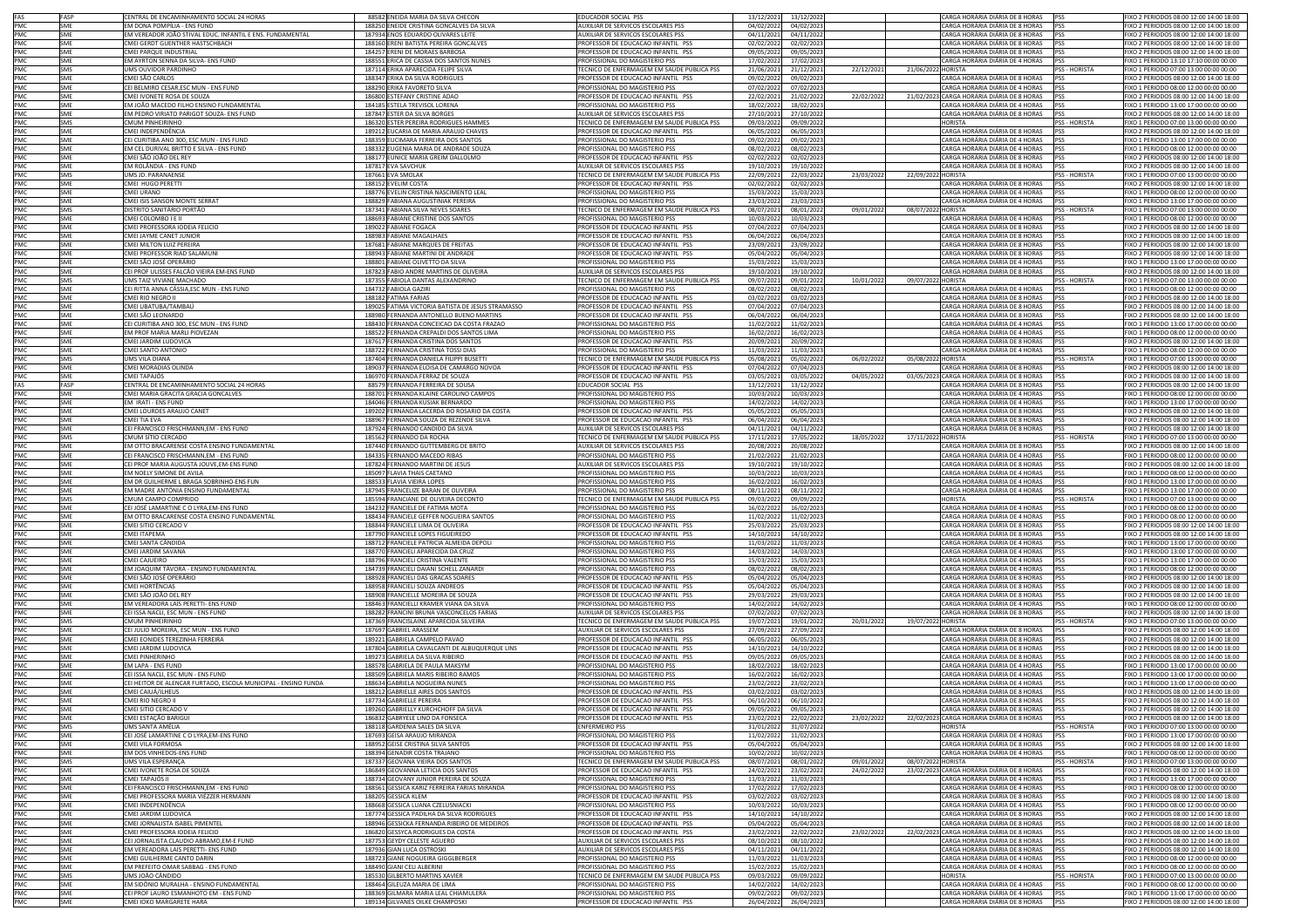| FAS                             | FASP       | CENTRAL DE ENCAMINHAMENTO SOCIAL 24 HORAS                      | 88582 ENEIDA MARIA DA SILVA CHECON                | <b>EDUCADOR SOCIAL PSS</b>                 | 13/12/2021 | 13/12/202             |            | CARGA HORÁRIA DIÁRIA DE 8 HORAS            | <b>PSS</b>           | FIXO 2 PERIODOS 08:00 12:00 14:00 18:00 |
|---------------------------------|------------|----------------------------------------------------------------|---------------------------------------------------|--------------------------------------------|------------|-----------------------|------------|--------------------------------------------|----------------------|-----------------------------------------|
| PMC                             | SME        | EM DONA POMPÍLIA - ENS FUND                                    | 188250 ENEIDE CRISTINA GONCALVES DA SILVA         | <b>NUXILIAR DE SERVICOS ESCOLARES PSS</b>  | 04/02/2022 | 04/02/2023            |            | CARGA HORÁRIA DIÁRIA DE 8 HORAS            | <b>IPSS</b>          | FIXO 2 PERIODOS 08:00 12:00 14:00 18:00 |
| PMC                             |            | EM VEREADOR JOÃO STIVAL EDUC. INFANTIL E ENS. FUNDAMENTAL      |                                                   |                                            |            |                       |            |                                            |                      |                                         |
|                                 | SME        |                                                                | 187934 ENOS EDUARDO OLIVARES LEITE                | AUXILIAR DE SERVICOS ESCOLARES PSS         | 04/11/2021 | 04/11/2022            |            | CARGA HORÁRIA DIÁRIA DE 8 HORAS            | <b>PSS</b>           | FIXO 2 PERIODOS 08:00 12:00 14:00 18:00 |
| PMC                             | <b>SME</b> | CMEI GERDT GUENTHER HASTSCHBACH                                | 188160 ERENI BATISTA PEREIRA GONCALVES            | PROFESSOR DE EDUCACAO INFANTIL PSS         | 02/02/2022 | 02/02/2023            |            | CARGA HORÁRIA DIÁRIA DE 8 HORAS            | <b>PSS</b>           | FIXO 2 PERIODOS 08:00 12:00 14:00 18:00 |
| PMC                             | SME        | CMEI PARQUE INDUSTRIAL                                         | 184257 ERENI DE MORAES BARBOSA                    | ROFESSOR DE EDUCACAO INFANTIL PSS          | 09/05/2022 | 09/05/202             |            | ARGA HORÁRIA DIÁRIA DE 8 HORAS             | <b>PSS</b>           | TXO 2 PERIODOS 08:00 12:00 14:00 18:00  |
| PMC                             | SME        | EM AYRTON SENNA DA SILVA- ENS FUND                             | 188551 ERICA DE CASSIA DOS SANTOS NUNES           | ROFISSIONAL DO MAGISTERIO PSS              | 17/02/2022 | 17/02/2023            |            | ARGA HORÁRIA DIÁRIA DE 4 HORAS             |                      | IXO 1 PERIODO 13:10 17:10 00:00 00:00   |
| PMC<br>PMC<br>PMC<br>PMC<br>PMC | SMS        | UMS OUVIDOR PARDINHO                                           | 187114 ERIKA APARECIDA FELIPE SILVA               | FECNICO DE ENFERMAGEM EM SAUDE PUBLICA PSS | 21/06/2021 | 21/12/2021            | 22/12/2021 | 21/06/2022 HORISTA                         | <b>PSS - HORISTA</b> | FIXO 1 PERIODO 07:00 13:00 00:00 00:00  |
|                                 | SMF        | CMEI SÃO CARLOS                                                | 188347 ERIKA DA SILVA RODRIGUES                   | PROFESSOR DE EDUCACAO INFANTIL PSS         | 09/02/202  | 09/02/2023            |            | CARGA HORÁRIA DIÁRIA DE 8 HORAS            | PSS                  | FIXO 2 PERIODOS 08:00 12:00 14:00 18:00 |
|                                 | SME        | CEI BELMIRO CESAR, ESC MUN - ENS FUND                          | 188290 ERIKA FAVORETO SILVA                       | PROFISSIONAL DO MAGISTERIO PSS             | 07/02/2022 | 07/02/2023            |            | CARGA HORÁRIA DIÁRIA DE 4 HORAS            | PSS                  | FIXO 1 PERIODO 08:00 12:00 00:00 00:00  |
|                                 | SME        | CMEI IVONETE ROSA DE SOUZA                                     | 186800 ESTEFANY CRISTINE ADAO                     | PROFESSOR DE EDUCACAO INFANTIL PSS         | 22/02/2021 | 21/02/2022            | 22/02/2022 | 21/02/2023 CARGA HORÁRIA DIÁRIA DE 8 HORAS | PSS                  | FIXO 2 PERIODOS 08:00 12:00 14:00 18:00 |
|                                 | SME        | EM JOÃO MACEDO FILHO ENSINO FUNDAMENTAL                        | 184185 ESTELA TREVISOL LORENA                     | PROFISSIONAL DO MAGISTERIO PSS             | 18/02/2022 | 18/02/2023            |            | CARGA HORÁRIA DIÁRIA DE 4 HORAS            | PSS                  | FIXO 1 PERIODO 13:00 17:00 00:00 00:00  |
|                                 |            |                                                                |                                                   | <b>NUXILIAR DE SERVICOS ESCOLARES PSS</b>  |            |                       |            | CARGA HORÁRIA DIÁRIA DE 8 HORAS            |                      |                                         |
| PMC                             | <b>SME</b> | EM PEDRO VIRIATO PARIGOT SOUZA- ENS FUND                       | 187847 ESTER DA SILVA BORGES                      |                                            | 27/10/2021 | 27/10/2022            |            |                                            | PSS                  | FIXO 2 PERIODOS 08:00 12:00 14:00 18:00 |
| PMC                             | <b>SMS</b> | CMUM PINHEIRINHO                                               | 186320 ESTER PEREIRA RODRIGUES HAMMES             | ECNICO DE ENFERMAGEM EM SAUDE PUBLICA PSS  | 09/03/2022 | 09/09/2022            |            | HORISTA                                    | <b>PSS - HORISTA</b> | FIXO 1 PERIODO 07:00 13:00 00:00 00:00  |
|                                 | SME        | CMEI INDEPENDÊNCIA                                             | 189212 EUCARIA DE MARIA ARAUJO CHAVES             | ROFESSOR DE EDUCACAO INFANTIL PSS          | 06/05/2022 | 06/05/2023            |            | ARGA HORÁRIA DIÁRIA DE 8 HORAS             | PSS                  | IXO 2 PERIODOS 08:00 12:00 14:00 18:00  |
| PMC<br>PMC                      | SME        | CEI CURITIBA ANO 300, ESC MUN - ENS FUND                       | 188359 EUCIMARA FERREIRA DOS SANTOS               | ROFISSIONAL DO MAGISTERIO PSS              | 09/02/2022 | 09/02/2023            |            | CARGA HORÁRIA DIÁRIA DE 4 HORAS            | PSS                  | FIXO 1 PERIODO 13:00 17:00 00:00 00:00  |
| PMC                             | SME        | EM CEL DURIVAL BRITTO E SILVA - ENS FUND                       | 188332 EUGENIA MARIA DE ANDRADE SOUZA             | PROFISSIONAL DO MAGISTERIO PSS             | 08/02/2022 | 08/02/202             |            | CARGA HORÁRIA DIÁRIA DE 4 HORAS            | PSS                  | FIXO 1 PERIODO 08:00 12:00 00:00 00:00  |
|                                 | SME        | CMEI SÃO JOÃO DEL REY                                          | 188177 EUNICE MARIA GREIM DALLOLMO                | PROFESSOR DE EDUCACAO INFANTIL PSS         | 02/02/2022 | 02/02/2023            |            | CARGA HORÁRIA DIÁRIA DE 8 HORAS            | <b>PSS</b>           | FIXO 2 PERIODOS 08:00 12:00 14:00 18:00 |
| PMC<br>PMC<br>PMC               | SME        | EM ROLÂNDIA - ENS FUND                                         | 187817 EVA SAVCHUK                                | <b>NUXILIAR DE SERVICOS ESCOLARES PSS</b>  | 19/10/2021 | 19/10/2022            |            | CARGA HORÁRIA DIÁRIA DE 8 HORAS            | PSS                  | FIXO 2 PERIODOS 08:00 12:00 14:00 18:00 |
|                                 |            |                                                                |                                                   |                                            |            |                       |            |                                            |                      |                                         |
|                                 | SMS        | UMS JD. PARANAENSE                                             | 187661 EVA SMOLAK                                 | FECNICO DE ENFERMAGEM EM SAUDE PUBLICA PSS | 22/09/2021 | 22/03/2022            | 23/03/202  | 22/09/2022 HORISTA                         | <b>PSS - HORISTA</b> | FIXO 1 PERIODO 07:00 13:00 00:00 00:00  |
|                                 | SME        | CMEI HUGO PERETTI                                              | 188152 EVELIM COSTA                               | PROFESSOR DE EDUCACAO INFANTIL PSS         | 02/02/2022 | 02/02/2023            |            | CARGA HORÁRIA DIÁRIA DE 8 HORAS            | PSS                  | FIXO 2 PERIODOS 08:00 12:00 14:00 18:00 |
|                                 | SME        | CMEI URANO                                                     | 188776 EVELIN CRISTINA NASCIMENTO LEAL            | PROFISSIONAL DO MAGISTERIO PSS             | 15/03/2022 | 15/03/2023            |            | CARGA HORÁRIA DIÁRIA DE 4 HORAS            | PSS                  | FIXO 1 PERIODO 08:00 12:00 00:00 00:00  |
|                                 | SME        | CMEI ISIS SANSON MONTE SERRAT                                  | 188829 FABIANA AUGUSTINIAK PEREIRA                | PROFISSIONAL DO MAGISTERIO PSS             | 23/03/2022 | 23/03/2023            |            | CARGA HORÁRIA DIÁRIA DE 4 HORAS            | <b>IPSS</b>          | TIXO 1 PERIODO 13:00 17:00 00:00 00:00  |
| PMC<br>PMC<br>PMC<br>PMC        | <b>SMS</b> | DISTRITO SANITÁRIO PORTÃO                                      | 187341 FABIANA SILVA NEVES SOARES                 | ECNICO DE ENFERMAGEM EM SAUDE PUBLICA PSS  | 08/07/2021 | 08/01/2022            | 09/01/2022 | 08/07/2022 HORISTA                         | PSS - HORISTA        | FIXO 1 PERIODO 07:00 13:00 00:00 00:00  |
| PMC<br>PMC<br>PMC               | SME        | CMEI COLOMBO I E II                                            | 188693 FABIANE CRISTINE DOS SANTOS                | PROFISSIONAL DO MAGISTERIO PSS             | 10/03/2022 | 10/03/2023            |            | CARGA HORÁRIA DIÁRIA DE 4 HORAS            | <b>PSS</b>           | FIXO 1 PERIODO 08:00 12:00 00:00 00:00  |
|                                 | SMF        | CMEI PROFESSORA IODEIA FELICIO                                 | 189022 FABIANE FOGACA                             | PROFESSOR DE EDUCACAO INFANTIL PSS         | 07/04/2022 | 07/04/2023            |            | CARGA HORÁRIA DIÁRIA DE 8 HORAS PSS        |                      | FIXO 2 PERIODOS 08:00 12:00 14:00 18:00 |
|                                 | SME        | CMEI JAYME CANET JUNIOR                                        | 188983 FABIANE MAGALHAES                          | PROFESSOR DE EDUCACAO INFANTIL PSS         | 06/04/202  | 06/04/2023            |            | CARGA HORÁRIA DIÁRIA DE 8 HORAS            | <b>PSS</b>           | FIXO 2 PERIODOS 08:00 12:00 14:00 18:00 |
|                                 | SME        |                                                                |                                                   |                                            |            |                       |            |                                            | <b>PSS</b>           |                                         |
| PMC                             |            | CMEI MILTON LUIZ PEREIRA                                       | 187681 FABIANE MARQUES DE FREITAS                 | PROFESSOR DE EDUCACAO INFANTIL PSS         | 23/09/2021 | 23/09/2022            |            | CARGA HORÁRIA DIÁRIA DE 8 HORAS            |                      | FIXO 2 PERIODOS 08:00 12:00 14:00 18:00 |
|                                 | SME        | CMEI PROFESSOR RIAD SALAMUNI                                   | 188943 FABIANE MARTINI DE ANDRADE                 | PROFESSOR DE EDUCACAO INFANTIL PSS         | 05/04/2022 | 05/04/2023            |            | CARGA HORÁRIA DIÁRIA DE 8 HORAS            | <b>PSS</b>           | FIXO 2 PERIODOS 08:00 12:00 14:00 18:00 |
| PMC<br>PMC<br>PMC               | <b>SME</b> | CMEI SÃO JOSÉ OPERÁRIO                                         | 188801 FABIANE OLIVETTO DA SILVA                  | PROFISSIONAL DO MAGISTERIO PSS             | 15/03/2022 | 15/03/2023            |            | CARGA HORÁRIA DIÁRIA DE 4 HORAS            | PSS                  | FIXO 1 PERIODO 13:00 17:00 00:00 00:00  |
|                                 | SME        | CEI PROF ULISSES FALCÃO VIEIRA EM-ENS FUND                     | 187823 FABIO ANDRE MARTINS DE OLIVEIRA            | UXILIAR DE SERVICOS ESCOLARES PSS          | 19/10/202  | 19/10/2022            |            | CARGA HORÁRIA DIÁRIA DE 8 HORAS            | PSS                  | IXO 2 PERIODOS 08:00 12:00 14:00 18:00  |
| PMC                             | <b>SMS</b> | JMS TAIZ VIVIANE MACHADO                                       | 187355 FABIOLA DANTAS ALEXANDRINO                 | ECNICO DE ENFERMAGEM EM SAUDE PUBLICA PSS  | 09/07/202  | 09/01/2022            | 10/01/2022 | 09/07/2022 HORISTA                         | <b>PSS - HORISTA</b> | IXO 1 PERIODO 07:00 13:00 00:00 00:00   |
| PMC                             | SME        | CEI RITTA ANNA CÁSSIA, ESC MUN - ENS FUND                      | 184732 FABIOLA GAZIRI                             | PROFISSIONAL DO MAGISTERIO PSS             | 08/02/2022 | 08/02/2023            |            | CARGA HORÁRIA DIÁRIA DE 4 HORAS            | PSS                  | FIXO 1 PERIODO 08:00 12:00 00:00 00:00  |
|                                 | SME        | CMEI RIO NEGRO II                                              | 188182 FATIMA FARIAS                              | PROFESSOR DE EDUCACAO INFANTIL PSS         | 03/02/2022 | 03/02/2023            |            | CARGA HORÁRIA DIÁRIA DE 8 HORAS            | <b>PSS</b>           | FIXO 2 PERIODOS 08:00 12:00 14:00 18:00 |
| PMC<br>PMC                      | SME        | CMEI UBATUBA/TAMBAÚ                                            | 189025 FATIMA VICTORIA BATISTA DE JESUS STRAMASSO | PROFESSOR DE EDUCACAO INFANTIL PSS         | 07/04/2022 | 07/04/2023            |            | CARGA HORÁRIA DIÁRIA DE 8 HORAS            | <b>PSS</b>           | FIXO 2 PERIODOS 08:00 12:00 14:00 18:00 |
| PMC                             | SME        | CMEI SÃO LEONARDO                                              | 188980 FERNANDA ANTONELLO BUENO MARTINS           | ROFESSOR DE EDUCACAO INFANTIL PSS          | 06/04/2022 | 06/04/2023            |            | CARGA HORÁRIA DIÁRIA DE 8 HORAS            | <b>IPSS</b>          | FIXO 2 PERIODOS 08:00 12:00 14:00 18:00 |
| PMC                             |            | CEI CURITIBA ANO 300, ESC MUN - ENS FUND                       |                                                   | PROFISSIONAL DO MAGISTERIO PSS             |            |                       |            |                                            |                      |                                         |
|                                 | SME        |                                                                | 188430 FERNANDA CONCEICAO DA COSTA FRAZAO         |                                            | 11/02/2022 | 11/02/2023            |            | CARGA HORÁRIA DIÁRIA DE 4 HORAS            | PSS                  | FIXO 1 PERIODO 13:00 17:00 00:00 00:00  |
| PMC<br>PMC<br>PMC<br>PMC        | SME        | EM PROF MARIA MARLI PIOVEZAN                                   | 188522 FERNANDA CREPALDI DOS SANTOS LIMA          | PROFISSIONAL DO MAGISTERIO PSS             | 16/02/2022 | 16/02/2023            |            | CARGA HORÁRIA DIÁRIA DE 4 HORAS            | PSS                  | FIXO 1 PERIODO 08:00 12:00 00:00 00:00  |
|                                 | SMF        | CMELIARDIM LUDOVICA                                            | 187617 FERNANDA CRISTINA DOS SANTOS               | PROFESSOR DE EDUCACAO INFANTIL PSS         | 20/09/2021 | 20/09/2022            |            | CARGA HORÁRIA DIÁRIA DE 8 HORAS            | <b>IPSS</b>          | FIXO 2 PERIODOS 08:00 12:00 14:00 18:00 |
|                                 | SME        | CMEI SANTO ANTONIO                                             | 188722 FERNANDA CRISTINA TOSSI DIAS               | <b>PROFISSIONAL DO MAGISTERIO PSS</b>      | 11/03/2022 | 11/03/2023            |            | CARGA HORÁRIA DIÁRIA DE 4 HORAS            | <b>PSS</b>           | FIXO 1 PERIODO 08:00 12:00 00:00 00:00  |
|                                 | SMS        | UMS VILA DIANA                                                 | 187404 FERNANDA DANIELA FILIPPI BUSETTI           | ECNICO DE ENFERMAGEM EM SAUDE PUBLICA PSS  | 05/08/202  | 05/02/2022            | 06/02/202  | 05/08/2022 HORISTA                         | <b>PSS - HORISTA</b> | FIXO 1 PERIODO 07:00 13:00 00:00 00:00  |
|                                 | SME        | CMEI MORADIAS OLINDA                                           | 189037 FERNANDA ELOISA DE CAMARGO NOVOA           | PROFESSOR DE EDUCACAO INFANTIL PSS         | 07/04/2022 | 07/04/2023            |            | CARGA HORÁRIA DIÁRIA DE 8 HORAS            | PSS                  | FIXO 2 PERIODOS 08:00 12:00 14:00 18:00 |
| PMC<br>PMC                      | SMF        | CMEI TAPAJÓS                                                   | 186970 FERNANDA FERRAZ DE SOUZA                   | PROFESSOR DE EDUCACAO INFANTIL PSS         | 03/05/202  | 03/05/2022            | 04/05/202  | 03/05/2023 CARGA HORÁRIA DIÁRIA DE 8 HORAS | <b>PSS</b>           | FIXO 2 PERIODOS 08:00 12:00 14:00 18:00 |
| FAS                             | FASP       | CENTRAL DE ENCAMINHAMENTO SOCIAL 24 HORAS                      | 88579 FERNANDA FERREIRA DE SOUSA                  | EDUCADOR SOCIAL PSS                        | 13/12/2021 | 13/12/2022            |            | CARGA HORÁRIA DIÁRIA DE 8 HORAS            | <b>IPSS</b>          | FIXO 2 PERIODOS 08:00 12:00 14:00 18:00 |
|                                 | SME        | CMEI MARIA GRACITA GRACIA GONCALVES                            | 188701 FERNANDA KLAINE CAROLINO CAMPOS            | PROFISSIONAL DO MAGISTERIO PSS             | 10/03/2022 | 10/03/2023            |            | CARGA HORÁRIA DIÁRIA DE 4 HORAS            | PSS                  | FIXO 1 PERIODO 08:00 12:00 00:00 00:00  |
|                                 |            |                                                                |                                                   |                                            |            |                       |            |                                            |                      |                                         |
|                                 | SME        | EM IRATI - ENS FUND                                            | 184046 FERNANDA KUSIAK BERNARDO                   | PROFISSIONAL DO MAGISTERIO PSS             | 14/02/2022 | 14/02/2023            |            | CARGA HORÁRIA DIÁRIA DE 4 HORAS            | PSS                  | FIXO 1 PERIODO 13:00 17:00 00:00 00:00  |
|                                 | SME        | CMEI LOURDES ARAUJO CANET                                      | 189202 FERNANDA LACERDA DO ROSARIO DA COSTA       | PROFESSOR DE EDUCACAO INFANTIL PSS         | 05/05/2022 | 05/05/2023            |            | CARGA HORÁRIA DIÁRIA DE 8 HORAS            | PSS                  | FIXO 2 PERIODOS 08:00 12:00 14:00 18:00 |
| PMC<br>PMC<br>PMC<br>PMC        | SME        | CMEI TIA EVA                                                   | 188967 FERNANDA SOUZA DE REZENDE SILVA            | ROFESSOR DE EDUCACAO INFANTIL PSS          | 06/04/2022 | 06/04/2023            |            | ARGA HORÁRIA DIÁRIA DE 8 HORAS             | <b>PSS</b>           | IXO 2 PERIODOS 08:00 12:00 14:00 18:00  |
| PMC                             | SME        | CEI FRANCISCO FRISCHMANN, EM - ENS FUND                        | 187924 FERNANDO CANDIDO DA SILVA                  | UXILIAR DE SERVICOS ESCOLARES PSS          | 04/11/2021 | 04/11/2022            |            | CARGA HORÁRIA DIÁRIA DE 8 HORAS            | PSS                  | TXO 2 PERIODOS 08:00 12:00 14:00 18:00  |
| PMC                             | SMS        | CMUM SÍTIO CERCADO                                             | 185562 FERNANDO DA ROCHA                          | ECNICO DE ENFERMAGEM EM SAUDE PUBLICA PSS  | 17/11/202  | 17/05/202             | 18/05/202  | 17/11/2022 HORISTA                         | PSS - HORISTA        | FIXO 1 PERIODO 07:00 13:00 00:00 00:00  |
|                                 | SME        | EM OTTO BRACARENSE COSTA ENSINO FUNDAMENTAL                    | 187440 FERNANDO GUTTEMBERG DE BRITO               | AUXILIAR DE SERVICOS ESCOLARES PSS         | 20/08/2021 | 20/08/2022            |            | CARGA HORÁRIA DIÁRIA DE 8 HORAS            | <b>PSS</b>           | FIXO 2 PERIODOS 08:00 12:00 14:00 18:00 |
|                                 | SME        | CEI FRANCISCO FRISCHMANN, EM - ENS FUND                        | 184335 FERNANDO MACEDO RIBAS                      | PROFISSIONAL DO MAGISTERIO PSS             | 21/02/2022 | 21/02/2023            |            | CARGA HORÁRIA DIÁRIA DE 4 HORAS            | <b>PSS</b>           | FIXO 1 PERIODO 08:00 12:00 00:00 00:00  |
| PMC<br>PMC<br>PMC               | SME        | CEI PROF MARIA AUGUSTA JOUVE,EM-ENS FUND                       | 187824 FERNANDO MARTINI DE JESUS                  | AUXILIAR DE SERVICOS ESCOLARES PSS         | 19/10/2021 | 19/10/2022            |            | CARGA HORÁRIA DIÁRIA DE 8 HORAS            | <b>PSS</b>           | FIXO 2 PERIODOS 08:00 12:00 14:00 18:00 |
|                                 | SME        | EM NOELY SIMONE DE AVILA                                       | 185097 FLAVIA THAIS CAETANO                       | PROFISSIONAL DO MAGISTERIO PSS             | 10/03/2022 | 10/03/2023            |            | CARGA HORÁRIA DIÁRIA DE 4 HORAS            | PSS                  | FIXO 1 PERIODO 08:00 12:00 00:00 00:00  |
|                                 | SME        | EM DR GUILHERME L BRAGA SOBRINHO-ENS FUN                       | 188533 FLAVIA VIEIRA LOPES                        |                                            |            | 16/02/2023            |            |                                            |                      |                                         |
|                                 |            |                                                                |                                                   |                                            |            |                       |            |                                            |                      |                                         |
|                                 |            |                                                                |                                                   | PROFISSIONAL DO MAGISTERIO PSS             | 16/02/2022 |                       |            | CARGA HORÁRIA DIÁRIA DE 4 HORAS            | PSS                  | FIXO 1 PERIODO 13:00 17:00 00:00 00:00  |
| PMC<br>PMC<br>PMC               | SME        | EM MADRE ANTÔNIA ENSINO FUNDAMENTAL                            | 187945 FRANCELIZE BARAN DE OLIVEIRA               | <b>PROFISSIONAL DO MAGISTERIO PSS</b>      | 08/11/2021 | 08/11/202             |            | CARGA HORÁRIA DIÁRIA DE 4 HORAS            | <b>PSS</b>           | FIXO 1 PERIODO 13:00 17:00 00:00 00:00  |
| PMC                             | SMS        | CMUM CAMPO COMPRIDO                                            | 185594 FRANCIANE DE OLIVEIRA DECONTO              | ECNICO DE ENFERMAGEM EM SAUDE PUBLICA PSS  | 09/03/2022 | 09/09/2022            |            | <b>IORISTA</b>                             | PSS - HORISTA        | IXO 1 PERIODO 07:00 13:00 00:00 00:00   |
| PMC                             | SME        | CEI JOSÉ LAMARTINE C O LYRA, EM-ENS FUND                       | 184232 FRANCIELE DE FATIMA MOTA                   | PROFISSIONAL DO MAGISTERIO PSS             | 16/02/2022 | 16/02/2023            |            | CARGA HORÁRIA DIÁRIA DE 4 HORAS            | PSS                  | FIXO 1 PERIODO 08:00 12:00 00:00 00:00  |
| PMC                             | SMF        | EM OTTO BRACARENSE COSTA ENSINO FUNDAMENTAL                    | 188434 FRANCIELE GEFFER NOGUEIRA SANTOS           | PROFISSIONAL DO MAGISTERIO PSS             | 11/02/2022 | 11/02/2023            |            | CARGA HORÁRIA DIÁRIA DE 4 HORAS            | <b>PSS</b>           | FIXO 1 PERIODO 08:00 12:00 00:00 00:00  |
| PMC                             | SME        | CMEI SITIO CERCADO V                                           | 188844 FRANCIELE LIMA DE OLIVEIRA                 | PROFESSOR DE EDUCACAO INFANTIL PSS         | 25/03/2022 | 25/03/202             |            | CARGA HORÁRIA DIÁRIA DE 8 HORAS            | PSS                  | FIXO 2 PERIODOS 08:00 12:00 14:00 18:00 |
| PMC                             | SME        | CMEI ITAPEMA                                                   | 187790 FRANCIELE LOPES FIGUEIREDO                 | PROFESSOR DE EDUCACAO INFANTIL PSS         | 14/10/2021 | 14/10/2022            |            | CARGA HORÁRIA DIÁRIA DE 8 HORAS            | <b>PSS</b>           | FIXO 2 PERIODOS 08:00 12:00 14:00 18:00 |
|                                 | SME        |                                                                | 188712 FRANCIELE PATRICIA ALMEIDA DEPOLI          | <b>PROFISSIONAL DO MAGISTERIO PSS</b>      |            |                       |            |                                            | <b>PSS</b>           |                                         |
| PMC                             |            | CMEI SANTA CÂNDIDA                                             |                                                   |                                            | 11/03/2022 | 11/03/2023            |            | CARGA HORÁRIA DIÁRIA DE 4 HORAS            |                      | FIXO 1 PERIODO 13:00 17:00 00:00 00:00  |
| PMC                             | SME        | CMEI JARDIM SAVANA                                             | 188770 FRANCIELI APARECIDA DA CRUZ                | PROFISSIONAL DO MAGISTERIO PSS             | 14/03/2022 | 14/03/2023            |            | CARGA HORÁRIA DIÁRIA DE 4 HORAS            | PSS                  | FIXO 1 PERIODO 13:00 17:00 00:00 00:00  |
|                                 | SME        | CMEI CAJUEIRO                                                  | 188796 FRANCIELI CRISTINA VALENTE                 | PROFISSIONAL DO MAGISTERIO PSS             | 15/03/2022 | 15/03/2023            |            | CARGA HORÁRIA DIÁRIA DE 4 HORAS            | PSS                  | FIXO 1 PERIODO 13:00 17:00 00:00 00:00  |
| PMC<br>PMC                      | SME        | EM JOAQUIM TÁVORA - ENSINO FUNDAMENTAL                         | 184739 FRANCIELI DAIANI SCHELL ZANARDI            | <b>PROFISSIONAL DO MAGISTERIO PSS</b>      | 08/02/2022 | 08/02/202             |            | ARGA HORÁRIA DIÁRIA DE 4 HORAS             | PSS                  | TIXO 1 PERIODO 08:00 12:00 00:00 00:00  |
| PMC                             | SME        | CMEI SÃO JOSÉ OPERÁRIO                                         | 188928 FRANCIELI DAS GRACAS SOARES                | ROFESSOR DE EDUCACAO INFANTIL PSS          | 05/04/2022 | 05/04/2023            |            | ARGA HORÁRIA DIÁRIA DE 8 HORAS             | PSS                  | IXO 2 PERIODOS 08:00 12:00 14:00 18:00  |
| PMC                             | SME        | CMEI HORTÊNCIAS                                                | 188958 FRANCIELI SOUZA ANDREOS                    | PROFESSOR DE EDUCACAO INFANTIL PSS         | 05/04/2022 | 05/04/2023            |            | CARGA HORÁRIA DIÁRIA DE 8 HORAS            | PSS                  | FIXO 2 PERIODOS 08:00 12:00 14:00 18:00 |
|                                 | SMF        | CMEI SÃO JOÃO DEL REY                                          | 188908 FRANCIELLE MOREIRA DE SOUZA                | PROFESSOR DE EDUCACAO INFANTIL PSS         | 29/03/2022 | 29/03/2023            |            | CARGA HORÁRIA DIÁRIA DE 8 HORAS            | PSS                  | FIXO 2 PERIODOS 08:00 12:00 14:00 18:00 |
|                                 | SME        | EM VEREADORA LAÍS PERETTI- ENS FUND                            | 188463 FRANCIELLI KRAMER VIANA DA SILVA           | PROFISSIONAL DO MAGISTERIO PSS             | 14/02/2022 | 14/02/2023            |            | CARGA HORÁRIA DIÁRIA DE 4 HORAS            | PSS                  | FIXO 1 PERIODO 08:00 12:00 00:00 00:00  |
|                                 | SME        | CEI ISSA NACLI, ESC MUN - ENS FUND                             | 188282 FRANCINI BRUNA VASCONCELOS FARIAS          | <b>NUXILIAR DE SERVICOS ESCOLARES PSS</b>  | 07/02/2022 | 07/02/2023            |            | CARGA HORÁRIA DIÁRIA DE 8 HORAS            | PSS                  | FIXO 2 PERIODOS 08:00 12:00 14:00 18:00 |
| PMC<br>PMC<br>PMC               | SMS        | CMUM PINHEIRINHO                                               | 187369 FRANCISLAINE APARECIDA SILVEIRA            | TECNICO DE ENFERMAGEM EM SAUDE PUBLICA PSS | 19/07/2021 | 19/01/2022            | 20/01/2022 | 19/07/2022 HORISTA                         | PSS - HORISTA        | FIXO 1 PERIODO 07:00 13:00 00:00 00:00  |
|                                 | SMF        | CEI JULIO MOREIRA. ESC MUN - ENS FUND                          | 187697 GABRIEL ARASSEM                            | AUXILIAR DE SERVICOS ESCOLARES PSS         | 27/09/2021 | 27/09/2022            |            | CARGA HORÁRIA DIÁRIA DE 8 HORAS            | <b>IPSS</b>          | FIXO 2 PERIODOS 08:00 12:00 14:00 18:00 |
| PMC<br>PMC                      |            |                                                                |                                                   |                                            |            |                       |            |                                            |                      | EIXO 2 PERIODOS 08:00 12:00 14:00 18:00 |
| PMC                             | SME        | CMEI EONIDES TEREZINHA FERREIRA                                | 189221 GABRIELA CAMPELO PAVAO                     | ROFESSOR DE EDUCACAO INFANTIL PSS          | 06/05/2022 | 06/05/2023            |            | ARGA HORÁRIA DIÁRIA DE 8 HORAS             | <b>PSS</b>           |                                         |
| PMC                             | SME        | CMEI JARDIM LUDOVICA                                           | 187804 GABRIELA CAVALCANTI DE ALBUQUERQUE LINS    | ROFESSOR DE EDUCACAO INFANTIL PSS          | 14/10/2021 | 14/10/2022            |            | CARGA HORÁRIA DIÁRIA DE 8 HORAS            | <b>PSS</b>           | IXO 2 PERIODOS 08:00 12:00 14:00 18:00  |
| PMC                             | SME        | <b>CMEI PINHERINHO</b>                                         | 189273 GABRIELA DA SILVA RIBEIRO                  | PROFESSOR DE EDUCACAO INFANTIL PSS         | 09/05/2022 | 09/05/2023            |            | CARGA HORÁRIA DIÁRIA DE 8 HORAS            | PSS                  | FIXO 2 PERIODOS 08:00 12:00 14:00 18:00 |
|                                 | SME        | EM LAPA - ENS FUND                                             | 188578 GABRIELA DE PAULA MAKSYM                   | PROFISSIONAL DO MAGISTERIO PSS             | 18/02/2022 | 18/02/2023            |            | CARGA HORÁRIA DIÁRIA DE 4 HORAS            | <b>IPSS</b>          | FIXO 1 PERIODO 13:00 17:00 00:00 00:00  |
| PMC<br>PMC                      | SME        | CEI ISSA NACLI, ESC MUN - ENS FUND                             | 188509 GABRIELA MARIS RIBEIRO RAMOS               | PROFISSIONAL DO MAGISTERIO PSS             | 16/02/2022 | 16/02/2023            |            | CARGA HORÁRIA DIÁRIA DE 4 HORAS            | <b>PSS</b>           | FIXO 1 PERIODO 13:00 17:00 00:00 00:00  |
|                                 | SME        | CEI HEITOR DE ALENCAR FURTADO, ESCOLA MUNICIPAL - ENSINO FUNDA | 188634 GABRIELA NOGUEIRA NUNES                    | PROFISSIONAL DO MAGISTERIO PSS             | 23/02/2022 | 23/02/2023            |            | CARGA HORÁRIA DIÁRIA DE 4 HORAS            | PSS                  | FIXO 1 PERIODO 13:00 17:00 00:00 00:00  |
| PMC                             | SME        | CMEI CAIUÁ/ILHEUS                                              | 188212 GABRIELLE AIRES DOS SANTOS                 | PROFESSOR DE EDUCACAO INFANTIL PSS         | 03/02/2022 | 03/02/2023            |            | CARGA HORÁRIA DIÁRIA DE 8 HORAS            | PSS                  | FIXO 2 PERIODOS 08:00 12:00 14:00 18:00 |
| PMC                             | SME        | CMEI RIO NEGRO II                                              | 187734 GABRIELLE PEREIRA                          | PROFESSOR DE EDUCACAO INFANTIL PSS         | 06/10/2021 | 06/10/2022            |            | CARGA HORÁRIA DIÁRIA DE 8 HORAS            | PSS                  | FIXO 2 PERIODOS 08:00 12:00 14:00 18:00 |
| <b>PMC</b>                      | SME        | CMEI SITIO CERCADO V                                           | 189260 GABRIELLY KURCHCHOEF DA SILVA              | ROFESSOR DE EDUCACAO INFANTIL PSS          |            |                       |            | ICARGA HORARIA DIARIA DE 8 HORAS           | <b>IPSS</b>          | FIXO 2 PERIODOS 08:00 12:00 14:00 18:00 |
|                                 |            | CMEI ESTAÇÃO BARIGUI                                           |                                                   |                                            |            | 09/05/2022 09/05/2023 |            |                                            | <b>PSS</b>           | FIXO 2 PERIODOS 08:00 12:00 14:00 18:00 |
|                                 | SME        |                                                                | 186832 GABRYELE LINO DA FONSECA                   | ROFESSOR DE EDUCACAO INFANTIL PSS          | 23/02/2021 | 22/02/2022            | 23/02/2022 | 22/02/2023 CARGA HORÁRIA DIÁRIA DE 8 HORAS |                      |                                         |
| PMC<br>PMC                      | SMS        | UMS SANTA AMÉLIA                                               | 188118 GARDENIA SALES DA SILVA                    | ENFERMEIRO PSS                             | 31/01/2022 | 31/07/2022            |            | <b>HORISTA</b>                             | PSS - HORISTA        | FIXO 1 PERIODO 07:00 13:00 00:00 00:00  |
| PMC                             | SME        | CEI JOSÉ LAMARTINE C O LYRA,EM-ENS FUND                        | 187693 GEISA ARAUJO MIRANDA                       | PROFISSIONAL DO MAGISTERIO PSS             | 11/02/2022 | 11/02/2023            |            | CARGA HORÁRIA DIÁRIA DE 4 HORAS            | <b>IPSS</b>          | FIXO 1 PERIODO 13:00 17:00 00:00 00:00  |
| PMC                             | SMF        | CMEI VILA FORMOSA                                              | 188952 GEISE CRISTINA SILVA SANTOS                | PROFESSOR DE EDUCACAO INFANTIL PSS         | 05/04/2022 | 05/04/2023            |            | CARGA HORÁRIA DIÁRIA DE 8 HORAS PSS        |                      | FIXO 2 PERIODOS 08:00 12:00 14:00 18:00 |
| PMC                             | SME        | EM DOS VINHEDOS-ENS FUND                                       | 188394 GENADIR COSTA TRAJANO                      | PROFISSIONAL DO MAGISTERIO PSS             | 10/02/2022 | 10/02/2023            |            | CARGA HORÁRIA DIÁRIA DE 4 HORAS            | PSS                  | FIXO 1 PERIODO 08:00 12:00 00:00 00:00  |
| PMC                             | <b>SMS</b> | UMS VILA ESPERANÇA                                             | 187337 GEOVANA VIEIRA DOS SANTOS                  | TECNICO DE ENFERMAGEM EM SAUDE PUBLICA PSS | 08/07/2021 | 08/01/2022            | 09/01/2022 | 08/07/2022 HORISTA                         | PSS - HORISTA        | FIXO 1 PERIODO 07:00 13:00 00:00 00:00  |
| PMC                             | SME        | CMEI IVONETE ROSA DE SOUZA                                     | 186849 GEOVANNA LETICIA DOS SANTOS                | PROFESSOR DE EDUCACAO INFANTIL PSS         | 24/02/2021 | 23/02/2022            | 24/02/2022 | 23/02/2023 CARGA HORÁRIA DIÁRIA DE 8 HORAS | PSS                  | FIXO 2 PERIODOS 08:00 12:00 14:00 18:00 |
| PMC                             | <b>SME</b> | CMEI TAPAIÓS II                                                | 188734 GEOVANY JUNIOR PEREIRA DE SOUZA            | PROFISSIONAL DO MAGISTERIO PSS             | 11/03/2022 | 11/03/2023            |            | CARGA HORÁRIA DIÁRIA DE 4 HORAS            | <b>PSS</b>           | FIXO 1 PERIODO 13:00 17:00 00:00 00:00  |
| PMC                             | SME        | CEI FRANCISCO FRISCHMANN, EM - ENS FUND                        | 188561 GESSICA KARIZ FERREIRA FARIAS MIRANDA      | <b>PROFISSIONAL DO MAGISTERIO PSS</b>      | 17/02/2022 | 17/02/2023            |            | CARGA HORÁRIA DIÁRIA DE 4 HORAS            | <b>PSS</b>           | FIXO 1 PERIODO 08:00 12:00 00:00 00:00  |
|                                 | SME        |                                                                |                                                   |                                            |            |                       |            |                                            | PSS                  |                                         |
| PMC                             |            | CMEI PROFESSORA MARIA VIÉZZER HERMANN                          | 188205 GESSICA KLEM                               | ROFESSOR DE EDUCACAO INFANTIL PSS          | 03/02/2022 | 03/02/2023            |            | ARGA HORÁRIA DIÁRIA DE 8 HORAS             |                      | IXO 2 PERIODOS 08:00 12:00 14:00 18:00  |
| PMC                             | SME        | CMEI INDEPENDÊNCIA                                             | 188668 GESSICA LUANA CZELUSNIACKI                 | PROFISSIONAL DO MAGISTERIO PSS             | 10/03/2022 | 10/03/2023            |            | CARGA HORÁRIA DIÁRIA DE 4 HORAS PSS        |                      | FIXO 1 PERIODO 08:00 12:00 00:00 00:00  |
| PMC                             | SME        | CMEI JARDIM LUDOVICA                                           | 187774 GESSICA PADILHA DA SILVA RODRIGUES         | PROFESSOR DE EDUCACAO INFANTIL PSS         | 14/10/2021 | 14/10/2022            |            | CARGA HORÁRIA DIÁRIA DE 8 HORAS            | PSS                  | FIXO 2 PERIODOS 08:00 12:00 14:00 18:00 |
| PMC                             | SME        | CMEI JORNALISTA ISABEL PIMENTEL                                | 188946 GESSICKA FERNANDA RIBEIRO DE MEDEIROS      | PROFESSOR DE EDUCACAO INFANTIL PSS         | 05/04/2022 | 05/04/2023            |            | CARGA HORÁRIA DIÁRIA DE 8 HORAS PSS        |                      | FIXO 2 PERIODOS 08:00 12:00 14:00 18:00 |
| PMC                             | SME        | CMEI PROFESSORA IODEIA FELICIO                                 | 186820 GESSYCA RODRIGUES DA COSTA                 | PROFESSOR DE EDUCACAO INFANTIL PSS         | 23/02/2021 | 22/02/2022            | 23/02/2022 | 22/02/2023 CARGA HORÁRIA DIÁRIA DE 8 HORAS | <b>IPSS</b>          | FIXO 2 PERIODOS 08:00 12:00 14:00 18:00 |
| PMC                             | SME        | CEI JORNALISTA CLAUDIO ABRAMO,EM-E FUND                        | 187753 GEYDY CELESTE AGUERO                       | AUXILIAR DE SERVICOS ESCOLARES PSS         | 08/10/2021 | 08/10/2022            |            | CARGA HORÁRIA DIÁRIA DE 8 HORAS            | PSS                  | FIXO 2 PERIODOS 08:00 12:00 14:00 18:00 |
| PMC                             | SMF        | EM VEREADORA LAÍS PERETTI- ENS FUND                            | 187936 GIAN LUCA OSTROSKI                         | AUXILIAR DE SERVICOS ESCOLARES PSS         | 04/11/2021 | 04/11/2022            |            | CARGA HORÁRIA DIÁRIA DE 8 HORAS            | PSS                  | FIXO 2 PERIODOS 08:00 12:00 14:00 18:00 |
| PMC                             | SME        | CMEI GUILHERME CANTO DARIN                                     | 188723 GIANE NOGUEIRA GIGGLBERGER                 | PROFISSIONAL DO MAGISTERIO PSS             | 11/03/2022 | 11/03/2023            |            | CARGA HORÁRIA DIÁRIA DE 4 HORAS            | <b>PSS</b>           | FIXO 1 PERIODO 08:00 12:00 00:00 00:00  |
| PMC                             | <b>SME</b> | EM PREFEITO OMAR SABBAG - ENS FUND                             | 188490 GIANI CELI ALBERINI                        | ROFISSIONAL DO MAGISTERIO PSS              | 15/02/2022 | 15/02/2023            |            | CARGA HORÁRIA DIÁRIA DE 4 HORAS            | <b>PSS</b>           | FIXO 1 PERIODO 08:00 12:00 00:00 00:00  |
| PMC                             | SMS        | UMS JOÃO CÂNDIDO                                               | 185530 GILBERTO MARTINS XAVIER                    | FECNICO DE ENFERMAGEM EM SAUDE PUBLICA PSS | 09/03/2022 | 09/09/2022            |            | <b>HORISTA</b>                             | PSS - HORISTA        | FIXO 1 PERIODO 07:00 13:00 00:00 00:00  |
| PMC                             | <b>SME</b> | EM SIDŌNIO MURALHA - ENSINO FUNDAMENTAL                        | 188464 GILEUZA MARIA DE LIMA                      | PROFISSIONAL DO MAGISTERIO PSS             | 14/02/2022 | 14/02/2023            |            | CARGA HORÁRIA DIÁRIA DE 4 HORAS            | <b>IPSS</b>          | FIXO 1 PERIODO 08:00 12:00 00:00 00:00  |
| PMC                             | SME        | CEI PROF LAURO ESMANHOTO EM - ENS FUND                         | 188369 GILMARA MARIA LEAL CHIAMULERA              | PROFISSIONAL DO MAGISTERIO PSS             | 09/02/2022 | 09/02/2023            |            | CARGA HORÁRIA DIÁRIA DE 4 HORAS            | PSS                  | FIXO 1 PERIODO 13:00 17:00 00:00 00:00  |
| PMC                             | SME        | CMEI IOKO MARGARETE HARA                                       | 189134 GILVANES OILKE CHAMPOSKI                   | PROFESSOR DE EDUCACAO INFANTIL PSS         | 26/04/2022 | 26/04/2023            |            | CARGA HORÁRIA DIÁRIA DE 8 HORAS            | PSS                  | FIXO 2 PERIODOS 08:00 12:00 14:00 18:00 |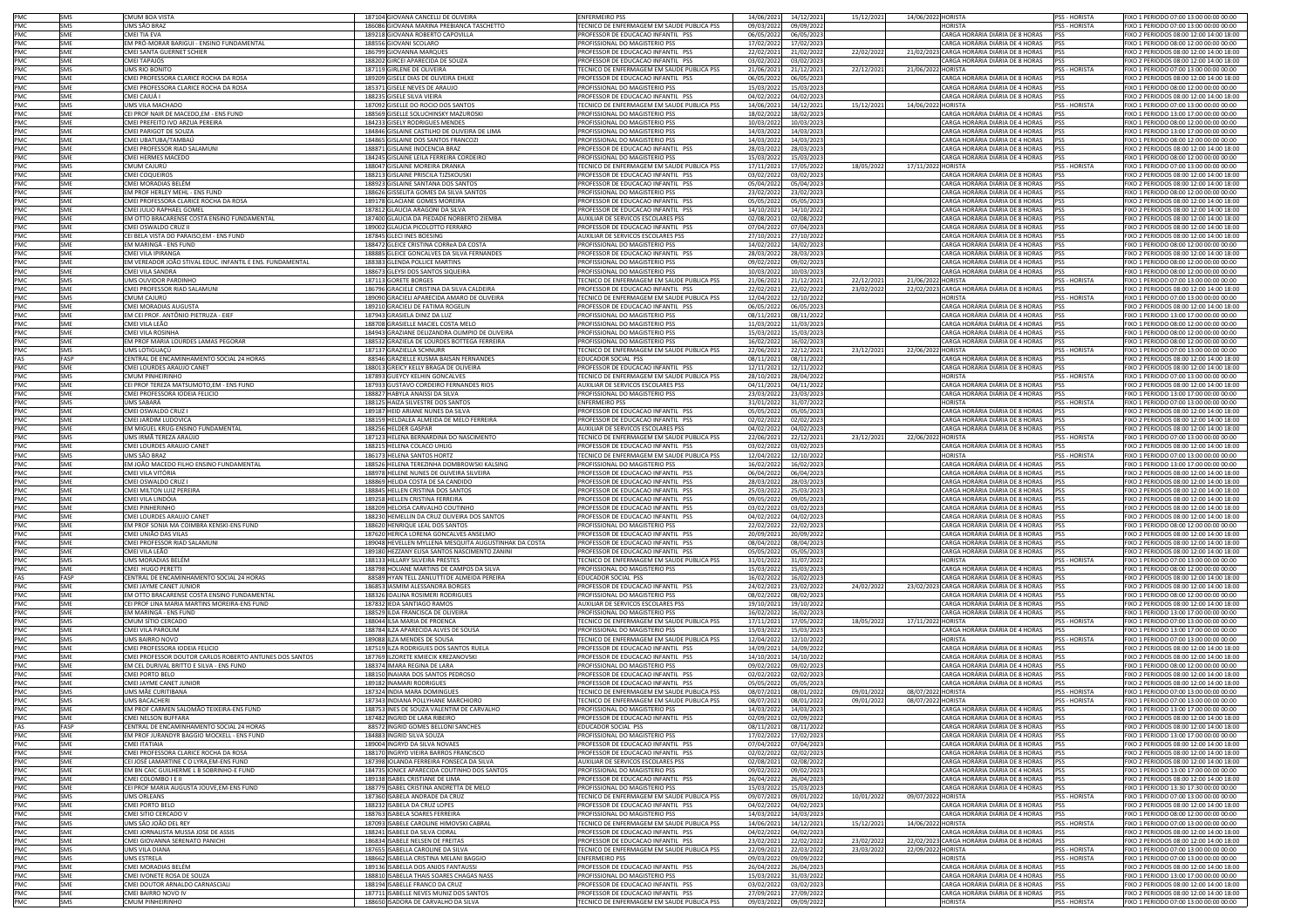| PMC<br>UMS SÃO BRAZ<br>186086 GIOVANA MARINA PREBIANCA TASCHETTO<br>TECNICO DE ENFERMAGEM EM SAUDE PUBLICA PSS<br>09/03/2022<br>09/09/2022<br><b>PSS - HORISTA</b><br><b>SMS</b><br><b>HORISTA</b><br>PMC<br>189218 GIOVANA ROBERTO CAPOVILLA<br>CARGA HORÁRIA DIÁRIA DE 8 HORAS<br>CMEI TIA EVA<br>PROFESSOR DE EDUCACAO INFANTIL PSS<br>06/05/2022<br>06/05/2023<br><b>SME</b><br>PMC<br>EM PRÓ-MORAR BARIGUI - ENSINO FUNDAMENTAL<br>CARGA HORÁRIA DIÁRIA DE 4 HORAS<br>SME<br>188556 GIOVANI SCOLARO<br>PROFISSIONAL DO MAGISTERIO PSS<br>17/02/2022<br>17/02/2023<br>PMC<br><b>SME</b><br>CMEI SANTA GUERNET SCHIER<br>186799 GIOVANNA MARQUES<br>PROFESSOR DE EDUCACAO INFANTIL PSS<br>22/02/2021<br>21/02/2022<br>22/02/2022<br>21/02/2023 CARGA HORÁRIA DIÁRIA DE 8 HORAS<br>PMC<br><b>CMEI TAPAJÓS</b><br>188202 GIRCEI APARECIDA DE SOUZA<br>PROFESSOR DE EDUCAÇÃO INFANTIL PSS<br>03/02/2022<br>03/02/2023<br>CARGA HORÁRIA DIÁRIA DE 8 HORAS<br><b>SMF</b><br>PMC<br>UMS RIO BONITO<br>187119 GIRLENE DE OLIVEIRA<br>TECNICO DE ENFERMAGEM EM SAUDE PUBLICA PSS<br>21/06/2021<br>21/12/2021<br>22/12/2021<br>21/06/2022 HORISTA<br>PSS - HORISTA<br><b>SMS</b><br>PMC<br><b>SME</b><br>CMEI PROFESSORA CLARICE ROCHA DA ROSA<br>189209 GISELE DIAS DE OLIVEIRA EHLKE<br>PROFESSOR DE EDUCACAO INFANTIL PSS<br>06/05/2022<br>06/05/2023<br>CARGA HORÁRIA DIÁRIA DE 8 HORAS<br>PMC<br>SME<br>CMEI PROFESSORA CLARICE ROCHA DA ROSA<br>185371 GISELE NEVES DE ARAUJO<br>PROFISSIONAL DO MAGISTERIO PSS<br>15/03/2022<br>15/03/2023<br>CARGA HORÁRIA DIÁRIA DE 4 HORAS<br>PMC<br>CARGA HORÁRIA DIÁRIA DE 8 HORAS<br>04/02/2022<br>04/02/2023<br><b>SMF</b><br>CMEI CAIUÁ I<br>188235 GISELE SILVA VIEIRA<br>PROFESSOR DE EDUCACAO INFANTIL PSS<br>PSS<br>PMC<br>UMS VILA MACHADO<br>14/12/2021<br><b>SMS</b><br>187092 GISELLE DO ROCIO DOS SANTOS<br>TECNICO DE ENFERMAGEM EM SAUDE PUBLICA PSS<br>14/06/2021<br>15/12/2021<br>14/06/2022 HORISTA<br><b>PSS - HORISTA</b><br>PMC<br>SME<br>CEI PROF NAIR DE MACEDO,EM - ENS FUND<br>188569 GISELLE SOLUCHINSKY MAZUROSKI<br><b>PROFISSIONAL DO MAGISTERIO PSS</b><br>18/02/2022<br>18/02/2023<br>"ARGA HORÁRIA DIÁRIA DE 4 HORAS<br>PMC<br>CMEI PREFEITO IVO ARZUA PEREIRA<br>184233 GISELY RODRIGUES MENDES<br>PROFISSIONAL DO MAGISTERIO PSS<br>10/03/2022<br>10/03/2023<br>CARGA HORÁRIA DIÁRIA DE 4 HORAS<br><b>SME</b><br>PMC<br>CMEI PARIGOT DE SOUZA<br>CARGA HORÁRIA DIÁRIA DE 4 HORAS<br><b>SMF</b><br>184846 GISLAINE CASTILHO DE OLIVEIRA DE LIMA<br>PROFISSIONAL DO MAGISTERIO PSS<br>14/03/2022<br>14/03/2023<br>PMC<br>CMEI UBATUBA/TAMBAÚ<br>CARGA HORÁRIA DIÁRIA DE 4 HORAS<br><b>SMF</b><br>184865 GISLAINE DOS SANTOS FRANCOZI<br>PROFISSIONAL DO MAGISTERIO PSS<br>14/03/2022<br>14/03/2023<br>PSS<br>PMC<br>CMEI PROFESSOR RIAD SALAMUNI<br>188871 GISLAINE INOCENCIA BRAZ<br>PROFESSOR DE EDUCACAO INFANTIL PSS<br>28/03/2023<br>CARGA HORÁRIA DIÁRIA DE 8 HORAS<br><b>SME</b><br>28/03/2022<br>pss<br>PMC<br><b>SME</b><br>CMEI HERMES MACEDO<br>184245 GISLAINE LEILA FERREIRA CORDEIRO<br>PROFISSIONAL DO MAGISTERIO PSS<br>15/03/2022<br>15/03/2023<br>CARGA HORÁRIA DIÁRIA DE 4 HORAS<br>PMC<br>SMS<br>CMUM CAJURÚ<br>188047 GISLAINE MOREIRA DRANKA<br>TECNICO DE ENFERMAGEM EM SAUDE PUBLICA PSS<br>17/11/2021<br>17/05/2022<br>18/05/2022<br>17/11/2022 HORISTA<br>PSS - HORISTA<br>PMC<br>188213 GISLAINE PRISCILA TJZSKOUSKI<br><b>SME</b><br>CMEI COQUEIRO!<br>PROFESSOR DE EDUCACAO INFANTIL PSS<br>03/02/2022<br>03/02/2023<br>CARGA HORÁRIA DIÁRIA DE 8 HORAS<br>PMC<br>188923 GISLAINE SANTANA DOS SANTOS<br>05/04/2022<br>05/04/2023<br>CARGA HORÁRIA DIÁRIA DE 8 HORAS<br><b>SME</b><br>CMEI MORADIAS REI ÉM<br>PROFESSOR DE EDUCAÇÃO INFANTIL PSS<br>PMC<br>SME<br><b>EM PROF HERLEY MEHL - ENS FUND</b><br>188626 GISSELITA GOMES DA SILVA SANTOS<br>PROFISSIONAL DO MAGISTERIO PSS<br>23/02/2022<br>23/02/2023<br>CARGA HORÁRIA DIÁRIA DE 4 HORAS<br>PMC<br>SMF<br>CMEI PROFESSORA CLARICE ROCHA DA ROSA<br>189178 GLACIANE GOMES MOREIRA<br>PROFESSOR DE EDUCACAO INFANTIL PSS<br>05/05/2022<br>05/05/2023<br>CARGA HORÁRIA DIÁRIA DE 8 HORAS<br>PMC<br>187812 GLAUCIA ARAGONI DA SILVA<br><b>SMF</b><br>CMEI JULIO RAPHAEL GOMEI<br>PROFESSOR DE EDUCACAO INFANTIL PSS<br>14/10/2022<br>CARGA HORÁRIA DIÁRIA DE 8 HORAS<br>PSS<br>14/10/2021<br>PMC<br>EM OTTO BRACARENSE COSTA ENSINO FUNDAMENTAL<br>187400 GLAUCIA DA PIEDADE NORBERTO ZIEMBA<br>02/08/2022<br>CARGA HORÁRIA DIÁRIA DE 8 HORAS<br><b>SME</b><br>AUXILIAR DE SERVICOS ESCOLARES PSS<br>02/08/202<br>PSS<br>PMC<br><b>SME</b><br>CMEI OSWALDO CRUZ II<br>189002 GLAUCIA PICOLOTTO FERRARO<br>PROFESSOR DE EDUCACAO INFANTIL PSS<br>07/04/2022<br>07/04/2023<br>CARGA HORÁRIA DIÁRIA DE 8 HORAS<br>PSS<br>PMC<br><b>SME</b><br>CEI BELA VISTA DO PARAISO,EM - ENS FUND<br>187845 GLECI INES BOESING<br>AUXILIAR DE SERVICOS ESCOLARES PSS<br>27/10/2021<br>27/10/2022<br>CARGA HORÁRIA DIÁRIA DE 8 HORAS<br>PSS<br>PMC<br>EM MARINGÁ - ENS FUND<br>188472 GLEICE CRISTINA CORReA DA COSTA<br>CARGA HORÁRIA DIÁRIA DE 4 HORAS<br><b>SME</b><br>PROFISSIONAL DO MAGISTERIO PSS<br>14/02/2022<br>14/02/2023<br>PSS<br>PMC<br>CMEI VILA IPIRANGA<br>188885 GLEICE GONCALVES DA SILVA FERNANDES<br>CARGA HORÁRIA DIÁRIA DE 8 HORAS<br>PROFESSOR DE EDUCACAO INFANTIL PSS<br>28/03/2022<br>28/03/2023<br>SME<br>PMC<br>SME<br>EM VEREADOR JOÃO STIVAL EDUC. INFANTIL E ENS. FUNDAMENTAL<br>188383 GLENDA POLLICE MARTINS<br>PROFISSIONAL DO MAGISTERIO PSS<br>09/02/2022<br>09/02/2023<br>ARGA HORÁRIA DIÁRIA DE 4 HORAS<br>PMC<br>SME<br><b>CMEI VILA SANDRA</b><br>188673 GLEYSI DOS SANTOS SIQUEIRA<br>PROFISSIONAL DO MAGISTERIO PSS<br>10/03/2022<br>10/03/2023<br>CARGA HORÁRIA DIÁRIA DE 4 HORAS<br>PMC<br>UMS OUVIDOR PARDINHO<br>187113 GORETE BORGES<br>TECNICO DE ENFERMAGEM EM SAUDE PUBLICA PSS<br>21/12/2021<br>22/12/2021<br>21/06/2022 HORISTA<br><b>PSS - HORISTA</b><br>SMS<br>21/06/202<br>PMC<br>CMEI PROFESSOR RIAD SALAMUNI<br>186796 GRACIELE CRISTINA DA SILVA CALDEIRA<br>PROFESSOR DE EDUCACAO INFANTIL PSS<br>22/02/2021<br>22/02/2022<br>23/02/2022<br>22/02/2023 CARGA HORÁRIA DIÁRIA DE 8 HORAS<br>SME<br>PSS<br>PMC<br>SMS<br>CMUM CAJURÚ<br>189090 GRACIELI APARECIDA AMARO DE OLIVEIRA<br>TECNICO DE ENFERMAGEM EM SAUDE PUBLICA PSS<br>12/04/2022<br>12/10/2022<br><b>HORISTA</b><br><b>PSS - HORISTA</b><br>PMC<br>SME<br>CMEI MORADIAS AUGUSTA<br>189210 GRACIELI DE FATIMA ROGELIN<br>PROFESSOR DE EDUCACAO INFANTIL PSS<br>06/05/2022<br>06/05/2023<br>CARGA HORÁRIA DIÁRIA DE 8 HORAS<br>PMC<br>EM CEI PROF. ANTÔNIO PIETRUZA - EIEF<br>CARGA HORÁRIA DIÁRIA DE 4 HORAS<br><b>SME</b><br>187943 GRASIELA DINIZ DA LUZ<br>PROFISSIONAL DO MAGISTERIO PSS<br>08/11/2021<br>08/11/2022<br>PSS<br>PMC<br>188708 GRASIELLE MACIEL COSTA MELO<br>CARGA HORÁRIA DIÁRIA DE 4 HORAS<br>CMEI VILA LEÃO<br>PROFISSIONAL DO MAGISTERIO PSS<br>11/03/2022<br>11/03/2023<br><b>SME</b><br>PSS<br>PMC<br>CMEI VILA ROSINHA<br>184943 GRAZIANE DELIZANDRA OLIMPIO DE OLIVEIRA<br>PROFISSIONAL DO MAGISTERIO PSS<br>15/03/2022<br>15/03/2023<br>CARGA HORÁRIA DIÁRIA DE 4 HORAS<br>SME<br>PMC<br>SME<br>EM PROF MARIA LOURDES LAMAS PEGORAR<br>188532 GRAZIELA DE LOURDES BOTTEGA FERREIRA<br>PROFISSIONAL DO MAGISTERIO PSS<br>16/02/2022<br>16/02/2023<br>CARGA HORÁRIA DIÁRIA DE 4 HORAS<br>PMC<br>SMS<br>UMS LOTIGUAÇU<br>187137 GRAZIELLA SCHNURR<br>TECNICO DE ENFERMAGEM EM SAUDE PUBLICA PSS<br>22/06/2021<br>22/12/2021<br>23/12/2021<br>22/06/2022 HORISTA<br>PSS - HORISTA<br>FAS<br>CENTRAL DE ENCAMINHAMENTO SOCIAL 24 HORAS<br>88546 GRAZIELLE KUSMA BAISAN FERNANDES<br>08/11/2022<br>CARGA HORÁRIA DIÁRIA DE 8 HORAS<br><b>FASP</b><br>EDUCADOR SOCIAL PSS<br>08/11/2021<br>PMC<br>CMEI LOURDES ARAUJO CANET<br>188013 GREICY KELLY BRAGA DE OLIVEIRA<br>PROFESSOR DE EDUCACAO INFANTIL PSS<br>12/11/2021<br>12/11/2022<br>CARGA HORÁRIA DIÁRIA DE 8 HORAS<br>SME<br>PMC<br>SMS<br>CMUM PINHEIRINHO<br>187893 GUEYCY KELHIN GONCALVES<br>TECNICO DE ENFERMAGEM EM SAUDE PUBLICA PSS<br>28/10/2021<br>28/04/2022<br><b>HORISTA</b><br>PSS - HORISTA<br>PMC<br>CEI PROF TEREZA MATSUMOTO,EM - ENS FUND<br>187933 GUSTAVO CORDEIRO FERNANDES RIOS<br>AUXILIAR DE SERVICOS ESCOLARES PSS<br>04/11/2021<br>04/11/2022<br>CARGA HORÁRIA DIÁRIA DE 8 HORAS<br>SME<br>PSS<br>PMC<br>CARGA HORÁRIA DIÁRIA DE 4 HORAS<br><b>SME</b><br>CMEI PROFESSORA IODEIA FELICIO<br>188827 HABYLA ANAISSI DA SILVA<br>PROFISSIONAL DO MAGISTERIO PSS<br>23/03/2022<br>23/03/2023<br>PSS<br>PMC<br>UMS SARARÁ<br>188125 HAIZA SILVESTRE DOS SANTOS<br><b>ENFERMEIRO PSS</b><br>31/07/2022<br>PSS - HORISTA<br>31/01/202<br>HORISTA<br><b>SMS</b><br>PMC<br>SME<br>CMEI OSWALDO CRUZ I<br>189187 HEID ARIANE NUNES DA SILVA<br>PROFESSOR DE EDUCACAO INFANTIL PSS<br>05/05/2022<br>05/05/2023<br>CARGA HORÁRIA DIÁRIA DE 8 HORAS<br>PSS<br>PMC<br>SME<br>CMEI JARDIM LUDOVICA<br>188159 HELDALEA ALMEIDA DE MELO FERREIRA<br>CARGA HORÁRIA DIÁRIA DE 8 HORAS<br>PROFESSOR DE EDUCACAO INFANTIL PS!<br>02/02/2022<br>02/02/2023<br>PMC<br>CARGA HORÁRIA DIÁRIA DE 8 HORAS<br>SMF<br>EM MIGUEL KRUG-ENSINO FUNDAMENTAL<br>188256 HELDER GASPAR<br>04/02/2023<br><b>PSS</b><br>AUXILIAR DE SERVICOS ESCOLARES PSS<br>04/02/2022<br>PMC<br>UMS IRMÃ TEREZA ARAÚJO<br>187123 HELENA BERNARDINA DO NASCIMENTO<br>TECNICO DE ENFERMAGEM EM SAUDE PUBLICA PSS<br>22/12/2021<br>23/12/2021<br>22/06/2022 HORISTA<br>SMS<br>22/06/2021<br><b>PSS - HORISTA</b><br>PMC<br>SME<br>CMEI LOURDES ARAUJO CANET<br>188215 HELENA COLACO UHLIG<br>PROFESSOR DE EDUCACAO INFANTIL PSS<br>03/02/2022<br>03/02/2023<br>CARGA HORÁRIA DIÁRIA DE 8 HORAS<br>PSS<br>PMC<br>SMS<br>UMS SÃO BRAZ<br>186173 HELENA SANTOS HORTZ<br>TECNICO DE ENFERMAGEM EM SAUDE PUBLICA PSS<br>12/04/2022<br>12/10/2022<br><b>HORISTA</b><br>PSS - HORISTA<br>PMC<br>EM JOÃO MACEDO FILHO ENSINO FUNDAMENTAL<br>188526 HELENA TEREZINHA DOMBROWSKI KALSING<br><b>SME</b><br>PROFISSIONAL DO MAGISTERIO PSS<br>16/02/2022<br>16/02/2023<br>CARGA HORÁRIA DIÁRIA DE 4 HORAS<br>PMC<br>188978 HELENE NUNES DE OLIVEIRA SILVEIRA<br>06/04/2022<br>CARGA HORÁRIA DIÁRIA DE 8 HORAS<br>CMEI VILA VITÓRIA<br>PROFESSOR DE EDUCACAO INFANTIL PSS<br>06/04/2023<br>SME<br>PMC<br>SME<br>CMEI OSWALDO CRUZ<br>188869 HELIDA COSTA DE SA CANDIDO<br>PROFESSOR DE EDUCACAO INFANTIL PSS<br>28/03/2022<br>28/03/2023<br>ARGA HORÁRIA DIÁRIA DE 8 HORAS<br>PMC<br>SME<br>CMEI MILTON LUIZ PEREIRA<br>188845 HELLEN CRISTINA DOS SANTOS<br>PROFESSOR DE EDUCACAO INFANTIL PSS<br>25/03/2022<br>25/03/2023<br>CARGA HORÁRIA DIÁRIA DE 8 HORAS<br>PMC<br>189258 HELLEN CRISTINA FERREIRA<br>SMF<br>CMEI VILA LINDÓIA<br>PROFESSOR DE EDUCACAO INFANTIL PSS<br>09/05/2022<br>09/05/2023<br>CARGA HORÁRIA DIÁRIA DE 8 HORAS<br>PSS<br>PMC<br><b>CMEI PINHERINHO</b><br>188209 HELOISA CARVALHO COUTINHO<br>PROFESSOR DE EDUCACAO INFANTIL PSS<br>03/02/2023<br>CARGA HORÁRIA DIÁRIA DE 8 HORAS<br>SME<br>03/02/2022<br>PSS<br>PMC<br>SME<br>CMEI LOURDES ARAUJO CANET<br>188230 HEMELLIN DA CRUZ OLIVEIRA DOS SANTOS<br>PROFESSOR DE EDUCACAO INFANTIL PSS<br>04/02/2022<br>04/02/2023<br>CARGA HORÁRIA DIÁRIA DE 8 HORAS<br>PSS<br>PMC<br>EM PROF SONIA MA COIMBRA KENSKI-ENS FUND<br>188620 HENRIQUE LEAL DOS SANTOS<br>PROFISSIONAL DO MAGISTERIO PSS<br>22/02/2022<br>22/02/2023<br>CARGA HORÁRIA DIÁRIA DE 4 HORAS<br><b>SME</b><br>PSS<br>PMC<br><b>SMF</b><br>CMEI UNIÃO DAS VILAS<br>187620 HERICA LORENA GONCALVES ANSELMO<br>PROFESSOR DE EDUCACAO INFANTIL PSS<br>20/09/2021<br>20/09/2022<br>CARGA HORÁRIA DIÁRIA DE 8 HORAS<br>PSS<br>PMC<br>CMEI PROFESSOR RIAD SALAMUNI<br>189048 HEVELLEN MYLLENA MESQUITA AUGUSTINHAK DA COSTA<br>PROFESSOR DE EDUCACAO INFANTIL PSS<br>08/04/2022<br>08/04/2023<br>CARGA HORÁRIA DIÁRIA DE 8 HORAS<br><b>SME</b><br>PSS<br>PMC<br>189180 HEZZANY ELISA SANTOS NASCIMENTO ZANINI<br>05/05/2023<br>CARGA HORÁRIA DIÁRIA DE 8 HORAS<br>CMEI VILA LEÃO<br>PROFESSOR DE EDUCACAO INFANTIL PSS<br>05/05/2022<br>SME<br>PSS<br>PMC<br>SMS<br>UMS MORADIAS BELÉM<br>188133 HILLARY SILVEIRA PRESTES<br>TECNICO DE ENFERMAGEM EM SAUDE PUBLICA PSS<br>31/01/2022<br>31/07/2022<br><b>ORISTA</b><br>PSS - HORISTA<br>PMC<br>SME<br>CMEI HUGO PERETTI<br>188798 HOLIANE MARTINS DE CAMPOS DA SILVA<br>PROFISSIONAL DO MAGISTERIO PSS<br>15/03/2023<br>CARGA HORÁRIA DIÁRIA DE 4 HORAS<br>15/03/2022<br>PSS<br>FASP<br>CENTRAL DE ENCAMINHAMENTO SOCIAL 24 HORAS<br>88589 HYAN TELL ZANLUTTI DE ALMEIDA PEREIRA<br>EDUCADOR SOCIAL PSS<br>CARGA HORÁRIA DIÁRIA DE 8 HORAS<br>FAS<br>16/02/2022<br>16/02/2023<br>pss<br>PMC<br>CMEI JAYME CANET JUNIOR<br>186853 IASMIM ALESSANDRA BORGES<br>PROFESSOR DE EDUCACAO INFANTIL PSS<br>23/02/2022<br>24/02/2022<br>23/02/2023 CARGA HORÁRIA DIÁRIA DE 8 HORAS<br>SME<br>24/02/2021<br>PSS<br>PMC<br>SME<br>EM OTTO BRACARENSE COSTA ENSINO FUNDAMENTAL<br>188326 IDALINA ROSIMERI RODRIGUES<br>PROFISSIONAL DO MAGISTERIO PSS<br>08/02/2022<br>08/02/2023<br>CARGA HORÁRIA DIÁRIA DE 4 HORAS<br>PSS<br>PMC<br>SME<br>CEI PROF LINA MARIA MARTINS MOREIRA-ENS FUND<br>187832 IEDA SANTIAGO RAMOS<br>AUXILIAR DE SERVICOS ESCOLARES PSS<br>19/10/2021<br>19/10/2022<br>CARGA HORÁRIA DIÁRIA DE 8 HORAS<br>PSS<br>PMC<br>CARGA HORÁRIA DIÁRIA DE 4 HORAS<br>SME<br>EM MARINGÁ - ENS FUND<br>188529 ILDA FRANCISCA DE OLIVEIRA<br>PROFISSIONAL DO MAGISTERIO PSS<br>16/02/2022<br>16/02/2023<br>PSS<br>PMC<br>188044 ILSA MARIA DE PROENCA<br>TECNICO DE ENFERMAGEM EM SAUDE PUBLICA PSS<br>17/05/2022<br>18/05/2022<br>17/11/2022 HORISTA<br>SMS<br>CMUM SÍTIO CERCADO<br>17/11/2021<br><b>PSS - HORISTA</b><br>PMC<br>SME<br>CMELVILA PAROLIM<br>188784 ILZA APARECIDA ALVES DE SOUSA<br>PROFISSIONAL DO MAGISTERIO PSS<br>15/03/2022<br>15/03/2023<br>CARGA HORÁRIA DIÁRIA DE 4 HORAS<br>PSS<br>PMC<br>SMS<br>UMS BAIRRO NOVO<br>189088 ILZA MENDES DE SOUSA<br>TECNICO DE ENFERMAGEM EM SAUDE PUBLICA PSS<br>12/04/2022<br>12/10/2022<br>PSS - HORISTA<br><b>HORISTA</b><br>PMC<br>187519 ILZA RODRIGUES DOS SANTOS RUELA<br>CARGA HORÁRIA DIÁRIA DE 8 HORAS<br>CMEI PROFESSORA IODEIA FELICIO<br>PROFESSOR DE EDUCACAO INFANTIL PSS<br><b>PSS</b><br><b>SME</b><br>14/09/2021<br>14/09/2022<br>PMC<br>CMEI PROFESSOR DOUTOR CARLOS ROBERTO ANTUNES DOS SANTOS<br>187769 ILZORETE KMIECIK KREZANOVSKI<br>PROFESSOR DE EDUCACAO INFANTIL PSS<br>14/10/2022<br>CARGA HORÁRIA DIÁRIA DE 8 HORAS<br>SME<br>14/10/2021<br>PSS<br>PMC<br>SME<br>EM CEL DURIVAL BRITTO E SILVA - ENS FUND<br>188374 IMARA REGINA DE LARA<br>PROFISSIONAL DO MAGISTERIO PSS<br>09/02/2022<br>09/02/2023<br>CARGA HORÁRIA DIÁRIA DE 4 HORAS<br>PSS<br>PMC<br>CMEI PORTO BELO<br>188150 INAIARA DOS SANTOS PEDROSO<br>PROFESSOR DE EDUCACAO INFANTIL PSS<br>02/02/2022<br>02/02/2023<br>CARGA HORÁRIA DIÁRIA DE 8 HORAS<br>SME<br>PSS<br>PMC<br>189182 INAMARI RODRIGUES<br>CARGA HORÁRIA DIÁRIA DE 8 HORAS<br><b>SME</b><br>CMEI JAYME CANET JUNIOR<br>PROFESSOR DE EDUCACAO INFANTIL PSS<br>05/05/2022<br>05/05/2023<br>PSS<br>PMC<br>JMS MÃE CURITIBANA<br>187324 INDIA MARA DOMINGUES<br>TECNICO DE ENFERMAGEM EM SAUDE PUBLICA PSS<br>08/01/2022<br>09/01/2022<br>08/07/2022 HORISTA<br>08/07/2021<br><b>PSS - HORISTA</b><br>SMS<br>PMC<br>187343 INDIANA POLLYHANE MARCHIORO<br>SMS<br>UMS BACACHERI<br>TECNICO DE ENFERMAGEM EM SAUDE PUBLICA PSS<br>08/07/2021<br>08/01/2022<br>09/01/2022<br>08/07/2022 HORISTA<br><b>PSS - HORISTA</b><br>188753 IINES DE SOUZA VALENTIM DE C/<br>JFISSIUNAL DU MAGISTERIU PS:<br>14/03/2022<br>14/U3/2023<br>IA DE 4 HUKAS<br>PMC<br>SME<br>CMFI NEI SON BUFFARA<br>187482 INGRID DE LARA RIBEIRO<br>PROFESSOR DE EDUCACAO INFANTIL PSS<br>02/09/2021<br>02/09/2022<br>CARGA HORÁRIA DIÁRIA DE 8 HORAS<br>PSS<br>FAS<br>FASP<br>CENTRAL DE ENCAMINHAMENTO SOCIAL 24 HORAS<br>88572 INGRID GOMES BELLONI SANCHES<br>CARGA HORÁRIA DIÁRIA DE 8 HORAS<br>EDUCADOR SOCIAL PSS<br>08/11/2021<br>08/11/2022<br><b>PSS</b><br>PMC<br>EM PROF JURANDYR BAGGIO MOCKELL - ENS FUND<br>CARGA HORÁRIA DIÁRIA DE 4 HORAS<br>SME<br>184883 INGRID SILVA SOUZA<br>PROFISSIONAL DO MAGISTERIO PSS<br>17/02/2022<br>17/02/2023<br>PSS<br>PMC<br>189004 INGRYD DA SILVA NOVAES<br>PROFESSOR DE EDUCACAO INFANTIL PSS<br>CARGA HORÁRIA DIÁRIA DE 8 HORAS<br>SME<br>CMEI ITATIAIA<br>07/04/2022<br>07/04/2023<br>PSS<br>PMC<br>SME<br>CMEI PROFESSORA CLARICE ROCHA DA ROSA<br>188170 INGRYD VIEIRA BARROS FRANCISCO<br>PROFESSOR DE EDUCACAO INFANTIL PSS<br>02/02/2022<br>02/02/2023<br>CARGA HORÁRIA DIÁRIA DE 8 HORAS<br>PSS<br>PMC<br>187398 IOLANDA FERREIRA FONSECA DA SILVA<br>CARGA HORÁRIA DIÁRIA DE 8 HORAS<br>CEI JOSÉ LAMARTINE C O LYRA,EM-ENS FUND<br>AUXILIAR DE SERVICOS ESCOLARES PSS<br>SME<br>02/08/2021<br>02/08/2022<br>PSS<br>PMC<br>EM BN CAIC GUILHERME L B SOBRINHO-E FUND<br>184735 IONICE APARECIDA COUTINHO DOS SANTOS<br>PROFISSIONAL DO MAGISTERIO PSS<br>CARGA HORÁRIA DIÁRIA DE 4 HORAS<br>SME<br>09/02/2022<br>09/02/2023<br>PSS<br>PMC<br>189138 ISABEL CRISTIANE DE LIMA<br>CARGA HORÁRIA DIÁRIA DE 8 HORAS<br>SME<br>CMEI COLOMBO I E II<br>PROFESSOR DE EDUCACAO INFANTIL PSS<br>26/04/2022<br>26/04/2023<br>PMC<br>SME<br>CEI PROF MARIA AUGUSTA JOUVE, EM-ENS FUND<br>188779 ISABEL CRISTINA ANDRETTA DE MELO<br>PROFISSIONAL DO MAGISTERIO PSS<br>15/03/2022<br>15/03/2023<br>CARGA HORÁRIA DIÁRIA DE 4 HORAS<br>PSS<br>PMC<br>187360 ISABELA ANDRADE DA CRUZ<br>TECNICO DE ENFERMAGEM EM SAUDE PUBLICA PSS<br>10/01/2022<br>SMS<br>UMS ORLEANS<br>09/07/2022 HORISTA<br>PSS - HORISTA<br>09/07/2021<br>09/01/2022<br>PMC<br>CMEI PORTO BELO<br>188232 ISABELA DA CRUZ LOPES<br>PROFESSOR DE EDUCACAO INFANTIL PSS<br>04/02/2023<br>CARGA HORÁRIA DIÁRIA DE 8 HORAS<br>PSS<br>SME<br>04/02/2022<br>PMC<br>188763 ISABELA SOARES FERREIRA<br>CARGA HORÁRIA DIÁRIA DE 4 HORAS<br>SME<br>CMEI SITIO CERCADO V<br>PROFISSIONAL DO MAGISTERIO PSS<br>14/03/2022<br>14/03/2023<br>PMC<br>SMS<br>UMS SÃO JOÃO DEL REY<br>187093 ISABELE CAROLINE HIMOVSKI CABRAL<br>TECNICO DE ENFERMAGEM EM SAUDE PUBLICA PSS<br>14/06/2021<br>14/12/2021<br>15/12/2021<br>14/06/2022 HORISTA<br>PSS - HORISTA | FIXO 1 PERIODO 07:00 13:00 00:00 00:00<br>FIXO 2 PERIODOS 08:00 12:00 14:00 18:00<br>IXO 1 PERIODO 08:00 12:00 00:00 00:00<br>FIXO 2 PERIODOS 08:00 12:00 14:00 18:00<br>FIXO 2 PERIODOS 08:00 12:00 14:00 18:00<br>FIXO 1 PERIODO 07:00 13:00 00:00 00:00<br>FIXO 2 PERIODOS 08:00 12:00 14:00 18:00<br>FIXO 1 PERIODO 08:00 12:00 00:00 00:00<br>FIXO 2 PERIODOS 08:00 12:00 14:00 18:00<br>FIXO 1 PERIODO 07:00 13:00 00:00 00:00<br>IXO 1 PERIODO 13:00 17:00 00:00 00:00<br>FIXO 1 PERIODO 08:00 12:00 00:00 00:00<br>FIXO 1 PERIODO 13:00 17:00 00:00 00:00<br>FIXO 1 PERIODO 08:00 12:00 00:00 00:00<br>FIXO 2 PERIODOS 08:00 12:00 14:00 18:00<br>FIXO 1 PERIODO 08:00 12:00 00:00 00:00<br>FIXO 1 PERIODO 07:00 13:00 00:00 00:00<br>FIXO 2 PERIODOS 08:00 12:00 14:00 18:00<br>FIXO 2 PERIODOS 08:00 12:00 14:00 18:00<br>IXO 1 PERIODO 08:00 12:00 00:00 00:00<br>FIXO 2 PERIODOS 08:00 12:00 14:00 18:00<br>FIXO 2 PERIODOS 08:00 12:00 14:00 18:00<br>FIXO 2 PERIODOS 08:00 12:00 14:00 18:00<br>FIXO 2 PERIODOS 08:00 12:00 14:00 18:00<br>FIXO 2 PERIODOS 08:00 12:00 14:00 18:00<br>FIXO 1 PERIODO 08:00 12:00 00:00 00:00<br>IXO 2 PERIODOS 08:00 12:00 14:00 18:00<br>IXO 1 PERIODO 08:00 12:00 00:00 00:00<br>FIXO 1 PERIODO 08:00 12:00 00:00 00:00<br>FIXO 1 PERIODO 07:00 13:00 00:00 00:00<br>FIXO 2 PERIODOS 08:00 12:00 14:00 18:00<br>FIXO 1 PERIODO 07:00 13:00 00:00 00:00<br>FIXO 2 PERIODOS 08:00 12:00 14:00 18:00<br>FIXO 1 PERIODO 13:00 17:00 00:00 00:00<br>EIXO 1 PERIODO 08:00 12:00 00:00 00:00<br>IXO 1 PERIODO 08:00 12:00 00:00 00:00<br>IXO 1 PERIODO 08:00 12:00 00:00 00:00<br>FIXO 1 PERIODO 07:00 13:00 00:00 00:00<br>FIXO 2 PERIODOS 08:00 12:00 14:00 18:00<br>FIXO 2 PERIODOS 08:00 12:00 14:00 18:00<br>FIXO 1 PERIODO 07:00 13:00 00:00 00:00<br>FIXO 2 PERIODOS 08:00 12:00 14:00 18:00<br>FIXO 1 PERIODO 13:00 17:00 00:00 00:00<br>FIXO 1 PERIODO 07:00 13:00 00:00 00:00<br>FIXO 2 PERIODOS 08:00 12:00 14:00 18:00<br>FIXO 2 PERIODOS 08:00 12:00 14:00 18:00<br>FIXO 2 PERIODOS 08:00 12:00 14:00 18:00<br>FIXO 1 PERIODO 07:00 13:00 00:00 00:00<br>FIXO 2 PERIODOS 08:00 12:00 14:00 18:00<br>FIXO 1 PERIODO 07:00 13:00 00:00 00:00<br>FIXO 1 PERIODO 13:00 17:00 00:00 00:00<br>FIXO 2 PERIODOS 08:00 12:00 14:00 18:00<br>IXO 2 PERIODOS 08:00 12:00 14:00 18:00<br>FIXO 2 PERIODOS 08:00 12:00 14:00 18:00<br>FIXO 2 PERIODOS 08:00 12:00 14:00 18:00<br>FIXO 2 PERIODOS 08:00 12:00 14:00 18:00<br>FIXO 2 PERIODOS 08:00 12:00 14:00 18:00<br>FIXO 1 PERIODO 08:00 12:00 00:00 00:00<br>FIXO 2 PERIODOS 08:00 12:00 14:00 18:00<br>FIXO 2 PERIODOS 08:00 12:00 14:00 18:00<br>FIXO 2 PERIODOS 08:00 12:00 14:00 18:00<br>FIXO 1 PERIODO 07:00 13:00 00:00 00:00<br>FIXO 1 PERIODO 08:00 12:00 00:00 00:00<br>FIXO 2 PERIODOS 08:00 12:00 14:00 18:00<br>FIXO 2 PERIODOS 08:00 12:00 14:00 18:00<br>FIXO 1 PERIODO 08:00 12:00 00:00 00:00<br>FIXO 2 PERIODOS 08:00 12:00 14:00 18:00<br>FIXO 1 PERIODO 13:00 17:00 00:00 00:00<br>FIXO 1 PERIODO 07:00 13:00 00:00 00:00<br>FIXO 1 PERIODO 13:00 17:00 00:00 00:00<br>FIXO 1 PERIODO 07:00 13:00 00:00 00:00<br>FIXO 2 PERIODOS 08:00 12:00 14:00 18:00<br>FIXO 2 PERIODOS 08:00 12:00 14:00 18:00<br>FIXO 1 PERIODO 08:00 12:00 00:00 00:00<br>FIXO 2 PERIODOS 08:00 12:00 14:00 18:00<br>FIXO 2 PERIODOS 08:00 12:00 14:00 18:00<br>FIXO 1 PERIODO 07:00 13:00 00:00 00:00<br>FIXO 1 PERIODO 07:00 13:00 00:00 00:00<br>XO 1 PERIODO 13:00 17:00 00:00 00:00<br>FIXO 2 PERIODOS 08:00 12:00 14:00 18:00<br>FIXO 2 PERIODOS 08:00 12:00 14:00 18:00<br>FIXO 1 PERIODO 13:00 17:00 00:00 00:00<br>FIXO 2 PERIODOS 08:00 12:00 14:00 18:00<br>FIXO 2 PERIODOS 08:00 12:00 14:00 18:00<br>FIXO 2 PERIODOS 08:00 12:00 14:00 18:00<br>FIXO 1 PERIODO 13:00 17:00 00:00 00:00<br>FIXO 2 PERIODOS 08:00 12:00 14:00 18:00<br>FIXO 1 PERIODO 13:30 17:30 00:00 00:00<br>FIXO 1 PERIODO 07:00 13:00 00:00 00:00<br>FIXO 2 PERIODOS 08:00 12:00 14:00 18:00<br>FIXO 1 PERIODO 08:00 12:00 00:00 00:00<br>FIXO 1 PERIODO 07:00 13:00 00:00 00:00<br>188241 ISABELE DA SILVA CIDRAL<br>CARGA HORÁRIA DIÁRIA DE 8 HORAS<br>FIXO 2 PERIODOS 08:00 12:00 14:00 18:00<br>PROFESSOR DE EDUCACAO INFANTIL PSS<br>04/02/2022<br>04/02/2023<br><b>PSS</b><br>186834 ISABELE NELSEN DE FREITAS<br>PROFESSOR DE EDUCACAO INFANTIL PSS<br>22/02/2022<br>22/02/2023 CARGA HORÁRIA DIÁRIA DE 8 HORAS<br>FIXO 2 PERIODOS 08:00 12:00 14:00 18:00<br>23/02/2021<br>23/02/2022<br>PSS<br>187655 ISABELLA CAROLINE DA SILVA<br>TECNICO DE ENFERMAGEM EM SAUDE PUBLICA PSS<br>22/09/2021<br>22/03/2022<br>23/03/2022<br>22/09/2022 HORISTA<br><b>PSS - HORISTA</b><br>FIXO 1 PERIODO 07:00 13:00 00:00 00:00 | PMC | <b>SMS</b> | CMUM BOA VISTA                  | 187104 GIOVANA CANCELLI DE OLIVEIRA      | <b>ENFERMEIRO PSS</b>                      | 14/06/2021 | 14/12/2021 | 15/12/202 | 14/06/2022 HORISTA |                                 | PSS - HORISTA | FIXO 1 PERIODO 07:00 13:00 00:00 00:00  |
|-----------------------------------------------------------------------------------------------------------------------------------------------------------------------------------------------------------------------------------------------------------------------------------------------------------------------------------------------------------------------------------------------------------------------------------------------------------------------------------------------------------------------------------------------------------------------------------------------------------------------------------------------------------------------------------------------------------------------------------------------------------------------------------------------------------------------------------------------------------------------------------------------------------------------------------------------------------------------------------------------------------------------------------------------------------------------------------------------------------------------------------------------------------------------------------------------------------------------------------------------------------------------------------------------------------------------------------------------------------------------------------------------------------------------------------------------------------------------------------------------------------------------------------------------------------------------------------------------------------------------------------------------------------------------------------------------------------------------------------------------------------------------------------------------------------------------------------------------------------------------------------------------------------------------------------------------------------------------------------------------------------------------------------------------------------------------------------------------------------------------------------------------------------------------------------------------------------------------------------------------------------------------------------------------------------------------------------------------------------------------------------------------------------------------------------------------------------------------------------------------------------------------------------------------------------------------------------------------------------------------------------------------------------------------------------------------------------------------------------------------------------------------------------------------------------------------------------------------------------------------------------------------------------------------------------------------------------------------------------------------------------------------------------------------------------------------------------------------------------------------------------------------------------------------------------------------------------------------------------------------------------------------------------------------------------------------------------------------------------------------------------------------------------------------------------------------------------------------------------------------------------------------------------------------------------------------------------------------------------------------------------------------------------------------------------------------------------------------------------------------------------------------------------------------------------------------------------------------------------------------------------------------------------------------------------------------------------------------------------------------------------------------------------------------------------------------------------------------------------------------------------------------------------------------------------------------------------------------------------------------------------------------------------------------------------------------------------------------------------------------------------------------------------------------------------------------------------------------------------------------------------------------------------------------------------------------------------------------------------------------------------------------------------------------------------------------------------------------------------------------------------------------------------------------------------------------------------------------------------------------------------------------------------------------------------------------------------------------------------------------------------------------------------------------------------------------------------------------------------------------------------------------------------------------------------------------------------------------------------------------------------------------------------------------------------------------------------------------------------------------------------------------------------------------------------------------------------------------------------------------------------------------------------------------------------------------------------------------------------------------------------------------------------------------------------------------------------------------------------------------------------------------------------------------------------------------------------------------------------------------------------------------------------------------------------------------------------------------------------------------------------------------------------------------------------------------------------------------------------------------------------------------------------------------------------------------------------------------------------------------------------------------------------------------------------------------------------------------------------------------------------------------------------------------------------------------------------------------------------------------------------------------------------------------------------------------------------------------------------------------------------------------------------------------------------------------------------------------------------------------------------------------------------------------------------------------------------------------------------------------------------------------------------------------------------------------------------------------------------------------------------------------------------------------------------------------------------------------------------------------------------------------------------------------------------------------------------------------------------------------------------------------------------------------------------------------------------------------------------------------------------------------------------------------------------------------------------------------------------------------------------------------------------------------------------------------------------------------------------------------------------------------------------------------------------------------------------------------------------------------------------------------------------------------------------------------------------------------------------------------------------------------------------------------------------------------------------------------------------------------------------------------------------------------------------------------------------------------------------------------------------------------------------------------------------------------------------------------------------------------------------------------------------------------------------------------------------------------------------------------------------------------------------------------------------------------------------------------------------------------------------------------------------------------------------------------------------------------------------------------------------------------------------------------------------------------------------------------------------------------------------------------------------------------------------------------------------------------------------------------------------------------------------------------------------------------------------------------------------------------------------------------------------------------------------------------------------------------------------------------------------------------------------------------------------------------------------------------------------------------------------------------------------------------------------------------------------------------------------------------------------------------------------------------------------------------------------------------------------------------------------------------------------------------------------------------------------------------------------------------------------------------------------------------------------------------------------------------------------------------------------------------------------------------------------------------------------------------------------------------------------------------------------------------------------------------------------------------------------------------------------------------------------------------------------------------------------------------------------------------------------------------------------------------------------------------------------------------------------------------------------------------------------------------------------------------------------------------------------------------------------------------------------------------------------------------------------------------------------------------------------------------------------------------------------------------------------------------------------------------------------------------------------------------------------------------------------------------------------------------------------------------------------------------------------------------------------------------------------------------------------------------------------------------------------------------------------------------------------------------------------------------------------------------------------------------------------------------------------------------------------------------------------------------------------------------------------------------------------------------------------------------------------------------------------------------------------------------------------------------------------------------------------------------------------------------------------------------------------------------------------------------------------------------------------------------------------------------------------------------------------------------------------------------------------------------------------------------------------------------------------------------------------------------------------------------------------------------------------------------------------------------------------------------------------------------------------------------------------------------------------------------------------------------------------------------------------------------------------------------------------------------------------------------------------------------------------------------------------------------------------------------------------------------------------------------------------------------------------------------------------------------------------------------------------------------------------------------------------------------------------------------------------------------------------------------------------------------------------------------------------------------------------------------------------------------------------------------------------------------------------------------------------------------------------------------------------------------------------------------------------------------------------------------------------------------------------------------------------------------------------------------------------------------------------------------------------------------------------------------------------------------------------------------------------------------------------------------------------------------------------------------------------------------------------------------------------------------------------------------------------------------------------------------------------------------------------------------------------------------------------------------------------------------------------------------------------------------------------------------------------------------------------------------------------------------------------------------------------------------------------------------------------------------------------------------------------------------------------------------------------------------------------------------------------------------------------------------------------------------------------------------------------------------------------------------------------------------------------------------------------------------------------------------------------------------------------------------------------------------------------------------------------------------------------------------------------------------------------------------------------------------------------------------------------------------------------------------------------------------------------------------------------------------------------------------------------------------------------------------------------------------------------------------------------------------------------------------------------------------------------------------------------------------------------------------------------------------------------------------------------------------------------------------------------------------------------------------------------------------------------------------------------------------------------------------------------------------------------------------------------------------------------------------------------------------------------------------------------------------------------------------------------------------------------------------------------------------------------------------------------------------------------------------------------------------------------------------------------------------------------------------------------------------------------------------------------------------------------------------------------------------------------------------------------------------------------------------------------------------------------------------------------------------------------------------------------------------------------------------------------------------------------------------------------------------------------------------------------------------------------------------------------------------------------------------------------------------------------------------------------------------------------------------------------------------------------------------------------------------------------------------------------------------------------------------------------------------------------------------------------------------------------------------------------------------------------------------------------------------------------------------------------------------------------------------------------------------------------------------------------------------------------------------------------------------------------------------------------------------------------------------------------------------------------------------------------------------------------------------------------------------------------------------------------------------------------------------------------------------------------------------------------------------------------------------------------------------------------------------------------------------------------------------------------------------------------------------------------------------------------------------------------------------------------------------------------------------------------------------------------------------------------------------------------------------------------------------------------------------------------------------------------------------------------------------------------------------------------------------------------------------------------------------------------------------------------------------------------------------------------------------------------------------------------------------------------------------------------------------------------------------------------------------------------------------------------------------------------------------------------------------------------------------------------------------------------------------------------------------------------------------------------------------------------------------------------------------------------|---------------------------------------------------------------------------------------------------------------------------------------------------------------------------------------------------------------------------------------------------------------------------------------------------------------------------------------------------------------------------------------------------------------------------------------------------------------------------------------------------------------------------------------------------------------------------------------------------------------------------------------------------------------------------------------------------------------------------------------------------------------------------------------------------------------------------------------------------------------------------------------------------------------------------------------------------------------------------------------------------------------------------------------------------------------------------------------------------------------------------------------------------------------------------------------------------------------------------------------------------------------------------------------------------------------------------------------------------------------------------------------------------------------------------------------------------------------------------------------------------------------------------------------------------------------------------------------------------------------------------------------------------------------------------------------------------------------------------------------------------------------------------------------------------------------------------------------------------------------------------------------------------------------------------------------------------------------------------------------------------------------------------------------------------------------------------------------------------------------------------------------------------------------------------------------------------------------------------------------------------------------------------------------------------------------------------------------------------------------------------------------------------------------------------------------------------------------------------------------------------------------------------------------------------------------------------------------------------------------------------------------------------------------------------------------------------------------------------------------------------------------------------------------------------------------------------------------------------------------------------------------------------------------------------------------------------------------------------------------------------------------------------------------------------------------------------------------------------------------------------------------------------------------------------------------------------------------------------------------------------------------------------------------------------------------------------------------------------------------------------------------------------------------------------------------------------------------------------------------------------------------------------------------------------------------------------------------------------------------------------------------------------------------------------------------------------------------------------------------------------------------------------------------------------------------------------------------------------------------------------------------------------------------------------------------------------------------------------------------------------------------------------------------------------------------------------------------------------------------------------------------------------------------------------------------------------------------------------------------------------------------------------------------------------------------------------------------------------------------------------------------------------------------------------------------------------------------------------------------------------------------------------------------------------------------------------------------------------------------------------------------------------------------------------------------------------|-----|------------|---------------------------------|------------------------------------------|--------------------------------------------|------------|------------|-----------|--------------------|---------------------------------|---------------|-----------------------------------------|
|                                                                                                                                                                                                                                                                                                                                                                                                                                                                                                                                                                                                                                                                                                                                                                                                                                                                                                                                                                                                                                                                                                                                                                                                                                                                                                                                                                                                                                                                                                                                                                                                                                                                                                                                                                                                                                                                                                                                                                                                                                                                                                                                                                                                                                                                                                                                                                                                                                                                                                                                                                                                                                                                                                                                                                                                                                                                                                                                                                                                                                                                                                                                                                                                                                                                                                                                                                                                                                                                                                                                                                                                                                                                                                                                                                                                                                                                                                                                                                                                                                                                                                                                                                                                                                                                                                                                                                                                                                                                                                                                                                                                                                                                                                                                                                                                                                                                                                                                                                                                                                                                                                                                                                                                                                                                                                                                                                                                                                                                                                                                                                                                                                                                                                                                                                                                                                                                                                                                                                                                                                                                                                                                                                                                                                                                                                                                                                                                                                                                                                                                                                                                                                                                                                                                                                                                                                                                                                                                                                                                                                                                                                                                                                                                                                                                                                                                                                                                                                                                                                                                                                                                                                                                                                                                                                                                                                                                                                                                                                                                                                                                                                                                                                                                                                                                                                                                                                                                                                                                                                                                                                                                                                                                                                                                                                                                                                                                                                                                                                                                                                                                                                                                                                                                                                                                                                                                                                                                                                                                                                                                                                                                                                                                                                                                                                                                                                                                                                                                                                                                                                                                                                                                                                                                                                                                                                                                                                                                                                                                                                                                                                                                                                                                                                                                                                                                                                                                                                                                                                                                                                                                                                                                                                                                                                                                                                                                                                                                                                                                                                                                                                                                                                                                                                                                                                                                                                                                                                                                                                                                                                                                                                                                                                                                                                                                                                                                                                                                                                                                                                                                                                                                                                                                                                                                                                                                                                                                                                                                                                                                                                                                                                                                                                                                                                                                                                                                                                                                                                                                                                                                                                                                                                                                                                                                                                                                                                                                                                                                                                                                                                                                                                                                                                                                                                                                                                                                                                                                                                                                                                                                                                                                                                                                                                                                                                                                                                                                                                                                                                                                                                                                                                                                                                                                                                                                                                                                                                                                                                                                                                                                                                                                                                                                                                                                                                                                                                                                                                                                                                                                                                                                                                                                                                                                                                                                                                                                                                                                                                                                                                                                                                                                                                                                                                                                                                                                                                                                                                                                                                                                                                                                                                                                                                                                                                                                                                                                                                                                                                                                                                                                                                                                                                                                                                                                                                                                                                                                                                                                                                                                                                                                                                                                                                                                                                   |                                                                                                                                                                                                                                                                                                                                                                                                                                                                                                                                                                                                                                                                                                                                                                                                                                                                                                                                                                                                                                                                                                                                                                                                                                                                                                                                                                                                                                                                                                                                                                                                                                                                                                                                                                                                                                                                                                                                                                                                                                                                                                                                                                                                                                                                                                                                                                                                                                                                                                                                                                                                                                                                                                                                                                                                                                                                                                                                                                                                                                                                                                                                                                                                                                                                                                                                                                                                                                                                                                                                                                                                                                                                                                                                                                                                                                                                                                                                                                                                                                                                                                                                                                                                                                                                                                                                                                                                                                                                                                                                                                                                                                                                                                   |     |            |                                 |                                          |                                            |            |            |           |                    |                                 |               |                                         |
|                                                                                                                                                                                                                                                                                                                                                                                                                                                                                                                                                                                                                                                                                                                                                                                                                                                                                                                                                                                                                                                                                                                                                                                                                                                                                                                                                                                                                                                                                                                                                                                                                                                                                                                                                                                                                                                                                                                                                                                                                                                                                                                                                                                                                                                                                                                                                                                                                                                                                                                                                                                                                                                                                                                                                                                                                                                                                                                                                                                                                                                                                                                                                                                                                                                                                                                                                                                                                                                                                                                                                                                                                                                                                                                                                                                                                                                                                                                                                                                                                                                                                                                                                                                                                                                                                                                                                                                                                                                                                                                                                                                                                                                                                                                                                                                                                                                                                                                                                                                                                                                                                                                                                                                                                                                                                                                                                                                                                                                                                                                                                                                                                                                                                                                                                                                                                                                                                                                                                                                                                                                                                                                                                                                                                                                                                                                                                                                                                                                                                                                                                                                                                                                                                                                                                                                                                                                                                                                                                                                                                                                                                                                                                                                                                                                                                                                                                                                                                                                                                                                                                                                                                                                                                                                                                                                                                                                                                                                                                                                                                                                                                                                                                                                                                                                                                                                                                                                                                                                                                                                                                                                                                                                                                                                                                                                                                                                                                                                                                                                                                                                                                                                                                                                                                                                                                                                                                                                                                                                                                                                                                                                                                                                                                                                                                                                                                                                                                                                                                                                                                                                                                                                                                                                                                                                                                                                                                                                                                                                                                                                                                                                                                                                                                                                                                                                                                                                                                                                                                                                                                                                                                                                                                                                                                                                                                                                                                                                                                                                                                                                                                                                                                                                                                                                                                                                                                                                                                                                                                                                                                                                                                                                                                                                                                                                                                                                                                                                                                                                                                                                                                                                                                                                                                                                                                                                                                                                                                                                                                                                                                                                                                                                                                                                                                                                                                                                                                                                                                                                                                                                                                                                                                                                                                                                                                                                                                                                                                                                                                                                                                                                                                                                                                                                                                                                                                                                                                                                                                                                                                                                                                                                                                                                                                                                                                                                                                                                                                                                                                                                                                                                                                                                                                                                                                                                                                                                                                                                                                                                                                                                                                                                                                                                                                                                                                                                                                                                                                                                                                                                                                                                                                                                                                                                                                                                                                                                                                                                                                                                                                                                                                                                                                                                                                                                                                                                                                                                                                                                                                                                                                                                                                                                                                                                                                                                                                                                                                                                                                                                                                                                                                                                                                                                                                                                                                                                                                                                                                                                                                                                                                                                                                                                                                                                                                                   |                                                                                                                                                                                                                                                                                                                                                                                                                                                                                                                                                                                                                                                                                                                                                                                                                                                                                                                                                                                                                                                                                                                                                                                                                                                                                                                                                                                                                                                                                                                                                                                                                                                                                                                                                                                                                                                                                                                                                                                                                                                                                                                                                                                                                                                                                                                                                                                                                                                                                                                                                                                                                                                                                                                                                                                                                                                                                                                                                                                                                                                                                                                                                                                                                                                                                                                                                                                                                                                                                                                                                                                                                                                                                                                                                                                                                                                                                                                                                                                                                                                                                                                                                                                                                                                                                                                                                                                                                                                                                                                                                                                                                                                                                                   |     |            |                                 |                                          |                                            |            |            |           |                    |                                 |               |                                         |
|                                                                                                                                                                                                                                                                                                                                                                                                                                                                                                                                                                                                                                                                                                                                                                                                                                                                                                                                                                                                                                                                                                                                                                                                                                                                                                                                                                                                                                                                                                                                                                                                                                                                                                                                                                                                                                                                                                                                                                                                                                                                                                                                                                                                                                                                                                                                                                                                                                                                                                                                                                                                                                                                                                                                                                                                                                                                                                                                                                                                                                                                                                                                                                                                                                                                                                                                                                                                                                                                                                                                                                                                                                                                                                                                                                                                                                                                                                                                                                                                                                                                                                                                                                                                                                                                                                                                                                                                                                                                                                                                                                                                                                                                                                                                                                                                                                                                                                                                                                                                                                                                                                                                                                                                                                                                                                                                                                                                                                                                                                                                                                                                                                                                                                                                                                                                                                                                                                                                                                                                                                                                                                                                                                                                                                                                                                                                                                                                                                                                                                                                                                                                                                                                                                                                                                                                                                                                                                                                                                                                                                                                                                                                                                                                                                                                                                                                                                                                                                                                                                                                                                                                                                                                                                                                                                                                                                                                                                                                                                                                                                                                                                                                                                                                                                                                                                                                                                                                                                                                                                                                                                                                                                                                                                                                                                                                                                                                                                                                                                                                                                                                                                                                                                                                                                                                                                                                                                                                                                                                                                                                                                                                                                                                                                                                                                                                                                                                                                                                                                                                                                                                                                                                                                                                                                                                                                                                                                                                                                                                                                                                                                                                                                                                                                                                                                                                                                                                                                                                                                                                                                                                                                                                                                                                                                                                                                                                                                                                                                                                                                                                                                                                                                                                                                                                                                                                                                                                                                                                                                                                                                                                                                                                                                                                                                                                                                                                                                                                                                                                                                                                                                                                                                                                                                                                                                                                                                                                                                                                                                                                                                                                                                                                                                                                                                                                                                                                                                                                                                                                                                                                                                                                                                                                                                                                                                                                                                                                                                                                                                                                                                                                                                                                                                                                                                                                                                                                                                                                                                                                                                                                                                                                                                                                                                                                                                                                                                                                                                                                                                                                                                                                                                                                                                                                                                                                                                                                                                                                                                                                                                                                                                                                                                                                                                                                                                                                                                                                                                                                                                                                                                                                                                                                                                                                                                                                                                                                                                                                                                                                                                                                                                                                                                                                                                                                                                                                                                                                                                                                                                                                                                                                                                                                                                                                                                                                                                                                                                                                                                                                                                                                                                                                                                                                                                                                                                                                                                                                                                                                                                                                                                                                                                                                                                                                                                   |                                                                                                                                                                                                                                                                                                                                                                                                                                                                                                                                                                                                                                                                                                                                                                                                                                                                                                                                                                                                                                                                                                                                                                                                                                                                                                                                                                                                                                                                                                                                                                                                                                                                                                                                                                                                                                                                                                                                                                                                                                                                                                                                                                                                                                                                                                                                                                                                                                                                                                                                                                                                                                                                                                                                                                                                                                                                                                                                                                                                                                                                                                                                                                                                                                                                                                                                                                                                                                                                                                                                                                                                                                                                                                                                                                                                                                                                                                                                                                                                                                                                                                                                                                                                                                                                                                                                                                                                                                                                                                                                                                                                                                                                                                   |     |            |                                 |                                          |                                            |            |            |           |                    |                                 |               |                                         |
|                                                                                                                                                                                                                                                                                                                                                                                                                                                                                                                                                                                                                                                                                                                                                                                                                                                                                                                                                                                                                                                                                                                                                                                                                                                                                                                                                                                                                                                                                                                                                                                                                                                                                                                                                                                                                                                                                                                                                                                                                                                                                                                                                                                                                                                                                                                                                                                                                                                                                                                                                                                                                                                                                                                                                                                                                                                                                                                                                                                                                                                                                                                                                                                                                                                                                                                                                                                                                                                                                                                                                                                                                                                                                                                                                                                                                                                                                                                                                                                                                                                                                                                                                                                                                                                                                                                                                                                                                                                                                                                                                                                                                                                                                                                                                                                                                                                                                                                                                                                                                                                                                                                                                                                                                                                                                                                                                                                                                                                                                                                                                                                                                                                                                                                                                                                                                                                                                                                                                                                                                                                                                                                                                                                                                                                                                                                                                                                                                                                                                                                                                                                                                                                                                                                                                                                                                                                                                                                                                                                                                                                                                                                                                                                                                                                                                                                                                                                                                                                                                                                                                                                                                                                                                                                                                                                                                                                                                                                                                                                                                                                                                                                                                                                                                                                                                                                                                                                                                                                                                                                                                                                                                                                                                                                                                                                                                                                                                                                                                                                                                                                                                                                                                                                                                                                                                                                                                                                                                                                                                                                                                                                                                                                                                                                                                                                                                                                                                                                                                                                                                                                                                                                                                                                                                                                                                                                                                                                                                                                                                                                                                                                                                                                                                                                                                                                                                                                                                                                                                                                                                                                                                                                                                                                                                                                                                                                                                                                                                                                                                                                                                                                                                                                                                                                                                                                                                                                                                                                                                                                                                                                                                                                                                                                                                                                                                                                                                                                                                                                                                                                                                                                                                                                                                                                                                                                                                                                                                                                                                                                                                                                                                                                                                                                                                                                                                                                                                                                                                                                                                                                                                                                                                                                                                                                                                                                                                                                                                                                                                                                                                                                                                                                                                                                                                                                                                                                                                                                                                                                                                                                                                                                                                                                                                                                                                                                                                                                                                                                                                                                                                                                                                                                                                                                                                                                                                                                                                                                                                                                                                                                                                                                                                                                                                                                                                                                                                                                                                                                                                                                                                                                                                                                                                                                                                                                                                                                                                                                                                                                                                                                                                                                                                                                                                                                                                                                                                                                                                                                                                                                                                                                                                                                                                                                                                                                                                                                                                                                                                                                                                                                                                                                                                                                                                                                                                                                                                                                                                                                                                                                                                                                                                                                                                                                                                                   |                                                                                                                                                                                                                                                                                                                                                                                                                                                                                                                                                                                                                                                                                                                                                                                                                                                                                                                                                                                                                                                                                                                                                                                                                                                                                                                                                                                                                                                                                                                                                                                                                                                                                                                                                                                                                                                                                                                                                                                                                                                                                                                                                                                                                                                                                                                                                                                                                                                                                                                                                                                                                                                                                                                                                                                                                                                                                                                                                                                                                                                                                                                                                                                                                                                                                                                                                                                                                                                                                                                                                                                                                                                                                                                                                                                                                                                                                                                                                                                                                                                                                                                                                                                                                                                                                                                                                                                                                                                                                                                                                                                                                                                                                                   |     |            |                                 |                                          |                                            |            |            |           |                    |                                 |               |                                         |
|                                                                                                                                                                                                                                                                                                                                                                                                                                                                                                                                                                                                                                                                                                                                                                                                                                                                                                                                                                                                                                                                                                                                                                                                                                                                                                                                                                                                                                                                                                                                                                                                                                                                                                                                                                                                                                                                                                                                                                                                                                                                                                                                                                                                                                                                                                                                                                                                                                                                                                                                                                                                                                                                                                                                                                                                                                                                                                                                                                                                                                                                                                                                                                                                                                                                                                                                                                                                                                                                                                                                                                                                                                                                                                                                                                                                                                                                                                                                                                                                                                                                                                                                                                                                                                                                                                                                                                                                                                                                                                                                                                                                                                                                                                                                                                                                                                                                                                                                                                                                                                                                                                                                                                                                                                                                                                                                                                                                                                                                                                                                                                                                                                                                                                                                                                                                                                                                                                                                                                                                                                                                                                                                                                                                                                                                                                                                                                                                                                                                                                                                                                                                                                                                                                                                                                                                                                                                                                                                                                                                                                                                                                                                                                                                                                                                                                                                                                                                                                                                                                                                                                                                                                                                                                                                                                                                                                                                                                                                                                                                                                                                                                                                                                                                                                                                                                                                                                                                                                                                                                                                                                                                                                                                                                                                                                                                                                                                                                                                                                                                                                                                                                                                                                                                                                                                                                                                                                                                                                                                                                                                                                                                                                                                                                                                                                                                                                                                                                                                                                                                                                                                                                                                                                                                                                                                                                                                                                                                                                                                                                                                                                                                                                                                                                                                                                                                                                                                                                                                                                                                                                                                                                                                                                                                                                                                                                                                                                                                                                                                                                                                                                                                                                                                                                                                                                                                                                                                                                                                                                                                                                                                                                                                                                                                                                                                                                                                                                                                                                                                                                                                                                                                                                                                                                                                                                                                                                                                                                                                                                                                                                                                                                                                                                                                                                                                                                                                                                                                                                                                                                                                                                                                                                                                                                                                                                                                                                                                                                                                                                                                                                                                                                                                                                                                                                                                                                                                                                                                                                                                                                                                                                                                                                                                                                                                                                                                                                                                                                                                                                                                                                                                                                                                                                                                                                                                                                                                                                                                                                                                                                                                                                                                                                                                                                                                                                                                                                                                                                                                                                                                                                                                                                                                                                                                                                                                                                                                                                                                                                                                                                                                                                                                                                                                                                                                                                                                                                                                                                                                                                                                                                                                                                                                                                                                                                                                                                                                                                                                                                                                                                                                                                                                                                                                                                                                                                                                                                                                                                                                                                                                                                                                                                                                                                                                                                   |                                                                                                                                                                                                                                                                                                                                                                                                                                                                                                                                                                                                                                                                                                                                                                                                                                                                                                                                                                                                                                                                                                                                                                                                                                                                                                                                                                                                                                                                                                                                                                                                                                                                                                                                                                                                                                                                                                                                                                                                                                                                                                                                                                                                                                                                                                                                                                                                                                                                                                                                                                                                                                                                                                                                                                                                                                                                                                                                                                                                                                                                                                                                                                                                                                                                                                                                                                                                                                                                                                                                                                                                                                                                                                                                                                                                                                                                                                                                                                                                                                                                                                                                                                                                                                                                                                                                                                                                                                                                                                                                                                                                                                                                                                   |     |            |                                 |                                          |                                            |            |            |           |                    |                                 |               |                                         |
|                                                                                                                                                                                                                                                                                                                                                                                                                                                                                                                                                                                                                                                                                                                                                                                                                                                                                                                                                                                                                                                                                                                                                                                                                                                                                                                                                                                                                                                                                                                                                                                                                                                                                                                                                                                                                                                                                                                                                                                                                                                                                                                                                                                                                                                                                                                                                                                                                                                                                                                                                                                                                                                                                                                                                                                                                                                                                                                                                                                                                                                                                                                                                                                                                                                                                                                                                                                                                                                                                                                                                                                                                                                                                                                                                                                                                                                                                                                                                                                                                                                                                                                                                                                                                                                                                                                                                                                                                                                                                                                                                                                                                                                                                                                                                                                                                                                                                                                                                                                                                                                                                                                                                                                                                                                                                                                                                                                                                                                                                                                                                                                                                                                                                                                                                                                                                                                                                                                                                                                                                                                                                                                                                                                                                                                                                                                                                                                                                                                                                                                                                                                                                                                                                                                                                                                                                                                                                                                                                                                                                                                                                                                                                                                                                                                                                                                                                                                                                                                                                                                                                                                                                                                                                                                                                                                                                                                                                                                                                                                                                                                                                                                                                                                                                                                                                                                                                                                                                                                                                                                                                                                                                                                                                                                                                                                                                                                                                                                                                                                                                                                                                                                                                                                                                                                                                                                                                                                                                                                                                                                                                                                                                                                                                                                                                                                                                                                                                                                                                                                                                                                                                                                                                                                                                                                                                                                                                                                                                                                                                                                                                                                                                                                                                                                                                                                                                                                                                                                                                                                                                                                                                                                                                                                                                                                                                                                                                                                                                                                                                                                                                                                                                                                                                                                                                                                                                                                                                                                                                                                                                                                                                                                                                                                                                                                                                                                                                                                                                                                                                                                                                                                                                                                                                                                                                                                                                                                                                                                                                                                                                                                                                                                                                                                                                                                                                                                                                                                                                                                                                                                                                                                                                                                                                                                                                                                                                                                                                                                                                                                                                                                                                                                                                                                                                                                                                                                                                                                                                                                                                                                                                                                                                                                                                                                                                                                                                                                                                                                                                                                                                                                                                                                                                                                                                                                                                                                                                                                                                                                                                                                                                                                                                                                                                                                                                                                                                                                                                                                                                                                                                                                                                                                                                                                                                                                                                                                                                                                                                                                                                                                                                                                                                                                                                                                                                                                                                                                                                                                                                                                                                                                                                                                                                                                                                                                                                                                                                                                                                                                                                                                                                                                                                                                                                                                                                                                                                                                                                                                                                                                                                                                                                                                                                                                                                                   |                                                                                                                                                                                                                                                                                                                                                                                                                                                                                                                                                                                                                                                                                                                                                                                                                                                                                                                                                                                                                                                                                                                                                                                                                                                                                                                                                                                                                                                                                                                                                                                                                                                                                                                                                                                                                                                                                                                                                                                                                                                                                                                                                                                                                                                                                                                                                                                                                                                                                                                                                                                                                                                                                                                                                                                                                                                                                                                                                                                                                                                                                                                                                                                                                                                                                                                                                                                                                                                                                                                                                                                                                                                                                                                                                                                                                                                                                                                                                                                                                                                                                                                                                                                                                                                                                                                                                                                                                                                                                                                                                                                                                                                                                                   |     |            |                                 |                                          |                                            |            |            |           |                    |                                 |               |                                         |
|                                                                                                                                                                                                                                                                                                                                                                                                                                                                                                                                                                                                                                                                                                                                                                                                                                                                                                                                                                                                                                                                                                                                                                                                                                                                                                                                                                                                                                                                                                                                                                                                                                                                                                                                                                                                                                                                                                                                                                                                                                                                                                                                                                                                                                                                                                                                                                                                                                                                                                                                                                                                                                                                                                                                                                                                                                                                                                                                                                                                                                                                                                                                                                                                                                                                                                                                                                                                                                                                                                                                                                                                                                                                                                                                                                                                                                                                                                                                                                                                                                                                                                                                                                                                                                                                                                                                                                                                                                                                                                                                                                                                                                                                                                                                                                                                                                                                                                                                                                                                                                                                                                                                                                                                                                                                                                                                                                                                                                                                                                                                                                                                                                                                                                                                                                                                                                                                                                                                                                                                                                                                                                                                                                                                                                                                                                                                                                                                                                                                                                                                                                                                                                                                                                                                                                                                                                                                                                                                                                                                                                                                                                                                                                                                                                                                                                                                                                                                                                                                                                                                                                                                                                                                                                                                                                                                                                                                                                                                                                                                                                                                                                                                                                                                                                                                                                                                                                                                                                                                                                                                                                                                                                                                                                                                                                                                                                                                                                                                                                                                                                                                                                                                                                                                                                                                                                                                                                                                                                                                                                                                                                                                                                                                                                                                                                                                                                                                                                                                                                                                                                                                                                                                                                                                                                                                                                                                                                                                                                                                                                                                                                                                                                                                                                                                                                                                                                                                                                                                                                                                                                                                                                                                                                                                                                                                                                                                                                                                                                                                                                                                                                                                                                                                                                                                                                                                                                                                                                                                                                                                                                                                                                                                                                                                                                                                                                                                                                                                                                                                                                                                                                                                                                                                                                                                                                                                                                                                                                                                                                                                                                                                                                                                                                                                                                                                                                                                                                                                                                                                                                                                                                                                                                                                                                                                                                                                                                                                                                                                                                                                                                                                                                                                                                                                                                                                                                                                                                                                                                                                                                                                                                                                                                                                                                                                                                                                                                                                                                                                                                                                                                                                                                                                                                                                                                                                                                                                                                                                                                                                                                                                                                                                                                                                                                                                                                                                                                                                                                                                                                                                                                                                                                                                                                                                                                                                                                                                                                                                                                                                                                                                                                                                                                                                                                                                                                                                                                                                                                                                                                                                                                                                                                                                                                                                                                                                                                                                                                                                                                                                                                                                                                                                                                                                                                                                                                                                                                                                                                                                                                                                                                                                                                                                                                                                                                   |                                                                                                                                                                                                                                                                                                                                                                                                                                                                                                                                                                                                                                                                                                                                                                                                                                                                                                                                                                                                                                                                                                                                                                                                                                                                                                                                                                                                                                                                                                                                                                                                                                                                                                                                                                                                                                                                                                                                                                                                                                                                                                                                                                                                                                                                                                                                                                                                                                                                                                                                                                                                                                                                                                                                                                                                                                                                                                                                                                                                                                                                                                                                                                                                                                                                                                                                                                                                                                                                                                                                                                                                                                                                                                                                                                                                                                                                                                                                                                                                                                                                                                                                                                                                                                                                                                                                                                                                                                                                                                                                                                                                                                                                                                   |     |            |                                 |                                          |                                            |            |            |           |                    |                                 |               |                                         |
|                                                                                                                                                                                                                                                                                                                                                                                                                                                                                                                                                                                                                                                                                                                                                                                                                                                                                                                                                                                                                                                                                                                                                                                                                                                                                                                                                                                                                                                                                                                                                                                                                                                                                                                                                                                                                                                                                                                                                                                                                                                                                                                                                                                                                                                                                                                                                                                                                                                                                                                                                                                                                                                                                                                                                                                                                                                                                                                                                                                                                                                                                                                                                                                                                                                                                                                                                                                                                                                                                                                                                                                                                                                                                                                                                                                                                                                                                                                                                                                                                                                                                                                                                                                                                                                                                                                                                                                                                                                                                                                                                                                                                                                                                                                                                                                                                                                                                                                                                                                                                                                                                                                                                                                                                                                                                                                                                                                                                                                                                                                                                                                                                                                                                                                                                                                                                                                                                                                                                                                                                                                                                                                                                                                                                                                                                                                                                                                                                                                                                                                                                                                                                                                                                                                                                                                                                                                                                                                                                                                                                                                                                                                                                                                                                                                                                                                                                                                                                                                                                                                                                                                                                                                                                                                                                                                                                                                                                                                                                                                                                                                                                                                                                                                                                                                                                                                                                                                                                                                                                                                                                                                                                                                                                                                                                                                                                                                                                                                                                                                                                                                                                                                                                                                                                                                                                                                                                                                                                                                                                                                                                                                                                                                                                                                                                                                                                                                                                                                                                                                                                                                                                                                                                                                                                                                                                                                                                                                                                                                                                                                                                                                                                                                                                                                                                                                                                                                                                                                                                                                                                                                                                                                                                                                                                                                                                                                                                                                                                                                                                                                                                                                                                                                                                                                                                                                                                                                                                                                                                                                                                                                                                                                                                                                                                                                                                                                                                                                                                                                                                                                                                                                                                                                                                                                                                                                                                                                                                                                                                                                                                                                                                                                                                                                                                                                                                                                                                                                                                                                                                                                                                                                                                                                                                                                                                                                                                                                                                                                                                                                                                                                                                                                                                                                                                                                                                                                                                                                                                                                                                                                                                                                                                                                                                                                                                                                                                                                                                                                                                                                                                                                                                                                                                                                                                                                                                                                                                                                                                                                                                                                                                                                                                                                                                                                                                                                                                                                                                                                                                                                                                                                                                                                                                                                                                                                                                                                                                                                                                                                                                                                                                                                                                                                                                                                                                                                                                                                                                                                                                                                                                                                                                                                                                                                                                                                                                                                                                                                                                                                                                                                                                                                                                                                                                                                                                                                                                                                                                                                                                                                                                                                                                                                                                                                                                                   |                                                                                                                                                                                                                                                                                                                                                                                                                                                                                                                                                                                                                                                                                                                                                                                                                                                                                                                                                                                                                                                                                                                                                                                                                                                                                                                                                                                                                                                                                                                                                                                                                                                                                                                                                                                                                                                                                                                                                                                                                                                                                                                                                                                                                                                                                                                                                                                                                                                                                                                                                                                                                                                                                                                                                                                                                                                                                                                                                                                                                                                                                                                                                                                                                                                                                                                                                                                                                                                                                                                                                                                                                                                                                                                                                                                                                                                                                                                                                                                                                                                                                                                                                                                                                                                                                                                                                                                                                                                                                                                                                                                                                                                                                                   |     |            |                                 |                                          |                                            |            |            |           |                    |                                 |               |                                         |
|                                                                                                                                                                                                                                                                                                                                                                                                                                                                                                                                                                                                                                                                                                                                                                                                                                                                                                                                                                                                                                                                                                                                                                                                                                                                                                                                                                                                                                                                                                                                                                                                                                                                                                                                                                                                                                                                                                                                                                                                                                                                                                                                                                                                                                                                                                                                                                                                                                                                                                                                                                                                                                                                                                                                                                                                                                                                                                                                                                                                                                                                                                                                                                                                                                                                                                                                                                                                                                                                                                                                                                                                                                                                                                                                                                                                                                                                                                                                                                                                                                                                                                                                                                                                                                                                                                                                                                                                                                                                                                                                                                                                                                                                                                                                                                                                                                                                                                                                                                                                                                                                                                                                                                                                                                                                                                                                                                                                                                                                                                                                                                                                                                                                                                                                                                                                                                                                                                                                                                                                                                                                                                                                                                                                                                                                                                                                                                                                                                                                                                                                                                                                                                                                                                                                                                                                                                                                                                                                                                                                                                                                                                                                                                                                                                                                                                                                                                                                                                                                                                                                                                                                                                                                                                                                                                                                                                                                                                                                                                                                                                                                                                                                                                                                                                                                                                                                                                                                                                                                                                                                                                                                                                                                                                                                                                                                                                                                                                                                                                                                                                                                                                                                                                                                                                                                                                                                                                                                                                                                                                                                                                                                                                                                                                                                                                                                                                                                                                                                                                                                                                                                                                                                                                                                                                                                                                                                                                                                                                                                                                                                                                                                                                                                                                                                                                                                                                                                                                                                                                                                                                                                                                                                                                                                                                                                                                                                                                                                                                                                                                                                                                                                                                                                                                                                                                                                                                                                                                                                                                                                                                                                                                                                                                                                                                                                                                                                                                                                                                                                                                                                                                                                                                                                                                                                                                                                                                                                                                                                                                                                                                                                                                                                                                                                                                                                                                                                                                                                                                                                                                                                                                                                                                                                                                                                                                                                                                                                                                                                                                                                                                                                                                                                                                                                                                                                                                                                                                                                                                                                                                                                                                                                                                                                                                                                                                                                                                                                                                                                                                                                                                                                                                                                                                                                                                                                                                                                                                                                                                                                                                                                                                                                                                                                                                                                                                                                                                                                                                                                                                                                                                                                                                                                                                                                                                                                                                                                                                                                                                                                                                                                                                                                                                                                                                                                                                                                                                                                                                                                                                                                                                                                                                                                                                                                                                                                                                                                                                                                                                                                                                                                                                                                                                                                                                                                                                                                                                                                                                                                                                                                                                                                                                                                                                                                                                   |                                                                                                                                                                                                                                                                                                                                                                                                                                                                                                                                                                                                                                                                                                                                                                                                                                                                                                                                                                                                                                                                                                                                                                                                                                                                                                                                                                                                                                                                                                                                                                                                                                                                                                                                                                                                                                                                                                                                                                                                                                                                                                                                                                                                                                                                                                                                                                                                                                                                                                                                                                                                                                                                                                                                                                                                                                                                                                                                                                                                                                                                                                                                                                                                                                                                                                                                                                                                                                                                                                                                                                                                                                                                                                                                                                                                                                                                                                                                                                                                                                                                                                                                                                                                                                                                                                                                                                                                                                                                                                                                                                                                                                                                                                   |     |            |                                 |                                          |                                            |            |            |           |                    |                                 |               |                                         |
|                                                                                                                                                                                                                                                                                                                                                                                                                                                                                                                                                                                                                                                                                                                                                                                                                                                                                                                                                                                                                                                                                                                                                                                                                                                                                                                                                                                                                                                                                                                                                                                                                                                                                                                                                                                                                                                                                                                                                                                                                                                                                                                                                                                                                                                                                                                                                                                                                                                                                                                                                                                                                                                                                                                                                                                                                                                                                                                                                                                                                                                                                                                                                                                                                                                                                                                                                                                                                                                                                                                                                                                                                                                                                                                                                                                                                                                                                                                                                                                                                                                                                                                                                                                                                                                                                                                                                                                                                                                                                                                                                                                                                                                                                                                                                                                                                                                                                                                                                                                                                                                                                                                                                                                                                                                                                                                                                                                                                                                                                                                                                                                                                                                                                                                                                                                                                                                                                                                                                                                                                                                                                                                                                                                                                                                                                                                                                                                                                                                                                                                                                                                                                                                                                                                                                                                                                                                                                                                                                                                                                                                                                                                                                                                                                                                                                                                                                                                                                                                                                                                                                                                                                                                                                                                                                                                                                                                                                                                                                                                                                                                                                                                                                                                                                                                                                                                                                                                                                                                                                                                                                                                                                                                                                                                                                                                                                                                                                                                                                                                                                                                                                                                                                                                                                                                                                                                                                                                                                                                                                                                                                                                                                                                                                                                                                                                                                                                                                                                                                                                                                                                                                                                                                                                                                                                                                                                                                                                                                                                                                                                                                                                                                                                                                                                                                                                                                                                                                                                                                                                                                                                                                                                                                                                                                                                                                                                                                                                                                                                                                                                                                                                                                                                                                                                                                                                                                                                                                                                                                                                                                                                                                                                                                                                                                                                                                                                                                                                                                                                                                                                                                                                                                                                                                                                                                                                                                                                                                                                                                                                                                                                                                                                                                                                                                                                                                                                                                                                                                                                                                                                                                                                                                                                                                                                                                                                                                                                                                                                                                                                                                                                                                                                                                                                                                                                                                                                                                                                                                                                                                                                                                                                                                                                                                                                                                                                                                                                                                                                                                                                                                                                                                                                                                                                                                                                                                                                                                                                                                                                                                                                                                                                                                                                                                                                                                                                                                                                                                                                                                                                                                                                                                                                                                                                                                                                                                                                                                                                                                                                                                                                                                                                                                                                                                                                                                                                                                                                                                                                                                                                                                                                                                                                                                                                                                                                                                                                                                                                                                                                                                                                                                                                                                                                                                                                                                                                                                                                                                                                                                                                                                                                                                                                                                                                                                                   |                                                                                                                                                                                                                                                                                                                                                                                                                                                                                                                                                                                                                                                                                                                                                                                                                                                                                                                                                                                                                                                                                                                                                                                                                                                                                                                                                                                                                                                                                                                                                                                                                                                                                                                                                                                                                                                                                                                                                                                                                                                                                                                                                                                                                                                                                                                                                                                                                                                                                                                                                                                                                                                                                                                                                                                                                                                                                                                                                                                                                                                                                                                                                                                                                                                                                                                                                                                                                                                                                                                                                                                                                                                                                                                                                                                                                                                                                                                                                                                                                                                                                                                                                                                                                                                                                                                                                                                                                                                                                                                                                                                                                                                                                                   |     |            |                                 |                                          |                                            |            |            |           |                    |                                 |               |                                         |
|                                                                                                                                                                                                                                                                                                                                                                                                                                                                                                                                                                                                                                                                                                                                                                                                                                                                                                                                                                                                                                                                                                                                                                                                                                                                                                                                                                                                                                                                                                                                                                                                                                                                                                                                                                                                                                                                                                                                                                                                                                                                                                                                                                                                                                                                                                                                                                                                                                                                                                                                                                                                                                                                                                                                                                                                                                                                                                                                                                                                                                                                                                                                                                                                                                                                                                                                                                                                                                                                                                                                                                                                                                                                                                                                                                                                                                                                                                                                                                                                                                                                                                                                                                                                                                                                                                                                                                                                                                                                                                                                                                                                                                                                                                                                                                                                                                                                                                                                                                                                                                                                                                                                                                                                                                                                                                                                                                                                                                                                                                                                                                                                                                                                                                                                                                                                                                                                                                                                                                                                                                                                                                                                                                                                                                                                                                                                                                                                                                                                                                                                                                                                                                                                                                                                                                                                                                                                                                                                                                                                                                                                                                                                                                                                                                                                                                                                                                                                                                                                                                                                                                                                                                                                                                                                                                                                                                                                                                                                                                                                                                                                                                                                                                                                                                                                                                                                                                                                                                                                                                                                                                                                                                                                                                                                                                                                                                                                                                                                                                                                                                                                                                                                                                                                                                                                                                                                                                                                                                                                                                                                                                                                                                                                                                                                                                                                                                                                                                                                                                                                                                                                                                                                                                                                                                                                                                                                                                                                                                                                                                                                                                                                                                                                                                                                                                                                                                                                                                                                                                                                                                                                                                                                                                                                                                                                                                                                                                                                                                                                                                                                                                                                                                                                                                                                                                                                                                                                                                                                                                                                                                                                                                                                                                                                                                                                                                                                                                                                                                                                                                                                                                                                                                                                                                                                                                                                                                                                                                                                                                                                                                                                                                                                                                                                                                                                                                                                                                                                                                                                                                                                                                                                                                                                                                                                                                                                                                                                                                                                                                                                                                                                                                                                                                                                                                                                                                                                                                                                                                                                                                                                                                                                                                                                                                                                                                                                                                                                                                                                                                                                                                                                                                                                                                                                                                                                                                                                                                                                                                                                                                                                                                                                                                                                                                                                                                                                                                                                                                                                                                                                                                                                                                                                                                                                                                                                                                                                                                                                                                                                                                                                                                                                                                                                                                                                                                                                                                                                                                                                                                                                                                                                                                                                                                                                                                                                                                                                                                                                                                                                                                                                                                                                                                                                                                                                                                                                                                                                                                                                                                                                                                                                                                                                                                                                                                   |                                                                                                                                                                                                                                                                                                                                                                                                                                                                                                                                                                                                                                                                                                                                                                                                                                                                                                                                                                                                                                                                                                                                                                                                                                                                                                                                                                                                                                                                                                                                                                                                                                                                                                                                                                                                                                                                                                                                                                                                                                                                                                                                                                                                                                                                                                                                                                                                                                                                                                                                                                                                                                                                                                                                                                                                                                                                                                                                                                                                                                                                                                                                                                                                                                                                                                                                                                                                                                                                                                                                                                                                                                                                                                                                                                                                                                                                                                                                                                                                                                                                                                                                                                                                                                                                                                                                                                                                                                                                                                                                                                                                                                                                                                   |     |            |                                 |                                          |                                            |            |            |           |                    |                                 |               |                                         |
|                                                                                                                                                                                                                                                                                                                                                                                                                                                                                                                                                                                                                                                                                                                                                                                                                                                                                                                                                                                                                                                                                                                                                                                                                                                                                                                                                                                                                                                                                                                                                                                                                                                                                                                                                                                                                                                                                                                                                                                                                                                                                                                                                                                                                                                                                                                                                                                                                                                                                                                                                                                                                                                                                                                                                                                                                                                                                                                                                                                                                                                                                                                                                                                                                                                                                                                                                                                                                                                                                                                                                                                                                                                                                                                                                                                                                                                                                                                                                                                                                                                                                                                                                                                                                                                                                                                                                                                                                                                                                                                                                                                                                                                                                                                                                                                                                                                                                                                                                                                                                                                                                                                                                                                                                                                                                                                                                                                                                                                                                                                                                                                                                                                                                                                                                                                                                                                                                                                                                                                                                                                                                                                                                                                                                                                                                                                                                                                                                                                                                                                                                                                                                                                                                                                                                                                                                                                                                                                                                                                                                                                                                                                                                                                                                                                                                                                                                                                                                                                                                                                                                                                                                                                                                                                                                                                                                                                                                                                                                                                                                                                                                                                                                                                                                                                                                                                                                                                                                                                                                                                                                                                                                                                                                                                                                                                                                                                                                                                                                                                                                                                                                                                                                                                                                                                                                                                                                                                                                                                                                                                                                                                                                                                                                                                                                                                                                                                                                                                                                                                                                                                                                                                                                                                                                                                                                                                                                                                                                                                                                                                                                                                                                                                                                                                                                                                                                                                                                                                                                                                                                                                                                                                                                                                                                                                                                                                                                                                                                                                                                                                                                                                                                                                                                                                                                                                                                                                                                                                                                                                                                                                                                                                                                                                                                                                                                                                                                                                                                                                                                                                                                                                                                                                                                                                                                                                                                                                                                                                                                                                                                                                                                                                                                                                                                                                                                                                                                                                                                                                                                                                                                                                                                                                                                                                                                                                                                                                                                                                                                                                                                                                                                                                                                                                                                                                                                                                                                                                                                                                                                                                                                                                                                                                                                                                                                                                                                                                                                                                                                                                                                                                                                                                                                                                                                                                                                                                                                                                                                                                                                                                                                                                                                                                                                                                                                                                                                                                                                                                                                                                                                                                                                                                                                                                                                                                                                                                                                                                                                                                                                                                                                                                                                                                                                                                                                                                                                                                                                                                                                                                                                                                                                                                                                                                                                                                                                                                                                                                                                                                                                                                                                                                                                                                                                                                                                                                                                                                                                                                                                                                                                                                                                                                                                                                                                                   |                                                                                                                                                                                                                                                                                                                                                                                                                                                                                                                                                                                                                                                                                                                                                                                                                                                                                                                                                                                                                                                                                                                                                                                                                                                                                                                                                                                                                                                                                                                                                                                                                                                                                                                                                                                                                                                                                                                                                                                                                                                                                                                                                                                                                                                                                                                                                                                                                                                                                                                                                                                                                                                                                                                                                                                                                                                                                                                                                                                                                                                                                                                                                                                                                                                                                                                                                                                                                                                                                                                                                                                                                                                                                                                                                                                                                                                                                                                                                                                                                                                                                                                                                                                                                                                                                                                                                                                                                                                                                                                                                                                                                                                                                                   |     |            |                                 |                                          |                                            |            |            |           |                    |                                 |               |                                         |
|                                                                                                                                                                                                                                                                                                                                                                                                                                                                                                                                                                                                                                                                                                                                                                                                                                                                                                                                                                                                                                                                                                                                                                                                                                                                                                                                                                                                                                                                                                                                                                                                                                                                                                                                                                                                                                                                                                                                                                                                                                                                                                                                                                                                                                                                                                                                                                                                                                                                                                                                                                                                                                                                                                                                                                                                                                                                                                                                                                                                                                                                                                                                                                                                                                                                                                                                                                                                                                                                                                                                                                                                                                                                                                                                                                                                                                                                                                                                                                                                                                                                                                                                                                                                                                                                                                                                                                                                                                                                                                                                                                                                                                                                                                                                                                                                                                                                                                                                                                                                                                                                                                                                                                                                                                                                                                                                                                                                                                                                                                                                                                                                                                                                                                                                                                                                                                                                                                                                                                                                                                                                                                                                                                                                                                                                                                                                                                                                                                                                                                                                                                                                                                                                                                                                                                                                                                                                                                                                                                                                                                                                                                                                                                                                                                                                                                                                                                                                                                                                                                                                                                                                                                                                                                                                                                                                                                                                                                                                                                                                                                                                                                                                                                                                                                                                                                                                                                                                                                                                                                                                                                                                                                                                                                                                                                                                                                                                                                                                                                                                                                                                                                                                                                                                                                                                                                                                                                                                                                                                                                                                                                                                                                                                                                                                                                                                                                                                                                                                                                                                                                                                                                                                                                                                                                                                                                                                                                                                                                                                                                                                                                                                                                                                                                                                                                                                                                                                                                                                                                                                                                                                                                                                                                                                                                                                                                                                                                                                                                                                                                                                                                                                                                                                                                                                                                                                                                                                                                                                                                                                                                                                                                                                                                                                                                                                                                                                                                                                                                                                                                                                                                                                                                                                                                                                                                                                                                                                                                                                                                                                                                                                                                                                                                                                                                                                                                                                                                                                                                                                                                                                                                                                                                                                                                                                                                                                                                                                                                                                                                                                                                                                                                                                                                                                                                                                                                                                                                                                                                                                                                                                                                                                                                                                                                                                                                                                                                                                                                                                                                                                                                                                                                                                                                                                                                                                                                                                                                                                                                                                                                                                                                                                                                                                                                                                                                                                                                                                                                                                                                                                                                                                                                                                                                                                                                                                                                                                                                                                                                                                                                                                                                                                                                                                                                                                                                                                                                                                                                                                                                                                                                                                                                                                                                                                                                                                                                                                                                                                                                                                                                                                                                                                                                                                                                                                                                                                                                                                                                                                                                                                                                                                                                                                                                                                                                   |                                                                                                                                                                                                                                                                                                                                                                                                                                                                                                                                                                                                                                                                                                                                                                                                                                                                                                                                                                                                                                                                                                                                                                                                                                                                                                                                                                                                                                                                                                                                                                                                                                                                                                                                                                                                                                                                                                                                                                                                                                                                                                                                                                                                                                                                                                                                                                                                                                                                                                                                                                                                                                                                                                                                                                                                                                                                                                                                                                                                                                                                                                                                                                                                                                                                                                                                                                                                                                                                                                                                                                                                                                                                                                                                                                                                                                                                                                                                                                                                                                                                                                                                                                                                                                                                                                                                                                                                                                                                                                                                                                                                                                                                                                   |     |            |                                 |                                          |                                            |            |            |           |                    |                                 |               |                                         |
|                                                                                                                                                                                                                                                                                                                                                                                                                                                                                                                                                                                                                                                                                                                                                                                                                                                                                                                                                                                                                                                                                                                                                                                                                                                                                                                                                                                                                                                                                                                                                                                                                                                                                                                                                                                                                                                                                                                                                                                                                                                                                                                                                                                                                                                                                                                                                                                                                                                                                                                                                                                                                                                                                                                                                                                                                                                                                                                                                                                                                                                                                                                                                                                                                                                                                                                                                                                                                                                                                                                                                                                                                                                                                                                                                                                                                                                                                                                                                                                                                                                                                                                                                                                                                                                                                                                                                                                                                                                                                                                                                                                                                                                                                                                                                                                                                                                                                                                                                                                                                                                                                                                                                                                                                                                                                                                                                                                                                                                                                                                                                                                                                                                                                                                                                                                                                                                                                                                                                                                                                                                                                                                                                                                                                                                                                                                                                                                                                                                                                                                                                                                                                                                                                                                                                                                                                                                                                                                                                                                                                                                                                                                                                                                                                                                                                                                                                                                                                                                                                                                                                                                                                                                                                                                                                                                                                                                                                                                                                                                                                                                                                                                                                                                                                                                                                                                                                                                                                                                                                                                                                                                                                                                                                                                                                                                                                                                                                                                                                                                                                                                                                                                                                                                                                                                                                                                                                                                                                                                                                                                                                                                                                                                                                                                                                                                                                                                                                                                                                                                                                                                                                                                                                                                                                                                                                                                                                                                                                                                                                                                                                                                                                                                                                                                                                                                                                                                                                                                                                                                                                                                                                                                                                                                                                                                                                                                                                                                                                                                                                                                                                                                                                                                                                                                                                                                                                                                                                                                                                                                                                                                                                                                                                                                                                                                                                                                                                                                                                                                                                                                                                                                                                                                                                                                                                                                                                                                                                                                                                                                                                                                                                                                                                                                                                                                                                                                                                                                                                                                                                                                                                                                                                                                                                                                                                                                                                                                                                                                                                                                                                                                                                                                                                                                                                                                                                                                                                                                                                                                                                                                                                                                                                                                                                                                                                                                                                                                                                                                                                                                                                                                                                                                                                                                                                                                                                                                                                                                                                                                                                                                                                                                                                                                                                                                                                                                                                                                                                                                                                                                                                                                                                                                                                                                                                                                                                                                                                                                                                                                                                                                                                                                                                                                                                                                                                                                                                                                                                                                                                                                                                                                                                                                                                                                                                                                                                                                                                                                                                                                                                                                                                                                                                                                                                                                                                                                                                                                                                                                                                                                                                                                                                                                                                                                                                                   |                                                                                                                                                                                                                                                                                                                                                                                                                                                                                                                                                                                                                                                                                                                                                                                                                                                                                                                                                                                                                                                                                                                                                                                                                                                                                                                                                                                                                                                                                                                                                                                                                                                                                                                                                                                                                                                                                                                                                                                                                                                                                                                                                                                                                                                                                                                                                                                                                                                                                                                                                                                                                                                                                                                                                                                                                                                                                                                                                                                                                                                                                                                                                                                                                                                                                                                                                                                                                                                                                                                                                                                                                                                                                                                                                                                                                                                                                                                                                                                                                                                                                                                                                                                                                                                                                                                                                                                                                                                                                                                                                                                                                                                                                                   |     |            |                                 |                                          |                                            |            |            |           |                    |                                 |               |                                         |
|                                                                                                                                                                                                                                                                                                                                                                                                                                                                                                                                                                                                                                                                                                                                                                                                                                                                                                                                                                                                                                                                                                                                                                                                                                                                                                                                                                                                                                                                                                                                                                                                                                                                                                                                                                                                                                                                                                                                                                                                                                                                                                                                                                                                                                                                                                                                                                                                                                                                                                                                                                                                                                                                                                                                                                                                                                                                                                                                                                                                                                                                                                                                                                                                                                                                                                                                                                                                                                                                                                                                                                                                                                                                                                                                                                                                                                                                                                                                                                                                                                                                                                                                                                                                                                                                                                                                                                                                                                                                                                                                                                                                                                                                                                                                                                                                                                                                                                                                                                                                                                                                                                                                                                                                                                                                                                                                                                                                                                                                                                                                                                                                                                                                                                                                                                                                                                                                                                                                                                                                                                                                                                                                                                                                                                                                                                                                                                                                                                                                                                                                                                                                                                                                                                                                                                                                                                                                                                                                                                                                                                                                                                                                                                                                                                                                                                                                                                                                                                                                                                                                                                                                                                                                                                                                                                                                                                                                                                                                                                                                                                                                                                                                                                                                                                                                                                                                                                                                                                                                                                                                                                                                                                                                                                                                                                                                                                                                                                                                                                                                                                                                                                                                                                                                                                                                                                                                                                                                                                                                                                                                                                                                                                                                                                                                                                                                                                                                                                                                                                                                                                                                                                                                                                                                                                                                                                                                                                                                                                                                                                                                                                                                                                                                                                                                                                                                                                                                                                                                                                                                                                                                                                                                                                                                                                                                                                                                                                                                                                                                                                                                                                                                                                                                                                                                                                                                                                                                                                                                                                                                                                                                                                                                                                                                                                                                                                                                                                                                                                                                                                                                                                                                                                                                                                                                                                                                                                                                                                                                                                                                                                                                                                                                                                                                                                                                                                                                                                                                                                                                                                                                                                                                                                                                                                                                                                                                                                                                                                                                                                                                                                                                                                                                                                                                                                                                                                                                                                                                                                                                                                                                                                                                                                                                                                                                                                                                                                                                                                                                                                                                                                                                                                                                                                                                                                                                                                                                                                                                                                                                                                                                                                                                                                                                                                                                                                                                                                                                                                                                                                                                                                                                                                                                                                                                                                                                                                                                                                                                                                                                                                                                                                                                                                                                                                                                                                                                                                                                                                                                                                                                                                                                                                                                                                                                                                                                                                                                                                                                                                                                                                                                                                                                                                                                                                                                                                                                                                                                                                                                                                                                                                                                                                                                                                                                                                   |                                                                                                                                                                                                                                                                                                                                                                                                                                                                                                                                                                                                                                                                                                                                                                                                                                                                                                                                                                                                                                                                                                                                                                                                                                                                                                                                                                                                                                                                                                                                                                                                                                                                                                                                                                                                                                                                                                                                                                                                                                                                                                                                                                                                                                                                                                                                                                                                                                                                                                                                                                                                                                                                                                                                                                                                                                                                                                                                                                                                                                                                                                                                                                                                                                                                                                                                                                                                                                                                                                                                                                                                                                                                                                                                                                                                                                                                                                                                                                                                                                                                                                                                                                                                                                                                                                                                                                                                                                                                                                                                                                                                                                                                                                   |     |            |                                 |                                          |                                            |            |            |           |                    |                                 |               |                                         |
|                                                                                                                                                                                                                                                                                                                                                                                                                                                                                                                                                                                                                                                                                                                                                                                                                                                                                                                                                                                                                                                                                                                                                                                                                                                                                                                                                                                                                                                                                                                                                                                                                                                                                                                                                                                                                                                                                                                                                                                                                                                                                                                                                                                                                                                                                                                                                                                                                                                                                                                                                                                                                                                                                                                                                                                                                                                                                                                                                                                                                                                                                                                                                                                                                                                                                                                                                                                                                                                                                                                                                                                                                                                                                                                                                                                                                                                                                                                                                                                                                                                                                                                                                                                                                                                                                                                                                                                                                                                                                                                                                                                                                                                                                                                                                                                                                                                                                                                                                                                                                                                                                                                                                                                                                                                                                                                                                                                                                                                                                                                                                                                                                                                                                                                                                                                                                                                                                                                                                                                                                                                                                                                                                                                                                                                                                                                                                                                                                                                                                                                                                                                                                                                                                                                                                                                                                                                                                                                                                                                                                                                                                                                                                                                                                                                                                                                                                                                                                                                                                                                                                                                                                                                                                                                                                                                                                                                                                                                                                                                                                                                                                                                                                                                                                                                                                                                                                                                                                                                                                                                                                                                                                                                                                                                                                                                                                                                                                                                                                                                                                                                                                                                                                                                                                                                                                                                                                                                                                                                                                                                                                                                                                                                                                                                                                                                                                                                                                                                                                                                                                                                                                                                                                                                                                                                                                                                                                                                                                                                                                                                                                                                                                                                                                                                                                                                                                                                                                                                                                                                                                                                                                                                                                                                                                                                                                                                                                                                                                                                                                                                                                                                                                                                                                                                                                                                                                                                                                                                                                                                                                                                                                                                                                                                                                                                                                                                                                                                                                                                                                                                                                                                                                                                                                                                                                                                                                                                                                                                                                                                                                                                                                                                                                                                                                                                                                                                                                                                                                                                                                                                                                                                                                                                                                                                                                                                                                                                                                                                                                                                                                                                                                                                                                                                                                                                                                                                                                                                                                                                                                                                                                                                                                                                                                                                                                                                                                                                                                                                                                                                                                                                                                                                                                                                                                                                                                                                                                                                                                                                                                                                                                                                                                                                                                                                                                                                                                                                                                                                                                                                                                                                                                                                                                                                                                                                                                                                                                                                                                                                                                                                                                                                                                                                                                                                                                                                                                                                                                                                                                                                                                                                                                                                                                                                                                                                                                                                                                                                                                                                                                                                                                                                                                                                                                                                                                                                                                                                                                                                                                                                                                                                                                                                                                                                                                                   |                                                                                                                                                                                                                                                                                                                                                                                                                                                                                                                                                                                                                                                                                                                                                                                                                                                                                                                                                                                                                                                                                                                                                                                                                                                                                                                                                                                                                                                                                                                                                                                                                                                                                                                                                                                                                                                                                                                                                                                                                                                                                                                                                                                                                                                                                                                                                                                                                                                                                                                                                                                                                                                                                                                                                                                                                                                                                                                                                                                                                                                                                                                                                                                                                                                                                                                                                                                                                                                                                                                                                                                                                                                                                                                                                                                                                                                                                                                                                                                                                                                                                                                                                                                                                                                                                                                                                                                                                                                                                                                                                                                                                                                                                                   |     |            |                                 |                                          |                                            |            |            |           |                    |                                 |               |                                         |
|                                                                                                                                                                                                                                                                                                                                                                                                                                                                                                                                                                                                                                                                                                                                                                                                                                                                                                                                                                                                                                                                                                                                                                                                                                                                                                                                                                                                                                                                                                                                                                                                                                                                                                                                                                                                                                                                                                                                                                                                                                                                                                                                                                                                                                                                                                                                                                                                                                                                                                                                                                                                                                                                                                                                                                                                                                                                                                                                                                                                                                                                                                                                                                                                                                                                                                                                                                                                                                                                                                                                                                                                                                                                                                                                                                                                                                                                                                                                                                                                                                                                                                                                                                                                                                                                                                                                                                                                                                                                                                                                                                                                                                                                                                                                                                                                                                                                                                                                                                                                                                                                                                                                                                                                                                                                                                                                                                                                                                                                                                                                                                                                                                                                                                                                                                                                                                                                                                                                                                                                                                                                                                                                                                                                                                                                                                                                                                                                                                                                                                                                                                                                                                                                                                                                                                                                                                                                                                                                                                                                                                                                                                                                                                                                                                                                                                                                                                                                                                                                                                                                                                                                                                                                                                                                                                                                                                                                                                                                                                                                                                                                                                                                                                                                                                                                                                                                                                                                                                                                                                                                                                                                                                                                                                                                                                                                                                                                                                                                                                                                                                                                                                                                                                                                                                                                                                                                                                                                                                                                                                                                                                                                                                                                                                                                                                                                                                                                                                                                                                                                                                                                                                                                                                                                                                                                                                                                                                                                                                                                                                                                                                                                                                                                                                                                                                                                                                                                                                                                                                                                                                                                                                                                                                                                                                                                                                                                                                                                                                                                                                                                                                                                                                                                                                                                                                                                                                                                                                                                                                                                                                                                                                                                                                                                                                                                                                                                                                                                                                                                                                                                                                                                                                                                                                                                                                                                                                                                                                                                                                                                                                                                                                                                                                                                                                                                                                                                                                                                                                                                                                                                                                                                                                                                                                                                                                                                                                                                                                                                                                                                                                                                                                                                                                                                                                                                                                                                                                                                                                                                                                                                                                                                                                                                                                                                                                                                                                                                                                                                                                                                                                                                                                                                                                                                                                                                                                                                                                                                                                                                                                                                                                                                                                                                                                                                                                                                                                                                                                                                                                                                                                                                                                                                                                                                                                                                                                                                                                                                                                                                                                                                                                                                                                                                                                                                                                                                                                                                                                                                                                                                                                                                                                                                                                                                                                                                                                                                                                                                                                                                                                                                                                                                                                                                                                                                                                                                                                                                                                                                                                                                                                                                                                                                                                                                                                   |                                                                                                                                                                                                                                                                                                                                                                                                                                                                                                                                                                                                                                                                                                                                                                                                                                                                                                                                                                                                                                                                                                                                                                                                                                                                                                                                                                                                                                                                                                                                                                                                                                                                                                                                                                                                                                                                                                                                                                                                                                                                                                                                                                                                                                                                                                                                                                                                                                                                                                                                                                                                                                                                                                                                                                                                                                                                                                                                                                                                                                                                                                                                                                                                                                                                                                                                                                                                                                                                                                                                                                                                                                                                                                                                                                                                                                                                                                                                                                                                                                                                                                                                                                                                                                                                                                                                                                                                                                                                                                                                                                                                                                                                                                   |     |            |                                 |                                          |                                            |            |            |           |                    |                                 |               |                                         |
|                                                                                                                                                                                                                                                                                                                                                                                                                                                                                                                                                                                                                                                                                                                                                                                                                                                                                                                                                                                                                                                                                                                                                                                                                                                                                                                                                                                                                                                                                                                                                                                                                                                                                                                                                                                                                                                                                                                                                                                                                                                                                                                                                                                                                                                                                                                                                                                                                                                                                                                                                                                                                                                                                                                                                                                                                                                                                                                                                                                                                                                                                                                                                                                                                                                                                                                                                                                                                                                                                                                                                                                                                                                                                                                                                                                                                                                                                                                                                                                                                                                                                                                                                                                                                                                                                                                                                                                                                                                                                                                                                                                                                                                                                                                                                                                                                                                                                                                                                                                                                                                                                                                                                                                                                                                                                                                                                                                                                                                                                                                                                                                                                                                                                                                                                                                                                                                                                                                                                                                                                                                                                                                                                                                                                                                                                                                                                                                                                                                                                                                                                                                                                                                                                                                                                                                                                                                                                                                                                                                                                                                                                                                                                                                                                                                                                                                                                                                                                                                                                                                                                                                                                                                                                                                                                                                                                                                                                                                                                                                                                                                                                                                                                                                                                                                                                                                                                                                                                                                                                                                                                                                                                                                                                                                                                                                                                                                                                                                                                                                                                                                                                                                                                                                                                                                                                                                                                                                                                                                                                                                                                                                                                                                                                                                                                                                                                                                                                                                                                                                                                                                                                                                                                                                                                                                                                                                                                                                                                                                                                                                                                                                                                                                                                                                                                                                                                                                                                                                                                                                                                                                                                                                                                                                                                                                                                                                                                                                                                                                                                                                                                                                                                                                                                                                                                                                                                                                                                                                                                                                                                                                                                                                                                                                                                                                                                                                                                                                                                                                                                                                                                                                                                                                                                                                                                                                                                                                                                                                                                                                                                                                                                                                                                                                                                                                                                                                                                                                                                                                                                                                                                                                                                                                                                                                                                                                                                                                                                                                                                                                                                                                                                                                                                                                                                                                                                                                                                                                                                                                                                                                                                                                                                                                                                                                                                                                                                                                                                                                                                                                                                                                                                                                                                                                                                                                                                                                                                                                                                                                                                                                                                                                                                                                                                                                                                                                                                                                                                                                                                                                                                                                                                                                                                                                                                                                                                                                                                                                                                                                                                                                                                                                                                                                                                                                                                                                                                                                                                                                                                                                                                                                                                                                                                                                                                                                                                                                                                                                                                                                                                                                                                                                                                                                                                                                                                                                                                                                                                                                                                                                                                                                                                                                                                                                                                                   |                                                                                                                                                                                                                                                                                                                                                                                                                                                                                                                                                                                                                                                                                                                                                                                                                                                                                                                                                                                                                                                                                                                                                                                                                                                                                                                                                                                                                                                                                                                                                                                                                                                                                                                                                                                                                                                                                                                                                                                                                                                                                                                                                                                                                                                                                                                                                                                                                                                                                                                                                                                                                                                                                                                                                                                                                                                                                                                                                                                                                                                                                                                                                                                                                                                                                                                                                                                                                                                                                                                                                                                                                                                                                                                                                                                                                                                                                                                                                                                                                                                                                                                                                                                                                                                                                                                                                                                                                                                                                                                                                                                                                                                                                                   |     |            |                                 |                                          |                                            |            |            |           |                    |                                 |               |                                         |
|                                                                                                                                                                                                                                                                                                                                                                                                                                                                                                                                                                                                                                                                                                                                                                                                                                                                                                                                                                                                                                                                                                                                                                                                                                                                                                                                                                                                                                                                                                                                                                                                                                                                                                                                                                                                                                                                                                                                                                                                                                                                                                                                                                                                                                                                                                                                                                                                                                                                                                                                                                                                                                                                                                                                                                                                                                                                                                                                                                                                                                                                                                                                                                                                                                                                                                                                                                                                                                                                                                                                                                                                                                                                                                                                                                                                                                                                                                                                                                                                                                                                                                                                                                                                                                                                                                                                                                                                                                                                                                                                                                                                                                                                                                                                                                                                                                                                                                                                                                                                                                                                                                                                                                                                                                                                                                                                                                                                                                                                                                                                                                                                                                                                                                                                                                                                                                                                                                                                                                                                                                                                                                                                                                                                                                                                                                                                                                                                                                                                                                                                                                                                                                                                                                                                                                                                                                                                                                                                                                                                                                                                                                                                                                                                                                                                                                                                                                                                                                                                                                                                                                                                                                                                                                                                                                                                                                                                                                                                                                                                                                                                                                                                                                                                                                                                                                                                                                                                                                                                                                                                                                                                                                                                                                                                                                                                                                                                                                                                                                                                                                                                                                                                                                                                                                                                                                                                                                                                                                                                                                                                                                                                                                                                                                                                                                                                                                                                                                                                                                                                                                                                                                                                                                                                                                                                                                                                                                                                                                                                                                                                                                                                                                                                                                                                                                                                                                                                                                                                                                                                                                                                                                                                                                                                                                                                                                                                                                                                                                                                                                                                                                                                                                                                                                                                                                                                                                                                                                                                                                                                                                                                                                                                                                                                                                                                                                                                                                                                                                                                                                                                                                                                                                                                                                                                                                                                                                                                                                                                                                                                                                                                                                                                                                                                                                                                                                                                                                                                                                                                                                                                                                                                                                                                                                                                                                                                                                                                                                                                                                                                                                                                                                                                                                                                                                                                                                                                                                                                                                                                                                                                                                                                                                                                                                                                                                                                                                                                                                                                                                                                                                                                                                                                                                                                                                                                                                                                                                                                                                                                                                                                                                                                                                                                                                                                                                                                                                                                                                                                                                                                                                                                                                                                                                                                                                                                                                                                                                                                                                                                                                                                                                                                                                                                                                                                                                                                                                                                                                                                                                                                                                                                                                                                                                                                                                                                                                                                                                                                                                                                                                                                                                                                                                                                                                                                                                                                                                                                                                                                                                                                                                                                                                                                                                                                                                   |                                                                                                                                                                                                                                                                                                                                                                                                                                                                                                                                                                                                                                                                                                                                                                                                                                                                                                                                                                                                                                                                                                                                                                                                                                                                                                                                                                                                                                                                                                                                                                                                                                                                                                                                                                                                                                                                                                                                                                                                                                                                                                                                                                                                                                                                                                                                                                                                                                                                                                                                                                                                                                                                                                                                                                                                                                                                                                                                                                                                                                                                                                                                                                                                                                                                                                                                                                                                                                                                                                                                                                                                                                                                                                                                                                                                                                                                                                                                                                                                                                                                                                                                                                                                                                                                                                                                                                                                                                                                                                                                                                                                                                                                                                   |     |            |                                 |                                          |                                            |            |            |           |                    |                                 |               |                                         |
|                                                                                                                                                                                                                                                                                                                                                                                                                                                                                                                                                                                                                                                                                                                                                                                                                                                                                                                                                                                                                                                                                                                                                                                                                                                                                                                                                                                                                                                                                                                                                                                                                                                                                                                                                                                                                                                                                                                                                                                                                                                                                                                                                                                                                                                                                                                                                                                                                                                                                                                                                                                                                                                                                                                                                                                                                                                                                                                                                                                                                                                                                                                                                                                                                                                                                                                                                                                                                                                                                                                                                                                                                                                                                                                                                                                                                                                                                                                                                                                                                                                                                                                                                                                                                                                                                                                                                                                                                                                                                                                                                                                                                                                                                                                                                                                                                                                                                                                                                                                                                                                                                                                                                                                                                                                                                                                                                                                                                                                                                                                                                                                                                                                                                                                                                                                                                                                                                                                                                                                                                                                                                                                                                                                                                                                                                                                                                                                                                                                                                                                                                                                                                                                                                                                                                                                                                                                                                                                                                                                                                                                                                                                                                                                                                                                                                                                                                                                                                                                                                                                                                                                                                                                                                                                                                                                                                                                                                                                                                                                                                                                                                                                                                                                                                                                                                                                                                                                                                                                                                                                                                                                                                                                                                                                                                                                                                                                                                                                                                                                                                                                                                                                                                                                                                                                                                                                                                                                                                                                                                                                                                                                                                                                                                                                                                                                                                                                                                                                                                                                                                                                                                                                                                                                                                                                                                                                                                                                                                                                                                                                                                                                                                                                                                                                                                                                                                                                                                                                                                                                                                                                                                                                                                                                                                                                                                                                                                                                                                                                                                                                                                                                                                                                                                                                                                                                                                                                                                                                                                                                                                                                                                                                                                                                                                                                                                                                                                                                                                                                                                                                                                                                                                                                                                                                                                                                                                                                                                                                                                                                                                                                                                                                                                                                                                                                                                                                                                                                                                                                                                                                                                                                                                                                                                                                                                                                                                                                                                                                                                                                                                                                                                                                                                                                                                                                                                                                                                                                                                                                                                                                                                                                                                                                                                                                                                                                                                                                                                                                                                                                                                                                                                                                                                                                                                                                                                                                                                                                                                                                                                                                                                                                                                                                                                                                                                                                                                                                                                                                                                                                                                                                                                                                                                                                                                                                                                                                                                                                                                                                                                                                                                                                                                                                                                                                                                                                                                                                                                                                                                                                                                                                                                                                                                                                                                                                                                                                                                                                                                                                                                                                                                                                                                                                                                                                                                                                                                                                                                                                                                                                                                                                                                                                                                                                                                                   |                                                                                                                                                                                                                                                                                                                                                                                                                                                                                                                                                                                                                                                                                                                                                                                                                                                                                                                                                                                                                                                                                                                                                                                                                                                                                                                                                                                                                                                                                                                                                                                                                                                                                                                                                                                                                                                                                                                                                                                                                                                                                                                                                                                                                                                                                                                                                                                                                                                                                                                                                                                                                                                                                                                                                                                                                                                                                                                                                                                                                                                                                                                                                                                                                                                                                                                                                                                                                                                                                                                                                                                                                                                                                                                                                                                                                                                                                                                                                                                                                                                                                                                                                                                                                                                                                                                                                                                                                                                                                                                                                                                                                                                                                                   |     |            |                                 |                                          |                                            |            |            |           |                    |                                 |               |                                         |
|                                                                                                                                                                                                                                                                                                                                                                                                                                                                                                                                                                                                                                                                                                                                                                                                                                                                                                                                                                                                                                                                                                                                                                                                                                                                                                                                                                                                                                                                                                                                                                                                                                                                                                                                                                                                                                                                                                                                                                                                                                                                                                                                                                                                                                                                                                                                                                                                                                                                                                                                                                                                                                                                                                                                                                                                                                                                                                                                                                                                                                                                                                                                                                                                                                                                                                                                                                                                                                                                                                                                                                                                                                                                                                                                                                                                                                                                                                                                                                                                                                                                                                                                                                                                                                                                                                                                                                                                                                                                                                                                                                                                                                                                                                                                                                                                                                                                                                                                                                                                                                                                                                                                                                                                                                                                                                                                                                                                                                                                                                                                                                                                                                                                                                                                                                                                                                                                                                                                                                                                                                                                                                                                                                                                                                                                                                                                                                                                                                                                                                                                                                                                                                                                                                                                                                                                                                                                                                                                                                                                                                                                                                                                                                                                                                                                                                                                                                                                                                                                                                                                                                                                                                                                                                                                                                                                                                                                                                                                                                                                                                                                                                                                                                                                                                                                                                                                                                                                                                                                                                                                                                                                                                                                                                                                                                                                                                                                                                                                                                                                                                                                                                                                                                                                                                                                                                                                                                                                                                                                                                                                                                                                                                                                                                                                                                                                                                                                                                                                                                                                                                                                                                                                                                                                                                                                                                                                                                                                                                                                                                                                                                                                                                                                                                                                                                                                                                                                                                                                                                                                                                                                                                                                                                                                                                                                                                                                                                                                                                                                                                                                                                                                                                                                                                                                                                                                                                                                                                                                                                                                                                                                                                                                                                                                                                                                                                                                                                                                                                                                                                                                                                                                                                                                                                                                                                                                                                                                                                                                                                                                                                                                                                                                                                                                                                                                                                                                                                                                                                                                                                                                                                                                                                                                                                                                                                                                                                                                                                                                                                                                                                                                                                                                                                                                                                                                                                                                                                                                                                                                                                                                                                                                                                                                                                                                                                                                                                                                                                                                                                                                                                                                                                                                                                                                                                                                                                                                                                                                                                                                                                                                                                                                                                                                                                                                                                                                                                                                                                                                                                                                                                                                                                                                                                                                                                                                                                                                                                                                                                                                                                                                                                                                                                                                                                                                                                                                                                                                                                                                                                                                                                                                                                                                                                                                                                                                                                                                                                                                                                                                                                                                                                                                                                                                                                                                                                                                                                                                                                                                                                                                                                                                                                                                                                                                                                   |                                                                                                                                                                                                                                                                                                                                                                                                                                                                                                                                                                                                                                                                                                                                                                                                                                                                                                                                                                                                                                                                                                                                                                                                                                                                                                                                                                                                                                                                                                                                                                                                                                                                                                                                                                                                                                                                                                                                                                                                                                                                                                                                                                                                                                                                                                                                                                                                                                                                                                                                                                                                                                                                                                                                                                                                                                                                                                                                                                                                                                                                                                                                                                                                                                                                                                                                                                                                                                                                                                                                                                                                                                                                                                                                                                                                                                                                                                                                                                                                                                                                                                                                                                                                                                                                                                                                                                                                                                                                                                                                                                                                                                                                                                   |     |            |                                 |                                          |                                            |            |            |           |                    |                                 |               |                                         |
|                                                                                                                                                                                                                                                                                                                                                                                                                                                                                                                                                                                                                                                                                                                                                                                                                                                                                                                                                                                                                                                                                                                                                                                                                                                                                                                                                                                                                                                                                                                                                                                                                                                                                                                                                                                                                                                                                                                                                                                                                                                                                                                                                                                                                                                                                                                                                                                                                                                                                                                                                                                                                                                                                                                                                                                                                                                                                                                                                                                                                                                                                                                                                                                                                                                                                                                                                                                                                                                                                                                                                                                                                                                                                                                                                                                                                                                                                                                                                                                                                                                                                                                                                                                                                                                                                                                                                                                                                                                                                                                                                                                                                                                                                                                                                                                                                                                                                                                                                                                                                                                                                                                                                                                                                                                                                                                                                                                                                                                                                                                                                                                                                                                                                                                                                                                                                                                                                                                                                                                                                                                                                                                                                                                                                                                                                                                                                                                                                                                                                                                                                                                                                                                                                                                                                                                                                                                                                                                                                                                                                                                                                                                                                                                                                                                                                                                                                                                                                                                                                                                                                                                                                                                                                                                                                                                                                                                                                                                                                                                                                                                                                                                                                                                                                                                                                                                                                                                                                                                                                                                                                                                                                                                                                                                                                                                                                                                                                                                                                                                                                                                                                                                                                                                                                                                                                                                                                                                                                                                                                                                                                                                                                                                                                                                                                                                                                                                                                                                                                                                                                                                                                                                                                                                                                                                                                                                                                                                                                                                                                                                                                                                                                                                                                                                                                                                                                                                                                                                                                                                                                                                                                                                                                                                                                                                                                                                                                                                                                                                                                                                                                                                                                                                                                                                                                                                                                                                                                                                                                                                                                                                                                                                                                                                                                                                                                                                                                                                                                                                                                                                                                                                                                                                                                                                                                                                                                                                                                                                                                                                                                                                                                                                                                                                                                                                                                                                                                                                                                                                                                                                                                                                                                                                                                                                                                                                                                                                                                                                                                                                                                                                                                                                                                                                                                                                                                                                                                                                                                                                                                                                                                                                                                                                                                                                                                                                                                                                                                                                                                                                                                                                                                                                                                                                                                                                                                                                                                                                                                                                                                                                                                                                                                                                                                                                                                                                                                                                                                                                                                                                                                                                                                                                                                                                                                                                                                                                                                                                                                                                                                                                                                                                                                                                                                                                                                                                                                                                                                                                                                                                                                                                                                                                                                                                                                                                                                                                                                                                                                                                                                                                                                                                                                                                                                                                                                                                                                                                                                                                                                                                                                                                                                                                                                                                                                                   |                                                                                                                                                                                                                                                                                                                                                                                                                                                                                                                                                                                                                                                                                                                                                                                                                                                                                                                                                                                                                                                                                                                                                                                                                                                                                                                                                                                                                                                                                                                                                                                                                                                                                                                                                                                                                                                                                                                                                                                                                                                                                                                                                                                                                                                                                                                                                                                                                                                                                                                                                                                                                                                                                                                                                                                                                                                                                                                                                                                                                                                                                                                                                                                                                                                                                                                                                                                                                                                                                                                                                                                                                                                                                                                                                                                                                                                                                                                                                                                                                                                                                                                                                                                                                                                                                                                                                                                                                                                                                                                                                                                                                                                                                                   |     |            |                                 |                                          |                                            |            |            |           |                    |                                 |               |                                         |
|                                                                                                                                                                                                                                                                                                                                                                                                                                                                                                                                                                                                                                                                                                                                                                                                                                                                                                                                                                                                                                                                                                                                                                                                                                                                                                                                                                                                                                                                                                                                                                                                                                                                                                                                                                                                                                                                                                                                                                                                                                                                                                                                                                                                                                                                                                                                                                                                                                                                                                                                                                                                                                                                                                                                                                                                                                                                                                                                                                                                                                                                                                                                                                                                                                                                                                                                                                                                                                                                                                                                                                                                                                                                                                                                                                                                                                                                                                                                                                                                                                                                                                                                                                                                                                                                                                                                                                                                                                                                                                                                                                                                                                                                                                                                                                                                                                                                                                                                                                                                                                                                                                                                                                                                                                                                                                                                                                                                                                                                                                                                                                                                                                                                                                                                                                                                                                                                                                                                                                                                                                                                                                                                                                                                                                                                                                                                                                                                                                                                                                                                                                                                                                                                                                                                                                                                                                                                                                                                                                                                                                                                                                                                                                                                                                                                                                                                                                                                                                                                                                                                                                                                                                                                                                                                                                                                                                                                                                                                                                                                                                                                                                                                                                                                                                                                                                                                                                                                                                                                                                                                                                                                                                                                                                                                                                                                                                                                                                                                                                                                                                                                                                                                                                                                                                                                                                                                                                                                                                                                                                                                                                                                                                                                                                                                                                                                                                                                                                                                                                                                                                                                                                                                                                                                                                                                                                                                                                                                                                                                                                                                                                                                                                                                                                                                                                                                                                                                                                                                                                                                                                                                                                                                                                                                                                                                                                                                                                                                                                                                                                                                                                                                                                                                                                                                                                                                                                                                                                                                                                                                                                                                                                                                                                                                                                                                                                                                                                                                                                                                                                                                                                                                                                                                                                                                                                                                                                                                                                                                                                                                                                                                                                                                                                                                                                                                                                                                                                                                                                                                                                                                                                                                                                                                                                                                                                                                                                                                                                                                                                                                                                                                                                                                                                                                                                                                                                                                                                                                                                                                                                                                                                                                                                                                                                                                                                                                                                                                                                                                                                                                                                                                                                                                                                                                                                                                                                                                                                                                                                                                                                                                                                                                                                                                                                                                                                                                                                                                                                                                                                                                                                                                                                                                                                                                                                                                                                                                                                                                                                                                                                                                                                                                                                                                                                                                                                                                                                                                                                                                                                                                                                                                                                                                                                                                                                                                                                                                                                                                                                                                                                                                                                                                                                                                                                                                                                                                                                                                                                                                                                                                                                                                                                                                                                                                                                   |                                                                                                                                                                                                                                                                                                                                                                                                                                                                                                                                                                                                                                                                                                                                                                                                                                                                                                                                                                                                                                                                                                                                                                                                                                                                                                                                                                                                                                                                                                                                                                                                                                                                                                                                                                                                                                                                                                                                                                                                                                                                                                                                                                                                                                                                                                                                                                                                                                                                                                                                                                                                                                                                                                                                                                                                                                                                                                                                                                                                                                                                                                                                                                                                                                                                                                                                                                                                                                                                                                                                                                                                                                                                                                                                                                                                                                                                                                                                                                                                                                                                                                                                                                                                                                                                                                                                                                                                                                                                                                                                                                                                                                                                                                   |     |            |                                 |                                          |                                            |            |            |           |                    |                                 |               |                                         |
|                                                                                                                                                                                                                                                                                                                                                                                                                                                                                                                                                                                                                                                                                                                                                                                                                                                                                                                                                                                                                                                                                                                                                                                                                                                                                                                                                                                                                                                                                                                                                                                                                                                                                                                                                                                                                                                                                                                                                                                                                                                                                                                                                                                                                                                                                                                                                                                                                                                                                                                                                                                                                                                                                                                                                                                                                                                                                                                                                                                                                                                                                                                                                                                                                                                                                                                                                                                                                                                                                                                                                                                                                                                                                                                                                                                                                                                                                                                                                                                                                                                                                                                                                                                                                                                                                                                                                                                                                                                                                                                                                                                                                                                                                                                                                                                                                                                                                                                                                                                                                                                                                                                                                                                                                                                                                                                                                                                                                                                                                                                                                                                                                                                                                                                                                                                                                                                                                                                                                                                                                                                                                                                                                                                                                                                                                                                                                                                                                                                                                                                                                                                                                                                                                                                                                                                                                                                                                                                                                                                                                                                                                                                                                                                                                                                                                                                                                                                                                                                                                                                                                                                                                                                                                                                                                                                                                                                                                                                                                                                                                                                                                                                                                                                                                                                                                                                                                                                                                                                                                                                                                                                                                                                                                                                                                                                                                                                                                                                                                                                                                                                                                                                                                                                                                                                                                                                                                                                                                                                                                                                                                                                                                                                                                                                                                                                                                                                                                                                                                                                                                                                                                                                                                                                                                                                                                                                                                                                                                                                                                                                                                                                                                                                                                                                                                                                                                                                                                                                                                                                                                                                                                                                                                                                                                                                                                                                                                                                                                                                                                                                                                                                                                                                                                                                                                                                                                                                                                                                                                                                                                                                                                                                                                                                                                                                                                                                                                                                                                                                                                                                                                                                                                                                                                                                                                                                                                                                                                                                                                                                                                                                                                                                                                                                                                                                                                                                                                                                                                                                                                                                                                                                                                                                                                                                                                                                                                                                                                                                                                                                                                                                                                                                                                                                                                                                                                                                                                                                                                                                                                                                                                                                                                                                                                                                                                                                                                                                                                                                                                                                                                                                                                                                                                                                                                                                                                                                                                                                                                                                                                                                                                                                                                                                                                                                                                                                                                                                                                                                                                                                                                                                                                                                                                                                                                                                                                                                                                                                                                                                                                                                                                                                                                                                                                                                                                                                                                                                                                                                                                                                                                                                                                                                                                                                                                                                                                                                                                                                                                                                                                                                                                                                                                                                                                                                                                                                                                                                                                                                                                                                                                                                                                                                                                                                                                                   |                                                                                                                                                                                                                                                                                                                                                                                                                                                                                                                                                                                                                                                                                                                                                                                                                                                                                                                                                                                                                                                                                                                                                                                                                                                                                                                                                                                                                                                                                                                                                                                                                                                                                                                                                                                                                                                                                                                                                                                                                                                                                                                                                                                                                                                                                                                                                                                                                                                                                                                                                                                                                                                                                                                                                                                                                                                                                                                                                                                                                                                                                                                                                                                                                                                                                                                                                                                                                                                                                                                                                                                                                                                                                                                                                                                                                                                                                                                                                                                                                                                                                                                                                                                                                                                                                                                                                                                                                                                                                                                                                                                                                                                                                                   |     |            |                                 |                                          |                                            |            |            |           |                    |                                 |               |                                         |
|                                                                                                                                                                                                                                                                                                                                                                                                                                                                                                                                                                                                                                                                                                                                                                                                                                                                                                                                                                                                                                                                                                                                                                                                                                                                                                                                                                                                                                                                                                                                                                                                                                                                                                                                                                                                                                                                                                                                                                                                                                                                                                                                                                                                                                                                                                                                                                                                                                                                                                                                                                                                                                                                                                                                                                                                                                                                                                                                                                                                                                                                                                                                                                                                                                                                                                                                                                                                                                                                                                                                                                                                                                                                                                                                                                                                                                                                                                                                                                                                                                                                                                                                                                                                                                                                                                                                                                                                                                                                                                                                                                                                                                                                                                                                                                                                                                                                                                                                                                                                                                                                                                                                                                                                                                                                                                                                                                                                                                                                                                                                                                                                                                                                                                                                                                                                                                                                                                                                                                                                                                                                                                                                                                                                                                                                                                                                                                                                                                                                                                                                                                                                                                                                                                                                                                                                                                                                                                                                                                                                                                                                                                                                                                                                                                                                                                                                                                                                                                                                                                                                                                                                                                                                                                                                                                                                                                                                                                                                                                                                                                                                                                                                                                                                                                                                                                                                                                                                                                                                                                                                                                                                                                                                                                                                                                                                                                                                                                                                                                                                                                                                                                                                                                                                                                                                                                                                                                                                                                                                                                                                                                                                                                                                                                                                                                                                                                                                                                                                                                                                                                                                                                                                                                                                                                                                                                                                                                                                                                                                                                                                                                                                                                                                                                                                                                                                                                                                                                                                                                                                                                                                                                                                                                                                                                                                                                                                                                                                                                                                                                                                                                                                                                                                                                                                                                                                                                                                                                                                                                                                                                                                                                                                                                                                                                                                                                                                                                                                                                                                                                                                                                                                                                                                                                                                                                                                                                                                                                                                                                                                                                                                                                                                                                                                                                                                                                                                                                                                                                                                                                                                                                                                                                                                                                                                                                                                                                                                                                                                                                                                                                                                                                                                                                                                                                                                                                                                                                                                                                                                                                                                                                                                                                                                                                                                                                                                                                                                                                                                                                                                                                                                                                                                                                                                                                                                                                                                                                                                                                                                                                                                                                                                                                                                                                                                                                                                                                                                                                                                                                                                                                                                                                                                                                                                                                                                                                                                                                                                                                                                                                                                                                                                                                                                                                                                                                                                                                                                                                                                                                                                                                                                                                                                                                                                                                                                                                                                                                                                                                                                                                                                                                                                                                                                                                                                                                                                                                                                                                                                                                                                                                                                                                                                                                                                                                   |                                                                                                                                                                                                                                                                                                                                                                                                                                                                                                                                                                                                                                                                                                                                                                                                                                                                                                                                                                                                                                                                                                                                                                                                                                                                                                                                                                                                                                                                                                                                                                                                                                                                                                                                                                                                                                                                                                                                                                                                                                                                                                                                                                                                                                                                                                                                                                                                                                                                                                                                                                                                                                                                                                                                                                                                                                                                                                                                                                                                                                                                                                                                                                                                                                                                                                                                                                                                                                                                                                                                                                                                                                                                                                                                                                                                                                                                                                                                                                                                                                                                                                                                                                                                                                                                                                                                                                                                                                                                                                                                                                                                                                                                                                   |     |            |                                 |                                          |                                            |            |            |           |                    |                                 |               |                                         |
|                                                                                                                                                                                                                                                                                                                                                                                                                                                                                                                                                                                                                                                                                                                                                                                                                                                                                                                                                                                                                                                                                                                                                                                                                                                                                                                                                                                                                                                                                                                                                                                                                                                                                                                                                                                                                                                                                                                                                                                                                                                                                                                                                                                                                                                                                                                                                                                                                                                                                                                                                                                                                                                                                                                                                                                                                                                                                                                                                                                                                                                                                                                                                                                                                                                                                                                                                                                                                                                                                                                                                                                                                                                                                                                                                                                                                                                                                                                                                                                                                                                                                                                                                                                                                                                                                                                                                                                                                                                                                                                                                                                                                                                                                                                                                                                                                                                                                                                                                                                                                                                                                                                                                                                                                                                                                                                                                                                                                                                                                                                                                                                                                                                                                                                                                                                                                                                                                                                                                                                                                                                                                                                                                                                                                                                                                                                                                                                                                                                                                                                                                                                                                                                                                                                                                                                                                                                                                                                                                                                                                                                                                                                                                                                                                                                                                                                                                                                                                                                                                                                                                                                                                                                                                                                                                                                                                                                                                                                                                                                                                                                                                                                                                                                                                                                                                                                                                                                                                                                                                                                                                                                                                                                                                                                                                                                                                                                                                                                                                                                                                                                                                                                                                                                                                                                                                                                                                                                                                                                                                                                                                                                                                                                                                                                                                                                                                                                                                                                                                                                                                                                                                                                                                                                                                                                                                                                                                                                                                                                                                                                                                                                                                                                                                                                                                                                                                                                                                                                                                                                                                                                                                                                                                                                                                                                                                                                                                                                                                                                                                                                                                                                                                                                                                                                                                                                                                                                                                                                                                                                                                                                                                                                                                                                                                                                                                                                                                                                                                                                                                                                                                                                                                                                                                                                                                                                                                                                                                                                                                                                                                                                                                                                                                                                                                                                                                                                                                                                                                                                                                                                                                                                                                                                                                                                                                                                                                                                                                                                                                                                                                                                                                                                                                                                                                                                                                                                                                                                                                                                                                                                                                                                                                                                                                                                                                                                                                                                                                                                                                                                                                                                                                                                                                                                                                                                                                                                                                                                                                                                                                                                                                                                                                                                                                                                                                                                                                                                                                                                                                                                                                                                                                                                                                                                                                                                                                                                                                                                                                                                                                                                                                                                                                                                                                                                                                                                                                                                                                                                                                                                                                                                                                                                                                                                                                                                                                                                                                                                                                                                                                                                                                                                                                                                                                                                                                                                                                                                                                                                                                                                                                                                                                                                                                                                                                                   |                                                                                                                                                                                                                                                                                                                                                                                                                                                                                                                                                                                                                                                                                                                                                                                                                                                                                                                                                                                                                                                                                                                                                                                                                                                                                                                                                                                                                                                                                                                                                                                                                                                                                                                                                                                                                                                                                                                                                                                                                                                                                                                                                                                                                                                                                                                                                                                                                                                                                                                                                                                                                                                                                                                                                                                                                                                                                                                                                                                                                                                                                                                                                                                                                                                                                                                                                                                                                                                                                                                                                                                                                                                                                                                                                                                                                                                                                                                                                                                                                                                                                                                                                                                                                                                                                                                                                                                                                                                                                                                                                                                                                                                                                                   |     |            |                                 |                                          |                                            |            |            |           |                    |                                 |               |                                         |
|                                                                                                                                                                                                                                                                                                                                                                                                                                                                                                                                                                                                                                                                                                                                                                                                                                                                                                                                                                                                                                                                                                                                                                                                                                                                                                                                                                                                                                                                                                                                                                                                                                                                                                                                                                                                                                                                                                                                                                                                                                                                                                                                                                                                                                                                                                                                                                                                                                                                                                                                                                                                                                                                                                                                                                                                                                                                                                                                                                                                                                                                                                                                                                                                                                                                                                                                                                                                                                                                                                                                                                                                                                                                                                                                                                                                                                                                                                                                                                                                                                                                                                                                                                                                                                                                                                                                                                                                                                                                                                                                                                                                                                                                                                                                                                                                                                                                                                                                                                                                                                                                                                                                                                                                                                                                                                                                                                                                                                                                                                                                                                                                                                                                                                                                                                                                                                                                                                                                                                                                                                                                                                                                                                                                                                                                                                                                                                                                                                                                                                                                                                                                                                                                                                                                                                                                                                                                                                                                                                                                                                                                                                                                                                                                                                                                                                                                                                                                                                                                                                                                                                                                                                                                                                                                                                                                                                                                                                                                                                                                                                                                                                                                                                                                                                                                                                                                                                                                                                                                                                                                                                                                                                                                                                                                                                                                                                                                                                                                                                                                                                                                                                                                                                                                                                                                                                                                                                                                                                                                                                                                                                                                                                                                                                                                                                                                                                                                                                                                                                                                                                                                                                                                                                                                                                                                                                                                                                                                                                                                                                                                                                                                                                                                                                                                                                                                                                                                                                                                                                                                                                                                                                                                                                                                                                                                                                                                                                                                                                                                                                                                                                                                                                                                                                                                                                                                                                                                                                                                                                                                                                                                                                                                                                                                                                                                                                                                                                                                                                                                                                                                                                                                                                                                                                                                                                                                                                                                                                                                                                                                                                                                                                                                                                                                                                                                                                                                                                                                                                                                                                                                                                                                                                                                                                                                                                                                                                                                                                                                                                                                                                                                                                                                                                                                                                                                                                                                                                                                                                                                                                                                                                                                                                                                                                                                                                                                                                                                                                                                                                                                                                                                                                                                                                                                                                                                                                                                                                                                                                                                                                                                                                                                                                                                                                                                                                                                                                                                                                                                                                                                                                                                                                                                                                                                                                                                                                                                                                                                                                                                                                                                                                                                                                                                                                                                                                                                                                                                                                                                                                                                                                                                                                                                                                                                                                                                                                                                                                                                                                                                                                                                                                                                                                                                                                                                                                                                                                                                                                                                                                                                                                                                                                                                                                                                                                   |                                                                                                                                                                                                                                                                                                                                                                                                                                                                                                                                                                                                                                                                                                                                                                                                                                                                                                                                                                                                                                                                                                                                                                                                                                                                                                                                                                                                                                                                                                                                                                                                                                                                                                                                                                                                                                                                                                                                                                                                                                                                                                                                                                                                                                                                                                                                                                                                                                                                                                                                                                                                                                                                                                                                                                                                                                                                                                                                                                                                                                                                                                                                                                                                                                                                                                                                                                                                                                                                                                                                                                                                                                                                                                                                                                                                                                                                                                                                                                                                                                                                                                                                                                                                                                                                                                                                                                                                                                                                                                                                                                                                                                                                                                   |     |            |                                 |                                          |                                            |            |            |           |                    |                                 |               |                                         |
|                                                                                                                                                                                                                                                                                                                                                                                                                                                                                                                                                                                                                                                                                                                                                                                                                                                                                                                                                                                                                                                                                                                                                                                                                                                                                                                                                                                                                                                                                                                                                                                                                                                                                                                                                                                                                                                                                                                                                                                                                                                                                                                                                                                                                                                                                                                                                                                                                                                                                                                                                                                                                                                                                                                                                                                                                                                                                                                                                                                                                                                                                                                                                                                                                                                                                                                                                                                                                                                                                                                                                                                                                                                                                                                                                                                                                                                                                                                                                                                                                                                                                                                                                                                                                                                                                                                                                                                                                                                                                                                                                                                                                                                                                                                                                                                                                                                                                                                                                                                                                                                                                                                                                                                                                                                                                                                                                                                                                                                                                                                                                                                                                                                                                                                                                                                                                                                                                                                                                                                                                                                                                                                                                                                                                                                                                                                                                                                                                                                                                                                                                                                                                                                                                                                                                                                                                                                                                                                                                                                                                                                                                                                                                                                                                                                                                                                                                                                                                                                                                                                                                                                                                                                                                                                                                                                                                                                                                                                                                                                                                                                                                                                                                                                                                                                                                                                                                                                                                                                                                                                                                                                                                                                                                                                                                                                                                                                                                                                                                                                                                                                                                                                                                                                                                                                                                                                                                                                                                                                                                                                                                                                                                                                                                                                                                                                                                                                                                                                                                                                                                                                                                                                                                                                                                                                                                                                                                                                                                                                                                                                                                                                                                                                                                                                                                                                                                                                                                                                                                                                                                                                                                                                                                                                                                                                                                                                                                                                                                                                                                                                                                                                                                                                                                                                                                                                                                                                                                                                                                                                                                                                                                                                                                                                                                                                                                                                                                                                                                                                                                                                                                                                                                                                                                                                                                                                                                                                                                                                                                                                                                                                                                                                                                                                                                                                                                                                                                                                                                                                                                                                                                                                                                                                                                                                                                                                                                                                                                                                                                                                                                                                                                                                                                                                                                                                                                                                                                                                                                                                                                                                                                                                                                                                                                                                                                                                                                                                                                                                                                                                                                                                                                                                                                                                                                                                                                                                                                                                                                                                                                                                                                                                                                                                                                                                                                                                                                                                                                                                                                                                                                                                                                                                                                                                                                                                                                                                                                                                                                                                                                                                                                                                                                                                                                                                                                                                                                                                                                                                                                                                                                                                                                                                                                                                                                                                                                                                                                                                                                                                                                                                                                                                                                                                                                                                                                                                                                                                                                                                                                                                                                                                                                                                                                                                                                                   |                                                                                                                                                                                                                                                                                                                                                                                                                                                                                                                                                                                                                                                                                                                                                                                                                                                                                                                                                                                                                                                                                                                                                                                                                                                                                                                                                                                                                                                                                                                                                                                                                                                                                                                                                                                                                                                                                                                                                                                                                                                                                                                                                                                                                                                                                                                                                                                                                                                                                                                                                                                                                                                                                                                                                                                                                                                                                                                                                                                                                                                                                                                                                                                                                                                                                                                                                                                                                                                                                                                                                                                                                                                                                                                                                                                                                                                                                                                                                                                                                                                                                                                                                                                                                                                                                                                                                                                                                                                                                                                                                                                                                                                                                                   |     |            |                                 |                                          |                                            |            |            |           |                    |                                 |               |                                         |
|                                                                                                                                                                                                                                                                                                                                                                                                                                                                                                                                                                                                                                                                                                                                                                                                                                                                                                                                                                                                                                                                                                                                                                                                                                                                                                                                                                                                                                                                                                                                                                                                                                                                                                                                                                                                                                                                                                                                                                                                                                                                                                                                                                                                                                                                                                                                                                                                                                                                                                                                                                                                                                                                                                                                                                                                                                                                                                                                                                                                                                                                                                                                                                                                                                                                                                                                                                                                                                                                                                                                                                                                                                                                                                                                                                                                                                                                                                                                                                                                                                                                                                                                                                                                                                                                                                                                                                                                                                                                                                                                                                                                                                                                                                                                                                                                                                                                                                                                                                                                                                                                                                                                                                                                                                                                                                                                                                                                                                                                                                                                                                                                                                                                                                                                                                                                                                                                                                                                                                                                                                                                                                                                                                                                                                                                                                                                                                                                                                                                                                                                                                                                                                                                                                                                                                                                                                                                                                                                                                                                                                                                                                                                                                                                                                                                                                                                                                                                                                                                                                                                                                                                                                                                                                                                                                                                                                                                                                                                                                                                                                                                                                                                                                                                                                                                                                                                                                                                                                                                                                                                                                                                                                                                                                                                                                                                                                                                                                                                                                                                                                                                                                                                                                                                                                                                                                                                                                                                                                                                                                                                                                                                                                                                                                                                                                                                                                                                                                                                                                                                                                                                                                                                                                                                                                                                                                                                                                                                                                                                                                                                                                                                                                                                                                                                                                                                                                                                                                                                                                                                                                                                                                                                                                                                                                                                                                                                                                                                                                                                                                                                                                                                                                                                                                                                                                                                                                                                                                                                                                                                                                                                                                                                                                                                                                                                                                                                                                                                                                                                                                                                                                                                                                                                                                                                                                                                                                                                                                                                                                                                                                                                                                                                                                                                                                                                                                                                                                                                                                                                                                                                                                                                                                                                                                                                                                                                                                                                                                                                                                                                                                                                                                                                                                                                                                                                                                                                                                                                                                                                                                                                                                                                                                                                                                                                                                                                                                                                                                                                                                                                                                                                                                                                                                                                                                                                                                                                                                                                                                                                                                                                                                                                                                                                                                                                                                                                                                                                                                                                                                                                                                                                                                                                                                                                                                                                                                                                                                                                                                                                                                                                                                                                                                                                                                                                                                                                                                                                                                                                                                                                                                                                                                                                                                                                                                                                                                                                                                                                                                                                                                                                                                                                                                                                                                                                                                                                                                                                                                                                                                                                                                                                                                                                                                                                                                   |                                                                                                                                                                                                                                                                                                                                                                                                                                                                                                                                                                                                                                                                                                                                                                                                                                                                                                                                                                                                                                                                                                                                                                                                                                                                                                                                                                                                                                                                                                                                                                                                                                                                                                                                                                                                                                                                                                                                                                                                                                                                                                                                                                                                                                                                                                                                                                                                                                                                                                                                                                                                                                                                                                                                                                                                                                                                                                                                                                                                                                                                                                                                                                                                                                                                                                                                                                                                                                                                                                                                                                                                                                                                                                                                                                                                                                                                                                                                                                                                                                                                                                                                                                                                                                                                                                                                                                                                                                                                                                                                                                                                                                                                                                   |     |            |                                 |                                          |                                            |            |            |           |                    |                                 |               |                                         |
|                                                                                                                                                                                                                                                                                                                                                                                                                                                                                                                                                                                                                                                                                                                                                                                                                                                                                                                                                                                                                                                                                                                                                                                                                                                                                                                                                                                                                                                                                                                                                                                                                                                                                                                                                                                                                                                                                                                                                                                                                                                                                                                                                                                                                                                                                                                                                                                                                                                                                                                                                                                                                                                                                                                                                                                                                                                                                                                                                                                                                                                                                                                                                                                                                                                                                                                                                                                                                                                                                                                                                                                                                                                                                                                                                                                                                                                                                                                                                                                                                                                                                                                                                                                                                                                                                                                                                                                                                                                                                                                                                                                                                                                                                                                                                                                                                                                                                                                                                                                                                                                                                                                                                                                                                                                                                                                                                                                                                                                                                                                                                                                                                                                                                                                                                                                                                                                                                                                                                                                                                                                                                                                                                                                                                                                                                                                                                                                                                                                                                                                                                                                                                                                                                                                                                                                                                                                                                                                                                                                                                                                                                                                                                                                                                                                                                                                                                                                                                                                                                                                                                                                                                                                                                                                                                                                                                                                                                                                                                                                                                                                                                                                                                                                                                                                                                                                                                                                                                                                                                                                                                                                                                                                                                                                                                                                                                                                                                                                                                                                                                                                                                                                                                                                                                                                                                                                                                                                                                                                                                                                                                                                                                                                                                                                                                                                                                                                                                                                                                                                                                                                                                                                                                                                                                                                                                                                                                                                                                                                                                                                                                                                                                                                                                                                                                                                                                                                                                                                                                                                                                                                                                                                                                                                                                                                                                                                                                                                                                                                                                                                                                                                                                                                                                                                                                                                                                                                                                                                                                                                                                                                                                                                                                                                                                                                                                                                                                                                                                                                                                                                                                                                                                                                                                                                                                                                                                                                                                                                                                                                                                                                                                                                                                                                                                                                                                                                                                                                                                                                                                                                                                                                                                                                                                                                                                                                                                                                                                                                                                                                                                                                                                                                                                                                                                                                                                                                                                                                                                                                                                                                                                                                                                                                                                                                                                                                                                                                                                                                                                                                                                                                                                                                                                                                                                                                                                                                                                                                                                                                                                                                                                                                                                                                                                                                                                                                                                                                                                                                                                                                                                                                                                                                                                                                                                                                                                                                                                                                                                                                                                                                                                                                                                                                                                                                                                                                                                                                                                                                                                                                                                                                                                                                                                                                                                                                                                                                                                                                                                                                                                                                                                                                                                                                                                                                                                                                                                                                                                                                                                                                                                                                                                                                                                                                                                                   |                                                                                                                                                                                                                                                                                                                                                                                                                                                                                                                                                                                                                                                                                                                                                                                                                                                                                                                                                                                                                                                                                                                                                                                                                                                                                                                                                                                                                                                                                                                                                                                                                                                                                                                                                                                                                                                                                                                                                                                                                                                                                                                                                                                                                                                                                                                                                                                                                                                                                                                                                                                                                                                                                                                                                                                                                                                                                                                                                                                                                                                                                                                                                                                                                                                                                                                                                                                                                                                                                                                                                                                                                                                                                                                                                                                                                                                                                                                                                                                                                                                                                                                                                                                                                                                                                                                                                                                                                                                                                                                                                                                                                                                                                                   |     |            |                                 |                                          |                                            |            |            |           |                    |                                 |               |                                         |
|                                                                                                                                                                                                                                                                                                                                                                                                                                                                                                                                                                                                                                                                                                                                                                                                                                                                                                                                                                                                                                                                                                                                                                                                                                                                                                                                                                                                                                                                                                                                                                                                                                                                                                                                                                                                                                                                                                                                                                                                                                                                                                                                                                                                                                                                                                                                                                                                                                                                                                                                                                                                                                                                                                                                                                                                                                                                                                                                                                                                                                                                                                                                                                                                                                                                                                                                                                                                                                                                                                                                                                                                                                                                                                                                                                                                                                                                                                                                                                                                                                                                                                                                                                                                                                                                                                                                                                                                                                                                                                                                                                                                                                                                                                                                                                                                                                                                                                                                                                                                                                                                                                                                                                                                                                                                                                                                                                                                                                                                                                                                                                                                                                                                                                                                                                                                                                                                                                                                                                                                                                                                                                                                                                                                                                                                                                                                                                                                                                                                                                                                                                                                                                                                                                                                                                                                                                                                                                                                                                                                                                                                                                                                                                                                                                                                                                                                                                                                                                                                                                                                                                                                                                                                                                                                                                                                                                                                                                                                                                                                                                                                                                                                                                                                                                                                                                                                                                                                                                                                                                                                                                                                                                                                                                                                                                                                                                                                                                                                                                                                                                                                                                                                                                                                                                                                                                                                                                                                                                                                                                                                                                                                                                                                                                                                                                                                                                                                                                                                                                                                                                                                                                                                                                                                                                                                                                                                                                                                                                                                                                                                                                                                                                                                                                                                                                                                                                                                                                                                                                                                                                                                                                                                                                                                                                                                                                                                                                                                                                                                                                                                                                                                                                                                                                                                                                                                                                                                                                                                                                                                                                                                                                                                                                                                                                                                                                                                                                                                                                                                                                                                                                                                                                                                                                                                                                                                                                                                                                                                                                                                                                                                                                                                                                                                                                                                                                                                                                                                                                                                                                                                                                                                                                                                                                                                                                                                                                                                                                                                                                                                                                                                                                                                                                                                                                                                                                                                                                                                                                                                                                                                                                                                                                                                                                                                                                                                                                                                                                                                                                                                                                                                                                                                                                                                                                                                                                                                                                                                                                                                                                                                                                                                                                                                                                                                                                                                                                                                                                                                                                                                                                                                                                                                                                                                                                                                                                                                                                                                                                                                                                                                                                                                                                                                                                                                                                                                                                                                                                                                                                                                                                                                                                                                                                                                                                                                                                                                                                                                                                                                                                                                                                                                                                                                                                                                                                                                                                                                                                                                                                                                                                                                                                                                                                                                                                   |                                                                                                                                                                                                                                                                                                                                                                                                                                                                                                                                                                                                                                                                                                                                                                                                                                                                                                                                                                                                                                                                                                                                                                                                                                                                                                                                                                                                                                                                                                                                                                                                                                                                                                                                                                                                                                                                                                                                                                                                                                                                                                                                                                                                                                                                                                                                                                                                                                                                                                                                                                                                                                                                                                                                                                                                                                                                                                                                                                                                                                                                                                                                                                                                                                                                                                                                                                                                                                                                                                                                                                                                                                                                                                                                                                                                                                                                                                                                                                                                                                                                                                                                                                                                                                                                                                                                                                                                                                                                                                                                                                                                                                                                                                   |     |            |                                 |                                          |                                            |            |            |           |                    |                                 |               |                                         |
|                                                                                                                                                                                                                                                                                                                                                                                                                                                                                                                                                                                                                                                                                                                                                                                                                                                                                                                                                                                                                                                                                                                                                                                                                                                                                                                                                                                                                                                                                                                                                                                                                                                                                                                                                                                                                                                                                                                                                                                                                                                                                                                                                                                                                                                                                                                                                                                                                                                                                                                                                                                                                                                                                                                                                                                                                                                                                                                                                                                                                                                                                                                                                                                                                                                                                                                                                                                                                                                                                                                                                                                                                                                                                                                                                                                                                                                                                                                                                                                                                                                                                                                                                                                                                                                                                                                                                                                                                                                                                                                                                                                                                                                                                                                                                                                                                                                                                                                                                                                                                                                                                                                                                                                                                                                                                                                                                                                                                                                                                                                                                                                                                                                                                                                                                                                                                                                                                                                                                                                                                                                                                                                                                                                                                                                                                                                                                                                                                                                                                                                                                                                                                                                                                                                                                                                                                                                                                                                                                                                                                                                                                                                                                                                                                                                                                                                                                                                                                                                                                                                                                                                                                                                                                                                                                                                                                                                                                                                                                                                                                                                                                                                                                                                                                                                                                                                                                                                                                                                                                                                                                                                                                                                                                                                                                                                                                                                                                                                                                                                                                                                                                                                                                                                                                                                                                                                                                                                                                                                                                                                                                                                                                                                                                                                                                                                                                                                                                                                                                                                                                                                                                                                                                                                                                                                                                                                                                                                                                                                                                                                                                                                                                                                                                                                                                                                                                                                                                                                                                                                                                                                                                                                                                                                                                                                                                                                                                                                                                                                                                                                                                                                                                                                                                                                                                                                                                                                                                                                                                                                                                                                                                                                                                                                                                                                                                                                                                                                                                                                                                                                                                                                                                                                                                                                                                                                                                                                                                                                                                                                                                                                                                                                                                                                                                                                                                                                                                                                                                                                                                                                                                                                                                                                                                                                                                                                                                                                                                                                                                                                                                                                                                                                                                                                                                                                                                                                                                                                                                                                                                                                                                                                                                                                                                                                                                                                                                                                                                                                                                                                                                                                                                                                                                                                                                                                                                                                                                                                                                                                                                                                                                                                                                                                                                                                                                                                                                                                                                                                                                                                                                                                                                                                                                                                                                                                                                                                                                                                                                                                                                                                                                                                                                                                                                                                                                                                                                                                                                                                                                                                                                                                                                                                                                                                                                                                                                                                                                                                                                                                                                                                                                                                                                                                                                                                                                                                                                                                                                                                                                                                                                                                                                                                                                                                                                                   |                                                                                                                                                                                                                                                                                                                                                                                                                                                                                                                                                                                                                                                                                                                                                                                                                                                                                                                                                                                                                                                                                                                                                                                                                                                                                                                                                                                                                                                                                                                                                                                                                                                                                                                                                                                                                                                                                                                                                                                                                                                                                                                                                                                                                                                                                                                                                                                                                                                                                                                                                                                                                                                                                                                                                                                                                                                                                                                                                                                                                                                                                                                                                                                                                                                                                                                                                                                                                                                                                                                                                                                                                                                                                                                                                                                                                                                                                                                                                                                                                                                                                                                                                                                                                                                                                                                                                                                                                                                                                                                                                                                                                                                                                                   |     |            |                                 |                                          |                                            |            |            |           |                    |                                 |               |                                         |
|                                                                                                                                                                                                                                                                                                                                                                                                                                                                                                                                                                                                                                                                                                                                                                                                                                                                                                                                                                                                                                                                                                                                                                                                                                                                                                                                                                                                                                                                                                                                                                                                                                                                                                                                                                                                                                                                                                                                                                                                                                                                                                                                                                                                                                                                                                                                                                                                                                                                                                                                                                                                                                                                                                                                                                                                                                                                                                                                                                                                                                                                                                                                                                                                                                                                                                                                                                                                                                                                                                                                                                                                                                                                                                                                                                                                                                                                                                                                                                                                                                                                                                                                                                                                                                                                                                                                                                                                                                                                                                                                                                                                                                                                                                                                                                                                                                                                                                                                                                                                                                                                                                                                                                                                                                                                                                                                                                                                                                                                                                                                                                                                                                                                                                                                                                                                                                                                                                                                                                                                                                                                                                                                                                                                                                                                                                                                                                                                                                                                                                                                                                                                                                                                                                                                                                                                                                                                                                                                                                                                                                                                                                                                                                                                                                                                                                                                                                                                                                                                                                                                                                                                                                                                                                                                                                                                                                                                                                                                                                                                                                                                                                                                                                                                                                                                                                                                                                                                                                                                                                                                                                                                                                                                                                                                                                                                                                                                                                                                                                                                                                                                                                                                                                                                                                                                                                                                                                                                                                                                                                                                                                                                                                                                                                                                                                                                                                                                                                                                                                                                                                                                                                                                                                                                                                                                                                                                                                                                                                                                                                                                                                                                                                                                                                                                                                                                                                                                                                                                                                                                                                                                                                                                                                                                                                                                                                                                                                                                                                                                                                                                                                                                                                                                                                                                                                                                                                                                                                                                                                                                                                                                                                                                                                                                                                                                                                                                                                                                                                                                                                                                                                                                                                                                                                                                                                                                                                                                                                                                                                                                                                                                                                                                                                                                                                                                                                                                                                                                                                                                                                                                                                                                                                                                                                                                                                                                                                                                                                                                                                                                                                                                                                                                                                                                                                                                                                                                                                                                                                                                                                                                                                                                                                                                                                                                                                                                                                                                                                                                                                                                                                                                                                                                                                                                                                                                                                                                                                                                                                                                                                                                                                                                                                                                                                                                                                                                                                                                                                                                                                                                                                                                                                                                                                                                                                                                                                                                                                                                                                                                                                                                                                                                                                                                                                                                                                                                                                                                                                                                                                                                                                                                                                                                                                                                                                                                                                                                                                                                                                                                                                                                                                                                                                                                                                                                                                                                                                                                                                                                                                                                                                                                                                                                                                                                                                   |                                                                                                                                                                                                                                                                                                                                                                                                                                                                                                                                                                                                                                                                                                                                                                                                                                                                                                                                                                                                                                                                                                                                                                                                                                                                                                                                                                                                                                                                                                                                                                                                                                                                                                                                                                                                                                                                                                                                                                                                                                                                                                                                                                                                                                                                                                                                                                                                                                                                                                                                                                                                                                                                                                                                                                                                                                                                                                                                                                                                                                                                                                                                                                                                                                                                                                                                                                                                                                                                                                                                                                                                                                                                                                                                                                                                                                                                                                                                                                                                                                                                                                                                                                                                                                                                                                                                                                                                                                                                                                                                                                                                                                                                                                   |     |            |                                 |                                          |                                            |            |            |           |                    |                                 |               |                                         |
|                                                                                                                                                                                                                                                                                                                                                                                                                                                                                                                                                                                                                                                                                                                                                                                                                                                                                                                                                                                                                                                                                                                                                                                                                                                                                                                                                                                                                                                                                                                                                                                                                                                                                                                                                                                                                                                                                                                                                                                                                                                                                                                                                                                                                                                                                                                                                                                                                                                                                                                                                                                                                                                                                                                                                                                                                                                                                                                                                                                                                                                                                                                                                                                                                                                                                                                                                                                                                                                                                                                                                                                                                                                                                                                                                                                                                                                                                                                                                                                                                                                                                                                                                                                                                                                                                                                                                                                                                                                                                                                                                                                                                                                                                                                                                                                                                                                                                                                                                                                                                                                                                                                                                                                                                                                                                                                                                                                                                                                                                                                                                                                                                                                                                                                                                                                                                                                                                                                                                                                                                                                                                                                                                                                                                                                                                                                                                                                                                                                                                                                                                                                                                                                                                                                                                                                                                                                                                                                                                                                                                                                                                                                                                                                                                                                                                                                                                                                                                                                                                                                                                                                                                                                                                                                                                                                                                                                                                                                                                                                                                                                                                                                                                                                                                                                                                                                                                                                                                                                                                                                                                                                                                                                                                                                                                                                                                                                                                                                                                                                                                                                                                                                                                                                                                                                                                                                                                                                                                                                                                                                                                                                                                                                                                                                                                                                                                                                                                                                                                                                                                                                                                                                                                                                                                                                                                                                                                                                                                                                                                                                                                                                                                                                                                                                                                                                                                                                                                                                                                                                                                                                                                                                                                                                                                                                                                                                                                                                                                                                                                                                                                                                                                                                                                                                                                                                                                                                                                                                                                                                                                                                                                                                                                                                                                                                                                                                                                                                                                                                                                                                                                                                                                                                                                                                                                                                                                                                                                                                                                                                                                                                                                                                                                                                                                                                                                                                                                                                                                                                                                                                                                                                                                                                                                                                                                                                                                                                                                                                                                                                                                                                                                                                                                                                                                                                                                                                                                                                                                                                                                                                                                                                                                                                                                                                                                                                                                                                                                                                                                                                                                                                                                                                                                                                                                                                                                                                                                                                                                                                                                                                                                                                                                                                                                                                                                                                                                                                                                                                                                                                                                                                                                                                                                                                                                                                                                                                                                                                                                                                                                                                                                                                                                                                                                                                                                                                                                                                                                                                                                                                                                                                                                                                                                                                                                                                                                                                                                                                                                                                                                                                                                                                                                                                                                                                                                                                                                                                                                                                                                                                                                                                                                                                                                                                                                                   |                                                                                                                                                                                                                                                                                                                                                                                                                                                                                                                                                                                                                                                                                                                                                                                                                                                                                                                                                                                                                                                                                                                                                                                                                                                                                                                                                                                                                                                                                                                                                                                                                                                                                                                                                                                                                                                                                                                                                                                                                                                                                                                                                                                                                                                                                                                                                                                                                                                                                                                                                                                                                                                                                                                                                                                                                                                                                                                                                                                                                                                                                                                                                                                                                                                                                                                                                                                                                                                                                                                                                                                                                                                                                                                                                                                                                                                                                                                                                                                                                                                                                                                                                                                                                                                                                                                                                                                                                                                                                                                                                                                                                                                                                                   |     |            |                                 |                                          |                                            |            |            |           |                    |                                 |               |                                         |
|                                                                                                                                                                                                                                                                                                                                                                                                                                                                                                                                                                                                                                                                                                                                                                                                                                                                                                                                                                                                                                                                                                                                                                                                                                                                                                                                                                                                                                                                                                                                                                                                                                                                                                                                                                                                                                                                                                                                                                                                                                                                                                                                                                                                                                                                                                                                                                                                                                                                                                                                                                                                                                                                                                                                                                                                                                                                                                                                                                                                                                                                                                                                                                                                                                                                                                                                                                                                                                                                                                                                                                                                                                                                                                                                                                                                                                                                                                                                                                                                                                                                                                                                                                                                                                                                                                                                                                                                                                                                                                                                                                                                                                                                                                                                                                                                                                                                                                                                                                                                                                                                                                                                                                                                                                                                                                                                                                                                                                                                                                                                                                                                                                                                                                                                                                                                                                                                                                                                                                                                                                                                                                                                                                                                                                                                                                                                                                                                                                                                                                                                                                                                                                                                                                                                                                                                                                                                                                                                                                                                                                                                                                                                                                                                                                                                                                                                                                                                                                                                                                                                                                                                                                                                                                                                                                                                                                                                                                                                                                                                                                                                                                                                                                                                                                                                                                                                                                                                                                                                                                                                                                                                                                                                                                                                                                                                                                                                                                                                                                                                                                                                                                                                                                                                                                                                                                                                                                                                                                                                                                                                                                                                                                                                                                                                                                                                                                                                                                                                                                                                                                                                                                                                                                                                                                                                                                                                                                                                                                                                                                                                                                                                                                                                                                                                                                                                                                                                                                                                                                                                                                                                                                                                                                                                                                                                                                                                                                                                                                                                                                                                                                                                                                                                                                                                                                                                                                                                                                                                                                                                                                                                                                                                                                                                                                                                                                                                                                                                                                                                                                                                                                                                                                                                                                                                                                                                                                                                                                                                                                                                                                                                                                                                                                                                                                                                                                                                                                                                                                                                                                                                                                                                                                                                                                                                                                                                                                                                                                                                                                                                                                                                                                                                                                                                                                                                                                                                                                                                                                                                                                                                                                                                                                                                                                                                                                                                                                                                                                                                                                                                                                                                                                                                                                                                                                                                                                                                                                                                                                                                                                                                                                                                                                                                                                                                                                                                                                                                                                                                                                                                                                                                                                                                                                                                                                                                                                                                                                                                                                                                                                                                                                                                                                                                                                                                                                                                                                                                                                                                                                                                                                                                                                                                                                                                                                                                                                                                                                                                                                                                                                                                                                                                                                                                                                                                                                                                                                                                                                                                                                                                                                                                                                                                                                                                                                   |                                                                                                                                                                                                                                                                                                                                                                                                                                                                                                                                                                                                                                                                                                                                                                                                                                                                                                                                                                                                                                                                                                                                                                                                                                                                                                                                                                                                                                                                                                                                                                                                                                                                                                                                                                                                                                                                                                                                                                                                                                                                                                                                                                                                                                                                                                                                                                                                                                                                                                                                                                                                                                                                                                                                                                                                                                                                                                                                                                                                                                                                                                                                                                                                                                                                                                                                                                                                                                                                                                                                                                                                                                                                                                                                                                                                                                                                                                                                                                                                                                                                                                                                                                                                                                                                                                                                                                                                                                                                                                                                                                                                                                                                                                   |     |            |                                 |                                          |                                            |            |            |           |                    |                                 |               |                                         |
|                                                                                                                                                                                                                                                                                                                                                                                                                                                                                                                                                                                                                                                                                                                                                                                                                                                                                                                                                                                                                                                                                                                                                                                                                                                                                                                                                                                                                                                                                                                                                                                                                                                                                                                                                                                                                                                                                                                                                                                                                                                                                                                                                                                                                                                                                                                                                                                                                                                                                                                                                                                                                                                                                                                                                                                                                                                                                                                                                                                                                                                                                                                                                                                                                                                                                                                                                                                                                                                                                                                                                                                                                                                                                                                                                                                                                                                                                                                                                                                                                                                                                                                                                                                                                                                                                                                                                                                                                                                                                                                                                                                                                                                                                                                                                                                                                                                                                                                                                                                                                                                                                                                                                                                                                                                                                                                                                                                                                                                                                                                                                                                                                                                                                                                                                                                                                                                                                                                                                                                                                                                                                                                                                                                                                                                                                                                                                                                                                                                                                                                                                                                                                                                                                                                                                                                                                                                                                                                                                                                                                                                                                                                                                                                                                                                                                                                                                                                                                                                                                                                                                                                                                                                                                                                                                                                                                                                                                                                                                                                                                                                                                                                                                                                                                                                                                                                                                                                                                                                                                                                                                                                                                                                                                                                                                                                                                                                                                                                                                                                                                                                                                                                                                                                                                                                                                                                                                                                                                                                                                                                                                                                                                                                                                                                                                                                                                                                                                                                                                                                                                                                                                                                                                                                                                                                                                                                                                                                                                                                                                                                                                                                                                                                                                                                                                                                                                                                                                                                                                                                                                                                                                                                                                                                                                                                                                                                                                                                                                                                                                                                                                                                                                                                                                                                                                                                                                                                                                                                                                                                                                                                                                                                                                                                                                                                                                                                                                                                                                                                                                                                                                                                                                                                                                                                                                                                                                                                                                                                                                                                                                                                                                                                                                                                                                                                                                                                                                                                                                                                                                                                                                                                                                                                                                                                                                                                                                                                                                                                                                                                                                                                                                                                                                                                                                                                                                                                                                                                                                                                                                                                                                                                                                                                                                                                                                                                                                                                                                                                                                                                                                                                                                                                                                                                                                                                                                                                                                                                                                                                                                                                                                                                                                                                                                                                                                                                                                                                                                                                                                                                                                                                                                                                                                                                                                                                                                                                                                                                                                                                                                                                                                                                                                                                                                                                                                                                                                                                                                                                                                                                                                                                                                                                                                                                                                                                                                                                                                                                                                                                                                                                                                                                                                                                                                                                                                                                                                                                                                                                                                                                                                                                                                                                                                                                                                                   |                                                                                                                                                                                                                                                                                                                                                                                                                                                                                                                                                                                                                                                                                                                                                                                                                                                                                                                                                                                                                                                                                                                                                                                                                                                                                                                                                                                                                                                                                                                                                                                                                                                                                                                                                                                                                                                                                                                                                                                                                                                                                                                                                                                                                                                                                                                                                                                                                                                                                                                                                                                                                                                                                                                                                                                                                                                                                                                                                                                                                                                                                                                                                                                                                                                                                                                                                                                                                                                                                                                                                                                                                                                                                                                                                                                                                                                                                                                                                                                                                                                                                                                                                                                                                                                                                                                                                                                                                                                                                                                                                                                                                                                                                                   |     |            |                                 |                                          |                                            |            |            |           |                    |                                 |               |                                         |
|                                                                                                                                                                                                                                                                                                                                                                                                                                                                                                                                                                                                                                                                                                                                                                                                                                                                                                                                                                                                                                                                                                                                                                                                                                                                                                                                                                                                                                                                                                                                                                                                                                                                                                                                                                                                                                                                                                                                                                                                                                                                                                                                                                                                                                                                                                                                                                                                                                                                                                                                                                                                                                                                                                                                                                                                                                                                                                                                                                                                                                                                                                                                                                                                                                                                                                                                                                                                                                                                                                                                                                                                                                                                                                                                                                                                                                                                                                                                                                                                                                                                                                                                                                                                                                                                                                                                                                                                                                                                                                                                                                                                                                                                                                                                                                                                                                                                                                                                                                                                                                                                                                                                                                                                                                                                                                                                                                                                                                                                                                                                                                                                                                                                                                                                                                                                                                                                                                                                                                                                                                                                                                                                                                                                                                                                                                                                                                                                                                                                                                                                                                                                                                                                                                                                                                                                                                                                                                                                                                                                                                                                                                                                                                                                                                                                                                                                                                                                                                                                                                                                                                                                                                                                                                                                                                                                                                                                                                                                                                                                                                                                                                                                                                                                                                                                                                                                                                                                                                                                                                                                                                                                                                                                                                                                                                                                                                                                                                                                                                                                                                                                                                                                                                                                                                                                                                                                                                                                                                                                                                                                                                                                                                                                                                                                                                                                                                                                                                                                                                                                                                                                                                                                                                                                                                                                                                                                                                                                                                                                                                                                                                                                                                                                                                                                                                                                                                                                                                                                                                                                                                                                                                                                                                                                                                                                                                                                                                                                                                                                                                                                                                                                                                                                                                                                                                                                                                                                                                                                                                                                                                                                                                                                                                                                                                                                                                                                                                                                                                                                                                                                                                                                                                                                                                                                                                                                                                                                                                                                                                                                                                                                                                                                                                                                                                                                                                                                                                                                                                                                                                                                                                                                                                                                                                                                                                                                                                                                                                                                                                                                                                                                                                                                                                                                                                                                                                                                                                                                                                                                                                                                                                                                                                                                                                                                                                                                                                                                                                                                                                                                                                                                                                                                                                                                                                                                                                                                                                                                                                                                                                                                                                                                                                                                                                                                                                                                                                                                                                                                                                                                                                                                                                                                                                                                                                                                                                                                                                                                                                                                                                                                                                                                                                                                                                                                                                                                                                                                                                                                                                                                                                                                                                                                                                                                                                                                                                                                                                                                                                                                                                                                                                                                                                                                                                                                                                                                                                                                                                                                                                                                                                                                                                                                                                                                                                   |                                                                                                                                                                                                                                                                                                                                                                                                                                                                                                                                                                                                                                                                                                                                                                                                                                                                                                                                                                                                                                                                                                                                                                                                                                                                                                                                                                                                                                                                                                                                                                                                                                                                                                                                                                                                                                                                                                                                                                                                                                                                                                                                                                                                                                                                                                                                                                                                                                                                                                                                                                                                                                                                                                                                                                                                                                                                                                                                                                                                                                                                                                                                                                                                                                                                                                                                                                                                                                                                                                                                                                                                                                                                                                                                                                                                                                                                                                                                                                                                                                                                                                                                                                                                                                                                                                                                                                                                                                                                                                                                                                                                                                                                                                   |     |            |                                 |                                          |                                            |            |            |           |                    |                                 |               |                                         |
|                                                                                                                                                                                                                                                                                                                                                                                                                                                                                                                                                                                                                                                                                                                                                                                                                                                                                                                                                                                                                                                                                                                                                                                                                                                                                                                                                                                                                                                                                                                                                                                                                                                                                                                                                                                                                                                                                                                                                                                                                                                                                                                                                                                                                                                                                                                                                                                                                                                                                                                                                                                                                                                                                                                                                                                                                                                                                                                                                                                                                                                                                                                                                                                                                                                                                                                                                                                                                                                                                                                                                                                                                                                                                                                                                                                                                                                                                                                                                                                                                                                                                                                                                                                                                                                                                                                                                                                                                                                                                                                                                                                                                                                                                                                                                                                                                                                                                                                                                                                                                                                                                                                                                                                                                                                                                                                                                                                                                                                                                                                                                                                                                                                                                                                                                                                                                                                                                                                                                                                                                                                                                                                                                                                                                                                                                                                                                                                                                                                                                                                                                                                                                                                                                                                                                                                                                                                                                                                                                                                                                                                                                                                                                                                                                                                                                                                                                                                                                                                                                                                                                                                                                                                                                                                                                                                                                                                                                                                                                                                                                                                                                                                                                                                                                                                                                                                                                                                                                                                                                                                                                                                                                                                                                                                                                                                                                                                                                                                                                                                                                                                                                                                                                                                                                                                                                                                                                                                                                                                                                                                                                                                                                                                                                                                                                                                                                                                                                                                                                                                                                                                                                                                                                                                                                                                                                                                                                                                                                                                                                                                                                                                                                                                                                                                                                                                                                                                                                                                                                                                                                                                                                                                                                                                                                                                                                                                                                                                                                                                                                                                                                                                                                                                                                                                                                                                                                                                                                                                                                                                                                                                                                                                                                                                                                                                                                                                                                                                                                                                                                                                                                                                                                                                                                                                                                                                                                                                                                                                                                                                                                                                                                                                                                                                                                                                                                                                                                                                                                                                                                                                                                                                                                                                                                                                                                                                                                                                                                                                                                                                                                                                                                                                                                                                                                                                                                                                                                                                                                                                                                                                                                                                                                                                                                                                                                                                                                                                                                                                                                                                                                                                                                                                                                                                                                                                                                                                                                                                                                                                                                                                                                                                                                                                                                                                                                                                                                                                                                                                                                                                                                                                                                                                                                                                                                                                                                                                                                                                                                                                                                                                                                                                                                                                                                                                                                                                                                                                                                                                                                                                                                                                                                                                                                                                                                                                                                                                                                                                                                                                                                                                                                                                                                                                                                                                                                                                                                                                                                                                                                                                                                                                                                                                                                                                                                                   |                                                                                                                                                                                                                                                                                                                                                                                                                                                                                                                                                                                                                                                                                                                                                                                                                                                                                                                                                                                                                                                                                                                                                                                                                                                                                                                                                                                                                                                                                                                                                                                                                                                                                                                                                                                                                                                                                                                                                                                                                                                                                                                                                                                                                                                                                                                                                                                                                                                                                                                                                                                                                                                                                                                                                                                                                                                                                                                                                                                                                                                                                                                                                                                                                                                                                                                                                                                                                                                                                                                                                                                                                                                                                                                                                                                                                                                                                                                                                                                                                                                                                                                                                                                                                                                                                                                                                                                                                                                                                                                                                                                                                                                                                                   |     |            |                                 |                                          |                                            |            |            |           |                    |                                 |               |                                         |
|                                                                                                                                                                                                                                                                                                                                                                                                                                                                                                                                                                                                                                                                                                                                                                                                                                                                                                                                                                                                                                                                                                                                                                                                                                                                                                                                                                                                                                                                                                                                                                                                                                                                                                                                                                                                                                                                                                                                                                                                                                                                                                                                                                                                                                                                                                                                                                                                                                                                                                                                                                                                                                                                                                                                                                                                                                                                                                                                                                                                                                                                                                                                                                                                                                                                                                                                                                                                                                                                                                                                                                                                                                                                                                                                                                                                                                                                                                                                                                                                                                                                                                                                                                                                                                                                                                                                                                                                                                                                                                                                                                                                                                                                                                                                                                                                                                                                                                                                                                                                                                                                                                                                                                                                                                                                                                                                                                                                                                                                                                                                                                                                                                                                                                                                                                                                                                                                                                                                                                                                                                                                                                                                                                                                                                                                                                                                                                                                                                                                                                                                                                                                                                                                                                                                                                                                                                                                                                                                                                                                                                                                                                                                                                                                                                                                                                                                                                                                                                                                                                                                                                                                                                                                                                                                                                                                                                                                                                                                                                                                                                                                                                                                                                                                                                                                                                                                                                                                                                                                                                                                                                                                                                                                                                                                                                                                                                                                                                                                                                                                                                                                                                                                                                                                                                                                                                                                                                                                                                                                                                                                                                                                                                                                                                                                                                                                                                                                                                                                                                                                                                                                                                                                                                                                                                                                                                                                                                                                                                                                                                                                                                                                                                                                                                                                                                                                                                                                                                                                                                                                                                                                                                                                                                                                                                                                                                                                                                                                                                                                                                                                                                                                                                                                                                                                                                                                                                                                                                                                                                                                                                                                                                                                                                                                                                                                                                                                                                                                                                                                                                                                                                                                                                                                                                                                                                                                                                                                                                                                                                                                                                                                                                                                                                                                                                                                                                                                                                                                                                                                                                                                                                                                                                                                                                                                                                                                                                                                                                                                                                                                                                                                                                                                                                                                                                                                                                                                                                                                                                                                                                                                                                                                                                                                                                                                                                                                                                                                                                                                                                                                                                                                                                                                                                                                                                                                                                                                                                                                                                                                                                                                                                                                                                                                                                                                                                                                                                                                                                                                                                                                                                                                                                                                                                                                                                                                                                                                                                                                                                                                                                                                                                                                                                                                                                                                                                                                                                                                                                                                                                                                                                                                                                                                                                                                                                                                                                                                                                                                                                                                                                                                                                                                                                                                                                                                                                                                                                                                                                                                                                                                                                                                                                                                                                                                                                   |                                                                                                                                                                                                                                                                                                                                                                                                                                                                                                                                                                                                                                                                                                                                                                                                                                                                                                                                                                                                                                                                                                                                                                                                                                                                                                                                                                                                                                                                                                                                                                                                                                                                                                                                                                                                                                                                                                                                                                                                                                                                                                                                                                                                                                                                                                                                                                                                                                                                                                                                                                                                                                                                                                                                                                                                                                                                                                                                                                                                                                                                                                                                                                                                                                                                                                                                                                                                                                                                                                                                                                                                                                                                                                                                                                                                                                                                                                                                                                                                                                                                                                                                                                                                                                                                                                                                                                                                                                                                                                                                                                                                                                                                                                   |     |            |                                 |                                          |                                            |            |            |           |                    |                                 |               |                                         |
|                                                                                                                                                                                                                                                                                                                                                                                                                                                                                                                                                                                                                                                                                                                                                                                                                                                                                                                                                                                                                                                                                                                                                                                                                                                                                                                                                                                                                                                                                                                                                                                                                                                                                                                                                                                                                                                                                                                                                                                                                                                                                                                                                                                                                                                                                                                                                                                                                                                                                                                                                                                                                                                                                                                                                                                                                                                                                                                                                                                                                                                                                                                                                                                                                                                                                                                                                                                                                                                                                                                                                                                                                                                                                                                                                                                                                                                                                                                                                                                                                                                                                                                                                                                                                                                                                                                                                                                                                                                                                                                                                                                                                                                                                                                                                                                                                                                                                                                                                                                                                                                                                                                                                                                                                                                                                                                                                                                                                                                                                                                                                                                                                                                                                                                                                                                                                                                                                                                                                                                                                                                                                                                                                                                                                                                                                                                                                                                                                                                                                                                                                                                                                                                                                                                                                                                                                                                                                                                                                                                                                                                                                                                                                                                                                                                                                                                                                                                                                                                                                                                                                                                                                                                                                                                                                                                                                                                                                                                                                                                                                                                                                                                                                                                                                                                                                                                                                                                                                                                                                                                                                                                                                                                                                                                                                                                                                                                                                                                                                                                                                                                                                                                                                                                                                                                                                                                                                                                                                                                                                                                                                                                                                                                                                                                                                                                                                                                                                                                                                                                                                                                                                                                                                                                                                                                                                                                                                                                                                                                                                                                                                                                                                                                                                                                                                                                                                                                                                                                                                                                                                                                                                                                                                                                                                                                                                                                                                                                                                                                                                                                                                                                                                                                                                                                                                                                                                                                                                                                                                                                                                                                                                                                                                                                                                                                                                                                                                                                                                                                                                                                                                                                                                                                                                                                                                                                                                                                                                                                                                                                                                                                                                                                                                                                                                                                                                                                                                                                                                                                                                                                                                                                                                                                                                                                                                                                                                                                                                                                                                                                                                                                                                                                                                                                                                                                                                                                                                                                                                                                                                                                                                                                                                                                                                                                                                                                                                                                                                                                                                                                                                                                                                                                                                                                                                                                                                                                                                                                                                                                                                                                                                                                                                                                                                                                                                                                                                                                                                                                                                                                                                                                                                                                                                                                                                                                                                                                                                                                                                                                                                                                                                                                                                                                                                                                                                                                                                                                                                                                                                                                                                                                                                                                                                                                                                                                                                                                                                                                                                                                                                                                                                                                                                                                                                                                                                                                                                                                                                                                                                                                                                                                                                                                                                                                                                                   |                                                                                                                                                                                                                                                                                                                                                                                                                                                                                                                                                                                                                                                                                                                                                                                                                                                                                                                                                                                                                                                                                                                                                                                                                                                                                                                                                                                                                                                                                                                                                                                                                                                                                                                                                                                                                                                                                                                                                                                                                                                                                                                                                                                                                                                                                                                                                                                                                                                                                                                                                                                                                                                                                                                                                                                                                                                                                                                                                                                                                                                                                                                                                                                                                                                                                                                                                                                                                                                                                                                                                                                                                                                                                                                                                                                                                                                                                                                                                                                                                                                                                                                                                                                                                                                                                                                                                                                                                                                                                                                                                                                                                                                                                                   |     |            |                                 |                                          |                                            |            |            |           |                    |                                 |               |                                         |
|                                                                                                                                                                                                                                                                                                                                                                                                                                                                                                                                                                                                                                                                                                                                                                                                                                                                                                                                                                                                                                                                                                                                                                                                                                                                                                                                                                                                                                                                                                                                                                                                                                                                                                                                                                                                                                                                                                                                                                                                                                                                                                                                                                                                                                                                                                                                                                                                                                                                                                                                                                                                                                                                                                                                                                                                                                                                                                                                                                                                                                                                                                                                                                                                                                                                                                                                                                                                                                                                                                                                                                                                                                                                                                                                                                                                                                                                                                                                                                                                                                                                                                                                                                                                                                                                                                                                                                                                                                                                                                                                                                                                                                                                                                                                                                                                                                                                                                                                                                                                                                                                                                                                                                                                                                                                                                                                                                                                                                                                                                                                                                                                                                                                                                                                                                                                                                                                                                                                                                                                                                                                                                                                                                                                                                                                                                                                                                                                                                                                                                                                                                                                                                                                                                                                                                                                                                                                                                                                                                                                                                                                                                                                                                                                                                                                                                                                                                                                                                                                                                                                                                                                                                                                                                                                                                                                                                                                                                                                                                                                                                                                                                                                                                                                                                                                                                                                                                                                                                                                                                                                                                                                                                                                                                                                                                                                                                                                                                                                                                                                                                                                                                                                                                                                                                                                                                                                                                                                                                                                                                                                                                                                                                                                                                                                                                                                                                                                                                                                                                                                                                                                                                                                                                                                                                                                                                                                                                                                                                                                                                                                                                                                                                                                                                                                                                                                                                                                                                                                                                                                                                                                                                                                                                                                                                                                                                                                                                                                                                                                                                                                                                                                                                                                                                                                                                                                                                                                                                                                                                                                                                                                                                                                                                                                                                                                                                                                                                                                                                                                                                                                                                                                                                                                                                                                                                                                                                                                                                                                                                                                                                                                                                                                                                                                                                                                                                                                                                                                                                                                                                                                                                                                                                                                                                                                                                                                                                                                                                                                                                                                                                                                                                                                                                                                                                                                                                                                                                                                                                                                                                                                                                                                                                                                                                                                                                                                                                                                                                                                                                                                                                                                                                                                                                                                                                                                                                                                                                                                                                                                                                                                                                                                                                                                                                                                                                                                                                                                                                                                                                                                                                                                                                                                                                                                                                                                                                                                                                                                                                                                                                                                                                                                                                                                                                                                                                                                                                                                                                                                                                                                                                                                                                                                                                                                                                                                                                                                                                                                                                                                                                                                                                                                                                                                                                                                                                                                                                                                                                                                                                                                                                                                                                                                                                                                                                   |                                                                                                                                                                                                                                                                                                                                                                                                                                                                                                                                                                                                                                                                                                                                                                                                                                                                                                                                                                                                                                                                                                                                                                                                                                                                                                                                                                                                                                                                                                                                                                                                                                                                                                                                                                                                                                                                                                                                                                                                                                                                                                                                                                                                                                                                                                                                                                                                                                                                                                                                                                                                                                                                                                                                                                                                                                                                                                                                                                                                                                                                                                                                                                                                                                                                                                                                                                                                                                                                                                                                                                                                                                                                                                                                                                                                                                                                                                                                                                                                                                                                                                                                                                                                                                                                                                                                                                                                                                                                                                                                                                                                                                                                                                   |     |            |                                 |                                          |                                            |            |            |           |                    |                                 |               |                                         |
|                                                                                                                                                                                                                                                                                                                                                                                                                                                                                                                                                                                                                                                                                                                                                                                                                                                                                                                                                                                                                                                                                                                                                                                                                                                                                                                                                                                                                                                                                                                                                                                                                                                                                                                                                                                                                                                                                                                                                                                                                                                                                                                                                                                                                                                                                                                                                                                                                                                                                                                                                                                                                                                                                                                                                                                                                                                                                                                                                                                                                                                                                                                                                                                                                                                                                                                                                                                                                                                                                                                                                                                                                                                                                                                                                                                                                                                                                                                                                                                                                                                                                                                                                                                                                                                                                                                                                                                                                                                                                                                                                                                                                                                                                                                                                                                                                                                                                                                                                                                                                                                                                                                                                                                                                                                                                                                                                                                                                                                                                                                                                                                                                                                                                                                                                                                                                                                                                                                                                                                                                                                                                                                                                                                                                                                                                                                                                                                                                                                                                                                                                                                                                                                                                                                                                                                                                                                                                                                                                                                                                                                                                                                                                                                                                                                                                                                                                                                                                                                                                                                                                                                                                                                                                                                                                                                                                                                                                                                                                                                                                                                                                                                                                                                                                                                                                                                                                                                                                                                                                                                                                                                                                                                                                                                                                                                                                                                                                                                                                                                                                                                                                                                                                                                                                                                                                                                                                                                                                                                                                                                                                                                                                                                                                                                                                                                                                                                                                                                                                                                                                                                                                                                                                                                                                                                                                                                                                                                                                                                                                                                                                                                                                                                                                                                                                                                                                                                                                                                                                                                                                                                                                                                                                                                                                                                                                                                                                                                                                                                                                                                                                                                                                                                                                                                                                                                                                                                                                                                                                                                                                                                                                                                                                                                                                                                                                                                                                                                                                                                                                                                                                                                                                                                                                                                                                                                                                                                                                                                                                                                                                                                                                                                                                                                                                                                                                                                                                                                                                                                                                                                                                                                                                                                                                                                                                                                                                                                                                                                                                                                                                                                                                                                                                                                                                                                                                                                                                                                                                                                                                                                                                                                                                                                                                                                                                                                                                                                                                                                                                                                                                                                                                                                                                                                                                                                                                                                                                                                                                                                                                                                                                                                                                                                                                                                                                                                                                                                                                                                                                                                                                                                                                                                                                                                                                                                                                                                                                                                                                                                                                                                                                                                                                                                                                                                                                                                                                                                                                                                                                                                                                                                                                                                                                                                                                                                                                                                                                                                                                                                                                                                                                                                                                                                                                                                                                                                                                                                                                                                                                                                                                                                                                                                                                                                                                                   |                                                                                                                                                                                                                                                                                                                                                                                                                                                                                                                                                                                                                                                                                                                                                                                                                                                                                                                                                                                                                                                                                                                                                                                                                                                                                                                                                                                                                                                                                                                                                                                                                                                                                                                                                                                                                                                                                                                                                                                                                                                                                                                                                                                                                                                                                                                                                                                                                                                                                                                                                                                                                                                                                                                                                                                                                                                                                                                                                                                                                                                                                                                                                                                                                                                                                                                                                                                                                                                                                                                                                                                                                                                                                                                                                                                                                                                                                                                                                                                                                                                                                                                                                                                                                                                                                                                                                                                                                                                                                                                                                                                                                                                                                                   |     |            |                                 |                                          |                                            |            |            |           |                    |                                 |               |                                         |
|                                                                                                                                                                                                                                                                                                                                                                                                                                                                                                                                                                                                                                                                                                                                                                                                                                                                                                                                                                                                                                                                                                                                                                                                                                                                                                                                                                                                                                                                                                                                                                                                                                                                                                                                                                                                                                                                                                                                                                                                                                                                                                                                                                                                                                                                                                                                                                                                                                                                                                                                                                                                                                                                                                                                                                                                                                                                                                                                                                                                                                                                                                                                                                                                                                                                                                                                                                                                                                                                                                                                                                                                                                                                                                                                                                                                                                                                                                                                                                                                                                                                                                                                                                                                                                                                                                                                                                                                                                                                                                                                                                                                                                                                                                                                                                                                                                                                                                                                                                                                                                                                                                                                                                                                                                                                                                                                                                                                                                                                                                                                                                                                                                                                                                                                                                                                                                                                                                                                                                                                                                                                                                                                                                                                                                                                                                                                                                                                                                                                                                                                                                                                                                                                                                                                                                                                                                                                                                                                                                                                                                                                                                                                                                                                                                                                                                                                                                                                                                                                                                                                                                                                                                                                                                                                                                                                                                                                                                                                                                                                                                                                                                                                                                                                                                                                                                                                                                                                                                                                                                                                                                                                                                                                                                                                                                                                                                                                                                                                                                                                                                                                                                                                                                                                                                                                                                                                                                                                                                                                                                                                                                                                                                                                                                                                                                                                                                                                                                                                                                                                                                                                                                                                                                                                                                                                                                                                                                                                                                                                                                                                                                                                                                                                                                                                                                                                                                                                                                                                                                                                                                                                                                                                                                                                                                                                                                                                                                                                                                                                                                                                                                                                                                                                                                                                                                                                                                                                                                                                                                                                                                                                                                                                                                                                                                                                                                                                                                                                                                                                                                                                                                                                                                                                                                                                                                                                                                                                                                                                                                                                                                                                                                                                                                                                                                                                                                                                                                                                                                                                                                                                                                                                                                                                                                                                                                                                                                                                                                                                                                                                                                                                                                                                                                                                                                                                                                                                                                                                                                                                                                                                                                                                                                                                                                                                                                                                                                                                                                                                                                                                                                                                                                                                                                                                                                                                                                                                                                                                                                                                                                                                                                                                                                                                                                                                                                                                                                                                                                                                                                                                                                                                                                                                                                                                                                                                                                                                                                                                                                                                                                                                                                                                                                                                                                                                                                                                                                                                                                                                                                                                                                                                                                                                                                                                                                                                                                                                                                                                                                                                                                                                                                                                                                                                                                                                                                                                                                                                                                                                                                                                                                                                                                                                                                                                                                   |                                                                                                                                                                                                                                                                                                                                                                                                                                                                                                                                                                                                                                                                                                                                                                                                                                                                                                                                                                                                                                                                                                                                                                                                                                                                                                                                                                                                                                                                                                                                                                                                                                                                                                                                                                                                                                                                                                                                                                                                                                                                                                                                                                                                                                                                                                                                                                                                                                                                                                                                                                                                                                                                                                                                                                                                                                                                                                                                                                                                                                                                                                                                                                                                                                                                                                                                                                                                                                                                                                                                                                                                                                                                                                                                                                                                                                                                                                                                                                                                                                                                                                                                                                                                                                                                                                                                                                                                                                                                                                                                                                                                                                                                                                   |     |            |                                 |                                          |                                            |            |            |           |                    |                                 |               |                                         |
|                                                                                                                                                                                                                                                                                                                                                                                                                                                                                                                                                                                                                                                                                                                                                                                                                                                                                                                                                                                                                                                                                                                                                                                                                                                                                                                                                                                                                                                                                                                                                                                                                                                                                                                                                                                                                                                                                                                                                                                                                                                                                                                                                                                                                                                                                                                                                                                                                                                                                                                                                                                                                                                                                                                                                                                                                                                                                                                                                                                                                                                                                                                                                                                                                                                                                                                                                                                                                                                                                                                                                                                                                                                                                                                                                                                                                                                                                                                                                                                                                                                                                                                                                                                                                                                                                                                                                                                                                                                                                                                                                                                                                                                                                                                                                                                                                                                                                                                                                                                                                                                                                                                                                                                                                                                                                                                                                                                                                                                                                                                                                                                                                                                                                                                                                                                                                                                                                                                                                                                                                                                                                                                                                                                                                                                                                                                                                                                                                                                                                                                                                                                                                                                                                                                                                                                                                                                                                                                                                                                                                                                                                                                                                                                                                                                                                                                                                                                                                                                                                                                                                                                                                                                                                                                                                                                                                                                                                                                                                                                                                                                                                                                                                                                                                                                                                                                                                                                                                                                                                                                                                                                                                                                                                                                                                                                                                                                                                                                                                                                                                                                                                                                                                                                                                                                                                                                                                                                                                                                                                                                                                                                                                                                                                                                                                                                                                                                                                                                                                                                                                                                                                                                                                                                                                                                                                                                                                                                                                                                                                                                                                                                                                                                                                                                                                                                                                                                                                                                                                                                                                                                                                                                                                                                                                                                                                                                                                                                                                                                                                                                                                                                                                                                                                                                                                                                                                                                                                                                                                                                                                                                                                                                                                                                                                                                                                                                                                                                                                                                                                                                                                                                                                                                                                                                                                                                                                                                                                                                                                                                                                                                                                                                                                                                                                                                                                                                                                                                                                                                                                                                                                                                                                                                                                                                                                                                                                                                                                                                                                                                                                                                                                                                                                                                                                                                                                                                                                                                                                                                                                                                                                                                                                                                                                                                                                                                                                                                                                                                                                                                                                                                                                                                                                                                                                                                                                                                                                                                                                                                                                                                                                                                                                                                                                                                                                                                                                                                                                                                                                                                                                                                                                                                                                                                                                                                                                                                                                                                                                                                                                                                                                                                                                                                                                                                                                                                                                                                                                                                                                                                                                                                                                                                                                                                                                                                                                                                                                                                                                                                                                                                                                                                                                                                                                                                                                                                                                                                                                                                                                                                                                                                                                                                                                                                                                                   |                                                                                                                                                                                                                                                                                                                                                                                                                                                                                                                                                                                                                                                                                                                                                                                                                                                                                                                                                                                                                                                                                                                                                                                                                                                                                                                                                                                                                                                                                                                                                                                                                                                                                                                                                                                                                                                                                                                                                                                                                                                                                                                                                                                                                                                                                                                                                                                                                                                                                                                                                                                                                                                                                                                                                                                                                                                                                                                                                                                                                                                                                                                                                                                                                                                                                                                                                                                                                                                                                                                                                                                                                                                                                                                                                                                                                                                                                                                                                                                                                                                                                                                                                                                                                                                                                                                                                                                                                                                                                                                                                                                                                                                                                                   |     |            |                                 |                                          |                                            |            |            |           |                    |                                 |               |                                         |
|                                                                                                                                                                                                                                                                                                                                                                                                                                                                                                                                                                                                                                                                                                                                                                                                                                                                                                                                                                                                                                                                                                                                                                                                                                                                                                                                                                                                                                                                                                                                                                                                                                                                                                                                                                                                                                                                                                                                                                                                                                                                                                                                                                                                                                                                                                                                                                                                                                                                                                                                                                                                                                                                                                                                                                                                                                                                                                                                                                                                                                                                                                                                                                                                                                                                                                                                                                                                                                                                                                                                                                                                                                                                                                                                                                                                                                                                                                                                                                                                                                                                                                                                                                                                                                                                                                                                                                                                                                                                                                                                                                                                                                                                                                                                                                                                                                                                                                                                                                                                                                                                                                                                                                                                                                                                                                                                                                                                                                                                                                                                                                                                                                                                                                                                                                                                                                                                                                                                                                                                                                                                                                                                                                                                                                                                                                                                                                                                                                                                                                                                                                                                                                                                                                                                                                                                                                                                                                                                                                                                                                                                                                                                                                                                                                                                                                                                                                                                                                                                                                                                                                                                                                                                                                                                                                                                                                                                                                                                                                                                                                                                                                                                                                                                                                                                                                                                                                                                                                                                                                                                                                                                                                                                                                                                                                                                                                                                                                                                                                                                                                                                                                                                                                                                                                                                                                                                                                                                                                                                                                                                                                                                                                                                                                                                                                                                                                                                                                                                                                                                                                                                                                                                                                                                                                                                                                                                                                                                                                                                                                                                                                                                                                                                                                                                                                                                                                                                                                                                                                                                                                                                                                                                                                                                                                                                                                                                                                                                                                                                                                                                                                                                                                                                                                                                                                                                                                                                                                                                                                                                                                                                                                                                                                                                                                                                                                                                                                                                                                                                                                                                                                                                                                                                                                                                                                                                                                                                                                                                                                                                                                                                                                                                                                                                                                                                                                                                                                                                                                                                                                                                                                                                                                                                                                                                                                                                                                                                                                                                                                                                                                                                                                                                                                                                                                                                                                                                                                                                                                                                                                                                                                                                                                                                                                                                                                                                                                                                                                                                                                                                                                                                                                                                                                                                                                                                                                                                                                                                                                                                                                                                                                                                                                                                                                                                                                                                                                                                                                                                                                                                                                                                                                                                                                                                                                                                                                                                                                                                                                                                                                                                                                                                                                                                                                                                                                                                                                                                                                                                                                                                                                                                                                                                                                                                                                                                                                                                                                                                                                                                                                                                                                                                                                                                                                                                                                                                                                                                                                                                                                                                                                                                                                                                                                                                                                   |                                                                                                                                                                                                                                                                                                                                                                                                                                                                                                                                                                                                                                                                                                                                                                                                                                                                                                                                                                                                                                                                                                                                                                                                                                                                                                                                                                                                                                                                                                                                                                                                                                                                                                                                                                                                                                                                                                                                                                                                                                                                                                                                                                                                                                                                                                                                                                                                                                                                                                                                                                                                                                                                                                                                                                                                                                                                                                                                                                                                                                                                                                                                                                                                                                                                                                                                                                                                                                                                                                                                                                                                                                                                                                                                                                                                                                                                                                                                                                                                                                                                                                                                                                                                                                                                                                                                                                                                                                                                                                                                                                                                                                                                                                   |     |            |                                 |                                          |                                            |            |            |           |                    |                                 |               |                                         |
|                                                                                                                                                                                                                                                                                                                                                                                                                                                                                                                                                                                                                                                                                                                                                                                                                                                                                                                                                                                                                                                                                                                                                                                                                                                                                                                                                                                                                                                                                                                                                                                                                                                                                                                                                                                                                                                                                                                                                                                                                                                                                                                                                                                                                                                                                                                                                                                                                                                                                                                                                                                                                                                                                                                                                                                                                                                                                                                                                                                                                                                                                                                                                                                                                                                                                                                                                                                                                                                                                                                                                                                                                                                                                                                                                                                                                                                                                                                                                                                                                                                                                                                                                                                                                                                                                                                                                                                                                                                                                                                                                                                                                                                                                                                                                                                                                                                                                                                                                                                                                                                                                                                                                                                                                                                                                                                                                                                                                                                                                                                                                                                                                                                                                                                                                                                                                                                                                                                                                                                                                                                                                                                                                                                                                                                                                                                                                                                                                                                                                                                                                                                                                                                                                                                                                                                                                                                                                                                                                                                                                                                                                                                                                                                                                                                                                                                                                                                                                                                                                                                                                                                                                                                                                                                                                                                                                                                                                                                                                                                                                                                                                                                                                                                                                                                                                                                                                                                                                                                                                                                                                                                                                                                                                                                                                                                                                                                                                                                                                                                                                                                                                                                                                                                                                                                                                                                                                                                                                                                                                                                                                                                                                                                                                                                                                                                                                                                                                                                                                                                                                                                                                                                                                                                                                                                                                                                                                                                                                                                                                                                                                                                                                                                                                                                                                                                                                                                                                                                                                                                                                                                                                                                                                                                                                                                                                                                                                                                                                                                                                                                                                                                                                                                                                                                                                                                                                                                                                                                                                                                                                                                                                                                                                                                                                                                                                                                                                                                                                                                                                                                                                                                                                                                                                                                                                                                                                                                                                                                                                                                                                                                                                                                                                                                                                                                                                                                                                                                                                                                                                                                                                                                                                                                                                                                                                                                                                                                                                                                                                                                                                                                                                                                                                                                                                                                                                                                                                                                                                                                                                                                                                                                                                                                                                                                                                                                                                                                                                                                                                                                                                                                                                                                                                                                                                                                                                                                                                                                                                                                                                                                                                                                                                                                                                                                                                                                                                                                                                                                                                                                                                                                                                                                                                                                                                                                                                                                                                                                                                                                                                                                                                                                                                                                                                                                                                                                                                                                                                                                                                                                                                                                                                                                                                                                                                                                                                                                                                                                                                                                                                                                                                                                                                                                                                                                                                                                                                                                                                                                                                                                                                                                                                                                                                                                                                                   |                                                                                                                                                                                                                                                                                                                                                                                                                                                                                                                                                                                                                                                                                                                                                                                                                                                                                                                                                                                                                                                                                                                                                                                                                                                                                                                                                                                                                                                                                                                                                                                                                                                                                                                                                                                                                                                                                                                                                                                                                                                                                                                                                                                                                                                                                                                                                                                                                                                                                                                                                                                                                                                                                                                                                                                                                                                                                                                                                                                                                                                                                                                                                                                                                                                                                                                                                                                                                                                                                                                                                                                                                                                                                                                                                                                                                                                                                                                                                                                                                                                                                                                                                                                                                                                                                                                                                                                                                                                                                                                                                                                                                                                                                                   |     |            |                                 |                                          |                                            |            |            |           |                    |                                 |               |                                         |
|                                                                                                                                                                                                                                                                                                                                                                                                                                                                                                                                                                                                                                                                                                                                                                                                                                                                                                                                                                                                                                                                                                                                                                                                                                                                                                                                                                                                                                                                                                                                                                                                                                                                                                                                                                                                                                                                                                                                                                                                                                                                                                                                                                                                                                                                                                                                                                                                                                                                                                                                                                                                                                                                                                                                                                                                                                                                                                                                                                                                                                                                                                                                                                                                                                                                                                                                                                                                                                                                                                                                                                                                                                                                                                                                                                                                                                                                                                                                                                                                                                                                                                                                                                                                                                                                                                                                                                                                                                                                                                                                                                                                                                                                                                                                                                                                                                                                                                                                                                                                                                                                                                                                                                                                                                                                                                                                                                                                                                                                                                                                                                                                                                                                                                                                                                                                                                                                                                                                                                                                                                                                                                                                                                                                                                                                                                                                                                                                                                                                                                                                                                                                                                                                                                                                                                                                                                                                                                                                                                                                                                                                                                                                                                                                                                                                                                                                                                                                                                                                                                                                                                                                                                                                                                                                                                                                                                                                                                                                                                                                                                                                                                                                                                                                                                                                                                                                                                                                                                                                                                                                                                                                                                                                                                                                                                                                                                                                                                                                                                                                                                                                                                                                                                                                                                                                                                                                                                                                                                                                                                                                                                                                                                                                                                                                                                                                                                                                                                                                                                                                                                                                                                                                                                                                                                                                                                                                                                                                                                                                                                                                                                                                                                                                                                                                                                                                                                                                                                                                                                                                                                                                                                                                                                                                                                                                                                                                                                                                                                                                                                                                                                                                                                                                                                                                                                                                                                                                                                                                                                                                                                                                                                                                                                                                                                                                                                                                                                                                                                                                                                                                                                                                                                                                                                                                                                                                                                                                                                                                                                                                                                                                                                                                                                                                                                                                                                                                                                                                                                                                                                                                                                                                                                                                                                                                                                                                                                                                                                                                                                                                                                                                                                                                                                                                                                                                                                                                                                                                                                                                                                                                                                                                                                                                                                                                                                                                                                                                                                                                                                                                                                                                                                                                                                                                                                                                                                                                                                                                                                                                                                                                                                                                                                                                                                                                                                                                                                                                                                                                                                                                                                                                                                                                                                                                                                                                                                                                                                                                                                                                                                                                                                                                                                                                                                                                                                                                                                                                                                                                                                                                                                                                                                                                                                                                                                                                                                                                                                                                                                                                                                                                                                                                                                                                                                                                                                                                                                                                                                                                                                                                                                                                                                                                                                                                                                   |                                                                                                                                                                                                                                                                                                                                                                                                                                                                                                                                                                                                                                                                                                                                                                                                                                                                                                                                                                                                                                                                                                                                                                                                                                                                                                                                                                                                                                                                                                                                                                                                                                                                                                                                                                                                                                                                                                                                                                                                                                                                                                                                                                                                                                                                                                                                                                                                                                                                                                                                                                                                                                                                                                                                                                                                                                                                                                                                                                                                                                                                                                                                                                                                                                                                                                                                                                                                                                                                                                                                                                                                                                                                                                                                                                                                                                                                                                                                                                                                                                                                                                                                                                                                                                                                                                                                                                                                                                                                                                                                                                                                                                                                                                   |     |            |                                 |                                          |                                            |            |            |           |                    |                                 |               |                                         |
|                                                                                                                                                                                                                                                                                                                                                                                                                                                                                                                                                                                                                                                                                                                                                                                                                                                                                                                                                                                                                                                                                                                                                                                                                                                                                                                                                                                                                                                                                                                                                                                                                                                                                                                                                                                                                                                                                                                                                                                                                                                                                                                                                                                                                                                                                                                                                                                                                                                                                                                                                                                                                                                                                                                                                                                                                                                                                                                                                                                                                                                                                                                                                                                                                                                                                                                                                                                                                                                                                                                                                                                                                                                                                                                                                                                                                                                                                                                                                                                                                                                                                                                                                                                                                                                                                                                                                                                                                                                                                                                                                                                                                                                                                                                                                                                                                                                                                                                                                                                                                                                                                                                                                                                                                                                                                                                                                                                                                                                                                                                                                                                                                                                                                                                                                                                                                                                                                                                                                                                                                                                                                                                                                                                                                                                                                                                                                                                                                                                                                                                                                                                                                                                                                                                                                                                                                                                                                                                                                                                                                                                                                                                                                                                                                                                                                                                                                                                                                                                                                                                                                                                                                                                                                                                                                                                                                                                                                                                                                                                                                                                                                                                                                                                                                                                                                                                                                                                                                                                                                                                                                                                                                                                                                                                                                                                                                                                                                                                                                                                                                                                                                                                                                                                                                                                                                                                                                                                                                                                                                                                                                                                                                                                                                                                                                                                                                                                                                                                                                                                                                                                                                                                                                                                                                                                                                                                                                                                                                                                                                                                                                                                                                                                                                                                                                                                                                                                                                                                                                                                                                                                                                                                                                                                                                                                                                                                                                                                                                                                                                                                                                                                                                                                                                                                                                                                                                                                                                                                                                                                                                                                                                                                                                                                                                                                                                                                                                                                                                                                                                                                                                                                                                                                                                                                                                                                                                                                                                                                                                                                                                                                                                                                                                                                                                                                                                                                                                                                                                                                                                                                                                                                                                                                                                                                                                                                                                                                                                                                                                                                                                                                                                                                                                                                                                                                                                                                                                                                                                                                                                                                                                                                                                                                                                                                                                                                                                                                                                                                                                                                                                                                                                                                                                                                                                                                                                                                                                                                                                                                                                                                                                                                                                                                                                                                                                                                                                                                                                                                                                                                                                                                                                                                                                                                                                                                                                                                                                                                                                                                                                                                                                                                                                                                                                                                                                                                                                                                                                                                                                                                                                                                                                                                                                                                                                                                                                                                                                                                                                                                                                                                                                                                                                                                                                                                                                                                                                                                                                                                                                                                                                                                                                                                                                                                                                                   |                                                                                                                                                                                                                                                                                                                                                                                                                                                                                                                                                                                                                                                                                                                                                                                                                                                                                                                                                                                                                                                                                                                                                                                                                                                                                                                                                                                                                                                                                                                                                                                                                                                                                                                                                                                                                                                                                                                                                                                                                                                                                                                                                                                                                                                                                                                                                                                                                                                                                                                                                                                                                                                                                                                                                                                                                                                                                                                                                                                                                                                                                                                                                                                                                                                                                                                                                                                                                                                                                                                                                                                                                                                                                                                                                                                                                                                                                                                                                                                                                                                                                                                                                                                                                                                                                                                                                                                                                                                                                                                                                                                                                                                                                                   |     |            |                                 |                                          |                                            |            |            |           |                    |                                 |               |                                         |
|                                                                                                                                                                                                                                                                                                                                                                                                                                                                                                                                                                                                                                                                                                                                                                                                                                                                                                                                                                                                                                                                                                                                                                                                                                                                                                                                                                                                                                                                                                                                                                                                                                                                                                                                                                                                                                                                                                                                                                                                                                                                                                                                                                                                                                                                                                                                                                                                                                                                                                                                                                                                                                                                                                                                                                                                                                                                                                                                                                                                                                                                                                                                                                                                                                                                                                                                                                                                                                                                                                                                                                                                                                                                                                                                                                                                                                                                                                                                                                                                                                                                                                                                                                                                                                                                                                                                                                                                                                                                                                                                                                                                                                                                                                                                                                                                                                                                                                                                                                                                                                                                                                                                                                                                                                                                                                                                                                                                                                                                                                                                                                                                                                                                                                                                                                                                                                                                                                                                                                                                                                                                                                                                                                                                                                                                                                                                                                                                                                                                                                                                                                                                                                                                                                                                                                                                                                                                                                                                                                                                                                                                                                                                                                                                                                                                                                                                                                                                                                                                                                                                                                                                                                                                                                                                                                                                                                                                                                                                                                                                                                                                                                                                                                                                                                                                                                                                                                                                                                                                                                                                                                                                                                                                                                                                                                                                                                                                                                                                                                                                                                                                                                                                                                                                                                                                                                                                                                                                                                                                                                                                                                                                                                                                                                                                                                                                                                                                                                                                                                                                                                                                                                                                                                                                                                                                                                                                                                                                                                                                                                                                                                                                                                                                                                                                                                                                                                                                                                                                                                                                                                                                                                                                                                                                                                                                                                                                                                                                                                                                                                                                                                                                                                                                                                                                                                                                                                                                                                                                                                                                                                                                                                                                                                                                                                                                                                                                                                                                                                                                                                                                                                                                                                                                                                                                                                                                                                                                                                                                                                                                                                                                                                                                                                                                                                                                                                                                                                                                                                                                                                                                                                                                                                                                                                                                                                                                                                                                                                                                                                                                                                                                                                                                                                                                                                                                                                                                                                                                                                                                                                                                                                                                                                                                                                                                                                                                                                                                                                                                                                                                                                                                                                                                                                                                                                                                                                                                                                                                                                                                                                                                                                                                                                                                                                                                                                                                                                                                                                                                                                                                                                                                                                                                                                                                                                                                                                                                                                                                                                                                                                                                                                                                                                                                                                                                                                                                                                                                                                                                                                                                                                                                                                                                                                                                                                                                                                                                                                                                                                                                                                                                                                                                                                                                                                                                                                                                                                                                                                                                                                                                                                                                                                                                                                                                                                   |                                                                                                                                                                                                                                                                                                                                                                                                                                                                                                                                                                                                                                                                                                                                                                                                                                                                                                                                                                                                                                                                                                                                                                                                                                                                                                                                                                                                                                                                                                                                                                                                                                                                                                                                                                                                                                                                                                                                                                                                                                                                                                                                                                                                                                                                                                                                                                                                                                                                                                                                                                                                                                                                                                                                                                                                                                                                                                                                                                                                                                                                                                                                                                                                                                                                                                                                                                                                                                                                                                                                                                                                                                                                                                                                                                                                                                                                                                                                                                                                                                                                                                                                                                                                                                                                                                                                                                                                                                                                                                                                                                                                                                                                                                   |     |            |                                 |                                          |                                            |            |            |           |                    |                                 |               |                                         |
|                                                                                                                                                                                                                                                                                                                                                                                                                                                                                                                                                                                                                                                                                                                                                                                                                                                                                                                                                                                                                                                                                                                                                                                                                                                                                                                                                                                                                                                                                                                                                                                                                                                                                                                                                                                                                                                                                                                                                                                                                                                                                                                                                                                                                                                                                                                                                                                                                                                                                                                                                                                                                                                                                                                                                                                                                                                                                                                                                                                                                                                                                                                                                                                                                                                                                                                                                                                                                                                                                                                                                                                                                                                                                                                                                                                                                                                                                                                                                                                                                                                                                                                                                                                                                                                                                                                                                                                                                                                                                                                                                                                                                                                                                                                                                                                                                                                                                                                                                                                                                                                                                                                                                                                                                                                                                                                                                                                                                                                                                                                                                                                                                                                                                                                                                                                                                                                                                                                                                                                                                                                                                                                                                                                                                                                                                                                                                                                                                                                                                                                                                                                                                                                                                                                                                                                                                                                                                                                                                                                                                                                                                                                                                                                                                                                                                                                                                                                                                                                                                                                                                                                                                                                                                                                                                                                                                                                                                                                                                                                                                                                                                                                                                                                                                                                                                                                                                                                                                                                                                                                                                                                                                                                                                                                                                                                                                                                                                                                                                                                                                                                                                                                                                                                                                                                                                                                                                                                                                                                                                                                                                                                                                                                                                                                                                                                                                                                                                                                                                                                                                                                                                                                                                                                                                                                                                                                                                                                                                                                                                                                                                                                                                                                                                                                                                                                                                                                                                                                                                                                                                                                                                                                                                                                                                                                                                                                                                                                                                                                                                                                                                                                                                                                                                                                                                                                                                                                                                                                                                                                                                                                                                                                                                                                                                                                                                                                                                                                                                                                                                                                                                                                                                                                                                                                                                                                                                                                                                                                                                                                                                                                                                                                                                                                                                                                                                                                                                                                                                                                                                                                                                                                                                                                                                                                                                                                                                                                                                                                                                                                                                                                                                                                                                                                                                                                                                                                                                                                                                                                                                                                                                                                                                                                                                                                                                                                                                                                                                                                                                                                                                                                                                                                                                                                                                                                                                                                                                                                                                                                                                                                                                                                                                                                                                                                                                                                                                                                                                                                                                                                                                                                                                                                                                                                                                                                                                                                                                                                                                                                                                                                                                                                                                                                                                                                                                                                                                                                                                                                                                                                                                                                                                                                                                                                                                                                                                                                                                                                                                                                                                                                                                                                                                                                                                                                                                                                                                                                                                                                                                                                                                                                                                                                                                                                                                                   |                                                                                                                                                                                                                                                                                                                                                                                                                                                                                                                                                                                                                                                                                                                                                                                                                                                                                                                                                                                                                                                                                                                                                                                                                                                                                                                                                                                                                                                                                                                                                                                                                                                                                                                                                                                                                                                                                                                                                                                                                                                                                                                                                                                                                                                                                                                                                                                                                                                                                                                                                                                                                                                                                                                                                                                                                                                                                                                                                                                                                                                                                                                                                                                                                                                                                                                                                                                                                                                                                                                                                                                                                                                                                                                                                                                                                                                                                                                                                                                                                                                                                                                                                                                                                                                                                                                                                                                                                                                                                                                                                                                                                                                                                                   |     |            |                                 |                                          |                                            |            |            |           |                    |                                 |               |                                         |
|                                                                                                                                                                                                                                                                                                                                                                                                                                                                                                                                                                                                                                                                                                                                                                                                                                                                                                                                                                                                                                                                                                                                                                                                                                                                                                                                                                                                                                                                                                                                                                                                                                                                                                                                                                                                                                                                                                                                                                                                                                                                                                                                                                                                                                                                                                                                                                                                                                                                                                                                                                                                                                                                                                                                                                                                                                                                                                                                                                                                                                                                                                                                                                                                                                                                                                                                                                                                                                                                                                                                                                                                                                                                                                                                                                                                                                                                                                                                                                                                                                                                                                                                                                                                                                                                                                                                                                                                                                                                                                                                                                                                                                                                                                                                                                                                                                                                                                                                                                                                                                                                                                                                                                                                                                                                                                                                                                                                                                                                                                                                                                                                                                                                                                                                                                                                                                                                                                                                                                                                                                                                                                                                                                                                                                                                                                                                                                                                                                                                                                                                                                                                                                                                                                                                                                                                                                                                                                                                                                                                                                                                                                                                                                                                                                                                                                                                                                                                                                                                                                                                                                                                                                                                                                                                                                                                                                                                                                                                                                                                                                                                                                                                                                                                                                                                                                                                                                                                                                                                                                                                                                                                                                                                                                                                                                                                                                                                                                                                                                                                                                                                                                                                                                                                                                                                                                                                                                                                                                                                                                                                                                                                                                                                                                                                                                                                                                                                                                                                                                                                                                                                                                                                                                                                                                                                                                                                                                                                                                                                                                                                                                                                                                                                                                                                                                                                                                                                                                                                                                                                                                                                                                                                                                                                                                                                                                                                                                                                                                                                                                                                                                                                                                                                                                                                                                                                                                                                                                                                                                                                                                                                                                                                                                                                                                                                                                                                                                                                                                                                                                                                                                                                                                                                                                                                                                                                                                                                                                                                                                                                                                                                                                                                                                                                                                                                                                                                                                                                                                                                                                                                                                                                                                                                                                                                                                                                                                                                                                                                                                                                                                                                                                                                                                                                                                                                                                                                                                                                                                                                                                                                                                                                                                                                                                                                                                                                                                                                                                                                                                                                                                                                                                                                                                                                                                                                                                                                                                                                                                                                                                                                                                                                                                                                                                                                                                                                                                                                                                                                                                                                                                                                                                                                                                                                                                                                                                                                                                                                                                                                                                                                                                                                                                                                                                                                                                                                                                                                                                                                                                                                                                                                                                                                                                                                                                                                                                                                                                                                                                                                                                                                                                                                                                                                                                                                                                                                                                                                                                                                                                                                                                                                                                                                                                                                                                   |                                                                                                                                                                                                                                                                                                                                                                                                                                                                                                                                                                                                                                                                                                                                                                                                                                                                                                                                                                                                                                                                                                                                                                                                                                                                                                                                                                                                                                                                                                                                                                                                                                                                                                                                                                                                                                                                                                                                                                                                                                                                                                                                                                                                                                                                                                                                                                                                                                                                                                                                                                                                                                                                                                                                                                                                                                                                                                                                                                                                                                                                                                                                                                                                                                                                                                                                                                                                                                                                                                                                                                                                                                                                                                                                                                                                                                                                                                                                                                                                                                                                                                                                                                                                                                                                                                                                                                                                                                                                                                                                                                                                                                                                                                   |     |            |                                 |                                          |                                            |            |            |           |                    |                                 |               |                                         |
|                                                                                                                                                                                                                                                                                                                                                                                                                                                                                                                                                                                                                                                                                                                                                                                                                                                                                                                                                                                                                                                                                                                                                                                                                                                                                                                                                                                                                                                                                                                                                                                                                                                                                                                                                                                                                                                                                                                                                                                                                                                                                                                                                                                                                                                                                                                                                                                                                                                                                                                                                                                                                                                                                                                                                                                                                                                                                                                                                                                                                                                                                                                                                                                                                                                                                                                                                                                                                                                                                                                                                                                                                                                                                                                                                                                                                                                                                                                                                                                                                                                                                                                                                                                                                                                                                                                                                                                                                                                                                                                                                                                                                                                                                                                                                                                                                                                                                                                                                                                                                                                                                                                                                                                                                                                                                                                                                                                                                                                                                                                                                                                                                                                                                                                                                                                                                                                                                                                                                                                                                                                                                                                                                                                                                                                                                                                                                                                                                                                                                                                                                                                                                                                                                                                                                                                                                                                                                                                                                                                                                                                                                                                                                                                                                                                                                                                                                                                                                                                                                                                                                                                                                                                                                                                                                                                                                                                                                                                                                                                                                                                                                                                                                                                                                                                                                                                                                                                                                                                                                                                                                                                                                                                                                                                                                                                                                                                                                                                                                                                                                                                                                                                                                                                                                                                                                                                                                                                                                                                                                                                                                                                                                                                                                                                                                                                                                                                                                                                                                                                                                                                                                                                                                                                                                                                                                                                                                                                                                                                                                                                                                                                                                                                                                                                                                                                                                                                                                                                                                                                                                                                                                                                                                                                                                                                                                                                                                                                                                                                                                                                                                                                                                                                                                                                                                                                                                                                                                                                                                                                                                                                                                                                                                                                                                                                                                                                                                                                                                                                                                                                                                                                                                                                                                                                                                                                                                                                                                                                                                                                                                                                                                                                                                                                                                                                                                                                                                                                                                                                                                                                                                                                                                                                                                                                                                                                                                                                                                                                                                                                                                                                                                                                                                                                                                                                                                                                                                                                                                                                                                                                                                                                                                                                                                                                                                                                                                                                                                                                                                                                                                                                                                                                                                                                                                                                                                                                                                                                                                                                                                                                                                                                                                                                                                                                                                                                                                                                                                                                                                                                                                                                                                                                                                                                                                                                                                                                                                                                                                                                                                                                                                                                                                                                                                                                                                                                                                                                                                                                                                                                                                                                                                                                                                                                                                                                                                                                                                                                                                                                                                                                                                                                                                                                                                                                                                                                                                                                                                                                                                                                                                                                                                                                                                                                                                                   |                                                                                                                                                                                                                                                                                                                                                                                                                                                                                                                                                                                                                                                                                                                                                                                                                                                                                                                                                                                                                                                                                                                                                                                                                                                                                                                                                                                                                                                                                                                                                                                                                                                                                                                                                                                                                                                                                                                                                                                                                                                                                                                                                                                                                                                                                                                                                                                                                                                                                                                                                                                                                                                                                                                                                                                                                                                                                                                                                                                                                                                                                                                                                                                                                                                                                                                                                                                                                                                                                                                                                                                                                                                                                                                                                                                                                                                                                                                                                                                                                                                                                                                                                                                                                                                                                                                                                                                                                                                                                                                                                                                                                                                                                                   |     |            |                                 |                                          |                                            |            |            |           |                    |                                 |               |                                         |
|                                                                                                                                                                                                                                                                                                                                                                                                                                                                                                                                                                                                                                                                                                                                                                                                                                                                                                                                                                                                                                                                                                                                                                                                                                                                                                                                                                                                                                                                                                                                                                                                                                                                                                                                                                                                                                                                                                                                                                                                                                                                                                                                                                                                                                                                                                                                                                                                                                                                                                                                                                                                                                                                                                                                                                                                                                                                                                                                                                                                                                                                                                                                                                                                                                                                                                                                                                                                                                                                                                                                                                                                                                                                                                                                                                                                                                                                                                                                                                                                                                                                                                                                                                                                                                                                                                                                                                                                                                                                                                                                                                                                                                                                                                                                                                                                                                                                                                                                                                                                                                                                                                                                                                                                                                                                                                                                                                                                                                                                                                                                                                                                                                                                                                                                                                                                                                                                                                                                                                                                                                                                                                                                                                                                                                                                                                                                                                                                                                                                                                                                                                                                                                                                                                                                                                                                                                                                                                                                                                                                                                                                                                                                                                                                                                                                                                                                                                                                                                                                                                                                                                                                                                                                                                                                                                                                                                                                                                                                                                                                                                                                                                                                                                                                                                                                                                                                                                                                                                                                                                                                                                                                                                                                                                                                                                                                                                                                                                                                                                                                                                                                                                                                                                                                                                                                                                                                                                                                                                                                                                                                                                                                                                                                                                                                                                                                                                                                                                                                                                                                                                                                                                                                                                                                                                                                                                                                                                                                                                                                                                                                                                                                                                                                                                                                                                                                                                                                                                                                                                                                                                                                                                                                                                                                                                                                                                                                                                                                                                                                                                                                                                                                                                                                                                                                                                                                                                                                                                                                                                                                                                                                                                                                                                                                                                                                                                                                                                                                                                                                                                                                                                                                                                                                                                                                                                                                                                                                                                                                                                                                                                                                                                                                                                                                                                                                                                                                                                                                                                                                                                                                                                                                                                                                                                                                                                                                                                                                                                                                                                                                                                                                                                                                                                                                                                                                                                                                                                                                                                                                                                                                                                                                                                                                                                                                                                                                                                                                                                                                                                                                                                                                                                                                                                                                                                                                                                                                                                                                                                                                                                                                                                                                                                                                                                                                                                                                                                                                                                                                                                                                                                                                                                                                                                                                                                                                                                                                                                                                                                                                                                                                                                                                                                                                                                                                                                                                                                                                                                                                                                                                                                                                                                                                                                                                                                                                                                                                                                                                                                                                                                                                                                                                                                                                                                                                                                                                                                                                                                                                                                                                                                                                                                                                                                                                                                   |                                                                                                                                                                                                                                                                                                                                                                                                                                                                                                                                                                                                                                                                                                                                                                                                                                                                                                                                                                                                                                                                                                                                                                                                                                                                                                                                                                                                                                                                                                                                                                                                                                                                                                                                                                                                                                                                                                                                                                                                                                                                                                                                                                                                                                                                                                                                                                                                                                                                                                                                                                                                                                                                                                                                                                                                                                                                                                                                                                                                                                                                                                                                                                                                                                                                                                                                                                                                                                                                                                                                                                                                                                                                                                                                                                                                                                                                                                                                                                                                                                                                                                                                                                                                                                                                                                                                                                                                                                                                                                                                                                                                                                                                                                   |     |            |                                 |                                          |                                            |            |            |           |                    |                                 |               |                                         |
|                                                                                                                                                                                                                                                                                                                                                                                                                                                                                                                                                                                                                                                                                                                                                                                                                                                                                                                                                                                                                                                                                                                                                                                                                                                                                                                                                                                                                                                                                                                                                                                                                                                                                                                                                                                                                                                                                                                                                                                                                                                                                                                                                                                                                                                                                                                                                                                                                                                                                                                                                                                                                                                                                                                                                                                                                                                                                                                                                                                                                                                                                                                                                                                                                                                                                                                                                                                                                                                                                                                                                                                                                                                                                                                                                                                                                                                                                                                                                                                                                                                                                                                                                                                                                                                                                                                                                                                                                                                                                                                                                                                                                                                                                                                                                                                                                                                                                                                                                                                                                                                                                                                                                                                                                                                                                                                                                                                                                                                                                                                                                                                                                                                                                                                                                                                                                                                                                                                                                                                                                                                                                                                                                                                                                                                                                                                                                                                                                                                                                                                                                                                                                                                                                                                                                                                                                                                                                                                                                                                                                                                                                                                                                                                                                                                                                                                                                                                                                                                                                                                                                                                                                                                                                                                                                                                                                                                                                                                                                                                                                                                                                                                                                                                                                                                                                                                                                                                                                                                                                                                                                                                                                                                                                                                                                                                                                                                                                                                                                                                                                                                                                                                                                                                                                                                                                                                                                                                                                                                                                                                                                                                                                                                                                                                                                                                                                                                                                                                                                                                                                                                                                                                                                                                                                                                                                                                                                                                                                                                                                                                                                                                                                                                                                                                                                                                                                                                                                                                                                                                                                                                                                                                                                                                                                                                                                                                                                                                                                                                                                                                                                                                                                                                                                                                                                                                                                                                                                                                                                                                                                                                                                                                                                                                                                                                                                                                                                                                                                                                                                                                                                                                                                                                                                                                                                                                                                                                                                                                                                                                                                                                                                                                                                                                                                                                                                                                                                                                                                                                                                                                                                                                                                                                                                                                                                                                                                                                                                                                                                                                                                                                                                                                                                                                                                                                                                                                                                                                                                                                                                                                                                                                                                                                                                                                                                                                                                                                                                                                                                                                                                                                                                                                                                                                                                                                                                                                                                                                                                                                                                                                                                                                                                                                                                                                                                                                                                                                                                                                                                                                                                                                                                                                                                                                                                                                                                                                                                                                                                                                                                                                                                                                                                                                                                                                                                                                                                                                                                                                                                                                                                                                                                                                                                                                                                                                                                                                                                                                                                                                                                                                                                                                                                                                                                                                                                                                                                                                                                                                                                                                                                                                                                                                                                                                                                                   |                                                                                                                                                                                                                                                                                                                                                                                                                                                                                                                                                                                                                                                                                                                                                                                                                                                                                                                                                                                                                                                                                                                                                                                                                                                                                                                                                                                                                                                                                                                                                                                                                                                                                                                                                                                                                                                                                                                                                                                                                                                                                                                                                                                                                                                                                                                                                                                                                                                                                                                                                                                                                                                                                                                                                                                                                                                                                                                                                                                                                                                                                                                                                                                                                                                                                                                                                                                                                                                                                                                                                                                                                                                                                                                                                                                                                                                                                                                                                                                                                                                                                                                                                                                                                                                                                                                                                                                                                                                                                                                                                                                                                                                                                                   |     |            |                                 |                                          |                                            |            |            |           |                    |                                 |               |                                         |
|                                                                                                                                                                                                                                                                                                                                                                                                                                                                                                                                                                                                                                                                                                                                                                                                                                                                                                                                                                                                                                                                                                                                                                                                                                                                                                                                                                                                                                                                                                                                                                                                                                                                                                                                                                                                                                                                                                                                                                                                                                                                                                                                                                                                                                                                                                                                                                                                                                                                                                                                                                                                                                                                                                                                                                                                                                                                                                                                                                                                                                                                                                                                                                                                                                                                                                                                                                                                                                                                                                                                                                                                                                                                                                                                                                                                                                                                                                                                                                                                                                                                                                                                                                                                                                                                                                                                                                                                                                                                                                                                                                                                                                                                                                                                                                                                                                                                                                                                                                                                                                                                                                                                                                                                                                                                                                                                                                                                                                                                                                                                                                                                                                                                                                                                                                                                                                                                                                                                                                                                                                                                                                                                                                                                                                                                                                                                                                                                                                                                                                                                                                                                                                                                                                                                                                                                                                                                                                                                                                                                                                                                                                                                                                                                                                                                                                                                                                                                                                                                                                                                                                                                                                                                                                                                                                                                                                                                                                                                                                                                                                                                                                                                                                                                                                                                                                                                                                                                                                                                                                                                                                                                                                                                                                                                                                                                                                                                                                                                                                                                                                                                                                                                                                                                                                                                                                                                                                                                                                                                                                                                                                                                                                                                                                                                                                                                                                                                                                                                                                                                                                                                                                                                                                                                                                                                                                                                                                                                                                                                                                                                                                                                                                                                                                                                                                                                                                                                                                                                                                                                                                                                                                                                                                                                                                                                                                                                                                                                                                                                                                                                                                                                                                                                                                                                                                                                                                                                                                                                                                                                                                                                                                                                                                                                                                                                                                                                                                                                                                                                                                                                                                                                                                                                                                                                                                                                                                                                                                                                                                                                                                                                                                                                                                                                                                                                                                                                                                                                                                                                                                                                                                                                                                                                                                                                                                                                                                                                                                                                                                                                                                                                                                                                                                                                                                                                                                                                                                                                                                                                                                                                                                                                                                                                                                                                                                                                                                                                                                                                                                                                                                                                                                                                                                                                                                                                                                                                                                                                                                                                                                                                                                                                                                                                                                                                                                                                                                                                                                                                                                                                                                                                                                                                                                                                                                                                                                                                                                                                                                                                                                                                                                                                                                                                                                                                                                                                                                                                                                                                                                                                                                                                                                                                                                                                                                                                                                                                                                                                                                                                                                                                                                                                                                                                                                                                                                                                                                                                                                                                                                                                                                                                                                                                                                                                                                   |                                                                                                                                                                                                                                                                                                                                                                                                                                                                                                                                                                                                                                                                                                                                                                                                                                                                                                                                                                                                                                                                                                                                                                                                                                                                                                                                                                                                                                                                                                                                                                                                                                                                                                                                                                                                                                                                                                                                                                                                                                                                                                                                                                                                                                                                                                                                                                                                                                                                                                                                                                                                                                                                                                                                                                                                                                                                                                                                                                                                                                                                                                                                                                                                                                                                                                                                                                                                                                                                                                                                                                                                                                                                                                                                                                                                                                                                                                                                                                                                                                                                                                                                                                                                                                                                                                                                                                                                                                                                                                                                                                                                                                                                                                   |     |            |                                 |                                          |                                            |            |            |           |                    |                                 |               |                                         |
|                                                                                                                                                                                                                                                                                                                                                                                                                                                                                                                                                                                                                                                                                                                                                                                                                                                                                                                                                                                                                                                                                                                                                                                                                                                                                                                                                                                                                                                                                                                                                                                                                                                                                                                                                                                                                                                                                                                                                                                                                                                                                                                                                                                                                                                                                                                                                                                                                                                                                                                                                                                                                                                                                                                                                                                                                                                                                                                                                                                                                                                                                                                                                                                                                                                                                                                                                                                                                                                                                                                                                                                                                                                                                                                                                                                                                                                                                                                                                                                                                                                                                                                                                                                                                                                                                                                                                                                                                                                                                                                                                                                                                                                                                                                                                                                                                                                                                                                                                                                                                                                                                                                                                                                                                                                                                                                                                                                                                                                                                                                                                                                                                                                                                                                                                                                                                                                                                                                                                                                                                                                                                                                                                                                                                                                                                                                                                                                                                                                                                                                                                                                                                                                                                                                                                                                                                                                                                                                                                                                                                                                                                                                                                                                                                                                                                                                                                                                                                                                                                                                                                                                                                                                                                                                                                                                                                                                                                                                                                                                                                                                                                                                                                                                                                                                                                                                                                                                                                                                                                                                                                                                                                                                                                                                                                                                                                                                                                                                                                                                                                                                                                                                                                                                                                                                                                                                                                                                                                                                                                                                                                                                                                                                                                                                                                                                                                                                                                                                                                                                                                                                                                                                                                                                                                                                                                                                                                                                                                                                                                                                                                                                                                                                                                                                                                                                                                                                                                                                                                                                                                                                                                                                                                                                                                                                                                                                                                                                                                                                                                                                                                                                                                                                                                                                                                                                                                                                                                                                                                                                                                                                                                                                                                                                                                                                                                                                                                                                                                                                                                                                                                                                                                                                                                                                                                                                                                                                                                                                                                                                                                                                                                                                                                                                                                                                                                                                                                                                                                                                                                                                                                                                                                                                                                                                                                                                                                                                                                                                                                                                                                                                                                                                                                                                                                                                                                                                                                                                                                                                                                                                                                                                                                                                                                                                                                                                                                                                                                                                                                                                                                                                                                                                                                                                                                                                                                                                                                                                                                                                                                                                                                                                                                                                                                                                                                                                                                                                                                                                                                                                                                                                                                                                                                                                                                                                                                                                                                                                                                                                                                                                                                                                                                                                                                                                                                                                                                                                                                                                                                                                                                                                                                                                                                                                                                                                                                                                                                                                                                                                                                                                                                                                                                                                                                                                                                                                                                                                                                                                                                                                                                                                                                                                                                                                                                                   |                                                                                                                                                                                                                                                                                                                                                                                                                                                                                                                                                                                                                                                                                                                                                                                                                                                                                                                                                                                                                                                                                                                                                                                                                                                                                                                                                                                                                                                                                                                                                                                                                                                                                                                                                                                                                                                                                                                                                                                                                                                                                                                                                                                                                                                                                                                                                                                                                                                                                                                                                                                                                                                                                                                                                                                                                                                                                                                                                                                                                                                                                                                                                                                                                                                                                                                                                                                                                                                                                                                                                                                                                                                                                                                                                                                                                                                                                                                                                                                                                                                                                                                                                                                                                                                                                                                                                                                                                                                                                                                                                                                                                                                                                                   |     |            |                                 |                                          |                                            |            |            |           |                    |                                 |               |                                         |
|                                                                                                                                                                                                                                                                                                                                                                                                                                                                                                                                                                                                                                                                                                                                                                                                                                                                                                                                                                                                                                                                                                                                                                                                                                                                                                                                                                                                                                                                                                                                                                                                                                                                                                                                                                                                                                                                                                                                                                                                                                                                                                                                                                                                                                                                                                                                                                                                                                                                                                                                                                                                                                                                                                                                                                                                                                                                                                                                                                                                                                                                                                                                                                                                                                                                                                                                                                                                                                                                                                                                                                                                                                                                                                                                                                                                                                                                                                                                                                                                                                                                                                                                                                                                                                                                                                                                                                                                                                                                                                                                                                                                                                                                                                                                                                                                                                                                                                                                                                                                                                                                                                                                                                                                                                                                                                                                                                                                                                                                                                                                                                                                                                                                                                                                                                                                                                                                                                                                                                                                                                                                                                                                                                                                                                                                                                                                                                                                                                                                                                                                                                                                                                                                                                                                                                                                                                                                                                                                                                                                                                                                                                                                                                                                                                                                                                                                                                                                                                                                                                                                                                                                                                                                                                                                                                                                                                                                                                                                                                                                                                                                                                                                                                                                                                                                                                                                                                                                                                                                                                                                                                                                                                                                                                                                                                                                                                                                                                                                                                                                                                                                                                                                                                                                                                                                                                                                                                                                                                                                                                                                                                                                                                                                                                                                                                                                                                                                                                                                                                                                                                                                                                                                                                                                                                                                                                                                                                                                                                                                                                                                                                                                                                                                                                                                                                                                                                                                                                                                                                                                                                                                                                                                                                                                                                                                                                                                                                                                                                                                                                                                                                                                                                                                                                                                                                                                                                                                                                                                                                                                                                                                                                                                                                                                                                                                                                                                                                                                                                                                                                                                                                                                                                                                                                                                                                                                                                                                                                                                                                                                                                                                                                                                                                                                                                                                                                                                                                                                                                                                                                                                                                                                                                                                                                                                                                                                                                                                                                                                                                                                                                                                                                                                                                                                                                                                                                                                                                                                                                                                                                                                                                                                                                                                                                                                                                                                                                                                                                                                                                                                                                                                                                                                                                                                                                                                                                                                                                                                                                                                                                                                                                                                                                                                                                                                                                                                                                                                                                                                                                                                                                                                                                                                                                                                                                                                                                                                                                                                                                                                                                                                                                                                                                                                                                                                                                                                                                                                                                                                                                                                                                                                                                                                                                                                                                                                                                                                                                                                                                                                                                                                                                                                                                                                                                                                                                                                                                                                                                                                                                                                                                                                                                                                                                                                                                   |                                                                                                                                                                                                                                                                                                                                                                                                                                                                                                                                                                                                                                                                                                                                                                                                                                                                                                                                                                                                                                                                                                                                                                                                                                                                                                                                                                                                                                                                                                                                                                                                                                                                                                                                                                                                                                                                                                                                                                                                                                                                                                                                                                                                                                                                                                                                                                                                                                                                                                                                                                                                                                                                                                                                                                                                                                                                                                                                                                                                                                                                                                                                                                                                                                                                                                                                                                                                                                                                                                                                                                                                                                                                                                                                                                                                                                                                                                                                                                                                                                                                                                                                                                                                                                                                                                                                                                                                                                                                                                                                                                                                                                                                                                   |     |            |                                 |                                          |                                            |            |            |           |                    |                                 |               |                                         |
|                                                                                                                                                                                                                                                                                                                                                                                                                                                                                                                                                                                                                                                                                                                                                                                                                                                                                                                                                                                                                                                                                                                                                                                                                                                                                                                                                                                                                                                                                                                                                                                                                                                                                                                                                                                                                                                                                                                                                                                                                                                                                                                                                                                                                                                                                                                                                                                                                                                                                                                                                                                                                                                                                                                                                                                                                                                                                                                                                                                                                                                                                                                                                                                                                                                                                                                                                                                                                                                                                                                                                                                                                                                                                                                                                                                                                                                                                                                                                                                                                                                                                                                                                                                                                                                                                                                                                                                                                                                                                                                                                                                                                                                                                                                                                                                                                                                                                                                                                                                                                                                                                                                                                                                                                                                                                                                                                                                                                                                                                                                                                                                                                                                                                                                                                                                                                                                                                                                                                                                                                                                                                                                                                                                                                                                                                                                                                                                                                                                                                                                                                                                                                                                                                                                                                                                                                                                                                                                                                                                                                                                                                                                                                                                                                                                                                                                                                                                                                                                                                                                                                                                                                                                                                                                                                                                                                                                                                                                                                                                                                                                                                                                                                                                                                                                                                                                                                                                                                                                                                                                                                                                                                                                                                                                                                                                                                                                                                                                                                                                                                                                                                                                                                                                                                                                                                                                                                                                                                                                                                                                                                                                                                                                                                                                                                                                                                                                                                                                                                                                                                                                                                                                                                                                                                                                                                                                                                                                                                                                                                                                                                                                                                                                                                                                                                                                                                                                                                                                                                                                                                                                                                                                                                                                                                                                                                                                                                                                                                                                                                                                                                                                                                                                                                                                                                                                                                                                                                                                                                                                                                                                                                                                                                                                                                                                                                                                                                                                                                                                                                                                                                                                                                                                                                                                                                                                                                                                                                                                                                                                                                                                                                                                                                                                                                                                                                                                                                                                                                                                                                                                                                                                                                                                                                                                                                                                                                                                                                                                                                                                                                                                                                                                                                                                                                                                                                                                                                                                                                                                                                                                                                                                                                                                                                                                                                                                                                                                                                                                                                                                                                                                                                                                                                                                                                                                                                                                                                                                                                                                                                                                                                                                                                                                                                                                                                                                                                                                                                                                                                                                                                                                                                                                                                                                                                                                                                                                                                                                                                                                                                                                                                                                                                                                                                                                                                                                                                                                                                                                                                                                                                                                                                                                                                                                                                                                                                                                                                                                                                                                                                                                                                                                                                                                                                                                                                                                                                                                                                                                                                                                                                                                                                                                                                                                                                                   |                                                                                                                                                                                                                                                                                                                                                                                                                                                                                                                                                                                                                                                                                                                                                                                                                                                                                                                                                                                                                                                                                                                                                                                                                                                                                                                                                                                                                                                                                                                                                                                                                                                                                                                                                                                                                                                                                                                                                                                                                                                                                                                                                                                                                                                                                                                                                                                                                                                                                                                                                                                                                                                                                                                                                                                                                                                                                                                                                                                                                                                                                                                                                                                                                                                                                                                                                                                                                                                                                                                                                                                                                                                                                                                                                                                                                                                                                                                                                                                                                                                                                                                                                                                                                                                                                                                                                                                                                                                                                                                                                                                                                                                                                                   |     |            |                                 |                                          |                                            |            |            |           |                    |                                 |               |                                         |
|                                                                                                                                                                                                                                                                                                                                                                                                                                                                                                                                                                                                                                                                                                                                                                                                                                                                                                                                                                                                                                                                                                                                                                                                                                                                                                                                                                                                                                                                                                                                                                                                                                                                                                                                                                                                                                                                                                                                                                                                                                                                                                                                                                                                                                                                                                                                                                                                                                                                                                                                                                                                                                                                                                                                                                                                                                                                                                                                                                                                                                                                                                                                                                                                                                                                                                                                                                                                                                                                                                                                                                                                                                                                                                                                                                                                                                                                                                                                                                                                                                                                                                                                                                                                                                                                                                                                                                                                                                                                                                                                                                                                                                                                                                                                                                                                                                                                                                                                                                                                                                                                                                                                                                                                                                                                                                                                                                                                                                                                                                                                                                                                                                                                                                                                                                                                                                                                                                                                                                                                                                                                                                                                                                                                                                                                                                                                                                                                                                                                                                                                                                                                                                                                                                                                                                                                                                                                                                                                                                                                                                                                                                                                                                                                                                                                                                                                                                                                                                                                                                                                                                                                                                                                                                                                                                                                                                                                                                                                                                                                                                                                                                                                                                                                                                                                                                                                                                                                                                                                                                                                                                                                                                                                                                                                                                                                                                                                                                                                                                                                                                                                                                                                                                                                                                                                                                                                                                                                                                                                                                                                                                                                                                                                                                                                                                                                                                                                                                                                                                                                                                                                                                                                                                                                                                                                                                                                                                                                                                                                                                                                                                                                                                                                                                                                                                                                                                                                                                                                                                                                                                                                                                                                                                                                                                                                                                                                                                                                                                                                                                                                                                                                                                                                                                                                                                                                                                                                                                                                                                                                                                                                                                                                                                                                                                                                                                                                                                                                                                                                                                                                                                                                                                                                                                                                                                                                                                                                                                                                                                                                                                                                                                                                                                                                                                                                                                                                                                                                                                                                                                                                                                                                                                                                                                                                                                                                                                                                                                                                                                                                                                                                                                                                                                                                                                                                                                                                                                                                                                                                                                                                                                                                                                                                                                                                                                                                                                                                                                                                                                                                                                                                                                                                                                                                                                                                                                                                                                                                                                                                                                                                                                                                                                                                                                                                                                                                                                                                                                                                                                                                                                                                                                                                                                                                                                                                                                                                                                                                                                                                                                                                                                                                                                                                                                                                                                                                                                                                                                                                                                                                                                                                                                                                                                                                                                                                                                                                                                                                                                                                                                                                                                                                                                                                                                                                                                                                                                                                                                                                                                                                                                                                                                                                                                                                                                   |                                                                                                                                                                                                                                                                                                                                                                                                                                                                                                                                                                                                                                                                                                                                                                                                                                                                                                                                                                                                                                                                                                                                                                                                                                                                                                                                                                                                                                                                                                                                                                                                                                                                                                                                                                                                                                                                                                                                                                                                                                                                                                                                                                                                                                                                                                                                                                                                                                                                                                                                                                                                                                                                                                                                                                                                                                                                                                                                                                                                                                                                                                                                                                                                                                                                                                                                                                                                                                                                                                                                                                                                                                                                                                                                                                                                                                                                                                                                                                                                                                                                                                                                                                                                                                                                                                                                                                                                                                                                                                                                                                                                                                                                                                   |     |            |                                 |                                          |                                            |            |            |           |                    |                                 |               |                                         |
|                                                                                                                                                                                                                                                                                                                                                                                                                                                                                                                                                                                                                                                                                                                                                                                                                                                                                                                                                                                                                                                                                                                                                                                                                                                                                                                                                                                                                                                                                                                                                                                                                                                                                                                                                                                                                                                                                                                                                                                                                                                                                                                                                                                                                                                                                                                                                                                                                                                                                                                                                                                                                                                                                                                                                                                                                                                                                                                                                                                                                                                                                                                                                                                                                                                                                                                                                                                                                                                                                                                                                                                                                                                                                                                                                                                                                                                                                                                                                                                                                                                                                                                                                                                                                                                                                                                                                                                                                                                                                                                                                                                                                                                                                                                                                                                                                                                                                                                                                                                                                                                                                                                                                                                                                                                                                                                                                                                                                                                                                                                                                                                                                                                                                                                                                                                                                                                                                                                                                                                                                                                                                                                                                                                                                                                                                                                                                                                                                                                                                                                                                                                                                                                                                                                                                                                                                                                                                                                                                                                                                                                                                                                                                                                                                                                                                                                                                                                                                                                                                                                                                                                                                                                                                                                                                                                                                                                                                                                                                                                                                                                                                                                                                                                                                                                                                                                                                                                                                                                                                                                                                                                                                                                                                                                                                                                                                                                                                                                                                                                                                                                                                                                                                                                                                                                                                                                                                                                                                                                                                                                                                                                                                                                                                                                                                                                                                                                                                                                                                                                                                                                                                                                                                                                                                                                                                                                                                                                                                                                                                                                                                                                                                                                                                                                                                                                                                                                                                                                                                                                                                                                                                                                                                                                                                                                                                                                                                                                                                                                                                                                                                                                                                                                                                                                                                                                                                                                                                                                                                                                                                                                                                                                                                                                                                                                                                                                                                                                                                                                                                                                                                                                                                                                                                                                                                                                                                                                                                                                                                                                                                                                                                                                                                                                                                                                                                                                                                                                                                                                                                                                                                                                                                                                                                                                                                                                                                                                                                                                                                                                                                                                                                                                                                                                                                                                                                                                                                                                                                                                                                                                                                                                                                                                                                                                                                                                                                                                                                                                                                                                                                                                                                                                                                                                                                                                                                                                                                                                                                                                                                                                                                                                                                                                                                                                                                                                                                                                                                                                                                                                                                                                                                                                                                                                                                                                                                                                                                                                                                                                                                                                                                                                                                                                                                                                                                                                                                                                                                                                                                                                                                                                                                                                                                                                                                                                                                                                                                                                                                                                                                                                                                                                                                                                                                                                                                                                                                                                                                                                                                                                                                                                                                                                                                                                                                                   |                                                                                                                                                                                                                                                                                                                                                                                                                                                                                                                                                                                                                                                                                                                                                                                                                                                                                                                                                                                                                                                                                                                                                                                                                                                                                                                                                                                                                                                                                                                                                                                                                                                                                                                                                                                                                                                                                                                                                                                                                                                                                                                                                                                                                                                                                                                                                                                                                                                                                                                                                                                                                                                                                                                                                                                                                                                                                                                                                                                                                                                                                                                                                                                                                                                                                                                                                                                                                                                                                                                                                                                                                                                                                                                                                                                                                                                                                                                                                                                                                                                                                                                                                                                                                                                                                                                                                                                                                                                                                                                                                                                                                                                                                                   |     |            |                                 |                                          |                                            |            |            |           |                    |                                 |               |                                         |
|                                                                                                                                                                                                                                                                                                                                                                                                                                                                                                                                                                                                                                                                                                                                                                                                                                                                                                                                                                                                                                                                                                                                                                                                                                                                                                                                                                                                                                                                                                                                                                                                                                                                                                                                                                                                                                                                                                                                                                                                                                                                                                                                                                                                                                                                                                                                                                                                                                                                                                                                                                                                                                                                                                                                                                                                                                                                                                                                                                                                                                                                                                                                                                                                                                                                                                                                                                                                                                                                                                                                                                                                                                                                                                                                                                                                                                                                                                                                                                                                                                                                                                                                                                                                                                                                                                                                                                                                                                                                                                                                                                                                                                                                                                                                                                                                                                                                                                                                                                                                                                                                                                                                                                                                                                                                                                                                                                                                                                                                                                                                                                                                                                                                                                                                                                                                                                                                                                                                                                                                                                                                                                                                                                                                                                                                                                                                                                                                                                                                                                                                                                                                                                                                                                                                                                                                                                                                                                                                                                                                                                                                                                                                                                                                                                                                                                                                                                                                                                                                                                                                                                                                                                                                                                                                                                                                                                                                                                                                                                                                                                                                                                                                                                                                                                                                                                                                                                                                                                                                                                                                                                                                                                                                                                                                                                                                                                                                                                                                                                                                                                                                                                                                                                                                                                                                                                                                                                                                                                                                                                                                                                                                                                                                                                                                                                                                                                                                                                                                                                                                                                                                                                                                                                                                                                                                                                                                                                                                                                                                                                                                                                                                                                                                                                                                                                                                                                                                                                                                                                                                                                                                                                                                                                                                                                                                                                                                                                                                                                                                                                                                                                                                                                                                                                                                                                                                                                                                                                                                                                                                                                                                                                                                                                                                                                                                                                                                                                                                                                                                                                                                                                                                                                                                                                                                                                                                                                                                                                                                                                                                                                                                                                                                                                                                                                                                                                                                                                                                                                                                                                                                                                                                                                                                                                                                                                                                                                                                                                                                                                                                                                                                                                                                                                                                                                                                                                                                                                                                                                                                                                                                                                                                                                                                                                                                                                                                                                                                                                                                                                                                                                                                                                                                                                                                                                                                                                                                                                                                                                                                                                                                                                                                                                                                                                                                                                                                                                                                                                                                                                                                                                                                                                                                                                                                                                                                                                                                                                                                                                                                                                                                                                                                                                                                                                                                                                                                                                                                                                                                                                                                                                                                                                                                                                                                                                                                                                                                                                                                                                                                                                                                                                                                                                                                                                                                                                                                                                                                                                                                                                                                                                                                                                                                                                                                                                   |                                                                                                                                                                                                                                                                                                                                                                                                                                                                                                                                                                                                                                                                                                                                                                                                                                                                                                                                                                                                                                                                                                                                                                                                                                                                                                                                                                                                                                                                                                                                                                                                                                                                                                                                                                                                                                                                                                                                                                                                                                                                                                                                                                                                                                                                                                                                                                                                                                                                                                                                                                                                                                                                                                                                                                                                                                                                                                                                                                                                                                                                                                                                                                                                                                                                                                                                                                                                                                                                                                                                                                                                                                                                                                                                                                                                                                                                                                                                                                                                                                                                                                                                                                                                                                                                                                                                                                                                                                                                                                                                                                                                                                                                                                   |     |            |                                 |                                          |                                            |            |            |           |                    |                                 |               |                                         |
|                                                                                                                                                                                                                                                                                                                                                                                                                                                                                                                                                                                                                                                                                                                                                                                                                                                                                                                                                                                                                                                                                                                                                                                                                                                                                                                                                                                                                                                                                                                                                                                                                                                                                                                                                                                                                                                                                                                                                                                                                                                                                                                                                                                                                                                                                                                                                                                                                                                                                                                                                                                                                                                                                                                                                                                                                                                                                                                                                                                                                                                                                                                                                                                                                                                                                                                                                                                                                                                                                                                                                                                                                                                                                                                                                                                                                                                                                                                                                                                                                                                                                                                                                                                                                                                                                                                                                                                                                                                                                                                                                                                                                                                                                                                                                                                                                                                                                                                                                                                                                                                                                                                                                                                                                                                                                                                                                                                                                                                                                                                                                                                                                                                                                                                                                                                                                                                                                                                                                                                                                                                                                                                                                                                                                                                                                                                                                                                                                                                                                                                                                                                                                                                                                                                                                                                                                                                                                                                                                                                                                                                                                                                                                                                                                                                                                                                                                                                                                                                                                                                                                                                                                                                                                                                                                                                                                                                                                                                                                                                                                                                                                                                                                                                                                                                                                                                                                                                                                                                                                                                                                                                                                                                                                                                                                                                                                                                                                                                                                                                                                                                                                                                                                                                                                                                                                                                                                                                                                                                                                                                                                                                                                                                                                                                                                                                                                                                                                                                                                                                                                                                                                                                                                                                                                                                                                                                                                                                                                                                                                                                                                                                                                                                                                                                                                                                                                                                                                                                                                                                                                                                                                                                                                                                                                                                                                                                                                                                                                                                                                                                                                                                                                                                                                                                                                                                                                                                                                                                                                                                                                                                                                                                                                                                                                                                                                                                                                                                                                                                                                                                                                                                                                                                                                                                                                                                                                                                                                                                                                                                                                                                                                                                                                                                                                                                                                                                                                                                                                                                                                                                                                                                                                                                                                                                                                                                                                                                                                                                                                                                                                                                                                                                                                                                                                                                                                                                                                                                                                                                                                                                                                                                                                                                                                                                                                                                                                                                                                                                                                                                                                                                                                                                                                                                                                                                                                                                                                                                                                                                                                                                                                                                                                                                                                                                                                                                                                                                                                                                                                                                                                                                                                                                                                                                                                                                                                                                                                                                                                                                                                                                                                                                                                                                                                                                                                                                                                                                                                                                                                                                                                                                                                                                                                                                                                                                                                                                                                                                                                                                                                                                                                                                                                                                                                                                                                                                                                                                                                                                                                                                                                                                                                                                                                                                                                                   |                                                                                                                                                                                                                                                                                                                                                                                                                                                                                                                                                                                                                                                                                                                                                                                                                                                                                                                                                                                                                                                                                                                                                                                                                                                                                                                                                                                                                                                                                                                                                                                                                                                                                                                                                                                                                                                                                                                                                                                                                                                                                                                                                                                                                                                                                                                                                                                                                                                                                                                                                                                                                                                                                                                                                                                                                                                                                                                                                                                                                                                                                                                                                                                                                                                                                                                                                                                                                                                                                                                                                                                                                                                                                                                                                                                                                                                                                                                                                                                                                                                                                                                                                                                                                                                                                                                                                                                                                                                                                                                                                                                                                                                                                                   |     |            |                                 |                                          |                                            |            |            |           |                    |                                 |               |                                         |
|                                                                                                                                                                                                                                                                                                                                                                                                                                                                                                                                                                                                                                                                                                                                                                                                                                                                                                                                                                                                                                                                                                                                                                                                                                                                                                                                                                                                                                                                                                                                                                                                                                                                                                                                                                                                                                                                                                                                                                                                                                                                                                                                                                                                                                                                                                                                                                                                                                                                                                                                                                                                                                                                                                                                                                                                                                                                                                                                                                                                                                                                                                                                                                                                                                                                                                                                                                                                                                                                                                                                                                                                                                                                                                                                                                                                                                                                                                                                                                                                                                                                                                                                                                                                                                                                                                                                                                                                                                                                                                                                                                                                                                                                                                                                                                                                                                                                                                                                                                                                                                                                                                                                                                                                                                                                                                                                                                                                                                                                                                                                                                                                                                                                                                                                                                                                                                                                                                                                                                                                                                                                                                                                                                                                                                                                                                                                                                                                                                                                                                                                                                                                                                                                                                                                                                                                                                                                                                                                                                                                                                                                                                                                                                                                                                                                                                                                                                                                                                                                                                                                                                                                                                                                                                                                                                                                                                                                                                                                                                                                                                                                                                                                                                                                                                                                                                                                                                                                                                                                                                                                                                                                                                                                                                                                                                                                                                                                                                                                                                                                                                                                                                                                                                                                                                                                                                                                                                                                                                                                                                                                                                                                                                                                                                                                                                                                                                                                                                                                                                                                                                                                                                                                                                                                                                                                                                                                                                                                                                                                                                                                                                                                                                                                                                                                                                                                                                                                                                                                                                                                                                                                                                                                                                                                                                                                                                                                                                                                                                                                                                                                                                                                                                                                                                                                                                                                                                                                                                                                                                                                                                                                                                                                                                                                                                                                                                                                                                                                                                                                                                                                                                                                                                                                                                                                                                                                                                                                                                                                                                                                                                                                                                                                                                                                                                                                                                                                                                                                                                                                                                                                                                                                                                                                                                                                                                                                                                                                                                                                                                                                                                                                                                                                                                                                                                                                                                                                                                                                                                                                                                                                                                                                                                                                                                                                                                                                                                                                                                                                                                                                                                                                                                                                                                                                                                                                                                                                                                                                                                                                                                                                                                                                                                                                                                                                                                                                                                                                                                                                                                                                                                                                                                                                                                                                                                                                                                                                                                                                                                                                                                                                                                                                                                                                                                                                                                                                                                                                                                                                                                                                                                                                                                                                                                                                                                                                                                                                                                                                                                                                                                                                                                                                                                                                                                                                                                                                                                                                                                                                                                                                                                                                                                                                                                                                                                   |                                                                                                                                                                                                                                                                                                                                                                                                                                                                                                                                                                                                                                                                                                                                                                                                                                                                                                                                                                                                                                                                                                                                                                                                                                                                                                                                                                                                                                                                                                                                                                                                                                                                                                                                                                                                                                                                                                                                                                                                                                                                                                                                                                                                                                                                                                                                                                                                                                                                                                                                                                                                                                                                                                                                                                                                                                                                                                                                                                                                                                                                                                                                                                                                                                                                                                                                                                                                                                                                                                                                                                                                                                                                                                                                                                                                                                                                                                                                                                                                                                                                                                                                                                                                                                                                                                                                                                                                                                                                                                                                                                                                                                                                                                   |     |            |                                 |                                          |                                            |            |            |           |                    |                                 |               |                                         |
|                                                                                                                                                                                                                                                                                                                                                                                                                                                                                                                                                                                                                                                                                                                                                                                                                                                                                                                                                                                                                                                                                                                                                                                                                                                                                                                                                                                                                                                                                                                                                                                                                                                                                                                                                                                                                                                                                                                                                                                                                                                                                                                                                                                                                                                                                                                                                                                                                                                                                                                                                                                                                                                                                                                                                                                                                                                                                                                                                                                                                                                                                                                                                                                                                                                                                                                                                                                                                                                                                                                                                                                                                                                                                                                                                                                                                                                                                                                                                                                                                                                                                                                                                                                                                                                                                                                                                                                                                                                                                                                                                                                                                                                                                                                                                                                                                                                                                                                                                                                                                                                                                                                                                                                                                                                                                                                                                                                                                                                                                                                                                                                                                                                                                                                                                                                                                                                                                                                                                                                                                                                                                                                                                                                                                                                                                                                                                                                                                                                                                                                                                                                                                                                                                                                                                                                                                                                                                                                                                                                                                                                                                                                                                                                                                                                                                                                                                                                                                                                                                                                                                                                                                                                                                                                                                                                                                                                                                                                                                                                                                                                                                                                                                                                                                                                                                                                                                                                                                                                                                                                                                                                                                                                                                                                                                                                                                                                                                                                                                                                                                                                                                                                                                                                                                                                                                                                                                                                                                                                                                                                                                                                                                                                                                                                                                                                                                                                                                                                                                                                                                                                                                                                                                                                                                                                                                                                                                                                                                                                                                                                                                                                                                                                                                                                                                                                                                                                                                                                                                                                                                                                                                                                                                                                                                                                                                                                                                                                                                                                                                                                                                                                                                                                                                                                                                                                                                                                                                                                                                                                                                                                                                                                                                                                                                                                                                                                                                                                                                                                                                                                                                                                                                                                                                                                                                                                                                                                                                                                                                                                                                                                                                                                                                                                                                                                                                                                                                                                                                                                                                                                                                                                                                                                                                                                                                                                                                                                                                                                                                                                                                                                                                                                                                                                                                                                                                                                                                                                                                                                                                                                                                                                                                                                                                                                                                                                                                                                                                                                                                                                                                                                                                                                                                                                                                                                                                                                                                                                                                                                                                                                                                                                                                                                                                                                                                                                                                                                                                                                                                                                                                                                                                                                                                                                                                                                                                                                                                                                                                                                                                                                                                                                                                                                                                                                                                                                                                                                                                                                                                                                                                                                                                                                                                                                                                                                                                                                                                                                                                                                                                                                                                                                                                                                                                                                                                                                                                                                                                                                                                                                                                                                                                                                                                                                                                                   |                                                                                                                                                                                                                                                                                                                                                                                                                                                                                                                                                                                                                                                                                                                                                                                                                                                                                                                                                                                                                                                                                                                                                                                                                                                                                                                                                                                                                                                                                                                                                                                                                                                                                                                                                                                                                                                                                                                                                                                                                                                                                                                                                                                                                                                                                                                                                                                                                                                                                                                                                                                                                                                                                                                                                                                                                                                                                                                                                                                                                                                                                                                                                                                                                                                                                                                                                                                                                                                                                                                                                                                                                                                                                                                                                                                                                                                                                                                                                                                                                                                                                                                                                                                                                                                                                                                                                                                                                                                                                                                                                                                                                                                                                                   |     |            |                                 |                                          |                                            |            |            |           |                    |                                 |               |                                         |
|                                                                                                                                                                                                                                                                                                                                                                                                                                                                                                                                                                                                                                                                                                                                                                                                                                                                                                                                                                                                                                                                                                                                                                                                                                                                                                                                                                                                                                                                                                                                                                                                                                                                                                                                                                                                                                                                                                                                                                                                                                                                                                                                                                                                                                                                                                                                                                                                                                                                                                                                                                                                                                                                                                                                                                                                                                                                                                                                                                                                                                                                                                                                                                                                                                                                                                                                                                                                                                                                                                                                                                                                                                                                                                                                                                                                                                                                                                                                                                                                                                                                                                                                                                                                                                                                                                                                                                                                                                                                                                                                                                                                                                                                                                                                                                                                                                                                                                                                                                                                                                                                                                                                                                                                                                                                                                                                                                                                                                                                                                                                                                                                                                                                                                                                                                                                                                                                                                                                                                                                                                                                                                                                                                                                                                                                                                                                                                                                                                                                                                                                                                                                                                                                                                                                                                                                                                                                                                                                                                                                                                                                                                                                                                                                                                                                                                                                                                                                                                                                                                                                                                                                                                                                                                                                                                                                                                                                                                                                                                                                                                                                                                                                                                                                                                                                                                                                                                                                                                                                                                                                                                                                                                                                                                                                                                                                                                                                                                                                                                                                                                                                                                                                                                                                                                                                                                                                                                                                                                                                                                                                                                                                                                                                                                                                                                                                                                                                                                                                                                                                                                                                                                                                                                                                                                                                                                                                                                                                                                                                                                                                                                                                                                                                                                                                                                                                                                                                                                                                                                                                                                                                                                                                                                                                                                                                                                                                                                                                                                                                                                                                                                                                                                                                                                                                                                                                                                                                                                                                                                                                                                                                                                                                                                                                                                                                                                                                                                                                                                                                                                                                                                                                                                                                                                                                                                                                                                                                                                                                                                                                                                                                                                                                                                                                                                                                                                                                                                                                                                                                                                                                                                                                                                                                                                                                                                                                                                                                                                                                                                                                                                                                                                                                                                                                                                                                                                                                                                                                                                                                                                                                                                                                                                                                                                                                                                                                                                                                                                                                                                                                                                                                                                                                                                                                                                                                                                                                                                                                                                                                                                                                                                                                                                                                                                                                                                                                                                                                                                                                                                                                                                                                                                                                                                                                                                                                                                                                                                                                                                                                                                                                                                                                                                                                                                                                                                                                                                                                                                                                                                                                                                                                                                                                                                                                                                                                                                                                                                                                                                                                                                                                                                                                                                                                                                                                                                                                                                                                                                                                                                                                                                                                                                                                                                                                                                   |                                                                                                                                                                                                                                                                                                                                                                                                                                                                                                                                                                                                                                                                                                                                                                                                                                                                                                                                                                                                                                                                                                                                                                                                                                                                                                                                                                                                                                                                                                                                                                                                                                                                                                                                                                                                                                                                                                                                                                                                                                                                                                                                                                                                                                                                                                                                                                                                                                                                                                                                                                                                                                                                                                                                                                                                                                                                                                                                                                                                                                                                                                                                                                                                                                                                                                                                                                                                                                                                                                                                                                                                                                                                                                                                                                                                                                                                                                                                                                                                                                                                                                                                                                                                                                                                                                                                                                                                                                                                                                                                                                                                                                                                                                   |     |            |                                 |                                          |                                            |            |            |           |                    |                                 |               |                                         |
|                                                                                                                                                                                                                                                                                                                                                                                                                                                                                                                                                                                                                                                                                                                                                                                                                                                                                                                                                                                                                                                                                                                                                                                                                                                                                                                                                                                                                                                                                                                                                                                                                                                                                                                                                                                                                                                                                                                                                                                                                                                                                                                                                                                                                                                                                                                                                                                                                                                                                                                                                                                                                                                                                                                                                                                                                                                                                                                                                                                                                                                                                                                                                                                                                                                                                                                                                                                                                                                                                                                                                                                                                                                                                                                                                                                                                                                                                                                                                                                                                                                                                                                                                                                                                                                                                                                                                                                                                                                                                                                                                                                                                                                                                                                                                                                                                                                                                                                                                                                                                                                                                                                                                                                                                                                                                                                                                                                                                                                                                                                                                                                                                                                                                                                                                                                                                                                                                                                                                                                                                                                                                                                                                                                                                                                                                                                                                                                                                                                                                                                                                                                                                                                                                                                                                                                                                                                                                                                                                                                                                                                                                                                                                                                                                                                                                                                                                                                                                                                                                                                                                                                                                                                                                                                                                                                                                                                                                                                                                                                                                                                                                                                                                                                                                                                                                                                                                                                                                                                                                                                                                                                                                                                                                                                                                                                                                                                                                                                                                                                                                                                                                                                                                                                                                                                                                                                                                                                                                                                                                                                                                                                                                                                                                                                                                                                                                                                                                                                                                                                                                                                                                                                                                                                                                                                                                                                                                                                                                                                                                                                                                                                                                                                                                                                                                                                                                                                                                                                                                                                                                                                                                                                                                                                                                                                                                                                                                                                                                                                                                                                                                                                                                                                                                                                                                                                                                                                                                                                                                                                                                                                                                                                                                                                                                                                                                                                                                                                                                                                                                                                                                                                                                                                                                                                                                                                                                                                                                                                                                                                                                                                                                                                                                                                                                                                                                                                                                                                                                                                                                                                                                                                                                                                                                                                                                                                                                                                                                                                                                                                                                                                                                                                                                                                                                                                                                                                                                                                                                                                                                                                                                                                                                                                                                                                                                                                                                                                                                                                                                                                                                                                                                                                                                                                                                                                                                                                                                                                                                                                                                                                                                                                                                                                                                                                                                                                                                                                                                                                                                                                                                                                                                                                                                                                                                                                                                                                                                                                                                                                                                                                                                                                                                                                                                                                                                                                                                                                                                                                                                                                                                                                                                                                                                                                                                                                                                                                                                                                                                                                                                                                                                                                                                                                                                                                                                                                                                                                                                                                                                                                                                                                                                                                                                                                                                                   |                                                                                                                                                                                                                                                                                                                                                                                                                                                                                                                                                                                                                                                                                                                                                                                                                                                                                                                                                                                                                                                                                                                                                                                                                                                                                                                                                                                                                                                                                                                                                                                                                                                                                                                                                                                                                                                                                                                                                                                                                                                                                                                                                                                                                                                                                                                                                                                                                                                                                                                                                                                                                                                                                                                                                                                                                                                                                                                                                                                                                                                                                                                                                                                                                                                                                                                                                                                                                                                                                                                                                                                                                                                                                                                                                                                                                                                                                                                                                                                                                                                                                                                                                                                                                                                                                                                                                                                                                                                                                                                                                                                                                                                                                                   |     |            |                                 |                                          |                                            |            |            |           |                    |                                 |               |                                         |
|                                                                                                                                                                                                                                                                                                                                                                                                                                                                                                                                                                                                                                                                                                                                                                                                                                                                                                                                                                                                                                                                                                                                                                                                                                                                                                                                                                                                                                                                                                                                                                                                                                                                                                                                                                                                                                                                                                                                                                                                                                                                                                                                                                                                                                                                                                                                                                                                                                                                                                                                                                                                                                                                                                                                                                                                                                                                                                                                                                                                                                                                                                                                                                                                                                                                                                                                                                                                                                                                                                                                                                                                                                                                                                                                                                                                                                                                                                                                                                                                                                                                                                                                                                                                                                                                                                                                                                                                                                                                                                                                                                                                                                                                                                                                                                                                                                                                                                                                                                                                                                                                                                                                                                                                                                                                                                                                                                                                                                                                                                                                                                                                                                                                                                                                                                                                                                                                                                                                                                                                                                                                                                                                                                                                                                                                                                                                                                                                                                                                                                                                                                                                                                                                                                                                                                                                                                                                                                                                                                                                                                                                                                                                                                                                                                                                                                                                                                                                                                                                                                                                                                                                                                                                                                                                                                                                                                                                                                                                                                                                                                                                                                                                                                                                                                                                                                                                                                                                                                                                                                                                                                                                                                                                                                                                                                                                                                                                                                                                                                                                                                                                                                                                                                                                                                                                                                                                                                                                                                                                                                                                                                                                                                                                                                                                                                                                                                                                                                                                                                                                                                                                                                                                                                                                                                                                                                                                                                                                                                                                                                                                                                                                                                                                                                                                                                                                                                                                                                                                                                                                                                                                                                                                                                                                                                                                                                                                                                                                                                                                                                                                                                                                                                                                                                                                                                                                                                                                                                                                                                                                                                                                                                                                                                                                                                                                                                                                                                                                                                                                                                                                                                                                                                                                                                                                                                                                                                                                                                                                                                                                                                                                                                                                                                                                                                                                                                                                                                                                                                                                                                                                                                                                                                                                                                                                                                                                                                                                                                                                                                                                                                                                                                                                                                                                                                                                                                                                                                                                                                                                                                                                                                                                                                                                                                                                                                                                                                                                                                                                                                                                                                                                                                                                                                                                                                                                                                                                                                                                                                                                                                                                                                                                                                                                                                                                                                                                                                                                                                                                                                                                                                                                                                                                                                                                                                                                                                                                                                                                                                                                                                                                                                                                                                                                                                                                                                                                                                                                                                                                                                                                                                                                                                                                                                                                                                                                                                                                                                                                                                                                                                                                                                                                                                                                                                                                                                                                                                                                                                                                                                                                                                                                                                                                                                                                                                   |                                                                                                                                                                                                                                                                                                                                                                                                                                                                                                                                                                                                                                                                                                                                                                                                                                                                                                                                                                                                                                                                                                                                                                                                                                                                                                                                                                                                                                                                                                                                                                                                                                                                                                                                                                                                                                                                                                                                                                                                                                                                                                                                                                                                                                                                                                                                                                                                                                                                                                                                                                                                                                                                                                                                                                                                                                                                                                                                                                                                                                                                                                                                                                                                                                                                                                                                                                                                                                                                                                                                                                                                                                                                                                                                                                                                                                                                                                                                                                                                                                                                                                                                                                                                                                                                                                                                                                                                                                                                                                                                                                                                                                                                                                   |     |            |                                 |                                          |                                            |            |            |           |                    |                                 |               |                                         |
|                                                                                                                                                                                                                                                                                                                                                                                                                                                                                                                                                                                                                                                                                                                                                                                                                                                                                                                                                                                                                                                                                                                                                                                                                                                                                                                                                                                                                                                                                                                                                                                                                                                                                                                                                                                                                                                                                                                                                                                                                                                                                                                                                                                                                                                                                                                                                                                                                                                                                                                                                                                                                                                                                                                                                                                                                                                                                                                                                                                                                                                                                                                                                                                                                                                                                                                                                                                                                                                                                                                                                                                                                                                                                                                                                                                                                                                                                                                                                                                                                                                                                                                                                                                                                                                                                                                                                                                                                                                                                                                                                                                                                                                                                                                                                                                                                                                                                                                                                                                                                                                                                                                                                                                                                                                                                                                                                                                                                                                                                                                                                                                                                                                                                                                                                                                                                                                                                                                                                                                                                                                                                                                                                                                                                                                                                                                                                                                                                                                                                                                                                                                                                                                                                                                                                                                                                                                                                                                                                                                                                                                                                                                                                                                                                                                                                                                                                                                                                                                                                                                                                                                                                                                                                                                                                                                                                                                                                                                                                                                                                                                                                                                                                                                                                                                                                                                                                                                                                                                                                                                                                                                                                                                                                                                                                                                                                                                                                                                                                                                                                                                                                                                                                                                                                                                                                                                                                                                                                                                                                                                                                                                                                                                                                                                                                                                                                                                                                                                                                                                                                                                                                                                                                                                                                                                                                                                                                                                                                                                                                                                                                                                                                                                                                                                                                                                                                                                                                                                                                                                                                                                                                                                                                                                                                                                                                                                                                                                                                                                                                                                                                                                                                                                                                                                                                                                                                                                                                                                                                                                                                                                                                                                                                                                                                                                                                                                                                                                                                                                                                                                                                                                                                                                                                                                                                                                                                                                                                                                                                                                                                                                                                                                                                                                                                                                                                                                                                                                                                                                                                                                                                                                                                                                                                                                                                                                                                                                                                                                                                                                                                                                                                                                                                                                                                                                                                                                                                                                                                                                                                                                                                                                                                                                                                                                                                                                                                                                                                                                                                                                                                                                                                                                                                                                                                                                                                                                                                                                                                                                                                                                                                                                                                                                                                                                                                                                                                                                                                                                                                                                                                                                                                                                                                                                                                                                                                                                                                                                                                                                                                                                                                                                                                                                                                                                                                                                                                                                                                                                                                                                                                                                                                                                                                                                                                                                                                                                                                                                                                                                                                                                                                                                                                                                                                                                                                                                                                                                                                                                                                                                                                                                                                                                                                                                                                                   |                                                                                                                                                                                                                                                                                                                                                                                                                                                                                                                                                                                                                                                                                                                                                                                                                                                                                                                                                                                                                                                                                                                                                                                                                                                                                                                                                                                                                                                                                                                                                                                                                                                                                                                                                                                                                                                                                                                                                                                                                                                                                                                                                                                                                                                                                                                                                                                                                                                                                                                                                                                                                                                                                                                                                                                                                                                                                                                                                                                                                                                                                                                                                                                                                                                                                                                                                                                                                                                                                                                                                                                                                                                                                                                                                                                                                                                                                                                                                                                                                                                                                                                                                                                                                                                                                                                                                                                                                                                                                                                                                                                                                                                                                                   |     |            |                                 |                                          |                                            |            |            |           |                    |                                 |               |                                         |
|                                                                                                                                                                                                                                                                                                                                                                                                                                                                                                                                                                                                                                                                                                                                                                                                                                                                                                                                                                                                                                                                                                                                                                                                                                                                                                                                                                                                                                                                                                                                                                                                                                                                                                                                                                                                                                                                                                                                                                                                                                                                                                                                                                                                                                                                                                                                                                                                                                                                                                                                                                                                                                                                                                                                                                                                                                                                                                                                                                                                                                                                                                                                                                                                                                                                                                                                                                                                                                                                                                                                                                                                                                                                                                                                                                                                                                                                                                                                                                                                                                                                                                                                                                                                                                                                                                                                                                                                                                                                                                                                                                                                                                                                                                                                                                                                                                                                                                                                                                                                                                                                                                                                                                                                                                                                                                                                                                                                                                                                                                                                                                                                                                                                                                                                                                                                                                                                                                                                                                                                                                                                                                                                                                                                                                                                                                                                                                                                                                                                                                                                                                                                                                                                                                                                                                                                                                                                                                                                                                                                                                                                                                                                                                                                                                                                                                                                                                                                                                                                                                                                                                                                                                                                                                                                                                                                                                                                                                                                                                                                                                                                                                                                                                                                                                                                                                                                                                                                                                                                                                                                                                                                                                                                                                                                                                                                                                                                                                                                                                                                                                                                                                                                                                                                                                                                                                                                                                                                                                                                                                                                                                                                                                                                                                                                                                                                                                                                                                                                                                                                                                                                                                                                                                                                                                                                                                                                                                                                                                                                                                                                                                                                                                                                                                                                                                                                                                                                                                                                                                                                                                                                                                                                                                                                                                                                                                                                                                                                                                                                                                                                                                                                                                                                                                                                                                                                                                                                                                                                                                                                                                                                                                                                                                                                                                                                                                                                                                                                                                                                                                                                                                                                                                                                                                                                                                                                                                                                                                                                                                                                                                                                                                                                                                                                                                                                                                                                                                                                                                                                                                                                                                                                                                                                                                                                                                                                                                                                                                                                                                                                                                                                                                                                                                                                                                                                                                                                                                                                                                                                                                                                                                                                                                                                                                                                                                                                                                                                                                                                                                                                                                                                                                                                                                                                                                                                                                                                                                                                                                                                                                                                                                                                                                                                                                                                                                                                                                                                                                                                                                                                                                                                                                                                                                                                                                                                                                                                                                                                                                                                                                                                                                                                                                                                                                                                                                                                                                                                                                                                                                                                                                                                                                                                                                                                                                                                                                                                                                                                                                                                                                                                                                                                                                                                                                                                                                                                                                                                                                                                                                                                                                                                                                                                                                                                                                   |                                                                                                                                                                                                                                                                                                                                                                                                                                                                                                                                                                                                                                                                                                                                                                                                                                                                                                                                                                                                                                                                                                                                                                                                                                                                                                                                                                                                                                                                                                                                                                                                                                                                                                                                                                                                                                                                                                                                                                                                                                                                                                                                                                                                                                                                                                                                                                                                                                                                                                                                                                                                                                                                                                                                                                                                                                                                                                                                                                                                                                                                                                                                                                                                                                                                                                                                                                                                                                                                                                                                                                                                                                                                                                                                                                                                                                                                                                                                                                                                                                                                                                                                                                                                                                                                                                                                                                                                                                                                                                                                                                                                                                                                                                   |     |            |                                 |                                          |                                            |            |            |           |                    |                                 |               |                                         |
|                                                                                                                                                                                                                                                                                                                                                                                                                                                                                                                                                                                                                                                                                                                                                                                                                                                                                                                                                                                                                                                                                                                                                                                                                                                                                                                                                                                                                                                                                                                                                                                                                                                                                                                                                                                                                                                                                                                                                                                                                                                                                                                                                                                                                                                                                                                                                                                                                                                                                                                                                                                                                                                                                                                                                                                                                                                                                                                                                                                                                                                                                                                                                                                                                                                                                                                                                                                                                                                                                                                                                                                                                                                                                                                                                                                                                                                                                                                                                                                                                                                                                                                                                                                                                                                                                                                                                                                                                                                                                                                                                                                                                                                                                                                                                                                                                                                                                                                                                                                                                                                                                                                                                                                                                                                                                                                                                                                                                                                                                                                                                                                                                                                                                                                                                                                                                                                                                                                                                                                                                                                                                                                                                                                                                                                                                                                                                                                                                                                                                                                                                                                                                                                                                                                                                                                                                                                                                                                                                                                                                                                                                                                                                                                                                                                                                                                                                                                                                                                                                                                                                                                                                                                                                                                                                                                                                                                                                                                                                                                                                                                                                                                                                                                                                                                                                                                                                                                                                                                                                                                                                                                                                                                                                                                                                                                                                                                                                                                                                                                                                                                                                                                                                                                                                                                                                                                                                                                                                                                                                                                                                                                                                                                                                                                                                                                                                                                                                                                                                                                                                                                                                                                                                                                                                                                                                                                                                                                                                                                                                                                                                                                                                                                                                                                                                                                                                                                                                                                                                                                                                                                                                                                                                                                                                                                                                                                                                                                                                                                                                                                                                                                                                                                                                                                                                                                                                                                                                                                                                                                                                                                                                                                                                                                                                                                                                                                                                                                                                                                                                                                                                                                                                                                                                                                                                                                                                                                                                                                                                                                                                                                                                                                                                                                                                                                                                                                                                                                                                                                                                                                                                                                                                                                                                                                                                                                                                                                                                                                                                                                                                                                                                                                                                                                                                                                                                                                                                                                                                                                                                                                                                                                                                                                                                                                                                                                                                                                                                                                                                                                                                                                                                                                                                                                                                                                                                                                                                                                                                                                                                                                                                                                                                                                                                                                                                                                                                                                                                                                                                                                                                                                                                                                                                                                                                                                                                                                                                                                                                                                                                                                                                                                                                                                                                                                                                                                                                                                                                                                                                                                                                                                                                                                                                                                                                                                                                                                                                                                                                                                                                                                                                                                                                                                                                                                                                                                                                                                                                                                                                                                                                                                                                                                                                                                                                                   |                                                                                                                                                                                                                                                                                                                                                                                                                                                                                                                                                                                                                                                                                                                                                                                                                                                                                                                                                                                                                                                                                                                                                                                                                                                                                                                                                                                                                                                                                                                                                                                                                                                                                                                                                                                                                                                                                                                                                                                                                                                                                                                                                                                                                                                                                                                                                                                                                                                                                                                                                                                                                                                                                                                                                                                                                                                                                                                                                                                                                                                                                                                                                                                                                                                                                                                                                                                                                                                                                                                                                                                                                                                                                                                                                                                                                                                                                                                                                                                                                                                                                                                                                                                                                                                                                                                                                                                                                                                                                                                                                                                                                                                                                                   |     |            |                                 |                                          |                                            |            |            |           |                    |                                 |               |                                         |
|                                                                                                                                                                                                                                                                                                                                                                                                                                                                                                                                                                                                                                                                                                                                                                                                                                                                                                                                                                                                                                                                                                                                                                                                                                                                                                                                                                                                                                                                                                                                                                                                                                                                                                                                                                                                                                                                                                                                                                                                                                                                                                                                                                                                                                                                                                                                                                                                                                                                                                                                                                                                                                                                                                                                                                                                                                                                                                                                                                                                                                                                                                                                                                                                                                                                                                                                                                                                                                                                                                                                                                                                                                                                                                                                                                                                                                                                                                                                                                                                                                                                                                                                                                                                                                                                                                                                                                                                                                                                                                                                                                                                                                                                                                                                                                                                                                                                                                                                                                                                                                                                                                                                                                                                                                                                                                                                                                                                                                                                                                                                                                                                                                                                                                                                                                                                                                                                                                                                                                                                                                                                                                                                                                                                                                                                                                                                                                                                                                                                                                                                                                                                                                                                                                                                                                                                                                                                                                                                                                                                                                                                                                                                                                                                                                                                                                                                                                                                                                                                                                                                                                                                                                                                                                                                                                                                                                                                                                                                                                                                                                                                                                                                                                                                                                                                                                                                                                                                                                                                                                                                                                                                                                                                                                                                                                                                                                                                                                                                                                                                                                                                                                                                                                                                                                                                                                                                                                                                                                                                                                                                                                                                                                                                                                                                                                                                                                                                                                                                                                                                                                                                                                                                                                                                                                                                                                                                                                                                                                                                                                                                                                                                                                                                                                                                                                                                                                                                                                                                                                                                                                                                                                                                                                                                                                                                                                                                                                                                                                                                                                                                                                                                                                                                                                                                                                                                                                                                                                                                                                                                                                                                                                                                                                                                                                                                                                                                                                                                                                                                                                                                                                                                                                                                                                                                                                                                                                                                                                                                                                                                                                                                                                                                                                                                                                                                                                                                                                                                                                                                                                                                                                                                                                                                                                                                                                                                                                                                                                                                                                                                                                                                                                                                                                                                                                                                                                                                                                                                                                                                                                                                                                                                                                                                                                                                                                                                                                                                                                                                                                                                                                                                                                                                                                                                                                                                                                                                                                                                                                                                                                                                                                                                                                                                                                                                                                                                                                                                                                                                                                                                                                                                                                                                                                                                                                                                                                                                                                                                                                                                                                                                                                                                                                                                                                                                                                                                                                                                                                                                                                                                                                                                                                                                                                                                                                                                                                                                                                                                                                                                                                                                                                                                                                                                                                                                                                                                                                                                                                                                                                                                                                                                                                                                                                                                                                   |                                                                                                                                                                                                                                                                                                                                                                                                                                                                                                                                                                                                                                                                                                                                                                                                                                                                                                                                                                                                                                                                                                                                                                                                                                                                                                                                                                                                                                                                                                                                                                                                                                                                                                                                                                                                                                                                                                                                                                                                                                                                                                                                                                                                                                                                                                                                                                                                                                                                                                                                                                                                                                                                                                                                                                                                                                                                                                                                                                                                                                                                                                                                                                                                                                                                                                                                                                                                                                                                                                                                                                                                                                                                                                                                                                                                                                                                                                                                                                                                                                                                                                                                                                                                                                                                                                                                                                                                                                                                                                                                                                                                                                                                                                   |     |            |                                 |                                          |                                            |            |            |           |                    |                                 |               |                                         |
|                                                                                                                                                                                                                                                                                                                                                                                                                                                                                                                                                                                                                                                                                                                                                                                                                                                                                                                                                                                                                                                                                                                                                                                                                                                                                                                                                                                                                                                                                                                                                                                                                                                                                                                                                                                                                                                                                                                                                                                                                                                                                                                                                                                                                                                                                                                                                                                                                                                                                                                                                                                                                                                                                                                                                                                                                                                                                                                                                                                                                                                                                                                                                                                                                                                                                                                                                                                                                                                                                                                                                                                                                                                                                                                                                                                                                                                                                                                                                                                                                                                                                                                                                                                                                                                                                                                                                                                                                                                                                                                                                                                                                                                                                                                                                                                                                                                                                                                                                                                                                                                                                                                                                                                                                                                                                                                                                                                                                                                                                                                                                                                                                                                                                                                                                                                                                                                                                                                                                                                                                                                                                                                                                                                                                                                                                                                                                                                                                                                                                                                                                                                                                                                                                                                                                                                                                                                                                                                                                                                                                                                                                                                                                                                                                                                                                                                                                                                                                                                                                                                                                                                                                                                                                                                                                                                                                                                                                                                                                                                                                                                                                                                                                                                                                                                                                                                                                                                                                                                                                                                                                                                                                                                                                                                                                                                                                                                                                                                                                                                                                                                                                                                                                                                                                                                                                                                                                                                                                                                                                                                                                                                                                                                                                                                                                                                                                                                                                                                                                                                                                                                                                                                                                                                                                                                                                                                                                                                                                                                                                                                                                                                                                                                                                                                                                                                                                                                                                                                                                                                                                                                                                                                                                                                                                                                                                                                                                                                                                                                                                                                                                                                                                                                                                                                                                                                                                                                                                                                                                                                                                                                                                                                                                                                                                                                                                                                                                                                                                                                                                                                                                                                                                                                                                                                                                                                                                                                                                                                                                                                                                                                                                                                                                                                                                                                                                                                                                                                                                                                                                                                                                                                                                                                                                                                                                                                                                                                                                                                                                                                                                                                                                                                                                                                                                                                                                                                                                                                                                                                                                                                                                                                                                                                                                                                                                                                                                                                                                                                                                                                                                                                                                                                                                                                                                                                                                                                                                                                                                                                                                                                                                                                                                                                                                                                                                                                                                                                                                                                                                                                                                                                                                                                                                                                                                                                                                                                                                                                                                                                                                                                                                                                                                                                                                                                                                                                                                                                                                                                                                                                                                                                                                                                                                                                                                                                                                                                                                                                                                                                                                                                                                                                                                                                                                                                                                                                                                                                                                                                                                                                                                                                                                                                                                                                                                                   |                                                                                                                                                                                                                                                                                                                                                                                                                                                                                                                                                                                                                                                                                                                                                                                                                                                                                                                                                                                                                                                                                                                                                                                                                                                                                                                                                                                                                                                                                                                                                                                                                                                                                                                                                                                                                                                                                                                                                                                                                                                                                                                                                                                                                                                                                                                                                                                                                                                                                                                                                                                                                                                                                                                                                                                                                                                                                                                                                                                                                                                                                                                                                                                                                                                                                                                                                                                                                                                                                                                                                                                                                                                                                                                                                                                                                                                                                                                                                                                                                                                                                                                                                                                                                                                                                                                                                                                                                                                                                                                                                                                                                                                                                                   |     |            |                                 |                                          |                                            |            |            |           |                    |                                 |               |                                         |
|                                                                                                                                                                                                                                                                                                                                                                                                                                                                                                                                                                                                                                                                                                                                                                                                                                                                                                                                                                                                                                                                                                                                                                                                                                                                                                                                                                                                                                                                                                                                                                                                                                                                                                                                                                                                                                                                                                                                                                                                                                                                                                                                                                                                                                                                                                                                                                                                                                                                                                                                                                                                                                                                                                                                                                                                                                                                                                                                                                                                                                                                                                                                                                                                                                                                                                                                                                                                                                                                                                                                                                                                                                                                                                                                                                                                                                                                                                                                                                                                                                                                                                                                                                                                                                                                                                                                                                                                                                                                                                                                                                                                                                                                                                                                                                                                                                                                                                                                                                                                                                                                                                                                                                                                                                                                                                                                                                                                                                                                                                                                                                                                                                                                                                                                                                                                                                                                                                                                                                                                                                                                                                                                                                                                                                                                                                                                                                                                                                                                                                                                                                                                                                                                                                                                                                                                                                                                                                                                                                                                                                                                                                                                                                                                                                                                                                                                                                                                                                                                                                                                                                                                                                                                                                                                                                                                                                                                                                                                                                                                                                                                                                                                                                                                                                                                                                                                                                                                                                                                                                                                                                                                                                                                                                                                                                                                                                                                                                                                                                                                                                                                                                                                                                                                                                                                                                                                                                                                                                                                                                                                                                                                                                                                                                                                                                                                                                                                                                                                                                                                                                                                                                                                                                                                                                                                                                                                                                                                                                                                                                                                                                                                                                                                                                                                                                                                                                                                                                                                                                                                                                                                                                                                                                                                                                                                                                                                                                                                                                                                                                                                                                                                                                                                                                                                                                                                                                                                                                                                                                                                                                                                                                                                                                                                                                                                                                                                                                                                                                                                                                                                                                                                                                                                                                                                                                                                                                                                                                                                                                                                                                                                                                                                                                                                                                                                                                                                                                                                                                                                                                                                                                                                                                                                                                                                                                                                                                                                                                                                                                                                                                                                                                                                                                                                                                                                                                                                                                                                                                                                                                                                                                                                                                                                                                                                                                                                                                                                                                                                                                                                                                                                                                                                                                                                                                                                                                                                                                                                                                                                                                                                                                                                                                                                                                                                                                                                                                                                                                                                                                                                                                                                                                                                                                                                                                                                                                                                                                                                                                                                                                                                                                                                                                                                                                                                                                                                                                                                                                                                                                                                                                                                                                                                                                                                                                                                                                                                                                                                                                                                                                                                                                                                                                                                                                                                                                                                                                                                                                                                                                                                                                                                                                                                                                                                                                   |                                                                                                                                                                                                                                                                                                                                                                                                                                                                                                                                                                                                                                                                                                                                                                                                                                                                                                                                                                                                                                                                                                                                                                                                                                                                                                                                                                                                                                                                                                                                                                                                                                                                                                                                                                                                                                                                                                                                                                                                                                                                                                                                                                                                                                                                                                                                                                                                                                                                                                                                                                                                                                                                                                                                                                                                                                                                                                                                                                                                                                                                                                                                                                                                                                                                                                                                                                                                                                                                                                                                                                                                                                                                                                                                                                                                                                                                                                                                                                                                                                                                                                                                                                                                                                                                                                                                                                                                                                                                                                                                                                                                                                                                                                   |     |            |                                 |                                          |                                            |            |            |           |                    |                                 |               |                                         |
|                                                                                                                                                                                                                                                                                                                                                                                                                                                                                                                                                                                                                                                                                                                                                                                                                                                                                                                                                                                                                                                                                                                                                                                                                                                                                                                                                                                                                                                                                                                                                                                                                                                                                                                                                                                                                                                                                                                                                                                                                                                                                                                                                                                                                                                                                                                                                                                                                                                                                                                                                                                                                                                                                                                                                                                                                                                                                                                                                                                                                                                                                                                                                                                                                                                                                                                                                                                                                                                                                                                                                                                                                                                                                                                                                                                                                                                                                                                                                                                                                                                                                                                                                                                                                                                                                                                                                                                                                                                                                                                                                                                                                                                                                                                                                                                                                                                                                                                                                                                                                                                                                                                                                                                                                                                                                                                                                                                                                                                                                                                                                                                                                                                                                                                                                                                                                                                                                                                                                                                                                                                                                                                                                                                                                                                                                                                                                                                                                                                                                                                                                                                                                                                                                                                                                                                                                                                                                                                                                                                                                                                                                                                                                                                                                                                                                                                                                                                                                                                                                                                                                                                                                                                                                                                                                                                                                                                                                                                                                                                                                                                                                                                                                                                                                                                                                                                                                                                                                                                                                                                                                                                                                                                                                                                                                                                                                                                                                                                                                                                                                                                                                                                                                                                                                                                                                                                                                                                                                                                                                                                                                                                                                                                                                                                                                                                                                                                                                                                                                                                                                                                                                                                                                                                                                                                                                                                                                                                                                                                                                                                                                                                                                                                                                                                                                                                                                                                                                                                                                                                                                                                                                                                                                                                                                                                                                                                                                                                                                                                                                                                                                                                                                                                                                                                                                                                                                                                                                                                                                                                                                                                                                                                                                                                                                                                                                                                                                                                                                                                                                                                                                                                                                                                                                                                                                                                                                                                                                                                                                                                                                                                                                                                                                                                                                                                                                                                                                                                                                                                                                                                                                                                                                                                                                                                                                                                                                                                                                                                                                                                                                                                                                                                                                                                                                                                                                                                                                                                                                                                                                                                                                                                                                                                                                                                                                                                                                                                                                                                                                                                                                                                                                                                                                                                                                                                                                                                                                                                                                                                                                                                                                                                                                                                                                                                                                                                                                                                                                                                                                                                                                                                                                                                                                                                                                                                                                                                                                                                                                                                                                                                                                                                                                                                                                                                                                                                                                                                                                                                                                                                                                                                                                                                                                                                                                                                                                                                                                                                                                                                                                                                                                                                                                                                                                                                                                                                                                                                                                                                                                                                                                                                                                                                                                                                                                                   |                                                                                                                                                                                                                                                                                                                                                                                                                                                                                                                                                                                                                                                                                                                                                                                                                                                                                                                                                                                                                                                                                                                                                                                                                                                                                                                                                                                                                                                                                                                                                                                                                                                                                                                                                                                                                                                                                                                                                                                                                                                                                                                                                                                                                                                                                                                                                                                                                                                                                                                                                                                                                                                                                                                                                                                                                                                                                                                                                                                                                                                                                                                                                                                                                                                                                                                                                                                                                                                                                                                                                                                                                                                                                                                                                                                                                                                                                                                                                                                                                                                                                                                                                                                                                                                                                                                                                                                                                                                                                                                                                                                                                                                                                                   |     |            |                                 |                                          |                                            |            |            |           |                    |                                 |               |                                         |
|                                                                                                                                                                                                                                                                                                                                                                                                                                                                                                                                                                                                                                                                                                                                                                                                                                                                                                                                                                                                                                                                                                                                                                                                                                                                                                                                                                                                                                                                                                                                                                                                                                                                                                                                                                                                                                                                                                                                                                                                                                                                                                                                                                                                                                                                                                                                                                                                                                                                                                                                                                                                                                                                                                                                                                                                                                                                                                                                                                                                                                                                                                                                                                                                                                                                                                                                                                                                                                                                                                                                                                                                                                                                                                                                                                                                                                                                                                                                                                                                                                                                                                                                                                                                                                                                                                                                                                                                                                                                                                                                                                                                                                                                                                                                                                                                                                                                                                                                                                                                                                                                                                                                                                                                                                                                                                                                                                                                                                                                                                                                                                                                                                                                                                                                                                                                                                                                                                                                                                                                                                                                                                                                                                                                                                                                                                                                                                                                                                                                                                                                                                                                                                                                                                                                                                                                                                                                                                                                                                                                                                                                                                                                                                                                                                                                                                                                                                                                                                                                                                                                                                                                                                                                                                                                                                                                                                                                                                                                                                                                                                                                                                                                                                                                                                                                                                                                                                                                                                                                                                                                                                                                                                                                                                                                                                                                                                                                                                                                                                                                                                                                                                                                                                                                                                                                                                                                                                                                                                                                                                                                                                                                                                                                                                                                                                                                                                                                                                                                                                                                                                                                                                                                                                                                                                                                                                                                                                                                                                                                                                                                                                                                                                                                                                                                                                                                                                                                                                                                                                                                                                                                                                                                                                                                                                                                                                                                                                                                                                                                                                                                                                                                                                                                                                                                                                                                                                                                                                                                                                                                                                                                                                                                                                                                                                                                                                                                                                                                                                                                                                                                                                                                                                                                                                                                                                                                                                                                                                                                                                                                                                                                                                                                                                                                                                                                                                                                                                                                                                                                                                                                                                                                                                                                                                                                                                                                                                                                                                                                                                                                                                                                                                                                                                                                                                                                                                                                                                                                                                                                                                                                                                                                                                                                                                                                                                                                                                                                                                                                                                                                                                                                                                                                                                                                                                                                                                                                                                                                                                                                                                                                                                                                                                                                                                                                                                                                                                                                                                                                                                                                                                                                                                                                                                                                                                                                                                                                                                                                                                                                                                                                                                                                                                                                                                                                                                                                                                                                                                                                                                                                                                                                                                                                                                                                                                                                                                                                                                                                                                                                                                                                                                                                                                                                                                                                                                                                                                                                                                                                                                                                                                                                                                                                                                                                                                   |                                                                                                                                                                                                                                                                                                                                                                                                                                                                                                                                                                                                                                                                                                                                                                                                                                                                                                                                                                                                                                                                                                                                                                                                                                                                                                                                                                                                                                                                                                                                                                                                                                                                                                                                                                                                                                                                                                                                                                                                                                                                                                                                                                                                                                                                                                                                                                                                                                                                                                                                                                                                                                                                                                                                                                                                                                                                                                                                                                                                                                                                                                                                                                                                                                                                                                                                                                                                                                                                                                                                                                                                                                                                                                                                                                                                                                                                                                                                                                                                                                                                                                                                                                                                                                                                                                                                                                                                                                                                                                                                                                                                                                                                                                   |     |            |                                 |                                          |                                            |            |            |           |                    |                                 |               |                                         |
|                                                                                                                                                                                                                                                                                                                                                                                                                                                                                                                                                                                                                                                                                                                                                                                                                                                                                                                                                                                                                                                                                                                                                                                                                                                                                                                                                                                                                                                                                                                                                                                                                                                                                                                                                                                                                                                                                                                                                                                                                                                                                                                                                                                                                                                                                                                                                                                                                                                                                                                                                                                                                                                                                                                                                                                                                                                                                                                                                                                                                                                                                                                                                                                                                                                                                                                                                                                                                                                                                                                                                                                                                                                                                                                                                                                                                                                                                                                                                                                                                                                                                                                                                                                                                                                                                                                                                                                                                                                                                                                                                                                                                                                                                                                                                                                                                                                                                                                                                                                                                                                                                                                                                                                                                                                                                                                                                                                                                                                                                                                                                                                                                                                                                                                                                                                                                                                                                                                                                                                                                                                                                                                                                                                                                                                                                                                                                                                                                                                                                                                                                                                                                                                                                                                                                                                                                                                                                                                                                                                                                                                                                                                                                                                                                                                                                                                                                                                                                                                                                                                                                                                                                                                                                                                                                                                                                                                                                                                                                                                                                                                                                                                                                                                                                                                                                                                                                                                                                                                                                                                                                                                                                                                                                                                                                                                                                                                                                                                                                                                                                                                                                                                                                                                                                                                                                                                                                                                                                                                                                                                                                                                                                                                                                                                                                                                                                                                                                                                                                                                                                                                                                                                                                                                                                                                                                                                                                                                                                                                                                                                                                                                                                                                                                                                                                                                                                                                                                                                                                                                                                                                                                                                                                                                                                                                                                                                                                                                                                                                                                                                                                                                                                                                                                                                                                                                                                                                                                                                                                                                                                                                                                                                                                                                                                                                                                                                                                                                                                                                                                                                                                                                                                                                                                                                                                                                                                                                                                                                                                                                                                                                                                                                                                                                                                                                                                                                                                                                                                                                                                                                                                                                                                                                                                                                                                                                                                                                                                                                                                                                                                                                                                                                                                                                                                                                                                                                                                                                                                                                                                                                                                                                                                                                                                                                                                                                                                                                                                                                                                                                                                                                                                                                                                                                                                                                                                                                                                                                                                                                                                                                                                                                                                                                                                                                                                                                                                                                                                                                                                                                                                                                                                                                                                                                                                                                                                                                                                                                                                                                                                                                                                                                                                                                                                                                                                                                                                                                                                                                                                                                                                                                                                                                                                                                                                                                                                                                                                                                                                                                                                                                                                                                                                                                                                                                                                                                                                                                                                                                                                                                                                                                                                                                                                                                                                                   |                                                                                                                                                                                                                                                                                                                                                                                                                                                                                                                                                                                                                                                                                                                                                                                                                                                                                                                                                                                                                                                                                                                                                                                                                                                                                                                                                                                                                                                                                                                                                                                                                                                                                                                                                                                                                                                                                                                                                                                                                                                                                                                                                                                                                                                                                                                                                                                                                                                                                                                                                                                                                                                                                                                                                                                                                                                                                                                                                                                                                                                                                                                                                                                                                                                                                                                                                                                                                                                                                                                                                                                                                                                                                                                                                                                                                                                                                                                                                                                                                                                                                                                                                                                                                                                                                                                                                                                                                                                                                                                                                                                                                                                                                                   |     |            |                                 |                                          |                                            |            |            |           |                    |                                 |               |                                         |
|                                                                                                                                                                                                                                                                                                                                                                                                                                                                                                                                                                                                                                                                                                                                                                                                                                                                                                                                                                                                                                                                                                                                                                                                                                                                                                                                                                                                                                                                                                                                                                                                                                                                                                                                                                                                                                                                                                                                                                                                                                                                                                                                                                                                                                                                                                                                                                                                                                                                                                                                                                                                                                                                                                                                                                                                                                                                                                                                                                                                                                                                                                                                                                                                                                                                                                                                                                                                                                                                                                                                                                                                                                                                                                                                                                                                                                                                                                                                                                                                                                                                                                                                                                                                                                                                                                                                                                                                                                                                                                                                                                                                                                                                                                                                                                                                                                                                                                                                                                                                                                                                                                                                                                                                                                                                                                                                                                                                                                                                                                                                                                                                                                                                                                                                                                                                                                                                                                                                                                                                                                                                                                                                                                                                                                                                                                                                                                                                                                                                                                                                                                                                                                                                                                                                                                                                                                                                                                                                                                                                                                                                                                                                                                                                                                                                                                                                                                                                                                                                                                                                                                                                                                                                                                                                                                                                                                                                                                                                                                                                                                                                                                                                                                                                                                                                                                                                                                                                                                                                                                                                                                                                                                                                                                                                                                                                                                                                                                                                                                                                                                                                                                                                                                                                                                                                                                                                                                                                                                                                                                                                                                                                                                                                                                                                                                                                                                                                                                                                                                                                                                                                                                                                                                                                                                                                                                                                                                                                                                                                                                                                                                                                                                                                                                                                                                                                                                                                                                                                                                                                                                                                                                                                                                                                                                                                                                                                                                                                                                                                                                                                                                                                                                                                                                                                                                                                                                                                                                                                                                                                                                                                                                                                                                                                                                                                                                                                                                                                                                                                                                                                                                                                                                                                                                                                                                                                                                                                                                                                                                                                                                                                                                                                                                                                                                                                                                                                                                                                                                                                                                                                                                                                                                                                                                                                                                                                                                                                                                                                                                                                                                                                                                                                                                                                                                                                                                                                                                                                                                                                                                                                                                                                                                                                                                                                                                                                                                                                                                                                                                                                                                                                                                                                                                                                                                                                                                                                                                                                                                                                                                                                                                                                                                                                                                                                                                                                                                                                                                                                                                                                                                                                                                                                                                                                                                                                                                                                                                                                                                                                                                                                                                                                                                                                                                                                                                                                                                                                                                                                                                                                                                                                                                                                                                                                                                                                                                                                                                                                                                                                                                                                                                                                                                                                                                                                                                                                                                                                                                                                                                                                                                                                                                                                                                                                                                   |                                                                                                                                                                                                                                                                                                                                                                                                                                                                                                                                                                                                                                                                                                                                                                                                                                                                                                                                                                                                                                                                                                                                                                                                                                                                                                                                                                                                                                                                                                                                                                                                                                                                                                                                                                                                                                                                                                                                                                                                                                                                                                                                                                                                                                                                                                                                                                                                                                                                                                                                                                                                                                                                                                                                                                                                                                                                                                                                                                                                                                                                                                                                                                                                                                                                                                                                                                                                                                                                                                                                                                                                                                                                                                                                                                                                                                                                                                                                                                                                                                                                                                                                                                                                                                                                                                                                                                                                                                                                                                                                                                                                                                                                                                   |     |            |                                 |                                          |                                            |            |            |           |                    |                                 |               |                                         |
|                                                                                                                                                                                                                                                                                                                                                                                                                                                                                                                                                                                                                                                                                                                                                                                                                                                                                                                                                                                                                                                                                                                                                                                                                                                                                                                                                                                                                                                                                                                                                                                                                                                                                                                                                                                                                                                                                                                                                                                                                                                                                                                                                                                                                                                                                                                                                                                                                                                                                                                                                                                                                                                                                                                                                                                                                                                                                                                                                                                                                                                                                                                                                                                                                                                                                                                                                                                                                                                                                                                                                                                                                                                                                                                                                                                                                                                                                                                                                                                                                                                                                                                                                                                                                                                                                                                                                                                                                                                                                                                                                                                                                                                                                                                                                                                                                                                                                                                                                                                                                                                                                                                                                                                                                                                                                                                                                                                                                                                                                                                                                                                                                                                                                                                                                                                                                                                                                                                                                                                                                                                                                                                                                                                                                                                                                                                                                                                                                                                                                                                                                                                                                                                                                                                                                                                                                                                                                                                                                                                                                                                                                                                                                                                                                                                                                                                                                                                                                                                                                                                                                                                                                                                                                                                                                                                                                                                                                                                                                                                                                                                                                                                                                                                                                                                                                                                                                                                                                                                                                                                                                                                                                                                                                                                                                                                                                                                                                                                                                                                                                                                                                                                                                                                                                                                                                                                                                                                                                                                                                                                                                                                                                                                                                                                                                                                                                                                                                                                                                                                                                                                                                                                                                                                                                                                                                                                                                                                                                                                                                                                                                                                                                                                                                                                                                                                                                                                                                                                                                                                                                                                                                                                                                                                                                                                                                                                                                                                                                                                                                                                                                                                                                                                                                                                                                                                                                                                                                                                                                                                                                                                                                                                                                                                                                                                                                                                                                                                                                                                                                                                                                                                                                                                                                                                                                                                                                                                                                                                                                                                                                                                                                                                                                                                                                                                                                                                                                                                                                                                                                                                                                                                                                                                                                                                                                                                                                                                                                                                                                                                                                                                                                                                                                                                                                                                                                                                                                                                                                                                                                                                                                                                                                                                                                                                                                                                                                                                                                                                                                                                                                                                                                                                                                                                                                                                                                                                                                                                                                                                                                                                                                                                                                                                                                                                                                                                                                                                                                                                                                                                                                                                                                                                                                                                                                                                                                                                                                                                                                                                                                                                                                                                                                                                                                                                                                                                                                                                                                                                                                                                                                                                                                                                                                                                                                                                                                                                                                                                                                                                                                                                                                                                                                                                                                                                                                                                                                                                                                                                                                                                                                                                                                                                                                                                                                                   |                                                                                                                                                                                                                                                                                                                                                                                                                                                                                                                                                                                                                                                                                                                                                                                                                                                                                                                                                                                                                                                                                                                                                                                                                                                                                                                                                                                                                                                                                                                                                                                                                                                                                                                                                                                                                                                                                                                                                                                                                                                                                                                                                                                                                                                                                                                                                                                                                                                                                                                                                                                                                                                                                                                                                                                                                                                                                                                                                                                                                                                                                                                                                                                                                                                                                                                                                                                                                                                                                                                                                                                                                                                                                                                                                                                                                                                                                                                                                                                                                                                                                                                                                                                                                                                                                                                                                                                                                                                                                                                                                                                                                                                                                                   |     |            |                                 |                                          |                                            |            |            |           |                    |                                 |               |                                         |
|                                                                                                                                                                                                                                                                                                                                                                                                                                                                                                                                                                                                                                                                                                                                                                                                                                                                                                                                                                                                                                                                                                                                                                                                                                                                                                                                                                                                                                                                                                                                                                                                                                                                                                                                                                                                                                                                                                                                                                                                                                                                                                                                                                                                                                                                                                                                                                                                                                                                                                                                                                                                                                                                                                                                                                                                                                                                                                                                                                                                                                                                                                                                                                                                                                                                                                                                                                                                                                                                                                                                                                                                                                                                                                                                                                                                                                                                                                                                                                                                                                                                                                                                                                                                                                                                                                                                                                                                                                                                                                                                                                                                                                                                                                                                                                                                                                                                                                                                                                                                                                                                                                                                                                                                                                                                                                                                                                                                                                                                                                                                                                                                                                                                                                                                                                                                                                                                                                                                                                                                                                                                                                                                                                                                                                                                                                                                                                                                                                                                                                                                                                                                                                                                                                                                                                                                                                                                                                                                                                                                                                                                                                                                                                                                                                                                                                                                                                                                                                                                                                                                                                                                                                                                                                                                                                                                                                                                                                                                                                                                                                                                                                                                                                                                                                                                                                                                                                                                                                                                                                                                                                                                                                                                                                                                                                                                                                                                                                                                                                                                                                                                                                                                                                                                                                                                                                                                                                                                                                                                                                                                                                                                                                                                                                                                                                                                                                                                                                                                                                                                                                                                                                                                                                                                                                                                                                                                                                                                                                                                                                                                                                                                                                                                                                                                                                                                                                                                                                                                                                                                                                                                                                                                                                                                                                                                                                                                                                                                                                                                                                                                                                                                                                                                                                                                                                                                                                                                                                                                                                                                                                                                                                                                                                                                                                                                                                                                                                                                                                                                                                                                                                                                                                                                                                                                                                                                                                                                                                                                                                                                                                                                                                                                                                                                                                                                                                                                                                                                                                                                                                                                                                                                                                                                                                                                                                                                                                                                                                                                                                                                                                                                                                                                                                                                                                                                                                                                                                                                                                                                                                                                                                                                                                                                                                                                                                                                                                                                                                                                                                                                                                                                                                                                                                                                                                                                                                                                                                                                                                                                                                                                                                                                                                                                                                                                                                                                                                                                                                                                                                                                                                                                                                                                                                                                                                                                                                                                                                                                                                                                                                                                                                                                                                                                                                                                                                                                                                                                                                                                                                                                                                                                                                                                                                                                                                                                                                                                                                                                                                                                                                                                                                                                                                                                                                                                                                                                                                                                                                                                                                                                                                                                                                                                                                                                                                   |                                                                                                                                                                                                                                                                                                                                                                                                                                                                                                                                                                                                                                                                                                                                                                                                                                                                                                                                                                                                                                                                                                                                                                                                                                                                                                                                                                                                                                                                                                                                                                                                                                                                                                                                                                                                                                                                                                                                                                                                                                                                                                                                                                                                                                                                                                                                                                                                                                                                                                                                                                                                                                                                                                                                                                                                                                                                                                                                                                                                                                                                                                                                                                                                                                                                                                                                                                                                                                                                                                                                                                                                                                                                                                                                                                                                                                                                                                                                                                                                                                                                                                                                                                                                                                                                                                                                                                                                                                                                                                                                                                                                                                                                                                   |     |            |                                 |                                          |                                            |            |            |           |                    |                                 |               |                                         |
|                                                                                                                                                                                                                                                                                                                                                                                                                                                                                                                                                                                                                                                                                                                                                                                                                                                                                                                                                                                                                                                                                                                                                                                                                                                                                                                                                                                                                                                                                                                                                                                                                                                                                                                                                                                                                                                                                                                                                                                                                                                                                                                                                                                                                                                                                                                                                                                                                                                                                                                                                                                                                                                                                                                                                                                                                                                                                                                                                                                                                                                                                                                                                                                                                                                                                                                                                                                                                                                                                                                                                                                                                                                                                                                                                                                                                                                                                                                                                                                                                                                                                                                                                                                                                                                                                                                                                                                                                                                                                                                                                                                                                                                                                                                                                                                                                                                                                                                                                                                                                                                                                                                                                                                                                                                                                                                                                                                                                                                                                                                                                                                                                                                                                                                                                                                                                                                                                                                                                                                                                                                                                                                                                                                                                                                                                                                                                                                                                                                                                                                                                                                                                                                                                                                                                                                                                                                                                                                                                                                                                                                                                                                                                                                                                                                                                                                                                                                                                                                                                                                                                                                                                                                                                                                                                                                                                                                                                                                                                                                                                                                                                                                                                                                                                                                                                                                                                                                                                                                                                                                                                                                                                                                                                                                                                                                                                                                                                                                                                                                                                                                                                                                                                                                                                                                                                                                                                                                                                                                                                                                                                                                                                                                                                                                                                                                                                                                                                                                                                                                                                                                                                                                                                                                                                                                                                                                                                                                                                                                                                                                                                                                                                                                                                                                                                                                                                                                                                                                                                                                                                                                                                                                                                                                                                                                                                                                                                                                                                                                                                                                                                                                                                                                                                                                                                                                                                                                                                                                                                                                                                                                                                                                                                                                                                                                                                                                                                                                                                                                                                                                                                                                                                                                                                                                                                                                                                                                                                                                                                                                                                                                                                                                                                                                                                                                                                                                                                                                                                                                                                                                                                                                                                                                                                                                                                                                                                                                                                                                                                                                                                                                                                                                                                                                                                                                                                                                                                                                                                                                                                                                                                                                                                                                                                                                                                                                                                                                                                                                                                                                                                                                                                                                                                                                                                                                                                                                                                                                                                                                                                                                                                                                                                                                                                                                                                                                                                                                                                                                                                                                                                                                                                                                                                                                                                                                                                                                                                                                                                                                                                                                                                                                                                                                                                                                                                                                                                                                                                                                                                                                                                                                                                                                                                                                                                                                                                                                                                                                                                                                                                                                                                                                                                                                                                                                                                                                                                                                                                                                                                                                                                                                                                                                                                                                                                                   |                                                                                                                                                                                                                                                                                                                                                                                                                                                                                                                                                                                                                                                                                                                                                                                                                                                                                                                                                                                                                                                                                                                                                                                                                                                                                                                                                                                                                                                                                                                                                                                                                                                                                                                                                                                                                                                                                                                                                                                                                                                                                                                                                                                                                                                                                                                                                                                                                                                                                                                                                                                                                                                                                                                                                                                                                                                                                                                                                                                                                                                                                                                                                                                                                                                                                                                                                                                                                                                                                                                                                                                                                                                                                                                                                                                                                                                                                                                                                                                                                                                                                                                                                                                                                                                                                                                                                                                                                                                                                                                                                                                                                                                                                                   |     |            |                                 |                                          |                                            |            |            |           |                    |                                 |               |                                         |
|                                                                                                                                                                                                                                                                                                                                                                                                                                                                                                                                                                                                                                                                                                                                                                                                                                                                                                                                                                                                                                                                                                                                                                                                                                                                                                                                                                                                                                                                                                                                                                                                                                                                                                                                                                                                                                                                                                                                                                                                                                                                                                                                                                                                                                                                                                                                                                                                                                                                                                                                                                                                                                                                                                                                                                                                                                                                                                                                                                                                                                                                                                                                                                                                                                                                                                                                                                                                                                                                                                                                                                                                                                                                                                                                                                                                                                                                                                                                                                                                                                                                                                                                                                                                                                                                                                                                                                                                                                                                                                                                                                                                                                                                                                                                                                                                                                                                                                                                                                                                                                                                                                                                                                                                                                                                                                                                                                                                                                                                                                                                                                                                                                                                                                                                                                                                                                                                                                                                                                                                                                                                                                                                                                                                                                                                                                                                                                                                                                                                                                                                                                                                                                                                                                                                                                                                                                                                                                                                                                                                                                                                                                                                                                                                                                                                                                                                                                                                                                                                                                                                                                                                                                                                                                                                                                                                                                                                                                                                                                                                                                                                                                                                                                                                                                                                                                                                                                                                                                                                                                                                                                                                                                                                                                                                                                                                                                                                                                                                                                                                                                                                                                                                                                                                                                                                                                                                                                                                                                                                                                                                                                                                                                                                                                                                                                                                                                                                                                                                                                                                                                                                                                                                                                                                                                                                                                                                                                                                                                                                                                                                                                                                                                                                                                                                                                                                                                                                                                                                                                                                                                                                                                                                                                                                                                                                                                                                                                                                                                                                                                                                                                                                                                                                                                                                                                                                                                                                                                                                                                                                                                                                                                                                                                                                                                                                                                                                                                                                                                                                                                                                                                                                                                                                                                                                                                                                                                                                                                                                                                                                                                                                                                                                                                                                                                                                                                                                                                                                                                                                                                                                                                                                                                                                                                                                                                                                                                                                                                                                                                                                                                                                                                                                                                                                                                                                                                                                                                                                                                                                                                                                                                                                                                                                                                                                                                                                                                                                                                                                                                                                                                                                                                                                                                                                                                                                                                                                                                                                                                                                                                                                                                                                                                                                                                                                                                                                                                                                                                                                                                                                                                                                                                                                                                                                                                                                                                                                                                                                                                                                                                                                                                                                                                                                                                                                                                                                                                                                                                                                                                                                                                                                                                                                                                                                                                                                                                                                                                                                                                                                                                                                                                                                                                                                                                                                                                                                                                                                                                                                                                                                                                                                                                                                                                                                                                   |                                                                                                                                                                                                                                                                                                                                                                                                                                                                                                                                                                                                                                                                                                                                                                                                                                                                                                                                                                                                                                                                                                                                                                                                                                                                                                                                                                                                                                                                                                                                                                                                                                                                                                                                                                                                                                                                                                                                                                                                                                                                                                                                                                                                                                                                                                                                                                                                                                                                                                                                                                                                                                                                                                                                                                                                                                                                                                                                                                                                                                                                                                                                                                                                                                                                                                                                                                                                                                                                                                                                                                                                                                                                                                                                                                                                                                                                                                                                                                                                                                                                                                                                                                                                                                                                                                                                                                                                                                                                                                                                                                                                                                                                                                   |     |            |                                 |                                          |                                            |            |            |           |                    |                                 |               |                                         |
|                                                                                                                                                                                                                                                                                                                                                                                                                                                                                                                                                                                                                                                                                                                                                                                                                                                                                                                                                                                                                                                                                                                                                                                                                                                                                                                                                                                                                                                                                                                                                                                                                                                                                                                                                                                                                                                                                                                                                                                                                                                                                                                                                                                                                                                                                                                                                                                                                                                                                                                                                                                                                                                                                                                                                                                                                                                                                                                                                                                                                                                                                                                                                                                                                                                                                                                                                                                                                                                                                                                                                                                                                                                                                                                                                                                                                                                                                                                                                                                                                                                                                                                                                                                                                                                                                                                                                                                                                                                                                                                                                                                                                                                                                                                                                                                                                                                                                                                                                                                                                                                                                                                                                                                                                                                                                                                                                                                                                                                                                                                                                                                                                                                                                                                                                                                                                                                                                                                                                                                                                                                                                                                                                                                                                                                                                                                                                                                                                                                                                                                                                                                                                                                                                                                                                                                                                                                                                                                                                                                                                                                                                                                                                                                                                                                                                                                                                                                                                                                                                                                                                                                                                                                                                                                                                                                                                                                                                                                                                                                                                                                                                                                                                                                                                                                                                                                                                                                                                                                                                                                                                                                                                                                                                                                                                                                                                                                                                                                                                                                                                                                                                                                                                                                                                                                                                                                                                                                                                                                                                                                                                                                                                                                                                                                                                                                                                                                                                                                                                                                                                                                                                                                                                                                                                                                                                                                                                                                                                                                                                                                                                                                                                                                                                                                                                                                                                                                                                                                                                                                                                                                                                                                                                                                                                                                                                                                                                                                                                                                                                                                                                                                                                                                                                                                                                                                                                                                                                                                                                                                                                                                                                                                                                                                                                                                                                                                                                                                                                                                                                                                                                                                                                                                                                                                                                                                                                                                                                                                                                                                                                                                                                                                                                                                                                                                                                                                                                                                                                                                                                                                                                                                                                                                                                                                                                                                                                                                                                                                                                                                                                                                                                                                                                                                                                                                                                                                                                                                                                                                                                                                                                                                                                                                                                                                                                                                                                                                                                                                                                                                                                                                                                                                                                                                                                                                                                                                                                                                                                                                                                                                                                                                                                                                                                                                                                                                                                                                                                                                                                                                                                                                                                                                                                                                                                                                                                                                                                                                                                                                                                                                                                                                                                                                                                                                                                                                                                                                                                                                                                                                                                                                                                                                                                                                                                                                                                                                                                                                                                                                                                                                                                                                                                                                                                                                                                                                                                                                                                                                                                                                                                                                                                                                                                                                                                                   |                                                                                                                                                                                                                                                                                                                                                                                                                                                                                                                                                                                                                                                                                                                                                                                                                                                                                                                                                                                                                                                                                                                                                                                                                                                                                                                                                                                                                                                                                                                                                                                                                                                                                                                                                                                                                                                                                                                                                                                                                                                                                                                                                                                                                                                                                                                                                                                                                                                                                                                                                                                                                                                                                                                                                                                                                                                                                                                                                                                                                                                                                                                                                                                                                                                                                                                                                                                                                                                                                                                                                                                                                                                                                                                                                                                                                                                                                                                                                                                                                                                                                                                                                                                                                                                                                                                                                                                                                                                                                                                                                                                                                                                                                                   |     |            |                                 |                                          |                                            |            |            |           |                    |                                 |               |                                         |
|                                                                                                                                                                                                                                                                                                                                                                                                                                                                                                                                                                                                                                                                                                                                                                                                                                                                                                                                                                                                                                                                                                                                                                                                                                                                                                                                                                                                                                                                                                                                                                                                                                                                                                                                                                                                                                                                                                                                                                                                                                                                                                                                                                                                                                                                                                                                                                                                                                                                                                                                                                                                                                                                                                                                                                                                                                                                                                                                                                                                                                                                                                                                                                                                                                                                                                                                                                                                                                                                                                                                                                                                                                                                                                                                                                                                                                                                                                                                                                                                                                                                                                                                                                                                                                                                                                                                                                                                                                                                                                                                                                                                                                                                                                                                                                                                                                                                                                                                                                                                                                                                                                                                                                                                                                                                                                                                                                                                                                                                                                                                                                                                                                                                                                                                                                                                                                                                                                                                                                                                                                                                                                                                                                                                                                                                                                                                                                                                                                                                                                                                                                                                                                                                                                                                                                                                                                                                                                                                                                                                                                                                                                                                                                                                                                                                                                                                                                                                                                                                                                                                                                                                                                                                                                                                                                                                                                                                                                                                                                                                                                                                                                                                                                                                                                                                                                                                                                                                                                                                                                                                                                                                                                                                                                                                                                                                                                                                                                                                                                                                                                                                                                                                                                                                                                                                                                                                                                                                                                                                                                                                                                                                                                                                                                                                                                                                                                                                                                                                                                                                                                                                                                                                                                                                                                                                                                                                                                                                                                                                                                                                                                                                                                                                                                                                                                                                                                                                                                                                                                                                                                                                                                                                                                                                                                                                                                                                                                                                                                                                                                                                                                                                                                                                                                                                                                                                                                                                                                                                                                                                                                                                                                                                                                                                                                                                                                                                                                                                                                                                                                                                                                                                                                                                                                                                                                                                                                                                                                                                                                                                                                                                                                                                                                                                                                                                                                                                                                                                                                                                                                                                                                                                                                                                                                                                                                                                                                                                                                                                                                                                                                                                                                                                                                                                                                                                                                                                                                                                                                                                                                                                                                                                                                                                                                                                                                                                                                                                                                                                                                                                                                                                                                                                                                                                                                                                                                                                                                                                                                                                                                                                                                                                                                                                                                                                                                                                                                                                                                                                                                                                                                                                                                                                                                                                                                                                                                                                                                                                                                                                                                                                                                                                                                                                                                                                                                                                                                                                                                                                                                                                                                                                                                                                                                                                                                                                                                                                                                                                                                                                                                                                                                                                                                                                                                                                                                                                                                                                                                                                                                                                                                                                                                                                                                                                                                   |                                                                                                                                                                                                                                                                                                                                                                                                                                                                                                                                                                                                                                                                                                                                                                                                                                                                                                                                                                                                                                                                                                                                                                                                                                                                                                                                                                                                                                                                                                                                                                                                                                                                                                                                                                                                                                                                                                                                                                                                                                                                                                                                                                                                                                                                                                                                                                                                                                                                                                                                                                                                                                                                                                                                                                                                                                                                                                                                                                                                                                                                                                                                                                                                                                                                                                                                                                                                                                                                                                                                                                                                                                                                                                                                                                                                                                                                                                                                                                                                                                                                                                                                                                                                                                                                                                                                                                                                                                                                                                                                                                                                                                                                                                   |     |            |                                 |                                          |                                            |            |            |           |                    |                                 |               |                                         |
|                                                                                                                                                                                                                                                                                                                                                                                                                                                                                                                                                                                                                                                                                                                                                                                                                                                                                                                                                                                                                                                                                                                                                                                                                                                                                                                                                                                                                                                                                                                                                                                                                                                                                                                                                                                                                                                                                                                                                                                                                                                                                                                                                                                                                                                                                                                                                                                                                                                                                                                                                                                                                                                                                                                                                                                                                                                                                                                                                                                                                                                                                                                                                                                                                                                                                                                                                                                                                                                                                                                                                                                                                                                                                                                                                                                                                                                                                                                                                                                                                                                                                                                                                                                                                                                                                                                                                                                                                                                                                                                                                                                                                                                                                                                                                                                                                                                                                                                                                                                                                                                                                                                                                                                                                                                                                                                                                                                                                                                                                                                                                                                                                                                                                                                                                                                                                                                                                                                                                                                                                                                                                                                                                                                                                                                                                                                                                                                                                                                                                                                                                                                                                                                                                                                                                                                                                                                                                                                                                                                                                                                                                                                                                                                                                                                                                                                                                                                                                                                                                                                                                                                                                                                                                                                                                                                                                                                                                                                                                                                                                                                                                                                                                                                                                                                                                                                                                                                                                                                                                                                                                                                                                                                                                                                                                                                                                                                                                                                                                                                                                                                                                                                                                                                                                                                                                                                                                                                                                                                                                                                                                                                                                                                                                                                                                                                                                                                                                                                                                                                                                                                                                                                                                                                                                                                                                                                                                                                                                                                                                                                                                                                                                                                                                                                                                                                                                                                                                                                                                                                                                                                                                                                                                                                                                                                                                                                                                                                                                                                                                                                                                                                                                                                                                                                                                                                                                                                                                                                                                                                                                                                                                                                                                                                                                                                                                                                                                                                                                                                                                                                                                                                                                                                                                                                                                                                                                                                                                                                                                                                                                                                                                                                                                                                                                                                                                                                                                                                                                                                                                                                                                                                                                                                                                                                                                                                                                                                                                                                                                                                                                                                                                                                                                                                                                                                                                                                                                                                                                                                                                                                                                                                                                                                                                                                                                                                                                                                                                                                                                                                                                                                                                                                                                                                                                                                                                                                                                                                                                                                                                                                                                                                                                                                                                                                                                                                                                                                                                                                                                                                                                                                                                                                                                                                                                                                                                                                                                                                                                                                                                                                                                                                                                                                                                                                                                                                                                                                                                                                                                                                                                                                                                                                                                                                                                                                                                                                                                                                                                                                                                                                                                                                                                                                                                                                                                                                                                                                                                                                                                                                                                                                                                                                                                                                                                                   |                                                                                                                                                                                                                                                                                                                                                                                                                                                                                                                                                                                                                                                                                                                                                                                                                                                                                                                                                                                                                                                                                                                                                                                                                                                                                                                                                                                                                                                                                                                                                                                                                                                                                                                                                                                                                                                                                                                                                                                                                                                                                                                                                                                                                                                                                                                                                                                                                                                                                                                                                                                                                                                                                                                                                                                                                                                                                                                                                                                                                                                                                                                                                                                                                                                                                                                                                                                                                                                                                                                                                                                                                                                                                                                                                                                                                                                                                                                                                                                                                                                                                                                                                                                                                                                                                                                                                                                                                                                                                                                                                                                                                                                                                                   |     |            |                                 |                                          |                                            |            |            |           |                    |                                 |               |                                         |
|                                                                                                                                                                                                                                                                                                                                                                                                                                                                                                                                                                                                                                                                                                                                                                                                                                                                                                                                                                                                                                                                                                                                                                                                                                                                                                                                                                                                                                                                                                                                                                                                                                                                                                                                                                                                                                                                                                                                                                                                                                                                                                                                                                                                                                                                                                                                                                                                                                                                                                                                                                                                                                                                                                                                                                                                                                                                                                                                                                                                                                                                                                                                                                                                                                                                                                                                                                                                                                                                                                                                                                                                                                                                                                                                                                                                                                                                                                                                                                                                                                                                                                                                                                                                                                                                                                                                                                                                                                                                                                                                                                                                                                                                                                                                                                                                                                                                                                                                                                                                                                                                                                                                                                                                                                                                                                                                                                                                                                                                                                                                                                                                                                                                                                                                                                                                                                                                                                                                                                                                                                                                                                                                                                                                                                                                                                                                                                                                                                                                                                                                                                                                                                                                                                                                                                                                                                                                                                                                                                                                                                                                                                                                                                                                                                                                                                                                                                                                                                                                                                                                                                                                                                                                                                                                                                                                                                                                                                                                                                                                                                                                                                                                                                                                                                                                                                                                                                                                                                                                                                                                                                                                                                                                                                                                                                                                                                                                                                                                                                                                                                                                                                                                                                                                                                                                                                                                                                                                                                                                                                                                                                                                                                                                                                                                                                                                                                                                                                                                                                                                                                                                                                                                                                                                                                                                                                                                                                                                                                                                                                                                                                                                                                                                                                                                                                                                                                                                                                                                                                                                                                                                                                                                                                                                                                                                                                                                                                                                                                                                                                                                                                                                                                                                                                                                                                                                                                                                                                                                                                                                                                                                                                                                                                                                                                                                                                                                                                                                                                                                                                                                                                                                                                                                                                                                                                                                                                                                                                                                                                                                                                                                                                                                                                                                                                                                                                                                                                                                                                                                                                                                                                                                                                                                                                                                                                                                                                                                                                                                                                                                                                                                                                                                                                                                                                                                                                                                                                                                                                                                                                                                                                                                                                                                                                                                                                                                                                                                                                                                                                                                                                                                                                                                                                                                                                                                                                                                                                                                                                                                                                                                                                                                                                                                                                                                                                                                                                                                                                                                                                                                                                                                                                                                                                                                                                                                                                                                                                                                                                                                                                                                                                                                                                                                                                                                                                                                                                                                                                                                                                                                                                                                                                                                                                                                                                                                                                                                                                                                                                                                                                                                                                                                                                                                                                                                                                                                                                                                                                                                                                                                                                                                                                                                                                                                                                   |                                                                                                                                                                                                                                                                                                                                                                                                                                                                                                                                                                                                                                                                                                                                                                                                                                                                                                                                                                                                                                                                                                                                                                                                                                                                                                                                                                                                                                                                                                                                                                                                                                                                                                                                                                                                                                                                                                                                                                                                                                                                                                                                                                                                                                                                                                                                                                                                                                                                                                                                                                                                                                                                                                                                                                                                                                                                                                                                                                                                                                                                                                                                                                                                                                                                                                                                                                                                                                                                                                                                                                                                                                                                                                                                                                                                                                                                                                                                                                                                                                                                                                                                                                                                                                                                                                                                                                                                                                                                                                                                                                                                                                                                                                   |     |            |                                 |                                          |                                            |            |            |           |                    |                                 |               |                                         |
|                                                                                                                                                                                                                                                                                                                                                                                                                                                                                                                                                                                                                                                                                                                                                                                                                                                                                                                                                                                                                                                                                                                                                                                                                                                                                                                                                                                                                                                                                                                                                                                                                                                                                                                                                                                                                                                                                                                                                                                                                                                                                                                                                                                                                                                                                                                                                                                                                                                                                                                                                                                                                                                                                                                                                                                                                                                                                                                                                                                                                                                                                                                                                                                                                                                                                                                                                                                                                                                                                                                                                                                                                                                                                                                                                                                                                                                                                                                                                                                                                                                                                                                                                                                                                                                                                                                                                                                                                                                                                                                                                                                                                                                                                                                                                                                                                                                                                                                                                                                                                                                                                                                                                                                                                                                                                                                                                                                                                                                                                                                                                                                                                                                                                                                                                                                                                                                                                                                                                                                                                                                                                                                                                                                                                                                                                                                                                                                                                                                                                                                                                                                                                                                                                                                                                                                                                                                                                                                                                                                                                                                                                                                                                                                                                                                                                                                                                                                                                                                                                                                                                                                                                                                                                                                                                                                                                                                                                                                                                                                                                                                                                                                                                                                                                                                                                                                                                                                                                                                                                                                                                                                                                                                                                                                                                                                                                                                                                                                                                                                                                                                                                                                                                                                                                                                                                                                                                                                                                                                                                                                                                                                                                                                                                                                                                                                                                                                                                                                                                                                                                                                                                                                                                                                                                                                                                                                                                                                                                                                                                                                                                                                                                                                                                                                                                                                                                                                                                                                                                                                                                                                                                                                                                                                                                                                                                                                                                                                                                                                                                                                                                                                                                                                                                                                                                                                                                                                                                                                                                                                                                                                                                                                                                                                                                                                                                                                                                                                                                                                                                                                                                                                                                                                                                                                                                                                                                                                                                                                                                                                                                                                                                                                                                                                                                                                                                                                                                                                                                                                                                                                                                                                                                                                                                                                                                                                                                                                                                                                                                                                                                                                                                                                                                                                                                                                                                                                                                                                                                                                                                                                                                                                                                                                                                                                                                                                                                                                                                                                                                                                                                                                                                                                                                                                                                                                                                                                                                                                                                                                                                                                                                                                                                                                                                                                                                                                                                                                                                                                                                                                                                                                                                                                                                                                                                                                                                                                                                                                                                                                                                                                                                                                                                                                                                                                                                                                                                                                                                                                                                                                                                                                                                                                                                                                                                                                                                                                                                                                                                                                                                                                                                                                                                                                                                                                                                                                                                                                                                                                                                                                                                                                                                                                                                                                                                                   |                                                                                                                                                                                                                                                                                                                                                                                                                                                                                                                                                                                                                                                                                                                                                                                                                                                                                                                                                                                                                                                                                                                                                                                                                                                                                                                                                                                                                                                                                                                                                                                                                                                                                                                                                                                                                                                                                                                                                                                                                                                                                                                                                                                                                                                                                                                                                                                                                                                                                                                                                                                                                                                                                                                                                                                                                                                                                                                                                                                                                                                                                                                                                                                                                                                                                                                                                                                                                                                                                                                                                                                                                                                                                                                                                                                                                                                                                                                                                                                                                                                                                                                                                                                                                                                                                                                                                                                                                                                                                                                                                                                                                                                                                                   |     |            |                                 |                                          |                                            |            |            |           |                    |                                 |               |                                         |
|                                                                                                                                                                                                                                                                                                                                                                                                                                                                                                                                                                                                                                                                                                                                                                                                                                                                                                                                                                                                                                                                                                                                                                                                                                                                                                                                                                                                                                                                                                                                                                                                                                                                                                                                                                                                                                                                                                                                                                                                                                                                                                                                                                                                                                                                                                                                                                                                                                                                                                                                                                                                                                                                                                                                                                                                                                                                                                                                                                                                                                                                                                                                                                                                                                                                                                                                                                                                                                                                                                                                                                                                                                                                                                                                                                                                                                                                                                                                                                                                                                                                                                                                                                                                                                                                                                                                                                                                                                                                                                                                                                                                                                                                                                                                                                                                                                                                                                                                                                                                                                                                                                                                                                                                                                                                                                                                                                                                                                                                                                                                                                                                                                                                                                                                                                                                                                                                                                                                                                                                                                                                                                                                                                                                                                                                                                                                                                                                                                                                                                                                                                                                                                                                                                                                                                                                                                                                                                                                                                                                                                                                                                                                                                                                                                                                                                                                                                                                                                                                                                                                                                                                                                                                                                                                                                                                                                                                                                                                                                                                                                                                                                                                                                                                                                                                                                                                                                                                                                                                                                                                                                                                                                                                                                                                                                                                                                                                                                                                                                                                                                                                                                                                                                                                                                                                                                                                                                                                                                                                                                                                                                                                                                                                                                                                                                                                                                                                                                                                                                                                                                                                                                                                                                                                                                                                                                                                                                                                                                                                                                                                                                                                                                                                                                                                                                                                                                                                                                                                                                                                                                                                                                                                                                                                                                                                                                                                                                                                                                                                                                                                                                                                                                                                                                                                                                                                                                                                                                                                                                                                                                                                                                                                                                                                                                                                                                                                                                                                                                                                                                                                                                                                                                                                                                                                                                                                                                                                                                                                                                                                                                                                                                                                                                                                                                                                                                                                                                                                                                                                                                                                                                                                                                                                                                                                                                                                                                                                                                                                                                                                                                                                                                                                                                                                                                                                                                                                                                                                                                                                                                                                                                                                                                                                                                                                                                                                                                                                                                                                                                                                                                                                                                                                                                                                                                                                                                                                                                                                                                                                                                                                                                                                                                                                                                                                                                                                                                                                                                                                                                                                                                                                                                                                                                                                                                                                                                                                                                                                                                                                                                                                                                                                                                                                                                                                                                                                                                                                                                                                                                                                                                                                                                                                                                                                                                                                                                                                                                                                                                                                                                                                                                                                                                                                                                                                                                                                                                                                                                                                                                                                                                                                                                                                                                                                                                   |                                                                                                                                                                                                                                                                                                                                                                                                                                                                                                                                                                                                                                                                                                                                                                                                                                                                                                                                                                                                                                                                                                                                                                                                                                                                                                                                                                                                                                                                                                                                                                                                                                                                                                                                                                                                                                                                                                                                                                                                                                                                                                                                                                                                                                                                                                                                                                                                                                                                                                                                                                                                                                                                                                                                                                                                                                                                                                                                                                                                                                                                                                                                                                                                                                                                                                                                                                                                                                                                                                                                                                                                                                                                                                                                                                                                                                                                                                                                                                                                                                                                                                                                                                                                                                                                                                                                                                                                                                                                                                                                                                                                                                                                                                   |     |            |                                 |                                          |                                            |            |            |           |                    |                                 |               |                                         |
|                                                                                                                                                                                                                                                                                                                                                                                                                                                                                                                                                                                                                                                                                                                                                                                                                                                                                                                                                                                                                                                                                                                                                                                                                                                                                                                                                                                                                                                                                                                                                                                                                                                                                                                                                                                                                                                                                                                                                                                                                                                                                                                                                                                                                                                                                                                                                                                                                                                                                                                                                                                                                                                                                                                                                                                                                                                                                                                                                                                                                                                                                                                                                                                                                                                                                                                                                                                                                                                                                                                                                                                                                                                                                                                                                                                                                                                                                                                                                                                                                                                                                                                                                                                                                                                                                                                                                                                                                                                                                                                                                                                                                                                                                                                                                                                                                                                                                                                                                                                                                                                                                                                                                                                                                                                                                                                                                                                                                                                                                                                                                                                                                                                                                                                                                                                                                                                                                                                                                                                                                                                                                                                                                                                                                                                                                                                                                                                                                                                                                                                                                                                                                                                                                                                                                                                                                                                                                                                                                                                                                                                                                                                                                                                                                                                                                                                                                                                                                                                                                                                                                                                                                                                                                                                                                                                                                                                                                                                                                                                                                                                                                                                                                                                                                                                                                                                                                                                                                                                                                                                                                                                                                                                                                                                                                                                                                                                                                                                                                                                                                                                                                                                                                                                                                                                                                                                                                                                                                                                                                                                                                                                                                                                                                                                                                                                                                                                                                                                                                                                                                                                                                                                                                                                                                                                                                                                                                                                                                                                                                                                                                                                                                                                                                                                                                                                                                                                                                                                                                                                                                                                                                                                                                                                                                                                                                                                                                                                                                                                                                                                                                                                                                                                                                                                                                                                                                                                                                                                                                                                                                                                                                                                                                                                                                                                                                                                                                                                                                                                                                                                                                                                                                                                                                                                                                                                                                                                                                                                                                                                                                                                                                                                                                                                                                                                                                                                                                                                                                                                                                                                                                                                                                                                                                                                                                                                                                                                                                                                                                                                                                                                                                                                                                                                                                                                                                                                                                                                                                                                                                                                                                                                                                                                                                                                                                                                                                                                                                                                                                                                                                                                                                                                                                                                                                                                                                                                                                                                                                                                                                                                                                                                                                                                                                                                                                                                                                                                                                                                                                                                                                                                                                                                                                                                                                                                                                                                                                                                                                                                                                                                                                                                                                                                                                                                                                                                                                                                                                                                                                                                                                                                                                                                                                                                                                                                                                                                                                                                                                                                                                                                                                                                                                                                                                                                                                                                                                                                                                                                                                                                                                                                                                                                                                                                                                                   |                                                                                                                                                                                                                                                                                                                                                                                                                                                                                                                                                                                                                                                                                                                                                                                                                                                                                                                                                                                                                                                                                                                                                                                                                                                                                                                                                                                                                                                                                                                                                                                                                                                                                                                                                                                                                                                                                                                                                                                                                                                                                                                                                                                                                                                                                                                                                                                                                                                                                                                                                                                                                                                                                                                                                                                                                                                                                                                                                                                                                                                                                                                                                                                                                                                                                                                                                                                                                                                                                                                                                                                                                                                                                                                                                                                                                                                                                                                                                                                                                                                                                                                                                                                                                                                                                                                                                                                                                                                                                                                                                                                                                                                                                                   |     |            |                                 |                                          |                                            |            |            |           |                    |                                 |               |                                         |
|                                                                                                                                                                                                                                                                                                                                                                                                                                                                                                                                                                                                                                                                                                                                                                                                                                                                                                                                                                                                                                                                                                                                                                                                                                                                                                                                                                                                                                                                                                                                                                                                                                                                                                                                                                                                                                                                                                                                                                                                                                                                                                                                                                                                                                                                                                                                                                                                                                                                                                                                                                                                                                                                                                                                                                                                                                                                                                                                                                                                                                                                                                                                                                                                                                                                                                                                                                                                                                                                                                                                                                                                                                                                                                                                                                                                                                                                                                                                                                                                                                                                                                                                                                                                                                                                                                                                                                                                                                                                                                                                                                                                                                                                                                                                                                                                                                                                                                                                                                                                                                                                                                                                                                                                                                                                                                                                                                                                                                                                                                                                                                                                                                                                                                                                                                                                                                                                                                                                                                                                                                                                                                                                                                                                                                                                                                                                                                                                                                                                                                                                                                                                                                                                                                                                                                                                                                                                                                                                                                                                                                                                                                                                                                                                                                                                                                                                                                                                                                                                                                                                                                                                                                                                                                                                                                                                                                                                                                                                                                                                                                                                                                                                                                                                                                                                                                                                                                                                                                                                                                                                                                                                                                                                                                                                                                                                                                                                                                                                                                                                                                                                                                                                                                                                                                                                                                                                                                                                                                                                                                                                                                                                                                                                                                                                                                                                                                                                                                                                                                                                                                                                                                                                                                                                                                                                                                                                                                                                                                                                                                                                                                                                                                                                                                                                                                                                                                                                                                                                                                                                                                                                                                                                                                                                                                                                                                                                                                                                                                                                                                                                                                                                                                                                                                                                                                                                                                                                                                                                                                                                                                                                                                                                                                                                                                                                                                                                                                                                                                                                                                                                                                                                                                                                                                                                                                                                                                                                                                                                                                                                                                                                                                                                                                                                                                                                                                                                                                                                                                                                                                                                                                                                                                                                                                                                                                                                                                                                                                                                                                                                                                                                                                                                                                                                                                                                                                                                                                                                                                                                                                                                                                                                                                                                                                                                                                                                                                                                                                                                                                                                                                                                                                                                                                                                                                                                                                                                                                                                                                                                                                                                                                                                                                                                                                                                                                                                                                                                                                                                                                                                                                                                                                                                                                                                                                                                                                                                                                                                                                                                                                                                                                                                                                                                                                                                                                                                                                                                                                                                                                                                                                                                                                                                                                                                                                                                                                                                                                                                                                                                                                                                                                                                                                                                                                                                                                                                                                                                                                                                                                                                                                                                                                                                                                                                                                   |                                                                                                                                                                                                                                                                                                                                                                                                                                                                                                                                                                                                                                                                                                                                                                                                                                                                                                                                                                                                                                                                                                                                                                                                                                                                                                                                                                                                                                                                                                                                                                                                                                                                                                                                                                                                                                                                                                                                                                                                                                                                                                                                                                                                                                                                                                                                                                                                                                                                                                                                                                                                                                                                                                                                                                                                                                                                                                                                                                                                                                                                                                                                                                                                                                                                                                                                                                                                                                                                                                                                                                                                                                                                                                                                                                                                                                                                                                                                                                                                                                                                                                                                                                                                                                                                                                                                                                                                                                                                                                                                                                                                                                                                                                   |     |            |                                 |                                          |                                            |            |            |           |                    |                                 |               |                                         |
|                                                                                                                                                                                                                                                                                                                                                                                                                                                                                                                                                                                                                                                                                                                                                                                                                                                                                                                                                                                                                                                                                                                                                                                                                                                                                                                                                                                                                                                                                                                                                                                                                                                                                                                                                                                                                                                                                                                                                                                                                                                                                                                                                                                                                                                                                                                                                                                                                                                                                                                                                                                                                                                                                                                                                                                                                                                                                                                                                                                                                                                                                                                                                                                                                                                                                                                                                                                                                                                                                                                                                                                                                                                                                                                                                                                                                                                                                                                                                                                                                                                                                                                                                                                                                                                                                                                                                                                                                                                                                                                                                                                                                                                                                                                                                                                                                                                                                                                                                                                                                                                                                                                                                                                                                                                                                                                                                                                                                                                                                                                                                                                                                                                                                                                                                                                                                                                                                                                                                                                                                                                                                                                                                                                                                                                                                                                                                                                                                                                                                                                                                                                                                                                                                                                                                                                                                                                                                                                                                                                                                                                                                                                                                                                                                                                                                                                                                                                                                                                                                                                                                                                                                                                                                                                                                                                                                                                                                                                                                                                                                                                                                                                                                                                                                                                                                                                                                                                                                                                                                                                                                                                                                                                                                                                                                                                                                                                                                                                                                                                                                                                                                                                                                                                                                                                                                                                                                                                                                                                                                                                                                                                                                                                                                                                                                                                                                                                                                                                                                                                                                                                                                                                                                                                                                                                                                                                                                                                                                                                                                                                                                                                                                                                                                                                                                                                                                                                                                                                                                                                                                                                                                                                                                                                                                                                                                                                                                                                                                                                                                                                                                                                                                                                                                                                                                                                                                                                                                                                                                                                                                                                                                                                                                                                                                                                                                                                                                                                                                                                                                                                                                                                                                                                                                                                                                                                                                                                                                                                                                                                                                                                                                                                                                                                                                                                                                                                                                                                                                                                                                                                                                                                                                                                                                                                                                                                                                                                                                                                                                                                                                                                                                                                                                                                                                                                                                                                                                                                                                                                                                                                                                                                                                                                                                                                                                                                                                                                                                                                                                                                                                                                                                                                                                                                                                                                                                                                                                                                                                                                                                                                                                                                                                                                                                                                                                                                                                                                                                                                                                                                                                                                                                                                                                                                                                                                                                                                                                                                                                                                                                                                                                                                                                                                                                                                                                                                                                                                                                                                                                                                                                                                                                                                                                                                                                                                                                                                                                                                                                                                                                                                                                                                                                                                                                                                                                                                                                                                                                                                                                                                                                                                                                                                                                                                                                                   |                                                                                                                                                                                                                                                                                                                                                                                                                                                                                                                                                                                                                                                                                                                                                                                                                                                                                                                                                                                                                                                                                                                                                                                                                                                                                                                                                                                                                                                                                                                                                                                                                                                                                                                                                                                                                                                                                                                                                                                                                                                                                                                                                                                                                                                                                                                                                                                                                                                                                                                                                                                                                                                                                                                                                                                                                                                                                                                                                                                                                                                                                                                                                                                                                                                                                                                                                                                                                                                                                                                                                                                                                                                                                                                                                                                                                                                                                                                                                                                                                                                                                                                                                                                                                                                                                                                                                                                                                                                                                                                                                                                                                                                                                                   |     |            |                                 |                                          |                                            |            |            |           |                    |                                 |               |                                         |
|                                                                                                                                                                                                                                                                                                                                                                                                                                                                                                                                                                                                                                                                                                                                                                                                                                                                                                                                                                                                                                                                                                                                                                                                                                                                                                                                                                                                                                                                                                                                                                                                                                                                                                                                                                                                                                                                                                                                                                                                                                                                                                                                                                                                                                                                                                                                                                                                                                                                                                                                                                                                                                                                                                                                                                                                                                                                                                                                                                                                                                                                                                                                                                                                                                                                                                                                                                                                                                                                                                                                                                                                                                                                                                                                                                                                                                                                                                                                                                                                                                                                                                                                                                                                                                                                                                                                                                                                                                                                                                                                                                                                                                                                                                                                                                                                                                                                                                                                                                                                                                                                                                                                                                                                                                                                                                                                                                                                                                                                                                                                                                                                                                                                                                                                                                                                                                                                                                                                                                                                                                                                                                                                                                                                                                                                                                                                                                                                                                                                                                                                                                                                                                                                                                                                                                                                                                                                                                                                                                                                                                                                                                                                                                                                                                                                                                                                                                                                                                                                                                                                                                                                                                                                                                                                                                                                                                                                                                                                                                                                                                                                                                                                                                                                                                                                                                                                                                                                                                                                                                                                                                                                                                                                                                                                                                                                                                                                                                                                                                                                                                                                                                                                                                                                                                                                                                                                                                                                                                                                                                                                                                                                                                                                                                                                                                                                                                                                                                                                                                                                                                                                                                                                                                                                                                                                                                                                                                                                                                                                                                                                                                                                                                                                                                                                                                                                                                                                                                                                                                                                                                                                                                                                                                                                                                                                                                                                                                                                                                                                                                                                                                                                                                                                                                                                                                                                                                                                                                                                                                                                                                                                                                                                                                                                                                                                                                                                                                                                                                                                                                                                                                                                                                                                                                                                                                                                                                                                                                                                                                                                                                                                                                                                                                                                                                                                                                                                                                                                                                                                                                                                                                                                                                                                                                                                                                                                                                                                                                                                                                                                                                                                                                                                                                                                                                                                                                                                                                                                                                                                                                                                                                                                                                                                                                                                                                                                                                                                                                                                                                                                                                                                                                                                                                                                                                                                                                                                                                                                                                                                                                                                                                                                                                                                                                                                                                                                                                                                                                                                                                                                                                                                                                                                                                                                                                                                                                                                                                                                                                                                                                                                                                                                                                                                                                                                                                                                                                                                                                                                                                                                                                                                                                                                                                                                                                                                                                                                                                                                                                                                                                                                                                                                                                                                                                                                                                                                                                                                                                                                                                                                                                                                                                                                                                                                                                   |                                                                                                                                                                                                                                                                                                                                                                                                                                                                                                                                                                                                                                                                                                                                                                                                                                                                                                                                                                                                                                                                                                                                                                                                                                                                                                                                                                                                                                                                                                                                                                                                                                                                                                                                                                                                                                                                                                                                                                                                                                                                                                                                                                                                                                                                                                                                                                                                                                                                                                                                                                                                                                                                                                                                                                                                                                                                                                                                                                                                                                                                                                                                                                                                                                                                                                                                                                                                                                                                                                                                                                                                                                                                                                                                                                                                                                                                                                                                                                                                                                                                                                                                                                                                                                                                                                                                                                                                                                                                                                                                                                                                                                                                                                   |     |            |                                 |                                          |                                            |            |            |           |                    |                                 |               |                                         |
| PMC<br>CMEI JORNALISTA MUSSA JOSE DE ASSIS<br><b>SME</b>                                                                                                                                                                                                                                                                                                                                                                                                                                                                                                                                                                                                                                                                                                                                                                                                                                                                                                                                                                                                                                                                                                                                                                                                                                                                                                                                                                                                                                                                                                                                                                                                                                                                                                                                                                                                                                                                                                                                                                                                                                                                                                                                                                                                                                                                                                                                                                                                                                                                                                                                                                                                                                                                                                                                                                                                                                                                                                                                                                                                                                                                                                                                                                                                                                                                                                                                                                                                                                                                                                                                                                                                                                                                                                                                                                                                                                                                                                                                                                                                                                                                                                                                                                                                                                                                                                                                                                                                                                                                                                                                                                                                                                                                                                                                                                                                                                                                                                                                                                                                                                                                                                                                                                                                                                                                                                                                                                                                                                                                                                                                                                                                                                                                                                                                                                                                                                                                                                                                                                                                                                                                                                                                                                                                                                                                                                                                                                                                                                                                                                                                                                                                                                                                                                                                                                                                                                                                                                                                                                                                                                                                                                                                                                                                                                                                                                                                                                                                                                                                                                                                                                                                                                                                                                                                                                                                                                                                                                                                                                                                                                                                                                                                                                                                                                                                                                                                                                                                                                                                                                                                                                                                                                                                                                                                                                                                                                                                                                                                                                                                                                                                                                                                                                                                                                                                                                                                                                                                                                                                                                                                                                                                                                                                                                                                                                                                                                                                                                                                                                                                                                                                                                                                                                                                                                                                                                                                                                                                                                                                                                                                                                                                                                                                                                                                                                                                                                                                                                                                                                                                                                                                                                                                                                                                                                                                                                                                                                                                                                                                                                                                                                                                                                                                                                                                                                                                                                                                                                                                                                                                                                                                                                                                                                                                                                                                                                                                                                                                                                                                                                                                                                                                                                                                                                                                                                                                                                                                                                                                                                                                                                                                                                                                                                                                                                                                                                                                                                                                                                                                                                                                                                                                                                                                                                                                                                                                                                                                                                                                                                                                                                                                                                                                                                                                                                                                                                                                                                                                                                                                                                                                                                                                                                                                                                                                                                                                                                                                                                                                                                                                                                                                                                                                                                                                                                                                                                                                                                                                                                                                                                                                                                                                                                                                                                                                                                                                                                                                                                                                                                                                                                                                                                                                                                                                                                                                                                                                                                                                                                                                                                                                                                                                                                                                                                                                                                                                                                                                                                                                                                                                                                                                                                                                                                                                                                                                                                                                                                                                                                                                                                                                                                                                                                                                                                                                                                                                                                                                                                                                                                                                                                                                                                                                                                          |                                                                                                                                                                                                                                                                                                                                                                                                                                                                                                                                                                                                                                                                                                                                                                                                                                                                                                                                                                                                                                                                                                                                                                                                                                                                                                                                                                                                                                                                                                                                                                                                                                                                                                                                                                                                                                                                                                                                                                                                                                                                                                                                                                                                                                                                                                                                                                                                                                                                                                                                                                                                                                                                                                                                                                                                                                                                                                                                                                                                                                                                                                                                                                                                                                                                                                                                                                                                                                                                                                                                                                                                                                                                                                                                                                                                                                                                                                                                                                                                                                                                                                                                                                                                                                                                                                                                                                                                                                                                                                                                                                                                                                                                                                   |     |            |                                 |                                          |                                            |            |            |           |                    |                                 |               |                                         |
| PMC<br>CMEI GIOVANNA SERENATO PANICHI<br>SME                                                                                                                                                                                                                                                                                                                                                                                                                                                                                                                                                                                                                                                                                                                                                                                                                                                                                                                                                                                                                                                                                                                                                                                                                                                                                                                                                                                                                                                                                                                                                                                                                                                                                                                                                                                                                                                                                                                                                                                                                                                                                                                                                                                                                                                                                                                                                                                                                                                                                                                                                                                                                                                                                                                                                                                                                                                                                                                                                                                                                                                                                                                                                                                                                                                                                                                                                                                                                                                                                                                                                                                                                                                                                                                                                                                                                                                                                                                                                                                                                                                                                                                                                                                                                                                                                                                                                                                                                                                                                                                                                                                                                                                                                                                                                                                                                                                                                                                                                                                                                                                                                                                                                                                                                                                                                                                                                                                                                                                                                                                                                                                                                                                                                                                                                                                                                                                                                                                                                                                                                                                                                                                                                                                                                                                                                                                                                                                                                                                                                                                                                                                                                                                                                                                                                                                                                                                                                                                                                                                                                                                                                                                                                                                                                                                                                                                                                                                                                                                                                                                                                                                                                                                                                                                                                                                                                                                                                                                                                                                                                                                                                                                                                                                                                                                                                                                                                                                                                                                                                                                                                                                                                                                                                                                                                                                                                                                                                                                                                                                                                                                                                                                                                                                                                                                                                                                                                                                                                                                                                                                                                                                                                                                                                                                                                                                                                                                                                                                                                                                                                                                                                                                                                                                                                                                                                                                                                                                                                                                                                                                                                                                                                                                                                                                                                                                                                                                                                                                                                                                                                                                                                                                                                                                                                                                                                                                                                                                                                                                                                                                                                                                                                                                                                                                                                                                                                                                                                                                                                                                                                                                                                                                                                                                                                                                                                                                                                                                                                                                                                                                                                                                                                                                                                                                                                                                                                                                                                                                                                                                                                                                                                                                                                                                                                                                                                                                                                                                                                                                                                                                                                                                                                                                                                                                                                                                                                                                                                                                                                                                                                                                                                                                                                                                                                                                                                                                                                                                                                                                                                                                                                                                                                                                                                                                                                                                                                                                                                                                                                                                                                                                                                                                                                                                                                                                                                                                                                                                                                                                                                                                                                                                                                                                                                                                                                                                                                                                                                                                                                                                                                                                                                                                                                                                                                                                                                                                                                                                                                                                                                                                                                                                                                                                                                                                                                                                                                                                                                                                                                                                                                                                                                                                                                                                                                                                                                                                                                                                                                                                                                                                                                                                                                                                                                                                                                                                                                                                                                                                                                                                                                                                                                                                                                                                      |                                                                                                                                                                                                                                                                                                                                                                                                                                                                                                                                                                                                                                                                                                                                                                                                                                                                                                                                                                                                                                                                                                                                                                                                                                                                                                                                                                                                                                                                                                                                                                                                                                                                                                                                                                                                                                                                                                                                                                                                                                                                                                                                                                                                                                                                                                                                                                                                                                                                                                                                                                                                                                                                                                                                                                                                                                                                                                                                                                                                                                                                                                                                                                                                                                                                                                                                                                                                                                                                                                                                                                                                                                                                                                                                                                                                                                                                                                                                                                                                                                                                                                                                                                                                                                                                                                                                                                                                                                                                                                                                                                                                                                                                                                   |     |            |                                 |                                          |                                            |            |            |           |                    |                                 |               |                                         |
| PMC<br><b>SMS</b><br>UMS VILA DIANA                                                                                                                                                                                                                                                                                                                                                                                                                                                                                                                                                                                                                                                                                                                                                                                                                                                                                                                                                                                                                                                                                                                                                                                                                                                                                                                                                                                                                                                                                                                                                                                                                                                                                                                                                                                                                                                                                                                                                                                                                                                                                                                                                                                                                                                                                                                                                                                                                                                                                                                                                                                                                                                                                                                                                                                                                                                                                                                                                                                                                                                                                                                                                                                                                                                                                                                                                                                                                                                                                                                                                                                                                                                                                                                                                                                                                                                                                                                                                                                                                                                                                                                                                                                                                                                                                                                                                                                                                                                                                                                                                                                                                                                                                                                                                                                                                                                                                                                                                                                                                                                                                                                                                                                                                                                                                                                                                                                                                                                                                                                                                                                                                                                                                                                                                                                                                                                                                                                                                                                                                                                                                                                                                                                                                                                                                                                                                                                                                                                                                                                                                                                                                                                                                                                                                                                                                                                                                                                                                                                                                                                                                                                                                                                                                                                                                                                                                                                                                                                                                                                                                                                                                                                                                                                                                                                                                                                                                                                                                                                                                                                                                                                                                                                                                                                                                                                                                                                                                                                                                                                                                                                                                                                                                                                                                                                                                                                                                                                                                                                                                                                                                                                                                                                                                                                                                                                                                                                                                                                                                                                                                                                                                                                                                                                                                                                                                                                                                                                                                                                                                                                                                                                                                                                                                                                                                                                                                                                                                                                                                                                                                                                                                                                                                                                                                                                                                                                                                                                                                                                                                                                                                                                                                                                                                                                                                                                                                                                                                                                                                                                                                                                                                                                                                                                                                                                                                                                                                                                                                                                                                                                                                                                                                                                                                                                                                                                                                                                                                                                                                                                                                                                                                                                                                                                                                                                                                                                                                                                                                                                                                                                                                                                                                                                                                                                                                                                                                                                                                                                                                                                                                                                                                                                                                                                                                                                                                                                                                                                                                                                                                                                                                                                                                                                                                                                                                                                                                                                                                                                                                                                                                                                                                                                                                                                                                                                                                                                                                                                                                                                                                                                                                                                                                                                                                                                                                                                                                                                                                                                                                                                                                                                                                                                                                                                                                                                                                                                                                                                                                                                                                                                                                                                                                                                                                                                                                                                                                                                                                                                                                                                                                                                                                                                                                                                                                                                                                                                                                                                                                                                                                                                                                                                                                                                                                                                                                                                                                                                                                                                                                                                                                                                                                                                                                                                                                                                                                                                                                                                                                                                                                                                                                                                                                                                               |                                                                                                                                                                                                                                                                                                                                                                                                                                                                                                                                                                                                                                                                                                                                                                                                                                                                                                                                                                                                                                                                                                                                                                                                                                                                                                                                                                                                                                                                                                                                                                                                                                                                                                                                                                                                                                                                                                                                                                                                                                                                                                                                                                                                                                                                                                                                                                                                                                                                                                                                                                                                                                                                                                                                                                                                                                                                                                                                                                                                                                                                                                                                                                                                                                                                                                                                                                                                                                                                                                                                                                                                                                                                                                                                                                                                                                                                                                                                                                                                                                                                                                                                                                                                                                                                                                                                                                                                                                                                                                                                                                                                                                                                                                   |     |            |                                 |                                          |                                            |            |            |           |                    |                                 |               |                                         |
| PMC<br>SMS<br>UMS ESTRELA<br>188662 ISABELLA CRISTINA MELANI BAGGIO<br><b>ENFERMEIRO PSS</b><br>09/09/2022<br>HORISTA<br>PSS - HORISTA<br>09/03/2022                                                                                                                                                                                                                                                                                                                                                                                                                                                                                                                                                                                                                                                                                                                                                                                                                                                                                                                                                                                                                                                                                                                                                                                                                                                                                                                                                                                                                                                                                                                                                                                                                                                                                                                                                                                                                                                                                                                                                                                                                                                                                                                                                                                                                                                                                                                                                                                                                                                                                                                                                                                                                                                                                                                                                                                                                                                                                                                                                                                                                                                                                                                                                                                                                                                                                                                                                                                                                                                                                                                                                                                                                                                                                                                                                                                                                                                                                                                                                                                                                                                                                                                                                                                                                                                                                                                                                                                                                                                                                                                                                                                                                                                                                                                                                                                                                                                                                                                                                                                                                                                                                                                                                                                                                                                                                                                                                                                                                                                                                                                                                                                                                                                                                                                                                                                                                                                                                                                                                                                                                                                                                                                                                                                                                                                                                                                                                                                                                                                                                                                                                                                                                                                                                                                                                                                                                                                                                                                                                                                                                                                                                                                                                                                                                                                                                                                                                                                                                                                                                                                                                                                                                                                                                                                                                                                                                                                                                                                                                                                                                                                                                                                                                                                                                                                                                                                                                                                                                                                                                                                                                                                                                                                                                                                                                                                                                                                                                                                                                                                                                                                                                                                                                                                                                                                                                                                                                                                                                                                                                                                                                                                                                                                                                                                                                                                                                                                                                                                                                                                                                                                                                                                                                                                                                                                                                                                                                                                                                                                                                                                                                                                                                                                                                                                                                                                                                                                                                                                                                                                                                                                                                                                                                                                                                                                                                                                                                                                                                                                                                                                                                                                                                                                                                                                                                                                                                                                                                                                                                                                                                                                                                                                                                                                                                                                                                                                                                                                                                                                                                                                                                                                                                                                                                                                                                                                                                                                                                                                                                                                                                                                                                                                                                                                                                                                                                                                                                                                                                                                                                                                                                                                                                                                                                                                                                                                                                                                                                                                                                                                                                                                                                                                                                                                                                                                                                                                                                                                                                                                                                                                                                                                                                                                                                                                                                                                                                                                                                                                                                                                                                                                                                                                                                                                                                                                                                                                                                                                                                                                                                                                                                                                                                                                                                                                                                                                                                                                                                                                                                                                                                                                                                                                                                                                                                                                                                                                                                                                                                                                                                                                                                                                                                                                                                                                                                                                                                                                                                                                                                                                                                                                                                                                                                                                                                                                                                                                                                                                                                                                                                                                                                                                                                                                                                                                                                                                                                                                                                                                                                                                                                                                                              |                                                                                                                                                                                                                                                                                                                                                                                                                                                                                                                                                                                                                                                                                                                                                                                                                                                                                                                                                                                                                                                                                                                                                                                                                                                                                                                                                                                                                                                                                                                                                                                                                                                                                                                                                                                                                                                                                                                                                                                                                                                                                                                                                                                                                                                                                                                                                                                                                                                                                                                                                                                                                                                                                                                                                                                                                                                                                                                                                                                                                                                                                                                                                                                                                                                                                                                                                                                                                                                                                                                                                                                                                                                                                                                                                                                                                                                                                                                                                                                                                                                                                                                                                                                                                                                                                                                                                                                                                                                                                                                                                                                                                                                                                                   |     |            |                                 |                                          |                                            |            |            |           |                    |                                 |               | FIXO 1 PERIODO 07:00 13:00 00:00 00:00  |
|                                                                                                                                                                                                                                                                                                                                                                                                                                                                                                                                                                                                                                                                                                                                                                                                                                                                                                                                                                                                                                                                                                                                                                                                                                                                                                                                                                                                                                                                                                                                                                                                                                                                                                                                                                                                                                                                                                                                                                                                                                                                                                                                                                                                                                                                                                                                                                                                                                                                                                                                                                                                                                                                                                                                                                                                                                                                                                                                                                                                                                                                                                                                                                                                                                                                                                                                                                                                                                                                                                                                                                                                                                                                                                                                                                                                                                                                                                                                                                                                                                                                                                                                                                                                                                                                                                                                                                                                                                                                                                                                                                                                                                                                                                                                                                                                                                                                                                                                                                                                                                                                                                                                                                                                                                                                                                                                                                                                                                                                                                                                                                                                                                                                                                                                                                                                                                                                                                                                                                                                                                                                                                                                                                                                                                                                                                                                                                                                                                                                                                                                                                                                                                                                                                                                                                                                                                                                                                                                                                                                                                                                                                                                                                                                                                                                                                                                                                                                                                                                                                                                                                                                                                                                                                                                                                                                                                                                                                                                                                                                                                                                                                                                                                                                                                                                                                                                                                                                                                                                                                                                                                                                                                                                                                                                                                                                                                                                                                                                                                                                                                                                                                                                                                                                                                                                                                                                                                                                                                                                                                                                                                                                                                                                                                                                                                                                                                                                                                                                                                                                                                                                                                                                                                                                                                                                                                                                                                                                                                                                                                                                                                                                                                                                                                                                                                                                                                                                                                                                                                                                                                                                                                                                                                                                                                                                                                                                                                                                                                                                                                                                                                                                                                                                                                                                                                                                                                                                                                                                                                                                                                                                                                                                                                                                                                                                                                                                                                                                                                                                                                                                                                                                                                                                                                                                                                                                                                                                                                                                                                                                                                                                                                                                                                                                                                                                                                                                                                                                                                                                                                                                                                                                                                                                                                                                                                                                                                                                                                                                                                                                                                                                                                                                                                                                                                                                                                                                                                                                                                                                                                                                                                                                                                                                                                                                                                                                                                                                                                                                                                                                                                                                                                                                                                                                                                                                                                                                                                                                                                                                                                                                                                                                                                                                                                                                                                                                                                                                                                                                                                                                                                                                                                                                                                                                                                                                                                                                                                                                                                                                                                                                                                                                                                                                                                                                                                                                                                                                                                                                                                                                                                                                                                                                                                                                                                                                                                                                                                                                                                                                                                                                                                                                                                                                                                                                                                                                                                                                                                                                                                                                                                                                                                                                                                                                                                   | PSS                                                                                                                                                                                                                                                                                                                                                                                                                                                                                                                                                                                                                                                                                                                                                                                                                                                                                                                                                                                                                                                                                                                                                                                                                                                                                                                                                                                                                                                                                                                                                                                                                                                                                                                                                                                                                                                                                                                                                                                                                                                                                                                                                                                                                                                                                                                                                                                                                                                                                                                                                                                                                                                                                                                                                                                                                                                                                                                                                                                                                                                                                                                                                                                                                                                                                                                                                                                                                                                                                                                                                                                                                                                                                                                                                                                                                                                                                                                                                                                                                                                                                                                                                                                                                                                                                                                                                                                                                                                                                                                                                                                                                                                                                               | PMC |            | CMEI MORADIAS BELÉM             | 189136 ISABELLA DOS ANJOS FANTAUSSI      | PROFESSOR DE EDUCACAO INFANTIL PSS         | 26/04/2022 |            |           |                    | CARGA HORÁRIA DIÁRIA DE 8 HORAS |               | FIXO 2 PERIODOS 08:00 12:00 14:00 18:00 |
| <b>SME</b>                                                                                                                                                                                                                                                                                                                                                                                                                                                                                                                                                                                                                                                                                                                                                                                                                                                                                                                                                                                                                                                                                                                                                                                                                                                                                                                                                                                                                                                                                                                                                                                                                                                                                                                                                                                                                                                                                                                                                                                                                                                                                                                                                                                                                                                                                                                                                                                                                                                                                                                                                                                                                                                                                                                                                                                                                                                                                                                                                                                                                                                                                                                                                                                                                                                                                                                                                                                                                                                                                                                                                                                                                                                                                                                                                                                                                                                                                                                                                                                                                                                                                                                                                                                                                                                                                                                                                                                                                                                                                                                                                                                                                                                                                                                                                                                                                                                                                                                                                                                                                                                                                                                                                                                                                                                                                                                                                                                                                                                                                                                                                                                                                                                                                                                                                                                                                                                                                                                                                                                                                                                                                                                                                                                                                                                                                                                                                                                                                                                                                                                                                                                                                                                                                                                                                                                                                                                                                                                                                                                                                                                                                                                                                                                                                                                                                                                                                                                                                                                                                                                                                                                                                                                                                                                                                                                                                                                                                                                                                                                                                                                                                                                                                                                                                                                                                                                                                                                                                                                                                                                                                                                                                                                                                                                                                                                                                                                                                                                                                                                                                                                                                                                                                                                                                                                                                                                                                                                                                                                                                                                                                                                                                                                                                                                                                                                                                                                                                                                                                                                                                                                                                                                                                                                                                                                                                                                                                                                                                                                                                                                                                                                                                                                                                                                                                                                                                                                                                                                                                                                                                                                                                                                                                                                                                                                                                                                                                                                                                                                                                                                                                                                                                                                                                                                                                                                                                                                                                                                                                                                                                                                                                                                                                                                                                                                                                                                                                                                                                                                                                                                                                                                                                                                                                                                                                                                                                                                                                                                                                                                                                                                                                                                                                                                                                                                                                                                                                                                                                                                                                                                                                                                                                                                                                                                                                                                                                                                                                                                                                                                                                                                                                                                                                                                                                                                                                                                                                                                                                                                                                                                                                                                                                                                                                                                                                                                                                                                                                                                                                                                                                                                                                                                                                                                                                                                                                                                                                                                                                                                                                                                                                                                                                                                                                                                                                                                                                                                                                                                                                                                                                                                                                                                                                                                                                                                                                                                                                                                                                                                                                                                                                                                                                                                                                                                                                                                                                                                                                                                                                                                                                                                                                                                                                                                                                                                                                                                                                                                                                                                                                                                                                                                                                                                                                                                                                                                                                                                                                                                                                                                                                                                                                                                                                                                                                        |                                                                                                                                                                                                                                                                                                                                                                                                                                                                                                                                                                                                                                                                                                                                                                                                                                                                                                                                                                                                                                                                                                                                                                                                                                                                                                                                                                                                                                                                                                                                                                                                                                                                                                                                                                                                                                                                                                                                                                                                                                                                                                                                                                                                                                                                                                                                                                                                                                                                                                                                                                                                                                                                                                                                                                                                                                                                                                                                                                                                                                                                                                                                                                                                                                                                                                                                                                                                                                                                                                                                                                                                                                                                                                                                                                                                                                                                                                                                                                                                                                                                                                                                                                                                                                                                                                                                                                                                                                                                                                                                                                                                                                                                                                   | PMC |            | CMEI IVONETE ROSA DE SOUZA      | 188810 ISABELLA THAIS SOARES CHAGAS NASS | PROFISSIONAL DO MAGISTERIO PSS             |            | 31/03/2022 |           |                    |                                 | PSS           |                                         |
| 26/04/2023<br>15/03/2022<br>CARGA HORÁRIA DIÁRIA DE 4 HORAS<br>SME                                                                                                                                                                                                                                                                                                                                                                                                                                                                                                                                                                                                                                                                                                                                                                                                                                                                                                                                                                                                                                                                                                                                                                                                                                                                                                                                                                                                                                                                                                                                                                                                                                                                                                                                                                                                                                                                                                                                                                                                                                                                                                                                                                                                                                                                                                                                                                                                                                                                                                                                                                                                                                                                                                                                                                                                                                                                                                                                                                                                                                                                                                                                                                                                                                                                                                                                                                                                                                                                                                                                                                                                                                                                                                                                                                                                                                                                                                                                                                                                                                                                                                                                                                                                                                                                                                                                                                                                                                                                                                                                                                                                                                                                                                                                                                                                                                                                                                                                                                                                                                                                                                                                                                                                                                                                                                                                                                                                                                                                                                                                                                                                                                                                                                                                                                                                                                                                                                                                                                                                                                                                                                                                                                                                                                                                                                                                                                                                                                                                                                                                                                                                                                                                                                                                                                                                                                                                                                                                                                                                                                                                                                                                                                                                                                                                                                                                                                                                                                                                                                                                                                                                                                                                                                                                                                                                                                                                                                                                                                                                                                                                                                                                                                                                                                                                                                                                                                                                                                                                                                                                                                                                                                                                                                                                                                                                                                                                                                                                                                                                                                                                                                                                                                                                                                                                                                                                                                                                                                                                                                                                                                                                                                                                                                                                                                                                                                                                                                                                                                                                                                                                                                                                                                                                                                                                                                                                                                                                                                                                                                                                                                                                                                                                                                                                                                                                                                                                                                                                                                                                                                                                                                                                                                                                                                                                                                                                                                                                                                                                                                                                                                                                                                                                                                                                                                                                                                                                                                                                                                                                                                                                                                                                                                                                                                                                                                                                                                                                                                                                                                                                                                                                                                                                                                                                                                                                                                                                                                                                                                                                                                                                                                                                                                                                                                                                                                                                                                                                                                                                                                                                                                                                                                                                                                                                                                                                                                                                                                                                                                                                                                                                                                                                                                                                                                                                                                                                                                                                                                                                                                                                                                                                                                                                                                                                                                                                                                                                                                                                                                                                                                                                                                                                                                                                                                                                                                                                                                                                                                                                                                                                                                                                                                                                                                                                                                                                                                                                                                                                                                                                                                                                                                                                                                                                                                                                                                                                                                                                                                                                                                                                                                                                                                                                                                                                                                                                                                                                                                                                                                                                                                                                                                                                                                                                                                                                                                                                                                                                                                                                                                                                                                                                                                                                                                                                                                                                                                                                                                                                                                                                                                                                                                                                                                | FIXO 1 PERIODO 13:00 17:00 00:00 00:00                                                                                                                                                                                                                                                                                                                                                                                                                                                                                                                                                                                                                                                                                                                                                                                                                                                                                                                                                                                                                                                                                                                                                                                                                                                                                                                                                                                                                                                                                                                                                                                                                                                                                                                                                                                                                                                                                                                                                                                                                                                                                                                                                                                                                                                                                                                                                                                                                                                                                                                                                                                                                                                                                                                                                                                                                                                                                                                                                                                                                                                                                                                                                                                                                                                                                                                                                                                                                                                                                                                                                                                                                                                                                                                                                                                                                                                                                                                                                                                                                                                                                                                                                                                                                                                                                                                                                                                                                                                                                                                                                                                                                                                            | PMC |            | CMEI DOUTOR ARNALDO CARNASCIALI | 188194 ISABELLE FRANCO DA CRUZ           | PROFESSOR DE EDUCACAO INFANTIL PSS         |            | 03/02/2023 |           |                    |                                 | PSS           |                                         |
|                                                                                                                                                                                                                                                                                                                                                                                                                                                                                                                                                                                                                                                                                                                                                                                                                                                                                                                                                                                                                                                                                                                                                                                                                                                                                                                                                                                                                                                                                                                                                                                                                                                                                                                                                                                                                                                                                                                                                                                                                                                                                                                                                                                                                                                                                                                                                                                                                                                                                                                                                                                                                                                                                                                                                                                                                                                                                                                                                                                                                                                                                                                                                                                                                                                                                                                                                                                                                                                                                                                                                                                                                                                                                                                                                                                                                                                                                                                                                                                                                                                                                                                                                                                                                                                                                                                                                                                                                                                                                                                                                                                                                                                                                                                                                                                                                                                                                                                                                                                                                                                                                                                                                                                                                                                                                                                                                                                                                                                                                                                                                                                                                                                                                                                                                                                                                                                                                                                                                                                                                                                                                                                                                                                                                                                                                                                                                                                                                                                                                                                                                                                                                                                                                                                                                                                                                                                                                                                                                                                                                                                                                                                                                                                                                                                                                                                                                                                                                                                                                                                                                                                                                                                                                                                                                                                                                                                                                                                                                                                                                                                                                                                                                                                                                                                                                                                                                                                                                                                                                                                                                                                                                                                                                                                                                                                                                                                                                                                                                                                                                                                                                                                                                                                                                                                                                                                                                                                                                                                                                                                                                                                                                                                                                                                                                                                                                                                                                                                                                                                                                                                                                                                                                                                                                                                                                                                                                                                                                                                                                                                                                                                                                                                                                                                                                                                                                                                                                                                                                                                                                                                                                                                                                                                                                                                                                                                                                                                                                                                                                                                                                                                                                                                                                                                                                                                                                                                                                                                                                                                                                                                                                                                                                                                                                                                                                                                                                                                                                                                                                                                                                                                                                                                                                                                                                                                                                                                                                                                                                                                                                                                                                                                                                                                                                                                                                                                                                                                                                                                                                                                                                                                                                                                                                                                                                                                                                                                                                                                                                                                                                                                                                                                                                                                                                                                                                                                                                                                                                                                                                                                                                                                                                                                                                                                                                                                                                                                                                                                                                                                                                                                                                                                                                                                                                                                                                                                                                                                                                                                                                                                                                                                                                                                                                                                                                                                                                                                                                                                                                                                                                                                                                                                                                                                                                                                                                                                                                                                                                                                                                                                                                                                                                                                                                                                                                                                                                                                                                                                                                                                                                                                                                                                                                                                                                                                                                                                                                                                                                                                                                                                                                                                                                                                                                                                                                                                                                                                                                                                                                                                                                                                                                                                                                                                                                                   | FIXO 2 PERIODOS 08:00 12:00 14:00 18:00                                                                                                                                                                                                                                                                                                                                                                                                                                                                                                                                                                                                                                                                                                                                                                                                                                                                                                                                                                                                                                                                                                                                                                                                                                                                                                                                                                                                                                                                                                                                                                                                                                                                                                                                                                                                                                                                                                                                                                                                                                                                                                                                                                                                                                                                                                                                                                                                                                                                                                                                                                                                                                                                                                                                                                                                                                                                                                                                                                                                                                                                                                                                                                                                                                                                                                                                                                                                                                                                                                                                                                                                                                                                                                                                                                                                                                                                                                                                                                                                                                                                                                                                                                                                                                                                                                                                                                                                                                                                                                                                                                                                                                                           |     |            |                                 | 187711 ISABELLE NEVES MUNIZ DOS SANTOS   |                                            |            |            |           |                    |                                 |               |                                         |
| SME<br>03/02/2022<br>CARGA HORÁRIA DIÁRIA DE 8 HORAS<br>PMC<br>SME<br>CMEI BAIRRO NOVO IV<br>PROFESSOR DE EDUCACAO INFANTIL PSS<br>27/09/2021<br>27/09/2022<br>CARGA HORÁRIA DIÁRIA DE 8 HORAS<br>PSS                                                                                                                                                                                                                                                                                                                                                                                                                                                                                                                                                                                                                                                                                                                                                                                                                                                                                                                                                                                                                                                                                                                                                                                                                                                                                                                                                                                                                                                                                                                                                                                                                                                                                                                                                                                                                                                                                                                                                                                                                                                                                                                                                                                                                                                                                                                                                                                                                                                                                                                                                                                                                                                                                                                                                                                                                                                                                                                                                                                                                                                                                                                                                                                                                                                                                                                                                                                                                                                                                                                                                                                                                                                                                                                                                                                                                                                                                                                                                                                                                                                                                                                                                                                                                                                                                                                                                                                                                                                                                                                                                                                                                                                                                                                                                                                                                                                                                                                                                                                                                                                                                                                                                                                                                                                                                                                                                                                                                                                                                                                                                                                                                                                                                                                                                                                                                                                                                                                                                                                                                                                                                                                                                                                                                                                                                                                                                                                                                                                                                                                                                                                                                                                                                                                                                                                                                                                                                                                                                                                                                                                                                                                                                                                                                                                                                                                                                                                                                                                                                                                                                                                                                                                                                                                                                                                                                                                                                                                                                                                                                                                                                                                                                                                                                                                                                                                                                                                                                                                                                                                                                                                                                                                                                                                                                                                                                                                                                                                                                                                                                                                                                                                                                                                                                                                                                                                                                                                                                                                                                                                                                                                                                                                                                                                                                                                                                                                                                                                                                                                                                                                                                                                                                                                                                                                                                                                                                                                                                                                                                                                                                                                                                                                                                                                                                                                                                                                                                                                                                                                                                                                                                                                                                                                                                                                                                                                                                                                                                                                                                                                                                                                                                                                                                                                                                                                                                                                                                                                                                                                                                                                                                                                                                                                                                                                                                                                                                                                                                                                                                                                                                                                                                                                                                                                                                                                                                                                                                                                                                                                                                                                                                                                                                                                                                                                                                                                                                                                                                                                                                                                                                                                                                                                                                                                                                                                                                                                                                                                                                                                                                                                                                                                                                                                                                                                                                                                                                                                                                                                                                                                                                                                                                                                                                                                                                                                                                                                                                                                                                                                                                                                                                                                                                                                                                                                                                                                                                                                                                                                                                                                                                                                                                                                                                                                                                                                                                                                                                                                                                                                                                                                                                                                                                                                                                                                                                                                                                                                                                                                                                                                                                                                                                                                                                                                                                                                                                                                                                                                                                                                                                                                                                                                                                                                                                                                                                                                                                                                                                                                                                                                                                                                                                                                                                                                                                                                                                                                                                                                                                                                                                             | FIXO 2 PERIODOS 08:00 12:00 14:00 18:00                                                                                                                                                                                                                                                                                                                                                                                                                                                                                                                                                                                                                                                                                                                                                                                                                                                                                                                                                                                                                                                                                                                                                                                                                                                                                                                                                                                                                                                                                                                                                                                                                                                                                                                                                                                                                                                                                                                                                                                                                                                                                                                                                                                                                                                                                                                                                                                                                                                                                                                                                                                                                                                                                                                                                                                                                                                                                                                                                                                                                                                                                                                                                                                                                                                                                                                                                                                                                                                                                                                                                                                                                                                                                                                                                                                                                                                                                                                                                                                                                                                                                                                                                                                                                                                                                                                                                                                                                                                                                                                                                                                                                                                           | PMC | SMS        | CMUM PINHEIRINHO                | 188650 ISADORA DE CARVALHO DA SILVA      | TECNICO DE ENFERMAGEM EM SAUDE PUBLICA PSS |            |            |           |                    | <b>HORISTA</b>                  | PSS - HORISTA | FIXO 1 PERIODO 07:00 13:00 00:00 00:00  |
|                                                                                                                                                                                                                                                                                                                                                                                                                                                                                                                                                                                                                                                                                                                                                                                                                                                                                                                                                                                                                                                                                                                                                                                                                                                                                                                                                                                                                                                                                                                                                                                                                                                                                                                                                                                                                                                                                                                                                                                                                                                                                                                                                                                                                                                                                                                                                                                                                                                                                                                                                                                                                                                                                                                                                                                                                                                                                                                                                                                                                                                                                                                                                                                                                                                                                                                                                                                                                                                                                                                                                                                                                                                                                                                                                                                                                                                                                                                                                                                                                                                                                                                                                                                                                                                                                                                                                                                                                                                                                                                                                                                                                                                                                                                                                                                                                                                                                                                                                                                                                                                                                                                                                                                                                                                                                                                                                                                                                                                                                                                                                                                                                                                                                                                                                                                                                                                                                                                                                                                                                                                                                                                                                                                                                                                                                                                                                                                                                                                                                                                                                                                                                                                                                                                                                                                                                                                                                                                                                                                                                                                                                                                                                                                                                                                                                                                                                                                                                                                                                                                                                                                                                                                                                                                                                                                                                                                                                                                                                                                                                                                                                                                                                                                                                                                                                                                                                                                                                                                                                                                                                                                                                                                                                                                                                                                                                                                                                                                                                                                                                                                                                                                                                                                                                                                                                                                                                                                                                                                                                                                                                                                                                                                                                                                                                                                                                                                                                                                                                                                                                                                                                                                                                                                                                                                                                                                                                                                                                                                                                                                                                                                                                                                                                                                                                                                                                                                                                                                                                                                                                                                                                                                                                                                                                                                                                                                                                                                                                                                                                                                                                                                                                                                                                                                                                                                                                                                                                                                                                                                                                                                                                                                                                                                                                                                                                                                                                                                                                                                                                                                                                                                                                                                                                                                                                                                                                                                                                                                                                                                                                                                                                                                                                                                                                                                                                                                                                                                                                                                                                                                                                                                                                                                                                                                                                                                                                                                                                                                                                                                                                                                                                                                                                                                                                                                                                                                                                                                                                                                                                                                                                                                                                                                                                                                                                                                                                                                                                                                                                                                                                                                                                                                                                                                                                                                                                                                                                                                                                                                                                                                                                                                                                                                                                                                                                                                                                                                                                                                                                                                                                                                                                                                                                                                                                                                                                                                                                                                                                                                                                                                                                                                                                                                                                                                                                                                                                                                                                                                                                                                                                                                                                                                                                                                                                                                                                                                                                                                                                                                                                                                                                                                                                                                                                                                                                                                                                                                                                                                                                                                                                                                                                                                                                                                                                                   |                                                                                                                                                                                                                                                                                                                                                                                                                                                                                                                                                                                                                                                                                                                                                                                                                                                                                                                                                                                                                                                                                                                                                                                                                                                                                                                                                                                                                                                                                                                                                                                                                                                                                                                                                                                                                                                                                                                                                                                                                                                                                                                                                                                                                                                                                                                                                                                                                                                                                                                                                                                                                                                                                                                                                                                                                                                                                                                                                                                                                                                                                                                                                                                                                                                                                                                                                                                                                                                                                                                                                                                                                                                                                                                                                                                                                                                                                                                                                                                                                                                                                                                                                                                                                                                                                                                                                                                                                                                                                                                                                                                                                                                                                                   |     |            |                                 |                                          |                                            |            |            |           |                    |                                 |               |                                         |
|                                                                                                                                                                                                                                                                                                                                                                                                                                                                                                                                                                                                                                                                                                                                                                                                                                                                                                                                                                                                                                                                                                                                                                                                                                                                                                                                                                                                                                                                                                                                                                                                                                                                                                                                                                                                                                                                                                                                                                                                                                                                                                                                                                                                                                                                                                                                                                                                                                                                                                                                                                                                                                                                                                                                                                                                                                                                                                                                                                                                                                                                                                                                                                                                                                                                                                                                                                                                                                                                                                                                                                                                                                                                                                                                                                                                                                                                                                                                                                                                                                                                                                                                                                                                                                                                                                                                                                                                                                                                                                                                                                                                                                                                                                                                                                                                                                                                                                                                                                                                                                                                                                                                                                                                                                                                                                                                                                                                                                                                                                                                                                                                                                                                                                                                                                                                                                                                                                                                                                                                                                                                                                                                                                                                                                                                                                                                                                                                                                                                                                                                                                                                                                                                                                                                                                                                                                                                                                                                                                                                                                                                                                                                                                                                                                                                                                                                                                                                                                                                                                                                                                                                                                                                                                                                                                                                                                                                                                                                                                                                                                                                                                                                                                                                                                                                                                                                                                                                                                                                                                                                                                                                                                                                                                                                                                                                                                                                                                                                                                                                                                                                                                                                                                                                                                                                                                                                                                                                                                                                                                                                                                                                                                                                                                                                                                                                                                                                                                                                                                                                                                                                                                                                                                                                                                                                                                                                                                                                                                                                                                                                                                                                                                                                                                                                                                                                                                                                                                                                                                                                                                                                                                                                                                                                                                                                                                                                                                                                                                                                                                                                                                                                                                                                                                                                                                                                                                                                                                                                                                                                                                                                                                                                                                                                                                                                                                                                                                                                                                                                                                                                                                                                                                                                                                                                                                                                                                                                                                                                                                                                                                                                                                                                                                                                                                                                                                                                                                                                                                                                                                                                                                                                                                                                                                                                                                                                                                                                                                                                                                                                                                                                                                                                                                                                                                                                                                                                                                                                                                                                                                                                                                                                                                                                                                                                                                                                                                                                                                                                                                                                                                                                                                                                                                                                                                                                                                                                                                                                                                                                                                                                                                                                                                                                                                                                                                                                                                                                                                                                                                                                                                                                                                                                                                                                                                                                                                                                                                                                                                                                                                                                                                                                                                                                                                                                                                                                                                                                                                                                                                                                                                                                                                                                                                                                                                                                                                                                                                                                                                                                                                                                                                                                                                                                                                                                                                                                                                                                                                                                                                                                                                                                                                                                                                                                                                   |                                                                                                                                                                                                                                                                                                                                                                                                                                                                                                                                                                                                                                                                                                                                                                                                                                                                                                                                                                                                                                                                                                                                                                                                                                                                                                                                                                                                                                                                                                                                                                                                                                                                                                                                                                                                                                                                                                                                                                                                                                                                                                                                                                                                                                                                                                                                                                                                                                                                                                                                                                                                                                                                                                                                                                                                                                                                                                                                                                                                                                                                                                                                                                                                                                                                                                                                                                                                                                                                                                                                                                                                                                                                                                                                                                                                                                                                                                                                                                                                                                                                                                                                                                                                                                                                                                                                                                                                                                                                                                                                                                                                                                                                                                   |     |            |                                 |                                          |                                            |            |            |           |                    |                                 |               |                                         |
|                                                                                                                                                                                                                                                                                                                                                                                                                                                                                                                                                                                                                                                                                                                                                                                                                                                                                                                                                                                                                                                                                                                                                                                                                                                                                                                                                                                                                                                                                                                                                                                                                                                                                                                                                                                                                                                                                                                                                                                                                                                                                                                                                                                                                                                                                                                                                                                                                                                                                                                                                                                                                                                                                                                                                                                                                                                                                                                                                                                                                                                                                                                                                                                                                                                                                                                                                                                                                                                                                                                                                                                                                                                                                                                                                                                                                                                                                                                                                                                                                                                                                                                                                                                                                                                                                                                                                                                                                                                                                                                                                                                                                                                                                                                                                                                                                                                                                                                                                                                                                                                                                                                                                                                                                                                                                                                                                                                                                                                                                                                                                                                                                                                                                                                                                                                                                                                                                                                                                                                                                                                                                                                                                                                                                                                                                                                                                                                                                                                                                                                                                                                                                                                                                                                                                                                                                                                                                                                                                                                                                                                                                                                                                                                                                                                                                                                                                                                                                                                                                                                                                                                                                                                                                                                                                                                                                                                                                                                                                                                                                                                                                                                                                                                                                                                                                                                                                                                                                                                                                                                                                                                                                                                                                                                                                                                                                                                                                                                                                                                                                                                                                                                                                                                                                                                                                                                                                                                                                                                                                                                                                                                                                                                                                                                                                                                                                                                                                                                                                                                                                                                                                                                                                                                                                                                                                                                                                                                                                                                                                                                                                                                                                                                                                                                                                                                                                                                                                                                                                                                                                                                                                                                                                                                                                                                                                                                                                                                                                                                                                                                                                                                                                                                                                                                                                                                                                                                                                                                                                                                                                                                                                                                                                                                                                                                                                                                                                                                                                                                                                                                                                                                                                                                                                                                                                                                                                                                                                                                                                                                                                                                                                                                                                                                                                                                                                                                                                                                                                                                                                                                                                                                                                                                                                                                                                                                                                                                                                                                                                                                                                                                                                                                                                                                                                                                                                                                                                                                                                                                                                                                                                                                                                                                                                                                                                                                                                                                                                                                                                                                                                                                                                                                                                                                                                                                                                                                                                                                                                                                                                                                                                                                                                                                                                                                                                                                                                                                                                                                                                                                                                                                                                                                                                                                                                                                                                                                                                                                                                                                                                                                                                                                                                                                                                                                                                                                                                                                                                                                                                                                                                                                                                                                                                                                                                                                                                                                                                                                                                                                                                                                                                                                                                                                                                                                                                                                                                                                                                                                                                                                                                                                                                                                                                                                                                                   |                                                                                                                                                                                                                                                                                                                                                                                                                                                                                                                                                                                                                                                                                                                                                                                                                                                                                                                                                                                                                                                                                                                                                                                                                                                                                                                                                                                                                                                                                                                                                                                                                                                                                                                                                                                                                                                                                                                                                                                                                                                                                                                                                                                                                                                                                                                                                                                                                                                                                                                                                                                                                                                                                                                                                                                                                                                                                                                                                                                                                                                                                                                                                                                                                                                                                                                                                                                                                                                                                                                                                                                                                                                                                                                                                                                                                                                                                                                                                                                                                                                                                                                                                                                                                                                                                                                                                                                                                                                                                                                                                                                                                                                                                                   |     |            |                                 |                                          |                                            |            |            |           |                    |                                 |               |                                         |
| 09/03/2022 09/09/2022                                                                                                                                                                                                                                                                                                                                                                                                                                                                                                                                                                                                                                                                                                                                                                                                                                                                                                                                                                                                                                                                                                                                                                                                                                                                                                                                                                                                                                                                                                                                                                                                                                                                                                                                                                                                                                                                                                                                                                                                                                                                                                                                                                                                                                                                                                                                                                                                                                                                                                                                                                                                                                                                                                                                                                                                                                                                                                                                                                                                                                                                                                                                                                                                                                                                                                                                                                                                                                                                                                                                                                                                                                                                                                                                                                                                                                                                                                                                                                                                                                                                                                                                                                                                                                                                                                                                                                                                                                                                                                                                                                                                                                                                                                                                                                                                                                                                                                                                                                                                                                                                                                                                                                                                                                                                                                                                                                                                                                                                                                                                                                                                                                                                                                                                                                                                                                                                                                                                                                                                                                                                                                                                                                                                                                                                                                                                                                                                                                                                                                                                                                                                                                                                                                                                                                                                                                                                                                                                                                                                                                                                                                                                                                                                                                                                                                                                                                                                                                                                                                                                                                                                                                                                                                                                                                                                                                                                                                                                                                                                                                                                                                                                                                                                                                                                                                                                                                                                                                                                                                                                                                                                                                                                                                                                                                                                                                                                                                                                                                                                                                                                                                                                                                                                                                                                                                                                                                                                                                                                                                                                                                                                                                                                                                                                                                                                                                                                                                                                                                                                                                                                                                                                                                                                                                                                                                                                                                                                                                                                                                                                                                                                                                                                                                                                                                                                                                                                                                                                                                                                                                                                                                                                                                                                                                                                                                                                                                                                                                                                                                                                                                                                                                                                                                                                                                                                                                                                                                                                                                                                                                                                                                                                                                                                                                                                                                                                                                                                                                                                                                                                                                                                                                                                                                                                                                                                                                                                                                                                                                                                                                                                                                                                                                                                                                                                                                                                                                                                                                                                                                                                                                                                                                                                                                                                                                                                                                                                                                                                                                                                                                                                                                                                                                                                                                                                                                                                                                                                                                                                                                                                                                                                                                                                                                                                                                                                                                                                                                                                                                                                                                                                                                                                                                                                                                                                                                                                                                                                                                                                                                                                                                                                                                                                                                                                                                                                                                                                                                                                                                                                                                                                                                                                                                                                                                                                                                                                                                                                                                                                                                                                                                                                                                                                                                                                                                                                                                                                                                                                                                                                                                                                                                                                                                                                                                                                                                                                                                                                                                                                                                                                                                                                                                                                                                                                                                                                                                                                                                                                                                                                                                                                                                                                                                                                             |                                                                                                                                                                                                                                                                                                                                                                                                                                                                                                                                                                                                                                                                                                                                                                                                                                                                                                                                                                                                                                                                                                                                                                                                                                                                                                                                                                                                                                                                                                                                                                                                                                                                                                                                                                                                                                                                                                                                                                                                                                                                                                                                                                                                                                                                                                                                                                                                                                                                                                                                                                                                                                                                                                                                                                                                                                                                                                                                                                                                                                                                                                                                                                                                                                                                                                                                                                                                                                                                                                                                                                                                                                                                                                                                                                                                                                                                                                                                                                                                                                                                                                                                                                                                                                                                                                                                                                                                                                                                                                                                                                                                                                                                                                   |     |            |                                 |                                          |                                            |            |            |           |                    |                                 |               |                                         |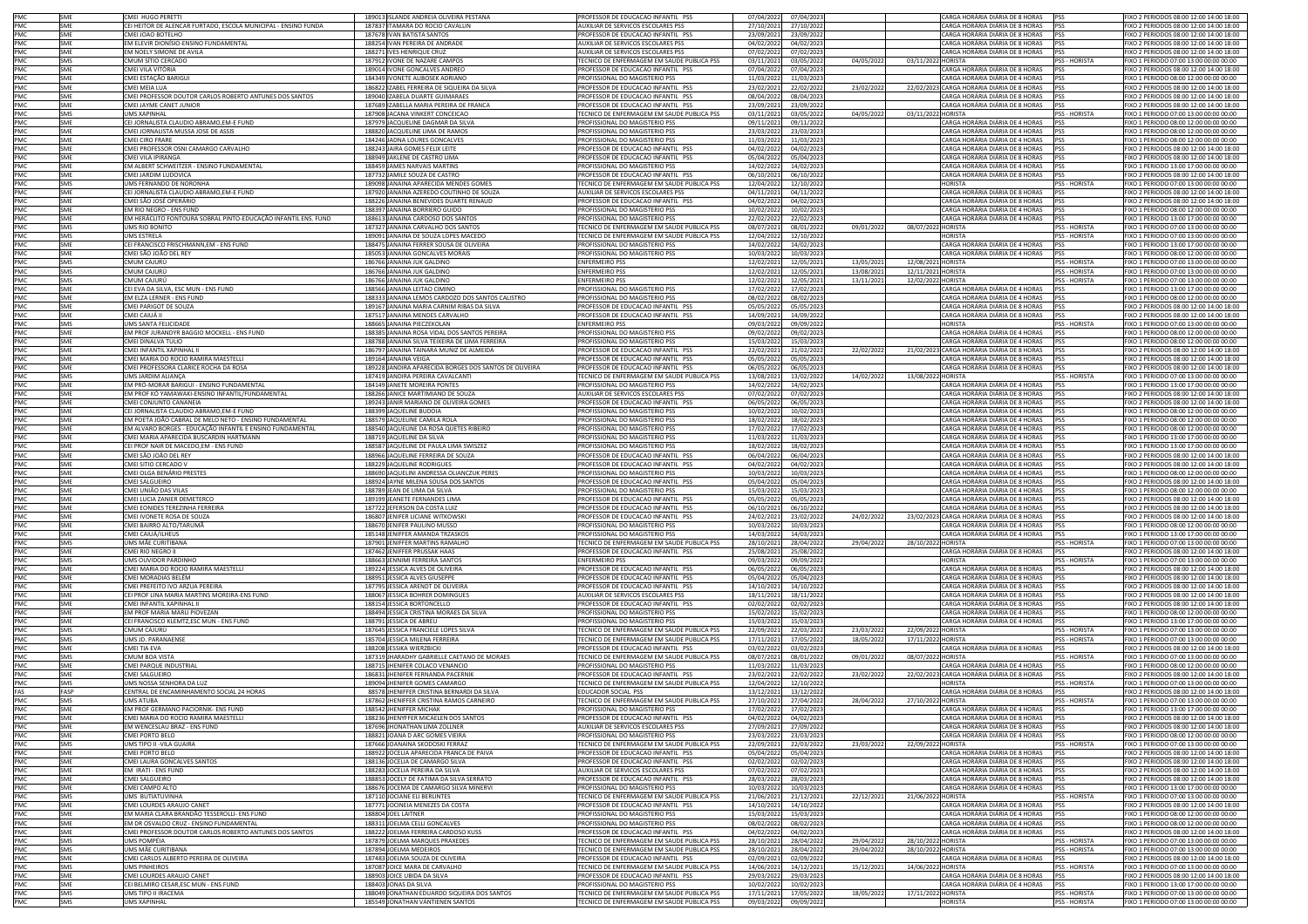| PMC<br>PMC               | <b>SME</b> | CMEI HUGO PERETTI                                              | 189013 ISLANDE ANDREIA OLIVEIRA PESTANA                | PROFESSOR DE EDUCACAO INFANTIL PSS                | 07/04/2022 | 07/04/2023 |            | CARGA HORÁRIA DIÁRIA DE 8 HORAS            | <b>PSS</b>           | FIXO 2 PERIODOS 08:00 12:00 14:00 18:00 |
|--------------------------|------------|----------------------------------------------------------------|--------------------------------------------------------|---------------------------------------------------|------------|------------|------------|--------------------------------------------|----------------------|-----------------------------------------|
|                          | SME        | CEI HEITOR DE ALENCAR FURTADO, ESCOLA MUNICIPAL - ENSINO FUNDA | 187837 ITAMARA DO ROCIO CAVALLIN                       | UXILIAR DE SERVICOS ESCOLARES PSS                 | 27/10/2021 | 27/10/202  |            | ARGA HORÁRIA DIÁRIA DE 8 HORAS             | PSS                  | FIXO 2 PERIODOS 08:00 12:00 14:00 18:00 |
| PMC                      | SME        | OHJ3TOA BOTEL                                                  | 187678 IVAN BATISTA SANTOS                             | ROFESSOR DE EDUCACAO INFANTIL PSS                 | 23/09/2021 | 23/09/2022 |            | ARGA HORÁRIA DIÁRIA DE 8 HORAS             | PSS                  | IXO 2 PERIODOS 08:00 12:00 14:00 18:00  |
| PMC                      | SME        | EM ELEVIR DIONÍSIO-ENSINO FUNDAMENTAL                          | 188254 IVAN PEREIRA DE ANDRADE                         | AUXILIAR DE SERVICOS ESCOLARES PSS                | 04/02/2022 | 04/02/2023 |            | CARGA HORÁRIA DIÁRIA DE 8 HORAS            | PSS                  | FIXO 2 PERIODOS 08:00 12:00 14:00 18:00 |
| PMC                      | SMF        | EM NOELY SIMONE DE AVILA                                       | 188271 IVES HENRIQUE CRUZ                              | AUXILIAR DE SERVICOS ESCOLARES PSS                | 07/02/202  | 07/02/2023 |            | CARGA HORÁRIA DIÁRIA DE 8 HORAS            | PSS                  | FIXO 2 PERIODOS 08:00 12:00 14:00 18:00 |
|                          | SMS        | CMUM SÍTIO CERCADO                                             | 187912 IVONE DE NAZARE CAMPOS                          | TECNICO DE ENFERMAGEM EM SAUDE PUBLICA PSS        | 03/11/2021 | 03/05/2022 | 04/05/202  | 03/11/2022 HORISTA                         | PSS - HORISTA        | FIXO 1 PERIODO 07:00 13:00 00:00 00:00  |
| PMC<br>PMC               | SME        |                                                                |                                                        | ROFESSOR DE EDUCACAO INFANTIL PSS                 |            |            |            |                                            | PSS                  |                                         |
|                          |            | CMEI VILA VITÓRIA                                              | 189014 IVONE GONCALVES ANDREO                          |                                                   | 07/04/2022 | 07/04/2023 |            | CARGA HORÁRIA DIÁRIA DE 8 HORAS            |                      | FIXO 2 PERIODOS 08:00 12:00 14:00 18:00 |
| PMC<br>PMC               | SME        | CMEI ESTAÇÃO BARIGUI                                           | 184349 IVONETE ALIBOSEK ADRIANO                        | PROFISSIONAL DO MAGISTERIO PSS                    | 11/03/2022 | 11/03/2023 |            | CARGA HORÁRIA DIÁRIA DE 4 HORAS            | PSS                  | FIXO 1 PERIODO 08:00 12:00 00:00 00:00  |
|                          | SMF        | CMEI MEIA I UA                                                 | 186822 IZABEL FERREIRA DE SIQUEIRA DA SILVA            | PROFESSOR DE EDUCACAO INFANTIL PSS                | 23/02/2021 | 22/02/2022 | 23/02/2022 | 22/02/2023 CARGA HORÁRIA DIÁRIA DE 8 HORAS | PSS                  | FIXO 2 PERIODOS 08:00 12:00 14:00 18:00 |
| PMC                      | SME        | CMEI PROFESSOR DOUTOR CARLOS ROBERTO ANTUNES DOS SANTOS        | 189040 IZABELA DUARTE GUIMARAES                        | ROFESSOR DE EDUCACAO INFANTIL PSS                 | 08/04/202  | 08/04/2023 |            | CARGA HORÁRIA DIÁRIA DE 8 HORAS            | <b>PSS</b>           | IXO 2 PERIODOS 08:00 12:00 14:00 18:00  |
| PMC                      | SME        | CMEI JAYME CANET JUNIOR                                        | 187689 IZABELLA MARIA PEREIRA DE FRANCA                | ROFESSOR DE EDUCACAO INFANTIL PSS                 | 23/09/202  | 23/09/2022 |            | CARGA HORÁRIA DIÁRIA DE 8 HORAS            | PSS                  | IXO 2 PERIODOS 08:00 12:00 14:00 18:00  |
| PMC                      | SMS        | <b>UMS XAPINHA</b>                                             | 187908 JACANA VINKERT CONCEICAO                        | FECNICO DE ENFERMAGEM EM SAUDE PUBLICA PSS        | 03/11/202  | 03/05/2022 | 04/05/202  | 03/11/2022 HORISTA                         | PSS - HORISTA        | FIXO 1 PERIODO 07:00 13:00 00:00 00:00  |
| PMC                      | SME        | CEI JORNALISTA CLAUDIO ABRAMO.EM-E FUND                        | 187979 JACQUELINE DAGMAR DA SILVA                      | PROFISSIONAL DO MAGISTERIO PSS                    | 09/11/202  | 09/11/2022 |            | CARGA HORÁRIA DIÁRIA DE 4 HORAS            | <b>PSS</b>           | FIXO 1 PERIODO 08:00 12:00 00:00 00:00  |
| PMC                      | SME        | CMEI JORNALISTA MUSSA JOSE DE ASSIS                            | 188820 JACQUELINE LIMA DE RAMOS                        | PROFISSIONAL DO MAGISTERIO PSS                    | 23/03/2022 | 23/03/2023 |            | CARGA HORÁRIA DIÁRIA DE 4 HORAS            | <b>IPSS</b>          | FIXO 1 PERIODO 08:00 12:00 00:00 00:00  |
|                          |            |                                                                |                                                        |                                                   |            |            |            |                                            |                      |                                         |
| PMC<br>PMC               | SME        | CMEI CIRO FRARE                                                | 184246 JADNA LOURES GONCALVES                          | PROFISSIONAL DO MAGISTERIO PSS                    | 11/03/2022 | 11/03/2023 |            | CARGA HORÁRIA DIÁRIA DE 4 HORAS            | PSS                  | FIXO 1 PERIODO 08:00 12:00 00:00 00:00  |
|                          | SME        | CMEI PROFESSOR OSNI CAMARGO CARVALHO                           | 188243 JAIRA GOMES FELIX LEITE                         | PROFESSOR DE EDUCACAO INFANTIL PSS                | 04/02/2022 | 04/02/2023 |            | CARGA HORÁRIA DIÁRIA DE 8 HORAS            | PSS                  | FIXO 2 PERIODOS 08:00 12:00 14:00 18:00 |
| PMC                      | SME        | CMEI VILA IPIRANGA                                             | 188949 JAKLENE DE CASTRO LIMA                          | PROFESSOR DE EDUCACAO INFANTIL PSS                | 05/04/2022 | 05/04/2023 |            | CARGA HORÁRIA DIÁRIA DE 8 HORAS            | PSS                  | FIXO 2 PERIODOS 08:00 12:00 14:00 18:00 |
| PMC<br>PMC               | SME        | EM ALBERT SCHWEITZER - ENSINO FUNDAMENTAL                      | 188459 JAMES NARVAIS MARTINS                           | PROFISSIONAL DO MAGISTERIO PSS                    | 14/02/2022 | 14/02/2023 |            | CARGA HORÁRIA DIÁRIA DE 4 HORAS            | PSS                  | FIXO 1 PERIODO 13:00 17:00 00:00 00:00  |
|                          | SME        | CMEI JARDIM LUDOVICA                                           | 187732 JAMILE SOUZA DE CASTRO                          | ROFESSOR DE EDUCACAO INFANTIL PSS                 | 06/10/202  | 06/10/2022 |            | CARGA HORÁRIA DIÁRIA DE 8 HORAS            | <b>PSS</b>           | TXO 2 PERIODOS 08:00 12:00 14:00 18:00  |
|                          |            |                                                                |                                                        |                                                   |            |            |            |                                            |                      |                                         |
| PMC                      | SMS        | <b>JMS FERNANDO DE NORONHA</b>                                 | 189098 JANAINA APARECIDA MENDES GOMES                  | ECNICO DE ENFERMAGEM EM SAUDE PUBLICA PSS         | 12/04/2022 | 12/10/2022 |            | <b>IORISTA</b>                             | <b>PSS - HORISTA</b> | IXO 1 PERIODO 07:00 13:00 00:00 00:00   |
| PMC                      | SME        | CEI JORNALISTA CLAUDIO ABRAMO, EM-E FUND                       | 187920 JANAINA AZEREDO COUTINHO DE SOUZA               | AUXILIAR DE SERVICOS ESCOLARES PSS                | 04/11/2021 | 04/11/2022 |            | CARGA HORÁRIA DIÁRIA DE 8 HORAS            | <b>PSS</b>           | FIXO 2 PERIODOS 08:00 12:00 14:00 18:00 |
| PMC<br>PMC               | SMF        | CMEI SÃO JOSÉ OPERÁRIO                                         | 188226 JANAINA BENEVIDES DUARTE RENAUD                 | PROFESSOR DE EDUCACAO INFANTIL PSS                | 04/02/2022 | 04/02/2023 |            | CARGA HORÁRIA DIÁRIA DE 8 HORAS            | PSS                  | FIXO 2 PERIODOS 08:00 12:00 14:00 18:00 |
|                          | SME        | EM RIO NEGRO - ENS FUND                                        | 188397 JANAINA BORRIERO GUIDO                          | PROFISSIONAL DO MAGISTERIO PSS                    | 10/02/2022 | 10/02/2023 |            | CARGA HORÁRIA DIÁRIA DE 4 HORAS            | PSS                  | FIXO 1 PERIODO 08:00 12:00 00:00 00:00  |
| PMC                      | SME        | EM HERÁCLITO FONTOURA SOBRAL PINTO-EDUCAÇÃO INFANTIL ENS. FUND | 188613 JANAINA CARDOSO DOS SANTOS                      | PROFISSIONAL DO MAGISTERIO PSS                    | 22/02/2022 | 22/02/2023 |            | CARGA HORÁRIA DIÁRIA DE 4 HORAS            | <b>PSS</b>           | FIXO 1 PERIODO 13:00 17:00 00:00 00:00  |
|                          | SMS        | UMS RIO BONITO                                                 | 187327 JANAINA CARVALHO DOS SANTOS                     | FECNICO DE ENFERMAGEM EM SAUDE PUBLICA PSS        | 08/07/2021 | 08/01/2022 | 09/01/2022 | 08/07/2022 HORISTA                         | PSS - HORISTA        | FIXO 1 PERIODO 07:00 13:00 00:00 00:00  |
| PMC<br>PMC<br>PMC        |            |                                                                |                                                        |                                                   |            |            |            |                                            |                      |                                         |
|                          | <b>SMS</b> | UMS ESTRELA                                                    | 189091 JANAINA DE SOUZA LOPES MACEDO                   | TECNICO DE ENFERMAGEM EM SAUDE PUBLICA PSS        | 12/04/2022 | 12/10/2022 |            | <b>HORISTA</b>                             | PSS - HORISTA        | FIXO 1 PERIODO 07:00 13:00 00:00 00:00  |
|                          | SME        | CEI FRANCISCO FRISCHMANN, EM - ENS FUND                        | 188475 JANAINA FERRER SOUSA DE OLIVEIRA                | <b>PROFISSIONAL DO MAGISTERIO PSS</b>             | 14/02/202  | 14/02/202  |            | CARGA HORÁRIA DIÁRIA DE 4 HORAS            | PSS                  | FIXO 1 PERIODO 13:00 17:00 00:00 00:00  |
| PMC                      | SME        | CMEI SÃO JOÃO DEL REY                                          | 185053 JANAINA GONCALVES MORAIS                        | ROFISSIONAL DO MAGISTERIO PSS                     | 10/03/202  | 10/03/2023 |            | ARGA HORÁRIA DIÁRIA DE 4 HORAS             | PSS                  | IXO 1 PERIODO 08:00 12:00 00:00 00:00   |
| PMC                      | SMS        | CMUM CAJURÚ                                                    | 186766 JANAINA JUK GALDINO                             | ENFERMEIRO PSS                                    | 12/02/2021 | 12/05/202: | 13/05/2021 | 12/08/2021 HORISTA                         | PSS - HORISTA        | FIXO 1 PERIODO 07:00 13:00 00:00 00:00  |
|                          | SMS        | CMUM CAJURÚ                                                    | 186766 JANAINA JUK GALDINO                             | <b>ENFERMEIRO PSS</b>                             | 12/02/202  | 12/05/2021 | 13/08/202  | 12/11/2021 HORISTA                         | PSS - HORISTA        | FIXO 1 PERIODO 07:00 13:00 00:00 00:00  |
| PMC<br>PMC               | SMS        | CMUM CAJURÚ                                                    | 186766 JANAINA JUK GALDINO                             | <b>ENFERMEIRO PSS</b>                             | 12/02/2021 | 12/05/2021 | 13/11/2021 | 12/02/2022 HORISTA                         | PSS - HORISTA        | FIXO 1 PERIODO 07:00 13:00 00:00 00:00  |
|                          |            |                                                                |                                                        |                                                   |            |            |            |                                            |                      |                                         |
| PMC                      | SME        | CEI EVA DA SILVA, ESC MUN - ENS FUND                           | 188566 JANAINA LEITAO CIMINO                           | <b>PROFISSIONAL DO MAGISTERIO PSS</b>             | 17/02/2022 | 17/02/2023 |            | CARGA HORÁRIA DIÁRIA DE 4 HORAS            | PSS                  | FIXO 1 PERIODO 13:00 17:00 00:00 00:00  |
| PMC                      | SME        | EM ELZA LERNER - ENS FUND                                      | 188333 JANAINA LEMOS CARDOZO DOS SANTOS CALISTRO       | PROFISSIONAL DO MAGISTERIO PSS                    | 08/02/2022 | 08/02/2023 |            | CARGA HORÁRIA DIÁRIA DE 4 HORAS            | PSS                  | FIXO 1 PERIODO 08:00 12:00 00:00 00:00  |
| PMC                      | SME        | CMEI PARIGOT DE SOUZA                                          | 189167 JANAINA MARIA CARNIM RIBAS DA SILVA             | PROFESSOR DE EDUCACAO INFANTIL PSS                | 05/05/2022 | 05/05/2023 |            | CARGA HORÁRIA DIÁRIA DE 8 HORAS            | PSS                  | FIXO 2 PERIODOS 08:00 12:00 14:00 18:00 |
| PMC                      | SME        | CMEI CAIUÁ II                                                  | 187517 JANAINA MENDES CARVALHO                         | PROFESSOR DE EDUCACAO INFANTIL PSS                | 14/09/2021 | 14/09/2022 |            | CARGA HORÁRIA DIÁRIA DE 8 HORAS            | <b>PSS</b>           | FIXO 2 PERIODOS 08:00 12:00 14:00 18:00 |
|                          | SMS        | <b>JMS SANTA FELICIDADE</b>                                    | 188665 JANAINA PIECZEKOLAN                             | <b>INFERMEIRO PSS</b>                             | 09/03/2022 | 09/09/2022 |            | <b>IORISTA</b>                             | <b>PSS - HORISTA</b> | IXO 1 PERIODO 07:00 13:00 00:00 00:00   |
| PMC<br>PMC               |            |                                                                |                                                        |                                                   |            |            |            |                                            |                      |                                         |
|                          | SME        | EM PROF JURANDYR BAGGIO MOCKELL - ENS FUND                     | 188385 JANAINA ROSA VIDAL DOS SANTOS PEREIRA           | PROFISSIONAL DO MAGISTERIO PSS                    | 09/02/2022 | 09/02/2023 |            | CARGA HORÁRIA DIÁRIA DE 4 HORAS            | PSS                  | FIXO 1 PERIODO 08:00 12:00 00:00 00:00  |
| PMC                      | SME        | CMEI DINALVA TULIO                                             | 188788 JANAINA SILVA TEIXEIRA DE LIMA FERREIRA         | PROFISSIONAL DO MAGISTERIO PSS                    | 15/03/2022 | 15/03/2023 |            | CARGA HORÁRIA DIÁRIA DE 4 HORAS            | PSS                  | FIXO 1 PERIODO 08:00 12:00 00:00 00:00  |
| PMC                      | SMF        | CMEI INFANTIL XAPINHAL I                                       | 186797 JANAINA TAINARA MUNIZ DE ALMEIDA                | PROFESSOR DE EDUCACAO INFANTIL PSS                | 22/02/202  | 21/02/2022 | 22/02/2022 | 21/02/2023 CARGA HORÁRIA DIÁRIA DE 8 HORAS | PSS                  | FIXO 2 PERIODOS 08:00 12:00 14:00 18:00 |
| PMC                      | SME        | CMEI MARIA DO ROCIO RAMIRA MAESTELLI                           | 189164 JANAINA VEIGA                                   | PROFESSOR DE EDUCACAO INFANTIL PSS                | 05/05/2022 | 05/05/2023 |            | CARGA HORÁRIA DIÁRIA DE 8 HORAS            | PSS                  | FIXO 2 PERIODOS 08:00 12:00 14:00 18:00 |
|                          | SME        | CMEI PROFESSORA CLARICE ROCHA DA ROSA                          | 189228 JANDIRA APARECIDA BORGES DOS SANTOS DE OLIVEIRA | PROFESSOR DE EDUCACAO INFANTIL PSS                | 06/05/2022 | 06/05/2023 |            | CARGA HORÁRIA DIÁRIA DE 8 HORAS            | PSS                  | FIXO 2 PERIODOS 08:00 12:00 14:00 18:00 |
|                          |            |                                                                |                                                        |                                                   |            |            |            |                                            |                      |                                         |
| PMC                      | SMS        | UMS JARDIM ALIANÇA                                             | 187419 JANDIRA PEREIRA CAVALCANTI                      | TECNICO DE ENFERMAGEM EM SAUDE PUBLICA PSS        | 13/08/2021 | 13/02/2022 | 14/02/2022 | 13/08/2022 HORISTA                         | PSS - HORISTA        | FIXO 1 PERIODO 07:00 13:00 00:00 00:00  |
| PMC                      | SME        | EM PRÓ-MORAR BARIGUI - ENSINO FUNDAMENTAL                      | 184149 JANETE MOREIRA PONTES                           | PROFISSIONAL DO MAGISTERIO PSS                    | 14/02/2022 | 14/02/2023 |            | CARGA HORÁRIA DIÁRIA DE 4 HORAS            | PSS                  | FIXO 1 PERIODO 13:00 17:00 00:00 00:00  |
| PMC                      | SME        | EM PROF KÓ YAMAWAKI-ENSINO INFANTIL/FUNDAMENTAL                | 188266 JANICE MARTIMIANO DE SOUZA                      | UXILIAR DE SERVICOS ESCOLARES PSS                 | 07/02/202  | 07/02/202  |            | ARGA HORÁRIA DIÁRIA DE 8 HORAS             | PSS                  | IXO 2 PERIODOS 08:00 12:00 14:00 18:00  |
| PMC                      | SME        | CMEI CONJUNTO CANANEIA                                         | 189243 JANIR MARIANO DE OLIVEIRA GOMES                 | ROFESSOR DE EDUCACAO INFANTIL PSS                 | 06/05/2022 | 06/05/2023 |            | CARGA HORÁRIA DIÁRIA DE 8 HORAS            | PSS                  | IXO 2 PERIODOS 08:00 12:00 14:00 18:00  |
| PMC                      | SME        | CEI JORNALISTA CLAUDIO ABRAMO,EM-E FUND                        | 188399 JAQUELINE BUDOIA                                | PROFISSIONAL DO MAGISTERIO PSS                    | 10/02/202  | 10/02/202  |            | CARGA HORÁRIA DIÁRIA DE 4 HORAS            | PSS                  | FIXO 1 PERIODO 08:00 12:00 00:00 00:00  |
|                          | SMF        |                                                                |                                                        |                                                   |            |            |            |                                            |                      |                                         |
| PMC                      |            | EM POETA JOÃO CABRAL DE MELO NETO - ENSINO FUNDAMENTAL         | 188579 JAQUELINE CAMILA ROLA                           | PROFISSIONAL DO MAGISTERIO PSS                    | 18/02/2022 | 18/02/2023 |            | CARGA HORÁRIA DIÁRIA DE 4 HORAS            | PSS                  | FIXO 1 PERIODO 08:00 12:00 00:00 00:00  |
| PMC                      | SME        | EM ALVARO BORGES - EDUCAÇÃO INFANTIL E ENSINO FUNDAMENTAL      | 188540 JAQUELINE DA ROSA QUETES RIBEIRO                | PROFISSIONAL DO MAGISTERIO PSS                    | 17/02/2022 | 17/02/2023 |            | CARGA HORÁRIA DIÁRIA DE 4 HORAS            | <b>PSS</b>           | FIXO 1 PERIODO 08:00 12:00 00:00 00:00  |
| PMC                      | SME        | CMEI MARIA APARECIDA BUSCARDIN HARTMANN                        | 188719 JAQUELINE DA SILVA                              | PROFISSIONAL DO MAGISTERIO PSS                    | 11/03/2022 | 11/03/2023 |            | CARGA HORÁRIA DIÁRIA DE 4 HORAS            | <b>PSS</b>           | FIXO 1 PERIODO 13:00 17:00 00:00 00:00  |
| PMC                      | SME        | CEI PROF NAIR DE MACEDO,EM - ENS FUND                          | 188587 JAQUELINE DE PAULA LIMA SWISZEZ                 | PROFISSIONAL DO MAGISTERIO PSS                    | 18/02/2022 | 18/02/2023 |            | CARGA HORÁRIA DIÁRIA DE 4 HORAS            | PSS                  | FIXO 1 PERIODO 13:00 17:00 00:00 00:00  |
| PMC<br>PMC               | SME        | CMEI SÃO JOÃO DEL REY                                          | 188966 JAQUELINE FERREIRA DE SOUZA                     | PROFESSOR DE EDUCACAO INFANTIL PSS                | 06/04/2022 | 06/04/2023 |            | CARGA HORÁRIA DIÁRIA DE 8 HORAS            | PSS                  | FIXO 2 PERIODOS 08:00 12:00 14:00 18:00 |
|                          | SME        | CMEI SITIO CERCADO V                                           | 188229 JAQUELINE RODRIGUES                             | ROFESSOR DE EDUCACAO INFANTIL PSS                 | 04/02/2022 | 04/02/2023 |            | ARGA HORÁRIA DIÁRIA DE 8 HORAS             | PSS                  | TXO 2 PERIODOS 08:00 12:00 14:00 18:00  |
|                          |            |                                                                |                                                        |                                                   |            |            |            |                                            |                      |                                         |
| PMC                      | SME        | CMEI OLGA BENÁRIO PRESTES                                      | 188690 JAQUELINI ANDRESSA OLIANCZUK PERES              | ROFISSIONAL DO MAGISTERIO PSS                     | 10/03/2022 | 10/03/2023 |            | ARGA HORÁRIA DIÁRIA DE 4 HORAS             |                      | IXO 1 PERIODO 08:00 12:00 00:00 00:00   |
| PMC<br>PMC               | SME        | CMEI SALGUEIRO                                                 | 188924 JAYNE MILENA SOUSA DOS SANTOS                   | PROFESSOR DE EDUCACAO INFANTIL PSS                | 05/04/2022 | 05/04/2023 |            | CARGA HORÁRIA DIÁRIA DE 8 HORAS            | PSS                  | FIXO 2 PERIODOS 08:00 12:00 14:00 18:00 |
|                          | SMF        | CMEI UNIÃO DAS VILAS                                           | 188789 JEAN DE LIMA DA SILVA                           | PROFISSIONAL DO MAGISTERIO PSS                    | 15/03/2022 | 15/03/2023 |            | CARGA HORÁRIA DIÁRIA DE 4 HORAS            | PSS                  | FIXO 1 PERIODO 08:00 12:00 00:00 00:00  |
| PMC                      | SME        | CMEI LUCIA ZANIER DEMETERCC                                    | 189199 JEANETE FERNANDES LIMA                          | PROFESSOR DE EDUCACAO INFANTIL PSS                | 05/05/2022 | 05/05/2023 |            | CARGA HORÁRIA DIÁRIA DE 8 HORAS            | <b>PSS</b>           | FIXO 2 PERIODOS 08:00 12:00 14:00 18:00 |
| PMC                      | SME        | CMEI EONIDES TEREZINHA FERREIRA                                | 187722 JEFERSON DA COSTA LUIZ                          | PROFESSOR DE EDUCACAO INFANTIL PSS                | 06/10/2021 | 06/10/2022 |            | CARGA HORÁRIA DIÁRIA DE 8 HORAS            | PSS                  | FIXO 2 PERIODOS 08:00 12:00 14:00 18:00 |
| PMC                      | SME        | CMEI IVONETE ROSA DE SOUZA                                     | 186807 JENIFER LICIANE WITKOWSKI                       | PROFESSOR DE EDUCACAO INFANTIL PSS                | 24/02/2021 | 23/02/2022 | 24/02/202  | 23/02/2023 CARGA HORÁRIA DIÁRIA DE 8 HORAS | PSS                  | FIXO 2 PERIODOS 08:00 12:00 14:00 18:00 |
|                          |            |                                                                |                                                        |                                                   |            |            |            |                                            |                      |                                         |
| PMC                      | SME        | CMEI BAIRRO ALTO/TARUMÃ                                        | 188670 JENIFER PAULINO MUSSO                           | PROFISSIONAL DO MAGISTERIO PSS                    | 10/03/2022 | 10/03/2023 |            | CARGA HORÁRIA DIÁRIA DE 4 HORAS            | PSS                  | FIXO 1 PERIODO 08:00 12:00 00:00 00:00  |
| PMC                      | SME        | CMEI CAIUÁ/ILHEUS                                              | 185148 JENIFFER AMANDA TRZASKOS                        | <b>PROFISSIONAL DO MAGISTERIO PSS</b>             | 14/03/2022 | 14/03/2023 |            | CARGA HORÁRIA DIÁRIA DE 4 HORAS            | <b>PSS</b>           |                                         |
| PMC                      | SMS        | JMS MÃE CURITIBANA                                             | 187901 JENIFFER MARTINS RAMALHO                        | <b>FECNICO DE ENFERMAGEM EM SAUDE PUBLICA PSS</b> | 28/10/202  | 28/04/2022 |            |                                            |                      | FIXO 1 PERIODO 13:00 17:00 00:00 00:00  |
| PMC                      | SME        |                                                                |                                                        |                                                   |            |            | 29/04/202  |                                            | PSS - HORISTA        | FIXO 1 PERIODO 07:00 13:00 00:00 00:00  |
| PMC                      |            |                                                                |                                                        |                                                   |            |            |            | 28/10/2022 HORISTA                         |                      |                                         |
|                          |            | <b>CMEI RIO NEGRO II</b>                                       | 187462 JENIFFER PRUSSAK HAAS                           | ROFESSOR DE EDUCACAO INFANTIL PSS                 | 25/08/2021 | 25/08/2022 |            | CARGA HORÁRIA DIÁRIA DE 8 HORAS            | PSS                  | FIXO 2 PERIODOS 08:00 12:00 14:00 18:00 |
|                          | SMS        | UMS OUVIDOR PARDINHC                                           | 188663 JENNIMI FERREIRA SANTOS                         | ENFERMEIRO PSS                                    | 09/03/2022 | 09/09/2022 |            | <b>HORISTA</b>                             | PSS - HORISTA        | FIXO 1 PERIODO 07:00 13:00 00:00 00:00  |
| PMC                      | SME        | CMEI MARIA DO ROCIO RAMIRA MAESTELLI                           | 189224 JESSICA ALVES DE OLIVEIRA                       | PROFESSOR DE EDUCACAO INFANTIL PSS                | 06/05/2022 | 06/05/202  |            | CARGA HORÁRIA DIÁRIA DE 8 HORAS            | <b>PSS</b>           | FIXO 2 PERIODOS 08:00 12:00 14:00 18:00 |
| PMC                      | SME        | CMEI MORADIAS BELÉM                                            | 188951 JESSICA ALVES GIUSEPPE                          | PROFESSOR DE EDUCACAO INFANTIL PSS                | 05/04/2022 | 05/04/2023 |            | CARGA HORÁRIA DIÁRIA DE 8 HORAS            | <b>PSS</b>           | FIXO 2 PERIODOS 08:00 12:00 14:00 18:00 |
|                          | SME        | CMEI PREFEITO IVO ARZUA PEREIRA                                | 187795 JESSICA ARENDT DE OLIVEIRA                      | PROFESSOR DE EDUCACAO INFANTIL PSS                | 14/10/2021 | 14/10/2022 |            | CARGA HORÁRIA DIÁRIA DE 8 HORAS            | PSS                  | FIXO 2 PERIODOS 08:00 12:00 14:00 18:00 |
|                          | SME        | CEI PROF LINA MARIA MARTINS MOREIRA-ENS FUND                   | 188067 JESSICA BOHRER DOMINGUES                        | AUXILIAR DE SERVICOS ESCOLARES PSS                | 18/11/2021 | 18/11/2022 |            | CARGA HORÁRIA DIÁRIA DE 8 HORAS            | PSS                  | FIXO 2 PERIODOS 08:00 12:00 14:00 18:00 |
| PMC<br>PMC               | SME        | CMEI INFANTIL XAPINHAL II                                      |                                                        | PROFESSOR DE EDUCACAO INFANTIL PSS                | 02/02/2022 | 02/02/2023 |            | CARGA HORÁRIA DIÁRIA DE 8 HORAS            | PSS                  | FIXO 2 PERIODOS 08:00 12:00 14:00 18:00 |
|                          |            |                                                                | 188154 JESSICA BORTONCELLO                             |                                                   |            |            |            |                                            |                      |                                         |
| PMC                      | SME        | EM PROF MARIA MARLI PIOVEZAN                                   | 188494 JESSICA CRISTINA MORAES DA SILVA                | PROFISSIONAL DO MAGISTERIO PSS                    | 15/02/2022 | 15/02/2023 |            | ARGA HORÁRIA DIÁRIA DE 4 HORAS             | <b>PSS</b>           | FIXO 1 PERIODO 08:00 12:00 00:00 00:00  |
| PMC                      | SME        | CEI FRANCISCO KLEMTZ.ESC MUN - ENS FUND                        | 188791 JESSICA DE ABREU                                | ROFISSIONAL DO MAGISTERIO PSS                     | 15/03/2022 | 15/03/2023 |            | CARGA HORÁRIA DIÁRIA DE 4 HORAS            | PSS                  | IXO 1 PERIODO 13:00 17:00 00:00 00:00   |
| PMC                      | SMS        | CMUM CAJURÚ                                                    | 187645 JESSICA FRANCIELE LOPES SILVA                   | <b>ECNICO DE ENFERMAGEM EM SAUDE PUBLICA PSS</b>  | 22/09/202  | 22/03/2022 | 23/03/2022 | 22/09/2022 HORISTA                         | PSS - HORISTA        | FIXO 1 PERIODO 07:00 13:00 00:00 00:00  |
|                          | SMS        | <b>UMS ID. PARANAENSE</b>                                      | 185704 JESSICA MILENA FERREIRA                         | TECNICO DE ENFERMAGEM EM SAUDE PUBLICA PSS        | 17/11/2021 | 17/05/2022 | 18/05/2022 | 17/11/2022 HORISTA                         | <b>PSS - HORISTA</b> | FIXO 1 PERIODO 07:00 13:00 00:00 00:00  |
| PMC<br>PMC               | SME        | CMEI TIA EVA                                                   | 188208 JESSIKA WIERZBICKI                              | PROFESSOR DE EDUCACAO INFANTIL PSS                | 03/02/202  | 03/02/2023 |            | CARGA HORÁRIA DIÁRIA DE 8 HORAS            | PSS                  | FIXO 2 PERIODOS 08:00 12:00 14:00 18:00 |
|                          | SMS        | CMUM BOA VISTA                                                 | 187319 JHARADHY GABRIELLE CAETANO DE MORAES            | TECNICO DE ENFERMAGEM EM SAUDE PUBLICA PSS        | 08/07/2021 | 08/01/2022 | 09/01/2022 | 08/07/2022 HORISTA                         | PSS - HORISTA        | FIXO 1 PERIODO 07:00 13:00 00:00 00:00  |
|                          |            |                                                                |                                                        |                                                   |            |            |            |                                            |                      |                                         |
| PMC                      | SME        | CMEI PARQUE INDUSTRIAL                                         | 188715 JHENIFER COLACO VENANCIO                        | PROFISSIONAL DO MAGISTERIO PSS                    | 11/03/2022 | 11/03/2023 |            | CARGA HORÁRIA DIÁRIA DE 4 HORAS            | PSS                  | FIXO 1 PERIODO 08:00 12:00 00:00 00:00  |
|                          | SME        | CMEI SALGUEIRO                                                 | 186831 JHENIFER FERNANDA PACERNIK                      | PROFESSOR DE EDUCACAO INFANTIL PSS                | 23/02/202  | 22/02/2022 | 23/02/2022 | 22/02/2023 CARGA HORÁRIA DIÁRIA DE 8 HORAS | PSS                  | FIXO 2 PERIODOS 08:00 12:00 14:00 18:00 |
| PMC<br>PMC               | SMS        | JMS NOSSA SENHORA DA LUZ                                       | 189094 JHENIFER GOMES CAMARGO                          | ECNICO DE ENFERMAGEM EM SAUDE PUBLICA PSS         | 12/04/202  | 12/10/2022 |            | <b>IORISTA</b>                             | PSS - HORISTA        | IXO 1 PERIODO 07:00 13:00 00:00 00:00   |
| FAS                      | FASF       | <b>ENTRAL DE ENCAMINHAMENTO SOCIAL 24 HORAS</b>                | 88578 JHENIFFER CRISTINA BERNARDI DA SILVA             | <b>DUCADOR SOCIAL PSS</b>                         | 13/12/202  | 13/12/2022 |            | CARGA HORÁRIA DIÁRIA DE 8 HORAS            | PSS                  | IXO 2 PERIODOS 08:00 12:00 14:00 18:00  |
|                          | SMS        | UMS ATUBA                                                      | 187862 JHENIFFER CRISTINA RAMOS CARNEIRO               | TECNICO DE ENFERMAGEM EM SAUDE PUBLICA PSS        | 27/10/2021 | 27/04/202  | 28/04/202  | 27/10/2022 HORISTA                         | PSS - HORISTA        | FIXO 1 PERIODO 07:00 13:00 00:00 00:00  |
| PMC<br>PMC               |            | <b>IM PROF GERI</b>                                            |                                                        |                                                   |            |            |            | IRGA HORA                                  |                      | (0.1 BERIODO 12:00 17:00 00:0           |
|                          |            |                                                                | 188236 JHENYFFER MICAELEN DOS SANTOS                   |                                                   | 04/02/2022 | 04/02/202  |            | CARGA HORÁRIA DIÁRIA DE 8 HORAS            | <b>PSS</b>           | FIXO 2 PERIODOS 08:00 12:00 14:00 18:00 |
| PMC                      | <b>SME</b> | CMEI MARIA DO ROCIO RAMIRA MAESTELLI                           |                                                        | PROFESSOR DE EDUCACAO INFANTIL PSS                |            |            |            |                                            |                      |                                         |
| PMC                      | SME        | EM WENCESLAU BRAZ - ENS FUND                                   | 187696 JHONATHAN LIMA ZOLLNER                          | <b>NUXILIAR DE SERVICOS ESCOLARES PSS</b>         | 27/09/2021 | 27/09/2022 |            | CARGA HORÁRIA DIÁRIA DE 8 HORAS PSS        |                      | FIXO 2 PERIODOS 08:00 12:00 14:00 18:00 |
| PMC                      | SME        | CMEI PORTO BELO                                                | 188821 JOANA D ARC GOMES VIEIRA                        | PROFISSIONAL DO MAGISTERIO PSS                    | 23/03/2022 | 23/03/2023 |            | CARGA HORÁRIA DIÁRIA DE 4 HORAS            | PSS                  | FIXO 1 PERIODO 08:00 12:00 00:00 00:00  |
| PMC                      | SMS        | UMS TIPO II -VILA GUAIRA                                       | 187666 JOANAINA SKODOSKI FERRAZ                        | TECNICO DE ENFERMAGEM EM SAUDE PUBLICA PSS        | 22/09/2021 | 22/03/2022 | 23/03/2022 | 22/09/2022 HORISTA                         | PSS - HORISTA        | FIXO 1 PERIODO 07:00 13:00 00:00 00:00  |
|                          | <b>SME</b> | CMEI PORTO BELO                                                | 188922 JOCELIA APARECIDA FRANCA DE PAIVA               | PROFESSOR DE EDUCACAO INFANTIL PSS                | 05/04/2022 | 05/04/2023 |            | CARGA HORÁRIA DIÁRIA DE 8 HORAS            | PSS                  | FIXO 2 PERIODOS 08:00 12:00 14:00 18:00 |
| PMC                      | SME        | CMEI LAURA GONCALVES SANTOS                                    | 188136 JOCELIA DE CAMARGO SILVA                        | ROFESSOR DE EDUCACAO INFANTIL PSS                 | 02/02/2022 | 02/02/2023 |            | ARGA HORÁRIA DIÁRIA DE 8 HORAS             | <b>PSS</b>           | FIXO 2 PERIODOS 08:00 12:00 14:00 18:00 |
| PMC                      |            |                                                                |                                                        |                                                   |            |            |            |                                            |                      |                                         |
| PMC                      | SME        | EM IRATI - ENS FUND                                            | 188283 JOCELIA PEREIRA DA SILVA                        | UXILIAR DE SERVICOS ESCOLARES PSS                 | 07/02/2022 | 07/02/2023 |            | ARGA HORÁRIA DIÁRIA DE 8 HORAS             | PSS                  | TIXO 2 PERIODOS 08:00 12:00 14:00 18:00 |
|                          | SME        | CMEI SALGUEIRO                                                 | 188853 JOCELY DE FATIMA DA SILVA SERRATO               | PROFESSOR DE EDUCACAO INFANTIL PSS                | 28/03/2022 | 28/03/2023 |            | CARGA HORÁRIA DIÁRIA DE 8 HORAS            | PSS                  | FIXO 2 PERIODOS 08:00 12:00 14:00 18:00 |
|                          | SME        | CMEI CAMPO ALTO                                                | 188676 JOCEMA DE CAMARGO SILVA MINERVI                 | PROFISSIONAL DO MAGISTERIO PSS                    | 10/03/2022 | 10/03/2023 |            | CARGA HORÁRIA DIÁRIA DE 4 HORAS            | <b>PSS</b>           | FIXO 1 PERIODO 13:00 17:00 00:00 00:00  |
|                          | SMS        | UMS BUTIATUVINHA                                               | 187110 JOCIANE ELI BERLINTES                           | TECNICO DE ENFERMAGEM EM SAUDE PUBLICA PSS        | 21/06/2021 | 21/12/2021 | 22/12/2021 | 21/06/2022 HORISTA                         | PSS - HORISTA        | FIXO 1 PERIODO 07:00 13:00 00:00 00:00  |
|                          | SME        |                                                                |                                                        |                                                   |            |            |            |                                            |                      |                                         |
| PMC<br>PMC<br>PMC<br>PMC |            | CMEI LOURDES ARAUJO CANET                                      | 187771 JOCINEIA MENEZES DA COSTA                       | PROFESSOR DE EDUCACAO INFANTIL PSS                | 14/10/2021 | 14/10/2022 |            | CARGA HORÁRIA DIÁRIA DE 8 HORAS            | PSS                  | FIXO 2 PERIODOS 08:00 12:00 14:00 18:00 |
| PMC                      | SME        | EM MARIA CLARA BRANDÃO TESSEROLLI- ENS FUND                    | 188804 JOEL LAITNER                                    | PROFISSIONAL DO MAGISTERIO PSS                    | 15/03/2022 | 15/03/2023 |            | CARGA HORÁRIA DIÁRIA DE 4 HORAS            | PSS                  | FIXO 1 PERIODO 08:00 12:00 00:00 00:00  |
| PMC                      | SMF        | EM DR OSVALDO CRUZ - ENSINO FUNDAMENTAL                        | 188311 JOELMA CELLI GONCALVES                          | PROFISSIONAL DO MAGISTERIO PSS                    | 08/02/2022 | 08/02/2023 |            | CARGA HORÁRIA DIÁRIA DE 4 HORAS            | PSS                  | FIXO 1 PERIODO 08:00 12:00 00:00 00:00  |
| PMC                      | SME        | CMEI PROFESSOR DOUTOR CARLOS ROBERTO ANTUNES DOS SANTOS        | 188222 JOELMA FERREIRA CARDOSO KUSS                    | ROFESSOR DE EDUCACAO INFANTIL PSS                 | 04/02/2022 | 04/02/2023 |            | CARGA HORÁRIA DIÁRIA DE 8 HORAS            | PSS                  | FIXO 2 PERIODOS 08:00 12:00 14:00 18:00 |
| PMC                      | SMS        | UMS POMPÉIA                                                    | 187879 JOELMA MARQUES PRAXEDES                         | ECNICO DE ENFERMAGEM EM SAUDE PUBLICA PSS         | 28/10/2021 | 28/04/2022 | 29/04/2022 | 28/10/2022 HORISTA                         | <b>PSS - HORISTA</b> | FIXO 1 PERIODO 07:00 13:00 00:00 00:00  |
|                          |            |                                                                |                                                        |                                                   |            |            |            |                                            |                      |                                         |
|                          | SMS        | UMS MÃE CURITIBANA                                             | 187894 JOELMA MEDEIROS                                 | <b>FECNICO DE ENFERMAGEM EM SAUDE PUBLICA PSS</b> | 28/10/202  | 28/04/2022 | 29/04/202  | 28/10/2022 HORISTA                         | PSS - HORISTA        | FIXO 1 PERIODO 07:00 13:00 00:00 00:00  |
|                          | SME        | CMEI CARLOS ALBERTO PEREIRA DE OLIVEIRA                        | 187483 JOELMA SOUZA DE OLIVEIRA                        | PROFESSOR DE EDUCACAO INFANTIL PSS                | 02/09/2021 | 02/09/2022 |            | CARGA HORÁRIA DIÁRIA DE 8 HORAS            | PSS                  | FIXO 2 PERIODOS 08:00 12:00 14:00 18:00 |
|                          | SMS        | UMS PINHEIROS                                                  | 187087 JOICE MARA DE CARVALHO                          | TECNICO DE ENFERMAGEM EM SAUDE PUBLICA PSS        | 14/06/2021 | 14/12/2021 | 15/12/2021 | 14/06/2022 HORISTA                         | PSS - HORISTA        | FIXO 1 PERIODO 07:00 13:00 00:00 00:00  |
| PMC<br>PMC<br>PMC<br>PMC | SME        | CMEI LOURDES ARAUJO CANET                                      | 188903 JOICE UBIDA DA SILVA                            | PROFESSOR DE EDUCACAO INFANTIL PSS                | 29/03/2022 | 29/03/2023 |            | CARGA HORÁRIA DIÁRIA DE 8 HORAS            | PSS                  | FIXO 2 PERIODOS 08:00 12:00 14:00 18:00 |
| PMC                      | SME        | CEI BELMIRO CESAR,ESC MUN - ENS FUND                           | 188403 JONAS DA SILVA                                  | PROFISSIONAL DO MAGISTERIO PSS                    | 10/02/2022 | 10/02/2023 |            | CARGA HORÁRIA DIÁRIA DE 4 HORAS            | PSS                  | FIXO 1 PERIODO 13:00 17:00 00:00 00:00  |
| PMC                      | SMS        | UMS TIPO II IRACEMA                                            | 188049 JONATHAN EDUARDO SIQUEIRA DOS SANTOS            | TECNICO DE ENFERMAGEM EM SAUDE PUBLICA PSS        | 17/11/2021 | 17/05/2022 | 18/05/2022 | 17/11/2022 HORISTA                         | PSS - HORISTA        | FIXO 1 PERIODO 07:00 13:00 00:00 00:00  |
| PMC                      | SMS        | <b>UMS XAPINHAL</b>                                            | 185549 JONATHAN VANTIENEN SANTOS                       | TECNICO DE ENFERMAGEM EM SAUDE PUBLICA PSS        | 09/03/2022 | 09/09/2022 |            | <b>HORISTA</b>                             | PSS - HORISTA        | FIXO 1 PERIODO 07:00 13:00 00:00 00:00  |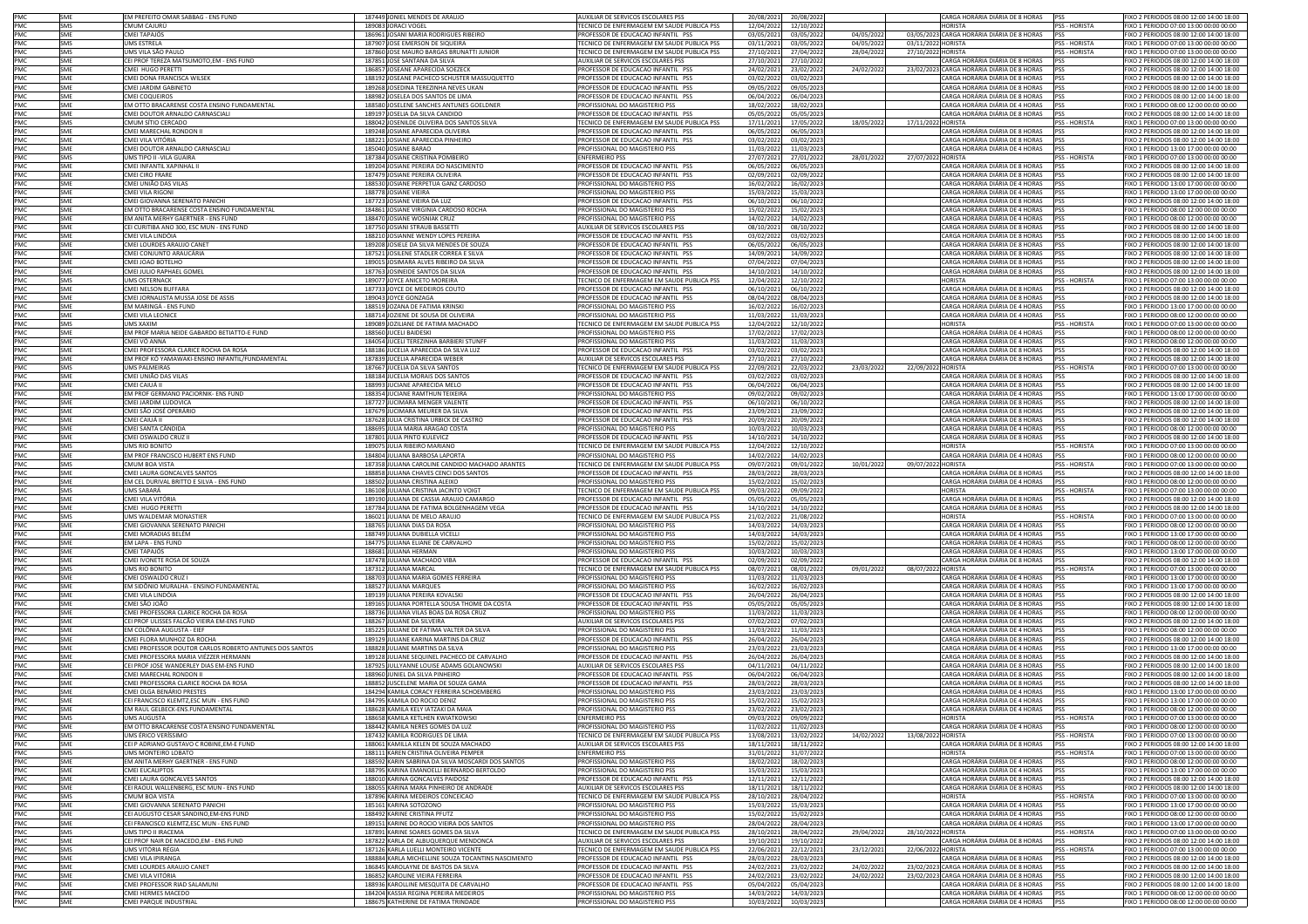| PMC<br>PMC<br>PMC                      | SME               | EM PREFEITO OMAR SABBAG - ENS FUND                                 | 187449 JONIEL MENDES DE ARAUJO                                                             | AUXILIAR DE SERVICOS ESCOLARES PSS                                               | 20/08/2021               | 20/08/2022               |           |                    | CARGA HORÁRIA DIÁRIA DE 8 HORAS                                            | <b>PSS</b>                   | FIXO 2 PERIODOS 08:00 12:00 14:00 18:00                                            |
|----------------------------------------|-------------------|--------------------------------------------------------------------|--------------------------------------------------------------------------------------------|----------------------------------------------------------------------------------|--------------------------|--------------------------|-----------|--------------------|----------------------------------------------------------------------------|------------------------------|------------------------------------------------------------------------------------|
|                                        | SMS               | CMUM CAJURÚ                                                        | 189083 JORACI VOGEL                                                                        | TECNICO DE ENFERMAGEM EM SAUDE PUBLICA PSS                                       | 12/04/2022               | 12/10/2022               |           |                    | <b>HORISTA</b>                                                             | <b>PSS - HORISTA</b>         | FIXO 1 PERIODO 07:00 13:00 00:00 00:00                                             |
|                                        | SME               | <b>MEI TAPAJÓS</b>                                                 | 186961 JOSANI MARIA RODRIGUES RIBEIRO                                                      | PROFESSOR DE EDUCACAO INFANTIL PSS                                               | 03/05/202                | 03/05/2022               | 04/05/202 |                    | 03/05/2023 CARGA HORÁRIA DIÁRIA DE 8 HORAS                                 | PSS                          | IXO 2 PERIODOS 08:00 12:00 14:00 18:00                                             |
| PMC                                    | SMS               | <b>JMS ESTRELA</b>                                                 | 187907 JOSE EMERSON DE SIQUEIRA                                                            | FECNICO DE ENFERMAGEM EM SAUDE PUBLICA PSS                                       | 03/11/202                | 03/05/2022               | 04/05/202 | 03/11/2022 HORISTA |                                                                            | PSS - HORISTA                | IXO 1 PERIODO 07:00 13:00 00:00 00:00                                              |
|                                        | SMS<br>SME        | UMS VILA SÃO PAULO<br>CEI PROF TEREZA MATSUMOTO,EM - ENS FUND      | 187860 JOSE MAURO BARGAS BRUNATTI JUNIOR<br>187851 JOSE SANTANA DA SILVA                   | TECNICO DE ENFERMAGEM EM SAUDE PUBLICA PSS<br>AUXILIAR DE SERVICOS ESCOLARES PSS | 27/10/202                | 27/04/2022<br>27/10/2022 | 28/04/202 | 27/10/2022 HORISTA | CARGA HORÁRIA DIÁRIA DE 8 HORAS                                            | PSS - HORISTA<br><b>IPSS</b> | FIXO 1 PERIODO 07:00 13:00 00:00 00:00<br>FIXO 2 PERIODOS 08:00 12:00 14:00 18:00  |
|                                        | SME               | CMEL HUGO PERETT                                                   | 186857 JOSEANE APARECIDA SOEZECK                                                           | PROFESSOR DE EDUCACAO INFANTIL PSS                                               | 27/10/202<br>24/02/202   | 23/02/2022               | 24/02/202 |                    | 23/02/2023 CARGA HORÁRIA DIÁRIA DE 8 HORAS PSS                             |                              | FIXO 2 PERIODOS 08:00 12:00 14:00 18:00                                            |
|                                        | SME               | <b>IMEI DONA FRANCISCA WILSEK</b>                                  | 188192 JOSEANE PACHECO SCHUSTER MASSUQUETTO                                                | PROFESSOR DE EDUCACAO INFANTIL PSS                                               | 03/02/202                | 03/02/2023               |           |                    | CARGA HORÁRIA DIÁRIA DE 8 HORAS                                            | <b>PSS</b>                   | FIXO 2 PERIODOS 08:00 12:00 14:00 18:00                                            |
|                                        | SME               | CMEI JARDIM GABINETO                                               | 189268 JOSEDINA TEREZINHA NEVES UKAN                                                       | PROFESSOR DE EDUCACAO INFANTIL PSS                                               | 09/05/202                | 09/05/2023               |           |                    | CARGA HORÁRIA DIÁRIA DE 8 HORAS PSS                                        |                              | FIXO 2 PERIODOS 08:00 12:00 14:00 18:00                                            |
| PMC<br>PMC<br>PMC<br>PMC<br>PMC<br>PMC | SMF               | CMEI COQUEIROS                                                     | 188982 JOSELEA DOS SANTOS DE LIMA                                                          | PROFESSOR DE EDUCACAO INFANTIL PSS                                               | 06/04/202                | 06/04/2023               |           |                    | CARGA HORÁRIA DIÁRIA DE 8 HORAS                                            | <b>PSS</b>                   | FIXO 2 PERIODOS 08:00 12:00 14:00 18:00                                            |
|                                        | SME               | EM OTTO BRACARENSE COSTA ENSINO FUNDAMENTAL                        | 188580 JOSELENE SANCHES ANTUNES GOELDNER                                                   | PROFISSIONAL DO MAGISTERIO PSS                                                   | 18/02/202                | 18/02/2023               |           |                    | CARGA HORÁRIA DIÁRIA DE 4 HORAS                                            | <b>PSS</b>                   | IXO 1 PERIODO 08:00 12:00 00:00 00:00                                              |
| PMC<br>PMC                             | SME<br>SMS        | MEI DOUTOR ARNALDO CARNASCIALI<br>CMUM SÍTIO CERCADO               | 189197 JOSELIA DA SILVA CANDIDO<br>188042 JOSENILDE OLIVEIRA DOS SANTOS SILVA              | PROFESSOR DE EDUCACAO INFANTIL PSS<br>TECNICO DE ENFERMAGEM EM SAUDE PUBLICA PSS | 05/05/202<br>17/11/202   | 05/05/2023<br>17/05/2022 | 18/05/202 | 17/11/2022 HORISTA | CARGA HORÁRIA DIÁRIA DE 8 HORAS                                            | <b>PSS</b><br>PSS - HORISTA  | IXO 2 PERIODOS 08:00 12:00 14:00 18:00<br>FIXO 1 PERIODO 07:00 13:00 00:00 00:00   |
| PMC                                    | SME               | CMEI MARECHAL RONDON II                                            | 189248 JOSIANE APARECIDA OLIVEIRA                                                          | PROFESSOR DE EDUCACAO INFANTIL PSS                                               | 06/05/202                | 06/05/2023               |           |                    | CARGA HORÁRIA DIÁRIA DE 8 HORAS                                            | PSS                          | FIXO 2 PERIODOS 08:00 12:00 14:00 18:00                                            |
|                                        | SME               | CMEI VILA VITÓRIA                                                  | 188221 JOSIANE APARECIDA PINHEIRO                                                          | PROFESSOR DE EDUCACAO INFANTIL PSS                                               | 03/02/202                | 03/02/2023               |           |                    | CARGA HORÁRIA DIÁRIA DE 8 HORAS                                            | <b>PSS</b>                   | FIXO 2 PERIODOS 08:00 12:00 14:00 18:00                                            |
| PMC<br>PMC<br>PMC<br>PMC<br>PMC<br>PMC | SME               | CMEI DOUTOR ARNALDO CARNASCIALI                                    | 185040 JOSIANE BARAO                                                                       | PROFISSIONAL DO MAGISTERIO PSS                                                   | 11/03/2023               | 11/03/2023               |           |                    | CARGA HORÁRIA DIÁRIA DE 4 HORAS                                            | PSS                          | FIXO 1 PERIODO 13:00 17:00 00:00 00:00                                             |
|                                        | SMS               | JMS TIPO II -VILA GUAIRA                                           | 187384 JOSIANE CRISTINA POMBEIRO                                                           | <b>ENFERMEIRO PSS</b>                                                            | 27/07/202                | 27/01/2022               | 28/01/202 | 27/07/2022 HORISTA |                                                                            | PSS - HORISTA                | FIXO 1 PERIODO 07:00 13:00 00:00 00:00                                             |
|                                        | SME               | CMEI INFANTIL XAPINHAL II                                          | 189204 JOSIANE PEREIRA DO NASCIMENTO                                                       | PROFESSOR DE EDUCACAO INFANTIL PSS                                               | 06/05/202                | 06/05/2023               |           |                    | CARGA HORÁRIA DIÁRIA DE 8 HORAS PSS<br>CARGA HORÁRIA DIÁRIA DE 8 HORAS PSS |                              | FIXO 2 PERIODOS 08:00 12:00 14:00 18:00                                            |
|                                        | SME<br>SME        | CMEI CIRO FRARE<br>CMEI UNIÃO DAS VILAS                            | 187479 JOSIANE PEREIRA OLIVEIRA<br>188530 JOSIANE PERPETUA GANZ CARDOSO                    | PROFESSOR DE EDUCACAO INFANTIL PSS<br>PROFISSIONAL DO MAGISTERIO PSS             | 02/09/202<br>16/02/202   | 02/09/2022<br>16/02/2023 |           |                    | CARGA HORÁRIA DIÁRIA DE 4 HORAS PSS                                        |                              | FIXO 2 PERIODOS 08:00 12:00 14:00 18:00<br>IXO 1 PERIODO 13:00 17:00 00:00 00:00   |
|                                        | SME               | MEI VILA RIGONI                                                    | 188778 JOSIANE VIEIRA                                                                      | PROFISSIONAL DO MAGISTERIO PSS                                                   | 15/03/202                | 15/03/2023               |           |                    | CARGA HORÁRIA DIÁRIA DE 4 HORAS                                            | <b>IPSS</b>                  | IXO 1 PERIODO 13:00 17:00 00:00 00:00                                              |
| PMC<br>PMC<br>PMC<br>PMC               | SME               | CMEI GIOVANNA SERENATO PANICHI                                     | 187723 JOSIANE VIEIRA DA LUZ                                                               | PROFESSOR DE EDUCACAO INFANTIL PSS                                               | 06/10/202                | 06/10/2022               |           |                    | CARGA HORÁRIA DIÁRIA DE 8 HORAS                                            |                              | FIXO 2 PERIODOS 08:00 12:00 14:00 18:00                                            |
|                                        | SMF               | EM OTTO BRACARENSE COSTA ENSINO FUNDAMENTAL                        | 184861 JOSIANE VIRGINIA CARDOSO ROCHA                                                      | PROFISSIONAL DO MAGISTERIO PSS                                                   | 15/02/2022               | 15/02/2023               |           |                    | CARGA HORÁRIA DIÁRIA DE 4 HORAS PSS                                        |                              | FIXO 1 PERIODO 08:00 12:00 00:00 00:00                                             |
|                                        | SME               | EM ANITA MERHY GAERTNER - ENS FUND                                 | 188470 JOSIANE WOSNIAK CRUZ                                                                | PROFISSIONAL DO MAGISTERIO PSS                                                   | 14/02/202                | 14/02/2023               |           |                    | CARGA HORÁRIA DIÁRIA DE 4 HORAS                                            | <b>PSS</b>                   | FIXO 1 PERIODO 08:00 12:00 00:00 00:00                                             |
|                                        | SME<br>SME        | CEI CURITIBA ANO 300, ESC MUN - ENS FUND<br>CMEI VILA LINDÓIA      | 187750 JOSIANI STRAUB BASSETTI<br>188210 JOSIANNE WENDY LOPES PEREIRA                      | AUXILIAR DE SERVICOS ESCOLARES PSS<br>PROFESSOR DE EDUCACAO INFANTIL PSS         | 08/10/2021<br>03/02/202  | 08/10/2022<br>03/02/2023 |           |                    | CARGA HORÁRIA DIÁRIA DE 8 HORAS PSS<br>CARGA HORÁRIA DIÁRIA DE 8 HORAS     | <b>PSS</b>                   | FIXO 2 PERIODOS 08:00 12:00 14:00 18:00<br>FIXO 2 PERIODOS 08:00 12:00 14:00 18:00 |
|                                        | SME               | CMEI LOURDES ARAUJO CANET                                          | 189208 JOSIELE DA SILVA MENDES DE SOUZA                                                    | PROFESSOR DE EDUCACAO INFANTIL PSS                                               | 06/05/202                | 06/05/2023               |           |                    | CARGA HORÁRIA DIÁRIA DE 8 HORAS                                            | <b>PSS</b>                   | FIXO 2 PERIODOS 08:00 12:00 14:00 18:00                                            |
| PMC<br>PMC<br>PMC                      | SME               | IMEI CONJUNTO ARAUCÁRIA                                            | 187521 JOSILENE STADLER CORREA E SILVA                                                     | PROFESSOR DE EDUCACAO INFANTIL PSS                                               | 14/09/202                | 14/09/2022               |           |                    | CARGA HORÁRIA DIÁRIA DE 8 HORAS                                            | <b>PSS</b>                   | IXO 2 PERIODOS 08:00 12:00 14:00 18:00                                             |
| PMC                                    | SME               | MEI JOAO BOTELHO                                                   | 189015 JOSIMARA ALVES RIBEIRO DA SILVA                                                     | PROFESSOR DE EDUCACAO INFANTIL PSS                                               | 07/04/202                | 07/04/2023               |           |                    | CARGA HORÁRIA DIÁRIA DE 8 HORAS                                            | <b>PSS</b>                   | IXO 2 PERIODOS 08:00 12:00 14:00 18:00                                             |
| PMC                                    | SME               | CMEI JULIO RAPHAEL GOMEL                                           | 187763 JOSINEIDE SANTOS DA SILVA                                                           | PROFESSOR DE EDUCACAO INFANTIL PSS                                               | 14/10/202                | 14/10/2022               |           |                    | CARGA HORÁRIA DIÁRIA DE 8 HORAS                                            | PSS                          | FIXO 2 PERIODOS 08:00 12:00 14:00 18:00                                            |
|                                        | SMS<br>SME        | UMS OSTERNACK<br>CMEI NELSON BUFFARA                               | 189077 JOYCE ANICETO MOREIRA<br>187733 JOYCE DE MEDEIROS COUTO                             | TECNICO DE ENFERMAGEM EM SAUDE PUBLICA PSS<br>PROFESSOR DE EDUCACAO INFANTIL PSS | 12/04/202<br>06/10/202   | 12/10/2022<br>06/10/2022 |           |                    | <b>HORISTA</b><br>CARGA HORÁRIA DIÁRIA DE 8 HORAS                          | PSS - HORISTA<br><b>PSS</b>  | FIXO 1 PERIODO 07:00 13:00 00:00 00:00<br>FIXO 2 PERIODOS 08:00 12:00 14:00 18:00  |
| PMC<br>PMC<br>PMC                      | SME               | CMEI JORNALISTA MUSSA JOSE DE ASSIS                                | 189043 JOYCE GONZAGA                                                                       | PROFESSOR DE EDUCACAO INFANTIL PSS                                               | 08/04/2022               | 08/04/2023               |           |                    | CARGA HORÁRIA DIÁRIA DE 8 HORAS PSS                                        |                              | FIXO 2 PERIODOS 08:00 12:00 14:00 18:00                                            |
| PMC                                    | SME               | EM MARINGÁ - ENS FUND                                              | 188519 JOZANA DE FATIMA KRINSKI                                                            | PROFISSIONAL DO MAGISTERIO PSS                                                   | 16/02/202                | 16/02/2023               |           |                    | CARGA HORÁRIA DIÁRIA DE 4 HORAS PSS                                        |                              | FIXO 1 PERIODO 13:00 17:00 00:00 00:00                                             |
| PMC<br>PMC                             | SME               | CMEI VILA LEONICE                                                  | 188714 JOZIENE DE SOUSA DE OLIVEIRA                                                        | PROFISSIONAL DO MAGISTERIO PSS                                                   | 11/03/2023               | 11/03/2023               |           |                    | CARGA HORÁRIA DIÁRIA DE 4 HORAS PSS                                        |                              | FIXO 1 PERIODO 08:00 12:00 00:00 00:00                                             |
|                                        | SMS               | <b>UMS XAXIM</b>                                                   | 189089 JOZILIANE DE FATIMA MACHADO                                                         | TECNICO DE ENFERMAGEM EM SAUDE PUBLICA PSS                                       | 12/04/2022               | 12/10/2022               |           |                    | <b>HORISTA</b>                                                             | PSS - HORISTA                | FIXO 1 PERIODO 07:00 13:00 00:00 00:00                                             |
| PMC<br>PMC                             | SME               | EM PROF MARIA NEIDE GABARDO BETIATTO-E FUND                        | 188560 JUCELI BAIDESKI                                                                     | PROFISSIONAL DO MAGISTERIO PSS                                                   | 17/02/202                | 17/02/2023               |           |                    | CARGA HORÁRIA DIÁRIA DE 4 HORAS                                            | <b>PSS</b>                   | IXO 1 PERIODO 08:00 12:00 00:00 00:00                                              |
|                                        | SME<br>SME        | CMEI VÓ ANNA<br>CMEI PROFESSORA CLARICE ROCHA DA ROSA              | 184054 JUCELI TEREZINHA BARBIERI STUNFF<br>188186 JUCELIA APARECIDA DA SILVA LUZ           | PROFISSIONAL DO MAGISTERIO PSS<br>PROFESSOR DE EDUCACAO INFANTIL PSS             | 11/03/202<br>03/02/202   | 11/03/2023<br>03/02/2023 |           |                    | CARGA HORÁRIA DIÁRIA DE 4 HORAS<br>CARGA HORÁRIA DIÁRIA DE 8 HORAS         | <b>PSS</b><br>PSS            | IXO 1 PERIODO 08:00 12:00 00:00 00:00<br>FIXO 2 PERIODOS 08:00 12:00 14:00 18:00   |
| PMC<br>PMC<br>PMC<br>PMC               | SMF               | EM PROF KÓ YAMAWAKI-ENSINO INFANTIL/FUNDAMENTAL                    | 187839 JUCELIA APARECIDA WEBER                                                             | AUXILIAR DE SERVICOS ESCOLARES PSS                                               | 27/10/202                | 27/10/2022               |           |                    | CARGA HORÁRIA DIÁRIA DE 8 HORAS PSS                                        |                              | FIXO 2 PERIODOS 08:00 12:00 14:00 18:00                                            |
|                                        | SMS               | <b>UMS PALMEIRAS</b>                                               | 187667 JUCELIA DA SILVA SANTOS                                                             | TECNICO DE ENFERMAGEM EM SAUDE PUBLICA PSS                                       | 22/09/202                | 22/03/2022               | 23/03/202 | 22/09/2022 HORISTA |                                                                            | PSS - HORISTA                | FIXO 1 PERIODO 07:00 13:00 00:00 00:00                                             |
|                                        | SME               | IMEI UNIÃO DAS VILAS                                               | 188184 JUCELIA MORAIS DOS SANTOS                                                           | PROFESSOR DE EDUCACAO INFANTIL PSS                                               | 03/02/202                | 03/02/2023               |           |                    | CARGA HORÁRIA DIÁRIA DE 8 HORAS                                            | PSS                          | FIXO 2 PERIODOS 08:00 12:00 14:00 18:00                                            |
|                                        | SME               | CMEI CAIUÁ II                                                      | 188993 JUCIANE APARECIDA MELO                                                              | PROFESSOR DE EDUCACAO INFANTIL PSS                                               | 06/04/202                | 06/04/2023               |           |                    | CARGA HORÁRIA DIÁRIA DE 8 HORAS PSS                                        |                              | FIXO 2 PERIODOS 08:00 12:00 14:00 18:00                                            |
| PMC<br>PMC<br>PMC                      | SME<br>SME        | EM PROF GERMANO PACIORNIK- ENS FUND<br>MEI JARDIM LUDOVICA         | 188354 JUCIANE RAMTHUN TEIXEIRA<br>187727 JUCIMARA MENGER VALENTE                          | PROFISSIONAL DO MAGISTERIO PSS<br>PROFESSOR DE EDUCACAO INFANTIL PSS             | 09/02/202<br>06/10/202   | 09/02/2023<br>06/10/2022 |           |                    | CARGA HORÁRIA DIÁRIA DE 4 HORAS<br>CARGA HORÁRIA DIÁRIA DE 8 HORAS         | PSS                          | IXO 1 PERIODO 13:00 17:00 00:00 00:00<br>IXO 2 PERIODOS 08:00 12:00 14:00 18:00    |
| PMC                                    | SME               | IMEI SÃO JOSÉ OPERÁRIO                                             | 187679 JUCIMARA MEURER DA SILVA                                                            | ROFESSOR DE EDUCACAO INFANTIL PSS                                                | 23/09/202                | 23/09/2022               |           |                    | CARGA HORÁRIA DIÁRIA DE 8 HORAS                                            | <b>PSS</b><br><b>PSS</b>     | IXO 2 PERIODOS 08:00 12:00 14:00 18:00                                             |
| PMC                                    | SME               | CMEI CAIUÁ I                                                       | 187628 JULIA CRISTINA URBICK DE CASTRO                                                     | PROFESSOR DE EDUCACAO INFANTIL PSS                                               | 20/09/202                | 20/09/2022               |           |                    | CARGA HORÁRIA DIÁRIA DE 8 HORAS                                            | PSS                          | IXO 2 PERIODOS 08:00 12:00 14:00 18:00                                             |
| PMC                                    | SMF               | CMEI SANTA CÂNDIDA                                                 | 188695 JULIA MARIA ARAGAO COSTA                                                            | PROFISSIONAL DO MAGISTERIO PSS                                                   | 10/03/202                | 10/03/2023               |           |                    | CARGA HORÁRIA DIÁRIA DE 4 HORAS                                            | <b>PSS</b>                   | FIXO 1 PERIODO 08:00 12:00 00:00 00:00                                             |
|                                        | SME               | CMEI OSWALDO CRUZ I                                                | 187801 JULIA PINTO KULEVICZ                                                                | PROFESSOR DE EDUCACAO INFANTIL PSS                                               | 14/10/202                | 14/10/2022               |           |                    | CARGA HORÁRIA DIÁRIA DE 8 HORAS                                            | PSS                          | FIXO 2 PERIODOS 08:00 12:00 14:00 18:00                                            |
|                                        | SMS               | UMS RIO BONITO                                                     | 189075 JULIA RIBEIRO MARIANO                                                               | TECNICO DE ENFERMAGEM EM SAUDE PUBLICA PSS                                       | 12/04/2022               | 12/10/2022               |           |                    | <b>HORISTA</b>                                                             | PSS - HORISTA                | FIXO 1 PERIODO 07:00 13:00 00:00 00:00                                             |
|                                        |                   |                                                                    |                                                                                            |                                                                                  |                          |                          |           |                    |                                                                            |                              |                                                                                    |
|                                        | SME               | EM PROF FRANCISCO HUBERT ENS FUND                                  | 184804 JULIANA BARBOSA LAPORTA                                                             | PROFISSIONAL DO MAGISTERIO PSS                                                   | 14/02/202                | 14/02/2023               |           |                    | CARGA HORÁRIA DIÁRIA DE 4 HORAS PSS                                        |                              | FIXO 1 PERIODO 08:00 12:00 00:00 00:00                                             |
|                                        | SMS<br>SME        | CMUM BOA VISTA<br>MEI LAURA GONCALVES SANTOS                       | 187358 JULIANA CAROLINE CANDIDO MACHADO ARANTES                                            | TECNICO DE ENFERMAGEM EM SAUDE PUBLICA PSS<br>PROFESSOR DE EDUCACAO INFANTIL PSS | 09/07/202<br>28/03/202   | 09/01/2022               | 10/01/202 | 09/07/2022 HORISTA |                                                                            | PSS - HORISTA<br><b>PSS</b>  | FIXO 1 PERIODO 07:00 13:00 00:00 00:00                                             |
| PMC<br>PMC<br>PMC<br>PMC<br>PMC        | SME               | M CEL DURIVAL BRITTO E SILVA - ENS FUND                            | 188858 JULIANA CHAVES CENCI DOS SANTOS<br>188502 JULIANA CRISTINA ALEIXO                   | PROFISSIONAL DO MAGISTERIO PSS                                                   | 15/02/202                | 28/03/2023<br>15/02/2023 |           |                    | CARGA HORÁRIA DIÁRIA DE 8 HORAS<br>CARGA HORÁRIA DIÁRIA DE 4 HORAS         | <b>PSS</b>                   | IXO 2 PERIODOS 08:00 12:00 14:00 18:00<br>IXO 1 PERIODO 08:00 12:00 00:00 00:00    |
| PMC                                    | SMS               | UMS SABARÁ                                                         | 186108 JULIANA CRISTINA JACINTO VOIGT                                                      | TECNICO DE ENFERMAGEM EM SAUDE PUBLICA PSS                                       | 09/03/202                | 09/09/2022               |           |                    | <b>HORISTA</b>                                                             | PSS - HORISTA                | FIXO 1 PERIODO 07:00 13:00 00:00 00:00                                             |
|                                        | SMF               | CMEI VILA VITÓRIA                                                  | 189190 JULIANA DE CASSIA ARAUJO CAMARGO                                                    | PROFESSOR DE EDUCACAO INFANTIL PSS                                               | 05/05/202                | 05/05/2023               |           |                    | CARGA HORÁRIA DIÁRIA DE 8 HORAS                                            | PSS                          | FIXO 2 PERIODOS 08:00 12:00 14:00 18:00                                            |
| PMC<br>PMC<br>PMC                      | SME               | CMEI HUGO PERETTI                                                  | 187784 JULIANA DE FATIMA BOLGENHAGEM VEGA                                                  | PROFESSOR DE EDUCACAO INFANTIL PSS                                               | 14/10/202                | 14/10/2022               |           |                    | CARGA HORÁRIA DIÁRIA DE 8 HORAS                                            | PSS                          | FIXO 2 PERIODOS 08:00 12:00 14:00 18:00                                            |
| PMC                                    | SMS               | UMS WALDEMAR MONASTIER                                             | 186021 JULIANA DE MELO ARAUJO                                                              | TECNICO DE ENFERMAGEM EM SAUDE PUBLICA PSS                                       | 21/02/2022               | 21/08/2022               |           |                    | <b>HORISTA</b>                                                             | PSS - HORISTA                | FIXO 1 PERIODO 07:00 13:00 00:00 00:00                                             |
| PMC                                    | SME<br>SME        | CMEI GIOVANNA SERENATO PANICHI<br>CMEI MORADIAS BELÉM              | 188765 JULIANA DIAS DA ROSA                                                                | PROFISSIONAL DO MAGISTERIO PSS<br>PROFISSIONAL DO MAGISTERIO PSS                 | 14/03/202<br>14/03/202   | 14/03/2023<br>14/03/2023 |           |                    | CARGA HORÁRIA DIÁRIA DE 4 HORAS PSS                                        | <b>PSS</b>                   | FIXO 1 PERIODO 08:00 12:00 00:00 00:00<br>IXO 1 PERIODO 13:00 17:00 00:00 00:00    |
| PMC                                    | SMF               | EM LAPA - ENS FUND                                                 | 188749 JULIANA DUBIELLA VICELLI<br>184775 JULIANA ELIANE DE CARVALHO                       | PROFISSIONAL DO MAGISTERIO PSS                                                   | 15/02/202                | 15/02/2023               |           |                    | CARGA HORÁRIA DIÁRIA DE 4 HORAS<br>CARGA HORÁRIA DIÁRIA DE 4 HORAS         | PSS                          | FIXO 1 PERIODO 08:00 12:00 00:00 00:00                                             |
| PMC<br>PMC                             | SME               | <b>MEI TAPAJÓS</b>                                                 | 188681 JULIANA HERMAN                                                                      | PROFISSIONAL DO MAGISTERIO PSS                                                   | 10/03/202                | 10/03/2023               |           |                    | CARGA HORÁRIA DIÁRIA DE 4 HORAS                                            | <b>PSS</b>                   | IXO 1 PERIODO 13:00 17:00 00:00 00:00                                              |
| PMC                                    | SME               | MEI IVONETE ROSA DE SOUZA                                          | 187478 JULIANA MACHADO VIBA                                                                | PROFESSOR DE EDUCACAO INFANTIL PSS                                               | 02/09/202                | 02/09/2022               |           |                    | CARGA HORÁRIA DIÁRIA DE 8 HORAS                                            | <b>PSS</b>                   | IXO 2 PERIODOS 08:00 12:00 14:00 18:00                                             |
| PMC                                    | SMS               | UMS RIO BONITO                                                     | 187312 JULIANA MARCAL                                                                      | TECNICO DE ENFERMAGEM EM SAUDE PUBLICA PSS                                       | 08/07/202                | 08/01/2022               | 09/01/202 | 08/07/2022 HORISTA |                                                                            | PSS - HORISTA                | FIXO 1 PERIODO 07:00 13:00 00:00 00:00                                             |
|                                        | SME<br>SME        | CMEI OSWALDO CRUZ I<br>EM SIDÔNIO MURALHA - ENSINO FUNDAMENTAL     | 188703 JULIANA MARIA GOMES FERREIRA<br>188527 JULIANA MARQUES                              | PROFISSIONAL DO MAGISTERIO PSS<br>PROFISSIONAL DO MAGISTERIO PSS                 | 11/03/202<br>16/02/2022  | 11/03/2023<br>16/02/2023 |           |                    | CARGA HORÁRIA DIÁRIA DE 4 HORAS<br>CARGA HORÁRIA DIÁRIA DE 4 HORAS         | PSS<br><b>PSS</b>            | FIXO 1 PERIODO 13:00 17:00 00:00 00:00<br>FIXO 1 PERIODO 13:00 17:00 00:00 00:00   |
| PMC<br>PMC<br>PMC                      | SME               | IMEI VILA LINDÓIA                                                  | 189139 JULIANA PEREIRA KOVALSKI                                                            | PROFESSOR DE EDUCACAO INFANTIL PSS                                               | 26/04/2022               | 26/04/2023               |           |                    | CARGA HORÁRIA DIÁRIA DE 8 HORAS                                            | <b>IPSS</b>                  | FIXO 2 PERIODOS 08:00 12:00 14:00 18:00                                            |
|                                        | SME               | CMEI SÃO JOÃO                                                      | 189165 JULIANA PORTELLA SOUSA THOME DA COSTA                                               | PROFESSOR DE EDUCACAO INFANTIL PSS                                               | 05/05/2022               | 05/05/2023               |           |                    | CARGA HORÁRIA DIÁRIA DE 8 HORAS PSS                                        |                              | FIXO 2 PERIODOS 08:00 12:00 14:00 18:00                                            |
| PMC<br>PMC                             | SMF               | CMEI PROFESSORA CLARICE ROCHA DA ROSA                              | 188736 JULIANA VILAS BOAS DA ROSA CRUZ                                                     | PROFISSIONAL DO MAGISTERIO PSS                                                   | 11/03/2022               | 11/03/2023               |           |                    | CARGA HORÁRIA DIÁRIA DE 4 HORAS PSS                                        |                              | FIXO 1 PERIODO 08:00 12:00 00:00 00:00                                             |
| PMC                                    | SME<br>SME        | CEI PROF ULISSES FALCÃO VIEIRA EM-ENS FUND                         | 188267 JULIANE DA SILVEIRA                                                                 | AUXILIAR DE SERVICOS ESCOLARES PSS                                               | 07/02/202                | 07/02/2023               |           |                    | CARGA HORÁRIA DIÁRIA DE 8 HORAS PSS                                        | <b>IPSS</b>                  | IXO 2 PERIODOS 08:00 12:00 14:00 18:00                                             |
| PMC                                    | SME               | EM COLÔNIA AUGUSTA - EIEF<br>CMEI FLORA MUNHOZ DA ROCHA            | 185225 JULIANE DE FATIMA VALTER DA SILVA<br>189129 JULIANE KARINA MARTINS DA CRUZ          | PROFISSIONAL DO MAGISTERIO PSS<br>PROFESSOR DE EDUCACAO INFANTIL PSS             | 11/03/2022<br>26/04/202  | 11/03/2023<br>26/04/2023 |           |                    | CARGA HORÁRIA DIÁRIA DE 4 HORAS<br>CARGA HORÁRIA DIÁRIA DE 8 HORAS         | <b>PSS</b>                   | IXO 1 PERIODO 08:00 12:00 00:00 00:00<br>FIXO 2 PERIODOS 08:00 12:00 14:00 18:00   |
|                                        | SME               | CMEI PROFESSOR DOUTOR CARLOS ROBERTO ANTUNES DOS SANTOS            | 188828 JULIANE MARTINS DA SILVA                                                            | PROFISSIONAL DO MAGISTERIO PSS                                                   | 23/03/202                | 23/03/2023               |           |                    | CARGA HORÁRIA DIÁRIA DE 4 HORAS PSS                                        |                              | FIXO 1 PERIODO 13:00 17:00 00:00 00:00                                             |
| PMC<br>PMC<br>PMC                      | SME               | MEI PROFESSORA MARIA VIÉZZER HERMANN                               | 189128 JULIANE SEQUINEL PACHECO DE CARVALHO                                                | PROFESSOR DE EDUCACAO INFANTIL PSS                                               | 26/04/202                | 26/04/2023               |           |                    | CARGA HORÁRIA DIÁRIA DE 8 HORAS                                            | PSS                          | FIXO 2 PERIODOS 08:00 12:00 14:00 18:00                                            |
| PMC                                    | SME               | EI PROF JOSE WANDERLEY DIAS EM-ENS FUND                            | 187925 JULLYANNE LOUISE ADAMS GOLANOWSKI                                                   | AUXILIAR DE SERVICOS ESCOLARES PSS                                               | 04/11/202                | 04/11/2022               |           |                    | CARGA HORÁRIA DIÁRIA DE 8 HORAS                                            | <b>PSS</b>                   | FIXO 2 PERIODOS 08:00 12:00 14:00 18:00                                            |
| PMC                                    | SME<br>SME        | CMEI MARECHAL RONDON II                                            | 188960 JUNIEL DA SILVA PINHEIRO                                                            | PROFESSOR DE EDUCACAO INFANTIL PSS                                               | 06/04/202                | 06/04/2023               |           |                    | CARGA HORÁRIA DIÁRIA DE 8 HORAS PSS                                        |                              | FIXO 2 PERIODOS 08:00 12:00 14:00 18:00                                            |
| PMC<br>PMC                             | SME               | IMEI PROFESSORA CLARICE ROCHA DA ROSA<br>MEI OLGA BENÁRIO PRESTES  | 188852 JUSCELENE MARIA DE SOUZA GAMA<br>184294 KAMILA CORACY FERREIRA SCHOEMBERG           | PROFESSOR DE EDUCACAO INFANTIL PSS<br>PROFISSIONAL DO MAGISTERIO PSS             | 28/03/202<br>23/03/202   | 28/03/2023<br>23/03/2023 |           |                    | CARGA HORÁRIA DIÁRIA DE 8 HORAS<br>CARGA HORÁRIA DIÁRIA DE 4 HORAS         | PSS<br><b>PSS</b>            | IXO 2 PERIODOS 08:00 12:00 14:00 18:00<br>IXO 1 PERIODO 13:00 17:00 00:00 00:00    |
|                                        | SME               | EI FRANCISCO KLEMTZ,ESC MUN - ENS FUND                             | 184795 KAMILA DO ROCIO DENIZ                                                               | PROFISSIONAL DO MAGISTERIO PSS                                                   | 15/02/2022               | 15/02/2023               |           |                    | CARGA HORÁRIA DIÁRIA DE 4 HORAS                                            | PSS                          | IXO 1 PERIODO 13:00 17:00 00:00 00:00                                              |
|                                        |                   | KAUL GELBECK-ENS.FUNDAMENTAL                                       | VIILA KELY IATZAKI DA MA                                                                   | JFISSIUNAL DU MAGISTERIU PSS                                                     | <i><b>23/02/202</b></i>  | 23/02/202                |           |                    |                                                                            |                              | O T NEKIODO 08:00 TS:00 00:00 00:00                                                |
|                                        | SMS               | UMS AUGUSTA                                                        | 188658 KAMILA KETLHEN KWIATKOWSKI                                                          | <b>ENFERMEIRO PSS</b>                                                            | 09/03/2022               | 09/09/2022               |           |                    | <b>HORISTA</b>                                                             | PSS - HORISTA                | FIXO 1 PERIODO 07:00 13:00 00:00 00:00                                             |
| PMC<br>PMC                             | SME               | EM OTTO BRACARENSE COSTA ENSINO FUNDAMENTAL<br>UMS ÉRICO VERÍSSIMO | 188442 KAMILA NERES GOMES DA LUZ                                                           | PROFISSIONAL DO MAGISTERIO PSS                                                   | 11/02/2022               | 11/02/2023               |           | 13/08/2022 HORISTA | CARGA HORÁRIA DIÁRIA DE 4 HORAS PSS                                        |                              | FIXO 1 PERIODO 08:00 12:00 00:00 00:00                                             |
| PMC                                    | SMS<br><b>SME</b> | CEI P ADRIANO GUSTAVO C ROBINE, EM-E FUND                          | 187432 KAMILA RODRIGUES DE LIMA<br>188061 KAMILLA KELEN DE SOUZA MACHADO                   | TECNICO DE ENFERMAGEM EM SAUDE PUBLICA PSS<br>AUXILIAR DE SERVICOS ESCOLARES PSS | 13/08/2021<br>18/11/2021 | 13/02/2022<br>18/11/2022 | 14/02/202 |                    | CARGA HORÁRIA DIÁRIA DE 8 HORAS PSS                                        | PSS - HORISTA                | FIXO 1 PERIODO 07:00 13:00 00:00 00:00<br>FIXO 2 PERIODOS 08:00 12:00 14:00 18:00  |
| PMC                                    | SMS               | UMS MONTEIRO LOBATO                                                | 188111 KAREN CRISTINA OLIVEIRA PEMPER                                                      | <b>ENFERMEIRO PSS</b>                                                            | 31/01/2022               | 31/07/2022               |           |                    | <b>HORISTA</b>                                                             | PSS - HORISTA                | FIXO 1 PERIODO 07:00 13:00 00:00 00:00                                             |
|                                        | <b>SME</b>        | EM ANITA MERHY GAERTNER - ENS FUND                                 | 188592 KARIN SABRINA DA SILVA MOSCARDI DOS SANTOS                                          | PROFISSIONAL DO MAGISTERIO PSS                                                   | 18/02/2022               | 18/02/2023               |           |                    | CARGA HORÁRIA DIÁRIA DE 4 HORAS PSS                                        |                              | FIXO 1 PERIODO 08:00 12:00 00:00 00:00                                             |
| PMC<br>PMC<br>PMC                      | SME               | MEI EUCALIPTOS                                                     | 188795 KARINA EMANOELLI BERNARDO BERTOLDO                                                  | PROFISSIONAL DO MAGISTERIO PSS                                                   | 15/03/2022               | 15/03/2023               |           |                    | CARGA HORÁRIA DIÁRIA DE 4 HORAS PSS                                        |                              | IXO 1 PERIODO 13:00 17:00 00:00 00:00                                              |
|                                        | SME               | MEI LAURA GONCALVES SANTOS                                         | 188010 KARINA GONCALVES PAIDOSZ                                                            | PROFESSOR DE EDUCACAO INFANTIL PSS                                               | 12/11/2021               | 12/11/2022               |           |                    | CARGA HORÁRIA DIÁRIA DE 8 HORAS PSS                                        |                              | IXO 2 PERIODOS 08:00 12:00 14:00 18:00                                             |
|                                        | SME<br>SMS        | CEI RAOUL WALLENBERG, ESC MUN - ENS FUND<br>CMUM BOA VISTA         | 188055 KARINA MARA PINHEIRO DE ANDRADE                                                     | AUXILIAR DE SERVICOS ESCOLARES PSS<br>TECNICO DE ENFERMAGEM EM SAUDE PUBLICA PSS | 18/11/2021               | 18/11/2022               |           |                    | CARGA HORÁRIA DIÁRIA DE 8 HORAS PSS<br><b>HORISTA</b>                      |                              | FIXO 2 PERIODOS 08:00 12:00 14:00 18:00                                            |
|                                        | SME               | CMEI GIOVANNA SERENATO PANICHI                                     | 187896 KARINA MEDEIROS CONCEICAO<br>185161 KARINA SOTOZONO                                 | PROFISSIONAL DO MAGISTERIO PSS                                                   | 28/10/202<br>15/03/2022  | 28/04/2022<br>15/03/2023 |           |                    | CARGA HORÁRIA DIÁRIA DE 4 HORAS PSS                                        | PSS - HORISTA                | FIXO 1 PERIODO 07:00 13:00 00:00 00:00<br>FIXO 1 PERIODO 13:00 17:00 00:00 00:00   |
| PMC<br>PMC<br>PMC<br>PMC<br>PMC        | SME               | CEI AUGUSTO CESAR SANDINO,EM-ENS FUND                              | 188492 KARINE CRISTINA PFUTZ                                                               | PROFISSIONAL DO MAGISTERIO PSS                                                   | 15/02/2022               | 15/02/2023               |           |                    | CARGA HORÁRIA DIÁRIA DE 4 HORAS PSS                                        |                              | FIXO 1 PERIODO 08:00 12:00 00:00 00:00                                             |
|                                        | SME               | CEI FRANCISCO KLEMTZ,ESC MUN - ENS FUND                            | 189151 KARINE DO ROCIO VIEIRA DOS SANTOS                                                   | PROFISSIONAL DO MAGISTERIO PSS                                                   | 28/04/2022               | 28/04/2023               |           |                    | CARGA HORÁRIA DIÁRIA DE 4 HORAS PSS                                        |                              | FIXO 1 PERIODO 13:00 17:00 00:00 00:00                                             |
| PMC<br>PMC                             | <b>SMS</b>        | <b>UMS TIPO ILIRACEMA</b>                                          | 187891 KARINE SOARES GOMES DA SILVA                                                        | TECNICO DE ENFERMAGEM EM SAUDE PUBLICA PSS                                       | 28/10/2021               | 28/04/2022               | 29/04/202 | 28/10/2022 HORISTA |                                                                            | PSS - HORISTA                | FIXO 1 PERIODO 07:00 13:00 00:00 00:00                                             |
| PMC                                    | <b>SME</b><br>SMS | CEI PROF NAIR DE MACEDO,EM - ENS FUND<br>UMS VITÓRIA RÉGIA         | 187822 KARLA DE ALBUQUERQUE MENDONCA                                                       | AUXILIAR DE SERVICOS ESCOLARES PSS                                               | 19/10/202                | 19/10/2022               |           |                    | CARGA HORÁRIA DIÁRIA DE 8 HORAS PSS                                        |                              | FIXO 2 PERIODOS 08:00 12:00 14:00 18:00                                            |
|                                        | SME               | CMEI VILA IPIRANGA                                                 | 187126 KARLA LUELLI MONTEIRO VICENTE<br>188884 KARLA MICHELLINE SOUZA TOCANTINS NASCIMENTO | TECNICO DE ENFERMAGEM EM SAUDE PUBLICA PSS<br>PROFESSOR DE EDUCACAO INFANTIL PSS | 22/06/2021<br>28/03/202  | 22/12/2021<br>28/03/2023 | 23/12/202 | 22/06/2022 HORISTA | CARGA HORÁRIA DIÁRIA DE 8 HORAS                                            | PSS - HORISTA<br>PSS         | FIXO 1 PERIODO 07:00 13:00 00:00 00:00<br>FIXO 2 PERIODOS 08:00 12:00 14:00 18:00  |
|                                        | SME               | CMEI LOURDES ARAUJO CANET                                          | 186845 KAROLAYNE DE BASTOS DA SILVA                                                        | PROFESSOR DE EDUCACAO INFANTIL PSS                                               | 24/02/2021               | 23/02/2022               | 24/02/202 |                    | 23/02/2023 CARGA HORÁRIA DIÁRIA DE 8 HORAS PSS                             |                              | FIXO 2 PERIODOS 08:00 12:00 14:00 18:00                                            |
|                                        | SME               | CMEI VILA VITÓRIA                                                  | 186852 KAROLINE VIEIRA FERREIRA                                                            | PROFESSOR DE EDUCACAO INFANTIL PSS                                               | 24/02/2021               | 23/02/2022               | 24/02/202 |                    | 23/02/2023 CARGA HORÁRIA DIÁRIA DE 8 HORAS PSS                             |                              | FIXO 2 PERIODOS 08:00 12:00 14:00 18:00                                            |
| PMC<br>PMC<br>PMC<br>PMC<br>PMC        | SME<br>SME        | MEI PROFESSOR RIAD SALAMUNI<br>CMEI HERMES MACEDO                  | 188936 KAROLLINE MESQUITA DE CARVALHO<br>184204 KASSIA REGINA PEREIRA MEDEIROS             | PROFESSOR DE EDUCACAO INFANTIL PSS<br>PROFISSIONAL DO MAGISTERIO PSS             | 05/04/2022<br>14/03/2022 | 05/04/2023<br>14/03/2023 |           |                    | CARGA HORÁRIA DIÁRIA DE 8 HORAS PSS<br>CARGA HORÁRIA DIÁRIA DE 4 HORAS PSS |                              | FIXO 2 PERIODOS 08:00 12:00 14:00 18:00<br>FIXO 1 PERIODO 08:00 12:00 00:00 00:00  |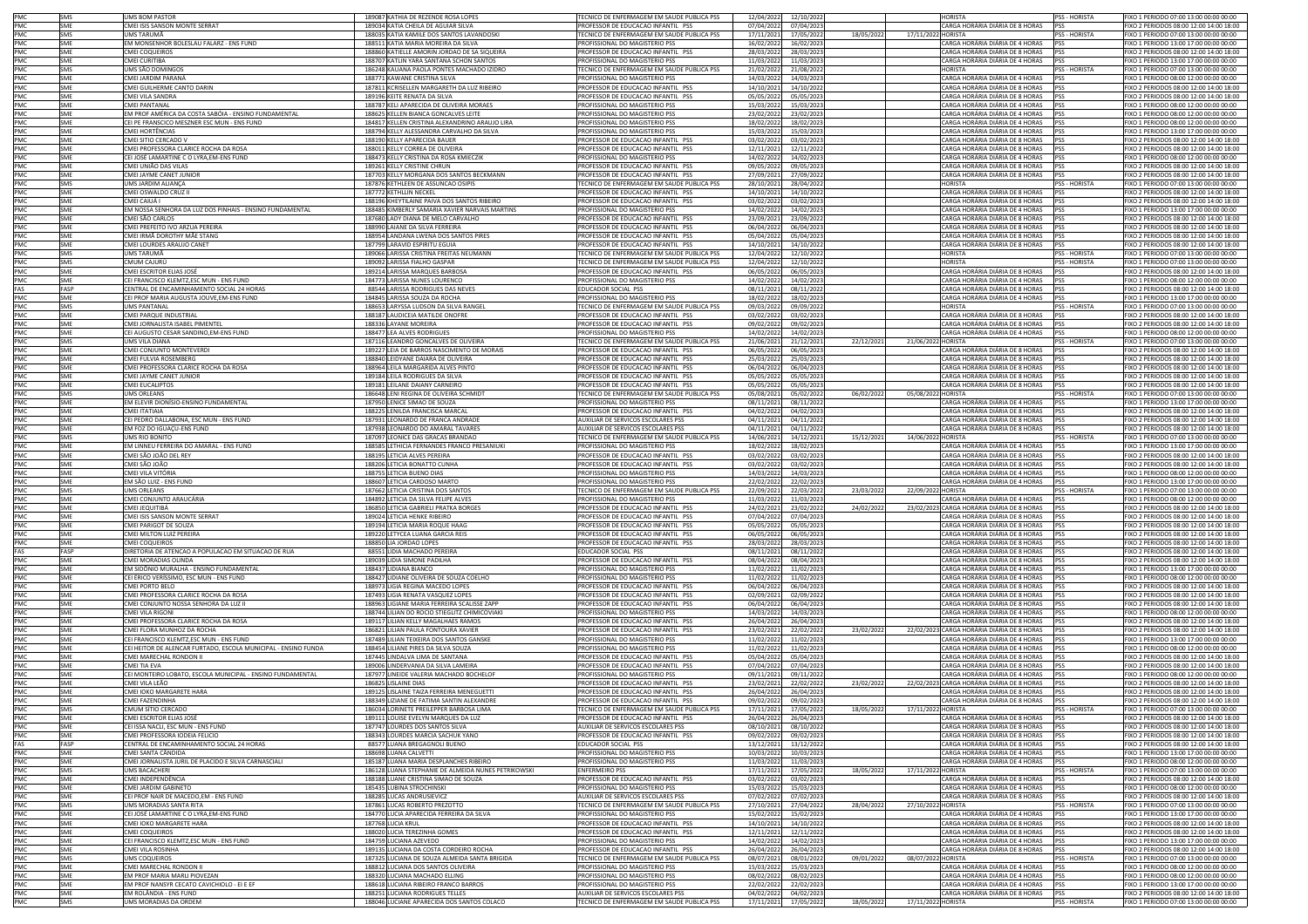|                                                      | SMS               | UMS BOM PASTOR                                                               | 189087 KATHIA DE REZENDE ROSA LOPES                                                  | FECNICO DE ENFERMAGEM EM SAUDE PUBLICA PSS                                      | 12/04/2022               | 12/10/2022               |            | <b>HORISTA</b>                                                                | PSS - HORISTA               | FIXO 1 PERIODO 07:00 13:00 00:00 00:00                                             |
|------------------------------------------------------|-------------------|------------------------------------------------------------------------------|--------------------------------------------------------------------------------------|---------------------------------------------------------------------------------|--------------------------|--------------------------|------------|-------------------------------------------------------------------------------|-----------------------------|------------------------------------------------------------------------------------|
| PMC<br>PMC<br>PMC                                    | <b>SME</b>        | CMEI ISIS SANSON MONTE SERRAT                                                | 189034 KATIA CHEILA DE AGUIAR SILVA                                                  | PROFESSOR DE EDUCAÇÃO INFANTIL PSS                                              | 07/04/2022               | 07/04/2023               |            | CARGA HORÁRIA DIÁRIA DE 8 HORAS                                               | <b>IPSS</b>                 | FIXO 2 PERIODOS 08:00 12:00 14:00 18:00                                            |
|                                                      | SMS               | JMS TARUMÃ                                                                   | 188035 KATIA KAMILE DOS SANTOS LAVANDOSKI                                            | <b>ECNICO DE ENFERMAGEM EM SAUDE PUBLICA PSS</b>                                | 17/11/2021               | 17/05/2022               | 18/05/2023 | 17/11/2022 HORISTA                                                            | PSS - HORISTA               | EIXO 1 PERIODO 07:00 13:00 00:00 00:00                                             |
| PMC                                                  | SME<br>SME        | EM MONSENHOR BOLESLAU FALARZ - ENS FUND<br>CMEI COQUEIROS                    | 188511 KATIA MARIA MOREIRA DA SILVA<br>188860 KATIELLE AMORIN JORDAO DE SA SIQUEIRA  | ROFISSIONAL DO MAGISTERIO PSS<br>PROFESSOR DE EDUCACAO INFANTIL PSS             | 16/02/2022<br>28/03/2022 | 16/02/2023<br>28/03/2023 |            | ARGA HORÁRIA DIÁRIA DE 4 HORAS<br>CARGA HORÁRIA DIÁRIA DE 8 HORAS             | PSS<br><b>PSS</b>           | IXO 1 PERIODO 13:00 17:00 00:00 00:00<br>FIXO 2 PERIODOS 08:00 12:00 14:00 18:00   |
|                                                      | SME               | CMEI CURITIBA                                                                | 188707 KATLIN YARA SANTANA SCHON SANTOS                                              | PROFISSIONAL DO MAGISTERIO PSS                                                  | 11/03/2022               | 11/03/2023               |            | CARGA HORÁRIA DIÁRIA DE 4 HORAS                                               | PSS                         | FIXO 1 PERIODO 13:00 17:00 00:00 00:00                                             |
|                                                      | SMS               | UMS SÃO DOMINGOS                                                             | 186248 KAUANA PAOLA PONTES MACHADO IZIDRO                                            | TECNICO DE ENFERMAGEM EM SAUDE PUBLICA PSS                                      | 21/02/2022               | 21/08/2022               |            | <b>HORISTA</b>                                                                | PSS - HORISTA               | FIXO 1 PERIODO 07:00 13:00 00:00 00:00                                             |
| PMC<br>PMC<br>PMC<br>PMC<br>PMC<br>PMC               | SME               | CMEI JARDIM PARANÁ                                                           | 188771 KAWANE CRISTINA SILVA                                                         | PROFISSIONAL DO MAGISTERIO PSS                                                  | 14/03/2022               | 14/03/2023               |            | CARGA HORÁRIA DIÁRIA DE 4 HORAS                                               | PSS                         | FIXO 1 PERIODO 08:00 12:00 00:00 00:00                                             |
|                                                      | SME               | CMEI GUILHERME CANTO DARIN                                                   | 187811 KCRISELLEN MARGARETH DA LUZ RIBEIRO                                           | PROFESSOR DE EDUCACAO INFANTIL PSS                                              | 14/10/2021               | 14/10/2022               |            | CARGA HORÁRIA DIÁRIA DE 8 HORAS                                               | PSS                         | FIXO 2 PERIODOS 08:00 12:00 14:00 18:00                                            |
|                                                      | SMF<br>SME        | CMEI VILA SANDRA<br>CMEI PANTANAL                                            | 189196 KEITE RENATA DA SILVA<br>188787 KELI APARECIDA DE OLIVEIRA MORAES             | PROFESSOR DE EDUCACAO INFANTIL PSS<br><b>ROFISSIONAL DO MAGISTERIO PSS</b>      | 05/05/2022<br>15/03/2022 | 05/05/2023<br>15/03/2023 |            | CARGA HORÁRIA DIÁRIA DE 8 HORAS<br>CARGA HORÁRIA DIÁRIA DE 4 HORAS            | <b>PSS</b><br><b>PSS</b>    | FIXO 2 PERIODOS 08:00 12:00 14:00 18:00<br>FIXO 1 PERIODO 08:00 12:00 00:00 00:00  |
|                                                      | SME               | EM PROF AMÉRICA DA COSTA SABÓIA - ENSINO FUNDAMENTAL                         | 188625 KELLEN BIANCA GONCALVES LEITE                                                 | ROFISSIONAL DO MAGISTERIO PSS                                                   | 23/02/2022               | 23/02/2023               |            | ARGA HORÁRIA DIÁRIA DE 4 HORAS                                                | PSS                         | IXO 1 PERIODO 08:00 12:00 00:00 00:00                                              |
| PMC<br>PMC                                           | SME               | CEI PE FRANSCICO MESZNER ESC MUN - ENS FUND                                  | 184817 KELLEN CRISTINA ALEXANDRINO ARAUJO LIRA                                       | ROFISSIONAL DO MAGISTERIO PSS                                                   | 18/02/2022               | 18/02/2023               |            | CARGA HORÁRIA DIÁRIA DE 4 HORAS                                               | <b>PSS</b>                  | FIXO 1 PERIODO 08:00 12:00 00:00 00:00                                             |
|                                                      | SME               | CMEI HORTÊNCIAS                                                              | 188794 KELLY ALESSANDRA CARVALHO DA SILVA                                            | PROFISSIONAL DO MAGISTERIO PSS                                                  | 15/03/2022               | 15/03/202                |            | CARGA HORÁRIA DIÁRIA DE 4 HORAS                                               | <b>PSS</b>                  | FIXO 1 PERIODO 13:00 17:00 00:00 00:00                                             |
|                                                      | SME               | CMEI SITIO CERCADO V                                                         | 188190 KELLY APARECIDA BAUER                                                         | PROFESSOR DE EDUCACAO INFANTIL PSS                                              | 03/02/2022               | 03/02/2023               |            | CARGA HORÁRIA DIÁRIA DE 8 HORAS                                               | <b>PSS</b>                  | FIXO 2 PERIODOS 08:00 12:00 14:00 18:00                                            |
|                                                      | SME               | CMEI PROFESSORA CLARICE ROCHA DA ROSA                                        | 188011 KELLY CORREA DE OLIVEIRA                                                      | PROFESSOR DE EDUCACAO INFANTIL PSS                                              | 12/11/2021               | 12/11/2022               |            | CARGA HORÁRIA DIÁRIA DE 8 HORAS                                               | PSS                         | FIXO 2 PERIODOS 08:00 12:00 14:00 18:00                                            |
| PMC<br>PMC<br>PMC<br>PMC<br>PMC<br>PMC<br>PMC<br>PMC | SME<br>SME        | CEI JOSÉ LAMARTINE C O LYRA,EM-ENS FUND<br>CMEI UNIÃO DAS VILAS              | 188473 KELLY CRISTINA DA ROSA KMIECZIK<br>189261 KELLY CRISTINE CHRUN                | PROFISSIONAL DO MAGISTERIO PSS<br>PROFESSOR DE EDUCACAO INFANTIL PSS            | 14/02/2022<br>09/05/2022 | 14/02/2023<br>09/05/2023 |            | CARGA HORÁRIA DIÁRIA DE 4 HORAS<br>CARGA HORÁRIA DIÁRIA DE 8 HORAS            | PSS<br><b>PSS</b>           | FIXO 1 PERIODO 08:00 12:00 00:00 00:00<br>FIXO 2 PERIODOS 08:00 12:00 14:00 18:00  |
|                                                      | SME               | CMEI JAYME CANET JUNIOI                                                      | 187703 KELLY MORGANA DOS SANTOS BECKMANN                                             | PROFESSOR DE EDUCACAO INFANTIL PSS                                              | 27/09/2021               | 27/09/2022               |            | CARGA HORÁRIA DIÁRIA DE 8 HORAS                                               | PSS                         | FIXO 2 PERIODOS 08:00 12:00 14:00 18:00                                            |
|                                                      | SMS               | UMS JARDIM ALIANCA                                                           | 187876 KETHLEEN DE ASSUNCAO OSIPIS                                                   | FCNICO DE ENFERMAGEM EM SAUDE PUBLICA PSS                                       | 28/10/2021               | 28/04/202                |            | <b>ORISTA</b>                                                                 | PSS - HORISTA               | FIXO 1 PERIODO 07:00 13:00 00:00 00:00                                             |
|                                                      | SME               | CMEI OSWALDO CRUZ II                                                         | 187772 KETHLLIN NECKEL                                                               | ROFESSOR DE EDUCACAO INFANTIL PSS                                               | 14/10/2021               | 14/10/2022               |            | ARGA HORÁRIA DIÁRIA DE 8 HORAS                                                | <b>PSS</b>                  | IXO 2 PERIODOS 08:00 12:00 14:00 18:00                                             |
| PMC<br>PMC<br>PMC<br>PMC                             | SME               | CMEI CAIUÁ I                                                                 | 188196 KHEYTILAINE PAIVA DOS SANTOS RIBEIRO                                          | ROFESSOR DE EDUCACAO INFANTIL PSS                                               | 03/02/2022               | 03/02/2023               |            | CARGA HORÁRIA DIÁRIA DE 8 HORAS                                               | <b>PSS</b>                  | FIXO 2 PERIODOS 08:00 12:00 14:00 18:00                                            |
|                                                      | SMF<br>SME        | EM NOSSA SENHORA DA LUZ DOS PINHAIS - ENSINO FUNDAMENTAL<br>CMEI SÃO CARLOS  | 188485 KIMBERLY SAMARIA XAVIER NARVAIS MARTINS<br>187680 LADY DIANA DE MELO CARVALHO | PROFISSIONAL DO MAGISTERIO PSS<br>PROFESSOR DE EDUCACAO INFANTIL PSS            | 14/02/2022<br>23/09/2021 | 14/02/2023<br>23/09/2022 |            | CARGA HORÁRIA DIÁRIA DE 4 HORAS PSS<br>CARGA HORÁRIA DIÁRIA DE 8 HORAS        | <b>PSS</b>                  | FIXO 1 PERIODO 13:00 17:00 00:00 00:00<br>FIXO 2 PERIODOS 08:00 12:00 14:00 18:00  |
|                                                      | SME               | CMEI PREFEITO IVO ARZUA PEREIRA                                              | 188990 LAIANE DA SILVA FERREIRA                                                      | PROFESSOR DE EDUCACAO INFANTIL PSS                                              | 06/04/2022               | 06/04/2023               |            | CARGA HORÁRIA DIÁRIA DE 8 HORAS                                               | <b>PSS</b>                  | FIXO 2 PERIODOS 08:00 12:00 14:00 18:00                                            |
|                                                      | SME               | CMEI IRMÃ DOROTHY MÃE STANG                                                  | 188954 LANDANA LWENA DOS SANTOS PIRES                                                | PROFESSOR DE EDUCACAO INFANTIL PSS                                              | 05/04/2022               | 05/04/2023               |            | CARGA HORÁRIA DIÁRIA DE 8 HORAS                                               | PSS                         | FIXO 2 PERIODOS 08:00 12:00 14:00 18:00                                            |
| PMC<br>PMC<br>PMC                                    | <b>SME</b>        | CMEI LOURDES ARAUJO CANET                                                    | 187799 LARAVID ESPIRITU EGUIA                                                        | PROFESSOR DE EDUCACAO INFANTIL PSS                                              | 14/10/2021               | 14/10/2022               |            | CARGA HORÁRIA DIÁRIA DE 8 HORAS                                               | PSS                         | FIXO 2 PERIODOS 08:00 12:00 14:00 18:00                                            |
|                                                      | SMS               | UMS TARUMÃ                                                                   | 189066 LARISSA CRISTINA FREITAS NEUMANN                                              | ECNICO DE ENFERMAGEM EM SAUDE PUBLICA PSS                                       | 12/04/2022               | 12/10/202                |            | <b>ORISTA</b>                                                                 | <b>PSS - HORISTA</b>        | FIXO 1 PERIODO 07:00 13:00 00:00 00:00                                             |
| PMC<br>PMC                                           | SMS<br>SME        | CMUM CAJURÚ<br>CMEI ESCRITOR ELIAS JOSÉ                                      | 189092 LARISSA FIALHO GASPAR<br>189214 LARISSA MARQUES BARBOSA                       | ECNICO DE ENFERMAGEM EM SAUDE PUBLICA PSS<br>PROFESSOR DE EDUCACAO INFANTIL PSS | 12/04/2022<br>06/05/2022 | 12/10/2022<br>06/05/2023 |            | <b>IORISTA</b><br>CARGA HORÁRIA DIÁRIA DE 8 HORAS                             | <b>PSS - HORISTA</b><br>PSS | IXO 1 PERIODO 07:00 13:00 00:00 00:00<br>FIXO 2 PERIODOS 08:00 12:00 14:00 18:00   |
| PMC                                                  | SME               | CEI FRANCISCO KLEMTZ,ESC MUN - ENS FUND                                      | 184773 LARISSA NUNES LOURENCO                                                        | PROFISSIONAL DO MAGISTERIO PSS                                                  | 14/02/2022               | 14/02/202                |            | CARGA HORÁRIA DIÁRIA DE 4 HORAS                                               | PSS                         | FIXO 1 PERIODO 08:00 12:00 00:00 00:00                                             |
| FAS                                                  | FASP              | CENTRAL DE ENCAMINHAMENTO SOCIAL 24 HORAS                                    | 88544 LARISSA RODRIGUES DAS NEVES                                                    | EDUCADOR SOCIAL PSS                                                             | 08/11/2021               | 08/11/2022               |            | CARGA HORÁRIA DIÁRIA DE 8 HORAS                                               | PSS                         | FIXO 2 PERIODOS 08:00 12:00 14:00 18:00                                            |
| PMC                                                  | SME               | CEI PROF MARIA AUGUSTA JOUVE.EM-ENS FUND                                     | 184845 LARISSA SOUZA DA ROCHA                                                        | <b>PROFISSIONAL DO MAGISTERIO PSS</b>                                           | 18/02/2022               | 18/02/2023               |            | CARGA HORÁRIA DIÁRIA DE 4 HORAS                                               | <b>PSS</b>                  | FIXO 1 PERIODO 13:00 17:00 00:00 00:00                                             |
| PMC                                                  | SMS               | <b>UMS PANTANAL</b>                                                          | 188653 LARYSSA LUDSON DA SILVA RANGEL                                                | FECNICO DE ENFERMAGEM EM SAUDE PUBLICA PSS                                      | 09/03/2022               | 09/09/2022               |            | <b>HORISTA</b>                                                                | PSS - HORISTA               | FIXO 1 PERIODO 07:00 13:00 00:00 00:00                                             |
| PMC<br>PMC                                           | SME<br>SME        | CMEI PARQUE INDUSTRIAL<br>CMEI JORNALISTA ISABEL PIMENTEL                    | 188187   AUDICEIA MATILDE ONOERE<br>188336   AYANE MOREIRA                           | PROFESSOR DE EDUCACAO INFANTIL PSS<br>PROFESSOR DE EDUCACAO INFANTIL PSS        | 03/02/2022<br>09/02/2022 | 03/02/2023<br>09/02/2023 |            | CARGA HORÁRIA DIÁRIA DE 8 HORAS<br>CARGA HORÁRIA DIÁRIA DE 8 HORAS            | PSS<br><b>IPSS</b>          | FIXO 2 PERIODOS 08:00 12:00 14:00 18:00<br>FIXO 2 PERIODOS 08:00 12:00 14:00 18:00 |
| PMC                                                  | SME               | CEI AUGUSTO CESAR SANDINO, EM-ENS FUND                                       | 188477 LEA ALVES RODRIGUES                                                           | ROFISSIONAL DO MAGISTERIO PSS                                                   | 14/02/2022               | 14/02/2023               |            | ARGA HORÁRIA DIÁRIA DE 4 HORAS                                                | PSS                         | IXO 1 PERIODO 08:00 12:00 00:00 00:00                                              |
| PMC                                                  | SMS               | UMS VILA DIANA                                                               | 187116 LEANDRO GONCALVES DE OLIVEIRA                                                 | ECNICO DE ENFERMAGEM EM SAUDE PUBLICA PSS                                       | 21/06/2021               | 21/12/2021               | 22/12/202  | 21/06/2022 HORISTA                                                            | <b>PSS - HORISTA</b>        | IXO 1 PERIODO 07:00 13:00 00:00 00:00                                              |
| PMC<br>PMC<br>PMC<br>PMC<br>PMC<br>PMC               | SME               | CMEI CONJUNTO MONTEVERDI                                                     | 189227 LEIA DE BARROS NASCIMENTO DE MORAIS                                           | PROFESSOR DE EDUCACAO INFANTIL PSS                                              | 06/05/2022               | 06/05/2023               |            | CARGA HORÁRIA DIÁRIA DE 8 HORAS                                               | <b>PSS</b>                  | FIXO 2 PERIODOS 08:00 12:00 14:00 18:00                                            |
|                                                      | SMF               | CMEI FULVIA ROSEMBERG                                                        | 188840   FIDYANE DAIARA DE OI IVEIRA                                                 | PROFESSOR DE EDUCACAO INFANTIL PSS                                              | 25/03/202                | 25/03/2023               |            | CARGA HORÁRIA DIÁRIA DE 8 HORAS                                               | <b>PSS</b>                  | FIXO 2 PERIODOS 08:00 12:00 14:00 18:00                                            |
|                                                      | SME<br>SME        | CMEI PROFESSORA CLARICE ROCHA DA ROSA<br>CMEI JAYME CANET JUNIOR             | 188964 LEILA MARGARIDA ALVES PINTO                                                   | PROFESSOR DE EDUCACAO INFANTIL PSS                                              | 06/04/2022               | 06/04/2023               |            | CARGA HORÁRIA DIÁRIA DE 8 HORAS<br>CARGA HORÁRIA DIÁRIA DE 8 HORAS            | <b>PSS</b><br>PSS           | FIXO 2 PERIODOS 08:00 12:00 14:00 18:00                                            |
|                                                      | SME               | <b>CMEI EUCALIPTOS</b>                                                       | 189184 LEILA RODRIGUES DA SILVA<br>189181 LEILANE DAIANY CARNEIRO                    | PROFESSOR DE EDUCACAO INFANTIL PSS<br>PROFESSOR DE EDUCACAO INFANTIL PSS        | 05/05/2022<br>05/05/2022 | 05/05/2023<br>05/05/2023 |            | CARGA HORÁRIA DIÁRIA DE 8 HORAS                                               | PSS                         | FIXO 2 PERIODOS 08:00 12:00 14:00 18:00<br>FIXO 2 PERIODOS 08:00 12:00 14:00 18:00 |
|                                                      | SMS               | UMS ORLEANS                                                                  | 186648 LENI REGINA DE OLIVEIRA SCHMIDT                                               | <b>FECNICO DE ENFERMAGEM EM SAUDE PUBLICA PSS</b>                               | 05/08/2021               | 05/02/2022               | 06/02/2022 | 05/08/2022 HORISTA                                                            | PSS - HORISTA               | FIXO 1 PERIODO 07:00 13:00 00:00 00:00                                             |
|                                                      | SME               | EM ELEVIR DIONÍSIO-ENSINO FUNDAMENTAL                                        | 187950 LENICE SIMAO DE SOUZA                                                         | <b>PROFISSIONAL DO MAGISTERIO PSS</b>                                           | 08/11/2021               | 08/11/2022               |            | CARGA HORÁRIA DIÁRIA DE 4 HORAS                                               | <b>PSS</b>                  | FIXO 1 PERIODO 13:00 17:00 00:00 00:00                                             |
| PMC                                                  | SME               | CMEI ITATIAIA                                                                | 188225   FNILDA FRANCISCA MARCAL                                                     | ROFESSOR DE EDUCACAO INFANTIL PSS                                               | 04/02/2022               | 04/02/2023               |            | CARGA HORÁRIA DIÁRIA DE 8 HORAS                                               | PSS                         | IXO 2 PERIODOS 08:00 12:00 14:00 18:00                                             |
| PMC<br>PMC                                           | SME<br>SMF        | CEI PEDRO DALLABONA, ESC MUN - ENS FUND<br>EM FOZ DO IGUACU-ENS FUND         | 187931 LEONARDO DE FRANCA ANDRADE<br>187938 LEONARDO DO AMARAL TAVARES               | UXILIAR DE SERVICOS ESCOLARES PS!<br>AUXILIAR DE SERVICOS ESCOLARES PSS         | 04/11/202<br>04/11/2021  | 04/11/202<br>04/11/2022  |            | CARGA HORÁRIA DIÁRIA DE 8 HORAS<br>CARGA HORÁRIA DIÁRIA DE 8 HORAS            | PSS<br>PSS                  | FIXO 2 PERIODOS 08:00 12:00 14:00 18:00<br>FIXO 2 PERIODOS 08:00 12:00 14:00 18:00 |
|                                                      | SMS               | UMS RIO BONITO                                                               | 187097 LEONICE DAS GRACAS BRANDAO                                                    | TECNICO DE ENFERMAGEM EM SAUDE PUBLICA PSS                                      | 14/06/2021               | 14/12/2023               | 15/12/202  | 14/06/2022 HORISTA                                                            | <b>PSS - HORISTA</b>        | FIXO 1 PERIODO 07:00 13:00 00:00 00:00                                             |
| PMC<br>PMC<br>PMC<br>PMC<br>PMC                      | SME               | EM LINNEU FERREIRA DO AMARAL - ENS FUND                                      | 188585 LETHICIA FERNANDES FRANCO PRESANIUKI                                          | PROFISSIONAL DO MAGISTERIO PSS                                                  | 18/02/2022               | 18/02/2023               |            | CARGA HORÁRIA DIÁRIA DE 4 HORAS                                               | <b>PSS</b>                  | FIXO 1 PERIODO 13:00 17:00 00:00 00:00                                             |
|                                                      | SME               | CMEI SÃO JOÃO DEL REY                                                        | 188195 LETICIA ALVES PEREIRA                                                         | PROFESSOR DE EDUCACAO INFANTIL PSS                                              | 03/02/2022               | 03/02/2023               |            | CARGA HORÁRIA DIÁRIA DE 8 HORAS                                               | PSS                         | FIXO 2 PERIODOS 08:00 12:00 14:00 18:00                                            |
|                                                      | SME<br>SME        | CMEI SÃO JOÃO<br>CMEI VILA VITÓRIA                                           | 188206 LETICIA BONATTO CUNHA<br>188755 LETICIA BUENO DIAS                            | PROFESSOR DE EDUCACAO INFANTIL PSS<br><b>PROFISSIONAL DO MAGISTERIO PSS</b>     | 03/02/2022<br>14/03/2022 | 03/02/2023<br>14/03/2023 |            | CARGA HORÁRIA DIÁRIA DE 8 HORAS<br>ARGA HORÁRIA DIÁRIA DE 4 HORAS             | PSS                         | FIXO 2 PERIODOS 08:00 12:00 14:00 18:00<br>IXO 1 PERIODO 08:00 12:00 00:00 00:00   |
| PMC                                                  | SME               | EM SÃO LUIZ - ENS FUND                                                       | 188607 LETICIA CARDOSO MARTO                                                         | ROFISSIONAL DO MAGISTERIO PSS                                                   | 22/02/2022               | 22/02/2023               |            | ARGA HORÁRIA DIÁRIA DE 4 HORAS                                                | <b>PSS</b><br>PSS           | IXO 1 PERIODO 13:00 17:00 00:00 00:00                                              |
|                                                      | SMS               | <b>UMS ORLEANS</b>                                                           | 187662 LETICIA CRISTINA DOS SANTOS                                                   | TECNICO DE ENFERMAGEM EM SAUDE PUBLICA PSS                                      | 22/09/2021               | 22/03/2022               | 23/03/202  | 22/09/2022 HORISTA                                                            | PSS - HORISTA               | FIXO 1 PERIODO 07:00 13:00 00:00 00:00                                             |
| PMC<br>PMC<br>PMC                                    | SME               | CMEI CONJUNTO ARAUCÁRIA                                                      | 184892 LETICIA DA SILVA FELIPE ALVES                                                 | PROFISSIONAL DO MAGISTERIO PSS                                                  | 11/03/2022               | 11/03/2023               |            | CARGA HORÁRIA DIÁRIA DE 4 HORAS                                               | <b>IPSS</b>                 | FIXO 1 PERIODO 08:00 12:00 00:00 00:00                                             |
|                                                      | SME               | CMEI JEQUITIBÁ                                                               | 186850 LETICIA GABRIELI PRATKA BORGES                                                | PROFESSOR DE EDUCACAO INFANTIL PSS                                              | 24/02/2021               | 23/02/2022               | 24/02/2022 | 23/02/2023 CARGA HORÁRIA DIÁRIA DE 8 HORAS                                    | PSS                         | FIXO 2 PERIODOS 08:00 12:00 14:00 18:00                                            |
| PMC<br>PMC                                           | SME               | CMEI ISIS SANSON MONTE SERRAT                                                | 189024 LETICIA HENKE RIBEIRO                                                         | PROFESSOR DE EDUCACAO INFANTIL PSS                                              | 07/04/2022               | 07/04/2023               |            | CARGA HORÁRIA DIÁRIA DE 8 HORAS                                               | <b>PSS</b>                  | FIXO 2 PERIODOS 08:00 12:00 14:00 18:00                                            |
| PMC                                                  | SME<br>SME        | CMEI PARIGOT DE SOUZA<br>CMEI MILTON LUIZ PEREIRA                            | 189194 LETICIA MARIA ROQUE HAAG<br>189220 LETYCEA LUANA GARCIA REIS                  | PROFESSOR DE EDUCACAO INFANTIL PSS<br>PROFESSOR DE EDUCACAO INFANTIL PSS        | 05/05/2022<br>06/05/2022 | 05/05/2023<br>06/05/2023 |            | CARGA HORÁRIA DIÁRIA DE 8 HORAS<br>CARGA HORÁRIA DIÁRIA DE 8 HORAS            | PSS<br>PSS                  | FIXO 2 PERIODOS 08:00 12:00 14:00 18:00<br>FIXO 2 PERIODOS 08:00 12:00 14:00 18:00 |
| PMC                                                  | SMF               | CMEI COQUEIROS                                                               | 188850 LIA JORDAO LOPES                                                              | PROFESSOR DE EDUCACAO INFANTIL PSS                                              | 28/03/2022               | 28/03/2023               |            | CARGA HORÁRIA DIÁRIA DE 8 HORAS                                               | PSS                         | FIXO 2 PERIODOS 08:00 12:00 14:00 18:00                                            |
| FAS                                                  | FASP              | DIRETORIA DE ATENCAO A POPULACAO EM SITUACAO DE RUA                          | 88551 LIDIA MACHADO PEREIRA                                                          | <b>EDUCADOR SOCIAL PSS</b>                                                      | 08/11/2021               | 08/11/202                |            | ARGA HORÁRIA DIÁRIA DE 8 HORAS                                                | PSS                         | IXO 2 PERIODOS 08:00 12:00 14:00 18:00                                             |
| PMC                                                  | SME               | <b>IMEI MORADIAS OLINDA</b>                                                  | 189039 LIDIA SIMONE PADILHA                                                          | ROFESSOR DE EDUCACAO INFANTIL PSS                                               | 08/04/2022               | 08/04/2023               |            | ARGA HORÁRIA DIÁRIA DE 8 HORAS                                                | PSS                         | IXO 2 PERIODOS 08:00 12:00 14:00 18:00                                             |
| PMC                                                  | SME               | EM SIDÔNIO MURALHA - ENSINO FUNDAMENTAL                                      | 188437 LIDIANA BIANCO                                                                | PROFISSIONAL DO MAGISTERIO PSS                                                  | 11/02/2022               | 11/02/2023               |            | CARGA HORÁRIA DIÁRIA DE 4 HORAS                                               | PSS                         | FIXO 1 PERIODO 13:00 17:00 00:00 00:00                                             |
|                                                      | SME<br>SME        | CEI ÉRICO VERÍSSIMO, ESC MUN - ENS FUND<br>CMEI PORTO BELO                   | 188427 LIDIANE OLIVEIRA DE SOUZA COELHO<br>188973 LIGIA REGINA MACEDO LOPES          | PROFISSIONAL DO MAGISTERIO PSS<br>PROFESSOR DE EDUCACAO INFANTIL PSS            | 11/02/202<br>06/04/2022  | 11/02/2023<br>06/04/2023 |            | CARGA HORÁRIA DIÁRIA DE 4 HORAS<br>CARGA HORÁRIA DIÁRIA DE 8 HORAS            | PSS<br><b>PSS</b>           | FIXO 1 PERIODO 08:00 12:00 00:00 00:00<br>FIXO 2 PERIODOS 08:00 12:00 14:00 18:00  |
| PMC<br>PMC<br>PMC                                    | SME               | CMEI PROFESSORA CLARICE ROCHA DA ROSA                                        | 187493 LIGIA RENATA VASQUEZ LOPES                                                    | ROFESSOR DE EDUCACAO INFANTIL PSS                                               | 02/09/2021               | 02/09/2022               |            | CARGA HORÁRIA DIÁRIA DE 8 HORAS                                               | PSS                         | FIXO 2 PERIODOS 08:00 12:00 14:00 18:00                                            |
| PMC<br>PMC                                           | SME               | CMEI CONJUNTO NOSSA SENHORA DA LUZ II                                        | 188963 LIGIANE MARIA FERREIRA SCALISSE ZAPP                                          | PROFESSOR DE EDUCACAO INFANTIL PSS                                              | 06/04/2022               | 06/04/2023               |            | CARGA HORÁRIA DIÁRIA DE 8 HORAS                                               | <b>PSS</b>                  | FIXO 2 PERIODOS 08:00 12:00 14:00 18:00                                            |
|                                                      | SMF               | CMEI VII A RIGONI                                                            | 188744 LILIAN DO ROCIO STIEGLITZ CHIMICOVIAKI                                        | PROFISSIONAL DO MAGISTERIO PSS                                                  | 14/03/2022               | 14/03/2023               |            | CARGA HORÁRIA DIÁRIA DE 4 HORAS                                               | <b>IPSS</b>                 | FIXO 1 PERIODO 08:00 12:00 00:00 00:00                                             |
| PMC<br>PMC                                           | SME<br>SME        | CMEI PROFESSORA CLARICE ROCHA DA ROSA                                        | 189117 LILIAN KELLY MAGALHAES RAMOS<br>186821 LILIAN PAULA FONTOURA XAVIER           | ROFESSOR DE EDUCACAO INFANTIL PSS                                               | 26/04/2022               | 26/04/2023               |            | CARGA HORÁRIA DIÁRIA DE 8 HORAS<br>22/02/2023 CARGA HORÁRIA DIÁRIA DE 8 HORAS | <b>IPSS</b><br>PSS          | TXO 2 PERIODOS 08:00 12:00 14:00 18:00                                             |
|                                                      | SME               | CMEI FLORA MUNHOZ DA ROCHA<br>CEI FRANCISCO KLEMTZ,ESC MUN - ENS FUND        | 187489 LILIAN TEIXEIRA DOS SANTOS GANSKE                                             | ROFESSOR DE EDUCACAO INFANTIL PSS<br>PROFISSIONAL DO MAGISTERIO PSS             | 23/02/2021<br>11/02/2022 | 22/02/2022<br>11/02/2023 | 23/02/2022 | CARGA HORÁRIA DIÁRIA DE 4 HORAS                                               | PSS                         | IXO 2 PERIODOS 08:00 12:00 14:00 18:00<br>FIXO 1 PERIODO 13:00 17:00 00:00 00:00   |
| PMC<br>PMC<br>PMC                                    | SME               | CEI HEITOR DE ALENCAR FURTADO, ESCOLA MUNICIPAL - ENSINO FUNDA               | 188454 LILIANE PIRES DA SILVA SOUZA                                                  | PROFISSIONAL DO MAGISTERIO PSS                                                  | 11/02/2022               | 11/02/2023               |            | CARGA HORÁRIA DIÁRIA DE 4 HORAS                                               | <b>PSS</b>                  | FIXO 1 PERIODO 08:00 12:00 00:00 00:00                                             |
|                                                      | SME               | CMEI MARECHAL RONDON II                                                      | 187445 LINDALVA LIMA DE SANTANA                                                      | PROFESSOR DE EDUCACAO INFANTIL PSS                                              | 05/04/2022               | 05/04/2023               |            | CARGA HORÁRIA DIÁRIA DE 8 HORAS                                               | <b>PSS</b>                  | FIXO 2 PERIODOS 08:00 12:00 14:00 18:00                                            |
| PMC                                                  | SME               | CMEI TIA EVA                                                                 | 189006 LINDERVANIA DA SILVA LAMEIRA                                                  | PROFESSOR DE EDUCACAO INFANTIL PSS                                              | 07/04/2022               | 07/04/2023               |            | CARGA HORÁRIA DIÁRIA DE 8 HORAS                                               | PSS                         | FIXO 2 PERIODOS 08:00 12:00 14:00 18:00                                            |
| PMC                                                  | SME<br>SME        | CEI MONTEIRO LOBATO, ESCOLA MUNICIPAL - ENSINO FUNDAMENTAL<br>CMEI VILA LEÃO | 187977 LINEIDE VALERIA MACHADO BOCHELOF<br>186825 LISLAINE DIAS                      | PROFISSIONAL DO MAGISTERIO PSS<br>PROFESSOR DE EDUCACAO INFANTIL PSS            | 09/11/2021<br>23/02/202  | 09/11/2022               | 23/02/2022 | CARGA HORÁRIA DIÁRIA DE 4 HORAS<br>22/02/2023 CARGA HORÁRIA DIÁRIA DE 8 HORAS | PSS<br>PSS                  | FIXO 1 PERIODO 08:00 12:00 00:00 00:00<br>FIXO 2 PERIODOS 08:00 12:00 14:00 18:00  |
| PMC<br>PMC                                           | SME               | CMEI IOKO MARGARETE HARA                                                     | 189125 LISLAINE TAIZA FERREIRA MENEGUETTI                                            | ROFESSOR DE EDUCACAO INFANTIL PSS                                               | 26/04/2022               | 22/02/2022<br>26/04/2023 |            | ARGA HORÁRIA DIÁRIA DE 8 HORAS                                                | PSS                         | IXO 2 PERIODOS 08:00 12:00 14:00 18:00                                             |
| PMC                                                  | SME               | <b>CMEI FAZENDINHA</b>                                                       | 188349 LIZIANE DE FATIMA SANTIN ALEXANDRE                                            | ROFESSOR DE EDUCACAO INFANTIL PSS                                               | 09/02/2022               | 09/02/2023               |            | CARGA HORÁRIA DIÁRIA DE 8 HORAS                                               | PSS                         | IXO 2 PERIODOS 08:00 12:00 14:00 18:00                                             |
|                                                      |                   | AUM SHIU CERCADO                                                             | (INETE PREILEPPER BARBUSA LIN                                                        | NILU DE ENFERMAGEM EM SAUDE PUBLICA PSS,                                        | 17711/202                | 17/05/202                | 18/05/202. | 11/11/20.                                                                     | PSS - HUKISTA               | (O T NEKIODO 01:00 T3:00 00:00 00:00                                               |
| PMC<br>PMC                                           | SME               | CMEI ESCRITOR ELIAS JOSÉ                                                     | 189111 LOUISE EVELYN MARQUES DA LUZ                                                  | PROFESSOR DE EDUCACAO INFANTIL PSS                                              | 26/04/2022               | 26/04/2023               |            | CARGA HORÁRIA DIÁRIA DE 8 HORAS<br>CARGA HORÁRIA DIÁRIA DE 8 HORAS PSS        | <b>PSS</b>                  | FIXO 2 PERIODOS 08:00 12:00 14:00 18:00                                            |
| PMC                                                  | <b>SME</b><br>SME | CEI ISSA NACLI. ESC MUN - ENS FUND<br>CMEI PROFESSORA IODEIA FELICIO         | 187747 LOURDES DOS SANTOS SILVA<br>188343 LOURDES MARCIA SACHUK YANO                 | AUXILIAR DE SERVICOS ESCOLARES PSS<br>PROFESSOR DE EDUCACAO INFANTIL PSS        | 08/10/2021<br>09/02/2022 | 08/10/2022<br>09/02/2023 |            | CARGA HORÁRIA DIÁRIA DE 8 HORAS PSS                                           |                             | FIXO 2 PERIODOS 08:00 12:00 14:00 18:00<br>FIXO 2 PERIODOS 08:00 12:00 14:00 18:00 |
| FAS                                                  | FASP              | CENTRAL DE ENCAMINHAMENTO SOCIAL 24 HORAS                                    | 88577 LUANA BREGAGNOLI BUENO                                                         | <b>EDUCADOR SOCIAL PSS</b>                                                      | 13/12/2021               | 13/12/2022               |            | CARGA HORÁRIA DIÁRIA DE 8 HORAS PSS                                           |                             | FIXO 2 PERIODOS 08:00 12:00 14:00 18:00                                            |
| PMC                                                  | SME               | CMEI SANTA CÂNDIDA                                                           | 188698 LUANA CALVETTI                                                                | PROFISSIONAL DO MAGISTERIO PSS                                                  | 10/03/2022               | 10/03/2023               |            | CARGA HORÁRIA DIÁRIA DE 4 HORAS                                               | PSS                         | FIXO 1 PERIODO 13:00 17:00 00:00 00:00                                             |
| PMC                                                  | SME               | CMEI JORNALISTA JURIL DE PLACIDO E SILVA CARNASCIALI                         | 185187 LUANA MARIA DESPLANCHES RIBEIRO                                               | PROFISSIONAL DO MAGISTERIO PSS                                                  | 11/03/2022               | 11/03/2023               |            | CARGA HORÁRIA DIÁRIA DE 4 HORAS PSS                                           |                             | FIXO 1 PERIODO 08:00 12:00 00:00 00:00                                             |
| PMC                                                  | SMS               | UMS BACACHERI                                                                | 186128 LUANA STEPHANIE DE ALMEIDA NUNES PETRIKOWSKI                                  | ENFERMEIRO PSS                                                                  | 17/11/2021               | 17/05/2022               | 18/05/2022 | 17/11/2022 HORISTA                                                            | PSS - HORISTA               | FIXO 1 PERIODO 07:00 13:00 00:00 00:00                                             |
| PMC                                                  | SME<br>SME        | CMEI INDEPENDÊNCIA<br>CMEI JARDIM GABINETO                                   | 188188 LUANE CRISTINA SIMAO DE SOUZA<br>185435 LUBINA STROCHINSKI                    | ROFESSOR DE EDUCACAO INFANTIL PSS<br>PROFISSIONAL DO MAGISTERIO PSS             | 03/02/2022<br>15/03/2022 | 03/02/2023<br>15/03/2023 |            | ARGA HORÁRIA DIÁRIA DE 8 HORAS<br>CARGA HORÁRIA DIÁRIA DE 4 HORAS             | PSS<br>PSS                  | IXO 2 PERIODOS 08:00 12:00 14:00 18:00<br>FIXO 1 PERIODO 08:00 12:00 00:00 00:00   |
| PMC<br>PMC<br>PMC                                    | SME               | CEI PROF NAIR DE MACEDO,EM - ENS FUND                                        | 188285 LUCAS ANDRUSIEVICZ                                                            | AUXILIAR DE SERVICOS ESCOLARES PSS                                              | 07/02/2022               | 07/02/2023               |            | CARGA HORÁRIA DIÁRIA DE 8 HORAS                                               | PSS                         | FIXO 2 PERIODOS 08:00 12:00 14:00 18:00                                            |
|                                                      | SMS               | UMS MORADIAS SANTA RITA                                                      | 187861 LUCAS ROBERTO PREZOTTO                                                        | TECNICO DE ENFERMAGEM EM SAUDE PUBLICA PSS                                      | 27/10/2021               | 27/04/2022               | 28/04/2022 | 27/10/2022 HORISTA                                                            | PSS - HORISTA               | FIXO 1 PERIODO 07:00 13:00 00:00 00:00                                             |
| PMC                                                  | SME               | CEI JOSÉ LAMARTINE C O LYRA,EM-ENS FUND                                      | 184770 LUCIA APARECIDA FERREIRA DA SILVA                                             | PROFISSIONAL DO MAGISTERIO PSS                                                  | 15/02/2022               | 15/02/2023               |            | CARGA HORÁRIA DIÁRIA DE 4 HORAS                                               | PSS                         | FIXO 1 PERIODO 13:00 17:00 00:00 00:00                                             |
| PMC                                                  | SME<br>SMF        | CMEI IOKO MARGARETE HARA                                                     | 187768 LUCIA KRUL                                                                    | PROFESSOR DE EDUCACAO INFANTIL PSS                                              | 14/10/2021               | 14/10/2022               |            | CARGA HORÁRIA DIÁRIA DE 8 HORAS<br>CARGA HORÁRIA DIÁRIA DE 8 HORAS            | PSS                         | FIXO 2 PERIODOS 08:00 12:00 14:00 18:00                                            |
| PMC<br>PMC                                           | <b>SME</b>        | CMEI COQUEIROS<br>CEI FRANCISCO KLEMTZ.ESC MUN - ENS FUND                    | 188020 LUCIA TEREZINHA GOMES<br>184759 LUCIANA AZEVEDO                               | PROFESSOR DE EDUCACAO INFANTIL PSS<br>PROFISSIONAL DO MAGISTERIO PSS            | 12/11/2021<br>14/02/2022 | 12/11/2022<br>14/02/2023 |            | CARGA HORÁRIA DIÁRIA DE 4 HORAS                                               | PSS<br>PSS                  | FIXO 2 PERIODOS 08:00 12:00 14:00 18:00<br>FIXO 1 PERIODO 13:00 17:00 00:00 00:00  |
| PMC                                                  | <b>SME</b>        | CMEI VILA ROSINHA                                                            | 189135 LUCIANA DA COSTA CORDEIRO ROCHA                                               | ROFESSOR DE EDUCACAO INFANTIL PSS                                               | 26/04/2022               | 26/04/2023               |            | CARGA HORÁRIA DIÁRIA DE 8 HORAS                                               | <b>PSS</b>                  | FIXO 2 PERIODOS 08:00 12:00 14:00 18:00                                            |
| PMC<br>PMC<br>PMC                                    | SMS               | UMS COQUEIROS                                                                | 187325 LUCIANA DE SOUZA ALMEIDA SANTA BRIGIDA                                        | <b>FECNICO DE ENFERMAGEM EM SAUDE PUBLICA PSS</b>                               | 08/07/2021               | 08/01/2022               | 09/01/202  | 08/07/2022 HORISTA                                                            | PSS - HORISTA               | FIXO 1 PERIODO 07:00 13:00 00:00 00:00                                             |
|                                                      | <b>SME</b>        | CMEI MARECHAL RONDON II                                                      | 188812 LUCIANA DOS SANTOS OLIVEIRA                                                   | PROFISSIONAL DO MAGISTERIO PSS                                                  | 15/03/2022               | 15/03/2023               |            | CARGA HORÁRIA DIÁRIA DE 4 HORAS                                               | PSS                         | FIXO 1 PERIODO 08:00 12:00 00:00 00:00                                             |
| PMC                                                  | SME               | EM PROF MARIA MARLI PIOVEZAN<br>EM PROF NANSYR CECATO CAVICHIOLO - EI E EF   | 188320 LUCIANA MACHADO ELLING<br>188618 LUCIANA RIBEIRO FRANCO BARROS                | PROFISSIONAL DO MAGISTERIO PSS                                                  | 08/02/2022               | 08/02/2023               |            | CARGA HORÁRIA DIÁRIA DE 4 HORAS<br>CARGA HORÁRIA DIÁRIA DE 4 HORAS            | PSS                         | FIXO 1 PERIODO 08:00 12:00 00:00 00:00                                             |
| PMC                                                  | SME<br>SME        | EM ROLÂNDIA - ENS FUND                                                       | 188251 LUCIANA RODRIGUES TELLES                                                      | PROFISSIONAL DO MAGISTERIO PSS<br>AUXILIAR DE SERVICOS ESCOLARES PSS            | 22/02/2022<br>04/02/2022 | 22/02/2023<br>04/02/2023 |            | CARGA HORÁRIA DIÁRIA DE 8 HORAS PSS                                           | PSS                         | FIXO 1 PERIODO 13:00 17:00 00:00 00:00<br>FIXO 2 PERIODOS 08:00 12:00 14:00 18:00  |
| PMC                                                  | SMS               | UMS MORADIAS DA ORDEM                                                        | 188046 LUCIANE APARECIDA DOS SANTOS COLACO                                           | TECNICO DE ENFERMAGEM EM SAUDE PUBLICA PSS                                      |                          | 17/11/2021 17/05/2022    | 18/05/2022 | 17/11/2022 HORISTA                                                            | PSS - HORISTA               | FIXO 1 PERIODO 07:00 13:00 00:00 00:00                                             |
|                                                      |                   |                                                                              |                                                                                      |                                                                                 |                          |                          |            |                                                                               |                             |                                                                                    |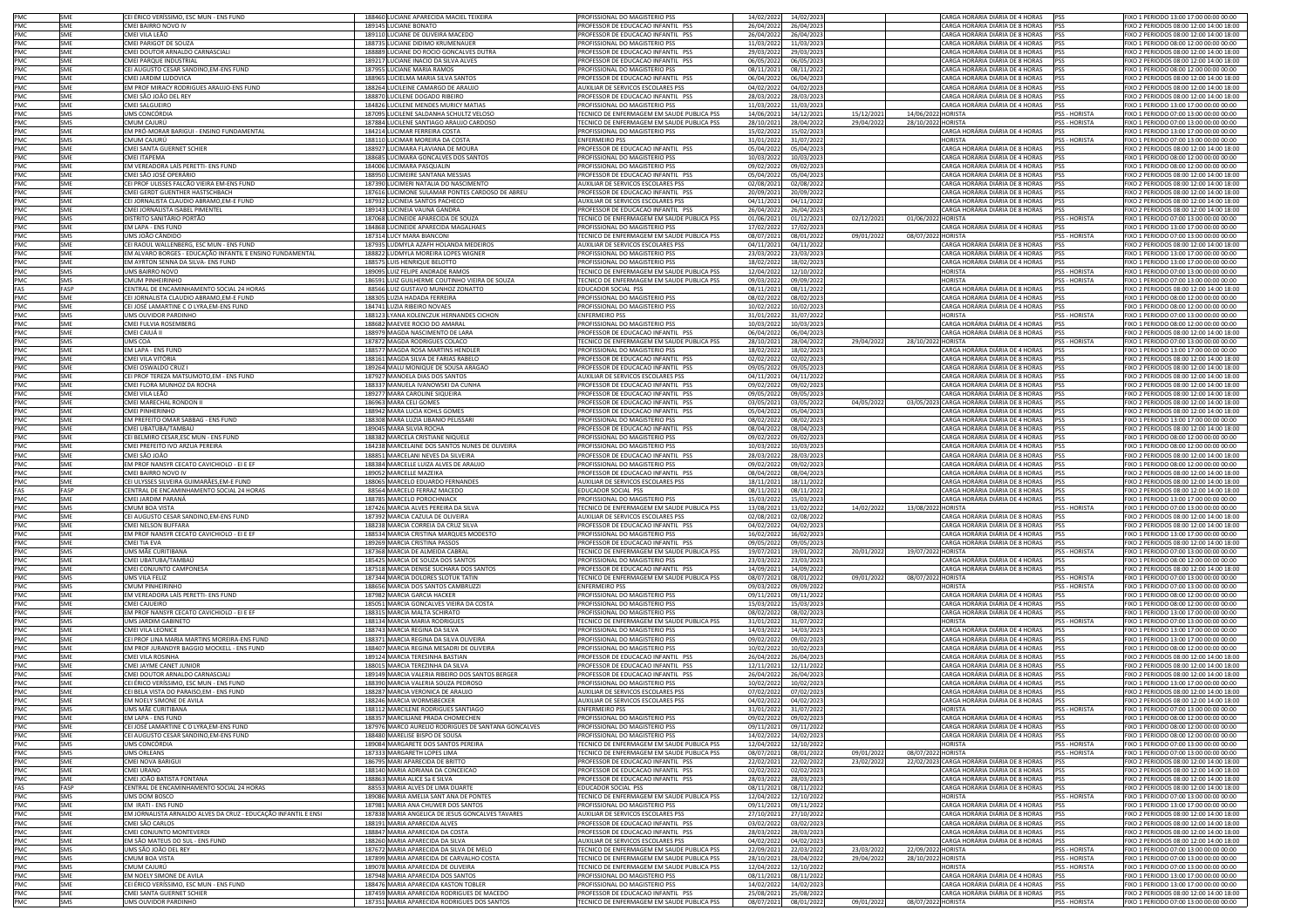|                                 | SME               | CEI ÉRICO VERÍSSIMO, ESC MUN - ENS FUND                                                               | 188460 LUCIANE APARECIDA MACIEL TEIXEIRA                                                  | PROFISSIONAL DO MAGISTERIO PSS                                                           | 14/02/2022               | 14/02/2023                          |                          |                                          | CARGA HORÁRIA DIÁRIA DE 4 HORAS                                    | <b>PSS</b>                            | FIXO 1 PERIODO 13:00 17:00 00:00 00:00                                             |
|---------------------------------|-------------------|-------------------------------------------------------------------------------------------------------|-------------------------------------------------------------------------------------------|------------------------------------------------------------------------------------------|--------------------------|-------------------------------------|--------------------------|------------------------------------------|--------------------------------------------------------------------|---------------------------------------|------------------------------------------------------------------------------------|
| PMC<br>PMC<br>PMC               | SME               | CMEI BAIRRO NOVO IV                                                                                   | 189145 I UCIANE RONATO                                                                    | PROFESSOR DE EDUCAÇÃO INFANTIL PSS                                                       | 26/04/2022               | 26/04/2023                          |                          |                                          | CARGA HORÁRIA DIÁRIA DE 8 HORAS                                    | PSS                                   | FIXO 2 PERIODOS 08:00 12:00 14:00 18:00                                            |
|                                 | SME               | CMEI VILA LEÃO                                                                                        | 189110 LUCIANE DE OLIVEIRA MACEDO                                                         | PROFESSOR DE EDUCACAO INFANTIL PSS                                                       | 26/04/2022               | 26/04/2023                          |                          |                                          | CARGA HORÁRIA DIÁRIA DE 8 HORAS                                    |                                       | FIXO 2 PERIODOS 08:00 12:00 14:00 18:00                                            |
| PMC                             | SME               | CMEI PARIGOT DE SOUZA                                                                                 | 188735 LUCIANE DIDIMO KRUMENAUER                                                          | ROFISSIONAL DO MAGISTERIO PSS                                                            | 11/03/2022               | 11/03/2023                          |                          |                                          | CARGA HORÁRIA DIÁRIA DE 4 HORAS                                    |                                       | FIXO 1 PERIODO 08:00 12:00 00:00 00:00                                             |
| PMC                             | SME<br>SME        | CMEI DOUTOR ARNALDO CARNASCIALI<br>CMEI PARQUE INDUSTRIAL                                             | 188889 LUCIANE DO ROCIO GONCALVES DUTRA<br>189217 LUCIANE INACIO DA SILVA ALVES           | PROFESSOR DE EDUCACAO INFANTIL PSS<br>PROFESSOR DE EDUCACAO INFANTIL PSS                 | 29/03/2022<br>06/05/2022 | 29/03/2023<br>06/05/2023            |                          |                                          | CARGA HORÁRIA DIÁRIA DE 8 HORAS<br>CARGA HORÁRIA DIÁRIA DE 8 HORAS |                                       | FIXO 2 PERIODOS 08:00 12:00 14:00 18:00<br>FIXO 2 PERIODOS 08:00 12:00 14:00 18:00 |
|                                 | SME               | CEI AUGUSTO CESAR SANDINO, EM-ENS FUND                                                                | 187955 LUCIANE MARIA RAMOS                                                                | PROFISSIONAL DO MAGISTERIO PSS                                                           | 08/11/2021               | 08/11/2022                          |                          |                                          | CARGA HORÁRIA DIÁRIA DE 4 HORAS                                    |                                       | FIXO 1 PERIODO 08:00 12:00 00:00 00:00                                             |
|                                 | SME               | CMEI JARDIM LUDOVICA                                                                                  | 188965 LUCIELMA MARIA SILVA SANTOS                                                        | PROFESSOR DE EDUCACAO INFANTIL PSS                                                       | 06/04/2022               | 06/04/2023                          |                          |                                          | CARGA HORÁRIA DIÁRIA DE 8 HORAS                                    | PSS                                   | FIXO 2 PERIODOS 08:00 12:00 14:00 18:00                                            |
|                                 | SME               | EM PROF MIRACY RODRIGUES ARAUJO-ENS FUND                                                              | 188264 LUCILEINE CAMARGO DE ARAUJO                                                        | AUXILIAR DE SERVICOS ESCOLARES PSS                                                       | 04/02/2022               | 04/02/2023                          |                          |                                          | CARGA HORÁRIA DIÁRIA DE 8 HORAS                                    | PSS                                   | FIXO 2 PERIODOS 08:00 12:00 14:00 18:00                                            |
| PMC<br>PMC<br>PMC<br>PMC<br>PMC | SME               | CMEI SÃO JOÃO DEL REY                                                                                 | 188870 LUCILENE DOGADO RIBEIRO                                                            | PROFESSOR DE EDUCACAO INFANTIL PSS                                                       | 28/03/2022               | 28/03/2023                          |                          |                                          | CARGA HORÁRIA DIÁRIA DE 8 HORAS                                    | PSS                                   | FIXO 2 PERIODOS 08:00 12:00 14:00 18:00                                            |
| PMC                             | SME               | CMEI SALGUEIRO<br>UMS CONCÓRDIA                                                                       | 184826 LUCILENE MENDES MURICY MATIAS                                                      | PROFISSIONAL DO MAGISTERIO PSS                                                           | 11/03/2022               | 11/03/2023                          |                          |                                          | CARGA HORÁRIA DIÁRIA DE 4 HORAS                                    | рςς                                   | FIXO 1 PERIODO 13:00 17:00 00:00 00:00                                             |
| PMC                             | SMS<br>SMS        | CMUM CAJURÚ                                                                                           | 187095 LUCILENE SALDANHA SCHULTZ VELOSC<br>187884 LUCILENE SANTIAGO ARAUJO CARDOSO        | ECNICO DE ENFERMAGEM EM SAUDE PUBLICA PSS<br>TECNICO DE ENFERMAGEM EM SAUDE PUBLICA PSS  | 14/06/2021<br>28/10/2021 | 14/12/2021<br>28/04/2022            | 15/12/2021<br>29/04/2022 | 14/06/2022 HORISTA<br>28/10/2022 HORISTA |                                                                    | SS - HORISTA<br>PSS - HORISTA         | IXO 1 PERIODO 07:00 13:00 00:00 00:00<br>FIXO 1 PERIODO 07:00 13:00 00:00 00:00    |
| PMC                             | SME               | EM PRÓ-MORAR BARIGUI - ENSINO FUNDAMENTAL                                                             | 184214 LUCIMAR FERREIRA COSTA                                                             | PROFISSIONAL DO MAGISTERIO PSS                                                           | 15/02/2022               | 15/02/2023                          |                          |                                          | CARGA HORÁRIA DIÁRIA DE 4 HORAS                                    |                                       | FIXO 1 PERIODO 13:00 17:00 00:00 00:00                                             |
| PMC                             | SMS               | CMUM CAIURÚ                                                                                           | 188110 LUCIMAR MOREIRA DA COSTA                                                           | <b>ENFERMEIRO PSS</b>                                                                    | 31/01/2022               | 31/07/2022                          |                          |                                          | <b>HORISTA</b>                                                     | PSS - HORISTA                         | FIXO 1 PERIODO 07:00 13:00 00:00 00:00                                             |
| PMC<br>PMC<br>PMC<br>PMC<br>PMC | SME               | CMEI SANTA GUERNET SCHIER                                                                             | 188927 LUCIMARA FLAVIANA DE MOURA                                                         | PROFESSOR DE EDUCACAO INFANTIL PSS                                                       | 05/04/2022               | 05/04/2023                          |                          |                                          | CARGA HORÁRIA DIÁRIA DE 8 HORAS                                    |                                       | FIXO 2 PERIODOS 08:00 12:00 14:00 18:00                                            |
|                                 | SME               | CMEI ITAPEMA                                                                                          | 188685 LUCIMARA GONCALVES DOS SANTOS                                                      | PROFISSIONAL DO MAGISTERIO PSS                                                           | 10/03/2022               | 10/03/2023                          |                          |                                          | CARGA HORÁRIA DIÁRIA DE 4 HORAS                                    | PSS                                   | FIXO 1 PERIODO 08:00 12:00 00:00 00:00                                             |
|                                 | SME               | EM VEREADORA LAÍS PERETTI- ENS FUND                                                                   | 184006 LUCIMARA PASQUALIN                                                                 | PROFISSIONAL DO MAGISTERIO PSS                                                           | 09/02/2022               | 09/02/2023                          |                          |                                          | CARGA HORÁRIA DIÁRIA DE 4 HORAS                                    |                                       | FIXO 1 PERIODO 08:00 12:00 00:00 00:00                                             |
|                                 | <b>SME</b>        | CMEI SÃO JOSÉ OPERÁRIO                                                                                | 188950 LUCIMEIRE SANTANA MESSIAS                                                          | PROFESSOR DE EDUCACAO INFANTIL PSS                                                       | 05/04/2022               | 05/04/2023                          |                          |                                          | CARGA HORÁRIA DIÁRIA DE 8 HORAS                                    | PSS                                   | FIXO 2 PERIODOS 08:00 12:00 14:00 18:00<br>FIXO 2 PERIODOS 08:00 12:00 14:00 18:00 |
| PMC                             | SME<br>SME        | CEI PROF ULISSES FALCÃO VIEIRA EM-ENS FUND<br>CMEI GERDT GUENTHER HASTSCHBACH                         | 187390 LUCIMERI NATALIA DO NASCIMENTO<br>187616 LUCIMONE SULAMAR PONTES CARDOSO DE ABREU  | AUXILIAR DE SERVICOS ESCOLARES PSS<br>ROFESSOR DE EDUCACAO INFANTIL PSS                  | 02/08/2021<br>20/09/2021 | 02/08/2022<br>20/09/2022            |                          |                                          | CARGA HORÁRIA DIÁRIA DE 8 HORAS<br>CARGA HORÁRIA DIÁRIA DE 8 HORAS |                                       | IXO 2 PERIODOS 08:00 12:00 14:00 18:00                                             |
|                                 | SME               | CEI JORNALISTA CLAUDIO ABRAMO, EM-E FUND                                                              | 187932 LUCINEIA SANTOS PACHECO                                                            | AUXILIAR DE SERVICOS ESCOLARES PSS                                                       | 04/11/2021               | 04/11/2022                          |                          |                                          | CARGA HORÁRIA DIÁRIA DE 8 HORAS                                    |                                       | FIXO 2 PERIODOS 08:00 12:00 14:00 18:00                                            |
|                                 | SME               | CMEI JORNALISTA ISABEL PIMENTEL                                                                       | 189143 LUCINEIA VAUNA GANDRA                                                              | PROFESSOR DE EDUCACAO INFANTIL PSS                                                       | 26/04/2022               | 26/04/2023                          |                          |                                          | CARGA HORÁRIA DIÁRIA DE 8 HORAS                                    |                                       | FIXO 2 PERIODOS 08:00 12:00 14:00 18:00                                            |
| PMC<br>PMC<br>PMC<br>PMC        | SMS               | DISTRITO SANITÁRIO PORTÃO                                                                             | 187068 LUCINEIDE APARECIDA DE SOUZA                                                       | TECNICO DE ENFERMAGEM EM SAUDE PUBLICA PSS                                               | 01/06/2021               | 01/12/2021                          | 02/12/2021               | 01/06/2022 HORISTA                       |                                                                    | PSS - HORISTA                         | FIXO 1 PERIODO 07:00 13:00 00:00 00:00                                             |
|                                 | SME               | EM LAPA - ENS FUND                                                                                    | 184868 LUCINEIDE APARECIDA MAGALHAES                                                      | PROFISSIONAL DO MAGISTERIO PSS                                                           | 17/02/2022               | 17/02/2023                          |                          |                                          | CARGA HORÁRIA DIÁRIA DE 4 HORAS                                    |                                       | FIXO 1 PERIODO 13:00 17:00 00:00 00:00                                             |
| PMC<br>PMC<br>PMC<br>PMC        | SMS               | UMS JOÃO CÂNDIDO                                                                                      | 187314 LUCY MARA BIANCONI                                                                 | TECNICO DE ENFERMAGEM EM SAUDE PUBLICA PSS                                               | 08/07/2021               | 08/01/2022                          | 09/01/2022               | 08/07/2022 HORISTA                       |                                                                    | PSS - HORISTA                         | FIXO 1 PERIODO 07:00 13:00 00:00 00:00                                             |
|                                 | SMF<br>SME        | CEI RAOUL WALLENBERG, ESC MUN - ENS FUND<br>EM ALVARO BORGES - EDUCAÇÃO INFANTIL E ENSINO FUNDAMENTAL | 187935 LUDMYLA AZAFH HOLANDA MEDEIROS<br>188822 LUDMYLA MOREIRA LOPES WIGNER              | AUXILIAR DE SERVICOS ESCOLARES PSS<br>PROFISSIONAL DO MAGISTERIO PSS                     | 04/11/2021<br>23/03/2022 | 04/11/2022<br>23/03/2023            |                          |                                          | CARGA HORÁRIA DIÁRIA DE 8 HORAS<br>CARGA HORÁRIA DIÁRIA DE 4 HORAS | PSS                                   | FIXO 2 PERIODOS 08:00 12:00 14:00 18:00<br>FIXO 1 PERIODO 13:00 17:00 00:00 00:00  |
|                                 | SME               | EM AYRTON SENNA DA SILVA- ENS FUND                                                                    | 188575 LUIS HENRIQUE BELOTTO                                                              | ROFISSIONAL DO MAGISTERIO PSS                                                            | 18/02/2022               | 18/02/2023                          |                          |                                          | CARGA HORÁRIA DIÁRIA DE 4 HORAS                                    | PSS                                   | FIXO 1 PERIODO 13:00 17:00 00:00 00:00                                             |
| PMC                             | SMS               | UMS BAIRRO NOVO                                                                                       | 189095 LUIZ FELIPE ANDRADE RAMOS                                                          | TECNICO DE ENFERMAGEM EM SAUDE PUBLICA PSS                                               | 12/04/2022               | 12/10/2022                          |                          |                                          | <b>HORISTA</b>                                                     | PSS - HORISTA                         | FIXO 1 PERIODO 07:00 13:00 00:00 00:00                                             |
| PMC                             | SMS               | CMUM PINHEIRINHO                                                                                      | 186591 LUIZ GUILHERME COUTINHO VIEIRA DE SOUZA                                            | TECNICO DE ENFERMAGEM EM SAUDE PUBLICA PSS                                               | 09/03/2022               | 09/09/2022                          |                          |                                          | <b>HORISTA</b>                                                     | PSS - HORISTA                         | FIXO 1 PERIODO 07:00 13:00 00:00 00:00                                             |
| FAS                             | FASP              | CENTRAL DE ENCAMINHAMENTO SOCIAL 24 HORAS                                                             | 88566 LUIZ GUSTAVO MUNHOZ ZONATTO                                                         | EDUCADOR SOCIAL PSS                                                                      | 08/11/2021               | 08/11/2022                          |                          |                                          | CARGA HORÁRIA DIÁRIA DE 8 HORAS                                    | рςς                                   | FIXO 2 PERIODOS 08:00 12:00 14:00 18:00                                            |
| PMC<br>PMC                      | SME               | CEI JORNALISTA CLAUDIO ABRAMO,EM-E FUND                                                               | 188305 LUZIA HADADA FERREIRA                                                              | PROFISSIONAL DO MAGISTERIO PSS                                                           | 08/02/2022               | 08/02/2023                          |                          |                                          | CARGA HORÁRIA DIÁRIA DE 4 HORAS                                    | PSS                                   | FIXO 1 PERIODO 08:00 12:00 00:00 00:00                                             |
|                                 | SME               | CEI JOSÉ LAMARTINE C O LYRA, EM-ENS FUND                                                              | 184741 LUZIA RIBEIRO NOVAES                                                               | PROFISSIONAL DO MAGISTERIO PSS                                                           | 10/02/2022               | 10/02/2023                          |                          |                                          | CARGA HORÁRIA DIÁRIA DE 4 HORAS                                    | PSS                                   | FIXO 1 PERIODO 08:00 12:00 00:00 00:00                                             |
| PMC<br>PMC                      | <b>SMS</b><br>SME | UMS OUVIDOR PARDINHO<br>CMEI FULVIA ROSEMBERG                                                         | 188123 LYANA KOLENCZUK HERNANDES CICHON<br>188682 MAEVEE ROCIO DO AMARAL                  | <b>ENFERMEIRO PSS</b><br>PROFISSIONAL DO MAGISTERIO PSS                                  | 31/01/2022<br>10/03/2022 | 31/07/2022<br>10/03/2023            |                          |                                          | <b>HORISTA</b><br>CARGA HORÁRIA DIÁRIA DE 4 HORAS                  | PSS - HORISTA                         | FIXO 1 PERIODO 07:00 13:00 00:00 00:00<br>FIXO 1 PERIODO 08:00 12:00 00:00 00:00   |
| PMC                             | SME               | CMEI CAIUÁ II                                                                                         | 188979 MAGDA NASCIMENTO DE LARA                                                           | ROFESSOR DE EDUCACAO INFANTIL PSS                                                        | 06/04/2022               | 06/04/2023                          |                          |                                          | CARGA HORÁRIA DIÁRIA DE 8 HORAS                                    | PSS                                   | IXO 2 PERIODOS 08:00 12:00 14:00 18:00                                             |
| PMC                             | SMS               | JMS COA                                                                                               | 187872 MAGDA RODRIGUES COLACO                                                             | ECNICO DE ENFERMAGEM EM SAUDE PUBLICA PSS                                                | 28/10/2021               | 28/04/2022                          | 29/04/2022               | 28/10/2022 HORISTA                       |                                                                    | <b>SS - HORISTA</b>                   | IXO 1 PERIODO 07:00 13:00 00:00 00:00                                              |
|                                 | SME               | EM LAPA - ENS FUND                                                                                    | 188577 MAGDA ROSA MARTINS HENDLER                                                         | PROFISSIONAL DO MAGISTERIO PSS                                                           | 18/02/2022               | 18/02/2023                          |                          |                                          | CARGA HORÁRIA DIÁRIA DE 4 HORAS                                    |                                       | FIXO 1 PERIODO 13:00 17:00 00:00 00:00                                             |
| PMC<br>PMC<br>PMC<br>PMC        | SMF               | CMEI VILA VITÓRIA                                                                                     | 188161 MAGDA SILVA DE FARIAS RABELO                                                       | PROFESSOR DE EDUCACAO INFANTIL PSS                                                       | 02/02/2022               | 02/02/2023                          |                          |                                          | CARGA HORÁRIA DIÁRIA DE 8 HORAS                                    | PSS                                   | FIXO 2 PERIODOS 08:00 12:00 14:00 18:00                                            |
|                                 | SME               | CMEI OSWALDO CRUZ I                                                                                   | 189264 MALU MONIQUE DE SOUSA ARAGAO                                                       | PROFESSOR DE EDUCACAO INFANTIL PSS                                                       | 09/05/2022               | 09/05/2023                          |                          |                                          | CARGA HORÁRIA DIÁRIA DE 8 HORAS                                    | pss                                   | FIXO 2 PERIODOS 08:00 12:00 14:00 18:00                                            |
|                                 | SME               | CELPROF TEREZA MATSUMOTO EM - ENS EUND                                                                | 187927 MANOELA DIAS DOS SANTOS                                                            | AUXILIAR DE SERVICOS ESCOLARES PSS                                                       | 04/11/2021               | 04/11/2022                          |                          |                                          | CARGA HORÁRIA DIÁRIA DE 8 HORAS                                    | PSS                                   | FIXO 2 PERIODOS 08:00 12:00 14:00 18:00                                            |
| PMC<br>PMC<br>PMC               | SME<br>SMF        | CMEI FLORA MUNHOZ DA ROCHA<br>CMEI VILA LEÃO                                                          | 188337 MANUELA IVANOWSKI DA CUNHA                                                         | PROFESSOR DE EDUCACAO INFANTIL PSS<br>PROFESSOR DE EDUCACAO INFANTIL PSS                 | 09/02/2022               | 09/02/2023                          |                          |                                          | CARGA HORÁRIA DIÁRIA DE 8 HORAS<br>CARGA HORÁRIA DIÁRIA DE 8 HORAS | PSS                                   | FIXO 2 PERIODOS 08:00 12:00 14:00 18:00                                            |
|                                 | SME               | CMEI MARECHAL RONDON II                                                                               | 189277 MARA CAROLINE SIQUEIRA<br>186963 MARA CELI GOMES                                   | PROFESSOR DE EDUCACAO INFANTIL PSS                                                       | 09/05/2022<br>03/05/2021 | 09/05/2023<br>03/05/2022            | 04/05/2022               |                                          | 03/05/2023 CARGA HORÁRIA DIÁRIA DE 8 HORAS                         | <b>PSS</b>                            | FIXO 2 PERIODOS 08:00 12:00 14:00 18:00<br>IXO 2 PERIODOS 08:00 12:00 14:00 18:00  |
| PMC                             | SME               | <b>CMEI PINHERINHO</b>                                                                                | 188942 MARA LUCIA KOHLS GOMES                                                             | ROFESSOR DE EDUCACAO INFANTIL PSS                                                        | 05/04/2022               | 05/04/2023                          |                          |                                          | CARGA HORÁRIA DIÁRIA DE 8 HORAS                                    |                                       | IXO 2 PERIODOS 08:00 12:00 14:00 18:00                                             |
| PMC                             | SME               | EM PREFEITO OMAR SABBAG - ENS FUND                                                                    | 188308 MARA LUZIA LIBANIO PELISSARI                                                       | PROFISSIONAL DO MAGISTERIO PSS                                                           | 08/02/2022               | 08/02/2023                          |                          |                                          | CARGA HORÁRIA DIÁRIA DE 4 HORAS                                    |                                       | FIXO 1 PERIODO 13:00 17:00 00:00 00:00                                             |
| PMC<br>PMC<br>PMC               | SME               | CMEI UBATUBA/TAMBAÚ                                                                                   | 189045 MARA SILVIA ROCHA                                                                  | PROFESSOR DE EDUCACAO INFANTIL PSS                                                       | 08/04/2022               | 08/04/2023                          |                          |                                          | CARGA HORÁRIA DIÁRIA DE 8 HORAS                                    | pss                                   | FIXO 2 PERIODOS 08:00 12:00 14:00 18:00                                            |
|                                 | SME               | CEI BELMIRO CESAR, ESC MUN - ENS FUND                                                                 | 188382 MARCELA CRISTIANE NIQUELE                                                          | PROFISSIONAL DO MAGISTERIO PSS                                                           | 09/02/2022               | 09/02/2023                          |                          |                                          | CARGA HORÁRIA DIÁRIA DE 4 HORAS                                    | <b>PSS</b>                            | FIXO 1 PERIODO 08:00 12:00 00:00 00:00                                             |
|                                 | SME               | CMEI PREFEITO IVO ARZUA PEREIRA                                                                       | 184238 MARCELAINE DOS SANTOS NUNES DE OLIVEIRA                                            | PROFISSIONAL DO MAGISTERIO PSS                                                           | 10/03/2022               | 10/03/2023                          |                          |                                          | CARGA HORÁRIA DIÁRIA DE 4 HORAS                                    | PSS                                   | FIXO 1 PERIODO 08:00 12:00 00:00 00:00                                             |
| PMC<br>PMC                      | SME<br>SME        | CMEI SÃO JOÃO                                                                                         | 188851 MARCELANI NEVES DA SILVEIRA                                                        | PROFESSOR DE EDUCACAO INFANTIL PSS<br>PROFISSIONAL DO MAGISTERIO PSS                     | 28/03/2022               | 28/03/2023                          |                          |                                          | CARGA HORÁRIA DIÁRIA DE 8 HORAS<br>CARGA HORÁRIA DIÁRIA DE 4 HORAS | PSS                                   | FIXO 2 PERIODOS 08:00 12:00 14:00 18:00<br>FIXO 1 PERIODO 08:00 12:00 00:00 00:00  |
| PMC                             | SME               | EM PROF NANSYR CECATO CAVICHIOLO - EI E EF<br>CMEI BAIRRO NOVO IV                                     | 188384 MARCELLE LUIZA ALVES DE ARAUJO<br>189052 MARCELLE MAZEIKA                          | PROFESSOR DE EDUCACAO INFANTIL PSS                                                       | 09/02/2022<br>08/04/2022 | 09/02/2023<br>08/04/2023            |                          |                                          | CARGA HORÁRIA DIÁRIA DE 8 HORAS                                    | PSS                                   | FIXO 2 PERIODOS 08:00 12:00 14:00 18:00                                            |
| PMC                             | SME               | CEI ULYSSES SILVEIRA GUIMARÃES, EM-E FUND                                                             | 188065 MARCELO EDUARDO FERNANDES                                                          | AUXILIAR DE SERVICOS ESCOLARES PSS                                                       | 18/11/2021               | 18/11/2022                          |                          |                                          | CARGA HORÁRIA DIÁRIA DE 8 HORAS                                    | PSS                                   | FIXO 2 PERIODOS 08:00 12:00 14:00 18:00                                            |
| FAS                             | FASP              | CENTRAL DE ENCAMINHAMENTO SOCIAL 24 HORAS                                                             | 88564 MARCELO FERRAZ MACEDO                                                               | EDUCADOR SOCIAL PSS                                                                      | 08/11/2021               | 08/11/2022                          |                          |                                          | CARGA HORÁRIA DIÁRIA DE 8 HORAS                                    |                                       | FIXO 2 PERIODOS 08:00 12:00 14:00 18:00                                            |
| PMC<br>PMC                      | SMF               | CMEI JARDIM PARANÁ                                                                                    | 188785 MARCELO POROCHNIACK                                                                | PROFISSIONAL DO MAGISTERIO PSS                                                           | 15/03/2022               | 15/03/2023                          |                          |                                          | CARGA HORÁRIA DIÁRIA DE 4 HORAS                                    | PSS                                   | FIXO 1 PERIODO 13:00 17:00 00:00 00:00                                             |
|                                 | SMS               | CMUM BOA VISTA                                                                                        | 187426 MARCIA ALVES PEREIRA DA SILVA                                                      | TECNICO DE ENFERMAGEM EM SAUDE PUBLICA PSS                                               | 13/08/2021               | 13/02/2022                          | 14/02/2022               | 13/08/2022 HORISTA                       |                                                                    | PSS - HORISTA                         | FIXO 1 PERIODO 07:00 13:00 00:00 00:00                                             |
| PMC                             | SME               | CEI AUGUSTO CESAR SANDINO,EM-ENS FUND                                                                 | 187392 MARCIA CAZULA DE OLIVEIRA                                                          | AUXILIAR DE SERVICOS ESCOLARES PSS                                                       | 02/08/2021               | 02/08/2022<br>04/02/2023            |                          |                                          | CARGA HORÁRIA DIÁRIA DE 8 HORAS                                    | PSS                                   |                                                                                    |
| PMC<br>PMC                      | SME               |                                                                                                       |                                                                                           |                                                                                          |                          |                                     |                          |                                          | CARGA HORÁRIA DIÁRIA DE 8 HORAS                                    |                                       | FIXO 2 PERIODOS 08:00 12:00 14:00 18:00                                            |
|                                 |                   | CMEI NELSON BUFFARA                                                                                   | 188238 MARCIA CORREIA DA CRUZ SILVA                                                       | PROFESSOR DE EDUCACAO INFANTIL PSS                                                       | 04/02/2022               |                                     |                          |                                          |                                                                    | PSS                                   | FIXO 2 PERIODOS 08:00 12:00 14:00 18:00                                            |
| PMC<br>PMC                      | SME               | EM PROF NANSYR CECATO CAVICHIOLO - EI E EF                                                            | 188534 MARCIA CRISTINA MARQUES MODESTO                                                    | PROFISSIONAL DO MAGISTERIO PSS                                                           | 16/02/2022               | 16/02/2023                          |                          |                                          | CARGA HORÁRIA DIÁRIA DE 4 HORAS                                    | PSS                                   | FIXO 1 PERIODO 13:00 17:00 00:00 00:00                                             |
|                                 | SME<br>SMS        | CMEI TIA EVA                                                                                          | 189269 MARCIA CRISTINA PASSOS                                                             | PROFESSOR DE EDUCACAO INFANTIL PSS                                                       | 09/05/2022               | 09/05/2023                          |                          |                                          | CARGA HORÁRIA DIÁRIA DE 8 HORAS                                    | PSS                                   | FIXO 2 PERIODOS 08:00 12:00 14:00 18:00                                            |
| PMC                             | SME               | JMS MÃE CURITIBANA<br>CMEI UBATUBA/TAMBAÚ                                                             | 187368 MARCIA DE ALMEIDA CABRAL<br>185425 MARCIA DE SOUZA DOS SANTOS                      | ECNICO DE ENFERMAGEM EM SAUDE PUBLICA PSS<br>ROFISSIONAL DO MAGISTERIO PSS               | 19/07/2021<br>23/03/2022 | 19/01/2022<br>23/03/2023            | 20/01/2022               | 19/07/2022 HORISTA                       | CARGA HORÁRIA DIÁRIA DE 4 HORAS                                    | PSS - HORISTA                         | FIXO 1 PERIODO 07:00 13:00 00:00 00:00<br>IXO 1 PERIODO 08:00 12:00 00:00 00:00    |
| PMC                             | SME               | CMEI CONJUNTO CAMPONESA                                                                               | 187518 MARCIA DENISE SUCHARA DOS SANTOS                                                   | PROFESSOR DE EDUCACAO INFANTIL PSS                                                       | 14/09/2021               | 14/09/2022                          |                          |                                          | CARGA HORÁRIA DIÁRIA DE 8 HORAS                                    |                                       | FIXO 2 PERIODOS 08:00 12:00 14:00 18:00                                            |
|                                 | SMS               | UMS VILA FELIZ                                                                                        | 187344 MARCIA DOLORES SLOTUK TATIN                                                        | TECNICO DE ENFERMAGEM EM SAUDE PUBLICA PSS                                               | 08/07/2021               | 08/01/2022                          | 09/01/2022               | 08/07/2022 HORISTA                       |                                                                    | <b>PSS - HORISTA</b>                  | FIXO 1 PERIODO 07:00 13:00 00:00 00:00                                             |
| PMC<br>PMC                      | SMS               | CMUM PINHEIRINHO                                                                                      | 188656 MARCIA DOS SANTOS CAMBRUZZI                                                        | <b>ENFERMEIRO PSS</b>                                                                    | 09/03/2022               | 09/09/2022                          |                          |                                          | <b>HORISTA</b>                                                     | PSS - HORISTA                         | FIXO 1 PERIODO 07:00 13:00 00:00 00:00                                             |
| PMC                             | SME               | EM VEREADORA LAÍS PERETTI- ENS FUND                                                                   | 187982 MARCIA GARCIA HACKER                                                               | PROFISSIONAL DO MAGISTERIO PSS                                                           | 09/11/2021               | 09/11/2022                          |                          |                                          | CARGA HORÁRIA DIÁRIA DE 4 HORAS                                    | PSS                                   | FIXO 1 PERIODO 08:00 12:00 00:00 00:00                                             |
|                                 | SME<br>SMF        | CMEI CAJUEIRO                                                                                         | 185051 MARCIA GONCALVES VIEIRA DA COSTA<br>188315 MARCIA MALTA SCHIRATO                   | PROFISSIONAL DO MAGISTERIO PSS<br>PROFISSIONAL DO MAGISTERIO PSS                         | 15/03/2022<br>08/02/2022 | 15/03/2023<br>08/02/2023            |                          |                                          | CARGA HORÁRIA DIÁRIA DE 4 HORAS                                    | PSS<br>PSS                            | FIXO 1 PERIODO 08:00 12:00 00:00 00:00                                             |
| PMC<br>PMC                      | SMS               | EM PROF NANSYR CECATO CAVICHIOLO - EI E EF<br>UMS JARDIM GABINETO                                     | 188134 MARCIA MARIA RODRIGUES                                                             | TECNICO DE ENFERMAGEM EM SAUDE PUBLICA PSS                                               | 31/01/2022               | 31/07/2022                          |                          |                                          | CARGA HORÁRIA DIÁRIA DE 4 HORAS<br><b>HORISTA</b>                  | <b>PSS - HORISTA</b>                  | FIXO 1 PERIODO 13:00 17:00 00:00 00:00<br>FIXO 1 PERIODO 07:00 13:00 00:00 00:00   |
| PMC<br>PMC                      | SME               | CMEI VILA LEONICE                                                                                     | 188743 MARCIA REGINA DA SILVA                                                             | PROFISSIONAL DO MAGISTERIO PSS                                                           | 14/03/2022               | 14/03/2023                          |                          |                                          | CARGA HORÁRIA DIÁRIA DE 4 HORAS                                    | PSS                                   | FIXO 1 PERIODO 13:00 17:00 00:00 00:00                                             |
| PMC                             | SME               | CEI PROF LINA MARIA MARTINS MOREIRA-ENS FUND                                                          | 188371 MARCIA REGINA DA SILVA OLIVEIRA                                                    | PROFISSIONAL DO MAGISTERIO PSS                                                           | 09/02/2022               | 09/02/2023                          |                          |                                          | CARGA HORÁRIA DIÁRIA DE 4 HORAS                                    |                                       | FIXO 1 PERIODO 13:00 17:00 00:00 00:00                                             |
| PMC                             | SME               | EM PROF JURANDYR BAGGIO MOCKELL - ENS FUND                                                            | 188407 MARCIA REGINA MESADRI DE OLIVEIRA                                                  | PROFISSIONAL DO MAGISTERIO PSS                                                           | 10/02/2022               | 10/02/2023                          |                          |                                          | CARGA HORÁRIA DIÁRIA DE 4 HORAS                                    | PSS                                   | FIXO 1 PERIODO 08:00 12:00 00:00 00:00                                             |
| PMC                             | SME               | CMEI VILA ROSINHA                                                                                     | 189124 MARCIA TERESINHA BASTIAN                                                           | PROFESSOR DE EDUCACAO INFANTIL PSS                                                       | 26/04/2022               | 26/04/2023                          |                          |                                          | CARGA HORÁRIA DIÁRIA DE 8 HORAS                                    | pss                                   | FIXO 2 PERIODOS 08:00 12:00 14:00 18:00                                            |
|                                 | SME               | CMEI JAYME CANET JUNIOR                                                                               | 188015 MARCIA TEREZINHA DA SILVA                                                          | PROFESSOR DE EDUCACAO INFANTIL PSS                                                       | 12/11/2021               | 12/11/2022                          |                          |                                          | CARGA HORÁRIA DIÁRIA DE 8 HORAS                                    | PSS<br>PSS                            | FIXO 2 PERIODOS 08:00 12:00 14:00 18:00                                            |
| PMC                             | SME<br>SME        | CMEI DOUTOR ARNALDO CARNASCIALI<br>CEI ÉRICO VERÍSSIMO, ESC MUN - ENS FUND                            | 189149 MARCIA VALERIA RIBEIRO DOS SANTOS BERGER<br>188390 MARCIA VALERIA SOUZA PEDROSO    | PROFESSOR DE EDUCACAO INFANTIL PSS<br>PROFISSIONAL DO MAGISTERIO PSS                     | 26/04/2022<br>10/02/2022 | 26/04/2023<br>10/02/2023            |                          |                                          | CARGA HORÁRIA DIÁRIA DE 8 HORAS<br>CARGA HORÁRIA DIÁRIA DE 4 HORAS |                                       | FIXO 2 PERIODOS 08:00 12:00 14:00 18:00<br>FIXO 1 PERIODO 13:00 17:00 00:00 00:00  |
| PMC<br>PMC                      | SME               | EI BELA VISTA DO PARAISO,EM - ENS FUND                                                                | 188287 MARCIA VERONICA DE ARAUJO                                                          | <b>UXILIAR DE SERVICOS ESCOLARES PSS</b>                                                 | 07/02/2022               | 07/02/2023                          |                          |                                          | CARGA HORÁRIA DIÁRIA DE 8 HORAS                                    | PSS                                   | FIXO 2 PERIODOS 08:00 12:00 14:00 18:00                                            |
| PMC                             | SME               | EM NOELY SIMONE DE AVILA                                                                              | 188246 MARCIA WORMSBECKER                                                                 | <b>UXILIAR DE SERVICOS ESCOLARES PSS</b>                                                 | 04/02/2022               | 04/02/2023                          |                          |                                          | CARGA HORÁRIA DIÁRIA DE 8 HORAS                                    | PSS                                   | FIXO 2 PERIODOS 08:00 12:00 14:00 18:00                                            |
|                                 |                   | INIS IVIAE CURITIBA                                                                                   | L88112<br>ikcilene kodkigues santiago                                                     | <b>FERMEIRO PSS</b>                                                                      | 31/01/2022               | 31/07/2022                          |                          |                                          |                                                                    | 5 - HUKISIA                           | IXO 1 FERIODO 07:00 13:00 00:00 00:00                                              |
|                                 | SME               | EM LAPA - ENS FUND                                                                                    | 188357 MARCILIANE PRADA CHOMECHEN                                                         | PROFISSIONAL DO MAGISTERIO PSS                                                           |                          | 09/02/2022 09/02/2023               |                          |                                          | CARGA HORÁRIA DIÁRIA DE 4 HORAS                                    | <b>PSS</b>                            | FIXO 1 PERIODO 08:00 12:00 00:00 00:00                                             |
| PMC<br>PMC                      | <b>SME</b>        | CEI JOSÉ LAMARTINE C O LYRA.EM-ENS FUND<br>CEI AUGUSTO CESAR SANDINO.EM-ENS FUND                      | 187976 MARCO AURELIO RODRIGUES DE SANTANA GONCALVES                                       | PROFISSIONAL DO MAGISTERIO PSS<br>PROFISSIONAL DO MAGISTERIO PSS                         | 09/11/2021               | 09/11/2022                          |                          |                                          | CARGA HORÁRIA DIÁRIA DE 4 HORAS                                    | PSS<br>PSS                            | FIXO 1 PERIODO 08:00 12:00 00:00 00:00                                             |
| PMC<br>PMC                      | SME<br>SMS        | UMS CONCÓRDIA                                                                                         | 188480 MARELISE BISPO DE SOUSA<br>189084 MARGARETE DOS SANTOS PEREIRA                     | TECNICO DE ENFERMAGEM EM SAUDE PUBLICA PSS                                               | 14/02/2022<br>12/04/2022 | 14/02/2023<br>12/10/2022            |                          |                                          | CARGA HORÁRIA DIÁRIA DE 4 HORAS<br><b>HORISTA</b>                  | <b>PSS - HORISTA</b>                  | FIXO 1 PERIODO 08:00 12:00 00:00 00:00<br>FIXO 1 PERIODO 07:00 13:00 00:00 00:00   |
| PMC                             | SMS               | UMS ORLEANS                                                                                           | 187333 MARGARETH LOPES LIMA                                                               | TECNICO DE ENFERMAGEM EM SAUDE PUBLICA PSS                                               | 08/07/2021               | 08/01/2022                          | 09/01/2022               | 08/07/2022 HORISTA                       |                                                                    | PSS - HORISTA                         | FIXO 1 PERIODO 07:00 13:00 00:00 00:00                                             |
| PMC                             | SME               | CMEI NOVA BARIGUI                                                                                     | 186795 MARI APARECIDA DE BRITTO                                                           | PROFESSOR DE EDUCACAO INFANTIL PSS                                                       | 22/02/2021               | 22/02/2022                          | 23/02/2022               |                                          | 22/02/2023 CARGA HORÁRIA DIÁRIA DE 8 HORAS                         | PSS                                   | FIXO 2 PERIODOS 08:00 12:00 14:00 18:00                                            |
| PMC                             | SME               | CMEI URANO                                                                                            | 188140 MARIA ADRIANA DA CONCEICAO                                                         | PROFESSOR DE EDUCACAO INFANTIL PSS                                                       | 02/02/2022               | 02/02/2023                          |                          |                                          | CARGA HORÁRIA DIÁRIA DE 8 HORAS                                    | PSS                                   | FIXO 2 PERIODOS 08:00 12:00 14:00 18:00                                            |
| PMC                             | SME               | CMEI JOÃO BATISTA FONTANA                                                                             | 188863 MARIA ALICE Sa E SILVA                                                             | PROFESSOR DE EDUCACAO INFANTIL PSS                                                       | 28/03/2022               | 28/03/2023                          |                          |                                          | CARGA HORÁRIA DIÁRIA DE 8 HORAS                                    | PSS                                   | FIXO 2 PERIODOS 08:00 12:00 14:00 18:00                                            |
| FAS                             | FASP              | CENTRAL DE ENCAMINHAMENTO SOCIAL 24 HORAS                                                             | 88553 MARIA ALVES DE LIMA DUARTE                                                          | EDUCADOR SOCIAL PSS                                                                      | 08/11/2021               | 08/11/2022                          |                          |                                          | CARGA HORÁRIA DIÁRIA DE 8 HORAS                                    | PSS                                   | FIXO 2 PERIODOS 08:00 12:00 14:00 18:00                                            |
|                                 | SMS               | UMS DOM BOSCO<br>EM IRATI - ENS FUND                                                                  | 189086 MARIA AMELIA SANT ANA DE PONTES                                                    | TECNICO DE ENFERMAGEM EM SAUDE PUBLICA PSS<br>PROFISSIONAL DO MAGISTERIO PSS             | 12/04/2022               | 12/10/2022                          |                          |                                          | <b>HORISTA</b>                                                     | PSS - HORISTA<br>PSS                  | FIXO 1 PERIODO 07:00 13:00 00:00 00:00                                             |
|                                 | SME<br>SME        | EM JORNALISTA ARNALDO ALVES DA CRUZ - EDUCAÇÃO INFANTIL E ENSI                                        | 187981 MARIA ANA CHUWER DOS SANTOS<br>187838 MARIA ANGELICA DE JESUS GONCALVES TAVARES    | AUXILIAR DE SERVICOS ESCOLARES PSS                                                       | 09/11/2021<br>27/10/2021 | 09/11/2022<br>27/10/2022            |                          |                                          | CARGA HORÁRIA DIÁRIA DE 4 HORAS<br>CARGA HORÁRIA DIÁRIA DE 8 HORAS | PSS                                   | FIXO 1 PERIODO 13:00 17:00 00:00 00:00<br>FIXO 2 PERIODOS 08:00 12:00 14:00 18:00  |
|                                 | SME               | CMEI SÃO CARLOS                                                                                       | 188191 MARIA APARECIDA ALVES                                                              | PROFESSOR DE EDUCACAO INFANTIL PSS                                                       |                          | 03/02/2022 03/02/2023               |                          |                                          | CARGA HORÁRIA DIÁRIA DE 8 HORAS                                    | PSS                                   | FIXO 2 PERIODOS 08:00 12:00 14:00 18:00                                            |
|                                 | <b>SME</b>        | CMELCONIUNTO MONTEVERDI                                                                               | 188847 MARIA APARECIDA DA COSTA                                                           | PROFESSOR DE EDUCACAO INFANTIL PSS                                                       | 28/03/2022               | 28/03/2023                          |                          |                                          | CARGA HORÁRIA DIÁRIA DE 8 HORAS                                    | PSS                                   | FIXO 2 PERIODOS 08:00 12:00 14:00 18:00                                            |
| PMC<br>PMC<br>PMC<br>PMC<br>PMC | <b>SME</b>        | EM SÃO MATEUS DO SUL - ENS FUND                                                                       | 188260 MARIA APARECIDA DA SILVA                                                           | AUXILIAR DE SERVICOS ESCOLARES PSS                                                       | 04/02/2022               | 04/02/2023                          |                          |                                          | CARGA HORÁRIA DIÁRIA DE 8 HORAS                                    | PSS                                   | FIXO 2 PERIODOS 08:00 12:00 14:00 18:00                                            |
| PMC                             | SMS               | UMS SÃO JOÃO DEL REY                                                                                  | 187672 MARIA APARECIDA DA SILVA DE MELO                                                   | TECNICO DE ENFERMAGEM EM SAUDE PUBLICA PSS                                               | 22/09/2021               | 22/03/2022                          | 23/03/2022               | 22/09/2022 HORISTA                       |                                                                    | <b>PSS - HORISTA</b>                  | FIXO 1 PERIODO 07:00 13:00 00:00 00:00                                             |
|                                 | SMS               | CMUM BOA VISTA<br>CMUM CAJURÚ                                                                         | 187899 MARIA APARECIDA DE CARVALHO COSTA<br>189078 MARIA APARECIDA DE OLIVEIRA            | TECNICO DE ENFERMAGEM EM SAUDE PUBLICA PSS<br>TECNICO DE ENFERMAGEM EM SAUDE PUBLICA PSS | 28/10/2021               | 28/04/2022                          | 29/04/2022               | 28/10/2022 HORISTA                       | <b>HORISTA</b>                                                     | PSS - HORISTA<br><b>PSS - HORISTA</b> | FIXO 1 PERIODO 07:00 13:00 00:00 00:00                                             |
|                                 | SMS<br>SME        | EM NOELY SIMONE DE AVILA                                                                              | 187948 MARIA APARECIDA DOS SANTOS                                                         | PROFISSIONAL DO MAGISTERIO PSS                                                           | 12/04/2022<br>08/11/2021 | 12/10/2022<br>08/11/2022            |                          |                                          | CARGA HORÁRIA DIÁRIA DE 4 HORAS                                    | PSS                                   | FIXO 1 PERIODO 07:00 13:00 00:00 00:00<br>FIXO 1 PERIODO 13:00 17:00 00:00 00:00   |
| PMC<br>PMC<br>PMC<br>PMC        | SME               | CEI ÉRICO VERÍSSIMO, ESC MUN - ENS FUND                                                               | 188476 MARIA APARECIDA KASTON TOBLER                                                      | PROFISSIONAL DO MAGISTERIO PSS                                                           | 14/02/2022               | 14/02/2023                          |                          |                                          | CARGA HORÁRIA DIÁRIA DE 4 HORAS                                    | PSS                                   | FIXO 1 PERIODO 13:00 17:00 00:00 00:00                                             |
| PMC<br>PMC                      | SME<br>SMS        | CMEI SANTA GUERNET SCHIER<br>UMS OUVIDOR PARDINHO                                                     | 187459 MARIA APARECIDA RODRIGUES DE MACEDO<br>187351 MARIA APARECIDA RODRIGUES DOS SANTOS | PROFESSOR DE EDUCACAO INFANTIL PSS<br>TECNICO DE ENFERMAGEM EM SAUDE PUBLICA PSS         | 25/08/2021               | 25/08/2022<br>08/07/2021 08/01/2022 | 09/01/2022               | 08/07/2022 HORISTA                       | CARGA HORÁRIA DIÁRIA DE 8 HORAS                                    | PSS<br>PSS - HORISTA                  | FIXO 2 PERIODOS 08:00 12:00 14:00 18:00<br>FIXO 1 PERIODO 07:00 13:00 00:00 00:00  |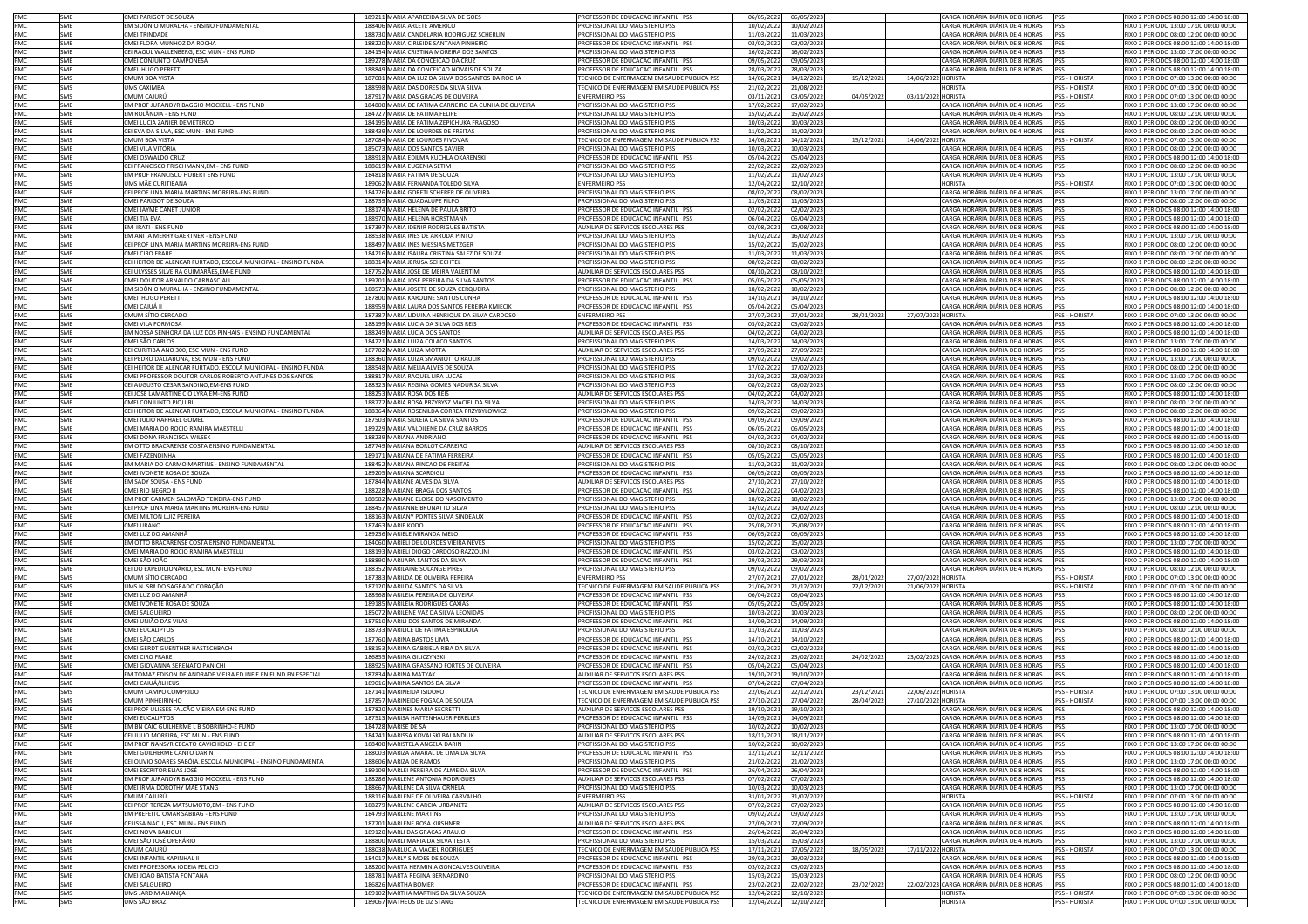| PMC        | SME        | CMEI PARIGOT DE SOUZA                                          |        | 189211 MARIA APARECIDA SILVA DE GOES                 | PROFESSOR DE EDUCACAO INFANTIL PSS         | 06/05/2022 | 06/05/2023               |            |                    | CARGA HORÁRIA DIÁRIA DE 8 HORAS            | <b>PSS</b>           | FIXO 2 PERIODOS 08:00 12:00 14:00 18:00 |
|------------|------------|----------------------------------------------------------------|--------|------------------------------------------------------|--------------------------------------------|------------|--------------------------|------------|--------------------|--------------------------------------------|----------------------|-----------------------------------------|
| PMC        | SME        | EM SIDÔNIO MURALHA - ENSINO FUNDAMENTAL                        |        | 188406 MARIA ARLETE AMERICO                          | PROFISSIONAL DO MAGISTERIO PSS             | 10/02/2022 | 10/02/2023               |            |                    | CARGA HORÁRIA DIÁRIA DE 4 HORAS            | PSS                  | FIXO 1 PERIODO 13:00 17:00 00:00 00:00  |
| PMC        | SMF        | CMELTRINDADE                                                   |        | 188730 MARIA CANDELARIA RODRIGUEZ SCHERLIN           | PROFISSIONAL DO MAGISTERIO PSS             | 11/03/2022 | 11/03/2023               |            |                    | CARGA HORÁRIA DIÁRIA DE 4 HORAS            | <b>PSS</b>           | FIXO 1 PERIODO 08:00 12:00 00:00 00:00  |
| PMC        | <b>SME</b> | CMEI FLORA MUNHOZ DA ROCHA                                     |        | 188220 MARIA CIRLEIDE SANTANA PINHEIRO               | ROFESSOR DE EDUCACAO INFANTIL PSS          | 03/02/2022 | 03/02/2023               |            |                    | CARGA HORÁRIA DIÁRIA DE 8 HORAS            | <b>PSS</b>           | IXO 2 PERIODOS 08:00 12:00 14:00 18:00  |
| PMC        | SME        | EI RAOUL WALLENBERG, ESC MUN - ENS FUND                        |        | 184154 MARIA CRISTINA MOREIRA DOS SANTOS             | ROFISSIONAL DO MAGISTERIO PSS              | 16/02/2022 | 16/02/2023               |            |                    | CARGA HORÁRIA DIÁRIA DE 4 HORAS            | PSS                  | IXO 1 PERIODO 13:00 17:00 00:00 00:00   |
| PMC        | SME        | CMEI CONJUNTO CAMPONESA                                        |        | 189278 MARIA DA CONCEICAO DA CRUZ                    | PROFESSOR DE EDUCACAO INFANTIL PSS         | 09/05/2022 | 09/05/2023               |            |                    | CARGA HORÁRIA DIÁRIA DE 8 HORAS            | PSS                  | FIXO 2 PERIODOS 08:00 12:00 14:00 18:00 |
| PMC        | SMF        | CMEI HUGO PERETTI                                              |        | 188849 MARIA DA CONCEICAO NOVAIS DE SOUZA            | PROFESSOR DE EDUCACAO INFANTIL PSS         | 28/03/2022 |                          |            |                    | CARGA HORÁRIA DIÁRIA DE 8 HORAS            | PSS                  | FIXO 2 PERIODOS 08:00 12:00 14:00 18:00 |
| PMC        | SMS        | CMUM BOA VISTA                                                 |        | 187081 MARIA DA LUZ DA SILVA DOS SANTOS DA ROCHA     | TECNICO DE ENFERMAGEM EM SAUDE PUBLICA PSS | 14/06/2021 | 28/03/2023<br>14/12/2021 | 15/12/2021 | 14/06/2022 HORISTA |                                            | PSS - HORISTA        | FIXO 1 PERIODO 07:00 13:00 00:00 00:00  |
|            |            |                                                                |        |                                                      |                                            |            |                          |            |                    | <b>HORISTA</b>                             |                      |                                         |
| PMC        | SMS        | <b>JMS CAXIMBA</b>                                             |        | 188598 MARIA DAS DORES DA SILVA SILVA                | ECNICO DE ENFERMAGEM EM SAUDE PUBLICA PSS  | 21/02/2022 | 21/08/2022               |            |                    |                                            | PSS - HORISTA        | FIXO 1 PERIODO 07:00 13:00 00:00 00:00  |
| PMC        | SMS        | CMUM CAJURÚ                                                    |        | 187917 MARIA DAS GRACAS DE OLIVEIRA                  | ENFERMEIRO PSS                             | 03/11/2021 | 03/05/2022               | 04/05/2022 | 03/11/2022 HORISTA |                                            | PSS - HORISTA        | FIXO 1 PERIODO 07:00 13:00 00:00 00:00  |
| PMC        | <b>SME</b> | EM PROF JURANDYR BAGGIO MOCKELL - ENS FUND                     |        | 184808 MARIA DE FATIMA CARNEIRO DA CUNHA DE OLIVEIRA | PROFISSIONAL DO MAGISTERIO PSS             | 17/02/2022 | 17/02/2023               |            |                    | CARGA HORÁRIA DIÁRIA DE 4 HORAS            | PSS                  | FIXO 1 PERIODO 13:00 17:00 00:00 00:00  |
| PMC        | <b>SME</b> | M ROLÂNDIA - ENS FUND                                          |        | 184727 MARIA DE FATIMA FELIPE                        | PROFISSIONAL DO MAGISTERIO PSS             | 15/02/2022 | 15/02/2023               |            |                    | CARGA HORÁRIA DIÁRIA DE 4 HORAS            | PSS                  | IXO 1 PERIODO 08:00 12:00 00:00 00:00   |
| PMC        | SME        | MEI LUCIA ZANIER DEMETERCO                                     |        | 184195 MARIA DE FATIMA ZEPICHUKA FRAGOSO             | ROFISSIONAL DO MAGISTERIO PSS              | 10/03/2022 | 10/03/2023               |            |                    | CARGA HORÁRIA DIÁRIA DE 4 HORAS            | PSS                  | IXO 1 PERIODO 08:00 12:00 00:00 00:00   |
| PMC        | SME        | CEI EVA DA SILVA, ESC MUN - ENS FUND                           |        | 188439 MARIA DE LOURDES DE FREITAS                   | ROFISSIONAL DO MAGISTERIO PSS              | 11/02/2022 | 11/02/2023               |            |                    | CARGA HORÁRIA DIÁRIA DE 4 HORAS            | PSS                  | IXO 1 PERIODO 08:00 12:00 00:00 00:00   |
| PMC        | SMS        | CMUM BOA VISTA                                                 |        | 187084 MARIA DE LOURDES PIVOVAR                      | ECNICO DE ENFERMAGEM EM SAUDE PUBLICA PSS  | 14/06/2021 | 14/12/2021               | 15/12/2021 | 14/06/2022 HORISTA |                                            | PSS - HORISTA        | IXO 1 PERIODO 07:00 13:00 00:00 00:00   |
| PMC        | SMF        | CMEI VILA VITÓRIA                                              |        | 185073 MARIA DOS SANTOS XAVIER                       | PROFISSIONAL DO MAGISTERIO PSS             | 10/03/2022 | 10/03/2023               |            |                    | CARGA HORÁRIA DIÁRIA DE 4 HORAS            | <b>IPSS</b>          | FIXO 1 PERIODO 08:00 12:00 00:00 00:00  |
| PMC        | SME        | CMEI OSWALDO CRUZ                                              |        | 188918 MARIA EDILMA KUCHLA OKARENSKI                 | PROFESSOR DE EDUCACAO INFANTIL PSS         | 05/04/2022 | 05/04/2023               |            |                    | CARGA HORÁRIA DIÁRIA DE 8 HORAS            | PSS                  | FIXO 2 PERIODOS 08:00 12:00 14:00 18:00 |
| PMC        | SME        | CEI FRANCISCO FRISCHMANN, EM - ENS FUND                        |        | 188619 MARIA EUGENIA SETIM                           | PROFISSIONAL DO MAGISTERIO PSS             | 22/02/2022 | 22/02/2023               |            |                    | CARGA HORÁRIA DIÁRIA DE 4 HORAS            | PSS                  | FIXO 1 PERIODO 08:00 12:00 00:00 00:00  |
| PMC        | SME        | EM PROF FRANCISCO HUBERT ENS FUND                              |        | 184818 MARIA FATIMA DE SOUZA                         | PROFISSIONAL DO MAGISTERIO PSS             | 11/02/2022 | 11/02/2023               |            |                    | CARGA HORÁRIA DIÁRIA DE 4 HORAS            | PSS                  | FIXO 1 PERIODO 13:00 17:00 00:00 00:00  |
| PMC        | SMS        | JMS MÃE CURITIBANA                                             |        | 189062 MARIA FERNANDA TOLEDO SILVA                   | <b>ENFERMEIRO PSS</b>                      | 12/04/2022 | 12/10/2022               |            |                    | <b>HORISTA</b>                             | PSS - HORISTA        | FIXO 1 PERIODO 07:00 13:00 00:00 00:00  |
| PMC        | <b>SME</b> | EI PROF LINA MARIA MARTINS MOREIRA-ENS FUND                    |        | 184726 MARIA GORETI SCHERER DE OLIVEIRA              | ROFISSIONAL DO MAGISTERIO PSS              | 08/02/2022 | 08/02/2023               |            |                    | CARGA HORÁRIA DIÁRIA DE 4 HORAS            | PSS                  | IXO 1 PERIODO 13:00 17:00 00:00 00:00   |
| PMC        | SME        | MEI PARIGOT DE SOUZA                                           |        | 188739 MARIA GUADALUPE FILPO                         | ROFISSIONAL DO MAGISTERIO PSS              | 11/03/2022 | 11/03/2023               |            |                    | ARGA HORÁRIA DIÁRIA DE 4 HORAS             |                      | IXO 1 PERIODO 08:00 12:00 00:00 00:00   |
| PMC        | <b>SME</b> | CMEI JAYME CANET JUNIOR                                        |        | 188174 MARIA HELENA DE PAULA BRITO                   | PROFESSOR DE EDUCACAO INFANTIL PSS         | 02/02/2022 | 02/02/2023               |            |                    | CARGA HORÁRIA DIÁRIA DE 8 HORAS            | PSS                  | FIXO 2 PERIODOS 08:00 12:00 14:00 18:00 |
| PMC        | SMF        | CMEI TIA EVA                                                   |        | 188970 MARIA HELENA HORSTMANN                        | PROFESSOR DE EDUCACAO INFANTIL PSS         | 06/04/2022 | 06/04/2023               |            |                    | CARGA HORÁRIA DIÁRIA DE 8 HORAS            | pss                  | FIXO 2 PERIODOS 08:00 12:00 14:00 18:00 |
| PMC        | SME        | EM IRATI - ENS FUND                                            |        | 187397 MARIA IDENIR RODRIGUES BATISTA                | AUXILIAR DE SERVICOS ESCOLARES PSS         | 02/08/2021 | 02/08/2022               |            |                    | CARGA HORÁRIA DIÁRIA DE 8 HORAS            | PSS                  | FIXO 2 PERIODOS 08:00 12:00 14:00 18:00 |
| PMC        | SME        | EM ANITA MERHY GAERTNER - ENS FUND                             |        | 188538 MARIA INES DE ARRUDA PINTO                    | ROFISSIONAL DO MAGISTERIO PSS              | 16/02/2022 | 16/02/2023               |            |                    | CARGA HORÁRIA DIÁRIA DE 4 HORAS            | PSS                  | FIXO 1 PERIODO 13:00 17:00 00:00 00:00  |
| PMC        | SME        | CEI PROF LINA MARIA MARTINS MOREIRA-ENS FUND                   |        | 188497 MARIA INES MESSIAS METZGER                    | PROFISSIONAL DO MAGISTERIO PSS             | 15/02/2022 | 15/02/2023               |            |                    | CARGA HORÁRIA DIÁRIA DE 4 HORAS            | PSS                  | FIXO 1 PERIODO 08:00 12:00 00:00 00:00  |
| PMC        | SMF        | CMELCIRO FRARE                                                 |        | 184216 MARIA ISAURA CRISTINA SALEZ DE SOUZA          | PROFISSIONAL DO MAGISTERIO PSS             | 11/03/2022 | 11/03/2023               |            |                    | CARGA HORÁRIA DIÁRIA DE 4 HORAS            | <b>PSS</b>           | FIXO 1 PERIODO 08:00 12:00 00:00 00:00  |
| PMC        | <b>SME</b> | EI HEITOR DE ALENCAR FURTADO, ESCOLA MUNICIPAL - ENSINO FUNDA  |        | 188314 MARIA JERUSA SCHECHTEL                        | ROFISSIONAL DO MAGISTERIO PSS              | 08/02/2022 | 08/02/2023               |            |                    | CARGA HORÁRIA DIÁRIA DE 4 HORAS            | <b>PSS</b>           | IXO 1 PERIODO 08:00 12:00 00:00 00:00   |
| PMC        | <b>SME</b> | CEI ULYSSES SILVEIRA GUIMARÃES.EM-E FUND                       |        | 187752 MARIA JOSE DE MEIRA VALENTIM                  | <b>IUXILIAR DE SERVICOS ESCOLARES PSS</b>  | 08/10/2021 | 08/10/2022               |            |                    | CARGA HORÁRIA DIÁRIA DE 8 HORAS            | PSS                  | IXO 2 PERIODOS 08:00 12:00 14:00 18:00  |
|            | SME        | CMEI DOUTOR ARNALDO CARNASCIALI                                |        | 189201 MARIA JOSE PEREIRA DA SILVA SANTOS            | PROFESSOR DE EDUCACAO INFANTIL PSS         | 05/05/202  | 05/05/202                |            |                    | CARGA HORÁRIA DIÁRIA DE 8 HORAS            | PSS                  | IXO 2 PERIODOS 08:00 12:00 14:00 18:00  |
| PMC<br>PMC | <b>SME</b> | EM SIDÔNIO MURALHA - ENSINO FUNDAMENTAL                        |        |                                                      |                                            |            |                          |            |                    | CARGA HORÁRIA DIÁRIA DE 4 HORAS            | <b>PSS</b>           |                                         |
|            |            |                                                                |        | 188573 MARIA JOSETE DE SOUZA CERQUEIRA               | PROFISSIONAL DO MAGISTERIO PSS             | 18/02/2022 | 18/02/2023               |            |                    |                                            |                      | FIXO 1 PERIODO 08:00 12:00 00:00 00:00  |
| PMC        | SME        | CMEI HUGO PERETTI                                              |        | 187800 MARIA KAROLINE SANTOS CUNHA                   | PROFESSOR DE EDUCACAO INFANTIL PSS         | 14/10/2021 | 14/10/2022               |            |                    | CARGA HORÁRIA DIÁRIA DE 8 HORAS            | PSS                  | FIXO 2 PERIODOS 08:00 12:00 14:00 18:00 |
| PMC        | SME        | CMEI CAIUÁ I                                                   |        | 188959 MARIA LAURA DOS SANTOS PEREIRA KMIECIK        | ROFESSOR DE EDUCACAO INFANTIL PSS          | 05/04/2022 | 05/04/2023               |            |                    | CARGA HORÁRIA DIÁRIA DE 8 HORAS            | PSS                  | FIXO 2 PERIODOS 08:00 12:00 14:00 18:00 |
| PMC        | SMS        | CMUM SÍTIO CERCADO                                             |        | 187387 MARIA LIDUINA HENRIQUE DA SILVA CARDOSO       | ENFERMEIRO PSS                             | 27/07/2021 | 27/01/2022               | 28/01/202  | 27/07/2022 HORISTA |                                            | PSS - HORISTA        | FIXO 1 PERIODO 07:00 13:00 00:00 00:00  |
| PMC        | <b>SME</b> | CMEI VILA FORMOSA                                              |        | 188199 MARIA LUCIA DA SILVA DOS REIS                 | PROFESSOR DE EDUCACAO INFANTIL PSS         | 03/02/2022 | 03/02/2023               |            |                    | CARGA HORÁRIA DIÁRIA DE 8 HORAS            | <b>PSS</b>           | FIXO 2 PERIODOS 08:00 12:00 14:00 18:00 |
| PMC        | <b>SME</b> | EM NOSSA SENHORA DA LUZ DOS PINHAIS - ENSINO FUNDAMENTAL       |        | 188249 MARIA LUCIA DOS SANTOS                        | AUXILIAR DE SERVICOS ESCOLARES PSS         | 04/02/2022 | 04/02/2023               |            |                    | CARGA HORÁRIA DIÁRIA DE 8 HORAS            | <b>PSS</b>           | FIXO 2 PERIODOS 08:00 12:00 14:00 18:00 |
| PMC        | SME        | CMEI SÃO CARLOS                                                |        | 184221 MARIA LUIZA COLACO SANTOS                     | ROFISSIONAL DO MAGISTERIO PSS              | 14/03/2022 | 14/03/2023               |            |                    | CARGA HORÁRIA DIÁRIA DE 4 HORAS            | <b>PSS</b>           | IXO 1 PERIODO 13:00 17:00 00:00 00:00   |
| PMC        | SME        | EI CURITIBA ANO 300, ESC MUN - ENS FUND                        |        | 187702 MARIA LUIZA MOTTA                             | UXILIAR DE SERVICOS ESCOLARES PSS          | 27/09/2021 | 27/09/2022               |            |                    | CARGA HORÁRIA DIÁRIA DE 8 HORAS            |                      | IXO 2 PERIODOS 08:00 12:00 14:00 18:00  |
| PMC        | <b>SME</b> | CEI PEDRO DALLABONA, ESC MUN - ENS FUND                        |        | 188360 MARIA LUIZA SMANIOTTO RAULIK                  | PROFISSIONAL DO MAGISTERIO PSS             | 09/02/2022 | 09/02/2023               |            |                    | CARGA HORÁRIA DIÁRIA DE 4 HORAS            | PSS                  | FIXO 1 PERIODO 13:00 17:00 00:00 00:00  |
| PMC        | SMF        | CEI HEITOR DE ALENCAR FURTADO. ESCOLA MUNICIPAL - ENSINO FUNDA |        | 188548 MARIA MELIA ALVES DE SOUZA                    | PROFISSIONAL DO MAGISTERIO PSS             | 17/02/2022 | 17/02/2023               |            |                    | CARGA HORÁRIA DIÁRIA DE 4 HORAS            | <b>PSS</b>           | FIXO 1 PERIODO 08:00 12:00 00:00 00:00  |
| PMC        | SME        | CMEI PROFESSOR DOUTOR CARLOS ROBERTO ANTUNES DOS SANTOS        |        | 188817 MARIA RAQUEL LIRA LUCAS                       | PROFISSIONAL DO MAGISTERIO PSS             | 23/03/2022 | 23/03/2023               |            |                    | CARGA HORÁRIA DIÁRIA DE 4 HORAS            | PSS                  | FIXO 1 PERIODO 13:00 17:00 00:00 00:00  |
| PMC        | <b>SME</b> | CELAUGUSTO CESAR SANDINO EM-ENS FUND                           |        | 188323 MARIA REGINA GOMES NADUR SA SILVA             | ROFISSIONAL DO MAGISTERIO PSS              | 08/02/2022 | 08/02/2023               |            |                    | CARGA HORÁRIA DIÁRIA DE 4 HORAS            | PSS                  | FIXO 1 PERIODO 08:00 12:00 00:00 00:00  |
| PMC        | SME        | CEI JOSÉ LAMARTINE C O LYRA, EM-ENS FUND                       |        | 188253 MARIA ROSA DOS REIS                           | AUXILIAR DE SERVICOS ESCOLARES PSS         | 04/02/2022 | 04/02/2023               |            |                    | CARGA HORÁRIA DIÁRIA DE 8 HORAS            | PSS                  | FIXO 2 PERIODOS 08:00 12:00 14:00 18:00 |
| PMC        | <b>SME</b> | CMEI CONJUNTO PIQUIRI                                          |        | 188772 MARIA ROSA PRZYBYSZ MACIEL DA SILVA           | PROFISSIONAL DO MAGISTERIO PSS             | 14/03/2022 | 14/03/2023               |            |                    | CARGA HORÁRIA DIÁRIA DE 4 HORAS            | PSS                  | FIXO 1 PERIODO 08:00 12:00 00:00 00:00  |
| PMC        | SME        | EI HEITOR DE ALENCAR FURTADO. ESCOLA MUNICIPAL - ENSINO FUNDA  |        | 188364 MARIA ROSENILDA CORREA PRZYBYLOWICZ           | ROFISSIONAL DO MAGISTERIO PSS              | 09/02/2022 | 09/02/2023               |            |                    | CARGA HORÁRIA DIÁRIA DE 4 HORAS            | PSS                  | IXO 1 PERIODO 08:00 12:00 00:00 00:00   |
| PMC        | SME        | MEI JULIO RAPHAEL GOMEL                                        |        | 187503 MARIA SIDLEIA DA SILVA SANTOS                 | ROFESSOR DE EDUCACAO INFANTIL PSS          | 09/09/2021 | 09/09/2022               |            |                    | CARGA HORÁRIA DIÁRIA DE 8 HORAS            | PSS                  | IXO 2 PERIODOS 08:00 12:00 14:00 18:00  |
| PMC        | <b>SME</b> | CMEI MARIA DO ROCIO RAMIRA MAESTELLI                           |        | 189229 MARIA VALDILENE DA CRUZ BARROS                | ROFESSOR DE EDUCACAO INFANTIL PSS          | 06/05/2022 | 06/05/2023               |            |                    | CARGA HORÁRIA DIÁRIA DE 8 HORAS            | PSS                  | IXO 2 PERIODOS 08:00 12:00 14:00 18:00  |
| PMC        | <b>SME</b> | CMEI DONA FRANCISCA WILSEK                                     |        | 188239 MARIANA ANDRIANO                              | PROFESSOR DE EDUCACAO INFANTIL PSS         | 04/02/2022 | 04/02/2023               |            |                    | CARGA HORÁRIA DIÁRIA DE 8 HORAS            | PSS                  | FIXO 2 PERIODOS 08:00 12:00 14:00 18:00 |
| PMC        | SME        | EM OTTO BRACARENSE COSTA ENSINO FUNDAMENTAL                    |        | 187749 MARIANA BORLOT CARREIRO                       | AUXILIAR DE SERVICOS ESCOLARES PSS         | 08/10/2021 | 08/10/2022               |            |                    | CARGA HORÁRIA DIÁRIA DE 8 HORAS            | PSS                  | FIXO 2 PERIODOS 08:00 12:00 14:00 18:00 |
| PMC        |            | CMEI FAZENDINHA                                                |        | 189171 MARIANA DE FATIMA FERREIRA                    |                                            |            |                          |            |                    | CARGA HORÁRIA DIÁRIA DE 8 HORAS            | PSS                  |                                         |
|            | SME        |                                                                |        |                                                      | PROFESSOR DE EDUCACAO INFANTIL PSS         | 05/05/2022 | 05/05/2023               |            |                    |                                            |                      | FIXO 2 PERIODOS 08:00 12:00 14:00 18:00 |
| PMC        | SME        | EM MARIA DO CARMO MARTINS - ENSINO FUNDAMENTAL                 |        | 188452 MARIANA RINCAO DE FREITAS                     | PROFISSIONAL DO MAGISTERIO PSS             | 11/02/2022 | 11/02/2023               |            |                    | CARGA HORÁRIA DIÁRIA DE 4 HORAS            | <b>PSS</b>           | FIXO 1 PERIODO 08:00 12:00 00:00 00:00  |
| PMC        | <b>SME</b> | CMEI IVONETE ROSA DE SOUZA                                     |        | 189205 MARIANA SCARDIGLI                             | PROFESSOR DE EDUCACAO INFANTIL PSS         | 06/05/2022 | 06/05/2023               |            |                    | CARGA HORÁRIA DIÁRIA DE 8 HORAS            | PSS                  | FIXO 2 PERIODOS 08:00 12:00 14:00 18:00 |
| PMC        | <b>SME</b> | EM SADY SOUSA - ENS FUND                                       |        | 187844 MARIANE ALVES DA SILVA                        | <b>UXILIAR DE SERVICOS ESCOLARES PSS</b>   | 27/10/2021 | 27/10/2022               |            |                    | CARGA HORÁRIA DIÁRIA DE 8 HORAS            | <b>PSS</b>           | FIXO 2 PERIODOS 08:00 12:00 14:00 18:00 |
| PMC        | <b>SME</b> | <b>CMEI RIO NEGRO II</b>                                       |        | 188228 MARIANE BRAGA DOS SANTOS                      | ROFESSOR DE EDUCACAO INFANTIL PSS          | 04/02/2022 | 04/02/2023               |            |                    | CARGA HORÁRIA DIÁRIA DE 8 HORAS            | PSS                  | IXO 2 PERIODOS 08:00 12:00 14:00 18:00  |
| PMC        | <b>SME</b> | EM PROF CARMEN SALOMÃO TEIXEIRA-ENS FUND                       |        | 188582 MARIANE ELOISE DO NASCIMENTO                  | PROFISSIONAL DO MAGISTERIO PSS             | 18/02/2022 | 18/02/2023               |            |                    | CARGA HORÁRIA DIÁRIA DE 4 HORAS            | PSS                  | FIXO 1 PERIODO 13:00 17:00 00:00 00:00  |
| PMC        | SMF        | CEI PROF LINA MARIA MARTINS MOREIRA-ENS FUND                   |        | 188457 MARIANNE BRUNATTO SILVA                       | PROFISSIONAL DO MAGISTERIO PSS             | 14/02/2022 | 14/02/2023               |            |                    | CARGA HORÁRIA DIÁRIA DE 4 HORAS            | PSS                  | FIXO 1 PERIODO 08:00 12:00 00:00 00:00  |
| PMC        | SME        | CMEI MILTON LUIZ PEREIRA                                       |        | 188163 MARIANY PONTES SILVA SINDEAUX                 | PROFESSOR DE EDUCACAO INFANTIL PSS         | 02/02/2022 | 02/02/2023               |            |                    | CARGA HORÁRIA DIÁRIA DE 8 HORAS            | <b>IPSS</b>          | FIXO 2 PERIODOS 08:00 12:00 14:00 18:00 |
| PMC        | SME        | CMEI URANO                                                     |        | 187463 MARIE KODO                                    | ROFESSOR DE EDUCACAO INFANTIL PSS          | 25/08/2021 | 25/08/2022               |            |                    | CARGA HORÁRIA DIÁRIA DE 8 HORAS            | PSS                  | IXO 2 PERIODOS 08:00 12:00 14:00 18:00  |
| PMC        | SME        | CMEI LUZ DO AMANHA                                             |        | 189236 MARIELE MIRANDA MELO                          | PROFESSOR DE EDUCACAO INFANTIL PSS         | 06/05/2022 | 06/05/2023               |            |                    | CARGA HORÁRIA DIÁRIA DE 8 HORAS            | PSS                  | FIXO 2 PERIODOS 08:00 12:00 14:00 18:00 |
| PMC        | <b>SME</b> | EM OTTO BRACARENSE COSTA ENSINO FUNDAMENTAL                    |        | 184060 MARIELI DE LOURDES VIEIRA NEVES               | ROFISSIONAL DO MAGISTERIO PSS              | 15/02/2022 | 15/02/2023               |            |                    | CARGA HORÁRIA DIÁRIA DE 4 HORAS            | PSS                  | FIXO 1 PERIODO 13:00 17:00 00:00 00:00  |
| PMC        | SME        | CMEI MARIA DO ROCIO RAMIRA MAESTELLI                           |        | 188193 MARIELI DIOGO CARDOSO RAZZOLINI               | PROFESSOR DE EDUCACAO INFANTIL PSS         | 03/02/2022 | 03/02/2023               |            |                    | CARGA HORÁRIA DIÁRIA DE 8 HORAS            | PSS                  | FIXO 2 PERIODOS 08:00 12:00 14:00 18:00 |
| PMC        | <b>SME</b> | OÃO JOÃO                                                       |        | 188890 MARIJARA SANTOS DA SILVA                      | ROFESSOR DE EDUCACAO INFANTIL PSS          | 29/03/2022 | 29/03/2023               |            |                    | CARGA HORÁRIA DIÁRIA DE 8 HORAS            | PSS                  | IXO 2 PERIODOS 08:00 12:00 14:00 18:00  |
| PMC        | SME        | EI DO EXPEDICIONÁRIO, ESC MUN- ENS FUND                        |        | 188352 MARILAINE SOLANGE PIRES                       | ROFISSIONAL DO MAGISTERIO PSS              | 09/02/2022 | 09/02/2023               |            |                    | CARGA HORÁRIA DIÁRIA DE 4 HORAS            |                      | IXO 1 PERIODO 08:00 12:00 00:00 00:00   |
| PMC        | SMS        | CMUM SÍTIO CERCADO                                             |        | 187383 MARILDA DE OLIVEIRA PEREIRA                   | ENFERMEIRO PSS                             | 27/07/2021 | 27/01/2022               | 28/01/2022 | 27/07/2022 HORISTA |                                            | <b>PSS - HORISTA</b> | FIXO 1 PERIODO 07:00 13:00 00:00 00:00  |
| PMC        | SMS        | JMS N. SRª DO SAGRADO CORAÇÃO                                  |        | 187120 MARILDA SANTOS DA SILVA                       | TECNICO DE ENFERMAGEM EM SAUDE PUBLICA PSS | 21/06/2021 | 21/12/2021               | 22/12/202  | 21/06/2022 HORISTA |                                            | <b>PSS - HORISTA</b> | FIXO 1 PERIODO 07:00 13:00 00:00 00:00  |
| PMC        | SME        | CMEI LUZ DO AMANHÃ                                             |        | 188968 MARILEIA PEREIRA DE OLIVEIRA                  | PROFESSOR DE EDUCACAO INFANTIL PSS         | 06/04/2022 | 06/04/2023               |            |                    | CARGA HORÁRIA DIÁRIA DE 8 HORAS            | <b>PSS</b>           | FIXO 2 PERIODOS 08:00 12:00 14:00 18:00 |
| PMC        | <b>SME</b> | CMEI IVONETE ROSA DE SOUZA                                     |        | 189185 MARILEIA RODRIGUES CAXIAS                     | PROFESSOR DE EDUCACAO INFANTIL PSS         | 05/05/2022 | 05/05/2023               |            |                    | CARGA HORÁRIA DIÁRIA DE 8 HORAS            | <b>PSS</b>           | FIXO 2 PERIODOS 08:00 12:00 14:00 18:00 |
| PMC        | SME        | CMEI SALGUEIRO                                                 |        | 185072 MARILENE VAZ DA SILVA LEONIDAS                | PROFISSIONAL DO MAGISTERIO PSS             | 10/03/2022 | 10/03/2023               |            |                    | CARGA HORÁRIA DIÁRIA DE 4 HORAS            | PSS                  | FIXO 1 PERIODO 08:00 12:00 00:00 00:00  |
| PMC        | SMF        | CMEI UNIÃO DAS VILAS                                           |        | 187510 MARILI DOS SANTOS DE MIRANDA                  | PROFESSOR DE EDUCAÇÃO INFANTIL PSS         | 14/09/2021 | 14/09/2022               |            |                    | CARGA HORÁRIA DIÁRIA DE 8 HORAS            | <b>PSS</b>           | FIXO 2 PERIODOS 08:00 12:00 14:00 18:00 |
| PMC        | <b>SME</b> | CMEI EUCALIPTOS                                                |        | 188733 MARILICE DE FATIMA ESPINDOLA                  | ROFISSIONAL DO MAGISTERIO PSS              | 11/03/2022 | 11/03/2023               |            |                    | "ARGA HORÁRIA DIÁRIA DE 4 HORAS            | <b>PSS</b>           | IXO 1 PERIODO 08:00 12:00 00:00 00:00   |
| PMC        | <b>SME</b> | CMEI SÃO CARLOS                                                |        | 187760 MARINA BASTOS LIMA                            | ROFESSOR DE EDUCACAO INFANTIL PSS          | 14/10/2021 | 14/10/2022               |            |                    | CARGA HORÁRIA DIÁRIA DE 8 HORAS            | <b>PSS</b>           | IXO 2 PERIODOS 08:00 12:00 14:00 18:00  |
| PMC        | <b>SME</b> | CMEI GERDT GUENTHER HASTSCHBACH                                |        | 188153 MARINA GABRIELA RIBA DA SILVA                 | PROFESSOR DE EDUCACAO INFANTIL PSS         | 02/02/2022 | 02/02/2023               |            |                    | CARGA HORÁRIA DIÁRIA DE 8 HORAS            | PSS                  | IXO 2 PERIODOS 08:00 12:00 14:00 18:00  |
| PMC        | SMF        | CMEI CIRO FRARE                                                |        | 186855 MARINA GILICZYNSKI                            | PROFESSOR DE EDUCACAO INFANTIL PSS         | 24/02/2021 | 23/02/2022               | 24/02/2022 |                    | 23/02/2023 CARGA HORÁRIA DIÁRIA DE 8 HORAS | <b>PSS</b>           | FIXO 2 PERIODOS 08:00 12:00 14:00 18:00 |
| PMC        | SME        | CMEI GIOVANNA SERENATO PANICHI                                 |        | 188925 MARINA GRASSANO FORTES DE OLIVEIRA            | PROFESSOR DE EDUCACAO INFANTIL PSS         | 05/04/2022 | 05/04/2023               |            |                    | CARGA HORÁRIA DIÁRIA DE 8 HORAS            | PSS                  | FIXO 2 PERIODOS 08:00 12:00 14:00 18:00 |
| PMC        | SME        | EM TOMAZ EDISON DE ANDRADE VIEIRA ED INF E EN FUND EN ESPECIAL |        | 187834 MARINA MATYAK                                 | <b>IUXILIAR DE SERVICOS ESCOLARES PSS</b>  | 19/10/202  | 19/10/2022               |            |                    | CARGA HORÁRIA DIÁRIA DE 8 HORAS            | PSS                  | IXO 2 PERIODOS 08:00 12:00 14:00 18:00  |
| PMC        | <b>SME</b> | CMEI CAIUÁ/ILHEUS                                              |        | 189016 MARINA SANTOS DA SILVA                        | PROFESSOR DE EDUCACAO INFANTIL PSS         | 07/04/2022 | 07/04/2023               |            |                    | CARGA HORÁRIA DIÁRIA DE 8 HORAS            | PSS                  | FIXO 2 PERIODOS 08:00 12:00 14:00 18:00 |
| PMC        | SMS        | MUM CAMPO COMPRIDO                                             |        | 187141 MARINEIDA ISIDORO                             | ECNICO DE ENFERMAGEM EM SAUDE PUBLICA PSS  | 22/06/2021 | 22/12/2021               | 23/12/2021 | 22/06/2022 HORISTA |                                            | PSS - HORISTA        | FIXO 1 PERIODO 07:00 13:00 00:00 00:00  |
| PMC        | SMS        | <b>CMUM PINHEIRINHO</b>                                        |        | 187857 MARINEIDE FOGACA DE SOUZA                     | ECNICO DE ENFERMAGEM EM SAUDE PUBLICA PSS  | 27/10/2021 | 27/04/2022               | 28/04/2022 | 27/10/2022 HORISTA |                                            | PSS - HORISTA        | FIXO 1 PERIODO 07:00 13:00 00:00 00:00  |
|            |            | EI PROF ULISSES FALCAO VIEIRA EM-ENS FUND                      | 18/820 | AARINES MARIA SECRETTI                               | JXILIAR DE SERVICOS ESCOLARES PSS          | 19/10/2021 | 19/10/2022               |            |                    | ARGA HUKARIA DIAKIA DE 8 HUKAS             |                      | IXO 2 PERIODOS 08:00 12:00 14:00 18:00  |
| PMC        | SME        | CMEI EUCALIPTOS                                                |        | 187513 MARISA HATTENHAUER PERELLES                   | PROFESSOR DE EDUCACAO INFANTIL PSS         | 14/09/2021 | 14/09/2022               |            |                    | CARGA HORÁRIA DIÁRIA DE 8 HORAS            | PSS                  | FIXO 2 PERIODOS 08:00 12:00 14:00 18:00 |
| PMC        | <b>SME</b> | EM BN CAIC GUILHERME L B SOBRINHO-E FUND                       |        | 184728 MARISE DE SA                                  | PROFISSIONAL DO MAGISTERIO PSS             | 10/02/2022 | 10/02/2023               |            |                    | CARGA HORÁRIA DIÁRIA DE 4 HORAS            | <b>IPSS</b>          | FIXO 1 PERIODO 13:00 17:00 00:00 00:00  |
| PMC        | SME        | CEI JULIO MOREIRA, ESC MUN - ENS FUND                          |        | 184241 MARISSA KOVALSKI BALANDIUK                    | AUXILIAR DE SERVICOS ESCOLARES PSS         | 18/11/2021 | 18/11/2022               |            |                    | CARGA HORÁRIA DIÁRIA DE 8 HORAS            | <b>IPSS</b>          | FIXO 2 PERIODOS 08:00 12:00 14:00 18:00 |
| PMC        | SME        | EM PROF NANSYR CECATO CAVICHIOLO - EI E EF                     |        | 188408 MARISTELA ANGELA DARIN                        | PROFISSIONAL DO MAGISTERIO PSS             | 10/02/2022 | 10/02/2023               |            |                    | CARGA HORÁRIA DIÁRIA DE 4 HORAS            | PSS                  | FIXO 1 PERIODO 13:00 17:00 00:00 00:00  |
| PMC        | <b>SME</b> | CMELGUILHERME CANTO DARIN                                      |        | 188003 MARIZA AMARAL DE LIMA DA SILVA                | PROFESSOR DE EDUCACAO INFANTIL PSS         | 12/11/2021 | 12/11/2022               |            |                    | CARGA HORÁRIA DIÁRIA DE 8 HORAS            | <b>IPSS</b>          | FIXO 2 PERIODOS 08:00 12:00 14:00 18:00 |
|            | SME        | CEI OLIVIO SOARES SABÓIA, ESCOLA MUNICIPAL - ENSINO FUNDAMENTA |        | 188606 MARIZA DE RAMOS                               | PROFISSIONAL DO MAGISTERIO PSS             | 21/02/2022 | 21/02/2023               |            |                    | CARGA HORÁRIA DIÁRIA DE 4 HORAS            | PSS                  | FIXO 1 PERIODO 13:00 17:00 00:00 00:00  |
| PMC<br>PMC | <b>SME</b> | CMEI ESCRITOR ELIAS JOSÉ                                       |        | 189109 MARLEI PEREIRA DE ALMEIDA SILVA               | PROFESSOR DE EDUCACAO INFANTIL PSS         | 26/04/2022 | 26/04/2023               |            |                    | CARGA HORÁRIA DIÁRIA DE 8 HORAS            | PSS                  | FIXO 2 PERIODOS 08:00 12:00 14:00 18:00 |
| PMC        | SME        | EM PROF JURANDYR BAGGIO MOCKELL - ENS FUND                     |        | 188286 MARLENE ANTONIA RODRIGUES                     | AUXILIAR DE SERVICOS ESCOLARES PSS         |            |                          |            |                    | CARGA HORÁRIA DIÁRIA DE 8 HORAS            |                      | IXO 2 PERIODOS 08:00 12:00 14:00 18:00  |
|            |            | MEI IRMÃ DOROTHY MÃE STANG                                     |        |                                                      |                                            | 07/02/2022 | 07/02/2023               |            |                    |                                            | PSS                  | IXO 1 PERIODO 13:00 17:00 00:00 00:00   |
| PMC        | <b>SME</b> |                                                                |        | 188667 MARLENE DA SILVA ORNELA                       | ROFISSIONAL DO MAGISTERIO PSS              | 10/03/2022 | 10/03/2023               |            |                    | CARGA HORÁRIA DIÁRIA DE 4 HORAS            | <b>PSS</b>           |                                         |
| PMC        | SMS        | CMUM CAJURÚ                                                    |        | 188116 MARLENE DE OLIVEIRA CARVALHO                  | ENFERMEIRO PSS                             | 31/01/2022 | 31/07/2022               |            |                    | HORISTA                                    | PSS - HORISTA        | FIXO 1 PERIODO 07:00 13:00 00:00 00:00  |
| PMC        | <b>SME</b> | CEI PROF TEREZA MATSUMOTO,EM - ENS FUND                        |        | 188279 MARLENE GARCIA URBANETZ                       | AUXILIAR DE SERVICOS ESCOLARES PSS         | 07/02/2022 | 07/02/2023               |            |                    | CARGA HORÁRIA DIÁRIA DE 8 HORAS            | <b>PSS</b>           | FIXO 2 PERIODOS 08:00 12:00 14:00 18:00 |
| PMC        | SME        | EM PREFEITO OMAR SABBAG - ENS FUND                             |        | 184793 MARLENE MARTINS                               | PROFISSIONAL DO MAGISTERIO PSS             | 09/02/2022 | 09/02/2023               |            |                    | CARGA HORÁRIA DIÁRIA DE 4 HORAS            | PSS                  | FIXO 1 PERIODO 13:00 17:00 00:00 00:00  |
| PMC        | SME        | CEI ISSA NACLI, ESC MUN - ENS FUND                             |        | 187701 MARLENE ROSA KIRSHNER                         | AUXILIAR DE SERVICOS ESCOLARES PSS         | 27/09/2021 | 27/09/2022               |            |                    | CARGA HORÁRIA DIÁRIA DE 8 HORAS            | <b>PSS</b>           | FIXO 2 PERIODOS 08:00 12:00 14:00 18:00 |
| PMC        | SME        | CMEI NOVA BARIGUI                                              |        | 189120 MARLI DAS GRACAS ARAUJO                       | PROFESSOR DE EDUCACAO INFANTIL PSS         | 26/04/2022 | 26/04/2023               |            |                    | CARGA HORÁRIA DIÁRIA DE 8 HORAS            | PSS                  | FIXO 2 PERIODOS 08:00 12:00 14:00 18:00 |
| PMC        | <b>SME</b> | CMEI SÃO JOSÉ OPERÁRIO                                         |        | 188800 MARLI MARIA DA SILVA TESTA                    | PROFISSIONAL DO MAGISTERIO PSS             | 15/03/2022 | 15/03/2023               |            |                    | CARGA HORÁRIA DIÁRIA DE 4 HORAS            | PSS                  | FIXO 1 PERIODO 13:00 17:00 00:00 00:00  |
| PMC        | SMS        | CMUM CAJURÚ                                                    |        | 188038 MARLUCIA MACIEL RODRIGUES                     | TECNICO DE ENFERMAGEM EM SAUDE PUBLICA PSS | 17/11/2021 | 17/05/2022               | 18/05/2022 | 17/11/2022 HORISTA |                                            | PSS - HORISTA        | FIXO 1 PERIODO 07:00 13:00 00:00 00:00  |
| PMC        | <b>SME</b> | MELINFANTII XAPINHAL II                                        |        | 184017 MARLY SIMOES DE SOUZA                         | ROFESSOR DE EDUCACAO INFANTIL PSS          | 29/03/2022 | 29/03/2023               |            |                    | CARGA HORÁRIA DIÁRIA DE 8 HORAS            | PSS                  | IXO 2 PERIODOS 08:00 12:00 14:00 18:00  |
| PMC        | SME        | CMEI PROFESSORA IODEIA FELICIO                                 |        | 188200 MARTA HERMINIA GONCALVES OLIVEIRA             | PROFESSOR DE EDUCACAO INFANTIL PSS         | 03/02/2022 | 03/02/2023               |            |                    | CARGA HORÁRIA DIÁRIA DE 8 HORAS            | PSS                  | FIXO 2 PERIODOS 08:00 12:00 14:00 18:00 |
| PMC        | <b>SME</b> | CMEI JOÃO BATISTA FONTANA                                      |        | 188781 MARTA REGINA BERNARDINO                       | PROFISSIONAL DO MAGISTERIO PSS             | 15/03/2022 | 15/03/2023               |            |                    | CARGA HORÁRIA DIÁRIA DE 4 HORAS            | PSS                  | FIXO 1 PERIODO 08:00 12:00 00:00 00:00  |
| PMC        | SME        | CMEI SALGUEIRO                                                 |        | 186826 MARTHA BOMER                                  | PROFESSOR DE EDUCACAO INFANTIL PSS         | 23/02/2021 | 22/02/2022               | 23/02/2022 |                    | 22/02/2023 CARGA HORÁRIA DIÁRIA DE 8 HORAS | <b>PSS</b>           | FIXO 2 PERIODOS 08:00 12:00 14:00 18:00 |
| PMC        | SMS        | UMS JARDIM ALIANÇA                                             |        | 189102 MARTHA MARTINS DA SILVA SOUZA                 | TECNICO DE ENFERMAGEM EM SAUDE PUBLICA PSS | 12/04/2022 | 12/10/2022               |            |                    | <b>HORISTA</b>                             | PSS - HORISTA        | FIXO 1 PERIODO 07:00 13:00 00:00 00:00  |
| PMC        | SMS        | UMS SÃO BRAZ                                                   |        | 189067 MATHEUS DE LIZ STANG                          | TECNICO DE ENFERMAGEM EM SAUDE PUBLICA PSS |            | 12/04/2022 12/10/2022    |            |                    | <b>HORISTA</b>                             | PSS - HORISTA        | FIXO 1 PERIODO 07:00 13:00 00:00 00:00  |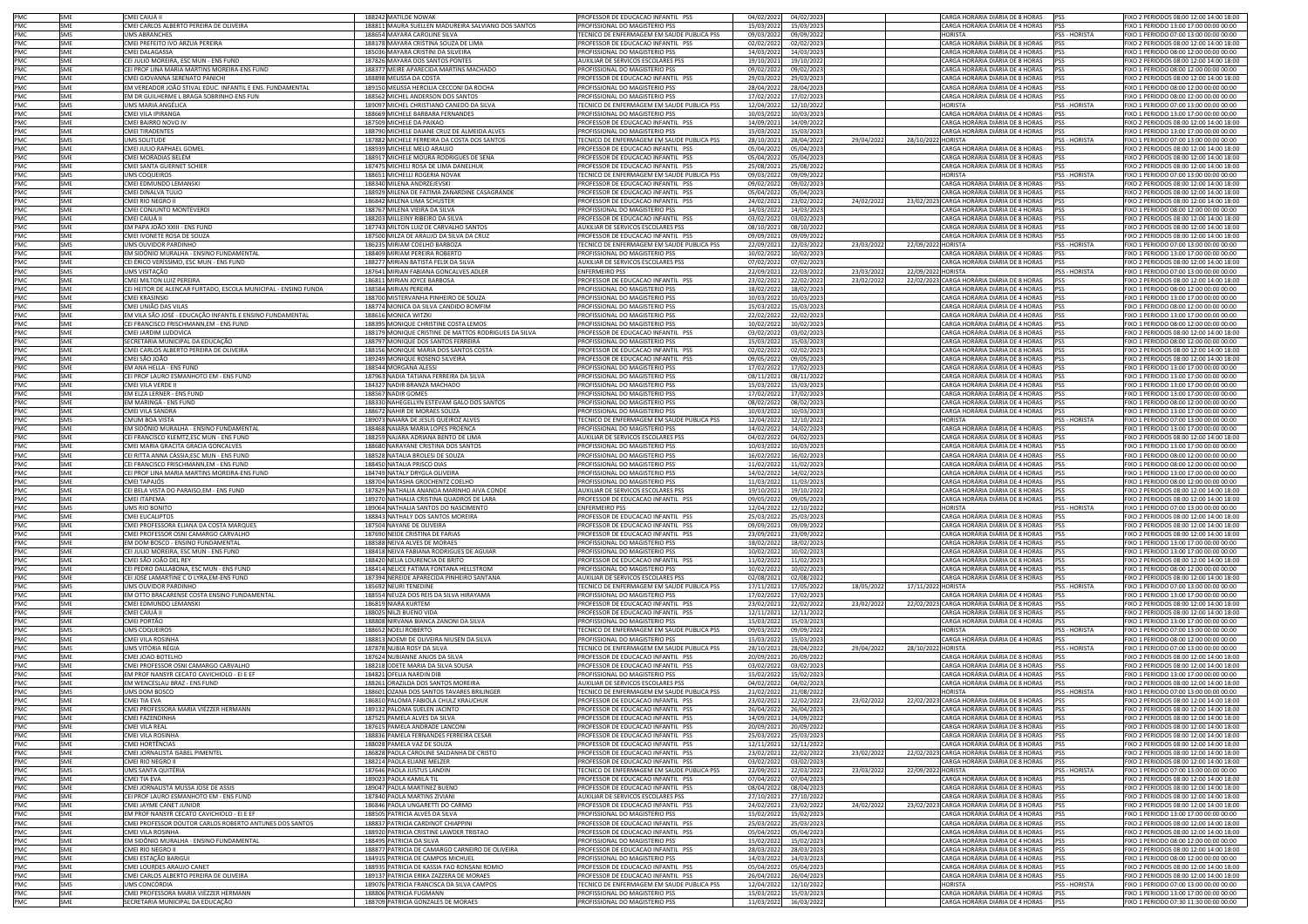| PMC        | SME               | CMEI CAIUÁ II                                                             | 188242 MATILDE NOWAK                                                             | PROFESSOR DE EDUCACAO INFANTIL PSS                                   | 04/02/2022               | 04/02/2023               |           | CARGA HORÁRIA DIÁRIA DE 8 HORAS                                    | PSS                  | FIXO 2 PERIODOS 08:00 12:00 14:00 18:00                                          |
|------------|-------------------|---------------------------------------------------------------------------|----------------------------------------------------------------------------------|----------------------------------------------------------------------|--------------------------|--------------------------|-----------|--------------------------------------------------------------------|----------------------|----------------------------------------------------------------------------------|
| PMC        | SMF               | CMEI CARLOS ALBERTO PEREIRA DE OLIVEIRA                                   | 188811 MAURA SUELLEN MADUREIRA SALVIANO DOS SANTOS                               | PROFISSIONAL DO MAGISTERIO PSS                                       | 15/03/2022               | 15/03/2023               |           | CARGA HORÁRIA DIÁRIA DE 4 HORAS PSS                                |                      | FIXO 1 PERIODO 13:00 17:00 00:00 00:00                                           |
| PMC        | SMS               | <b>JMS ABRANCHES</b>                                                      | 188654 MAYARA CAROLINE SILVA                                                     | FECNICO DE ENFERMAGEM EM SAUDE PUBLICA PSS                           | 09/03/202                | 09/09/2022               |           | <b>HORISTA</b>                                                     | SS - HORISTA         | FIXO 1 PERIODO 07:00 13:00 00:00 00:00                                           |
| PMC        | <b>SME</b>        | CMEI PREFEITO IVO ARZUA PEREIRA                                           | 188178 MAYARA CRISTINA SOUZA DE LIMA                                             | PROFESSOR DE EDUCACAO INFANTIL PSS                                   | 02/02/202                | 02/02/2023               |           | CARGA HORÁRIA DIÁRIA DE 8 HORAS                                    | <b>PSS</b>           | IXO 2 PERIODOS 08:00 12:00 14:00 18:00                                           |
| PMC        | SME               | CMEI DALAGASSA                                                            | 185036 MAYARA CRISTINI DA SILVEIRA                                               | PROFISSIONAL DO MAGISTERIO PSS                                       | 14/03/202                | 14/03/2023               |           | CARGA HORÁRIA DIÁRIA DE 4 HORAS                                    | PSS                  | FIXO 1 PERIODO 08:00 12:00 00:00 00:00                                           |
| PMC        | <b>SMF</b>        | CEI JULIO MOREIRA, ESC MUN - ENS FUND                                     | 187826 MAYARA DOS SANTOS PONTES                                                  | AUXILIAR DE SERVICOS ESCOLARES PSS                                   |                          |                          |           | CARGA HORÁRIA DIÁRIA DE 8 HORAS                                    | <b>PSS</b>           | FIXO 2 PERIODOS 08:00 12:00 14:00 18:00                                          |
| PMC        | SME               | CEI PROF LINA MARIA MARTINS MOREIRA-ENS FUND                              | 188377 MEIRE APARECIDA MARTINS MACHADO                                           | PROFISSIONAL DO MAGISTERIO PSS                                       | 19/10/202<br>09/02/202   | 19/10/2022<br>09/02/2023 |           | CARGA HORÁRIA DIÁRIA DE 4 HORAS                                    | PSS                  | FIXO 1 PERIODO 08:00 12:00 00:00 00:00                                           |
|            | SME               |                                                                           |                                                                                  |                                                                      |                          |                          |           |                                                                    | <b>PSS</b>           |                                                                                  |
| PMC        |                   | CMEI GIOVANNA SERENATO PANICHI                                            | 188898 MELISSA DA COSTA                                                          | PROFESSOR DE EDUCACAO INFANTIL PSS                                   | 29/03/202                | 29/03/2023               |           | CARGA HORÁRIA DIÁRIA DE 8 HORAS                                    |                      | FIXO 2 PERIODOS 08:00 12:00 14:00 18:00                                          |
| PMC        | SME               | EM VEREADOR JOÃO STIVAL EDUC. INFANTIL E ENS. FUNDAMENTAL                 | 189150 MELISSA HERCILIA CECCONI DA ROCHA                                         | PROFISSIONAL DO MAGISTERIO PSS                                       | 28/04/202                | 28/04/2023               |           | CARGA HORÁRIA DIÁRIA DE 4 HORAS                                    | <b>PSS</b>           | FIXO 1 PERIODO 08:00 12:00 00:00 00:00                                           |
| PMC        | <b>SME</b>        | EM DR GUILHERME L BRAGA SOBRINHO-ENS FUN                                  | 188562 MICHEL ANDERSON DOS SANTOS                                                | PROFISSIONAL DO MAGISTERIO PSS                                       | 17/02/202                | 17/02/2023               |           | CARGA HORÁRIA DIÁRIA DE 4 HORAS                                    | PSS                  | FIXO 1 PERIODO 08:00 12:00 00:00 00:00                                           |
| PMC        | SMS               | JMS MARIA ANGÉLICA                                                        | 189097 MICHEL CHRISTIANO CANEDO DA SILVA                                         | TECNICO DE ENFERMAGEM EM SAUDE PUBLICA PSS                           | 12/04/202                | 12/10/2022               |           | <b>HORISTA</b>                                                     | PSS - HORISTA        | FIXO 1 PERIODO 07:00 13:00 00:00 00:00                                           |
| PMC        | SME               | MEI VILA IPIRANGA                                                         | 188669 MICHELE BARBARA FERNANDES                                                 | ROFISSIONAL DO MAGISTERIO PSS                                        | 10/03/202                | 10/03/2023               |           | CARGA HORÁRIA DIÁRIA DE 4 HORAS                                    | PSS                  | IXO 1 PERIODO 13:00 17:00 00:00 00:00                                            |
| PMC        | SME               | CMEI BAIRRO NOVO IV                                                       | 187509 MICHELE DA PAIXAO                                                         | PROFESSOR DE EDUCACAO INFANTIL PSS                                   | 14/09/202                | 14/09/2022               |           | CARGA HORÁRIA DIÁRIA DE 8 HORAS                                    | PSS                  | FIXO 2 PERIODOS 08:00 12:00 14:00 18:00                                          |
| PMC        | <b>SMF</b>        | CMEI TIRADENTES                                                           | 188790 MICHELE DAIANE CRUZ DE ALMEIDA ALVES                                      | PROFISSIONAL DO MAGISTERIO PSS                                       | 15/03/202                | 15/03/2023               |           | CARGA HORÁRIA DIÁRIA DE 4 HORAS                                    | <b>PSS</b>           | FIXO 1 PERIODO 13:00 17:00 00:00 00:00                                           |
| PMC        | <b>SMS</b>        | UMS SOLITUDE                                                              | 187882 MICHELE FERREIRA DA COSTA DOS SANTOS                                      | TECNICO DE ENFERMAGEM EM SAUDE PUBLICA PSS                           | 28/10/202                | 28/04/2022               | 29/04/202 | 28/10/2022 HORISTA                                                 | PSS - HORISTA        | FIXO 1 PERIODO 07:00 13:00 00:00 00:00                                           |
| PMC        | SME               | CMEI JULIO RAPHAEL GOMEI                                                  | 188939 MICHELE MELO ARAUJO                                                       | PROFESSOR DE EDUCACAO INFANTIL PSS                                   | 05/04/202                | 05/04/2023               |           | CARGA HORÁRIA DIÁRIA DE 8 HORAS                                    | <b>PSS</b>           | FIXO 2 PERIODOS 08:00 12:00 14:00 18:00                                          |
| PMC        | SME               | CMEI MORADIAS BELÉM                                                       | 188917 MICHELE MOURA RODRIGUES DE SENA                                           | PROFESSOR DE EDUCACAO INFANTIL PSS                                   | 05/04/202                | 05/04/2023               |           | CARGA HORÁRIA DIÁRIA DE 8 HORAS                                    | <b>PSS</b>           | FIXO 2 PERIODOS 08:00 12:00 14:00 18:00                                          |
|            |                   |                                                                           |                                                                                  |                                                                      |                          |                          |           |                                                                    |                      | FIXO 2 PERIODOS 08:00 12:00 14:00 18:00                                          |
| PMC        | SME               | CMEI SANTA GUERNET SCHIER                                                 | 187475 MICHELI ROSA DE LIMA DANELHUK                                             | PROFESSOR DE EDUCACAO INFANTIL PSS                                   | 25/08/202                | 25/08/2022               |           | CARGA HORÁRIA DIÁRIA DE 8 HORAS                                    | <b>PSS</b>           |                                                                                  |
| PMC        | SMS               | <b>JMS COQUEIROS</b>                                                      | 188651 MICHELLI ROGERIA NOVAK                                                    | TECNICO DE ENFERMAGEM EM SAUDE PUBLICA PSS                           | 09/03/202                | 09/09/2022               |           | <b>HORISTA</b>                                                     | PSS - HORISTA        | FIXO 1 PERIODO 07:00 13:00 00:00 00:00                                           |
| PMC        | <b>SME</b>        | CMEI EDMUNDO LEMANSKI                                                     | 188340 MILENA ANDRZEJEVSKI                                                       | PROFESSOR DE EDUCACAO INFANTIL PSS                                   | 09/02/202                | 09/02/2023               |           | CARGA HORÁRIA DIÁRIA DE 8 HORAS                                    | <b>PSS</b>           | IXO 2 PERIODOS 08:00 12:00 14:00 18:00                                           |
| PMC        | SME               | MEI DINALVA TULIO                                                         | 188929 MILENA DE FATIMA ZANARDINE CASAGRANDE                                     | PROFESSOR DE EDUCACAO INFANTIL PSS                                   | 05/04/202                | 05/04/2023               |           | CARGA HORÁRIA DIÁRIA DE 8 HORAS                                    | <b>PSS</b>           | IXO 2 PERIODOS 08:00 12:00 14:00 18:00                                           |
| PMC        | <b>SME</b>        | CMEI RIO NEGRO II                                                         | 186842 MILENA LIMA SCHUSTER                                                      | PROFESSOR DE EDUCACAO INFANTIL PSS                                   | 24/02/202                | 23/02/2022               | 24/02/202 | 23/02/2023 CARGA HORÁRIA DIÁRIA DE 8 HORAS                         | PSS                  | FIXO 2 PERIODOS 08:00 12:00 14:00 18:00                                          |
| PMC        | SMF               | CMEI CONJUNTO MONTEVERDI                                                  | 188767 MILENA VIEIRA DA SILVA                                                    | PROFISSIONAL DO MAGISTERIO PSS                                       | 14/03/202                | 14/03/2023               |           | CARGA HORÁRIA DIÁRIA DE 4 HORAS                                    | PSS                  | FIXO 1 PERIODO 08:00 12:00 00:00 00:00                                           |
| PMC        | SME               | CMEI CAIUÁ II                                                             | 188203 MILLEINY RIBEIRO DA SILVA                                                 | PROFESSOR DE EDUCACAO INFANTIL PSS                                   | 03/02/202                | 03/02/2023               |           | CARGA HORÁRIA DIÁRIA DE 8 HORAS                                    | PSS                  | FIXO 2 PERIODOS 08:00 12:00 14:00 18:00                                          |
| PMC        | SME               | EM PAPA JOÃO XXIII - ENS FUND                                             | 187743 MILTON LUIZ DE CARVALHO SANTOS                                            | AUXILIAR DE SERVICOS ESCOLARES PSS                                   | 08/10/202                | 08/10/2022               |           | CARGA HORÁRIA DIÁRIA DE 8 HORAS                                    | <b>PSS</b>           | FIXO 2 PERIODOS 08:00 12:00 14:00 18:00                                          |
| PMC        | SME               | CMEI IVONETE ROSA DE SOUZA                                                | 187500 MILZA DE ARAUJO DA SILVA DA CRUZ                                          | PROFESSOR DE EDUCACAO INFANTIL PSS                                   | 09/09/202                | 09/09/2022               |           | CARGA HORÁRIA DIÁRIA DE 8 HORAS                                    | <b>PSS</b>           | FIXO 2 PERIODOS 08:00 12:00 14:00 18:00                                          |
| PMC        | SMS               | UMS OUVIDOR PARDINHO                                                      | 186235 MIRIAM COELHO BARBOZA                                                     | TECNICO DE ENFERMAGEM EM SAUDE PUBLICA PSS                           | 22/09/202                | 22/03/2022               | 23/03/202 | 22/09/2022 HORISTA                                                 | <b>PSS - HORISTA</b> | FIXO 1 PERIODO 07:00 13:00 00:00 00:00                                           |
| PMC        | SME               | EM SIDÔNIO MURALHA - ENSINO FUNDAMENTAL                                   | 188409 MIRIAM PEREIRA ROBERTO                                                    | PROFISSIONAL DO MAGISTERIO PSS                                       | 10/02/202                | 10/02/2023               |           | CARGA HORÁRIA DIÁRIA DE 4 HORAS                                    | <b>PSS</b>           | IXO 1 PERIODO 13:00 17:00 00:00 00:00                                            |
| PMC        | <b>SME</b>        |                                                                           |                                                                                  |                                                                      |                          |                          |           | CARGA HORÁRIA DIÁRIA DE 8 HORAS                                    | <b>PSS</b>           | IXO 2 PERIODOS 08:00 12:00 14:00 18:00                                           |
|            |                   | CEI ÉRICO VERÍSSIMO, ESC MUN - ENS FUND                                   | 188277 MIRIAN BATISTA FELIX DA SILVA                                             | AUXILIAR DE SERVICOS ESCOLARES PSS                                   | 07/02/202                | 07/02/2023               |           |                                                                    |                      |                                                                                  |
| PMC        | SMS               | JMS VISITAÇÃO                                                             | 187641 MIRIAN FABIANA GONCALVES ADLER                                            | <b>ENFERMEIRO PSS</b>                                                | 22/09/202                | 22/03/2022               | 23/03/202 | 22/09/2022 HORISTA                                                 | PSS - HORISTA        | FIXO 1 PERIODO 07:00 13:00 00:00 00:00                                           |
| PMC        | SME               | CMEI MILTON LUIZ PEREIRA                                                  | 186811 MIRIAN JOYCE BARBOSA                                                      | PROFESSOR DE EDUCACAO INFANTIL PSS                                   | 23/02/202                | 22/02/2022               | 23/02/202 | 22/02/2023 CARGA HORÁRIA DIÁRIA DE 8 HORAS                         | <b>PSS</b>           | FIXO 2 PERIODOS 08:00 12:00 14:00 18:00                                          |
| PMC        | SME               | CEI HEITOR DE ALENCAR FURTADO, ESCOLA MUNICIPAL - ENSINO FUNDA            | 188584 MIRIAN PEREIRA                                                            | PROFISSIONAL DO MAGISTERIO PSS                                       | 18/02/202                | 18/02/2023               |           | CARGA HORÁRIA DIÁRIA DE 4 HORAS                                    | <b>PSS</b>           | FIXO 1 PERIODO 08:00 12:00 00:00 00:00                                           |
| PMC        | SME               | <b>CMEI KRASINSK</b>                                                      | 188700 MISTERVANHA PINHEIRO DE SOUZA                                             | PROFISSIONAL DO MAGISTERIO PSS                                       | 10/03/202                | 10/03/2023               |           | CARGA HORÁRIA DIÁRIA DE 4 HORAS                                    | <b>PSS</b>           | FIXO 1 PERIODO 13:00 17:00 00:00 00:00                                           |
| PMC        | SME               | CMEI UNIÃO DAS VILAS                                                      | 188774 MONICA DA SILVA CANDIDO BOMFIM                                            | PROFISSIONAL DO MAGISTERIO PSS                                       | 15/03/202                | 15/03/2023               |           | CARGA HORÁRIA DIÁRIA DE 4 HORAS                                    | <b>PSS</b>           | FIXO 1 PERIODO 08:00 12:00 00:00 00:00                                           |
| PMC        | SME               | EM VILA SÃO JOSÉ - EDUCAÇÃO INFANTIL E ENSINO FUNDAMENTAL                 | 188616 MONICA WITZKI                                                             | PROFISSIONAL DO MAGISTERIO PSS                                       | 22/02/202                | 22/02/2023               |           | CARGA HORÁRIA DIÁRIA DE 4 HORAS                                    | <b>PSS</b>           | FIXO 1 PERIODO 13:00 17:00 00:00 00:00                                           |
| PMC        | SME               | CEI FRANCISCO FRISCHMANN, EM - ENS FUND                                   | 188395 MONIQUE CHRISTINE COSTA LEMOS                                             | PROFISSIONAL DO MAGISTERIO PSS                                       | 10/02/202                | 10/02/2023               |           | CARGA HORÁRIA DIÁRIA DE 4 HORAS                                    | <b>PSS</b>           | FIXO 1 PERIODO 08:00 12:00 00:00 00:00                                           |
| PMC        | SME               | MEI JARDIM LUDOVICA                                                       | 188179 MONIQUE CRISTINE DE MATTOS RODRIGUES DA SILVA                             | ROFESSOR DE EDUCACAO INFANTIL PSS                                    | 03/02/202                | 03/02/2023               |           | CARGA HORÁRIA DIÁRIA DE 8 HORAS                                    | <b>PSS</b>           | IXO 2 PERIODOS 08:00 12:00 14:00 18:00                                           |
| PMC        | SME               | ECRETARIA MUNICIPAL DA EDUCAÇÃO                                           | 188797 MONIQUE DOS SANTOS FERREIRA                                               | ROFISSIONAL DO MAGISTERIO PSS                                        | 15/03/202                | 15/03/2023               |           | CARGA HORÁRIA DIÁRIA DE 4 HORAS                                    |                      | XO 1 PERIODO 08:00 12:00 00:00 00:00                                             |
|            | <b>SME</b>        |                                                                           |                                                                                  |                                                                      |                          |                          |           |                                                                    | <b>PSS</b>           |                                                                                  |
| PMC        |                   | CMEI CARLOS ALBERTO PEREIRA DE OLIVEIRA                                   | 188156 MONIQUE MARIA DOS SANTOS COSTA                                            | PROFESSOR DE EDUCACAO INFANTIL PSS                                   | 02/02/202                | 02/02/2023               |           | CARGA HORÁRIA DIÁRIA DE 8 HORAS                                    |                      | FIXO 2 PERIODOS 08:00 12:00 14:00 18:00                                          |
| PMC        | SMF               | CMEI SÃO JOÃO                                                             | 189249 MONIQUE ROSENO SILVEIRA                                                   | PROFESSOR DE EDUCACAO INFANTIL PSS                                   | 09/05/202                | 09/05/2023               |           | CARGA HORÁRIA DIÁRIA DE 8 HORAS PSS                                |                      | FIXO 2 PERIODOS 08:00 12:00 14:00 18:00                                          |
| PMC        | SME               | EM ANA HELLA - ENS FUND                                                   | 188544 MORGANA ALESSI                                                            | PROFISSIONAL DO MAGISTERIO PSS                                       | 17/02/202                | 17/02/2023               |           | CARGA HORÁRIA DIÁRIA DE 4 HORAS                                    | <b>PSS</b>           | FIXO 1 PERIODO 13:00 17:00 00:00 00:00                                           |
| PMC        | <b>SME</b>        | CEI PROF LAURO ESMANHOTO EM - ENS FUND                                    | 187963 NADIA TATIANA FERREIRA DA SILVA                                           | PROFISSIONAL DO MAGISTERIO PSS                                       | 08/11/202                | 08/11/2022               |           | CARGA HORÁRIA DIÁRIA DE 4 HORAS                                    | <b>PSS</b>           | FIXO 1 PERIODO 13:00 17:00 00:00 00:00                                           |
| PMC        | <b>SME</b>        | CMEI VILA VERDE II                                                        | 184327 NADIR BRANZA MACHADO                                                      | PROFISSIONAL DO MAGISTERIO PSS                                       | 15/03/202                | 15/03/2023               |           | CARGA HORÁRIA DIÁRIA DE 4 HORAS                                    | PSS                  | FIXO 1 PERIODO 13:00 17:00 00:00 00:00                                           |
| PMC        | <b>SMF</b>        | EM ELZA LERNER - ENS FUND                                                 | 188567 NADIR GOMES                                                               | PROFISSIONAL DO MAGISTERIO PSS                                       | 17/02/202                | 17/02/2023               |           | CARGA HORÁRIA DIÁRIA DE 4 HORAS                                    | PSS                  | FIXO 1 PERIODO 13:00 17:00 00:00 00:00                                           |
| PMC        | SME               | EM MARINGÁ - ENS FUND                                                     | 188330 NAHEGELLYN ESTEVAM GALO DOS SANTOS                                        | PROFISSIONAL DO MAGISTERIO PSS                                       | 08/02/202                | 08/02/2023               |           | CARGA HORÁRIA DIÁRIA DE 4 HORAS                                    | <b>PSS</b>           | 1XO 1 PERIODO 08:00 12:00 00:00 00:00                                            |
| PMC        | SME               | <b>CMEI VILA SANDRA</b>                                                   | 188672 NAHIR DE MORAES SOUZA                                                     | ROFISSIONAL DO MAGISTERIO PSS                                        | 10/03/202                | 10/03/2023               |           | CARGA HORÁRIA DIÁRIA DE 4 HORAS                                    | PSS                  | IXO 1 PERIODO 13:00 17:00 00:00 00:00                                            |
| PMC        | SMS               | CMUM BOA VISTA                                                            | 189073 NAIARA DE JESUS QUEIROZ ALVES                                             | ECNICO DE ENFERMAGEM EM SAUDE PUBLICA PSS                            | 12/04/202                | 12/10/2022               |           | <b>HORISTA</b>                                                     | PSS - HORISTA        | FIXO 1 PERIODO 07:00 13:00 00:00 00:00                                           |
| PMC        | SMF               | EM SIDÔNIO MURALHA - ENSINO FUNDAMENTAL                                   | 188468 NAIARA MARIA LOPES PROENCA                                                | PROFISSIONAL DO MAGISTERIO PSS                                       | 14/02/202                |                          |           | CARGA HORÁRIA DIÁRIA DE 4 HORAS                                    | <b>PSS</b>           | FIXO 1 PERIODO 13:00 17:00 00:00 00:00                                           |
|            | SME               | CEI FRANCISCO KLEMTZ,ESC MUN - ENS FUND                                   | 188259 NAJARA ADRIANA BENTO DE LIMA                                              | AUXILIAR DE SERVICOS ESCOLARES PSS                                   | 04/02/202                | 14/02/2023<br>04/02/2023 |           | CARGA HORÁRIA DIÁRIA DE 8 HORAS                                    | PSS                  | FIXO 2 PERIODOS 08:00 12:00 14:00 18:00                                          |
| PMC        |                   |                                                                           |                                                                                  |                                                                      |                          |                          |           |                                                                    |                      |                                                                                  |
| PMC        | SME               | MEI MARIA GRACITA GRACIA GONCALVES                                        | 188680 NARAYANE CRISTINA DOS SANTOS                                              | PROFISSIONAL DO MAGISTERIO PSS                                       | 10/03/202                | 10/03/2023               |           | CARGA HORÁRIA DIÁRIA DE 4 HORAS                                    | PSS                  | FIXO 1 PERIODO 13:00 17:00 00:00 00:00                                           |
| PMC        | SME               | CEI RITTA ANNA CÁSSIA, ESC MUN - ENS FUND                                 | 188528 NATALIA BROLESI DE SOUZA                                                  | PROFISSIONAL DO MAGISTERIO PSS                                       | 16/02/202                | 16/02/2023               |           | CARGA HORÁRIA DIÁRIA DE 4 HORAS                                    | PSS                  | FIXO 1 PERIODO 08:00 12:00 00:00 00:00                                           |
| PMC        | <b>SME</b>        | CEI FRANCISCO FRISCHMANN.EM - ENS FUND                                    | 188450 NATALIA PRISCO DIAS                                                       | PROFISSIONAL DO MAGISTERIO PSS                                       | 11/02/202                | 11/02/2023               |           | CARGA HORÁRIA DIÁRIA DE 4 HORAS                                    | <b>PSS</b>           | FIXO 1 PERIODO 08:00 12:00 00:00 00:00                                           |
| PMC        | <b>SME</b>        | CEI PROF LINA MARIA MARTINS MOREIRA-ENS FUND                              | 184749 NATALY DRYGLA OLIVEIRA                                                    | PROFISSIONAL DO MAGISTERIO PSS                                       | 14/02/202                | 14/02/2023               |           | CARGA HORÁRIA DIÁRIA DE 4 HORAS                                    | <b>PSS</b>           | IXO 1 PERIODO 13:00 17:00 00:00 00:00                                            |
| PMC        | SME               | CMEI TAPAJÓS                                                              | 188704 NATASHA GROCHENTZ COELHO                                                  | PROFISSIONAL DO MAGISTERIO PSS                                       | 11/03/202                | 11/03/2023               |           | CARGA HORÁRIA DIÁRIA DE 4 HORAS                                    | <b>PSS</b>           | IXO 1 PERIODO 08:00 12:00 00:00 00:00                                            |
| PMC        | SME               | CEI BELA VISTA DO PARAISO,EM - ENS FUND                                   | 187829 NATHALIA ANANDA MARINHO AIVA CONDE                                        | AUXILIAR DE SERVICOS ESCOLARES PSS                                   | 19/10/202                | 19/10/2022               |           | CARGA HORÁRIA DIÁRIA DE 8 HORAS                                    | PSS                  | FIXO 2 PERIODOS 08:00 12:00 14:00 18:00                                          |
| PMC        | SMF               | CMEI ITAPEMA                                                              | 189270 NATHALIA CRISTINA QUADROS DE LARA                                         | PROFESSOR DE EDUCACAO INFANTIL PSS                                   | 09/05/202                | 09/05/2023               |           | CARGA HORÁRIA DIÁRIA DE 8 HORAS PSS                                |                      | FIXO 2 PERIODOS 08:00 12:00 14:00 18:00                                          |
| PMC        | SMS               | UMS RIO BONITO                                                            | 189064 NATHALIA SANTOS DO NASCIMENTO                                             | <b>ENFERMEIRO PSS</b>                                                | 12/04/202                | 12/10/2022               |           | <b>HORISTA</b>                                                     | PSS - HORISTA        | FIXO 1 PERIODO 07:00 13:00 00:00 00:00                                           |
|            | SME               | CMEI EUCALIPTOS                                                           |                                                                                  |                                                                      |                          |                          |           |                                                                    |                      |                                                                                  |
| PMC        |                   |                                                                           | 188843 NATHALY DOS SANTOS MOREIRA                                                | PROFESSOR DE EDUCACAO INFANTIL PSS                                   | 25/03/202                | 25/03/2023               |           | CARGA HORÁRIA DIÁRIA DE 8 HORAS                                    | PSS                  | FIXO 2 PERIODOS 08:00 12:00 14:00 18:00                                          |
| PMC        | SME               | CMEI PROFESSORA ELIANA DA COSTA MARQUES                                   | 187504 NAYANE DE OLIVEIRA                                                        | PROFESSOR DE EDUCACAO INFANTIL PSS                                   | 09/09/202                | 09/09/2022               |           | CARGA HORÁRIA DIÁRIA DE 8 HORAS                                    | <b>PSS</b>           | FIXO 2 PERIODOS 08:00 12:00 14:00 18:00                                          |
| PMC        | SME               | CMEI PROFESSOR OSNI CAMARGO CARVALHO                                      | 187690 NEIDE CRISTINA DE FARIAS                                                  | PROFESSOR DE EDUCACAO INFANTIL PSS                                   | 23/09/202                | 23/09/2022               |           | CARGA HORÁRIA DIÁRIA DE 8 HORAS                                    | PSS                  | IXO 2 PERIODOS 08:00 12:00 14:00 18:00                                           |
| PMC        | SMF               | EM DOM BOSCO - ENSINO FUNDAMENTAL                                         | 188588 NEIVA ALVES DE MORAES                                                     | PROFISSIONAL DO MAGISTERIO PSS                                       | 18/02/202                | 18/02/2023               |           | CARGA HORÁRIA DIÁRIA DE 4 HORAS                                    | PSS                  | IXO 1 PERIODO 13:00 17:00 00:00 00:00                                            |
| PMC        | <b>SME</b>        | EI JULIO MOREIRA, ESC MUN - ENS FUND                                      | 188418 NEIVA FABIANA RODRIGUES DE AGUIAR                                         | PROFISSIONAL DO MAGISTERIO PSS                                       | 10/02/202                | 10/02/2023               |           | CARGA HORÁRIA DIÁRIA DE 4 HORAS                                    | <b>PSS</b>           | IXO 1 PERIODO 13:00 17:00 00:00 00:00                                            |
| PMC        | SME               | IMEI SÃO JOÃO DEL REY                                                     | 188420 NELIA LOURENCIA DE BRITO                                                  | ROFESSOR DE EDUCACAO INFANTIL PSS                                    | 11/02/202                | 11/02/2023               |           | CARGA HORÁRIA DIÁRIA DE 8 HORAS                                    | PSS                  | XO 2 PERIODOS 08:00 12:00 14:00 18:00                                            |
| PMC        | <b>SME</b>        | CEI PEDRO DALLABONA, ESC MUN - ENS FUND                                   | 188414 NELICE FATIMA FONTANA HELLSTROM                                           | PROFISSIONAL DO MAGISTERIO PSS                                       | 10/02/202                | 10/02/2023               |           | CARGA HORÁRIA DIÁRIA DE 4 HORAS                                    | PSS                  | FIXO 1 PERIODO 08:00 12:00 00:00 00:00                                           |
| PMC        | SMF               | CEI JOSÉ LAMARTINE CO LYRA,EM-ENS FUND                                    | 187394 NEREIDE APARECIDA PINHEIRO SANTANA                                        | AUXILIAR DE SERVICOS ESCOLARES PSS                                   | 02/08/202                | 02/08/2022               |           | CARGA HORÁRIA DIÁRIA DE 8 HORAS                                    | <b>PSS</b>           | FIXO 2 PERIODOS 08:00 12:00 14:00 18:00                                          |
| PMC        | SMS               | UMS OUVIDOR PARDINHC                                                      | 185692 NEURI TENEDINE                                                            | TECNICO DE ENFERMAGEM EM SAUDE PUBLICA PSS                           | 17/11/202                | 17/05/2022               | 18/05/202 | 17/11/2022 HORISTA                                                 | PSS - HORISTA        | FIXO 1 PERIODO 07:00 13:00 00:00 00:00                                           |
| PMC        | SME               | EM OTTO BRACARENSE COSTA ENSINO FUNDAMENTAL                               | 188554 NEUZA DOS REIS DA SILVA HIRAYAMA                                          | PROFISSIONAL DO MAGISTERIO PSS                                       | 17/02/202                | 17/02/2023               |           | CARGA HORÁRIA DIÁRIA DE 4 HORAS                                    | <b>PSS</b>           | FIXO 1 PERIODO 13:00 17:00 00:00 00:00                                           |
|            |                   |                                                                           |                                                                                  |                                                                      |                          |                          |           |                                                                    |                      |                                                                                  |
| PMC        | SME               | CMEI EDMUNDO LEMANSKI                                                     | 186819 NIARA KURTEM                                                              | PROFESSOR DE EDUCACAO INFANTIL PSS                                   | 23/02/202                | 22/02/2022               | 23/02/202 | 22/02/2023 CARGA HORÁRIA DIÁRIA DE 8 HORAS                         | PSS                  | FIXO 2 PERIODOS 08:00 12:00 14:00 18:00                                          |
| PMC        | SMF               | CMEI CAIUÁ II                                                             | 188025 NILZI BUENO VIDA                                                          | PROFESSOR DE EDUCAÇÃO INFANTIL PSS                                   | 12/11/202                | 12/11/2022               |           | CARGA HORÁRIA DIÁRIA DE 8 HORAS                                    | <b>PSS</b>           | FIXO 2 PERIODOS 08:00 12:00 14:00 18:00                                          |
| PMC        | <b>SME</b>        | CMEI PORTÃO                                                               | 188808 NIRVANA BIANCA ZANONI DA SILVA                                            | PROFISSIONAL DO MAGISTERIO PSS                                       | 15/03/202                | 15/03/2023               |           | CARGA HORÁRIA DIÁRIA DE 4 HORAS                                    | <b>PSS</b>           | EIXO 1 PERIODO 13:00 17:00 00:00 00:00                                           |
| PMC        | SMS               | <b>JMS COQUEIROS</b>                                                      | 188652 NOELI ROBERTO                                                             | ECNICO DE ENFERMAGEM EM SAUDE PUBLICA PSS                            | 09/03/202                | 09/09/2022               |           | <b>HORISTA</b>                                                     | PSS - HORISTA        | IXO 1 PERIODO 07:00 13:00 00:00 00:00                                            |
| PMC        | <b>SME</b>        | CMEI VILA ROSINHA                                                         | 188813 NOEMI DE OLIVEIRA NIUSEN DA SILVA                                         | PROFISSIONAL DO MAGISTERIO PSS                                       | 15/03/202                | 15/03/2023               |           | CARGA HORÁRIA DIÁRIA DE 4 HORAS                                    | PSS                  | FIXO 1 PERIODO 08:00 12:00 00:00 00:00                                           |
| PMC        | SMS               | UMS VITÓRIA RÉGIA                                                         | 187878 NUBIA ROSY DA SILVA                                                       | TECNICO DE ENFERMAGEM EM SAUDE PUBLICA PSS                           | 28/10/202                | 28/04/2022               | 29/04/202 | 28/10/2022 HORISTA                                                 | PSS - HORISTA        | FIXO 1 PERIODO 07:00 13:00 00:00 00:00                                           |
| PMC        | <b>SME</b>        | <b>MELIOAO BOTELHO</b>                                                    | 187624 NUBIANNE ANJOS DA SILVA                                                   | PROFESSOR DE EDUCACAO INFANTIL PSS                                   | 20/09/202                | 20/09/2022               |           | CARGA HORÁRIA DIÁRIA DE 8 HORAS                                    | <b>PSS</b>           | FIXO 2 PERIODOS 08:00 12:00 14:00 18:00                                          |
| PMC        | SME               | CMEI PROFESSOR OSNI CAMARGO CARVALHO                                      | 188218 ODETE MARIA DA SILVA SOUSA                                                | PROFESSOR DE EDUCACAO INFANTIL PSS                                   | 03/02/202                | 03/02/2023               |           | CARGA HORÁRIA DIÁRIA DE 8 HORAS                                    | PSS                  | FIXO 2 PERIODOS 08:00 12:00 14:00 18:00                                          |
| PMC        | <b>SME</b>        | EM PROF NANSYR CECATO CAVICHIOLO - EI E EF                                | 184821 OFELIA NARDIN DIB                                                         | PROFISSIONAL DO MAGISTERIO PSS                                       | 15/02/202                | 15/02/2023               |           | CARGA HORÁRIA DIÁRIA DE 4 HORAS                                    | PSS                  | FIXO 1 PERIODO 13:00 17:00 00:00 00:00                                           |
| PMC        | SME               | EM WENCESLAU BRAZ - ENS FUND                                              | 188261 ORAZILDA DOS SANTOS MOREIRA                                               | AUXILIAR DE SERVICOS ESCOLARES PSS                                   | 04/02/202                | 04/02/2023               |           | CARGA HORÁRIA DIÁRIA DE 8 HORAS                                    | <b>PSS</b>           | FIXO 2 PERIODOS 08:00 12:00 14:00 18:00                                          |
| PMC        | SMS               | <b>JMS DOM BOSCO</b>                                                      | 188601 OZANA DOS SANTOS TAVARES BRILINGER                                        | ECNICO DE ENFERMAGEM EM SAUDE PUBLICA PSS                            | 21/02/202                | 21/08/2022               |           | HORISTA                                                            | PSS - HORISTA        | IXO 1 PERIODO 07:00 13:00 00:00 00:00                                            |
| PMC        | SME               | MEI TIA EVA                                                               | 186810 PALOMA FABIOLA CHULZ KRAUCHUK                                             | PROFESSOR DE EDUCACAO INFANTIL PSS                                   | 23/02/202                | 22/02/2022               | 23/02/202 | 22/02/2023 CARGA HORÁRIA DIÁRIA DE 8 HORAS                         | PSS                  | IXO 2 PERIODOS 08:00 12:00 14:00 18:00                                           |
|            |                   |                                                                           | 189132 PALOMA SUELEN JACINTC                                                     | JFESSOR DE EDUCACAO INFANTIL PSS                                     |                          |                          |           |                                                                    |                      |                                                                                  |
| PMC        | <b>SME</b>        | EI PROFESSORA I<br>IA VIEZZEK HEKIVIANI<br>CMEI FAZENDINHA                |                                                                                  | PROFESSOR DE EDUCACAO INFANTIL PSS                                   | 26/04/20.<br>14/09/202   | 26/04/20.                |           | KIA DE 8 HUKAS<br>CARGA HORÁRIA DIÁRIA DE 8 HORAS                  | <b>PSS</b>           | O 2 PERIODOS 08:00 12:00 14:00 18:00<br>FIXO 2 PERIODOS 08:00 12:00 14:00 18:00  |
| PMC        | SME               | CMEI VILA REAL                                                            | 187525 PAMELA ALVES DA SILVA<br>187615 PAMELA ANDRADE LANCONI                    | PROFESSOR DE EDUCACAO INFANTIL PSS                                   | 20/09/202                | 14/09/2022<br>20/09/2022 |           | CARGA HORÁRIA DIÁRIA DE 8 HORAS PSS                                |                      | FIXO 2 PERIODOS 08:00 12:00 14:00 18:00                                          |
|            |                   | <b>MELVILA ROSINHA</b>                                                    |                                                                                  |                                                                      |                          |                          |           |                                                                    |                      |                                                                                  |
| PMC        | SME               |                                                                           | 188836 PAMELA FERNANDES FERREIRA CESAR                                           | PROFESSOR DE EDUCACAO INFANTIL PSS                                   | 25/03/202                | 25/03/2023               |           | CARGA HORÁRIA DIÁRIA DE 8 HORAS PSS                                |                      | FIXO 2 PERIODOS 08:00 12:00 14:00 18:00                                          |
| PMC        | <b>SME</b>        | CMEI HORTÊNCIAS                                                           | 188028 PAMELA VAZ DE SOUZA                                                       | PROFESSOR DE EDUCACAO INFANTIL PSS                                   | 12/11/2021               | 12/11/2022               |           | CARGA HORÁRIA DIÁRIA DE 8 HORAS                                    | <b>PSS</b>           | FIXO 2 PERIODOS 08:00 12:00 14:00 18:00                                          |
| PMC        | SME               | CMEI JORNALISTA ISABEL PIMENTEL                                           | 186828 PAOLA CAROLINE SALDANHA DE CRISTO                                         | PROFESSOR DE EDUCACAO INFANTIL PSS                                   | 23/02/202                | 22/02/2022               | 23/02/202 | 22/02/2023 CARGA HORÁRIA DIÁRIA DE 8 HORAS PSS                     |                      | FIXO 2 PERIODOS 08:00 12:00 14:00 18:00                                          |
| PMC        | <b>SME</b>        | CMEI RIO NEGRO II                                                         | 188214 PAOLA ELIANE MELZER                                                       | PROFESSOR DE EDUCACAO INFANTIL PSS                                   | 03/02/202                | 03/02/2023               |           | CARGA HORÁRIA DIÁRIA DE 8 HORAS PSS                                |                      | FIXO 2 PERIODOS 08:00 12:00 14:00 18:00                                          |
| PMC        | SMS               | JMS SANTA QUITÉRIA                                                        | 187646 PAOLA JUSTUS LANDIN                                                       | TECNICO DE ENFERMAGEM EM SAUDE PUBLICA PSS                           | 22/09/202                | 22/03/2022               | 23/03/202 | 22/09/2022 HORISTA                                                 | SS - HORISTA         | IXO 1 PERIODO 07:00 13:00 00:00 00:00                                            |
| PMC        | SME               | CMEI TIA EVA                                                              | 189023 PAOLA KAMILA TIL                                                          | PROFESSOR DE EDUCACAO INFANTIL PSS                                   | 07/04/202                | 07/04/2023               |           | CARGA HORÁRIA DIÁRIA DE 8 HORAS                                    | PSS                  | IXO 2 PERIODOS 08:00 12:00 14:00 18:00                                           |
| PMC        | SME               | CMEI JORNALISTA MUSSA JOSE DE ASSIS                                       | 189047 PAOLA MARTINEZ BUENO                                                      | PROFESSOR DE EDUCACAO INFANTIL PSS                                   | 08/04/202                | 08/04/2023               |           | CARGA HORÁRIA DIÁRIA DE 8 HORAS                                    | PSS                  | FIXO 2 PERIODOS 08:00 12:00 14:00 18:00                                          |
| PMC        | <b>SME</b>        | CEI PROF LAURO ESMANHOTO EM - ENS FUND                                    | 187840 PAOLA MARTINS ZIVIANI                                                     | AUXILIAR DE SERVICOS ESCOLARES PSS                                   |                          | 27/10/2022               |           | CARGA HORÁRIA DIÁRIA DE 8 HORAS                                    | PSS                  | FIXO 2 PERIODOS 08:00 12:00 14:00 18:00                                          |
|            | SME               | CMEI JAYME CANET JUNIOR                                                   | 186846 PAOLA UNGARETTI DO CARMO                                                  | PROFESSOR DE EDUCACAO INFANTIL PSS                                   | 27/10/202                |                          | 24/02/202 | 23/02/2023 CARGA HORÁRIA DIÁRIA DE 8 HORAS                         | PSS                  | FIXO 2 PERIODOS 08:00 12:00 14:00 18:00                                          |
| PMC        |                   |                                                                           |                                                                                  |                                                                      | 24/02/202                | 23/02/2022               |           |                                                                    |                      |                                                                                  |
| PMC        | SME               | EM PROF NANSYR CECATO CAVICHIOLO - EI E EF                                | 188505 PATRICIA ALVES DA SILVA                                                   | PROFISSIONAL DO MAGISTERIO PSS                                       | 15/02/202                | 15/02/2023               |           | CARGA HORÁRIA DIÁRIA DE 4 HORAS                                    | PSS                  | FIXO 1 PERIODO 13:00 17:00 00:00 00:00                                           |
| PMC        |                   |                                                                           | 188837 PATRICIA CARDINOT CHIAPPINI                                               | PROFESSOR DE EDUCACAO INFANTIL PSS                                   | 25/03/202                | 25/03/2023               |           | CARGA HORÁRIA DIÁRIA DE 8 HORAS                                    | PSS                  | FIXO 2 PERIODOS 08:00 12:00 14:00 18:00                                          |
|            | SME               | CMEI PROFESSOR DOUTOR CARLOS ROBERTO ANTUNES DOS SANTOS                   |                                                                                  |                                                                      | 05/04/202                | 05/04/2023               |           | CARGA HORÁRIA DIÁRIA DE 8 HORAS                                    | PSS                  |                                                                                  |
| PMC        | <b>SME</b>        | CMEI VII A ROSINHA                                                        | 188920 PATRICIA CRISTINE LAWDER TRISTAO                                          | PROFESSOR DE EDUCACAO INFANTIL PSS                                   |                          |                          |           |                                                                    |                      | FIXO 2 PERIODOS 08:00 12:00 14:00 18:00                                          |
| PMC        | <b>SME</b>        | EM SIDÔNIO MURALHA - ENSINO FUNDAMENTAL                                   | 188495 PATRICIA DA SILVA                                                         | PROFISSIONAL DO MAGISTERIO PSS                                       | 15/02/202                | 15/02/2023               |           | CARGA HORÁRIA DIÁRIA DE 4 HORAS                                    | <b>IPSS</b>          | FIXO 1 PERIODO 08:00 12:00 00:00 00:00                                           |
| PMC        | <b>SME</b>        | CMEI RIO NEGRO II                                                         | 188877 PATRICIA DE CAMARGO CARNEIRO DE OLIVEIRA                                  | PROFESSOR DE EDUCACAO INFANTIL PSS                                   | 28/03/202                | 28/03/2023               |           | CARGA HORÁRIA DIÁRIA DE 8 HORAS                                    | PSS                  | FIXO 2 PERIODOS 08:00 12:00 14:00 18:00                                          |
|            |                   |                                                                           |                                                                                  |                                                                      |                          |                          |           |                                                                    |                      | FIXO 1 PERIODO 08:00 12:00 00:00 00:00                                           |
| PMC        | SME<br><b>SME</b> | CMEI ESTAÇÃO BARIGUI<br>CMEI LOURDES ARAUJO CANET                         | 184915 PATRICIA DE CAMPOS MICHUEL<br>188935 PATRICIA DE KASSIA FAO RONSANI ROMIO | PROFISSIONAL DO MAGISTERIO PSS<br>PROFESSOR DE EDUCACAO INFANTIL PSS | 14/03/202<br>05/04/202   | 14/03/2023               |           | CARGA HORÁRIA DIÁRIA DE 4 HORAS                                    | PSS                  | FIXO 2 PERIODOS 08:00 12:00 14:00 18:00                                          |
| PMC        |                   |                                                                           |                                                                                  |                                                                      |                          | 05/04/2023               |           | CARGA HORÁRIA DIÁRIA DE 8 HORAS PSS                                |                      |                                                                                  |
| PMC        | SME               | CMEI CARLOS ALBERTO PEREIRA DE OLIVEIRA                                   | 189137 PATRICIA ERIKA ZAZZERA DE MORAES                                          | PROFESSOR DE EDUCACAO INFANTIL PSS                                   | 26/04/202                | 26/04/2023               |           | CARGA HORÁRIA DIÁRIA DE 8 HORAS                                    | PSS                  | FIXO 2 PERIODOS 08:00 12:00 14:00 18:00                                          |
| PMC        | SMS               | UMS CONCÓRDIA                                                             | 189076 PATRICIA FRANCISCA DA SILVA CAMPOS                                        | TECNICO DE ENFERMAGEM EM SAUDE PUBLICA PSS                           | 12/04/2022               | 12/10/2022               |           | <b>HORISTA</b>                                                     | PSS - HORISTA        | FIXO 1 PERIODO 07:00 13:00 00:00 00:00                                           |
| PMC<br>PMC | SME<br>SME        | CMEI PROFESSORA MARIA VIÉZZER HERMANN<br>SECRETARIA MUNICIPAL DA EDUCAÇÃO | 188806 PATRICIA FUGMANN<br>188709 PATRICIA GONZALES DE MORAES                    | PROFISSIONAL DO MAGISTERIO PSS<br>PROFISSIONAL DO MAGISTERIO PSS     | 15/03/2022<br>11/03/2022 | 15/03/2023<br>16/03/2022 |           | CARGA HORÁRIA DIÁRIA DE 4 HORAS<br>CARGA HORÁRIA DIÁRIA DE 4 HORAS | PSS<br><b>PSS</b>    | FIXO 1 PERIODO 13:00 17:00 00:00 00:00<br>FIXO 1 PERIODO 07:30 11:30 00:00 00:00 |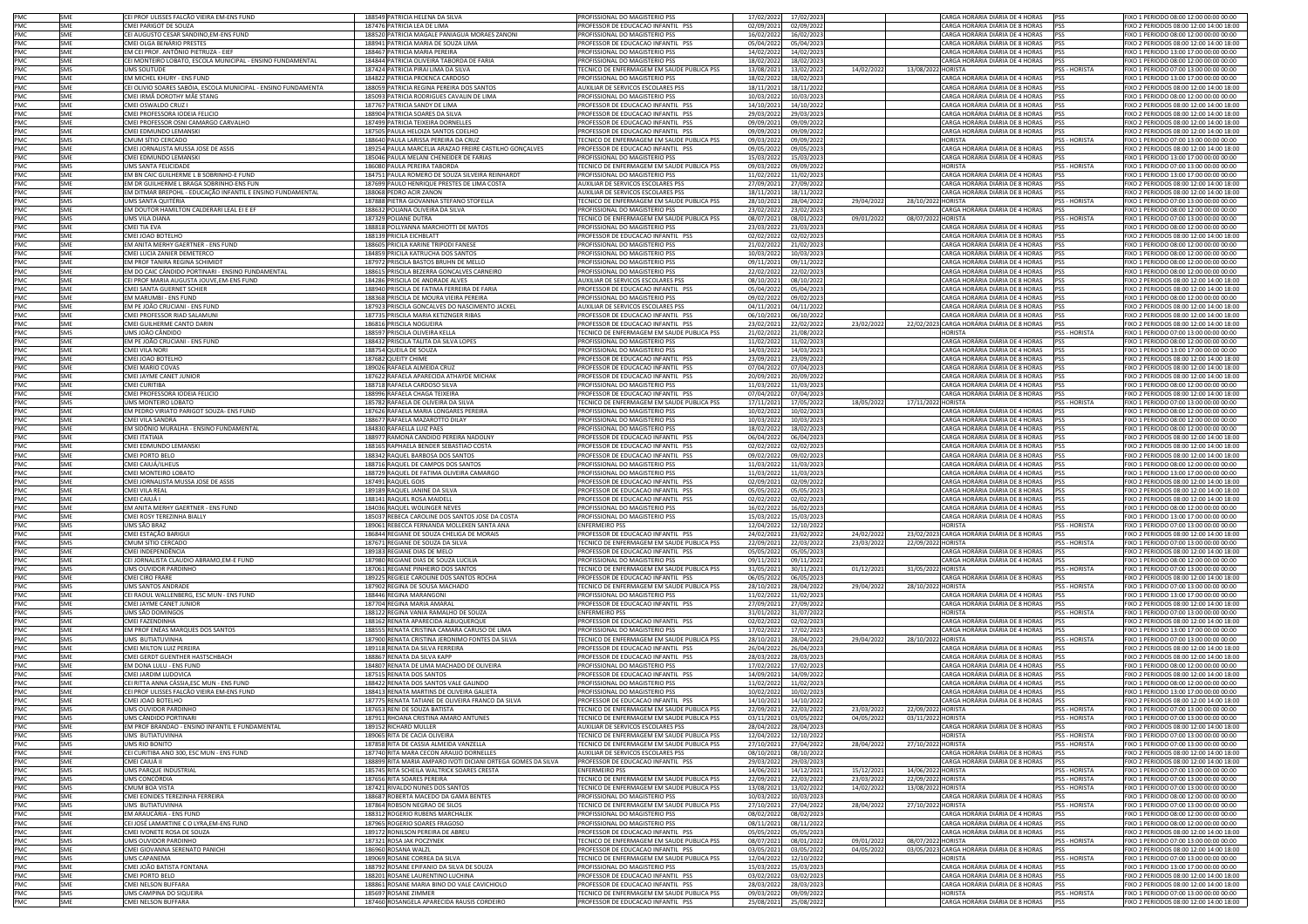|                                                      | SME        | CEI PROF ULISSES FALCÃO VIEIRA EM-ENS FUND                     | 188549 PATRICIA HELENA DA SILVA                                    | PROFISSIONAL DO MAGISTERIO PSS                                                   | 17/02/2022              | 17/02/2023               |           |                    | CARGA HORÁRIA DIÁRIA DE 4 HORAS PSS                          |                      | FIXO 1 PERIODO 08:00 12:00 00:00 00:00                                            |
|------------------------------------------------------|------------|----------------------------------------------------------------|--------------------------------------------------------------------|----------------------------------------------------------------------------------|-------------------------|--------------------------|-----------|--------------------|--------------------------------------------------------------|----------------------|-----------------------------------------------------------------------------------|
| PMC<br>PMC<br>PMC                                    | SME        | MEI PARIGOT DE SOUZA                                           | 187476 PATRICIA LEA DE LIMA                                        | PROFESSOR DE EDUCAÇÃO INFANTIL PSS                                               | 02/09/202               | 02/09/202                |           |                    | CARGA HORÁRIA DIÁRIA DE 8 HORAS                              | <b>IPSS</b>          | IXO 2 PERIODOS 08:00 12:00 14:00 18:00                                            |
|                                                      | SME        | EI AUGUSTO CESAR SANDINO,EM-ENS FUND                           | 188520 PATRICIA MAGALE PANIAGUA MORAES ZANONI                      | ROFISSIONAL DO MAGISTERIO PSS                                                    | 16/02/202               | 16/02/2023               |           |                    | CARGA HORÁRIA DIÁRIA DE 4 HORAS                              | <b>PSS</b>           | IXO 1 PERIODO 08:00 12:00 00:00 00:00                                             |
| PMC                                                  | SME        | CMEI OLGA BENÁRIO PRESTES                                      | 188941 PATRICIA MARIA DE SOUZA LIMA                                | PROFESSOR DE EDUCACAO INFANTIL PSS                                               | 05/04/202               | 05/04/2023               |           |                    | CARGA HORÁRIA DIÁRIA DE 8 HORAS PSS                          |                      | FIXO 2 PERIODOS 08:00 12:00 14:00 18:00                                           |
|                                                      | SME        | EM CEI PROF. ANTÔNIO PIETRUZA - EIEF                           | 188467 PATRICIA MARIA PEREIRA                                      | PROFISSIONAL DO MAGISTERIO PSS                                                   | 14/02/202               | 14/02/2023               |           |                    | CARGA HORÁRIA DIÁRIA DE 4 HORAS PSS                          |                      | FIXO 1 PERIODO 13:00 17:00 00:00 00:00                                            |
| PMC<br>PMC<br>PMC<br>PMC<br>PMC<br>PMC<br>PMC<br>PMC | SME        | CEI MONTEIRO LOBATO, ESCOLA MUNICIPAL - ENSINO FUNDAMENTAL     | 184844 PATRICIA OLIVEIRA TABORDA DE FARIA                          | PROFISSIONAL DO MAGISTERIO PSS                                                   | 18/02/2023              | 18/02/2023               |           |                    | CARGA HORÁRIA DIÁRIA DE 4 HORAS PSS                          |                      | FIXO 1 PERIODO 08:00 12:00 00:00 00:00                                            |
|                                                      |            | <b>JMS SOLITUDE</b>                                            | 187424 PATRICIA PIRAI LIMA DA SILVA                                |                                                                                  |                         |                          |           |                    |                                                              | PSS - HORISTA        | IXO 1 PERIODO 07:00 13:00 00:00 00:00                                             |
|                                                      | SMS        |                                                                |                                                                    | TECNICO DE ENFERMAGEM EM SAUDE PUBLICA PSS                                       | 13/08/202               | 13/02/2022               | 14/02/202 | 13/08/2022 HORISTA |                                                              |                      |                                                                                   |
|                                                      | SME        | EM MICHEL KHURY - ENS FUND                                     | 184822 PATRICIA PROENCA CARDOSO                                    | PROFISSIONAL DO MAGISTERIO PSS                                                   | 18/02/202               | 18/02/2023               |           |                    | CARGA HORÁRIA DIÁRIA DE 4 HORAS PSS                          |                      | FIXO 1 PERIODO 13:00 17:00 00:00 00:00                                            |
|                                                      | SMF        | CEI OLIVIO SOARES SABÓIA, ESCOLA MUNICIPAL - ENSINO FUNDAMENTA | 188059 PATRICIA REGINA PEREIRA DOS SANTOS                          | AUXILIAR DE SERVICOS ESCOLARES PSS                                               | 18/11/2021              | 18/11/2022               |           |                    | CARGA HORÁRIA DIÁRIA DE 8 HORAS                              | <b>PSS</b>           | FIXO 2 PERIODOS 08:00 12:00 14:00 18:00                                           |
|                                                      | SME        | MEI IRMÃ DOROTHY MÃE STANG                                     | 185093 PATRICIA RODRIGUES CAVALIN DE LIMA                          | PROFISSIONAL DO MAGISTERIO PSS                                                   | 10/03/202               | 10/03/2023               |           |                    | CARGA HORÁRIA DIÁRIA DE 4 HORAS                              | <b>PSS</b>           | IXO 1 PERIODO 08:00 12:00 00:00 00:00                                             |
|                                                      | SME        | CMELOSWALDO CRUZ L                                             | 187767 PATRICIA SANDY DE LIMA                                      | ROFESSOR DE EDUCACAO INFANTIL PSS                                                | 14/10/202               | 14/10/2022               |           |                    | CARGA HORÁRIA DIÁRIA DE 8 HORAS                              | <b>PSS</b>           | IXO 2 PERIODOS 08:00 12:00 14:00 18:00                                            |
|                                                      | SME        | CMEI PROFESSORA IODEIA FELICIO                                 | 188904 PATRICIA SOARES DA SILVA                                    | PROFESSOR DE EDUCACAO INFANTIL PSS                                               | 29/03/202               | 29/03/2023               |           |                    | CARGA HORÁRIA DIÁRIA DE 8 HORAS                              | <b>PSS</b>           | FIXO 2 PERIODOS 08:00 12:00 14:00 18:00                                           |
| PMC<br>PMC                                           | SME        | CMEI PROFESSOR OSNI CAMARGO CARVALHO                           | 187499 PATRICIA TEIXEIRA DORNELLES                                 | PROFESSOR DE EDUCACAO INFANTIL PSS                                               | 09/09/202               | 09/09/2022               |           |                    | CARGA HORÁRIA DIÁRIA DE 8 HORAS                              | PSS                  | FIXO 2 PERIODOS 08:00 12:00 14:00 18:00                                           |
|                                                      | <b>SME</b> | CMEI EDMUNDO LEMANSKI                                          | 187505 PAULA HELOIZA SANTOS COELHO                                 | PROFESSOR DE EDUCACAO INFANTIL PSS                                               | 09/09/202               | 09/09/2022               |           |                    | CARGA HORÁRIA DIÁRIA DE 8 HORAS PSS                          |                      | FIXO 2 PERIODOS 08:00 12:00 14:00 18:00                                           |
|                                                      | SMS        | CMUM SÍTIO CERCADO                                             | 188640 PAULA LARISSA PEREIRA DA CRUZ                               | TECNICO DE ENFERMAGEM EM SAUDE PUBLICA PSS                                       | 09/03/2022              | 09/09/2022               |           |                    | <b>HORISTA</b>                                               | PSS - HORISTA        | FIXO 1 PERIODO 07:00 13:00 00:00 00:00                                            |
|                                                      | SME        | CMEI JORNALISTA MUSSA JOSE DE ASSIS                            | 189254 PAULA MARCELIA ARAZAO FREIRE CASTILHO GONÇALVES             | PROFESSOR DE EDUCACAO INFANTIL PSS                                               | 09/05/2022              | 09/05/2023               |           |                    | CARGA HORÁRIA DIÁRIA DE 8 HORAS                              | <b>PSS</b>           | FIXO 2 PERIODOS 08:00 12:00 14:00 18:00                                           |
| PMC<br>PMC<br>PMC<br>PMC<br>PMC                      | SME        | CMEI EDMUNDO LEMANSKI                                          | 185046 PAULA MELANI CHENEIDER DE FARIAS                            | PROFISSIONAL DO MAGISTERIO PSS                                                   | 15/03/2022              | 15/03/2023               |           |                    | CARGA HORÁRIA DIÁRIA DE 4 HORAS PSS                          |                      | FIXO 1 PERIODO 13:00 17:00 00:00 00:00                                            |
|                                                      |            |                                                                | 186080 PAULA PEREIRA TABORDA                                       |                                                                                  |                         |                          |           |                    | <b>HORISTA</b>                                               |                      |                                                                                   |
|                                                      | <b>SMS</b> | UMS SANTA FELICIDADE                                           |                                                                    | TECNICO DE ENFERMAGEM EM SAUDE PUBLICA PSS                                       | 09/03/202               | 09/09/2022               |           |                    |                                                              | PSS - HORISTA        | FIXO 1 PERIODO 07:00 13:00 00:00 00:00                                            |
|                                                      | SME        | EM BN CAIC GUILHERME L B SOBRINHO-E FUND                       | 184751 PAULA ROMERO DE SOUZA SILVEIRA REINHARDT                    | PROFISSIONAL DO MAGISTERIO PSS                                                   | 11/02/202               | 11/02/2023               |           |                    | CARGA HORÁRIA DIÁRIA DE 4 HORAS                              | <b>PSS</b>           | IXO 1 PERIODO 13:00 17:00 00:00 00:00                                             |
|                                                      | SME        | EM DR GUILHERME L BRAGA SOBRINHO-ENS FUN                       | 187699 PAULO HENRIQUE PRESTES DE LIMA COSTA                        | AUXILIAR DE SERVICOS ESCOLARES PSS                                               | 27/09/202               | 27/09/2022               |           |                    | CARGA HORÁRIA DIÁRIA DE 8 HORAS                              | PSS                  | IXO 2 PERIODOS 08:00 12:00 14:00 18:00                                            |
| PMC<br>PMC<br>PMC<br>PMC<br>PMC<br>PMC               | SME        | EM DITMAR BREPOHL - EDUCAÇÃO INFANTIL E ENSINO FUNDAMENTAL     | 188068 PEDRO ACIR ZANON                                            | AUXILIAR DE SERVICOS ESCOLARES PSS                                               | 18/11/202               | 18/11/2022               |           |                    | CARGA HORÁRIA DIÁRIA DE 8 HORAS                              | PSS                  | FIXO 2 PERIODOS 08:00 12:00 14:00 18:00                                           |
|                                                      | SMS        | <b>UMS SANTA OUITÉRIA</b>                                      | 187888 PIETRA GIOVANNA STEFANO STOFELLA                            | TECNICO DE ENFERMAGEM EM SAUDE PUBLICA PSS                                       | 28/10/202               | 28/04/2022               | 29/04/202 | 28/10/2022 HORISTA |                                                              | PSS - HORISTA        | FIXO 1 PERIODO 07:00 13:00 00:00 00:00                                            |
|                                                      | SME        | EM DOUTOR HAMILTON CALDERARI LEAL EI E EF                      | 188632 POLIANA OLIVEIRA DA SILVA                                   | PROFISSIONAL DO MAGISTERIO PSS                                                   | 23/02/202               | 23/02/2023               |           |                    | CARGA HORÁRIA DIÁRIA DE 4 HORAS PSS                          |                      | FIXO 1 PERIODO 08:00 12:00 00:00 00:00                                            |
|                                                      | <b>SMS</b> | UMS VILA DIANA                                                 | 187329 POLIANE DUTRA                                               | TECNICO DE ENFERMAGEM EM SAUDE PUBLICA PSS                                       | 08/07/2021              | 08/01/2022               | 09/01/202 | 08/07/2022 HORISTA |                                                              | <b>PSS - HORISTA</b> | FIXO 1 PERIODO 07:00 13:00 00:00 00:00                                            |
|                                                      | SME        | CMEI TIA EVA                                                   | 188818 POLLYANNA MARCHIOTTI DE MATOS                               | PROFISSIONAL DO MAGISTERIO PSS                                                   | 23/03/202               | 23/03/2023               |           |                    | CARGA HORÁRIA DIÁRIA DE 4 HORAS                              | <b>PSS</b>           | FIXO 1 PERIODO 08:00 12:00 00:00 00:00                                            |
|                                                      | <b>SME</b> | CMEI JOAO BOTELHO                                              | 188139 PRICILA EICHBLATT                                           | PROFESSOR DE EDUCACAO INFANTIL PSS                                               | 02/02/202               | 02/02/2023               |           |                    | CARGA HORÁRIA DIÁRIA DE 8 HORAS                              | <b>PSS</b>           | FIXO 2 PERIODOS 08:00 12:00 14:00 18:00                                           |
|                                                      | SME        | M ANITA MERHY GAERTNER - ENS FUND                              | 188605 PRICILA KARINE TRIPODI FANESE                               | PROFISSIONAL DO MAGISTERIO PSS                                                   | 21/02/202               | 21/02/2023               |           |                    | CARGA HORÁRIA DIÁRIA DE 4 HORAS                              | <b>PSS</b>           | IXO 1 PERIODO 08:00 12:00 00:00 00:00                                             |
| PMC                                                  | SME        | MEI LUCIA ZANIER DEMETERCO                                     | 184859 PRICILA KATRUCHA DOS SANTOS                                 | PROFISSIONAL DO MAGISTERIO PSS                                                   | 10/03/202               | 10/03/2023               |           |                    | CARGA HORÁRIA DIÁRIA DE 4 HORAS                              | <b>PSS</b>           | IXO 1 PERIODO 08:00 12:00 00:00 00:00                                             |
| PMC                                                  |            |                                                                |                                                                    |                                                                                  |                         |                          |           |                    |                                                              |                      |                                                                                   |
|                                                      | SME        | EM PROF TANIRA REGINA SCHIMIDT                                 | 187972 PRISCILA BASTOS BRUHN DE MELLO                              | PROFISSIONAL DO MAGISTERIO PSS                                                   | 09/11/202               | 09/11/2022               |           |                    | CARGA HORÁRIA DIÁRIA DE 4 HORAS                              | PSS                  | FIXO 1 PERIODO 08:00 12:00 00:00 00:00                                            |
| PMC<br>PMC<br>PMC<br>PMC<br>PMC                      | SME        | EM DO CAIC CÂNDIDO PORTINARI - ENSINO FUNDAMENTAL              | 188615 PRISCILA BEZERRA GONCALVES CARNEIRO                         | PROFISSIONAL DO MAGISTERIO PSS                                                   | 22/02/202               | 22/02/2023               |           |                    | CARGA HORÁRIA DIÁRIA DE 4 HORAS                              | <b>PSS</b>           | FIXO 1 PERIODO 08:00 12:00 00:00 00:00                                            |
|                                                      | SME        | CEI PROF MARIA AUGUSTA JOUVE,EM-ENS FUND                       | 184286 PRISCILA DE ANDRADE ALVES                                   | AUXILIAR DE SERVICOS ESCOLARES PSS                                               | 08/10/202               | 08/10/2022               |           |                    | CARGA HORÁRIA DIÁRIA DE 8 HORAS                              | PSS                  | FIXO 2 PERIODOS 08:00 12:00 14:00 18:00                                           |
|                                                      | SME        | MEI SANTA GUERNET SCHIER                                       | 188940 PRISCILA DE FATIMA FERREIRA DE FARIA                        | PROFESSOR DE EDUCACAO INFANTIL PSS                                               | 05/04/2022              | 05/04/2023               |           |                    | CARGA HORÁRIA DIÁRIA DE 8 HORAS                              | <b>IPSS</b>          | FIXO 2 PERIODOS 08:00 12:00 14:00 18:00                                           |
|                                                      | SME        | EM MARUMBI - ENS FUND                                          | 188368 PRISCILA DE MOURA VIEIRA PEREIRA                            | PROFISSIONAL DO MAGISTERIO PSS                                                   | 09/02/2022              | 09/02/2023               |           |                    | CARGA HORÁRIA DIÁRIA DE 4 HORAS PSS                          |                      | FIXO 1 PERIODO 08:00 12:00 00:00 00:00                                            |
|                                                      | SME        | EM PE JOÃO CRUCIANI - ENS FUND                                 | 187923 PRISCILA GONCALVES DO NASCIMENTO JACKEL                     | AUXILIAR DE SERVICOS ESCOLARES PSS                                               | 04/11/2021              | 04/11/2022               |           |                    | CARGA HORÁRIA DIÁRIA DE 8 HORAS                              | <b>PSS</b>           | FIXO 2 PERIODOS 08:00 12:00 14:00 18:00                                           |
|                                                      | SME        | CMEI PROFESSOR RIAD SALAMUNI                                   | 187735 PRISCILA MARIA KETIZNGER RIBAS                              | PROFESSOR DE EDUCACAO INFANTIL PSS                                               | 06/10/202               | 06/10/2022               |           |                    | CARGA HORÁRIA DIÁRIA DE 8 HORAS                              | <b>PSS</b>           | IXO 2 PERIODOS 08:00 12:00 14:00 18:00                                            |
|                                                      | SME        | MEI GUILHERME CANTO DARIN                                      | 186816 PRISCILA NOGUEIRA                                           | PROFESSOR DE EDUCACAO INFANTIL PSS                                               | 23/02/202               | 22/02/2022               | 23/02/202 |                    | 22/02/2023 CARGA HORÁRIA DIÁRIA DE 8 HORAS PSS               |                      | IXO 2 PERIODOS 08:00 12:00 14:00 18:00                                            |
| PMC<br>PMC                                           | SMS        | UMS JOÃO CÂNDIDO                                               | 188597 PRISCILA OLIVEIRA KELLA                                     | TECNICO DE ENFERMAGEM EM SAUDE PUBLICA PSS                                       | 21/02/202               | 21/08/2022               |           |                    | <b>HORISTA</b>                                               | PSS - HORISTA        | FIXO 1 PERIODO 07:00 13:00 00:00 00:00                                            |
|                                                      |            |                                                                |                                                                    |                                                                                  |                         |                          |           |                    |                                                              |                      |                                                                                   |
| PMC<br>PMC<br>PMC<br>PMC<br>PMC<br>PMC<br>PMC        | SME<br>SME | EM PE JOÃO CRUCIANI - ENS FUND                                 | 188432 PRISCILA TALITA DA SILVA LOPES<br>188754 QUEILA DE SOUZA    | PROFISSIONAL DO MAGISTERIO PSS                                                   | 11/02/202               | 11/02/2023               |           |                    | CARGA HORÁRIA DIÁRIA DE 4 HORAS                              | PSS<br><b>PSS</b>    | FIXO 1 PERIODO 08:00 12:00 00:00 00:00<br>FIXO 1 PERIODO 13:00 17:00 00:00 00:00  |
|                                                      |            | CMEI VILA NORI                                                 |                                                                    | PROFISSIONAL DO MAGISTERIO PSS                                                   | 14/03/202               | 14/03/2023               |           |                    | CARGA HORÁRIA DIÁRIA DE 4 HORAS                              |                      |                                                                                   |
|                                                      | SME        | CMEI JOAO BOTELHO                                              | 187682 QUEITY CHIME                                                | PROFESSOR DE EDUCACAO INFANTIL PSS                                               | 23/09/202               | 23/09/2022               |           |                    | CARGA HORÁRIA DIÁRIA DE 8 HORAS PSS                          |                      | FIXO 2 PERIODOS 08:00 12:00 14:00 18:00                                           |
|                                                      | SME        | MEI MARIO COVAS                                                | 189026 RAFAELA ALMEIDA CRUZ                                        | PROFESSOR DE EDUCACAO INFANTIL PSS                                               | 07/04/202               | 07/04/2023               |           |                    | CARGA HORÁRIA DIÁRIA DE 8 HORAS                              | <b>PSS</b>           | FIXO 2 PERIODOS 08:00 12:00 14:00 18:00                                           |
|                                                      | SME        | CMEI JAYME CANET JUNIOR                                        | 187622 RAFAELA APARECIDA ATHAYDE MICHAK                            | PROFESSOR DE EDUCACAO INFANTIL PSS                                               | 20/09/2021              | 20/09/2022               |           |                    | CARGA HORÁRIA DIÁRIA DE 8 HORAS PSS                          |                      | FIXO 2 PERIODOS 08:00 12:00 14:00 18:00                                           |
|                                                      | SME        | CMEI CURITIBA                                                  | 188718 RAFAELA CARDOSO SILVA                                       | PROFISSIONAL DO MAGISTERIO PSS                                                   | 11/03/202               | 11/03/2023               |           |                    | CARGA HORÁRIA DIÁRIA DE 4 HORAS                              | <b>PSS</b>           | IXO 1 PERIODO 08:00 12:00 00:00 00:00                                             |
|                                                      | SME        | MEI PROFESSORA IODEIA FELICIO                                  | 188996 RAFAELA CHAGA TEIXEIRA                                      | PROFESSOR DE EDUCACAO INFANTIL PSS                                               | 07/04/202               | 07/04/2023               |           |                    | CARGA HORÁRIA DIÁRIA DE 8 HORAS                              | <b>PSS</b>           | IXO 2 PERIODOS 08:00 12:00 14:00 18:00                                            |
|                                                      | SMS        | JMS MONTEIRO LOBATO                                            | 185782 RAFAELA DE OLIVEIRA DA SILVA                                | TECNICO DE ENFERMAGEM EM SAUDE PUBLICA PSS                                       | 17/11/202               | 17/05/2022               | 18/05/202 | 17/11/2022 HORISTA |                                                              | PSS - HORISTA        | IXO 1 PERIODO 07:00 13:00 00:00 00:00                                             |
|                                                      | SME        | EM PEDRO VIRIATO PARIGOT SOUZA- ENS FUND                       | 187626 RAFAELA MARIA LONGARES PEREIRA                              | PROFISSIONAL DO MAGISTERIO PSS                                                   | 10/02/202               | 10/02/2023               |           |                    | CARGA HORÁRIA DIÁRIA DE 4 HORAS                              | <b>PSS</b>           | FIXO 1 PERIODO 08:00 12:00 00:00 00:00                                            |
|                                                      | SMF        | CMFI VII A SANDRA                                              | 188677 RAFAELA MAZAROTTO DILAY                                     | PROFISSIONAL DO MAGISTERIO PSS                                                   | 10/03/2022              | 10/03/2023               |           |                    | CARGA HORÁRIA DIÁRIA DE 4 HORAS PSS                          |                      | FIXO 1 PERIODO 08:00 12:00 00:00 00:00                                            |
|                                                      |            | EM SIDÔNIO MURALHA - ENSINO FUNDAMENTAL                        |                                                                    |                                                                                  |                         |                          |           |                    |                                                              |                      |                                                                                   |
|                                                      | SME        |                                                                | 184830 RAFAELLA LUIZ PAES                                          | PROFISSIONAL DO MAGISTERIO PSS                                                   | 18/02/202               | 18/02/2023               |           |                    | CARGA HORÁRIA DIÁRIA DE 4 HORAS                              | <b>IPSS</b>          | FIXO 1 PERIODO 08:00 12:00 00:00 00:00                                            |
|                                                      | SME        | CMEI ITATIAIA                                                  | 188977 RAMONA CANDIDO PEREIRA NADOLNY                              | PROFESSOR DE EDUCACAO INFANTIL PSS                                               | 06/04/2022              | 06/04/2023               |           |                    | CARGA HORÁRIA DIÁRIA DE 8 HORAS PSS                          |                      | FIXO 2 PERIODOS 08:00 12:00 14:00 18:00                                           |
|                                                      | SME        | CMEI EDMUNDO LEMANSKI                                          | 188165 RAPHAELA BENDER SEBASTIAO COSTA                             | PROFESSOR DE EDUCACAO INFANTIL PSS                                               | 02/02/2022              | 02/02/2023               |           |                    | CARGA HORÁRIA DIÁRIA DE 8 HORAS PSS                          |                      | FIXO 2 PERIODOS 08:00 12:00 14:00 18:00                                           |
|                                                      | SME        | CMEI PORTO BELO                                                | 188342 RAQUEL BARBOSA DOS SANTOS                                   | PROFESSOR DE EDUCACAO INFANTIL PSS                                               | 09/02/202               | 09/02/2023               |           |                    | CARGA HORÁRIA DIÁRIA DE 8 HORAS PSS                          |                      | FIXO 2 PERIODOS 08:00 12:00 14:00 18:00                                           |
|                                                      | SME        | :MEI CAIUÁ/ILHEUS                                              | 188716 RAQUEL DE CAMPOS DOS SANTOS                                 | PROFISSIONAL DO MAGISTERIO PSS                                                   | 11/03/202               | 11/03/2023               |           |                    | CARGA HORÁRIA DIÁRIA DE 4 HORAS                              | <b>IPSS</b>          | IXO 1 PERIODO 08:00 12:00 00:00 00:00                                             |
|                                                      | SME        | MEI MONTEIRO LOBATO                                            | 188729 RAQUEL DE FATIMA OLIVEIRA CAMARGO                           | PROFISSIONAL DO MAGISTERIO PSS                                                   | 11/03/202               | 11/03/2023               |           |                    | CARGA HORÁRIA DIÁRIA DE 4 HORAS                              | <b>PSS</b>           | XO 1 PERIODO 13:00 17:00 00:00 00:00                                              |
|                                                      | SME        | CMEI JORNALISTA MUSSA JOSE DE ASSIS                            | 187491 RAQUEL GOIS                                                 | PROFESSOR DE EDUCACAO INFANTIL PSS                                               | 02/09/202               | 02/09/2022               |           |                    | CARGA HORÁRIA DIÁRIA DE 8 HORAS PSS                          |                      | FIXO 2 PERIODOS 08:00 12:00 14:00 18:00                                           |
|                                                      | SMF        | CMEI VILA REAL                                                 | 189189 RAQUEL JANINE DA SILVA                                      | PROFESSOR DE EDUCACAO INFANTIL PSS                                               | 05/05/202               | 05/05/2023               |           |                    | CARGA HORÁRIA DIÁRIA DE 8 HORAS PSS                          |                      | FIXO 2 PERIODOS 08:00 12:00 14:00 18:00                                           |
|                                                      | SME        | CMEI CAIUÁ I                                                   | 188141 RAQUEL ROSA MAIDELL                                         | PROFESSOR DE EDUCACAO INFANTIL PSS                                               | 02/02/202               | 02/02/2023               |           |                    | CARGA HORÁRIA DIÁRIA DE 8 HORAS PSS                          |                      | FIXO 2 PERIODOS 08:00 12:00 14:00 18:00                                           |
|                                                      | SME        |                                                                | 184036 RAQUEL WOLINGER NEVES                                       |                                                                                  |                         |                          |           |                    | CARGA HORÁRIA DIÁRIA DE 4 HORAS PSS                          |                      | FIXO 1 PERIODO 08:00 12:00 00:00 00:00                                            |
| PMC                                                  |            | EM ANITA MERHY GAERTNER - ENS FUND                             |                                                                    | PROFISSIONAL DO MAGISTERIO PSS                                                   | 16/02/2022              | 16/02/2023               |           |                    |                                                              |                      |                                                                                   |
|                                                      | SME        | CMEI ROSY TEREZINHA BIALLY                                     | 185037 REBECA CAROLINE DOS SANTOS JOSE DA COSTA                    | PROFISSIONAL DO MAGISTERIO PSS                                                   | 15/03/202               | 15/03/2023               |           |                    | CARGA HORÁRIA DIÁRIA DE 4 HORAS PSS                          |                      | FIXO 1 PERIODO 13:00 17:00 00:00 00:00                                            |
| PMC<br>PMC                                           | SMS        | UMS SÃO BRAZ                                                   | 189061 REBECCA FERNANDA MOLLEKEN SANTA ANA                         | <b>ENFERMEIRO PSS</b>                                                            | 12/04/202               | 12/10/2022               |           |                    | <b>HORISTA</b>                                               | PSS - HORISTA        | EIXO 1 PERIODO 07:00 13:00 00:00 00:00                                            |
|                                                      | SME        | CMEI ESTAÇÃO BARIGUI                                           | 186844 REGIANE DE SOUZA CHELIGA DE MORAIS                          | PROFESSOR DE EDUCACAO INFANTIL PSS                                               | 24/02/202               | 23/02/2022               | 24/02/202 |                    | 23/02/2023 CARGA HORÁRIA DIÁRIA DE 8 HORAS PSS               |                      | FIXO 2 PERIODOS 08:00 12:00 14:00 18:00                                           |
|                                                      | SMS        | MUM SÍTIO CERCADO                                              | 187671 REGIANE DE SOUZA DA SILVA                                   | TECNICO DE ENFERMAGEM EM SAUDE PUBLICA PSS                                       | 22/09/202               | 22/03/2022               | 23/03/202 | 22/09/2022 HORISTA |                                                              | PSS - HORISTA        | IXO 1 PERIODO 07:00 13:00 00:00 00:00                                             |
| PMC<br>PMC                                           | SME        | MEI INDEPENDÊNCIA                                              | 189183 REGIANE DIAS DE MELO                                        | PROFESSOR DE EDUCACAO INFANTIL PSS                                               | 05/05/202               | 05/05/2023               |           |                    | CARGA HORÁRIA DIÁRIA DE 8 HORAS                              | PSS                  | IXO 2 PERIODOS 08:00 12:00 14:00 18:00                                            |
| PMC                                                  | SME        | EI JORNALISTA CLAUDIO ABRAMO,EM-E FUND                         | 187980 REGIANE DIAS DE SOUZA LUCILIA                               | PROFISSIONAL DO MAGISTERIO PSS                                                   | 09/11/202               | 09/11/2022               |           |                    | CARGA HORÁRIA DIÁRIA DE 4 HORAS                              | PSS                  | FIXO 1 PERIODO 08:00 12:00 00:00 00:00                                            |
|                                                      | SMS        | UMS OUVIDOR PARDINHO                                           | 187061 REGIANE PINHEIRO DOS SANTOS                                 | TECNICO DE ENFERMAGEM EM SAUDE PUBLICA PSS                                       | 31/05/202               | 30/11/2021               | 01/12/202 | 31/05/2022 HORISTA |                                                              | PSS - HORISTA        | FIXO 1 PERIODO 07:00 13:00 00:00 00:00                                            |
|                                                      | SME        | CMEI CIRO FRARE                                                | 189225 REGIELE CAROLINE DOS SANTOS ROCHA                           | PROFESSOR DE EDUCACAO INFANTIL PSS                                               | 06/05/202               | 06/05/2023               |           |                    | CARGA HORÁRIA DIÁRIA DE 8 HORAS                              | <b>PSS</b>           | FIXO 2 PERIODOS 08:00 12:00 14:00 18:00                                           |
| PMC<br>PMC<br>PMC<br>PMC<br>PMC                      | SMS        | <b>JMS SANTOS ANDRADE</b>                                      | 187902 REGINA DE SOUSA MACHADO                                     | TECNICO DE ENFERMAGEM EM SAUDE PUBLICA PSS                                       | 28/10/202               | 28/04/2022               | 29/04/202 | 28/10/2022 HORISTA |                                                              | PSS - HORISTA        | FIXO 1 PERIODO 07:00 13:00 00:00 00:00                                            |
|                                                      | SME        | CEI RAOUL WALLENBERG, ESC MUN - ENS FUND                       | 188446 REGINA MARANGONI                                            | PROFISSIONAL DO MAGISTERIO PSS                                                   | 11/02/2022              | 11/02/2023               |           |                    | CARGA HORÁRIA DIÁRIA DE 4 HORAS                              | PSS                  | FIXO 1 PERIODO 13:00 17:00 00:00 00:00                                            |
|                                                      | SMF        |                                                                |                                                                    |                                                                                  |                         |                          |           |                    | CARGA HORÁRIA DIÁRIA DE 8 HORAS PSS                          |                      | FIXO 2 PFRIODOS 08:00 12:00 14:00 18:00                                           |
|                                                      |            | CMEI JAYME CANET JUNIOR                                        | 187704 REGINA MARIA AMARA                                          | PROFESSOR DE EDUCACAO INFANTIL PSS                                               | 27/09/202               | 27/09/2022               |           |                    |                                                              |                      |                                                                                   |
| PMC<br>PMC                                           | SMS        | UMS SÃO DOMINGOS                                               | 188122 REGINA VANIA RAMALHO DE SOUZA                               | <b>ENFERMEIRO PSS</b>                                                            | 31/01/202               | 31/07/2022               |           |                    | HORISTA                                                      | PSS - HORISTA        | IXO 1 PERIODO 07:00 13:00 00:00 00:00                                             |
|                                                      | SME        | CMEI FAZENDINHA                                                | 188162 RENATA APARECIDA ALBUQUERQUE                                | PROFESSOR DE EDUCACAO INFANTIL PSS                                               | 02/02/2022              | 02/02/2023               |           |                    | CARGA HORÁRIA DIÁRIA DE 8 HORAS                              | <b>PSS</b>           | IXO 2 PERIODOS 08:00 12:00 14:00 18:00                                            |
|                                                      | SME        | EM PROF ENÉAS MARQUES DOS SANTOS                               | 188555 RENATA CRISTINA CAMARA CARUSO DE LIMA                       | PROFISSIONAL DO MAGISTERIO PSS                                                   | 17/02/202               | 17/02/2023               |           |                    | CARGA HORÁRIA DIÁRIA DE 4 HORAS                              | PSS                  | FIXO 1 PERIODO 13:00 17:00 00:00 00:00                                            |
| PMC<br>PMC<br>PMC<br>PMC                             | SMS        | UMS BUTIATUVINHA                                               | 187900 RENATA CRISTINA JERONIMO FONTES DA SILVA                    | TECNICO DE ENFERMAGEM EM SAUDE PUBLICA PSS                                       | 28/10/202               | 28/04/2022               | 29/04/202 | 28/10/2022 HORISTA |                                                              | PSS - HORISTA        | FIXO 1 PERIODO 07:00 13:00 00:00 00:00                                            |
|                                                      | SME        | CMEI MILTON LUIZ PEREIRA                                       | 189118 RENATA DA SILVA FERREIRA                                    | PROFESSOR DE EDUCACAO INFANTIL PSS                                               | 26/04/202               | 26/04/2023               |           |                    | CARGA HORÁRIA DIÁRIA DE 8 HORAS                              | PSS                  | FIXO 2 PERIODOS 08:00 12:00 14:00 18:00                                           |
|                                                      | SME        | MEI GERDT GUENTHER HASTSCHBACH                                 | 188867 RENATA DA SILVA KAPP                                        | PROFESSOR DE EDUCACAO INFANTIL PSS                                               | 28/03/202               | 28/03/2023               |           |                    | CARGA HORÁRIA DIÁRIA DE 8 HORAS                              | PSS                  | FIXO 2 PERIODOS 08:00 12:00 14:00 18:00                                           |
| PMC                                                  | SME        | EM DONA LULU - ENS FUND                                        | 184807 RENATA DE LIMA MACHADO DE OLIVEIRA                          | PROFISSIONAL DO MAGISTERIO PSS                                                   | 17/02/2022              | 17/02/2023               |           |                    | CARGA HORÁRIA DIÁRIA DE 4 HORAS PSS                          |                      | FIXO 1 PERIODO 08:00 12:00 00:00 00:00                                            |
|                                                      | SME        | MEI JARDIM LUDOVICA                                            | 187515 RENATA DOS SANTOS                                           | PROFESSOR DE EDUCACAO INFANTIL PSS                                               | 14/09/202               | 14/09/2022               |           |                    | CARGA HORÁRIA DIÁRIA DE 8 HORAS                              | <b>PSS</b>           | FIXO 2 PERIODOS 08:00 12:00 14:00 18:00                                           |
| PMC<br>PMC                                           | SME        | CEI RITTA ANNA CÁSSIA.ESC MUN - ENS FUND                       | 188422 RENATA DOS SANTOS VALE GALINDO                              | PROFISSIONAL DO MAGISTERIO PSS                                                   | 11/02/202               | 11/02/2023               |           |                    | CARGA HORÁRIA DIÁRIA DE 4 HORAS                              | <b>PSS</b>           | IXO 1 PERIODO 08:00 12:00 00:00 00:00                                             |
| PMC                                                  | SME        | ELPROF ULISSES FALCÃO VIEIRA EM-ENS FUND                       | 188413 RENATA MARTINS DE OLIVEIRA GALIETA                          | <b>PROFISSIONAL DO MAGISTERIO PSS</b>                                            |                         | 10/02/2023               |           |                    | CARGA HORÁRIA DIÁRIA DE 4 HORAS                              | <b>PSS</b>           | IXO 1 PERIODO 13:00 17:00 00:00 00:00                                             |
|                                                      | SME        |                                                                |                                                                    |                                                                                  |                         |                          |           |                    |                                                              |                      |                                                                                   |
| PMC<br>PMC                                           |            |                                                                |                                                                    |                                                                                  | 10/02/202               |                          |           |                    |                                                              |                      |                                                                                   |
|                                                      |            | CMEI JOAO BOTELHO                                              | 187775 RENATA TATIANE DE OLIVEIRA FRANCO DA SILVA                  | PROFESSOR DE EDUCACAO INFANTIL PSS                                               | 14/10/202               | 14/10/2022               |           |                    | CARGA HORÁRIA DIÁRIA DE 8 HORAS                              | PSS                  | FIXO 2 PERIODOS 08:00 12:00 14:00 18:00                                           |
|                                                      |            | <b>IMS OI</b>                                                  | ENLDE SOUTA BATISTA                                                | CNICO DE ENFERMAGEM EM SALIDE PLIRLICA PSS                                       | 2/09/20                 | 22/03/202                | 23/03/20  | 22/09/2            |                                                              | <b>PSS - HORISTA</b> | (0.1 PERIODO 07:00 13:00 00:00 0                                                  |
| PMC                                                  | SMS        | <b>UMS CÂNDIDO PORTINARI</b>                                   | 187911 RHOANA CRISTINA AMARO ANTUNES                               | TECNICO DE ENFERMAGEM EM SAUDE PUBLICA PSS                                       | 03/11/202               | 03/05/2022               | 04/05/202 | 03/11/2022 HORISTA |                                                              | PSS - HORISTA        | FIXO 1 PERIODO 07:00 13:00 00:00 00:00                                            |
| PMC                                                  | SME        | EM PROF BRANDAO - ENSINO INFANTIL E FUNDAMENTAL                | 189152 RICHARD MULLER                                              | AUXILIAR DE SERVICOS ESCOLARES PSS                                               | 28/04/2022              | 28/04/2023               |           |                    | CARGA HORÁRIA DIÁRIA DE 8 HORAS                              | <b>PSS</b>           | FIXO 2 PERIODOS 08:00 12:00 14:00 18:00                                           |
|                                                      | SMS        | UMS BUTIATUVINHA                                               | 189065 RITA DE CACIA OLIVEIRA                                      | TECNICO DE ENFERMAGEM EM SAUDE PUBLICA PSS                                       | 12/04/2022              | 12/10/2022               |           |                    | HORISTA                                                      | PSS - HORISTA        | FIXO 1 PERIODO 07:00 13:00 00:00 00:00                                            |
| PMC<br>PMC                                           | SMS        | UMS RIO BONITO                                                 | 187858 RITA DE CASSIA ALMEIDA VANZELLA                             | TECNICO DE ENFERMAGEM EM SAUDE PUBLICA PSS                                       | 27/10/202               | 27/04/2022               | 28/04/202 | 27/10/2022 HORISTA |                                                              | PSS - HORISTA        | FIXO 1 PERIODO 07:00 13:00 00:00 00:00                                            |
|                                                      | <b>SME</b> | CEI CURITIBA ANO 300, ESC MUN - ENS FUND                       | 187740 RITA MARA CECON ARAUJO DORNELLES                            | AUXILIAR DE SERVICOS ESCOLARES PSS                                               | 08/10/202               | 08/10/2022               |           |                    | CARGA HORÁRIA DIÁRIA DE 8 HORAS                              | PSS                  | FIXO 2 PERIODOS 08:00 12:00 14:00 18:00                                           |
|                                                      | SME        | IMEI CAIUÁ II                                                  | 188899 RITA MARIA AMPARO IVOTI DICIANI ORTEGA GOMES DA SILVA       | PROFESSOR DE EDUCACAO INFANTIL PSS                                               | 29/03/202               | 29/03/2023               |           |                    | CARGA HORÁRIA DIÁRIA DE 8 HORAS                              | <b>PSS</b>           | IXO 2 PERIODOS 08:00 12:00 14:00 18:00                                            |
| PMC<br>PMC                                           | SMS        |                                                                |                                                                    |                                                                                  |                         |                          |           |                    |                                                              |                      |                                                                                   |
| PMC                                                  |            | JMS PARQUE INDUSTRIAL                                          | 185745 RITA SCHEILA WALTRICK SOARES CRESTA                         | <b>INFERMEIRO PSS</b>                                                            | 14/06/202               | 14/12/2021               | 15/12/202 | 14/06/2022 HORISTA |                                                              | PSS - HORISTA        | IXO 1 PERIODO 07:00 13:00 00:00 00:00                                             |
|                                                      | SMS        | UMS CONCÓRDIA                                                  | 187656 RITA SOARES PEREIRA                                         | TECNICO DE ENFERMAGEM EM SAUDE PUBLICA PSS                                       | 22/09/202               | 22/03/2022               | 23/03/202 | 22/09/2022 HORISTA |                                                              | PSS - HORISTA        | FIXO 1 PERIODO 07:00 13:00 00:00 00:00                                            |
|                                                      | SMS        | CMUM BOA VISTA                                                 | 187421 RIVALDO NUNES DOS SANTOS                                    | TECNICO DE ENFERMAGEM EM SAUDE PUBLICA PSS                                       | 13/08/202               | 13/02/2022               | 14/02/202 | 13/08/2022 HORISTA |                                                              | PSS - HORISTA        | FIXO 1 PERIODO 07:00 13:00 00:00 00:00                                            |
|                                                      | SME        | CMEI EONIDES TEREZINHA FERREIRA                                | 188687 ROBERTA MACEDO DA GAMA BENTES                               | PROFISSIONAL DO MAGISTERIO PSS                                                   | 10/03/202               | 10/03/2023               |           |                    | CARGA HORÁRIA DIÁRIA DE 4 HORAS                              | <b>PSS</b>           | FIXO 1 PERIODO 08:00 12:00 00:00 00:00                                            |
|                                                      | SMS        | UMS BUTIATUVINHA                                               | 187864 ROBSON NEGRAO DE SILOS                                      | TECNICO DE ENFERMAGEM EM SAUDE PUBLICA PSS                                       | 27/10/202               | 27/04/2022               | 28/04/202 | 27/10/2022 HORISTA |                                                              | PSS - HORISTA        | FIXO 1 PERIODO 07:00 13:00 00:00 00:00                                            |
|                                                      | SME        | EM ARAUCÁRIA - ENS FUND                                        | 188312 ROGERIO RUBENS MARCHALEK                                    | PROFISSIONAL DO MAGISTERIO PSS                                                   | 08/02/202               | 08/02/2023               |           |                    | CARGA HORÁRIA DIÁRIA DE 4 HORAS                              | PSS                  | FIXO 1 PERIODO 08:00 12:00 00:00 00:00                                            |
|                                                      | SMF        | CEI JOSÉ LAMARTINE C O LYRA.EM-ENS FUND                        | 187965 ROGERIO SOARES FRAGOSO                                      | PROFISSIONAL DO MAGISTERIO PSS                                                   | 08/11/202               | 08/11/2022               |           |                    | CARGA HORÁRIA DIÁRIA DE 4 HORAS PSS                          |                      | FIXO 1 PERIODO 08:00 12:00 00:00 00:00                                            |
|                                                      | SME        | CMEI IVONETE ROSA DE SOUZA                                     | 189172 RONILSON PEREIRA DE ABREU                                   | PROFESSOR DE EDUCACAO INFANTIL PSS                                               | 05/05/202               | 05/05/2023               |           |                    | CARGA HORÁRIA DIÁRIA DE 8 HORAS                              | <b>PSS</b>           | IXO 2 PERIODOS 08:00 12:00 14:00 18:00                                            |
| PMC<br>PMC<br>PMC<br>PMC<br>PMC<br>PMC<br>PMC        | SMS        | UMS OUVIDOR PARDINHO                                           | 187321 ROSA JAK POCZYNEK                                           | TECNICO DE ENFERMAGEM EM SAUDE PUBLICA PSS                                       | 08/07/202               | 08/01/2022               | 09/01/202 | 08/07/2022 HORISTA |                                                              | PSS - HORISTA        | IXO 1 PERIODO 07:00 13:00 00:00 00:00                                             |
| PMC                                                  |            |                                                                |                                                                    |                                                                                  |                         |                          |           |                    |                                                              |                      |                                                                                   |
|                                                      | SME        | CMEI GIOVANNA SERENATO PANICHI                                 | 186960 ROSANA WALZL                                                | PROFESSOR DE EDUCACAO INFANTIL PSS                                               | 03/05/202               | 03/05/2022               | 04/05/202 |                    | 03/05/2023 CARGA HORÁRIA DIÁRIA DE 8 HORAS<br><b>HORISTA</b> | PSS                  | FIXO 2 PERIODOS 08:00 12:00 14:00 18:00                                           |
|                                                      | SMS        | UMS CAPANEMA                                                   | 189069 ROSANE CORREA DA SILVA                                      | TECNICO DE ENFERMAGEM EM SAUDE PUBLICA PSS                                       | 12/04/202               | 12/10/2022               |           |                    |                                                              | PSS - HORISTA        | FIXO 1 PERIODO 07:00 13:00 00:00 00:00                                            |
|                                                      | SME        | CMEI JOÃO BATISTA FONTANA                                      | 188792 ROSANE EPIFANIO DA SILVA DE SOUZA                           | PROFISSIONAL DO MAGISTERIO PSS                                                   | 15/03/2023              | 15/03/2023               |           |                    | CARGA HORÁRIA DIÁRIA DE 4 HORAS                              | PSS                  | FIXO 1 PERIODO 13:00 17:00 00:00 00:00                                            |
| PMC<br>PMC<br>PMC<br>PMC                             | SME        | MEI PORTO BELO                                                 | 188201 ROSANE LAURENTINO LUCHINA                                   | PROFESSOR DE EDUCACAO INFANTIL PSS                                               | 03/02/2022              | 03/02/2023               |           |                    | CARGA HORÁRIA DIÁRIA DE 8 HORAS PSS                          |                      | FIXO 2 PERIODOS 08:00 12:00 14:00 18:00                                           |
| PMC                                                  | SME        | CMEI NELSON BUFFARA                                            | 188861 ROSANE MARIA BINO DO VALE CAVICHIOLO                        | PROFESSOR DE EDUCACAO INFANTIL PSS                                               | 28/03/2022              | 28/03/2023               |           |                    | CARGA HORÁRIA DIÁRIA DE 8 HORAS PSS                          |                      | FIXO 2 PERIODOS 08:00 12:00 14:00 18:00                                           |
| PMC<br>PMC                                           | SMS<br>SME | UMS CAMPINA DO SIQUEIRA<br>CMEI NELSON BUFFARA                 | 185697 ROSANE ZIMMER<br>187460 ROSANGELA APARECIDA RAUSIS CORDEIRO | TECNICO DE ENFERMAGEM EM SAUDE PUBLICA PSS<br>PROFESSOR DE EDUCACAO INFANTIL PSS | 09/03/202<br>25/08/2021 | 09/09/2022<br>25/08/2022 |           |                    | <b>HORISTA</b><br>CARGA HORÁRIA DIÁRIA DE 8 HORAS PSS        | PSS - HORISTA        | FIXO 1 PERIODO 07:00 13:00 00:00 00:00<br>FIXO 2 PERIODOS 08:00 12:00 14:00 18:00 |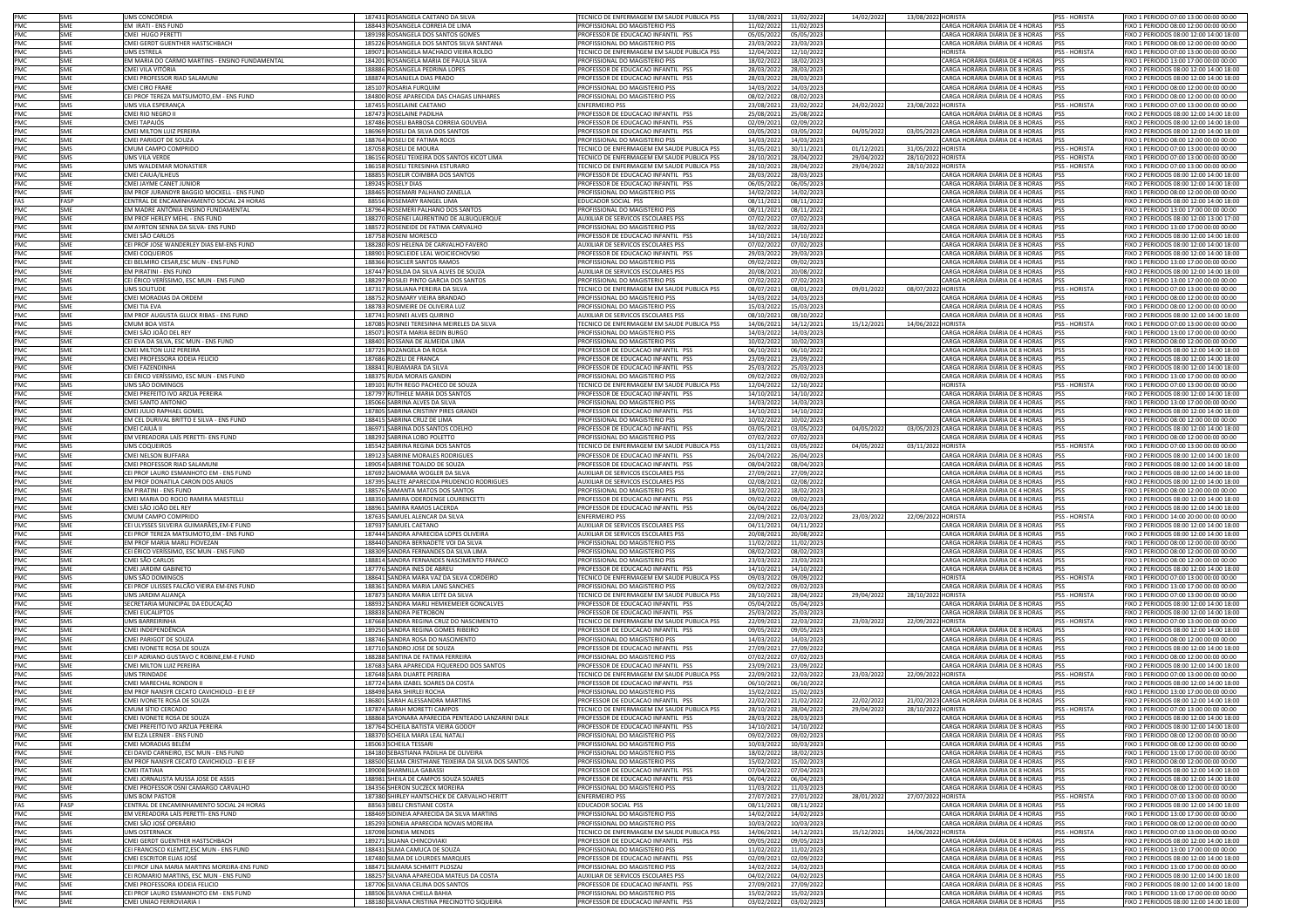|                   | SMS               | UMS CONCÓRDIA                                                                        | 187431 ROSANGELA CAETANO DA SILVA                                             | TECNICO DE ENFERMAGEM EM SAUDE PUBLICA PSS                                  | 13/08/2021               | 13/02/2022               | 14/02/2022 | 13/08/2022 HORISTA |                                                                               | PSS - HORISTA        | FIXO 1 PERIODO 07:00 13:00 00:00 00:00                                             |
|-------------------|-------------------|--------------------------------------------------------------------------------------|-------------------------------------------------------------------------------|-----------------------------------------------------------------------------|--------------------------|--------------------------|------------|--------------------|-------------------------------------------------------------------------------|----------------------|------------------------------------------------------------------------------------|
| PMC<br>PMC        | SMF               | EM IRATI - ENS FUND                                                                  | 188443 ROSANGELA CORREIA DE LIMA                                              | PROFISSIONAL DO MAGISTERIO PSS                                              | 11/02/2022               | 11/02/2023               |            |                    | CARGA HORÁRIA DIÁRIA DE 4 HORAS                                               | <b>PSS</b>           | FIXO 1 PERIODO 08:00 12:00 00:00 00:00                                             |
| PMC               | SME               | CMEI HUGO PERETTI                                                                    | 189198 ROSANGELA DOS SANTOS GOMES                                             | PROFESSOR DE EDUCACAO INFANTIL PSS                                          | 05/05/2022               | 05/05/2023               |            |                    | CARGA HORÁRIA DIÁRIA DE 8 HORAS                                               | PSS                  | FIXO 2 PERIODOS 08:00 12:00 14:00 18:00                                            |
| PMC               | SME               | CMEI GERDT GUENTHER HASTSCHBACH                                                      | 185226 ROSANGELA DOS SANTOS SILVA SANTANA                                     | ROFISSIONAL DO MAGISTERIO PSS                                               | 23/03/2022               | 23/03/2023               |            |                    | CARGA HORÁRIA DIÁRIA DE 4 HORAS                                               |                      | FIXO 1 PERIODO 08:00 12:00 00:00 00:00                                             |
| PMC               | SMS               | UMS ESTRELA                                                                          | 189071 ROSANGELA MACHADO VIEIRA ROLDO                                         | TECNICO DE ENFERMAGEM EM SAUDE PUBLICA PSS                                  | 12/04/2022               | 12/10/2022               |            |                    | <b>HORISTA</b>                                                                | <b>SS-HORISTA</b>    | FIXO 1 PERIODO 07:00 13:00 00:00 00:00                                             |
| PMC               | <b>SMF</b>        | EM MARIA DO CARMO MARTINS - ENSINO FUNDAMENTAL                                       | 184201 ROSANGELA MARIA DE PAULA SILVA                                         | PROFISSIONAL DO MAGISTERIO PSS                                              | 18/02/2022               | 18/02/2023               |            |                    | CARGA HORÁRIA DIÁRIA DE 4 HORAS                                               | pss                  | FIXO 1 PERIODO 13:00 17:00 00:00 00:00                                             |
| PMC<br>PMC        | SME               | CMEI VILA VITÓRIA                                                                    | 188886 ROSANGELA PEDRINA LOPES                                                | PROFESSOR DE EDUCACAO INFANTIL PSS                                          | 28/03/2022               | 28/03/2023               |            |                    | CARGA HORÁRIA DIÁRIA DE 8 HORAS                                               | PSS                  | FIXO 2 PERIODOS 08:00 12:00 14:00 18:00                                            |
|                   | SME               | CMEI PROFESSOR RIAD SALAMUNI                                                         | 188874 ROSANJELA DIAS PRADO                                                   | ROFESSOR DE EDUCACAO INFANTIL PSS                                           | 28/03/2022               | 28/03/2023               |            |                    | CARGA HORÁRIA DIÁRIA DE 8 HORAS                                               | PSS                  | FIXO 2 PERIODOS 08:00 12:00 14:00 18:00                                            |
| PMC               | SME               | CMEI CIRO FRARE                                                                      | 185107 ROSARIA FURQUIM                                                        | PROFISSIONAL DO MAGISTERIO PSS                                              | 14/03/2022               | 14/03/2023               |            |                    | CARGA HORÁRIA DIÁRIA DE 4 HORAS                                               | PSS                  | FIXO 1 PERIODO 08:00 12:00 00:00 00:00                                             |
| PMC               | SME               | CEI PROF TEREZA MATSUMOTO,EM - ENS FUND                                              | 184800 ROSE APARECIDA DAS CHAGAS LINHARES                                     | PROFISSIONAL DO MAGISTERIO PSS                                              | 08/02/2022               | 08/02/2023               |            |                    | CARGA HORÁRIA DIÁRIA DE 4 HORAS                                               | PSS                  | FIXO 1 PERIODO 08:00 12:00 00:00 00:00                                             |
| PMC               | SMS               | UMS VILA ESPERANÇA                                                                   | 187455 ROSELAINE CAETANO                                                      | <b>ENFERMEIRO PSS</b>                                                       | 23/08/2021               | 23/02/2022               | 24/02/2022 | 23/08/2022 HORISTA |                                                                               | PSS - HORISTA        | FIXO 1 PERIODO 07:00 13:00 00:00 00:00                                             |
| PMC<br>PMC        | SME               | CMEI RIO NEGRO II                                                                    | 187473 ROSELAINE PADILHA<br>187486 ROSELI BARBOSA CORREIA GOUVEIA             | ROFESSOR DE EDUCACAO INFANTIL PSS<br>ROFESSOR DE EDUCACAO INFANTIL PSS      | 25/08/2021               | 25/08/2022               |            |                    | CARGA HORÁRIA DIÁRIA DE 8 HORAS                                               |                      | IXO 2 PERIODOS 08:00 12:00 14:00 18:00<br>FIXO 2 PERIODOS 08:00 12:00 14:00 18:00  |
| PMC               | SME<br>SME        | CMEI TAPAJÓS                                                                         | 186969 ROSELI DA SILVA DOS SANTOS                                             |                                                                             | 02/09/2021               | 02/09/2022               | 04/05/2022 |                    | CARGA HORÁRIA DIÁRIA DE 8 HORAS<br>03/05/2023 CARGA HORÁRIA DIÁRIA DE 8 HORAS |                      |                                                                                    |
| PMC               | SMF               | CMEI MILTON LUIZ PEREIRA<br>CMEI PARIGOT DE SOUZA                                    | 188764 ROSELI DE FATIMA ROOS                                                  | PROFESSOR DE EDUCACAO INFANTIL PSS<br>PROFISSIONAL DO MAGISTERIO PSS        | 03/05/2021<br>14/03/2022 | 03/05/2022<br>14/03/2023 |            |                    | CARGA HORÁRIA DIÁRIA DE 4 HORAS                                               | PSS                  | FIXO 2 PERIODOS 08:00 12:00 14:00 18:00<br>FIXO 1 PERIODO 08:00 12:00 00:00 00:00  |
|                   | SMS               | CMUM CAMPO COMPRIDO                                                                  | 187058 ROSELI DE MOURA                                                        | TECNICO DE ENFERMAGEM EM SAUDE PUBLICA PSS                                  | 31/05/2021               | 30/11/2021               | 01/12/2021 | 31/05/2022 HORISTA |                                                                               | <b>PSS - HORISTA</b> | FIXO 1 PERIODO 07:00 13:00 00:00 00:00                                             |
| PMC<br>PMC        | SMS               | UMS VILA VERDE                                                                       | 186156 ROSELI TEIXEIRA DOS SANTOS KICOT LIMA                                  | <b>TECNICO DE ENFERMAGEM EM SAUDE PUBLICA PSS</b>                           | 28/10/2021               | 28/04/2022               | 29/04/2022 | 28/10/2022 HORISTA |                                                                               | <b>PSS - HORISTA</b> | FIXO 1 PERIODO 07:00 13:00 00:00 00:00                                             |
| PMC               | SMS               | UMS WALDEMAR MONASTIER                                                               | 186158 ROSELI TERESINHA ESTURARO                                              | TECNICO DE ENFERMAGEM EM SAUDE PUBLICA PSS                                  | 28/10/2021               | 28/04/2022               | 29/04/2022 | 28/10/2022 HORISTA |                                                                               | PSS - HORISTA        | FIXO 1 PERIODO 07:00 13:00 00:00 00:00                                             |
| PMC               | SME               | CMEI CAIUÁ/ILHEUS                                                                    | 188855 ROSELIR COIMBRA DOS SANTOS                                             | PROFESSOR DE EDUCACAO INFANTIL PSS                                          | 28/03/2022               | 28/03/2023               |            |                    | CARGA HORÁRIA DIÁRIA DE 8 HORAS                                               | <b>PSS</b>           | FIXO 2 PERIODOS 08:00 12:00 14:00 18:00                                            |
| PMC               | SME               | CMEI JAYME CANET JUNIOR                                                              | 189245 ROSELY DIAS                                                            | ROFESSOR DE EDUCACAO INFANTIL PSS                                           | 06/05/2022               | 06/05/2023               |            |                    | CARGA HORÁRIA DIÁRIA DE 8 HORAS                                               |                      | FIXO 2 PERIODOS 08:00 12:00 14:00 18:00                                            |
| PMC               | SME               | EM PROF JURANDYR BAGGIO MOCKELL - ENS FUND                                           | 188465 ROSEMARI PALHANO ZANELLA                                               | ROFISSIONAL DO MAGISTERIO PSS                                               | 14/02/2022               | 14/02/2023               |            |                    | CARGA HORÁRIA DIÁRIA DE 4 HORAS                                               |                      | IXO 1 PERIODO 08:00 12:00 00:00 00:00                                              |
| FAS               | FASP              | CENTRAL DE ENCAMINHAMENTO SOCIAL 24 HORAS                                            | 88556 ROSEMARY RANGEL LIMA                                                    | EDUCADOR SOCIAL PSS                                                         | 08/11/2021               | 08/11/2022               |            |                    | CARGA HORÁRIA DIÁRIA DE 8 HORAS                                               |                      | FIXO 2 PERIODOS 08:00 12:00 14:00 18:00                                            |
|                   | <b>SMF</b>        | EM MADRE ANTÔNIA ENSINO FUNDAMENTAL                                                  | 187964 ROSEMERI PALHANO DOS SANTOS                                            | PROFISSIONAL DO MAGISTERIO PSS                                              | 08/11/2021               | 08/11/2022               |            |                    | CARGA HORÁRIA DIÁRIA DE 4 HORAS                                               |                      | FIXO 1 PERIODO 13:00 17:00 00:00 00:00                                             |
| PMC<br>PMC<br>PMC | SME               | EM PROF HERLEY MEHL - ENS FUND                                                       | 188270 ROSENEI LAURENTINO DE ALBUQUERQUE                                      | AUXILIAR DE SERVICOS ESCOLARES PSS                                          | 07/02/2022               | 07/02/2023               |            |                    | CARGA HORÁRIA DIÁRIA DE 8 HORAS                                               | PSS                  | FIXO 2 PERIODOS 08:00 12:00 13:00 17:00                                            |
| PMC               | SME               | EM AYRTON SENNA DA SILVA- ENS FUND                                                   | 188572 ROSENEIDE DE FATIMA CARVALHO                                           | ROFISSIONAL DO MAGISTERIO PSS                                               | 18/02/2022               | 18/02/2023               |            |                    | CARGA HORÁRIA DIÁRIA DE 4 HORAS                                               | PSS                  | FIXO 1 PERIODO 13:00 17:00 00:00 00:00                                             |
| PMC               | SME<br><b>SMF</b> | CMEI SÃO CARLOS<br>CEI PROF JOSE WANDERLEY DIAS EM-ENS FUND                          | 187758 ROSENI MORESCO<br>188280 ROSI HELENA DE CARVALHO FAVERO                | PROFESSOR DE EDUCACAO INFANTIL PSS<br>AUXILIAR DE SERVICOS ESCOLARES PSS    | 14/10/2021<br>07/02/2022 | 14/10/2022<br>07/02/2023 |            |                    | CARGA HORÁRIA DIÁRIA DE 8 HORAS<br>CARGA HORÁRIA DIÁRIA DE 8 HORAS            | PSS<br>PSS           | FIXO 2 PERIODOS 08:00 12:00 14:00 18:00<br>FIXO 2 PERIODOS 08:00 12:00 14:00 18:00 |
| PMC               | SME               | CMEI COQUEIROS                                                                       | 188901 ROSICLEIDE LEAL WOICIECHOVSKI                                          | ROFESSOR DE EDUCACAO INFANTIL PSS                                           | 29/03/2022               | 29/03/2023               |            |                    | CARGA HORÁRIA DIÁRIA DE 8 HORAS                                               | PSS                  | FIXO 2 PERIODOS 08:00 12:00 14:00 18:00                                            |
| PMC               | SME               | CEI BELMIRO CESAR, ESC MUN - ENS FUND                                                | 188366 ROSICLER SANTOS RAMOS                                                  | ROFISSIONAL DO MAGISTERIO PSS                                               | 09/02/2022               | 09/02/2023               |            |                    | CARGA HORÁRIA DIÁRIA DE 4 HORAS                                               | PSS                  | FIXO 1 PERIODO 13:00 17:00 00:00 00:00                                             |
| PMC               | SME               | EM PIRATINI - ENS FUND                                                               | 187447 ROSILDA DA SILVA ALVES DE SOUZA                                        | AUXILIAR DE SERVICOS ESCOLARES PSS                                          | 20/08/2021               | 20/08/2022               |            |                    | CARGA HORÁRIA DIÁRIA DE 8 HORAS                                               |                      | FIXO 2 PERIODOS 08:00 12:00 14:00 18:00                                            |
| PMC               | SME               | CEI ÉRICO VERÍSSIMO. ESC MUN - ENS FUND                                              | 188297 ROSILEI PINTO GARCIA DOS SANTOS                                        | PROFISSIONAL DO MAGISTERIO PSS                                              | 07/02/2022               | 07/02/2023               |            |                    | CARGA HORÁRIA DIÁRIA DE 4 HORAS                                               | PSS                  | FIXO 1 PERIODO 13:00 17:00 00:00 00:00                                             |
|                   | SMS               | <b>UMS SOLITUDE</b>                                                                  | 187317 ROSILIANA PEREIRA DA SILVA                                             | TECNICO DE ENFERMAGEM EM SAUDE PUBLICA PSS                                  | 08/07/2021               | 08/01/2022               | 09/01/2022 | 08/07/2022 HORISTA |                                                                               | PSS - HORISTA        | FIXO 1 PERIODO 07:00 13:00 00:00 00:00                                             |
| PMC<br>PMC        | SME               | CMEI MORADIAS DA ORDEM                                                               | 188752 ROSIMARY VIEIRA BRANDAO                                                | ROFISSIONAL DO MAGISTERIO PSS                                               | 14/03/2022               | 14/03/2023               |            |                    | CARGA HORÁRIA DIÁRIA DE 4 HORAS                                               | PSS                  | FIXO 1 PERIODO 08:00 12:00 00:00 00:00                                             |
| PMC               | SME               | CMEI TIA EVA                                                                         | 188783 ROSIMEIRE DE OLIVEIRA LUZ                                              | PROFISSIONAL DO MAGISTERIO PSS                                              | 15/03/2022               | 15/03/2023               |            |                    | CARGA HORÁRIA DIÁRIA DE 4 HORAS                                               | PSS                  | FIXO 1 PERIODO 08:00 12:00 00:00 00:00                                             |
| PMC               | SME               | EM PROF AUGUSTA GLUCK RIBAS - ENS FUND                                               | 187741 ROSINEI ALVES QUIRINO                                                  | AUXILIAR DE SERVICOS ESCOLARES PS!                                          | 08/10/2021               | 08/10/2022               |            |                    | CARGA HORÁRIA DIÁRIA DE 8 HORAS                                               | <b>PSS</b>           | FIXO 2 PERIODOS 08:00 12:00 14:00 18:00                                            |
| PMC               | SMS               | CMUM BOA VISTA                                                                       | 187085 ROSINEI TERESINHA MEIRELES DA SILVA                                    | TECNICO DE ENFERMAGEM EM SAUDE PUBLICA PSS                                  | 14/06/2021               | 14/12/2021               | 15/12/2021 | 14/06/2022 HORISTA |                                                                               | <b>PSS - HORISTA</b> | FIXO 1 PERIODO 07:00 13:00 00:00 00:00                                             |
| PMC               | SME               | CMEI SÃO JOÃO DEL REY                                                                | 185071 ROSITA MARIA BEDIN BURGO                                               | ROFISSIONAL DO MAGISTERIO PSS                                               | 14/03/2022               | 14/03/2023               |            |                    | ARGA HORÁRIA DIÁRIA DE 4 HORAS                                                |                      | IXO 1 PERIODO 13:00 17:00 00:00 00:00                                              |
| PMC               | SME               | CEI EVA DA SILVA, ESC MUN - ENS FUND                                                 | 188401 ROSSANA DE ALMEIDA LIMA                                                | ROFISSIONAL DO MAGISTERIO PSS                                               | 10/02/2022               | 10/02/2023               |            |                    | CARGA HORÁRIA DIÁRIA DE 4 HORAS                                               |                      | IXO 1 PERIODO 08:00 12:00 00:00 00:00                                              |
| PMC               | SME               | CMEI MILTON LUIZ PEREIRA                                                             | 187725 ROZANGELA DA ROSA                                                      | PROFESSOR DE EDUCACAO INFANTIL PSS                                          | 06/10/2021               | 06/10/2022               |            |                    | CARGA HORÁRIA DIÁRIA DE 8 HORAS                                               |                      | FIXO 2 PERIODOS 08:00 12:00 14:00 18:00                                            |
| PMC<br>PMC<br>PMC | SMF               | CMEI PROFESSORA IODEIA FELICIO                                                       | 187686 ROZELI DE FRANCA                                                       | PROFESSOR DE EDUCACAO INFANTIL PSS                                          | 23/09/2021               | 23/09/2022               |            |                    | CARGA HORÁRIA DIÁRIA DE 8 HORAS                                               | <b>PSS</b>           | FIXO 2 PERIODOS 08:00 12:00 14:00 18:00                                            |
|                   | SME               | CMEI FAZENDINHA                                                                      | 188841 RUBIAMARA DA SILVA                                                     | PROFESSOR DE EDUCACAO INFANTIL PSS                                          | 25/03/2022               | 25/03/2023               |            |                    | CARGA HORÁRIA DIÁRIA DE 8 HORAS                                               | PSS                  | FIXO 2 PERIODOS 08:00 12:00 14:00 18:00                                            |
| PMC               | SME               | CEI ÉRICO VERÍSSIMO, ESC MUN - ENS FUND<br>UMS SÃO DOMINGOS                          | 188375 RUDA MORAIS GANDIN                                                     | ROFISSIONAL DO MAGISTERIO PSS<br>TECNICO DE ENFERMAGEM EM SAUDE PUBLICA PSS | 09/02/2022               | 09/02/2023               |            |                    | CARGA HORÁRIA DIÁRIA DE 4 HORAS<br><b>HORISTA</b>                             | PSS<br>PSS - HORISTA | FIXO 1 PERIODO 13:00 17:00 00:00 00:00                                             |
| PMC               | SMS<br>SME        | CMEI PREFEITO IVO ARZUA PEREIRA                                                      | 189101 RUTH REGO PACHECO DE SOUZA<br>187797 RUTHELE MARIA DOS SANTOS          | PROFESSOR DE EDUCACAO INFANTIL PSS                                          | 12/04/2022<br>14/10/2021 | 12/10/2022<br>14/10/2022 |            |                    | CARGA HORÁRIA DIÁRIA DE 8 HORAS                                               | PSS                  | FIXO 1 PERIODO 07:00 13:00 00:00 00:00<br>FIXO 2 PERIODOS 08:00 12:00 14:00 18:00  |
| PMC               | SME               | CMEI SANTO ANTONIO                                                                   | 185066 SABRINA ALVES DA SILVA                                                 | ROFISSIONAL DO MAGISTERIO PSS                                               | 14/03/2023               | 14/03/2023               |            |                    | CARGA HORÁRIA DIÁRIA DE 4 HORAS                                               | PSS                  | FIXO 1 PERIODO 13:00 17:00 00:00 00:00                                             |
| PMC               | SME               | CMEI JULIO RAPHAEL GOMEL                                                             | 187805 SABRINA CRISTINY PIRES GRANDI                                          | ROFESSOR DE EDUCACAO INFANTIL PSS                                           | 14/10/2021               | 14/10/2022               |            |                    | CARGA HORÁRIA DIÁRIA DE 8 HORAS                                               | PSS                  | IXO 2 PERIODOS 08:00 12:00 14:00 18:00                                             |
| PMC               | SME               | EM CEL DURIVAL BRITTO E SILVA - ENS FUND                                             | 188415 SABRINA CRUZ DE LIMA                                                   | PROFISSIONAL DO MAGISTERIO PSS                                              | 10/02/2022               | 10/02/2023               |            |                    | CARGA HORÁRIA DIÁRIA DE 4 HORAS                                               | PSS                  | FIXO 1 PERIODO 08:00 12:00 00:00 00:00                                             |
| PMC               | SME               | CMEI CAIUÁ II                                                                        | 186971 SABRINA DOS SANTOS COELHO                                              | PROFESSOR DE EDUCACAO INFANTIL PSS                                          | 03/05/2021               | 03/05/2022               | 04/05/202  |                    | 03/05/2023 CARGA HORÁRIA DIÁRIA DE 8 HORAS                                    | pss                  | FIXO 2 PERIODOS 08:00 12:00 14:00 18:00                                            |
|                   | SME               | EM VEREADORA LAÍS PERETTI- ENS FUND                                                  | 188292 SABRINA LOBO POLETTO                                                   | PROFISSIONAL DO MAGISTERIO PSS                                              | 07/02/2022               | 07/02/2023               |            |                    | CARGA HORÁRIA DIÁRIA DE 4 HORAS                                               | PSS                  | FIXO 1 PERIODO 08:00 12:00 00:00 00:00                                             |
| PMC<br>PMC        | SMS               | UMS COQUEIROS                                                                        | 185542 SABRINA REGINA DOS SANTOS                                              | ECNICO DE ENFERMAGEM EM SAUDE PUBLICA PSS                                   | 03/11/2021               | 03/05/2022               | 04/05/202  | 03/11/2022 HORISTA |                                                                               | <b>PSS - HORISTA</b> | FIXO 1 PERIODO 07:00 13:00 00:00 00:00                                             |
| PMC               | SME               | CMEI NELSON BUFFARA                                                                  | 189123 SABRINE MORALES RODRIGUES                                              | PROFESSOR DE EDUCACAO INFANTIL PSS                                          | 26/04/2022               | 26/04/2023               |            |                    | CARGA HORÁRIA DIÁRIA DE 8 HORAS                                               | PSS                  | FIXO 2 PERIODOS 08:00 12:00 14:00 18:00                                            |
| PMC               | SME               | CMEI PROFESSOR RIAD SALAMUNI                                                         | 189054 SABRINE TOALDO DE SOUZA                                                | PROFESSOR DE EDUCACAO INFANTIL PSS                                          | 08/04/2022               | 08/04/2023               |            |                    | CARGA HORÁRIA DIÁRIA DE 8 HORAS                                               | <b>PSS</b>           | FIXO 2 PERIODOS 08:00 12:00 14:00 18:00                                            |
| PMC               | SME               | CEI PROF LAURO ESMANHOTO EM - ENS FUND                                               | 187692 SAIOMARA WOGLER DA SILVA                                               | UXILIAR DE SERVICOS ESCOLARES PSS                                           | 27/09/2021               | 27/09/2022               |            |                    | CARGA HORÁRIA DIÁRIA DE 8 HORAS                                               | PSS                  | FIXO 2 PERIODOS 08:00 12:00 14:00 18:00                                            |
| PMC               | SME               | EM PROF DONATILA CARON DOS ANJOS                                                     | 187395 SALETE APARECIDA PRUDENCIO RODRIGUES                                   | UXILIAR DE SERVICOS ESCOLARES PSS                                           | 02/08/2021               | 02/08/2022               |            |                    | CARGA HORÁRIA DIÁRIA DE 8 HORAS                                               | PSS                  | FIXO 2 PERIODOS 08:00 12:00 14:00 18:00                                            |
| PMC               | SME<br>SMF        | EM PIRATINI - ENS FUND                                                               | 188576 SAMANTA MATOS DOS SANTOS                                               | PROFISSIONAL DO MAGISTERIO PSS                                              | 18/02/2022               | 18/02/2023               |            |                    | CARGA HORÁRIA DIÁRIA DE 4 HORAS<br>CARGA HORÁRIA DIÁRIA DE 8 HORAS            | <b>PSS</b>           | FIXO 1 PERIODO 08:00 12:00 00:00 00:00                                             |
| PMC<br>PMC        | SME               | CMEI MARIA DO ROCIO RAMIRA MAESTELLI<br>CMEI SÃO JOÃO DEL REY                        | 188350 SAMIRA ODERDENGE LOURENCETTI<br>188961 SAMIRA RAMOS LACERDA            | PROFESSOR DE EDUCACAO INFANTIL PSS<br>PROFESSOR DE EDUCACAO INFANTIL PSS    | 09/02/2022<br>06/04/2022 | 09/02/2023<br>06/04/2023 |            |                    | CARGA HORÁRIA DIÁRIA DE 8 HORAS                                               | <b>PSS</b>           | FIXO 2 PERIODOS 08:00 12:00 14:00 18:00<br>FIXO 2 PERIODOS 08:00 12:00 14:00 18:00 |
| PMC               | SMS               | CMUM CAMPO COMPRIDO                                                                  | 187635 SAMUEL ALENCAR DA SILVA                                                | ENFERMEIRO PSS                                                              | 22/09/2021               | 22/03/2022               | 23/03/2022 | 22/09/2022 HORISTA |                                                                               | PSS - HORISTA        | FIXO 1 PERIODO 14:00 20:00 00:00 00:00                                             |
| PMC               | SME               | CEI ULYSSES SILVEIRA GUIMARÃES, EM-E FUND                                            | 187937 SAMUEL CAETANO                                                         | AUXILIAR DE SERVICOS ESCOLARES PSS                                          | 04/11/2021               | 04/11/2022               |            |                    | CARGA HORÁRIA DIÁRIA DE 8 HORAS                                               | PSS                  | FIXO 2 PERIODOS 08:00 12:00 14:00 18:00                                            |
| PMC               | SME               | CEI PROF TEREZA MATSUMOTO,EM - ENS FUND                                              | 187444 SANDRA APARECIDA LOPES OLIVEIRA                                        | AUXILIAR DE SERVICOS ESCOLARES PSS                                          | 20/08/2021               |                          |            |                    | CARGA HORÁRIA DIÁRIA DE 8 HORAS                                               | PSS                  |                                                                                    |
| PMC               | SME               |                                                                                      |                                                                               |                                                                             |                          |                          |            |                    |                                                                               |                      |                                                                                    |
| PMC               | SME               |                                                                                      |                                                                               |                                                                             |                          | 20/08/2022               |            |                    |                                                                               |                      | FIXO 2 PERIODOS 08:00 12:00 14:00 18:00                                            |
| PMC               |                   | EM PROF MARIA MARLI PIOVEZAN<br>CEI ÉRICO VERÍSSIMO, ESC MUN - ENS FUND              | 188440 SANDRA BERNADETE VOI DA SILVA<br>188309 SANDRA FERNANDES DA SILVA LIMA | <b>ROFISSIONAL DO MAGISTERIO PSS</b><br>ROFISSIONAL DO MAGISTERIO PSS       | 11/02/2022<br>08/02/2022 | 11/02/2023<br>08/02/2023 |            |                    | CARGA HORÁRIA DIÁRIA DE 4 HORAS<br>CARGA HORÁRIA DIÁRIA DE 4 HORAS            | PSS<br>PSS           | FIXO 1 PERIODO 08:00 12:00 00:00 00:00<br>IXO 1 PERIODO 08:00 12:00 00:00 00:00    |
|                   | SME               |                                                                                      |                                                                               | ROFISSIONAL DO MAGISTERIO PSS                                               |                          |                          |            |                    |                                                                               |                      |                                                                                    |
| PMC               | SME               | CMEI SÃO CARLOS<br>CMEI JARDIM GABINETO                                              | 188814 SANDRA FERNANDES NASCIMENTO FRANCO<br>187776 SANDRA INES DE ABREU      | ROFESSOR DE EDUCACAO INFANTIL PSS                                           | 23/03/2022<br>14/10/2021 | 23/03/2023<br>14/10/2022 |            |                    | CARGA HORÁRIA DIÁRIA DE 4 HORAS<br>CARGA HORÁRIA DIÁRIA DE 8 HORAS            |                      | IXO 1 PERIODO 08:00 12:00 00:00 00:00<br>FIXO 2 PERIODOS 08:00 12:00 14:00 18:00   |
|                   | SMS               | UMS SÃO DOMINGOS                                                                     | 188641 SANDRA MARA VAZ DA SILVA CORDEIRO                                      | TECNICO DE ENFERMAGEM EM SAUDE PUBLICA PSS                                  | 09/03/2022               | 09/09/2022               |            |                    | <b>HORISTA</b>                                                                | <b>PSS - HORISTA</b> | FIXO 1 PERIODO 07:00 13:00 00:00 00:00                                             |
|                   | SME               | CEI PROF ULISSES FALCÃO VIEIRA EM-ENS FUND                                           | 188361 SANDRA MARIA LANG SANCHES                                              | PROFISSIONAL DO MAGISTERIO PSS                                              | 09/02/2022               | 09/02/2023               |            |                    | CARGA HORÁRIA DIÁRIA DE 4 HORAS                                               | PSS                  | FIXO 1 PERIODO 13:00 17:00 00:00 00:00                                             |
| PMC<br>PMC<br>PMC | SMS               | UMS JARDIM ALIANÇA                                                                   | 187873 SANDRA MARIA LEITE DA SILVA                                            | TECNICO DE ENFERMAGEM EM SAUDE PUBLICA PSS                                  | 28/10/2021               | 28/04/2022               | 29/04/2022 | 28/10/2022 HORISTA |                                                                               | <b>PSS - HORISTA</b> | FIXO 1 PERIODO 07:00 13:00 00:00 00:00                                             |
| PMC               | SME               | SECRETARIA MUNICIPAL DA EDUCAÇÃO                                                     | 188932 SANDRA MARLI HEMKEMEIER GONCALVES                                      | PROFESSOR DE EDUCACAO INFANTIL PSS                                          | 05/04/2022               | 05/04/2023               |            |                    | CARGA HORÁRIA DIÁRIA DE 8 HORAS                                               | PSS                  | FIXO 2 PERIODOS 08:00 12:00 14:00 18:00                                            |
| PMC               | SMF               | <b>CMEI EUCALIPTOS</b>                                                               | 188838 SANDRA PIFTROBON                                                       | PROFESSOR DE EDUCAÇÃO INFANTIL PSS                                          | 25/03/2022               | 25/03/2023               |            |                    | CARGA HORÁRIA DIÁRIA DE 8 HORAS                                               | PSS                  | FIXO 2 PFRIODOS 08:00 12:00 14:00 18:00                                            |
| PMC               | SMS               | <b>UMS BARREIRINHA</b>                                                               | 187668 SANDRA REGINA CRUZ DO NASCIMENTO                                       | TECNICO DE ENFERMAGEM EM SAUDE PUBLICA PSS                                  | 22/09/2021               | 22/03/2022               | 23/03/2022 | 22/09/2022 HORISTA |                                                                               | PSS - HORISTA        | FIXO 1 PERIODO 07:00 13:00 00:00 00:00                                             |
| PMC               | SME               | CMEI INDEPENDÊNCIA                                                                   | 189250 SANDRA REGINA GOMES RIBEIRO                                            | ROFESSOR DE EDUCACAO INFANTIL PSS                                           | 09/05/2022               | 09/05/2023               |            |                    | CARGA HORÁRIA DIÁRIA DE 8 HORAS                                               | PSS<br>PSS           | FIXO 2 PERIODOS 08:00 12:00 14:00 18:00                                            |
| PMC               | SME<br>SME        | CMEI PARIGOT DE SOUZA                                                                | 188746 SANDRA ROSA DO NASCIMENTO                                              | PROFISSIONAL DO MAGISTERIO PSS<br>PROFESSOR DE EDUCACAO INFANTIL PSS        | 14/03/2022               | 14/03/2023               |            |                    | CARGA HORÁRIA DIÁRIA DE 4 HORAS                                               | <b>PSS</b>           | FIXO 1 PERIODO 08:00 12:00 00:00 00:00                                             |
| PMC               | SME               | CMEI IVONETE ROSA DE SOUZA<br>CEI P ADRIANO GUSTAVO C ROBINE,EM-E FUND               | 187710 SANDRO JOSE DE SOUZA<br>188288 SANTINA DE FATIMA FERREIRA              | PROFISSIONAL DO MAGISTERIO PSS                                              | 27/09/2021<br>07/02/2022 | 27/09/2022<br>07/02/2023 |            |                    | CARGA HORÁRIA DIÁRIA DE 8 HORAS<br>CARGA HORÁRIA DIÁRIA DE 4 HORAS            | <b>PSS</b>           | FIXO 2 PERIODOS 08:00 12:00 14:00 18:00<br>FIXO 1 PERIODO 08:00 12:00 00:00 00:00  |
| PMC<br>PMC        | SME               | CMEI MILTON LUIZ PEREIRA                                                             | 187683 SARA APARECIDA FIQUEREDO DOS SANTOS                                    | ROFESSOR DE EDUCACAO INFANTIL PSS                                           | 23/09/2021               | 23/09/2022               |            |                    | CARGA HORÁRIA DIÁRIA DE 8 HORAS                                               |                      | FIXO 2 PERIODOS 08:00 12:00 14:00 18:00                                            |
| PMC               | SMS               | UMS TRINDADE                                                                         | 187648 SARA DUARTE PEREIRA                                                    | TECNICO DE ENFERMAGEM EM SAUDE PUBLICA PSS                                  | 22/09/2021               | 22/03/2022               | 23/03/2022 | 22/09/2022 HORISTA |                                                                               | PSS - HORISTA        | FIXO 1 PERIODO 07:00 13:00 00:00 00:00                                             |
| PMC               | SME               | CMEI MARECHAL RONDON II                                                              | 187724 SARA IZABEL SOARES DA COSTA                                            | PROFESSOR DE EDUCACAO INFANTIL PSS                                          | 06/10/202                | 06/10/2022               |            |                    | CARGA HORÁRIA DIÁRIA DE 8 HORAS                                               | PSS                  | FIXO 2 PERIODOS 08:00 12:00 14:00 18:00                                            |
| PMC               | SME               | EM PROF NANSYR CECATO CAVICHIOLO - EI E EF                                           | 188498 SARA SHIRLEI ROCHA                                                     | ROFISSIONAL DO MAGISTERIO PSS                                               | 15/02/202                | 15/02/2023               |            |                    | CARGA HORÁRIA DIÁRIA DE 4 HORAS                                               | PSS                  | FIXO 1 PERIODO 13:00 17:00 00:00 00:00                                             |
| PMC               | SME               | CMEI IVONETE ROSA DE SOUZA                                                           | 186801 SARAH ALESSANDRA MARTINS                                               | ROFESSOR DE EDUCACAO INFANTIL PSS                                           | 22/02/2021               | 21/02/2022               | 22/02/2022 |                    | 21/02/2023 CARGA HORÁRIA DIÁRIA DE 8 HORAS                                    | PSS                  | FIXO 2 PERIODOS 08:00 12:00 14:00 18:00                                            |
|                   |                   | UM SHIU CERCADI                                                                      |                                                                               | NILU DE ENFERIV<br>AGEM EM SAUDE PUBLICA PSS                                | 28/10/202.               | 28/04/202                | 29/04/202  | 28/10/2            |                                                                               |                      | XO 1 FERIODO 07:00 13:00 00:00 00:00                                               |
| PMC               | SME               | CMEI IVONETE ROSA DE SOUZA                                                           | 188868 SAYONARA APARECIDA PENTEADO LANZARINI DALK                             | PROFESSOR DE EDUCACAO INFANTIL PSS                                          | 28/03/2022               | 28/03/2023               |            |                    | CARGA HORÁRIA DIÁRIA DE 8 HORAS                                               | PSS                  | FIXO 2 PERIODOS 08:00 12:00 14:00 18:00                                            |
| PMC               | SME               | CMELPREEEITO IVO ARZUA PEREIRA                                                       | 187764 SCHEILA BATISTA VIEIRA GODOY                                           | PROFESSOR DE EDUCACAO INFANTIL PSS                                          | 14/10/2021               | 14/10/2022               |            |                    | CARGA HORÁRIA DIÁRIA DE 8 HORAS                                               | PSS                  | FIXO 2 PERIODOS 08:00 12:00 14:00 18:00                                            |
| PMC               | SME<br>SME        | EM ELZA LERNER - ENS FUND<br>CMEI MORADIAS BELÉM                                     | 188370 SCHEILA MARA LEAL NATALI                                               | PROFISSIONAL DO MAGISTERIO PSS<br>PROFISSIONAL DO MAGISTERIO PSS            | 09/02/2022               | 09/02/2023               |            |                    | CARGA HORÁRIA DIÁRIA DE 4 HORAS                                               | PSS<br><b>IPSS</b>   | FIXO 1 PERIODO 08:00 12:00 00:00 00:00                                             |
| PMC               |                   |                                                                                      | 185063 SCHEILA TESSARI<br>184180 SEBASTIANA PADILHA DE OLIVEIRA               |                                                                             | 10/03/2022               | 10/03/2023               |            |                    | CARGA HORÁRIA DIÁRIA DE 4 HORAS                                               | PSS                  | FIXO 1 PERIODO 08:00 12:00 00:00 00:00                                             |
| PMC<br>PMC        | SME<br>SME        | CEI DAVID CARNEIRO, ESC MUN - ENS FUND<br>EM PROF NANSYR CECATO CAVICHIOLO - EI E EF | 188500 SELMA CRISTHIANE TEIXEIRA DA SILVA DOS SANTOS                          | PROFISSIONAL DO MAGISTERIO PSS<br>PROFISSIONAL DO MAGISTERIO PSS            | 18/02/2022<br>15/02/2022 | 18/02/2023<br>15/02/2023 |            |                    | CARGA HORÁRIA DIÁRIA DE 4 HORAS<br>CARGA HORÁRIA DIÁRIA DE 4 HORAS            | PSS                  | FIXO 1 PERIODO 13:00 17:00 00:00 00:00<br>FIXO 1 PERIODO 08:00 12:00 00:00 00:00   |
| PMC               | SME               | CMEI ITATIAIA                                                                        | 189008 SHARMILLA GABASSI                                                      | ROFESSOR DE EDUCACAO INFANTIL PSS                                           | 07/04/2022               | 07/04/2023               |            |                    | CARGA HORÁRIA DIÁRIA DE 8 HORAS                                               | PSS                  | FIXO 2 PERIODOS 08:00 12:00 14:00 18:00                                            |
| PMC               | SME               | CMEI JORNALISTA MUSSA JOSE DE ASSIS                                                  | 188981 SHEILA DE CAMPOS SOUZA SOARES                                          | ROFESSOR DE EDUCACAO INFANTIL PSS                                           | 06/04/2022               | 06/04/2023               |            |                    | CARGA HORÁRIA DIÁRIA DE 8 HORAS                                               |                      | FIXO 2 PERIODOS 08:00 12:00 14:00 18:00                                            |
| PMC               | SME               | CMELPROFESSOR OSNI CAMARGO CARVALHO                                                  | 184356 SHERON SUCZECK MOREIRA                                                 | PROFISSIONAL DO MAGISTERIO PSS                                              | 11/03/2022               | 11/03/2023               |            |                    | CARGA HORÁRIA DIÁRIA DE 4 HORAS                                               |                      | FIXO 1 PERIODO 08:00 12:00 00:00 00:00                                             |
| PMC               | SMS               | UMS BOM PASTOR                                                                       | 187380 SHIRLEY HANTSCHICK DE CARVALHO HERITT                                  | ENFERMEIRO PSS                                                              | 27/07/2021               | 27/01/2022               | 28/01/2022 | 27/07/2022 HORISTA |                                                                               | PSS - HORISTA        | FIXO 1 PERIODO 07:00 13:00 00:00 00:00                                             |
| FAS               | FASP              | CENTRAL DE ENCAMINHAMENTO SOCIAL 24 HORAS                                            | 88563 SIBELI CRISTIANE COSTA                                                  | EDUCADOR SOCIAL PSS                                                         | 08/11/2021               | 08/11/2022               |            |                    | CARGA HORÁRIA DIÁRIA DE 8 HORAS                                               | <b>PSS</b>           | FIXO 2 PERIODOS 08:00 12:00 14:00 18:00                                            |
| PMC               | SME               | EM VEREADORA LAÍS PERETTI- ENS FUND                                                  | 188469 SIDINEIA APARECIDA DA SILVA MARTINS                                    | PROFISSIONAL DO MAGISTERIO PSS                                              | 14/02/2022               | 14/02/2023               |            |                    | CARGA HORÁRIA DIÁRIA DE 4 HORAS                                               | PSS                  | FIXO 1 PERIODO 13:00 17:00 00:00 00:00                                             |
| PMC               | SME               | CMEI SÃO JOSÉ OPERÁRIO                                                               | 185293 SIDNEIA APARECIDA NOVAIS MOREIRA                                       | PROFISSIONAL DO MAGISTERIO PSS                                              | 10/03/2022               | 10/03/2023               |            |                    | CARGA HORÁRIA DIÁRIA DE 4 HORAS                                               | PSS                  | FIXO 1 PERIODO 08:00 12:00 00:00 00:00                                             |
| PMC               | SMS               | <b>UMS OSTERNACK</b>                                                                 | 187098 SIDNEIA MENDES                                                         | TECNICO DE ENFERMAGEM EM SAUDE PUBLICA PSS                                  | 14/06/2021               | 14/12/2021               | 15/12/2021 | 14/06/2022 HORISTA |                                                                               | PSS - HORISTA        | FIXO 1 PERIODO 07:00 13:00 00:00 00:00                                             |
| PMC               | SME<br>SME        | CMEI GERDT GUENTHER HASTSCHBACH<br>CEI FRANCISCO KLEMTZ.ESC MUN - ENS FUND           | 189271 SILIANA CHINCOVIAKI<br>188431 SILMA CAMUCA DE SOUZA                    | PROFESSOR DE EDUCACAO INFANTIL PSS                                          | 09/05/2022               | 09/05/2023               |            |                    | CARGA HORÁRIA DIÁRIA DE 8 HORAS<br>CARGA HORÁRIA DIÁRIA DE 4 HORAS            | <b>PSS</b><br>PSS    | FIXO 2 PERIODOS 08:00 12:00 14:00 18:00                                            |
| PMC<br>PMC        | SME               | CMEI ESCRITOR ELIAS JOSÉ                                                             | 187480 SILMA DE LOURDES MARQUES                                               | ROFISSIONAL DO MAGISTERIO PSS<br>PROFESSOR DE EDUCACAO INFANTIL PSS         | 11/02/2022<br>02/09/2021 | 11/02/2023<br>02/09/2022 |            |                    | CARGA HORÁRIA DIÁRIA DE 8 HORAS                                               |                      | FIXO 1 PERIODO 13:00 17:00 00:00 00:00<br>FIXO 2 PERIODOS 08:00 12:00 14:00 18:00  |
| PMC               | SME               | CEI PROF LINA MARIA MARTINS MOREIRA-ENS FUND                                         | 188471 SILMARA SCHMITT PLOSZAJ                                                | PROFISSIONAL DO MAGISTERIO PSS                                              | 14/02/2022               | 14/02/2023               |            |                    | CARGA HORÁRIA DIÁRIA DE 4 HORAS                                               | <b>PSS</b>           | FIXO 1 PERIODO 13:00 17:00 00:00 00:00                                             |
| PMC               | SME               | CEI ROMARIO MARTINS, ESC MUN - ENS FUND                                              | 188257 SILVANA APARECIDA MATEUS DA COSTA                                      | <b>AUXILIAR DE SERVICOS ESCOLARES PSS</b>                                   | 04/02/2022               | 04/02/2023               |            |                    | CARGA HORÁRIA DIÁRIA DE 8 HORAS                                               | PSS                  | FIXO 2 PERIODOS 08:00 12:00 14:00 18:00                                            |
| PMC               | SME               | CMEI PROFESSORA IODEIA FELICIO                                                       | 187706 SILVANA CELINA DOS SANTOS                                              | PROFESSOR DE EDUCACAO INFANTIL PSS                                          | 27/09/2021               | 27/09/2022               |            |                    | CARGA HORÁRIA DIÁRIA DE 8 HORAS                                               | PSS                  | FIXO 2 PERIODOS 08:00 12:00 14:00 18:00                                            |
| PMC<br>PMC        | SME<br>SME        | CEI PROF LAURO ESMANHOTO EM - ENS FUND<br>CMELUNIAO FERROVIARIA L                    | 188506 SILVANA CHELLA BAHIA<br>188180 SILVANA CRISTINA PRECINOTTO SIQUEIRA    | PROFISSIONAL DO MAGISTERIO PSS<br>PROFESSOR DE EDUCACAO INFANTIL PSS        | 15/02/2022<br>03/02/2022 | 15/02/2023<br>03/02/2023 |            |                    | CARGA HORÁRIA DIÁRIA DE 4 HORAS<br>CARGA HORÁRIA DIÁRIA DE 8 HORAS            | PSS<br><b>PSS</b>    | FIXO 1 PERIODO 13:00 17:00 00:00 00:00<br>FIXO 2 PERIODOS 08:00 12:00 14:00 18:00  |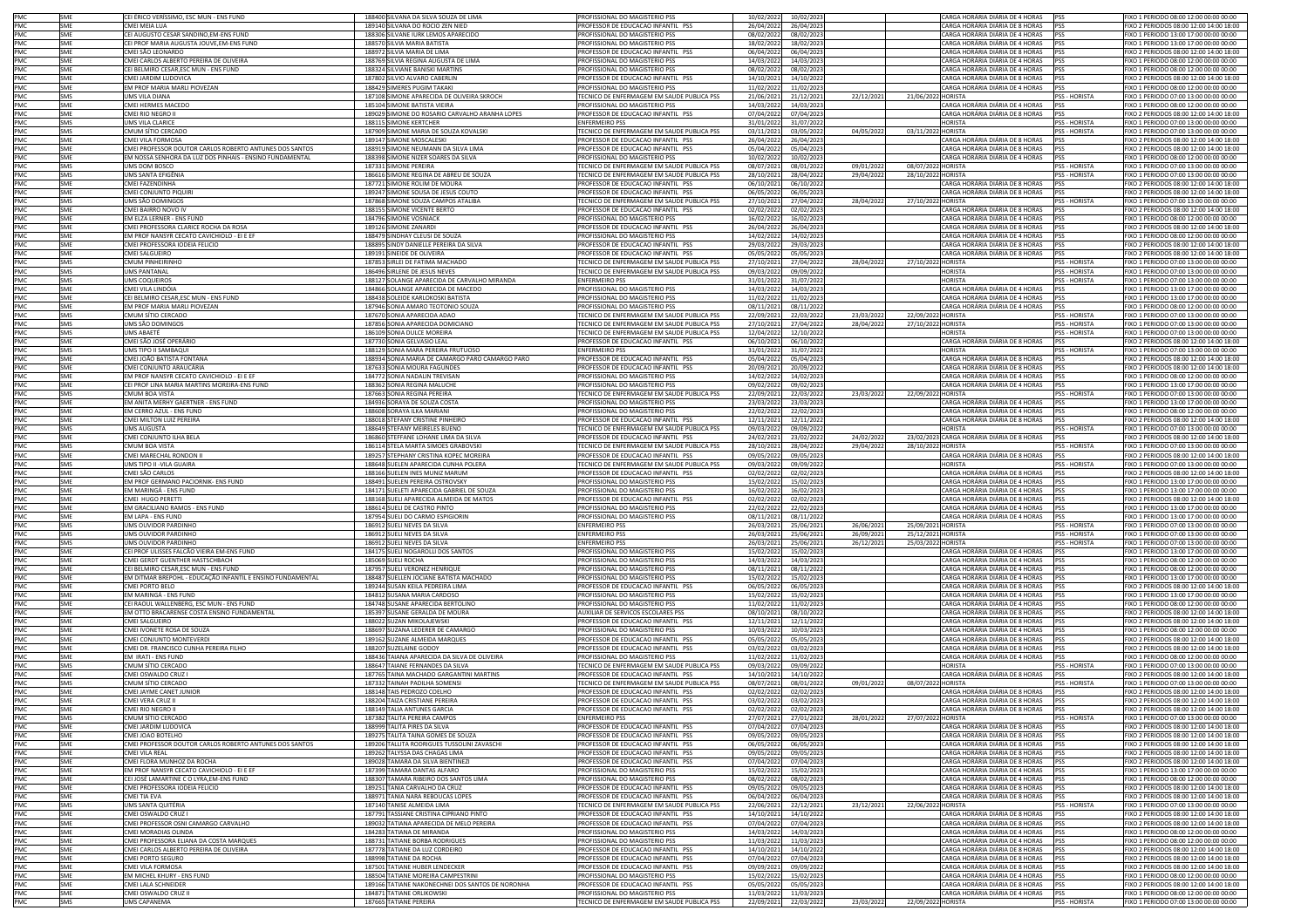| PMC        | <b>SME</b>        | CEI ÉRICO VERÍSSIMO, ESC MUN - ENS FUND                                   | 188400 SILVANA DA SILVA SOUZA DE LIMA                                               | PROFISSIONAL DO MAGISTERIO PSS                                                   | 10/02/2022               | 10/02/2023                          |            |                    | CARGA HORÁRIA DIÁRIA DE 4 HORAS                                        | PSS                            | FIXO 1 PERIODO 08:00 12:00 00:00 00:00                                            |
|------------|-------------------|---------------------------------------------------------------------------|-------------------------------------------------------------------------------------|----------------------------------------------------------------------------------|--------------------------|-------------------------------------|------------|--------------------|------------------------------------------------------------------------|--------------------------------|-----------------------------------------------------------------------------------|
| PMC        | <b>SMF</b>        | CMEI MEIA LUA                                                             | 189140 SILVANA DO ROCIO ZEN NIED                                                    | PROFESSOR DE EDUCACAO INFANTIL PSS                                               | 26/04/2022               | 26/04/2023                          |            |                    | CARGA HORÁRIA DIÁRIA DE 8 HORAS                                        | <b>PSS</b>                     | FIXO 2 PERIODOS 08:00 12:00 14:00 18:00                                           |
| PMC        | SME               | CEI AUGUSTO CESAR SANDINO.EM-ENS FUND                                     | 188306 SILVANE IURK LEMOS APARECIDO                                                 | PROFISSIONAL DO MAGISTERIO PSS                                                   | 08/02/2023               | 08/02/2023                          |            |                    | ARGA HORÁRIA DIÁRIA DE 4 HORAS                                         | <b>PSS</b>                     | FIXO 1 PERIODO 13:00 17:00 00:00 00:00                                            |
| PMC        | <b>SME</b>        | CEI PROF MARIA AUGUSTA JOUVE,EM-ENS FUND                                  | 188570 SILVIA MARIA BATISTA                                                         | PROFISSIONAL DO MAGISTERIO PSS                                                   | 18/02/2022               | 18/02/2023                          |            |                    | ARGA HORÁRIA DIÁRIA DE 4 HORAS                                         | PSS                            | FIXO 1 PERIODO 13:00 17:00 00:00 00:00                                            |
| PMC        | <b>SMF</b>        | CMEI SÃO LEONARDO                                                         | 188972 SILVIA MARIA DE LIMA                                                         | PROFESSOR DE EDUCACAO INFANTIL PSS                                               | 06/04/2022               | 06/04/2023                          |            |                    | CARGA HORÁRIA DIÁRIA DE 8 HORAS                                        | <b>IPSS</b>                    | FIXO 2 PERIODOS 08:00 12:00 14:00 18:00                                           |
| PMC        | SMF               | CMEI CARLOS ALBERTO PEREIRA DE OLIVEIRA                                   | 188769 SILVIA REGINA AUGUSTA DE LIMA                                                | PROFISSIONAL DO MAGISTERIO PSS                                                   | 14/03/202                | 14/03/2023                          |            |                    | CARGA HORÁRIA DIÁRIA DE 4 HORAS                                        |                                | FIXO 1 PERIODO 08:00 12:00 00:00 00:00                                            |
| PMC        | SME               | CEI BELMIRO CESAR, ESC MUN - ENS FUND                                     | 188324 SILVIANE BANISKI MARTINS                                                     | PROFISSIONAL DO MAGISTERIO PSS                                                   | 08/02/2022               | 08/02/2023                          |            |                    | CARGA HORÁRIA DIÁRIA DE 4 HORAS                                        | <b>IPSS</b>                    | FIXO 1 PERIODO 08:00 12:00 00:00 00:00                                            |
| PMC        | <b>SME</b>        | CMEI JARDIM LUDOVICA                                                      | 187802 SILVIO ALVARO CABERLIN                                                       | PROFESSOR DE EDUCACAO INFANTIL PSS                                               | 14/10/2021               | 14/10/2022                          |            |                    | ARGA HORÁRIA DIÁRIA DE 8 HORAS                                         | <b>PSS</b>                     | FIXO 2 PERIODOS 08:00 12:00 14:00 18:00                                           |
| PMC        | SME               | EM PROF MARIA MARLI PIOVEZAN                                              | 188429 SIMERES PUGIM TAKAKI                                                         | PROFISSIONAL DO MAGISTERIO PSS                                                   | 11/02/2022               | 11/02/2023                          |            |                    | CARGA HORÁRIA DIÁRIA DE 4 HORAS                                        | PSS                            | FIXO 1 PERIODO 08:00 12:00 00:00 00:00                                            |
| PMC        | SMS               | UMS VILA DIANA                                                            | 187108 SIMONE APARECIDA DE OLIVEIRA SKROCH                                          | TECNICO DE ENFERMAGEM EM SAUDE PUBLICA PSS                                       | 21/06/2021               | 21/12/2021                          | 22/12/2021 | 21/06/2022 HORISTA |                                                                        | <b>PSS - HORISTA</b>           | FIXO 1 PERIODO 07:00 13:00 00:00 00:00                                            |
| PMC        | SME               | CMEI HERMES MACEDO                                                        | 185104 SIMONE BATISTA VIEIRA                                                        | PROFISSIONAL DO MAGISTERIO PSS                                                   | 14/03/2022               | 14/03/2023                          |            |                    | ARGA HORÁRIA DIÁRIA DE 4 HORAS:                                        | <b>PSS</b>                     | FIXO 1 PERIODO 08:00 12:00 00:00 00:00                                            |
| PMC        | <b>SME</b>        | CMEI RIO NEGRO II                                                         | 189029 SIMONE DO ROSARIO CARVALHO ARANHA LOPES                                      | PROFESSOR DE EDUCACAO INFANTIL PSS                                               | 07/04/202                | 07/04/2023                          |            |                    | ARGA HORÁRIA DIÁRIA DE 8 HORAS                                         | PSS                            | IXO 2 PERIODOS 08:00 12:00 14:00 18:00                                            |
| PMC        | SMS               | UMS VILA CLARICE                                                          | 188115 SIMONE KERTCHER                                                              | <b>ENFERMEIRO PSS</b>                                                            | 31/01/202                | 31/07/2022                          |            |                    | <b>IORISTA</b>                                                         | PSS - HORISTA                  | FIXO 1 PERIODO 07:00 13:00 00:00 00:00                                            |
| PMC        | SMS               | CMUM SÍTIO CERCADO                                                        | 187909 SIMONE MARIA DE SOUZA KOVALSKI                                               | TECNICO DE ENFERMAGEM EM SAUDE PUBLICA PSS                                       | 03/11/202                | 03/05/2022                          | 04/05/202  | 03/11/2022 HORISTA |                                                                        | <b>PSS - HORISTA</b>           | FIXO 1 PERIODO 07:00 13:00 00:00 00:00                                            |
| PMC        | SMF               | CMEI VILA FORMOSA                                                         | 189147 SIMONE MOSCALESKI                                                            | PROFESSOR DE EDUCACAO INFANTIL PSS                                               | 26/04/2022               | 26/04/2023                          |            |                    | CARGA HORÁRIA DIÁRIA DE 8 HORAS                                        | <b>PSS</b>                     | FIXO 2 PERIODOS 08:00 12:00 14:00 18:00                                           |
| PMC<br>PMC | SME<br><b>SME</b> | CMEI PROFESSOR DOUTOR CARLOS ROBERTO ANTUNES DOS SANTOS                   | 188919 SIMONE NEUMANN DA SILVA LIMA<br>188398 SIMONE NIZER SOARES DA SILVA          | PROFESSOR DE EDUCACAO INFANTIL PSS<br>PROFISSIONAL DO MAGISTERIO PSS             | 05/04/2022               | 05/04/2023                          |            |                    | CARGA HORÁRIA DIÁRIA DE 8 HORAS<br>CARGA HORÁRIA DIÁRIA DE 4 HORAS     | PSS<br>PSS                     | FIXO 2 PERIODOS 08:00 12:00 14:00 18:00<br>FIXO 1 PERIODO 08:00 12:00 00:00 00:00 |
| PMC        | SMS               | EM NOSSA SENHORA DA LUZ DOS PINHAIS - ENSINO FUNDAMENTAI<br>UMS DOM BOSCO | 187331 SIMONE PEREIRA                                                               | TECNICO DE ENFERMAGEM EM SAUDE PUBLICA PSS                                       | 10/02/2022<br>08/07/2021 | 10/02/2023<br>08/01/2022            | 09/01/2022 | 08/07/2022 HORISTA |                                                                        | PSS - HORISTA                  | FIXO 1 PERIODO 07:00 13:00 00:00 00:00                                            |
| PMC        | SMS               | <b>UMS SANTA EFIGÊNIA</b>                                                 | 186616 SIMONE REGINA DE ABREU DE SOUZA                                              | TECNICO DE ENFERMAGEM EM SAUDE PUBLICA PSS                                       | 28/10/2021               | 28/04/2022                          | 29/04/2022 | 28/10/2022 HORISTA |                                                                        | <b>PSS - HORISTA</b>           | FIXO 1 PERIODO 07:00 13:00 00:00 00:00                                            |
| PMC        | SME               | CMEI FAZENDINHA                                                           | 187721 SIMONE ROLIM DE MOURA                                                        | PROFESSOR DE EDUCACAO INFANTIL PSS                                               | 06/10/2021               | 06/10/2022                          |            |                    | ARGA HORÁRIA DIÁRIA DE 8 HORAS                                         | <b>PSS</b>                     | FIXO 2 PERIODOS 08:00 12:00 14:00 18:00                                           |
| PMC        | SME               | CMEI CONJUNTO PIQUIRI                                                     | 189247 SIMONE SOUSA DE JESUS COUTO                                                  | PROFESSOR DE EDUCACAO INFANTIL PSS                                               | 06/05/2022               | 06/05/2023                          |            |                    | ARGA HORÁRIA DIÁRIA DE 8 HORAS                                         | <b>PSS</b>                     | FIXO 2 PERIODOS 08:00 12:00 14:00 18:00                                           |
| PMC        | SMS               | UMS SÃO DOMINGOS                                                          | 187868 SIMONE SOUZA CAMPOS ATALIBA                                                  | TECNICO DE ENFERMAGEM EM SAUDE PUBLICA PSS                                       | 27/10/202                | 27/04/2022                          | 28/04/202  | 27/10/2022 HORISTA |                                                                        | PSS - HORISTA                  | FIXO 1 PERIODO 07:00 13:00 00:00 00:00                                            |
| PMC        | SMF               | CMEI BAIRRO NOVO IV                                                       | 188155 SIMONE VICENTE BERTO                                                         | PROFESSOR DE EDUCACAO INFANTIL PSS                                               | 02/02/202                | 02/02/2023                          |            |                    | CARGA HORÁRIA DIÁRIA DE 8 HORAS                                        | PSS                            | FIXO 2 PERIODOS 08:00 12:00 14:00 18:00                                           |
| PMC        | SME               | <b>EM ELZA LERNER - ENS FUND</b>                                          | 184796 SIMONE VOSNIACK                                                              | PROFISSIONAL DO MAGISTERIO PSS                                                   | 16/02/202                | 16/02/2023                          |            |                    | CARGA HORÁRIA DIÁRIA DE 4 HORAS                                        | <b>PSS</b>                     | FIXO 1 PERIODO 08:00 12:00 00:00 00:00                                            |
| PMC        | SME               | CMEI PROFESSORA CLARICE ROCHA DA ROSA                                     | 189126 SIMONE ZANARDI                                                               | PROFESSOR DE EDUCACAO INFANTIL PSS                                               | 26/04/202                | 26/04/2023                          |            |                    | CARGA HORÁRIA DIÁRIA DE 8 HORAS                                        | PSS                            | FIXO 2 PERIODOS 08:00 12:00 14:00 18:00                                           |
| PMC        | SME               | EM PROF NANSYR CECATO CAVICHIOLO - EI E EF                                | 188479 SINDHAY CLEUSI DE SOUZA                                                      | PROFISSIONAL DO MAGISTERIO PSS                                                   | 14/02/2022               | 14/02/2023                          |            |                    | CARGA HORÁRIA DIÁRIA DE 4 HORAS                                        | PSS                            | FIXO 1 PERIODO 08:00 12:00 00:00 00:00                                            |
| PMC        | SMF               | CMEI PROFESSORA IODEIA FELICIO                                            | 188895 SINDY DANIELLE PEREIRA DA SILVA                                              | PROFESSOR DE EDUCACAO INFANTIL PSS                                               | 29/03/202                | 29/03/2023                          |            |                    | CARGA HORÁRIA DIÁRIA DE 8 HORAS                                        | <b>PSS</b>                     | FIXO 2 PERIODOS 08:00 12:00 14:00 18:00                                           |
| PMC        | SME               | CMEI SALGUEIRC                                                            | 189191 SINEIDE DE OLIVEIRA                                                          | PROFESSOR DE EDUCACAO INFANTIL PSS                                               | 05/05/2023               | 05/05/2023                          |            |                    | ARGA HORÁRIA DIÁRIA DE 8 HORAS                                         | <b>PSS</b>                     | IXO 2 PERIODOS 08:00 12:00 14:00 18:00                                            |
| PMC        | SMS               | CMUM PINHEIRINHO                                                          | 187853 SIRLEI DE FATIMA MACHADO                                                     | TECNICO DE ENFERMAGEM EM SAUDE PUBLICA PSS                                       | 27/10/2021               | 27/04/2022                          | 28/04/2022 | 27/10/2022         | HORISTA                                                                | <b>PSS - HORISTA</b>           | FIXO 1 PERIODO 07:00 13:00 00:00 00:00                                            |
| PMC        | SMS               | UMS PANTANAL                                                              | 186496 SIRLENE DE JESUS NEVES                                                       | TECNICO DE ENFERMAGEM EM SAUDE PUBLICA PSS                                       | 09/03/202                | 09/09/2022                          |            |                    | IORISTA                                                                | PSS - HORISTA                  | FIXO 1 PERIODO 07:00 13:00 00:00 00:00                                            |
| PMC        | SMS               | UMS COQUEIROS                                                             | 188127 SOLANGE APARECIDA DE CARVALHO MIRANDA                                        | <b>ENFERMEIRO PSS</b>                                                            | 31/01/2022               | 31/07/2022                          |            |                    | <b>HORISTA</b>                                                         | <b>PSS - HORISTA</b>           | FIXO 1 PERIODO 07:00 13:00 00:00 00:00                                            |
| PMC        | SME               | CMEI VILA LINDÓIA                                                         | 184866 SOLANGE APARECIDA DE MACEDO                                                  | PROFISSIONAL DO MAGISTERIO PSS                                                   | 14/03/2023               | 14/03/2023                          |            |                    | CARGA HORÁRIA DIÁRIA DE 4 HORAS                                        | <b>PSS</b>                     | FIXO 1 PERIODO 13:00 17:00 00:00 00:00                                            |
| PMC<br>PMC | SME<br>SME        | CEI BELMIRO CESAR, ESC MUN - ENS FUND                                     | 188438 SOLEIDE KARLOKOSKI BATISTA                                                   | PROFISSIONAL DO MAGISTERIO PSS                                                   | 11/02/2022               | 11/02/2023                          |            |                    | CARGA HORÁRIA DIÁRIA DE 4 HORAS                                        | PSS                            | FIXO 1 PERIODO 13:00 17:00 00:00 00:00                                            |
| PMC        | SMS               | EM PROF MARIA MARLI PIOVEZAN<br>CMUM SÍTIO CERCADO                        | 187946 SONIA AMARO TEOTONIO SOUZA<br>187670 SONIA APARECIDA ADAO                    | PROFISSIONAL DO MAGISTERIO PSS<br>TECNICO DE ENFERMAGEM EM SAUDE PUBLICA PSS     | 08/11/2021<br>22/09/2021 | 08/11/2022<br>22/03/2022            | 23/03/202  | 22/09/2022 HORISTA | CARGA HORÁRIA DIÁRIA DE 4 HORAS                                        | PSS<br>PSS - HORISTA           | FIXO 1 PERIODO 08:00 12:00 00:00 00:00<br>FIXO 1 PERIODO 07:00 13:00 00:00 00:00  |
| PMC        | SMS               | UMS SÃO DOMINGOS                                                          | 187856 SONIA APARECIDA DOMICIANO                                                    | TECNICO DE ENFERMAGEM EM SAUDE PUBLICA PSS                                       | 27/10/2021               | 27/04/2022                          | 28/04/2022 | 27/10/2022 HORISTA |                                                                        | PSS - HORISTA                  | FIXO 1 PERIODO 07:00 13:00 00:00 00:00                                            |
| PMC        | SMS               | JMS ABAETÉ                                                                | 186109 SONIA DULCE MOREIRA                                                          | FECNICO DE ENFERMAGEM EM SAUDE PUBLICA PSS                                       | 12/04/2022               | 12/10/2022                          |            |                    | ORISTA                                                                 | PSS - HORISTA                  | IXO 1 PERIODO 07:00 13:00 00:00 00:00                                             |
| PMC        | SME               | MEI SÃO JOSÉ OPERÁRIO                                                     | 187730 SONIA GELVASIO LEAL                                                          | PROFESSOR DE EDUCACAO INFANTIL PSS                                               | 06/10/2021               | 06/10/2022                          |            |                    | ARGA HORÁRIA DIÁRIA DE 8 HORAS                                         | <b>PSS</b>                     | FIXO 2 PERIODOS 08:00 12:00 14:00 18:00                                           |
| PMC        | SMS               | UMS TIPO II SAMBAQUI                                                      | 188129 SONIA MARA PEREIRA FRUTUOSO                                                  | <b>ENFERMEIRO PSS</b>                                                            | 31/01/202                | 31/07/2022                          |            |                    | HORISTA                                                                | PSS - HORISTA                  | FIXO 1 PERIODO 07:00 13:00 00:00 00:00                                            |
| PMC        | SMF               | CMEI JOÃO BATISTA FONTANA                                                 | 188934 SONIA MARIA DE CAMARGO PARO CAMARGO PARO                                     | PROFESSOR DE EDUCAÇÃO INFANTIL PSS                                               | 05/04/2022               | 05/04/2023                          |            |                    | CARGA HORÁRIA DIÁRIA DE 8 HORAS                                        | PSS                            | FIXO 2 PERIODOS 08:00 12:00 14:00 18:00                                           |
| PMC        | SME               | CMEI CONJUNTO ARAUCÁRIA                                                   | 187633 SONIA MOURA FAGUNDES                                                         | PROFESSOR DE EDUCACAO INFANTIL PSS                                               | 20/09/202                | 20/09/2022                          |            |                    | CARGA HORÁRIA DIÁRIA DE 8 HORAS                                        | <b>PSS</b>                     | FIXO 2 PERIODOS 08:00 12:00 14:00 18:00                                           |
| PMC        | SME               | EM PROF NANSYR CECATO CAVICHIOLO - EI E EF                                | 184772 SONIA NADALIN TREVISAN                                                       | PROFISSIONAL DO MAGISTERIO PSS                                                   | 14/02/2022               | 14/02/2023                          |            |                    | CARGA HORÁRIA DIÁRIA DE 4 HORAS                                        | <b>IPSS</b>                    | FIXO 1 PERIODO 08:00 12:00 00:00 00:00                                            |
| PMC        | SME               | CEI PROF LINA MARIA MARTINS MOREIRA-ENS FUND                              | 188362 SONIA REGINA MALUCHE                                                         | PROFISSIONAL DO MAGISTERIO PSS                                                   | 09/02/2022               | 09/02/2023                          |            |                    | CARGA HORÁRIA DIÁRIA DE 4 HORAS                                        | PSS                            | FIXO 1 PERIODO 13:00 17:00 00:00 00:00                                            |
| PMC        | SMS               | CMUM BOA VISTA                                                            | 187663 SONIA REGINA PEREIRA                                                         | TECNICO DE ENFERMAGEM EM SAUDE PUBLICA PSS                                       | 22/09/202                | 22/03/2022                          | 23/03/2022 | 22/09/2022 HORISTA |                                                                        | PSS - HORISTA                  | FIXO 1 PERIODO 07:00 13:00 00:00 00:00                                            |
| PMC        | SME               | <b>EM ANITA MERHY GAERTNER - ENS FUND</b>                                 | 184936 SORAYA DE SOUZA COSTA                                                        | PROFISSIONAL DO MAGISTERIO PSS                                                   | 23/03/2023               | 23/03/2023                          |            |                    | ARGA HORÁRIA DIÁRIA DE 4 HORAS                                         | <b>PSS</b>                     | FIXO 1 PERIODO 13:00 17:00 00:00 00:00                                            |
| PMC        | SME               | EM CERRO AZUL - ENS FUND                                                  | 188608 SORAYA ILKA MARIANI                                                          | PROFISSIONAL DO MAGISTERIO PSS                                                   | 22/02/202                | 22/02/2023                          |            |                    | ARGA HORÁRIA DIÁRIA DE 4 HORAS                                         | PSS                            | FIXO 1 PERIODO 08:00 12:00 00:00 00:00                                            |
| PMC        | SMF               | CMEI MILTON LUIZ PEREIRA                                                  | 188018 STEFANY CRISTINE PINHEIRO                                                    | PROFESSOR DE EDUCACAO INFANTIL PS!                                               | 12/11/202                | 12/11/2022                          |            |                    | CARGA HORÁRIA DIÁRIA DE 8 HORAS                                        | PSS                            | FIXO 2 PERIODOS 08:00 12:00 14:00 18:00                                           |
| PMC        | SMS               | UMS AUGUSTA                                                               | 188649 STEEANY MEIRELES BUENO                                                       | TECNICO DE ENFERMAGEM EM SAUDE PUBLICA PSS                                       | 09/03/202                | 09/09/2022                          |            |                    | HORISTA                                                                | <b>PSS - HORISTA</b>           | FIXO 1 PERIODO 07:00 13:00 00:00 00:00                                            |
| PMC        | SME               | CMEI CONJUNTO ILHA BELA                                                   | 186860 STEFFANE LOHANE LIMA DA SILVA                                                | PROFESSOR DE EDUCACAO INFANTIL PSS                                               | 24/02/2021               | 23/02/2022                          | 24/02/2022 |                    | 23/02/2023 CARGA HORÁRIA DIÁRIA DE 8 HORAS                             | PSS                            | FIXO 2 PERIODOS 08:00 12:00 14:00 18:00                                           |
| PMC        | SMS               | CMUM BOA VISTA                                                            | 186114 STELA MARTA SIMOES GRABOVSKI                                                 | TECNICO DE ENFERMAGEM EM SAUDE PUBLICA PSS                                       | 28/10/2021               | 28/04/2022                          | 29/04/2022 | 28/10/2022 HORISTA |                                                                        | <b>PSS - HORISTA</b>           | FIXO 1 PERIODO 07:00 13:00 00:00 00:00                                            |
|            | SME               |                                                                           |                                                                                     |                                                                                  |                          |                                     |            |                    |                                                                        |                                |                                                                                   |
| PMC        |                   | CMEI MARECHAL RONDON II                                                   | 189257 STEPHANY CRISTINA KOPEC MOREIRA                                              | PROFESSOR DE EDUCACAO INFANTIL PSS                                               | 09/05/2022               | 09/05/2023                          |            |                    | CARGA HORÁRIA DIÁRIA DE 8 HORAS                                        | PSS                            | FIXO 2 PERIODOS 08:00 12:00 14:00 18:00                                           |
| PMC        | SMS               | UMS TIPO II -VILA GUAIRA                                                  | 188648 SUELEN APARECIDA CUNHA POLERA                                                | TECNICO DE ENFERMAGEM EM SAUDE PUBLICA PSS                                       | 09/03/2022               | 09/09/2022                          |            |                    | <b>HORISTA</b>                                                         | <b>PSS - HORISTA</b>           | FIXO 1 PERIODO 07:00 13:00 00:00 00:00                                            |
| PMC        | SME               | CMEI SÃO CARLOS                                                           | 188166 SUELEN INES MUNIZ MARUM                                                      | PROFESSOR DE EDUCACAO INFANTIL PSS                                               | 02/02/202                | 02/02/2023                          |            |                    | ARGA HORÁRIA DIÁRIA DE 8 HORAS:                                        | <b>PSS</b>                     | FIXO 2 PERIODOS 08:00 12:00 14:00 18:00                                           |
| PMC        | SME               | EM PROF GERMANO PACIORNIK- ENS FUND                                       | 188491 SUELEN PEREIRA OSTROVSKY                                                     | PROFISSIONAL DO MAGISTERIO PSS                                                   | 15/02/202                | 15/02/2023                          |            |                    | ARGA HORÁRIA DIÁRIA DE 4 HORAS                                         | PSS                            | FIXO 1 PERIODO 13:00 17:00 00:00 00:00                                            |
| PMC        | SMF               | EM MARINGÁ - ENS FUND                                                     | 184171 SUELETI APARECIDA GABRIEL DE SOUZA                                           | PROFISSIONAL DO MAGISTERIO PSS                                                   | 16/02/202                | 16/02/2023                          |            |                    | CARGA HORÁRIA DIÁRIA DE 4 HORAS                                        | PSS                            | FIXO 1 PERIODO 13:00 17:00 00:00 00:00                                            |
| PMC        | SMF               | CMEI HUGO PERETTI                                                         | 188168 SUELI APARECIDA ALMEIDA DE MATOS                                             | PROFESSOR DE EDUCACAO INFANTIL PS!                                               | 02/02/202                | 02/02/2023                          |            |                    | CARGA HORÁRIA DIÁRIA DE 8 HORAS                                        | PSS                            | FIXO 2 PERIODOS 08:00 12:00 14:00 18:00                                           |
| PMC        | SME               | EM GRACILIANO RAMOS - ENS FUND                                            | 188614 SUELI DE CASTRO PINTO                                                        | PROFISSIONAL DO MAGISTERIO PSS                                                   | 22/02/2022               | 22/02/2023                          |            |                    | CARGA HORÁRIA DIÁRIA DE 4 HORAS                                        | PSS                            | FIXO 1 PERIODO 13:00 17:00 00:00 00:00                                            |
| PMC        | SME               | EM LAPA - ENS FUND                                                        | 187954 SUELI DO CARMO ESPIGIORIN                                                    | PROFISSIONAL DO MAGISTERIO PSS                                                   | 08/11/2021               | 08/11/2022                          |            |                    | CARGA HORÁRIA DIÁRIA DE 4 HORAS                                        | <b>PSS</b>                     | FIXO 1 PERIODO 13:00 17:00 00:00 00:00                                            |
| PMC        | SMS<br>SMS        | UMS OUVIDOR PARDINHO                                                      | 186912 SUELI NEVES DA SILVA                                                         | <b>ENFERMEIRO PSS</b><br><b>ENFERMEIRO PSS</b>                                   | 26/03/2021               | 25/06/2021                          | 26/06/2021 | 25/09/2021 HORISTA |                                                                        | PSS - HORISTA                  | FIXO 1 PERIODO 07:00 13:00 00:00 00:00<br>FIXO 1 PERIODO 07:00 13:00 00:00 00:00  |
| PMC<br>PMC | SMS               | JMS OUVIDOR PARDINHC<br>UMS OUVIDOR PARDINHC                              | 186912 SUELI NEVES DA SILVA                                                         | <b>FNFERMEIRO PSS</b>                                                            | 26/03/2021<br>26/03/2021 | 25/06/2021<br>25/06/2021            | 26/09/2021 | 25/12/2021 HORISTA |                                                                        | PSS - HORISTA<br>PSS - HORISTA | FIXO 1 PERIODO 07:00 13:00 00:00 00:00                                            |
| PMC        | SME               | CEI PROF ULISSES FALCÃO VIEIRA EM-ENS FUND                                | 186912 SUELI NEVES DA SILVA<br>184175 SUELI NOGAROLLI DOS SANTOS                    | PROFISSIONAL DO MAGISTERIO PSS                                                   | 15/02/202                | 15/02/2023                          | 26/12/2021 | 25/03/2022 HORISTA | ARGA HORÁRIA DIÁRIA DE 4 HORAS                                         | <b>PSS</b>                     | FIXO 1 PERIODO 13:00 17:00 00:00 00:00                                            |
| PMC        | SME               | CMEI GERDT GUENTHER HASTSCHBACH                                           | 185069 SUELI ROCHA                                                                  | PROFISSIONAL DO MAGISTERIO PSS                                                   | 14/03/2022               | 14/03/2023                          |            |                    | ARGA HORÁRIA DIÁRIA DE 4 HORAS                                         | PSS                            | FIXO 1 PERIODO 08:00 12:00 00:00 00:00                                            |
| PMC        | SMF               | CEI BELMIRO CESAR,ESC MUN - ENS FUND                                      | 187957 SUELI VERONEZ HENRIQUE                                                       | PROFISSIONAL DO MAGISTERIO PSS                                                   | 08/11/202                | 08/11/2022                          |            |                    | ARGA HORÁRIA DIÁRIA DE 4 HORAS:                                        | PSS                            | FIXO 1 PERIODO 08:00 12:00 00:00 00:00                                            |
| PMC        | SMF               | EM DITMAR BREPOHL - EDUCAÇÃO INFANTIL E ENSINO FUNDAMENTAL                | 188487 SUELLEN JOCIANE BATISTA MACHADO                                              | <b>PROFISSIONAL DO MAGISTERIO PSS</b>                                            | 15/02/2023               | 15/02/2023                          |            |                    | CARGA HORÁRIA DIÁRIA DE 4 HORAS                                        | <b>PSS</b>                     | FIXO 1 PERIODO 13:00 17:00 00:00 00:00                                            |
| PMC        | SME               | CMEI PORTO BELO                                                           | 189244 SUSAN KEILA PEDREIRA LIMA                                                    | PROFESSOR DE EDUCACAO INFANTIL PSS                                               | 06/05/2022               | 06/05/2023                          |            |                    | ARGA HORÁRIA DIÁRIA DE 8 HORAS:                                        | <b>PSS</b>                     | FIXO 2 PERIODOS 08:00 12:00 14:00 18:00                                           |
| PMC        | SME               | EM MARINGÁ - ENS FUND                                                     | 184812 SUSANA MARIA CARDOSO                                                         | PROFISSIONAL DO MAGISTERIO PSS                                                   | 15/02/2022               | 15/02/2023                          |            |                    | ARGA HORÁRIA DIÁRIA DE 4 HORAS:                                        | PSS                            | FIXO 1 PERIODO 13:00 17:00 00:00 00:00                                            |
| PMC        | SME               | CEI RAOUL WALLENBERG, ESC MUN - ENS FUND                                  | 184748 SUSANE APARECIDA BERTOLINO                                                   | PROFISSIONAL DO MAGISTERIO PSS                                                   | 11/02/2022               | 11/02/2023                          |            |                    | CARGA HORÁRIA DIÁRIA DE 4 HORAS                                        | <b>PSS</b>                     | FIXO 1 PERIODO 08:00 12:00 00:00 00:00                                            |
| PMC        | SMF               | EM OTTO BRACARENSE COSTA ENSINO FUNDAMENTAL                               | 185397 SUSANE GERALDA DE MOURA                                                      | AUXILIAR DE SERVICOS ESCOLARES PSS                                               | 08/10/2021               | 08/10/2022                          |            |                    | ARGA HORÁRIA DIÁRIA DE 8 HORAS                                         | PSS                            | FIXO 2 PERIODOS 08:00 12:00 14:00 18:00                                           |
| PMC        | SME               | CMEI SALGUEIRC                                                            | 188022 SUZAN MIKOLAJEWSKI                                                           | PROFESSOR DE EDUCACAO INFANTIL PSS                                               | 12/11/2021               | 12/11/2022                          |            |                    | ARGA HORÁRIA DIÁRIA DE 8 HORAS                                         | <b>PSS</b>                     | FIXO 2 PERIODOS 08:00 12:00 14:00 18:00                                           |
| PMC        | SME<br>SMF        | CMEI IVONETE ROSA DE SOUZA                                                | 188697 SUZANA LEDERER DE CAMARGO                                                    | PROFISSIONAL DO MAGISTERIO PSS                                                   | 10/03/2022               | 10/03/2023                          |            |                    | ARGA HORÁRIA DIÁRIA DE 4 HORAS                                         | <b>PSS</b>                     | FIXO 1 PERIODO 08:00 12:00 00:00 00:00                                            |
| PMC<br>PMC | <b>SMF</b>        | CMEI CONJUNTO MONTEVERDI                                                  | 189162 SUZANE ALMEIDA MARQUES                                                       | PROFESSOR DE EDUCACAO INFANTIL PS!<br>PROFESSOR DE EDUCACAO INFANTIL PSS         | 05/05/202                | 05/05/2023                          |            |                    | ARGA HORÁRIA DIÁRIA DE 8 HORAS                                         |                                | FIXO 2 PERIODOS 08:00 12:00 14:00 18:00                                           |
| PMC        | SME               | CMEI DR. FRANCISCO CUNHA PEREIRA FILHO<br>EM IRATI - ENS FUND             | 188207 SUZELAINE GODOY<br>188436 TAIANA APARECIDA DA SILVA DE OLIVEIRA              | PROFISSIONAL DO MAGISTERIO PSS                                                   | 03/02/2022               | 03/02/2023                          |            |                    | CARGA HORÁRIA DIÁRIA DE 8 HORAS PSS<br>ARGA HORÁRIA DIÁRIA DE 4 HORAS  | <b>PSS</b>                     | FIXO 2 PERIODOS 08:00 12:00 14:00 18:00<br>FIXO 1 PERIODO 08:00 12:00 00:00 00:00 |
| PMC        | SMS               | CMUM SÍTIO CERCADO                                                        | 188647 TAIANE FERNANDES DA SILVA                                                    | TECNICO DE ENFERMAGEM EM SAUDE PUBLICA PSS                                       | 11/02/2022<br>09/03/2022 | 11/02/2023<br>09/09/2022            |            |                    | HORISTA                                                                | PSS - HORISTA                  | FIXO 1 PERIODO 07:00 13:00 00:00 00:00                                            |
| PMC        | SME               | CMEI OSWALDO CRUZ I                                                       | 187765 TAINA MACHADO GARGANTINI MARTINS                                             | PROFESSOR DE EDUCACAO INFANTIL PSS                                               | 14/10/2021               | 14/10/2022                          |            |                    | CARGA HORÁRIA DIÁRIA DE 8 HORAS                                        | PSS                            | FIXO 2 PERIODOS 08:00 12:00 14:00 18:00                                           |
| PMC        | SMS               | CMUM SÍTIO CERCADO                                                        | 187332 TAINAH PADILHA SOMENSI                                                       | TECNICO DE ENFERMAGEM EM SAUDE PUBLICA PSS                                       | 08/07/202                | 08/01/2022                          | 09/01/2022 | 08/07/2022 HORISTA |                                                                        | PSS - HORISTA                  | FIXO 1 PERIODO 07:00 13:00 00:00 00:00                                            |
| PMC        | SME               | CMEI JAYME CANET JUNIOI                                                   | 188148 TAIS PEDROZO COELHO                                                          | PROFESSOR DE EDUCACAO INFANTIL PSS                                               | 02/02/202                | 02/02/2023                          |            |                    | ARGA HORÁRIA DIÁRIA DE 8 HORAS                                         | <b>PSS</b>                     | FIXO 2 PERIODOS 08:00 12:00 14:00 18:00                                           |
| PMC        | SME               | MEI VERA CRUZ II                                                          | 188204 TAIZA CRISTIANE PEREIRA                                                      | PROFESSOR DE EDUCACAO INFANTIL PSS                                               | 03/02/2022               | 03/02/2023                          |            |                    | ARGA HORÁRIA DIÁRIA DE 8 HORAS                                         | <b>PSS</b>                     | FIXO 2 PERIODOS 08:00 12:00 14:00 18:00                                           |
|            |                   | EI KIU NEGKU I                                                            | 199145<br>ALIA AN I UNES GARCI/                                                     | UFESSUR DE EDUCACAU INFANTIL PSS                                                 | 02/02/2022               | 02/02/2023                          |            |                    | (GA HUKA                                                               |                                | YO Z PERIODOS 08:00 12:00 14:00 18:00                                             |
| PMC        | SMS               | CMUM SÍTIO CERCADO                                                        | 187382 TALITA PEREIRA CAMPOS                                                        | <b>ENFERMEIRO PSS</b>                                                            |                          | 27/07/2021 27/01/2022               | 28/01/2022 | 27/07/2022 HORISTA |                                                                        | PSS - HORISTA                  | FIXO 1 PERIODO 07:00 13:00 00:00 00:00                                            |
| PMC        | SME               | CMEI JARDIM LUDOVICA                                                      | 188999 TALITA PIRES DA SILVA                                                        | PROFESSOR DE EDUCACAO INFANTIL PSS                                               | 07/04/2022               | 07/04/2023                          |            |                    | CARGA HORÁRIA DIÁRIA DE 8 HORAS PSS                                    |                                | FIXO 2 PERIODOS 08:00 12:00 14:00 18:00                                           |
| PMC        | SME               | CMEI JOAO BOTELHO                                                         | 189275 TALITA TAINA GOMES DE SOUZA                                                  | PROFESSOR DE EDUCACAO INFANTIL PSS                                               | 09/05/2022               | 09/05/2023                          |            |                    | CARGA HORÁRIA DIÁRIA DE 8 HORAS PSS                                    |                                | FIXO 2 PERIODOS 08:00 12:00 14:00 18:00                                           |
| PMC        | SME               | CMEI PROFESSOR DOUTOR CARLOS ROBERTO ANTUNES DOS SANTOS                   | 189206 TALLITA RODRIGUES TUSSOLINI ZAVASCHI                                         | PROFESSOR DE EDUCACAO INFANTIL PSS                                               | 06/05/2022               | 06/05/2023                          |            |                    | CARGA HORÁRIA DIÁRIA DE 8 HORAS PSS                                    |                                | FIXO 2 PERIODOS 08:00 12:00 14:00 18:00                                           |
|            | SME               | CMEI VILA REAL                                                            | 189262 TALYSSA DAS CHAGAS LIMA                                                      | PROFESSOR DE EDUCACAO INFANTIL PSS                                               | 09/05/2022               | 09/05/2023                          |            |                    | CARGA HORÁRIA DIÁRIA DE 8 HORAS PSS                                    |                                | FIXO 2 PERIODOS 08:00 12:00 14:00 18:00                                           |
| PMC<br>PMC | SME               | CMEI FLORA MUNHOZ DA ROCHA                                                | 189028 TAMARA DA SILVA BIENTINEZI                                                   | PROFESSOR DE EDUCACAO INFANTIL PSS                                               | 07/04/2022               | 07/04/2023                          |            |                    | CARGA HORÁRIA DIÁRIA DE 8 HORAS PSS                                    |                                | FIXO 2 PERIODOS 08:00 12:00 14:00 18:00                                           |
| PMC        | SME               | EM PROF NANSYR CECATO CAVICHIOLO - EI E EF                                | 187399 TAMARA DANTAS ALFARO                                                         | PROFISSIONAL DO MAGISTERIO PSS                                                   | 15/02/2022               | 15/02/2023                          |            |                    | ARGA HORÁRIA DIÁRIA DE 4 HORAS PSS                                     |                                | FIXO 1 PERIODO 13:00 17:00 00:00 00:00                                            |
| PMC        | SME               | CEI JOSÉ LAMARTINE C O LYRA,EM-ENS FUND                                   | 188307 TAMARA RIBEIRO DOS SANTOS LIMA                                               | PROFISSIONAL DO MAGISTERIO PSS                                                   | 08/02/2022               | 08/02/2023                          |            |                    | ARGA HORÁRIA DIÁRIA DE 4 HORAS                                         | PSS                            | FIXO 1 PERIODO 08:00 12:00 00:00 00:00                                            |
| PMC        | SME<br>SMF        | CMEI PROFESSORA IODEIA FELICIO                                            | 189251 TANIA CARVALHO DA CRUZ                                                       | PROFESSOR DE EDUCACAO INFANTIL PSS                                               | 09/05/2022               | 09/05/2023                          |            |                    | CARGA HORÁRIA DIÁRIA DE 8 HORAS PSS                                    |                                | FIXO 2 PERIODOS 08:00 12:00 14:00 18:00                                           |
|            |                   | CMEI TIA EVA                                                              | 188971 TANIA NARA REBOUCAS LOPES                                                    | PROFESSOR DE EDUCACAO INFANTIL PSS                                               | 06/04/2022               | 06/04/2023                          |            |                    | CARGA HORÁRIA DIÁRIA DE 8 HORAS PSS                                    |                                | FIXO 2 PERIODOS 08:00 12:00 14:00 18:00                                           |
| PMC<br>PMC | SMS               | UMS SANTA QUITÉRIA<br>CMEI OSWALDO CRUZ I                                 | 187140 TANISE ALMEIDA LIMA                                                          | TECNICO DE ENFERMAGEM EM SAUDE PUBLICA PSS<br>PROFESSOR DE EDUCACAO INFANTIL PSS | 22/06/2021               | 22/12/2021                          | 23/12/2021 | 22/06/2022 HORISTA |                                                                        | PSS - HORISTA                  | FIXO 1 PERIODO 07:00 13:00 00:00 00:00<br>FIXO 2 PERIODOS 08:00 12:00 14:00 18:00 |
| PMC<br>PMC | SME<br>SME        | CMEI PROFESSOR OSNI CAMARGO CARVALHO                                      | 187791 TASSIANE CRISTINA CIPRIANO PINTO<br>189032 TATIANA APARECIDA DE MELO PEREIRA | PROFESSOR DE EDUCACAO INFANTIL PSS                                               | 14/10/2021<br>07/04/2022 | 14/10/2022<br>07/04/2023            |            |                    | CARGA HORÁRIA DIÁRIA DE 8 HORAS PSS<br>CARGA HORÁRIA DIÁRIA DE 8 HORAS | PSS                            | FIXO 2 PERIODOS 08:00 12:00 14:00 18:00                                           |
| PMC        | SME               | CMEI MORADIAS OLINDA                                                      | 184283 TATIANA DE MIRANDA                                                           | PROFISSIONAL DO MAGISTERIO PSS                                                   | 14/03/2022               | 14/03/2023                          |            |                    | CARGA HORÁRIA DIÁRIA DE 4 HORAS                                        | PSS                            | FIXO 1 PERIODO 08:00 12:00 00:00 00:00                                            |
| PMC        | SME               | CMEI PROFESSORA ELIANA DA COSTA MARQUES                                   | 188731 TATIANE BORBA RODRIGUES                                                      | PROFISSIONAL DO MAGISTERIO PSS                                                   | 11/03/2022               | 11/03/2023                          |            |                    | ARGA HORÁRIA DIÁRIA DE 4 HORAS                                         | PSS                            | FIXO 1 PERIODO 08:00 12:00 00:00 00:00                                            |
| PMC        | SME               | MEI CARLOS ALBERTO PEREIRA DE OLIVEIRA                                    | 187778 TATIANE DA LUZ CORDEIRO                                                      | PROFESSOR DE EDUCACAO INFANTIL PSS                                               | 14/10/2021               | 14/10/2022                          |            |                    | ARGA HORÁRIA DIÁRIA DE 8 HORAS                                         | PSS                            | FIXO 2 PERIODOS 08:00 12:00 14:00 18:00                                           |
| PMC        | SME               | CMEI PORTO SEGURO                                                         | 188998 TATIANE DA ROCHA                                                             | PROFESSOR DE EDUCACAO INFANTIL PSS                                               | 07/04/2022               | 07/04/2023                          |            |                    | CARGA HORÁRIA DIÁRIA DE 8 HORAS                                        | PSS                            | FIXO 2 PERIODOS 08:00 12:00 14:00 18:00                                           |
| PMC        | SMF               | CMEI VII A FORMOSA                                                        | 187501 TATIANE HUBER LENDECKER                                                      | PROFESSOR DE EDUCACAO INFANTIL PSS                                               | 09/09/2021               | 09/09/2022                          |            |                    | CARGA HORÁRIA DIÁRIA DE 8 HORAS                                        | PSS                            | FIXO 2 PERIODOS 08:00 12:00 14:00 18:00                                           |
| PMC        | SME               | EM MICHEL KHURY - ENS FUND                                                | 188504 TATIANE MOREIRA CAMPESTRINI                                                  | PROFISSIONAL DO MAGISTERIO PSS                                                   | 15/02/2022               | 15/02/2023                          |            |                    | CARGA HORÁRIA DIÁRIA DE 4 HORAS PSS                                    |                                | FIXO 1 PERIODO 08:00 12:00 00:00 00:00                                            |
| PMC        | SME               | CMEI LALA SCHNEIDER                                                       | 189166 TATIANE NAKONECHNEI DOS SANTOS DE NORONHA                                    | PROFESSOR DE EDUCACAO INFANTIL PSS                                               | 05/05/2022               | 05/05/2023                          |            |                    | CARGA HORÁRIA DIÁRIA DE 8 HORAS                                        | PSS                            | FIXO 2 PERIODOS 08:00 12:00 14:00 18:00                                           |
| PMC<br>PMC | SME<br>SMS        | CMEI OSWALDO CRUZ II<br>UMS CAPANEMA                                      | 184871 TATIANE ORLIKOWSKI<br>187665 TATIANE PEREIRA                                 | PROFISSIONAL DO MAGISTERIO PSS<br>TECNICO DE ENFERMAGEM EM SAUDE PUBLICA PSS     | 11/03/2022               | 11/03/2023<br>22/09/2021 22/03/2022 | 23/03/2022 | 22/09/2022 HORISTA | CARGA HORÁRIA DIÁRIA DE 4 HORAS PSS                                    | PSS - HORISTA                  | FIXO 1 PERIODO 08:00 12:00 00:00 00:00<br>FIXO 1 PERIODO 07:00 13:00 00:00 00:00  |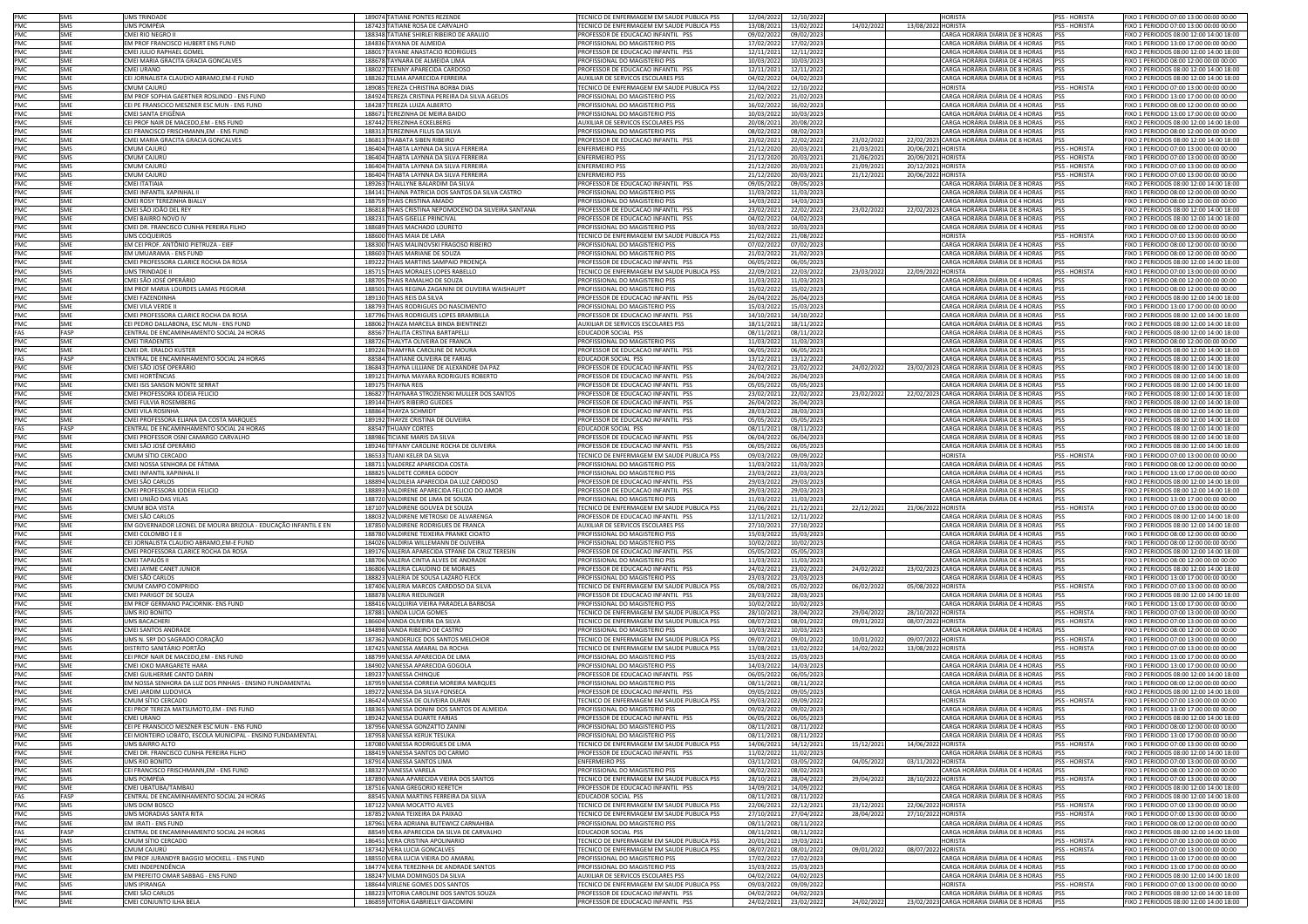| PMC        | SMS        | UMS TRINDADE                                                   | 189074 TATIANE PONTES REZENDE                        | TECNICO DE ENFERMAGEM EM SAUDE PUBLICA PSS                           | 12/04/2022 | 12/10/2022 |            |                    | <b>HORISTA</b>                                 | <b>PSS - HORISTA</b> | FIXO 1 PERIODO 07:00 13:00 00:00 00:00  |
|------------|------------|----------------------------------------------------------------|------------------------------------------------------|----------------------------------------------------------------------|------------|------------|------------|--------------------|------------------------------------------------|----------------------|-----------------------------------------|
| PMC        | SMS        | JMS POMPÉIA                                                    | 187423 TATIANE ROSA DE CARVALHO                      | TECNICO DE ENFERMAGEM EM SAUDE PUBLICA PSS                           | 13/08/2021 | 13/02/2022 | 14/02/2022 | 13/08/2022 HORISTA |                                                | PSS - HORISTA        | FIXO 1 PERIODO 07:00 13:00 00:00 00:00  |
| PMC        | SME        | CMEI RIO NEGRO I                                               | 188348 TATIANE SHIRLEI RIBEIRO DE ARAUJO             | PROFESSOR DE EDUCACAO INFANTIL PSS                                   | 09/02/2022 | 09/02/2023 |            |                    | ARGA HORÁRIA DIÁRIA DE 8 HORAS                 | PSS                  | FIXO 2 PERIODOS 08:00 12:00 14:00 18:00 |
| PMC        | SME        | EM PROF FRANCISCO HUBERT ENS FUND                              | 184836 TAYANA DE ALMEIDA                             | PROFISSIONAL DO MAGISTERIO PSS                                       | 17/02/2022 | 17/02/2023 |            |                    | CARGA HORÁRIA DIÁRIA DE 4 HORAS                | <b>IPSS</b>          | FIXO 1 PERIODO 13:00 17:00 00:00 00:00  |
| PMC        | SMF        | CMEI JULIO RAPHAEL GOMEL                                       |                                                      |                                                                      |            |            |            |                    | CARGA HORÁRIA DIÁRIA DE 8 HORAS                | PSS                  | FIXO 2 PERIODOS 08:00 12:00 14:00 18:00 |
|            |            |                                                                | 188017 TAYANE ANASTACIO RODRIGUES                    | PROFESSOR DE EDUCACAO INFANTIL PSS<br>PROFISSIONAL DO MAGISTERIO PSS | 12/11/2021 | 12/11/2022 |            |                    | CARGA HORÁRIA DIÁRIA DE 4 HORAS                |                      |                                         |
| PMC        | SME        | CMEI MARIA GRACITA GRACIA GONCALVES                            | 188678 TAYNARA DE ALMEIDA LIMA                       |                                                                      | 10/03/2022 | 10/03/2023 |            |                    |                                                | <b>IPSS</b>          | FIXO 1 PERIODO 08:00 12:00 00:00 00:00  |
| PMC        | <b>SME</b> | CMEI URANC                                                     | 188027 TEENNY APARECIDA CARDOSO                      | PROFESSOR DE EDUCACAO INFANTIL PSS                                   | 12/11/2021 | 12/11/2022 |            |                    | ARGA HORÁRIA DIÁRIA DE 8 HORAS                 | <b>PSS</b>           | FIXO 2 PERIODOS 08:00 12:00 14:00 18:00 |
| PMC        | SME        | CEI JORNALISTA CLAUDIO ABRAMO,EM-E FUND                        | 188262 TELMA APARECIDA FERREIRA                      | AUXILIAR DE SERVICOS ESCOLARES PSS                                   | 04/02/2022 | 04/02/2023 |            |                    | CARGA HORÁRIA DIÁRIA DE 8 HORAS                | PSS                  | FIXO 2 PERIODOS 08:00 12:00 14:00 18:00 |
| PMC        | SMS        | CMUM CAIURÚ                                                    | 189085 TEREZA CHRISTINA BORBA DIAS                   | TECNICO DE ENFERMAGEM EM SAUDE PUBLICA PSS                           | 12/04/2022 | 12/10/2022 |            |                    | HORISTA                                        | <b>PSS - HORISTA</b> | FIXO 1 PERIODO 07:00 13:00 00:00 00:00  |
| PMC        | SME        | EM PROE SOPHIA GAERTNER ROSLINDO - ENS EUND                    | 184924 TEREZA CRISTINA PEREIRA DA SILVA AGELOS       | PROFISSIONAL DO MAGISTERIO PSS                                       | 21/02/2023 | 21/02/2023 |            |                    | ARGA HORÁRIA DIÁRIA DE 4 HORAS:                | <b>PSS</b>           | FIXO 1 PERIODO 13:00 17:00 00:00 00:00  |
| PMC        | <b>SME</b> | CEI PE FRANSCICO MESZNER ESC MUN - ENS FUND                    | 184287 TEREZA LUIZA ALBERTO                          | PROFISSIONAL DO MAGISTERIO PSS                                       | 16/02/2023 | 16/02/2023 |            |                    | ARGA HORÁRIA DIÁRIA DE 4 HORAS                 | PSS                  | FIXO 1 PERIODO 08:00 12:00 00:00 00:00  |
| PMC        | <b>SME</b> | CMEI SANTA EFIGÊNIA                                            | 188671 TEREZINHA DE MEIRA BAIDO                      | PROFISSIONAL DO MAGISTERIO PSS                                       | 10/03/2022 | 10/03/2023 |            |                    | CARGA HORÁRIA DIÁRIA DE 4 HORAS                | PSS                  | FIXO 1 PERIODO 13:00 17:00 00:00 00:00  |
| PMC        | <b>SMF</b> | CEI PROF NAIR DE MACEDO.EM - ENS FUND                          | 187442 TEREZINHA ECKELBERG                           | AUXILIAR DE SERVICOS ESCOLARES PSS                                   | 20/08/2021 | 20/08/2022 |            |                    | CARGA HORÁRIA DIÁRIA DE 8 HORAS                | <b>PSS</b>           | FIXO 2 PERIODOS 08:00 12:00 14:00 18:00 |
| PMC        | SME        | CEI FRANCISCO FRISCHMANN,EM - ENS FUND                         | 188313 TEREZINHA FILUS DA SILVA                      | PROFISSIONAL DO MAGISTERIO PSS                                       | 08/02/2022 | 08/02/2023 |            |                    | CARGA HORÁRIA DIÁRIA DE 4 HORAS                | <b>PSS</b>           | FIXO 1 PERIODO 08:00 12:00 00:00 00:00  |
|            |            |                                                                |                                                      |                                                                      |            |            |            |                    |                                                |                      |                                         |
| PMC        | SME        | CMEI MARIA GRACITA GRACIA GONCALVES                            | 186813 THABATA SIBEN RIBEIRO                         | PROFESSOR DE EDUCACAO INFANTIL PSS                                   | 23/02/2021 | 22/02/2022 | 23/02/2022 |                    | 22/02/2023 CARGA HORÁRIA DIÁRIA DE 8 HORAS     | PSS                  | FIXO 2 PERIODOS 08:00 12:00 14:00 18:00 |
| PMC        | SMS        | CMUM CAJURÚ                                                    | 186404 THABTA LAYNNA DA SILVA FERREIRA               | <b>ENFERMEIRO PSS</b>                                                | 21/12/2020 | 20/03/2021 | 21/03/2021 | 20/06/2021 HORISTA |                                                | <b>PSS - HORISTA</b> | FIXO 1 PERIODO 07:00 13:00 00:00 00:00  |
| PMC        | SMS        | CMUM CAJURÚ                                                    | 186404 THABTA LAYNNA DA SILVA FERREIRA               | <b>ENFERMEIRO PSS</b>                                                | 21/12/2020 | 20/03/2021 | 21/06/2021 | 20/09/2021 HORISTA |                                                | PSS - HORISTA        | FIXO 1 PERIODO 07:00 13:00 00:00 00:00  |
| PMC        | SMS        | CMUM CAIURÍ                                                    | 186404 THABTA LAYNNA DA SILVA FERREIRA               | <b>ENFERMEIRO PSS</b>                                                | 21/12/2020 | 20/03/2021 | 21/09/2021 | 20/12/2021 HORISTA |                                                | PSS - HORISTA        | FIXO 1 PERIODO 07:00 13:00 00:00 00:00  |
| PMC        | SMS        | CMUM CAJURÚ                                                    | 186404 THARTA LAYNNA DA SILVA FERREIRA               | <b>ENFERMEIRO PSS</b>                                                | 21/12/2020 | 20/03/2021 | 21/12/2021 | 20/06/2022 HORISTA |                                                | PSS - HORISTA        | FIXO 1 PERIODO 07:00 13:00 00:00 00:00  |
| PMC        | SME        | CMEI ITATIAIA                                                  | 189263 THAILLYNE BALARDIM DA SILVA                   | PROFESSOR DE EDUCACAO INFANTIL PSS                                   | 09/05/2022 | 09/05/2023 |            |                    | ARGA HORÁRIA DIÁRIA DE 8 HORAS                 | <b>PSS</b>           | FIXO 2 PERIODOS 08:00 12:00 14:00 18:00 |
| PMC        | SME        | CMEI INFANTIL XAPINHAL II                                      | 184141 THAINA PATRICIA DOS SANTOS DA SILVA CASTRO    | PROFISSIONAL DO MAGISTERIO PSS                                       | 11/03/202  | 11/03/2023 |            |                    | CARGA HORÁRIA DIÁRIA DE 4 HORAS                | PSS                  | FIXO 1 PERIODO 08:00 12:00 00:00 00:00  |
| PMC        | SMF        | CMEI ROSY TEREZINHA BIALLY                                     | 188759 THAIS CRISTINA AMADO                          | PROFISSIONAL DO MAGISTERIO PSS                                       | 14/03/2023 | 14/03/2023 |            |                    | CARGA HORÁRIA DIÁRIA DE 4 HORAS PSS            |                      | FIXO 1 PERIODO 08:00 12:00 00:00 00:00  |
|            |            |                                                                |                                                      | PROFESSOR DE EDUCACAO INFANTIL PSS                                   |            |            |            |                    |                                                |                      | FIXO 2 PERIODOS 08:00 12:00 14:00 18:00 |
| PMC        | SME        | CMEI SÃO JOÃO DEL REY                                          | 186818 THAIS CRISTINA NEPOMOCENO DA SILVEIRA SANTANA |                                                                      | 23/02/2021 | 22/02/2022 | 23/02/2022 |                    | 22/02/2023 CARGA HORÁRIA DIÁRIA DE 8 HORAS     | <b>IPSS</b>          |                                         |
| PMC        | SME        | CMEI BAIRRO NOVO IV                                            | 188231 THAIS GISELLE PRINCIVAL                       | PROFESSOR DE EDUCACAO INFANTIL PSS                                   | 04/02/2022 | 04/02/2023 |            |                    | CARGA HORÁRIA DIÁRIA DE 8 HORAS                | PSS                  | FIXO 2 PERIODOS 08:00 12:00 14:00 18:00 |
| PMC        | SME        | CMEI DR. FRANCISCO CUNHA PEREIRA FILHO                         | 188689 THAIS MACHADO LOURETO                         | PROFISSIONAL DO MAGISTERIO PSS                                       | 10/03/2022 | 10/03/2023 |            |                    | CARGA HORÁRIA DIÁRIA DE 4 HORAS                | <b>PSS</b>           | FIXO 1 PERIODO 08:00 12:00 00:00 00:00  |
| PMC        | SMS        | UMS COQUEIROS                                                  | 188600 THAIS MAIA DE LARA                            | TECNICO DE ENFERMAGEM EM SAUDE PUBLICA PSS                           | 21/02/2022 | 21/08/2022 |            |                    | HORISTA                                        | PSS - HORISTA        | FIXO 1 PERIODO 07:00 13:00 00:00 00:00  |
| PMC        | SME        | EM CEI PROF. ANTÔNIO PIETRUZA - EIEF                           | 188300 THAIS MALINOVSKI FRAGOSO RIBEIRO              | PROFISSIONAL DO MAGISTERIO PSS                                       | 07/02/2022 | 07/02/2023 |            |                    | ARGA HORÁRIA DIÁRIA DE 4 HORAS:                | <b>PSS</b>           | FIXO 1 PERIODO 08:00 12:00 00:00 00:00  |
| PMC        | SME        | EM UMUARAMA - ENS FUND                                         | 188603 THAIS MARIANE DE SOUZA                        | PROFISSIONAL DO MAGISTERIO PSS                                       | 21/02/2022 | 21/02/2023 |            |                    | ARGA HORÁRIA DIÁRIA DE 4 HORAS                 | PSS                  | FIXO 1 PERIODO 08:00 12:00 00:00 00:00  |
| PMC        | SMF        | CMEI PROFESSORA CLARICE ROCHA DA ROSA                          | 189222 THAIS MARTINS SAMPAIO PROENÇA                 | PROFESSOR DE EDUCACAO INFANTIL PS!                                   | 06/05/202  | 06/05/2023 |            |                    | CARGA HORÁRIA DIÁRIA DE 8 HORAS                | PSS                  | FIXO 2 PERIODOS 08:00 12:00 14:00 18:00 |
| PMC        | SMS        | UMS TRINDADE II                                                | 185715 THAIS MORALES LOPES RABELLO                   | TFCNICO DE ENFERMAGEM EM SAUDE PUBLICA PSS                           | 22/09/2021 | 22/03/2022 | 23/03/2022 | 22/09/2022 HORISTA |                                                | <b>PSS - HORISTA</b> | FIXO 1 PERIODO 07:00 13:00 00:00 00:00  |
|            |            |                                                                |                                                      |                                                                      |            |            |            |                    |                                                |                      |                                         |
| PMC        | SME        | CMEI SÃO JOSÉ OPERÁRIO                                         | 188705 THAIS RAMALHO DE SOUZA                        | PROFISSIONAL DO MAGISTERIO PSS                                       | 11/03/2023 | 11/03/2023 |            |                    | CARGA HORÁRIA DIÁRIA DE 4 HORAS                | <b>IPSS</b>          | FIXO 1 PERIODO 08:00 12:00 00:00 00:00  |
| PMC        | SME        | EM PROF MARIA LOURDES LAMAS PEGORAR                            | 188501 THAIS REGINA ZAGANINI DE OLIVEIRA WAISHAUPT   | PROFISSIONAL DO MAGISTERIO PSS                                       | 15/02/2022 | 15/02/2023 |            |                    | CARGA HORÁRIA DIÁRIA DE 4 HORAS                | <b>IPSS</b>          | FIXO 1 PERIODO 08:00 12:00 00:00 00:00  |
| PMC        | SME        | CMEI FAZENDINHA                                                | 189130 THAIS REIS DA SILVA                           | PROFESSOR DE EDUCACAO INFANTIL PSS                                   | 26/04/2022 | 26/04/2023 |            |                    | CARGA HORÁRIA DIÁRIA DE 8 HORAS                | PSS                  | FIXO 2 PERIODOS 08:00 12:00 14:00 18:00 |
| PMC        | SMF        | CMEI VILA VERDE II                                             | 188793 THAIS RODRIGUES DO NASCIMENTO                 | PROFISSIONAL DO MAGISTERIO PSS                                       | 15/03/2022 | 15/03/2023 |            |                    | CARGA HORÁRIA DIÁRIA DE 4 HORAS                | <b>PSS</b>           | FIXO 1 PERIODO 13:00 17:00 00:00 00:00  |
| PMC        | SME        | CMELPROFESSORA CLARICE ROCHA DA ROSA                           | 187796 THAIS RODRIGUES LOPES BRAMBILLA               | PROFESSOR DE EDUCAÇÃO INFANTIL PSS                                   | 14/10/2021 | 14/10/2022 |            |                    | CARGA HORÁRIA DIÁRIA DE 8 HORAS                | <b>PSS</b>           | FIXO 2 PERIODOS 08:00 12:00 14:00 18:00 |
| PMC        | SME        | CEI PEDRO DALLABONA, ESC MUN - ENS FUND                        | 188062 THAIZA MARCELA BINDA BIENTINEZI               | AUXILIAR DE SERVICOS ESCOLARES PSS                                   | 18/11/2021 | 18/11/2022 |            |                    | ARGA HORÁRIA DIÁRIA DE 8 HORAS                 | PSS                  | FIXO 2 PERIODOS 08:00 12:00 14:00 18:00 |
| FAS        | FASE       | CENTRAL DE ENCAMINHAMENTO SOCIAL 24 HORAS                      | 88567 THALITA CRSTINA BARTAPELLI                     | EDUCADOR SOCIAL PSS                                                  | 08/11/202  | 08/11/2022 |            |                    | ARGA HORÁRIA DIÁRIA DE 8 HORAS                 |                      | FIXO 2 PERIODOS 08:00 12:00 14:00 18:00 |
|            |            |                                                                |                                                      |                                                                      |            |            |            |                    |                                                |                      |                                         |
| PMC        | SMF        | CMEI TIRADENTES                                                | 188726 THALYTA OLIVEIRA DE FRANCA                    | PROFISSIONAL DO MAGISTERIO PSS                                       | 11/03/2022 | 11/03/2023 |            |                    | CARGA HORÁRIA DIÁRIA DE 4 HORAS                | <b>IPSS</b>          | FIXO 1 PERIODO 08:00 12:00 00:00 00:00  |
| PMC        | SMF        | CMFI DR. ERALDO KUSTER                                         | 189226 THAMYRA CAROLINE DE MOURA                     | PROFESSOR DE EDUCACAO INFANTIL PSS                                   | 06/05/2022 | 06/05/2023 |            |                    | CARGA HORÁRIA DIÁRIA DE 8 HORAS PSS            |                      | FIXO 2 PERIODOS 08:00 12:00 14:00 18:00 |
| FAS        | FASP       | CENTRAL DE ENCAMINHAMENTO SOCIAL 24 HORAS                      | 88584 THATIANE OLIVEIRA DE FARIAS                    | EDUCADOR SOCIAL PSS                                                  | 13/12/202  | 13/12/2022 |            |                    | CARGA HORÁRIA DIÁRIA DE 8 HORAS                | <b>IPSS</b>          | FIXO 2 PERIODOS 08:00 12:00 14:00 18:00 |
| PMC        | SME        | CMEI SÃO JOSÉ OPERÁRIO                                         | 186843 THAYNA LILLIANE DE ALEXANDRE DA PAZ           | PROFESSOR DE EDUCACAO INFANTIL PSS                                   | 24/02/2021 | 23/02/2022 | 24/02/2022 |                    | 23/02/2023 CARGA HORÁRIA DIÁRIA DE 8 HORAS     | <b>IPSS</b>          | FIXO 2 PERIODOS 08:00 12:00 14:00 18:00 |
| PMC        | SME        | CMEI HORTÊNCIAS                                                | 189121 THAYNA MAYARA RODRIGUES ROBERTO               | PROFESSOR DE EDUCACAO INFANTIL PSS                                   | 26/04/2022 | 26/04/2023 |            |                    | CARGA HORÁRIA DIÁRIA DE 8 HORAS                | PSS                  | FIXO 2 PERIODOS 08:00 12:00 14:00 18:00 |
| PMC        | <b>SMF</b> |                                                                |                                                      | PROFESSOR DE EDUCACAO INFANTIL PSS                                   |            |            |            |                    | CARGA HORÁRIA DIÁRIA DE 8 HORAS                |                      |                                         |
|            |            | CMEI ISIS SANSON MONTE SERRAT                                  | 189175 THAYNA REIS                                   |                                                                      | 05/05/2022 | 05/05/2023 |            |                    |                                                | PSS                  | FIXO 2 PERIODOS 08:00 12:00 14:00 18:00 |
| PMC        | SME        | CMEI PROFESSORA IODEIA FELICIO                                 | 186827 THAYNARA STROZIENSKI MULLER DOS SANTOS        | PROFESSOR DE EDUCACAO INFANTIL PSS                                   | 23/02/202  | 22/02/2022 | 23/02/2022 |                    | 22/02/2023 CARGA HORÁRIA DIÁRIA DE 8 HORAS     | <b>PSS</b>           | FIXO 2 PERIODOS 08:00 12:00 14:00 18:00 |
| PMC        | SME        | CMEI FULVIA ROSEMBERG                                          | 189144 THAYS RIBEIRO GUEDES                          | PROFESSOR DE EDUCACAO INFANTIL PSS                                   | 26/04/202  | 26/04/2023 |            |                    | ARGA HORÁRIA DIÁRIA DE 8 HORAS                 | PSS                  | FIXO 2 PERIODOS 08:00 12:00 14:00 18:00 |
| PMC        | SMF        | CMELVILA ROSINHA                                               | 188864 THAYZA SCHMIDT                                | PROFESSOR DE EDUCACAO INFANTIL PSS                                   | 28/03/2022 | 28/03/2023 |            |                    | CARGA HORÁRIA DIÁRIA DE 8 HORAS                | PSS                  | FIXO 2 PERIODOS 08:00 12:00 14:00 18:00 |
| PMC        | SMF        | CMEI PROFESSORA ELIANA DA COSTA MARQUES                        | 189192 THAYZE CRISTINA DE OLIVEIRA                   | PROFESSOR DE EDUCACAO INFANTIL PSS                                   | 05/05/2022 | 05/05/2023 |            |                    | CARGA HORÁRIA DIÁRIA DE 8 HORAS                | <b>PSS</b>           | FIXO 2 PERIODOS 08:00 12:00 14:00 18:00 |
| FAS        | FASP       | CENTRAL DE ENCAMINHAMENTO SOCIAL 24 HORAS                      | 88547 THUANY CORTES                                  | EDUCADOR SOCIAL PSS                                                  | 08/11/2021 | 08/11/2022 |            |                    | CARGA HORÁRIA DIÁRIA DE 8 HORAS                | <b>IPSS</b>          | FIXO 2 PERIODOS 08:00 12:00 14:00 18:00 |
| PMC        | SME        | CMEI PROFESSOR OSNI CAMARGO CARVALHO                           | 188986 TICIANE MARIS DA SILVA                        | PROFESSOR DE EDUCAÇÃO INFANTIL PSS                                   | 06/04/2022 | 06/04/2023 |            |                    | CARGA HORÁRIA DIÁRIA DE 8 HORAS                | <b>IPSS</b>          | FIXO 2 PERIODOS 08:00 12:00 14:00 18:00 |
|            |            |                                                                |                                                      |                                                                      |            |            |            |                    |                                                |                      |                                         |
| PMC        | SME        | CMEI SÃO JOSÉ OPERÁRIO                                         | 189246 TIFFANY CAROLINE ROCHA DE OLIVEIRA            | PROFESSOR DE EDUCACAO INFANTIL PSS                                   | 06/05/2022 | 06/05/2023 |            |                    | CARGA HORÁRIA DIÁRIA DE 8 HORAS                | PSS                  | FIXO 2 PERIODOS 08:00 12:00 14:00 18:00 |
| PMC        | SMS        | CMUM SÍTIO CERCADO                                             | 186533 TUANI KELER DA SILVA                          | TECNICO DE ENFERMAGEM EM SAUDE PUBLICA PSS                           | 09/03/2022 | 09/09/2022 |            |                    | <b>HORISTA</b>                                 | <b>PSS - HORISTA</b> | FIXO 1 PERIODO 07:00 13:00 00:00 00:00  |
| PMC        | SME        | CMEI NOSSA SENHORA DE FÁTIMA                                   | 188711 VALDEREZ APARECIDA COSTA                      | PROFISSIONAL DO MAGISTERIO PSS                                       | 11/03/2023 | 11/03/2023 |            |                    | ARGA HORÁRIA DIÁRIA DE 4 HORAS:                | <b>PSS</b>           | FIXO 1 PERIODO 08:00 12:00 00:00 00:00  |
| PMC        | SME        | CMEI INFANTIL XAPINHAL II                                      | 188825 VALDETE CORREA GODOY                          | PROFISSIONAL DO MAGISTERIO PSS                                       | 23/03/202  | 23/03/2023 |            |                    | ARGA HORÁRIA DIÁRIA DE 4 HORAS                 | <b>PSS</b>           | FIXO 1 PERIODO 13:00 17:00 00:00 00:00  |
| PMC        | SMF        | CMEI SÃO CARLOS                                                | 188894 VALDILEIA APARECIDA DA LUZ CARDOSO            | PROFESSOR DE EDUCACAO INFANTIL PSS                                   | 29/03/202  | 29/03/2023 |            |                    | CARGA HORÁRIA DIÁRIA DE 8 HORAS                | PSS                  | FIXO 2 PERIODOS 08:00 12:00 14:00 18:00 |
| PMC        | SMF        | CMEI PROFESSORA IODEIA FELICIO                                 | 188893 VALDIRENE APARECIDA FELICIO DO AMOR           | PROFESSOR DE EDUCACAO INFANTIL PS!                                   | 29/03/2022 | 29/03/2023 |            |                    | CARGA HORÁRIA DIÁRIA DE 8 HORAS                | PSS                  | FIXO 2 PERIODOS 08:00 12:00 14:00 18:00 |
| PMC        | SME        | CMEI UNIÃO DAS VILAS                                           | 188720 VALDIRENE DE LIMA DE SOUZA                    | PROFISSIONAL DO MAGISTERIO PSS                                       | 11/03/2022 | 11/03/2023 |            |                    | CARGA HORÁRIA DIÁRIA DE 4 HORAS                | PSS                  | FIXO 1 PERIODO 13:00 17:00 00:00 00:00  |
|            |            |                                                                |                                                      |                                                                      |            |            |            |                    |                                                |                      |                                         |
| PMC        | SMS        | CMUM BOA VISTA                                                 | 187107 VALDIRENE GOUVEA DE SOUZA                     | TECNICO DE ENFERMAGEM EM SAUDE PUBLICA PSS                           | 21/06/2021 | 21/12/2021 | 22/12/202  | 21/06/2022 HORISTA |                                                | PSS - HORISTA        | FIXO 1 PERIODO 07:00 13:00 00:00 00:00  |
| PMC        | SME        | CMEI SÃO CARLOS                                                | 188032 VALDIRENE METROSKI DE ALVARENGA               | PROFESSOR DE EDUCACAO INFANTIL PSS                                   | 12/11/2021 | 12/11/2022 |            |                    | CARGA HORÁRIA DIÁRIA DE 8 HORAS                | PSS                  | FIXO 2 PERIODOS 08:00 12:00 14:00 18:00 |
| <b>PMC</b> | SMF        | EM GOVERNADOR LEONEL DE MOURA BRIZOLA - EDUCAÇÃO INFANTIL E EN | 187850 VALDIRENE RODRIGUES DE FRANCA                 | AUXILIAR DE SERVICOS ESCOLARES PSS                                   | 27/10/2021 | 27/10/2022 |            |                    | CARGA HORÁRIA DIÁRIA DE 8 HORAS                | PSS                  | FIXO 2 PERIODOS 08:00 12:00 14:00 18:00 |
| PMC        | <b>SME</b> | CMEI COLOMBO I E II                                            | 188780 VALDIRENE TEIXEIRA PRANKE CIOATO              | PROFISSIONAL DO MAGISTERIO PSS                                       | 15/03/2023 | 15/03/2023 |            |                    | ARGA HORÁRIA DIÁRIA DE 4 HORAS                 | <b>PSS</b>           | FIXO 1 PERIODO 08:00 12:00 00:00 00:00  |
| PMC        | SME        | CEI JORNALISTA CLAUDIO ABRAMO,EM-E FUND                        | 184026 VALDIRIA WILLEMANN DE OLIVEIRA                | PROFISSIONAL DO MAGISTERIO PSS                                       | 10/02/202  | 10/02/2023 |            |                    | ARGA HORÁRIA DIÁRIA DE 4 HORAS                 | <b>PSS</b>           | IXO 1 PERIODO 08:00 12:00 00:00 00:00   |
| PMC        | SME        | CMEI PROFESSORA CLARICE ROCHA DA ROSA                          | 189176 VALERIA APARECIDA STPANE DA CRUZ TERESIN      | PROFESSOR DE EDUCACAO INFANTIL PSS                                   | 05/05/2023 | 05/05/2023 |            |                    | ARGA HORÁRIA DIÁRIA DE 8 HORAS                 | PSS                  | FIXO 2 PERIODOS 08:00 12:00 14:00 18:00 |
|            | SMF        |                                                                |                                                      |                                                                      |            |            |            |                    |                                                |                      |                                         |
| PMC        |            | CMEI TAPAJÓS II                                                | 188706 VALERIA CINTIA ALVES DE ANDRADE               | PROFISSIONAL DO MAGISTERIO PSS                                       | 11/03/202  | 11/03/2023 |            |                    | CARGA HORÁRIA DIÁRIA DE 4 HORAS                | PSS                  | FIXO 1 PERIODO 08:00 12:00 00:00 00:00  |
| PMC        | SMF        | CMEI JAYME CANET JUNIOR                                        | 186806 VALERIA CLAUDINO DE MORAES                    | PROFESSOR DE EDUCACAO INFANTIL PSS                                   | 24/02/202  | 23/02/2022 | 24/02/2022 |                    | 23/02/2023 CARGA HORÁRIA DIÁRIA DE 8 HORAS     | <b>IPSS</b>          | FIXO 2 PERIODOS 08:00 12:00 14:00 18:00 |
| PMC        | SME        | CMEI SÃO CARLOS                                                | 188823 VALERIA DE SOUSA LAZARO FLECK                 | PROFISSIONAL DO MAGISTERIO PSS                                       | 23/03/2022 | 23/03/2023 |            |                    | CARGA HORÁRIA DIÁRIA DE 4 HORAS                | PSS                  | FIXO 1 PERIODO 13:00 17:00 00:00 00:00  |
| PMC        | SMS        | CMUM CAMPO COMPRIDO                                            | 187406 VALERIA MARCOS CARDOSO DA SILVA               | TECNICO DE ENFERMAGEM EM SAUDE PUBLICA PSS                           | 05/08/2021 | 05/02/2022 | 06/02/2022 | 05/08/2022 HORISTA |                                                | PSS - HORISTA        | FIXO 1 PERIODO 07:00 13:00 00:00 00:00  |
| PMC        | SME        | CMEI PARIGOT DE SOUZA                                          | 188878 VALERIA RIEDLINGER                            | PROFESSOR DE EDUCACAO INFANTIL PSS                                   | 28/03/2022 | 28/03/2023 |            |                    | CARGA HORÁRIA DIÁRIA DE 8 HORAS                | PSS                  | FIXO 2 PERIODOS 08:00 12:00 14:00 18:00 |
| PMC        | SME        | EM PROF GERMANO PACIORNIK- ENS FUND                            | 188416 VALQUIRIA VIEIRA PARADELA BARBOSA             | PROFISSIONAL DO MAGISTERIO PSS                                       | 10/02/2022 | 10/02/2023 |            |                    | CARGA HORÁRIA DIÁRIA DE 4 HORAS                | PSS                  | FIXO 1 PERIODO 13:00 17:00 00:00 00:00  |
| PMC        | SMS        | <b>JMS RIO BONITO</b>                                          | 187881 VANDA LUCIA GOMES                             | TECNICO DE ENFERMAGEM EM SAUDE PUBLICA PSS                           | 28/10/202  | 28/04/2022 | 29/04/2022 | 28/10/2022 HORISTA |                                                | <b>PSS - HORISTA</b> | FIXO 1 PERIODO 07:00 13:00 00:00 00:00  |
| PMC        | SMS        | <b>JMS BACACHERI</b>                                           | 186604 VANDA OLIVEIRA DA SILVA                       | TECNICO DE ENFERMAGEM EM SAUDE PUBLICA PSS                           | 08/07/2021 | 08/01/2022 | 09/01/2022 | 08/07/2022 HORISTA |                                                | PSS - HORISTA        | FIXO 1 PERIODO 07:00 13:00 00:00 00:00  |
|            | SMF        |                                                                |                                                      |                                                                      |            |            |            |                    |                                                |                      |                                         |
| PMC        |            | CMEI SANTOS ANDRADE                                            | 184898 VANDA RIBEIRO DE CASTRO                       | PROFISSIONAL DO MAGISTERIO PSS                                       | 10/03/2022 | 10/03/2023 |            |                    | ARGA HORÁRIA DIÁRIA DE 4 HORAS                 | PSS                  | FIXO 1 PERIODO 08:00 12:00 00:00 00:00  |
| PMC        | SMS        | UMS N. SRª DO SAGRADO CORAÇÃO                                  | 187362 VANDERLICE DOS SANTOS MELCHIOR                | TECNICO DE ENFERMAGEM EM SAUDE PUBLICA PSS                           | 09/07/2021 | 09/01/2022 | 10/01/2022 | 09/07/2022 HORISTA |                                                | PSS - HORISTA        | FIXO 1 PERIODO 07:00 13:00 00:00 00:00  |
| PMC        | SMS        | DISTRITO SANITÁRIO PORTÃO                                      | 187425 VANESSA AMARAL DA ROCHA                       | TECNICO DE ENFERMAGEM EM SAUDE PUBLICA PSS                           | 13/08/2021 | 13/02/2022 | 14/02/2022 | 13/08/2022 HORISTA |                                                | PSS - HORISTA        | FIXO 1 PERIODO 07:00 13:00 00:00 00:00  |
| PMC        | SME        | CEI PROF NAIR DE MACEDO,EM - ENS FUND                          | 188799 VANESSA APARECIDA DE LIMA                     | PROFISSIONAL DO MAGISTERIO PSS                                       | 15/03/2022 | 15/03/2023 |            |                    | CARGA HORÁRIA DIÁRIA DE 4 HORAS                | <b>PSS</b>           | FIXO 1 PERIODO 13:00 17:00 00:00 00:00  |
| PMC        | SME        | CMEI IOKO MARGARETE HARA                                       | 184902 VANESSA APARECIDA GOGOLA                      | PROFISSIONAL DO MAGISTERIO PSS                                       | 14/03/2022 | 14/03/2023 |            |                    | CARGA HORÁRIA DIÁRIA DE 4 HORAS                | PSS                  | FIXO 1 PERIODO 13:00 17:00 00:00 00:00  |
| PMC        | SME        | CMEI GUILHERME CANTO DARIN                                     | 189237 VANESSA CHINQUE                               | PROFESSOR DE EDUCACAO INFANTIL PSS                                   | 06/05/202  | 06/05/2023 |            |                    | ARGA HORÁRIA DIÁRIA DE 8 HORAS                 | PSS                  | FIXO 2 PERIODOS 08:00 12:00 14:00 18:00 |
| PMC        | SME        | EM NOSSA SENHORA DA LUZ DOS PINHAIS - ENSINO FUNDAMENTAL       | 187959 VANESSA CORREIA MOREIRA MARQUES               | PROFISSIONAL DO MAGISTERIO PSS                                       | 08/11/202  | 08/11/2022 |            |                    | ARGA HORÁRIA DIÁRIA DE 4 HORAS                 | <b>PSS</b>           | IXO 1 PERIODO 08:00 12:00 00:00 00:00   |
| PMC        | SME        | MELIARDIM LUDOVICA                                             | 189272 VANESSA DA SILVA FONSECA                      | PROFESSOR DE EDUCACAO INFANTIL PSS                                   | 09/05/202  | 09/05/2023 |            |                    | ARGA HORÁRIA DIÁRIA DE 8 HORAS                 | PSS                  | FIXO 2 PERIODOS 08:00 12:00 14:00 18:00 |
|            |            |                                                                |                                                      |                                                                      |            |            |            |                    |                                                |                      |                                         |
| PMC        | SMS        | CMUM SÍTIO CERCADO                                             | 186424 VANESSA DE OLIVEIRA DURAN                     | TECNICO DE ENFERMAGEM EM SAUDE PUBLICA PSS                           | 09/03/2022 | 09/09/2022 |            |                    | HORISTA                                        | PSS - HORISTA        | FIXO 1 PERIODO 07:00 13:00 00:00 00:00  |
|            |            | TO EM . ENC ELIM<br>Ί ΡΡΟΕ ΤΕΡΕΖΔ ΜΔΤΚΗΜ                       | JESSA DONINI DOS SAI                                 | DO MAGISTERIO                                                        |            |            |            |                    | RGA HORÁRIA DIÁRIA DE 4 HORAS                  |                      | IXO 1 PERIODO 13:00 17:00 0             |
| PMC<br>PMC | <b>SME</b> | CMEI URANO                                                     | 189242 VANESSA DUARTE FARIAS                         | PROFESSOR DE EDUCACAO INFANTIL PSS                                   | 06/05/2022 | 06/05/2023 |            |                    | CARGA HORÁRIA DIÁRIA DE 8 HORAS                | <b>IPSS</b>          | FIXO 2 PERIODOS 08:00 12:00 14:00 18:00 |
|            | SME        | CEI PE FRANSCICO MESZNER ESC MUN - ENS FUND                    | 187956 VANESSA GONZATTO ZANIN                        | PROFISSIONAL DO MAGISTERIO PSS                                       | 08/11/2021 | 08/11/2022 |            |                    | CARGA HORÁRIA DIÁRIA DE 4 HORAS PSS            |                      | FIXO 1 PERIODO 08:00 12:00 00:00 00:00  |
| PMC        | SME        | CEI MONTEIRO LOBATO, ESCOLA MUNICIPAL - ENSINO FUNDAMENTAL     | 187958 VANESSA KERUK TESUKA                          | PROFISSIONAL DO MAGISTERIO PSS                                       | 08/11/2021 | 08/11/2022 |            |                    | CARGA HORÁRIA DIÁRIA DE 4 HORAS                | PSS                  | FIXO 1 PERIODO 13:00 17:00 00:00 00:00  |
| PMC        | SMS        | UMS BAIRRO ALTO                                                | 187080 VANESSA RODRIGUES DE LIMA                     | TECNICO DE ENFERMAGEM EM SAUDE PUBLICA PSS                           | 14/06/2021 | 14/12/2021 | 15/12/2021 | 14/06/2022 HORISTA |                                                | PSS - HORISTA        | FIXO 1 PERIODO 07:00 13:00 00:00 00:00  |
| PMC        | SME        | CMEI DR. FRANCISCO CUNHA PEREIRA FILHO                         | 188419 VANESSA SANTOS DO CARMO                       | PROFESSOR DE EDUCACAO INFANTIL PSS                                   |            |            |            |                    | CARGA HORÁRIA DIÁRIA DE 8 HORAS                |                      | FIXO 2 PERIODOS 08:00 12:00 14:00 18:00 |
| PMC        |            |                                                                |                                                      |                                                                      | 11/02/2022 | 11/02/2023 |            | 03/11/2022 HORISTA |                                                | PSS                  |                                         |
|            | SMS        | <b>JMS RIO BONITO</b>                                          | 187914 VANESSA SANTOS LIMA                           | <b>ENFERMEIRO PSS</b>                                                | 03/11/2021 | 03/05/2022 | 04/05/2022 |                    |                                                | PSS - HORISTA        | FIXO 1 PERIODO 07:00 13:00 00:00 00:00  |
| PMC        | SME        | EI FRANCISCO FRISCHMANN,EM - ENS FUND                          | 188327 VANESSA VARELA                                | PROFISSIONAL DO MAGISTERIO PSS                                       | 08/02/2022 | 08/02/2023 |            |                    | ARGA HORÁRIA DIÁRIA DE 4 HORAS                 | PSS                  | FIXO 1 PERIODO 08:00 12:00 00:00 00:00  |
| PMC        | SMS        | UMS POMPÉIA                                                    | 187890 VANIA APARECIDA VIEIRA DOS SANTOS             | TECNICO DE ENFERMAGEM EM SAUDE PUBLICA PSS                           | 28/10/2021 | 28/04/2022 | 29/04/2022 | 28/10/2022 HORISTA |                                                | PSS - HORISTA        | FIXO 1 PERIODO 07:00 13:00 00:00 00:00  |
| PMC        | SMF        | CMEI UBATUBA/TAMBAÚ                                            | 187516 VANIA GREGORIO KERETCH                        | PROFESSOR DE EDUCACAO INFANTIL PSS                                   | 14/09/2021 | 14/09/2022 |            |                    | ARGA HORÁRIA DIÁRIA DE 8 HORAS:                | PSS                  | FIXO 2 PERIODOS 08:00 12:00 14:00 18:00 |
| FAS        | FASP       | CENTRAL DE ENCAMINHAMENTO SOCIAL 24 HORAS                      | 88545 VANIA MARTINS FERREIRA DA SILVA                | EDUCADOR SOCIAL PSS                                                  | 08/11/2021 | 08/11/2022 |            |                    | CARGA HORÁRIA DIÁRIA DE 8 HORAS                | PSS                  | FIXO 2 PERIODOS 08:00 12:00 14:00 18:00 |
| PMC        | SMS        | UMS DOM BOSCO                                                  | 187122 VANIA MOCATTO ALVES                           | TECNICO DE ENFERMAGEM EM SAUDE PUBLICA PSS                           | 22/06/2021 | 22/12/2021 | 23/12/2021 | 22/06/2022 HORISTA |                                                | PSS - HORISTA        | FIXO 1 PERIODO 07:00 13:00 00:00 00:00  |
|            |            |                                                                |                                                      |                                                                      |            |            |            |                    |                                                |                      |                                         |
| PMC        | SMS        | UMS MORADIAS SANTA RITA                                        | 187852 VANIA TEIXEIRA DA PAIXAO                      | TECNICO DE ENFERMAGEM EM SAUDE PUBLICA PSS                           | 27/10/2021 | 27/04/2022 | 28/04/2022 | 27/10/2022 HORISTA |                                                | PSS - HORISTA        | FIXO 1 PERIODO 07:00 13:00 00:00 00:00  |
| PMC        | <b>SMF</b> | EM IRATI - ENS FUND                                            | 187961 VERA ADRIANA BUTEWICZ CARNAHIBA               | PROFISSIONAL DO MAGISTERIO PSS                                       | 08/11/2021 | 08/11/2022 |            |                    | CARGA HORÁRIA DIÁRIA DE 4 HORAS                | PSS                  | FIXO 1 PERIODO 08:00 12:00 00:00 00:00  |
| FAS        | FASP       | CENTRAL DE ENCAMINHAMENTO SOCIAL 24 HORAS                      | 88549 VERA APARECIDA DA SILVA DE CARVALHO            | EDUCADOR SOCIAL PSS                                                  | 08/11/2021 | 08/11/2022 |            |                    | ARGA HORÁRIA DIÁRIA DE 8 HORAS                 | PSS                  | FIXO 2 PERIODOS 08:00 12:00 14:00 18:00 |
| PMC        | SMS        | CMUM SÍTIO CERCADO                                             | 186451 VERA CRISTINA APOLINARIO                      | TECNICO DE ENFERMAGEM EM SAUDE PUBLICA PSS                           | 20/01/2021 | 19/03/2021 |            |                    | <b>ORISTA</b>                                  | PSS - HORISTA        | FIXO 1 PERIODO 07:00 13:00 00:00 00:00  |
| PMC        | SMS        | CMUM CAJURÚ                                                    | 187342 VERA LUCIA GONCALVES                          | TECNICO DE ENFERMAGEM EM SAUDE PUBLICA PSS                           | 08/07/202  | 08/01/2022 | 09/01/2022 | 08/07/2022 HORISTA |                                                | PSS - HORISTA        | FIXO 1 PERIODO 07:00 13:00 00:00 00:00  |
| PMC        | SMF        | EM PROF JURANDYR BAGGIO MOCKELL - ENS FUND                     | 188550 VERA LUCIA VIEIRA DO AMARAL                   | PROFISSIONAL DO MAGISTERIO PSS                                       | 17/02/2023 | 17/02/2023 |            |                    | CARGA HORÁRIA DIÁRIA DE 4 HORAS                | PSS                  | FIXO 1 PERIODO 13:00 17:00 00:00 00:00  |
| PMC        | SME        | CMEI INDEPENDÊNCIA                                             | 184774 VERA TEREZINHA DE ANDRADE SANTOS              | PROFISSIONAL DO MAGISTERIO PSS                                       | 15/03/2022 | 15/03/2023 |            |                    | CARGA HORÁRIA DIÁRIA DE 4 HORAS                | PSS                  | FIXO 1 PERIODO 13:00 17:00 00:00 00:00  |
|            |            |                                                                |                                                      |                                                                      |            |            |            |                    |                                                |                      |                                         |
| PMC        | SME        | EM PREFEITO OMAR SABBAG - ENS FUND                             | 188247 VILMA DOMINGOS DA SILVA                       | AUXILIAR DE SERVICOS ESCOLARES PSS                                   | 04/02/2022 | 04/02/2023 |            |                    | CARGA HORÁRIA DIÁRIA DE 8 HORAS                | PSS                  | FIXO 2 PERIODOS 08:00 12:00 14:00 18:00 |
| PMC        | <b>SMS</b> | UMS IPIRANGA                                                   | 188644 VIRLENE GOMES DOS SANTOS                      | TECNICO DE ENFERMAGEM EM SAUDE PUBLICA PSS                           | 09/03/2022 | 09/09/2022 |            |                    | <b>HORISTA</b>                                 | PSS - HORISTA        | FIXO 1 PERIODO 07:00 13:00 00:00 00:00  |
| PMC        | SMF        | CMEI SÃO CARLOS                                                | 188223 VITORIA CAROLINE DOS SANTOS SOLIZA            | PROFESSOR DE EDUCACAO INFANTIL PSS                                   | 04/02/2022 | 04/02/2023 |            |                    | CARGA HORÁRIA DIÁRIA DE 8 HORAS                | PSS                  | FIXO 2 PERIODOS 08:00 12:00 14:00 18:00 |
| PMC        | SME        | CMEI CONJUNTO ILHA BELA                                        | 186859 VITORIA GABRIELLY GIACOMINI                   | PROFESSOR DE EDUCACAO INFANTIL PSS                                   | 24/02/2021 | 23/02/2022 | 24/02/2022 |                    | 23/02/2023 CARGA HORÁRIA DIÁRIA DE 8 HORAS PSS |                      | FIXO 2 PERIODOS 08:00 12:00 14:00 18:00 |
|            |            |                                                                |                                                      |                                                                      |            |            |            |                    |                                                |                      |                                         |